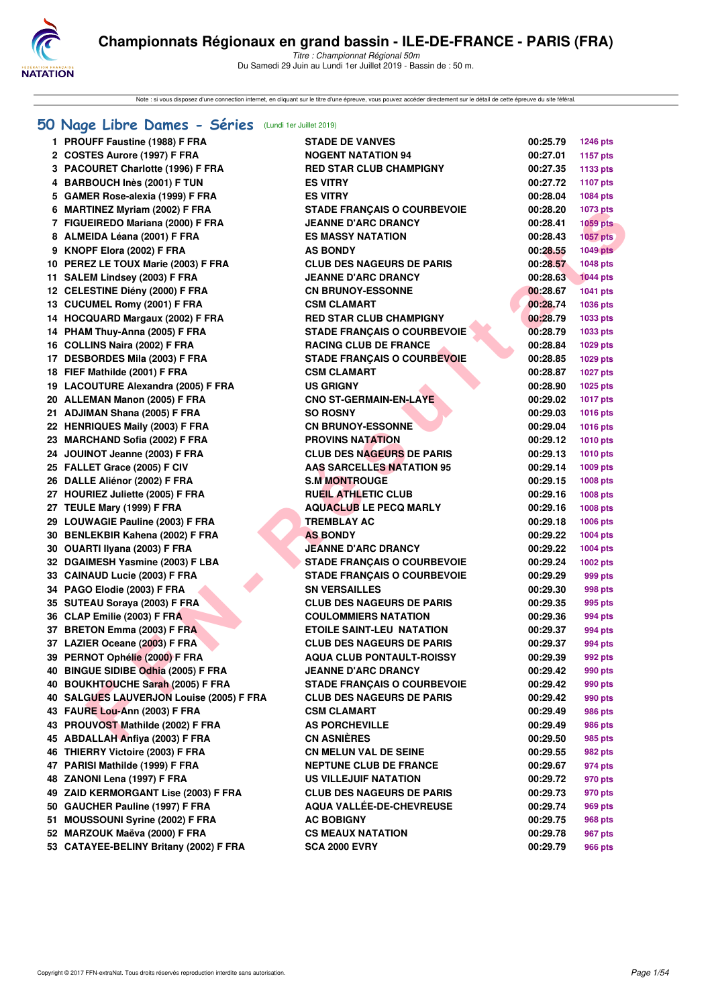

Note : si vous disposez d'une connection internet, en cliquant sur le titre d'une épreuve, vous pouvez accéder directement sur le détail de cette épreuve du site féféral.

#### **[50 Nage Libre Dames - Séries](http://www.ffnatation.fr/webffn/resultats.php?idact=nat&go=epr&idcpt=61555&idepr=1)** (Lundi 1er Juillet 2019)

|     | 1 PROUFF Faustine (1988) F FRA           | <b>STADE DE VANVES</b>             | 00:25.79 | <b>1246 pts</b> |
|-----|------------------------------------------|------------------------------------|----------|-----------------|
|     | 2 COSTES Aurore (1997) F FRA             | <b>NOGENT NATATION 94</b>          | 00:27.01 | <b>1157 pts</b> |
|     | 3 PACOURET Charlotte (1996) F FRA        | <b>RED STAR CLUB CHAMPIGNY</b>     | 00:27.35 | 1133 pts        |
|     | 4 BARBOUCH Inès (2001) F TUN             | <b>ES VITRY</b>                    | 00:27.72 | <b>1107 pts</b> |
|     | 5 GAMER Rose-alexia (1999) F FRA         | <b>ES VITRY</b>                    | 00:28.04 | 1084 pts        |
|     | 6 MARTINEZ Myriam (2002) F FRA           | <b>STADE FRANÇAIS O COURBEVOIE</b> | 00:28.20 | <b>1073 pts</b> |
|     | 7 FIGUEIREDO Mariana (2000) F FRA        | <b>JEANNE D'ARC DRANCY</b>         | 00:28.41 | 1059 pts        |
|     | 8 ALMEIDA Léana (2001) F FRA             | <b>ES MASSY NATATION</b>           | 00:28.43 | <b>1057 pts</b> |
|     | 9 KNOPF Elora (2002) F FRA               | <b>AS BONDY</b>                    | 00:28.55 | 1049 pts        |
|     | 10 PEREZ LE TOUX Marie (2003) F FRA      | <b>CLUB DES NAGEURS DE PARIS</b>   | 00:28.57 | <b>1048 pts</b> |
|     | 11 SALEM Lindsey (2003) F FRA            | <b>JEANNE D'ARC DRANCY</b>         | 00:28.63 | <b>1044 pts</b> |
|     | 12 CELESTINE Diény (2000) F FRA          | <b>CN BRUNOY-ESSONNE</b>           | 00:28.67 | 1041 pts        |
|     | 13 CUCUMEL Romy (2001) F FRA             | <b>CSM CLAMART</b>                 | 00:28.74 | 1036 pts        |
|     | 14 HOCQUARD Margaux (2002) F FRA         | <b>RED STAR CLUB CHAMPIGNY</b>     | 00:28.79 | 1033 pts        |
|     | 14 PHAM Thuy-Anna (2005) F FRA           | <b>STADE FRANÇAIS O COURBEVOIE</b> | 00:28.79 | 1033 pts        |
|     | 16 COLLINS Naira (2002) F FRA            | <b>RACING CLUB DE FRANCE</b>       | 00:28.84 | 1029 pts        |
|     | 17 DESBORDES Mila (2003) F FRA           | <b>STADE FRANÇAIS O COURBEVOIE</b> | 00:28.85 | 1029 pts        |
|     | 18 FIEF Mathilde (2001) F FRA            | <b>CSM CLAMART</b>                 | 00:28.87 | <b>1027 pts</b> |
|     | 19 LACOUTURE Alexandra (2005) F FRA      | <b>US GRIGNY</b>                   | 00:28.90 | 1025 pts        |
|     | 20 ALLEMAN Manon (2005) F FRA            | <b>CNO ST-GERMAIN-EN-LAYE</b>      | 00:29.02 | <b>1017 pts</b> |
|     | 21 ADJIMAN Shana (2005) F FRA            | <b>SO ROSNY</b>                    | 00:29.03 | <b>1016 pts</b> |
|     | 22 HENRIQUES Maily (2003) F FRA          | <b>CN BRUNOY-ESSONNE</b>           | 00:29.04 | <b>1016 pts</b> |
|     | 23 MARCHAND Sofia (2002) F FRA           | <b>PROVINS NATATION</b>            | 00:29.12 | <b>1010 pts</b> |
|     | 24 JOUINOT Jeanne (2003) F FRA           | <b>CLUB DES NAGEURS DE PARIS</b>   | 00:29.13 | <b>1010 pts</b> |
|     | 25 FALLET Grace (2005) F CIV             | <b>AAS SARCELLES NATATION 95</b>   | 00:29.14 | 1009 pts        |
|     | 26 DALLE Aliénor (2002) F FRA            | <b>S.M MONTROUGE</b>               | 00:29.15 | 1008 pts        |
|     | 27 HOURIEZ Juliette (2005) F FRA         | <b>RUEIL ATHLETIC CLUB</b>         | 00:29.16 | 1008 pts        |
|     | 27 TEULE Mary (1999) F FRA               | <b>AQUACLUB LE PECQ MARLY</b>      | 00:29.16 | 1008 pts        |
|     | 29 LOUWAGIE Pauline (2003) F FRA         | <b>TREMBLAY AC</b>                 | 00:29.18 | 1006 pts        |
|     | 30 BENLEKBIR Kahena (2002) F FRA         | <b>AS BONDY</b>                    | 00:29.22 | 1004 pts        |
|     | 30 OUARTI Ilyana (2003) F FRA            | <b>JEANNE D'ARC DRANCY</b>         | 00:29.22 | 1004 pts        |
|     | 32 DGAIMESH Yasmine (2003) F LBA         | <b>STADE FRANÇAIS O COURBEVOIE</b> | 00:29.24 | 1002 pts        |
|     | 33 CAINAUD Lucie (2003) F FRA            | <b>STADE FRANÇAIS O COURBEVOIE</b> | 00:29.29 | 999 pts         |
|     | 34 PAGO Elodie (2003) F FRA              | <b>SN VERSAILLES</b>               | 00:29.30 | 998 pts         |
|     | 35 SUTEAU Soraya (2003) F FRA            | <b>CLUB DES NAGEURS DE PARIS</b>   | 00:29.35 | 995 pts         |
|     | 36 CLAP Emilie (2003) F FRA              | <b>COULOMMIERS NATATION</b>        | 00:29.36 | 994 pts         |
|     | 37 BRETON Emma (2003) F FRA              | <b>ETOILE SAINT-LEU NATATION</b>   | 00:29.37 | 994 pts         |
|     | 37 LAZIER Oceane (2003) F FRA            | <b>CLUB DES NAGEURS DE PARIS</b>   | 00:29.37 | 994 pts         |
|     | 39 PERNOT Ophélie (2000) F FRA           | <b>AQUA CLUB PONTAULT-ROISSY</b>   | 00:29.39 | 992 pts         |
|     | 40 BINGUE SIDIBE Odhia (2005) F FRA      | <b>JEANNE D'ARC DRANCY</b>         | 00:29.42 | 990 pts         |
|     | 40 BOUKHTOUCHE Sarah (2005) F FRA        | <b>STADE FRANÇAIS O COURBEVOIE</b> | 00:29.42 | 990 pts         |
|     | 40 SALGUES LAUVERJON Louise (2005) F FRA | <b>CLUB DES NAGEURS DE PARIS</b>   | 00:29.42 | 990 pts         |
|     | 43 FAURE Lou-Ann (2003) F FRA            | <b>CSM CLAMART</b>                 | 00:29.49 | 986 pts         |
| 43  | PROUVOST Mathilde (2002) F FRA           | <b>AS PORCHEVILLE</b>              | 00:29.49 | 986 pts         |
|     | 45 ABDALLAH Anfiya (2003) F FRA          | <b>CN ASNIÈRES</b>                 | 00:29.50 | 985 pts         |
|     | 46 THIERRY Victoire (2003) F FRA         | <b>CN MELUN VAL DE SEINE</b>       | 00:29.55 | 982 pts         |
|     | 47 PARISI Mathilde (1999) F FRA          | <b>NEPTUNE CLUB DE FRANCE</b>      | 00:29.67 | 974 pts         |
| 48. | ZANONI Lena (1997) F FRA                 | <b>US VILLEJUIF NATATION</b>       | 00:29.72 | 970 pts         |
|     | 49 ZAID KERMORGANT Lise (2003) F FRA     | <b>CLUB DES NAGEURS DE PARIS</b>   | 00:29.73 | 970 pts         |
|     | 50 GAUCHER Pauline (1997) F FRA          | AQUA VALLÉE-DE-CHEVREUSE           | 00:29.74 | 969 pts         |
| 51. | <b>MOUSSOUNI Syrine (2002) F FRA</b>     | <b>AC BOBIGNY</b>                  | 00:29.75 | 968 pts         |
|     | 52 MARZOUK Maëva (2000) F FRA            | <b>CS MEAUX NATATION</b>           | 00:29.78 | 967 pts         |
|     | 53 CATAYEE-BELINY Britany (2002) F FRA   | <b>SCA 2000 EVRY</b>               | 00:29.79 | 966 pts         |
|     |                                          |                                    |          |                 |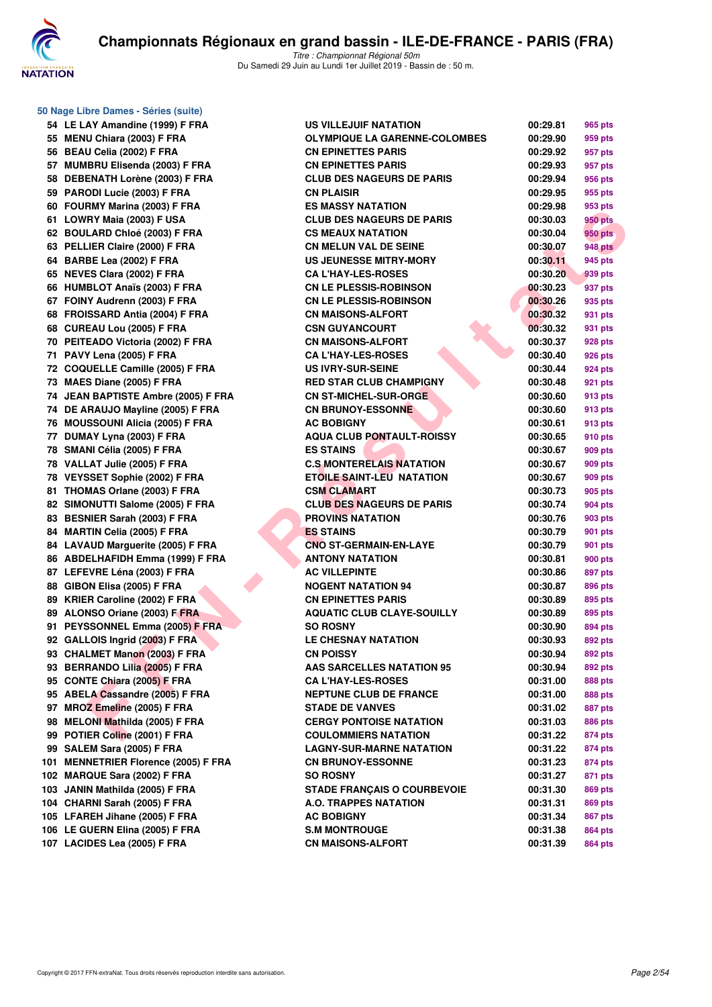

**50 Nage Libre Dames - Séries (suite)**

| 54  | LE LAY Amandine (1999) F FRA            |
|-----|-----------------------------------------|
| 55  | MENU Chiara (2003) F FRA                |
| 56  | BEAU Celia (2002) F FRA                 |
| 57  | MUMBRU Elisenda (2003) F FRA            |
| 58  | DEBENATH Lorène (2003) F FRA            |
| 59  | PARODI Lucie (2003) F FRA               |
| 60  | FOURMY Marina (2003) F FRA              |
| 61  | LOWRY Maia (2003) F USA                 |
| 62  | <b>BOULARD Chloé (2003) F FRA</b>       |
| 63  | PELLIER Claire (2000) F FRA             |
| 64  | BARBE Lea (2002) F FRA                  |
| 65  | <b>NEVES Clara (2002) F FRA</b>         |
| 66  | <b>HUMBLOT Anaïs (2003) F FRA</b>       |
|     | 67 FOINY Audrenn (2003) F FRA           |
| 68  | FROISSARD Antia (2004) F FRA            |
| 68  | CUREAU Lou (2005) F FRA                 |
| 70  | PEITEADO Victoria (2002) F FRA          |
| 71  | PAVY Lena (2005) F FRA                  |
| 72  | <b>COQUELLE Camille (2005) F FRA</b>    |
| 73  | MAES Diane (2005) F FRA                 |
| 74  | <b>JEAN BAPTISTE Ambre (2005) F FRA</b> |
| 74  | DE ARAUJO Mayline (2005) F FRA          |
| 76  | <b>MOUSSOUNI Alicia (2005) F FRA</b>    |
|     |                                         |
| 77  | DUMAY Lyna (2003) F FRA                 |
| 78  | SMANI Célia (2005) F FRA                |
| 78  | VALLAT Julie (2005) F FRA               |
| 78  | VEYSSET Sophie (2002) F FRA             |
| 81  | THOMAS Orlane (2003) F FRA              |
| 82  | SIMONUTTI Salome (2005) F FRA           |
| 83  | BESNIER Sarah (2003) F FRA              |
| 84  | <b>MARTIN Celia (2005) F FRA</b>        |
| 84  | <b>LAVAUD Marguerite (2005) F FRA</b>   |
| 86  | <b>ABDELHAFIDH Emma (1999) F FRA</b>    |
| 87  | LEFEVRE Léna (2003) F FRA               |
| 88  | GIBON Elisa (2005) F FRA                |
| 89  | KRIER Caroline (2002) F FRA             |
| 89  | ALONSO Oriane (2003) F FRA              |
| 91  | PEYSSONNEL Emma (2005) F FRA            |
|     | 92 GALLOIS Ingrid (2003) F FRA          |
|     | 93 CHALMET Manon (2003) F FRA           |
| 93  | <b>BERRANDO Lilia (2005) F FRA</b>      |
| 95  | <b>CONTE Chiara (2005) F FRA</b>        |
| 95  | <b>ABELA Cassandre (2005) F FRA</b>     |
| 97  | MROZ Emeline (2005) F FRA               |
| 98  | MELONI Mathilda (2005) F FRA            |
| 99  | POTIER Coline (2001) F FRA              |
| 99  | SALEM Sara (2005) F FRA                 |
| 101 | <b>MENNETRIER Florence (2005) F FRA</b> |
| 102 | MARQUE Sara (2002) F FRA                |
| 103 | JANIN Mathilda (2005) F FRA             |
| 104 | CHARNI Sarah (2005) F FRA               |
| 105 | LFAREH Jihane (2005) F FRA              |
| 106 | LE GUERN Elina (2005) F FRA             |
| 107 | LACIDES Lea (2005) F FRA                |

| 54 LE LAY Amandine (1999) F FRA      | <b>US VILLEJUIF NATATION</b>         | 00:29.81 | 965 pts        |
|--------------------------------------|--------------------------------------|----------|----------------|
| 55 MENU Chiara (2003) F FRA          | <b>OLYMPIQUE LA GARENNE-COLOMBES</b> | 00:29.90 | 959 pts        |
| 56 BEAU Celia (2002) F FRA           | <b>CN EPINETTES PARIS</b>            | 00:29.92 | 957 pts        |
| 57 MUMBRU Elisenda (2003) F FRA      | <b>CN EPINETTES PARIS</b>            | 00:29.93 | 957 pts        |
| 58 DEBENATH Lorène (2003) F FRA      | <b>CLUB DES NAGEURS DE PARIS</b>     | 00:29.94 | 956 pts        |
| 59 PARODI Lucie (2003) F FRA         | <b>CN PLAISIR</b>                    | 00:29.95 | 955 pts        |
| 60 FOURMY Marina (2003) F FRA        | <b>ES MASSY NATATION</b>             | 00:29.98 | 953 pts        |
| 61 LOWRY Maia (2003) F USA           | <b>CLUB DES NAGEURS DE PARIS</b>     | 00:30.03 | 950 pts        |
| 62 BOULARD Chloé (2003) F FRA        | <b>CS MEAUX NATATION</b>             | 00:30.04 | 950 pts        |
| 63 PELLIER Claire (2000) F FRA       | <b>CN MELUN VAL DE SEINE</b>         | 00:30.07 | <b>948 pts</b> |
| 64 BARBE Lea (2002) F FRA            | <b>US JEUNESSE MITRY-MORY</b>        | 00:30.11 | 945 pts        |
| 65 NEVES Clara (2002) F FRA          | <b>CA L'HAY-LES-ROSES</b>            | 00:30.20 | 939 pts        |
| 66 HUMBLOT Anaïs (2003) F FRA        | <b>CN LE PLESSIS-ROBINSON</b>        | 00:30.23 | 937 pts        |
| 67 FOINY Audrenn (2003) F FRA        | <b>CN LE PLESSIS-ROBINSON</b>        | 00:30.26 | 935 pts        |
| 68 FROISSARD Antia (2004) F FRA      | <b>CN MAISONS-ALFORT</b>             | 00:30.32 | 931 pts        |
| 68 CUREAU Lou (2005) F FRA           | <b>CSN GUYANCOURT</b>                | 00:30.32 | 931 pts        |
| 70 PEITEADO Victoria (2002) F FRA    | <b>CN MAISONS-ALFORT</b>             | 00:30.37 | 928 pts        |
| 71 PAVY Lena (2005) F FRA            | <b>CA L'HAY-LES-ROSES</b>            | 00:30.40 | 926 pts        |
| 72 COQUELLE Camille (2005) F FRA     | <b>US IVRY-SUR-SEINE</b>             | 00:30.44 | 924 pts        |
| 73 MAES Diane (2005) F FRA           | <b>RED STAR CLUB CHAMPIGNY</b>       | 00:30.48 | 921 pts        |
| 74 JEAN BAPTISTE Ambre (2005) F FRA  | CN ST-MICHEL-SUR-ORGE                | 00:30.60 | 913 pts        |
| 74 DE ARAUJO Mayline (2005) F FRA    | <b>CN BRUNOY-ESSONNE</b>             | 00:30.60 | 913 pts        |
| 76 MOUSSOUNI Alicia (2005) F FRA     | <b>AC BOBIGNY</b>                    | 00:30.61 | 913 pts        |
| 77 DUMAY Lyna (2003) F FRA           | <b>AQUA CLUB PONTAULT-ROISSY</b>     | 00:30.65 | 910 pts        |
| 78 SMANI Célia (2005) F FRA          | <b>ES STAINS</b>                     | 00:30.67 | 909 pts        |
| 78 VALLAT Julie (2005) F FRA         | <b>C.S MONTERELAIS NATATION</b>      | 00:30.67 | 909 pts        |
| 78 VEYSSET Sophie (2002) F FRA       | <b>ETOILE SAINT-LEU NATATION</b>     | 00:30.67 | 909 pts        |
| 81 THOMAS Orlane (2003) F FRA        | <b>CSM CLAMART</b>                   | 00:30.73 | 905 pts        |
| 82 SIMONUTTI Salome (2005) F FRA     | <b>CLUB DES NAGEURS DE PARIS</b>     | 00:30.74 | 904 pts        |
| 83 BESNIER Sarah (2003) F FRA        | <b>PROVINS NATATION</b>              | 00:30.76 | 903 pts        |
| 84 MARTIN Celia (2005) F FRA         | <b>ES STAINS</b>                     | 00:30.79 | 901 pts        |
| 84 LAVAUD Marguerite (2005) F FRA    | <b>CNO ST-GERMAIN-EN-LAYE</b>        | 00:30.79 | 901 pts        |
| 86 ABDELHAFIDH Emma (1999) F FRA     | <b>ANTONY NATATION</b>               | 00:30.81 | 900 pts        |
| 87 LEFEVRE Léna (2003) F FRA         | <b>AC VILLEPINTE</b>                 | 00:30.86 | 897 pts        |
| 88 GIBON Elisa (2005) F FRA          | <b>NOGENT NATATION 94</b>            | 00:30.87 | 896 pts        |
| 89 KRIER Caroline (2002) F FRA       | <b>CN EPINETTES PARIS</b>            | 00:30.89 | 895 pts        |
| 89 ALONSO Oriane (2003) F FRA        | <b>AQUATIC CLUB CLAYE-SOUILLY</b>    | 00:30.89 | 895 pts        |
| 91 PEYSSONNEL Emma (2005) F FRA      | <b>SO ROSNY</b>                      | 00:30.90 | 894 pts        |
| 92 GALLOIS Ingrid (2003) F FRA       | <b>LE CHESNAY NATATION</b>           | 00:30.93 | 892 pts        |
| 93 CHALMET Manon (2003) F FRA        | <b>CN POISSY</b>                     | 00:30.94 | 892 pts        |
| 93 BERRANDO Lilia (2005) F FRA       | <b>AAS SARCELLES NATATION 95</b>     | 00:30.94 | 892 pts        |
| 95 CONTE Chiara (2005) F FRA         | <b>CA L'HAY-LES-ROSES</b>            | 00:31.00 | <b>888 pts</b> |
| 95 ABELA Cassandre (2005) F FRA      | <b>NEPTUNE CLUB DE FRANCE</b>        | 00:31.00 | 888 pts        |
| 97 MROZ Emeline (2005) F FRA         | <b>STADE DE VANVES</b>               | 00:31.02 | 887 pts        |
| 98 MELONI Mathilda (2005) F FRA      | <b>CERGY PONTOISE NATATION</b>       | 00:31.03 | 886 pts        |
| 99 POTIER Coline (2001) F FRA        | <b>COULOMMIERS NATATION</b>          | 00:31.22 | 874 pts        |
| 99 SALEM Sara (2005) F FRA           | <b>LAGNY-SUR-MARNE NATATION</b>      | 00:31.22 | 874 pts        |
| 101 MENNETRIER Florence (2005) F FRA | <b>CN BRUNOY-ESSONNE</b>             | 00:31.23 | 874 pts        |
| 102 MARQUE Sara (2002) F FRA         | <b>SO ROSNY</b>                      | 00:31.27 | 871 pts        |
| 103 JANIN Mathilda (2005) F FRA      | <b>STADE FRANCAIS O COURBEVOIE</b>   | 00:31.30 | 869 pts        |
| 104 CHARNI Sarah (2005) F FRA        | <b>A.O. TRAPPES NATATION</b>         | 00:31.31 | 869 pts        |
| 105 LFAREH Jihane (2005) F FRA       | <b>AC BOBIGNY</b>                    | 00:31.34 | 867 pts        |
| 106 LE GUERN Elina (2005) F FRA      | <b>S.M MONTROUGE</b>                 | 00:31.38 | 864 pts        |
| 107 LACIDES Lea (2005) F FRA         | <b>CN MAISONS-ALFORT</b>             | 00:31.39 | 864 pts        |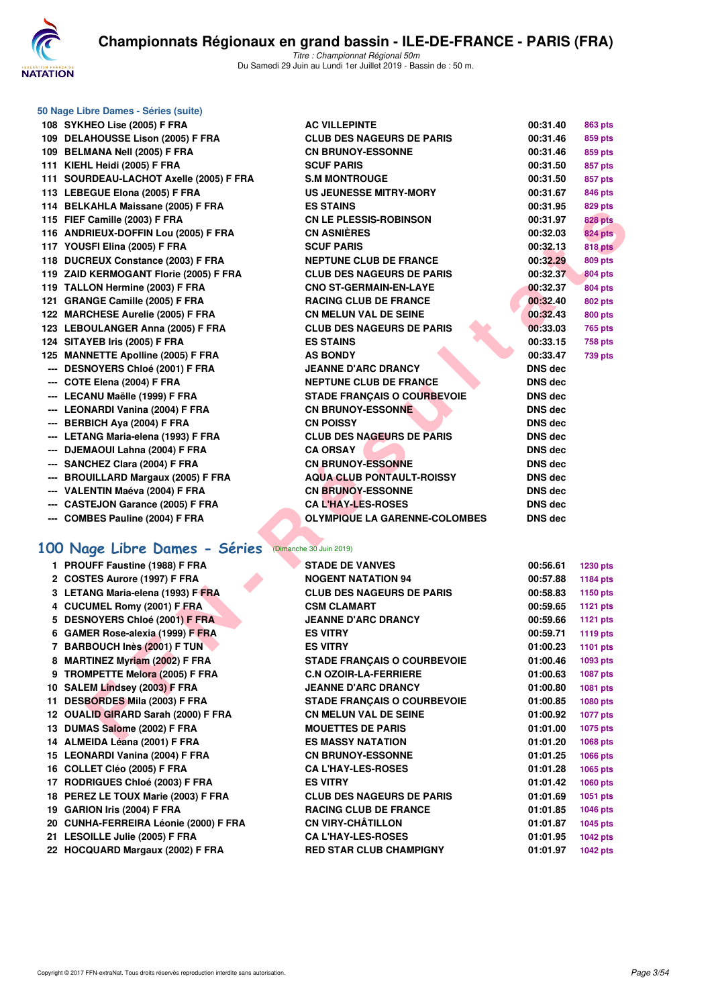

|                      | 50 Nage Libre Dames - Séries (suite)                          |                                      |                |                 |
|----------------------|---------------------------------------------------------------|--------------------------------------|----------------|-----------------|
|                      | 108 SYKHEO Lise (2005) F FRA                                  | <b>AC VILLEPINTE</b>                 | 00:31.40       | <b>863 pts</b>  |
|                      | 109 DELAHOUSSE Lison (2005) F FRA                             | <b>CLUB DES NAGEURS DE PARIS</b>     | 00:31.46       | 859 pts         |
|                      | 109 BELMANA Nell (2005) F FRA                                 | <b>CN BRUNOY-ESSONNE</b>             | 00:31.46       | 859 pts         |
|                      | 111 KIEHL Heidi (2005) F FRA                                  | <b>SCUF PARIS</b>                    | 00:31.50       | 857 pts         |
|                      | 111 SOURDEAU-LACHOT Axelle (2005) F FRA                       | <b>S.M MONTROUGE</b>                 | 00:31.50       | 857 pts         |
|                      | 113 LEBEGUE Elona (2005) F FRA                                | <b>US JEUNESSE MITRY-MORY</b>        | 00:31.67       | <b>846 pts</b>  |
|                      | 114 BELKAHLA Maissane (2005) F FRA                            | <b>ES STAINS</b>                     | 00:31.95       | <b>829 pts</b>  |
|                      | 115 FIEF Camille (2003) F FRA                                 | <b>CN LE PLESSIS-ROBINSON</b>        | 00:31.97       | 828 pts         |
|                      | 116 ANDRIEUX-DOFFIN Lou (2005) F FRA                          | <b>CN ASNIERES</b>                   | 00:32.03       | <b>824 pts</b>  |
|                      | 117 YOUSFI Elina (2005) F FRA                                 | <b>SCUF PARIS</b>                    | 00:32.13       | <b>818 pts</b>  |
|                      | 118 DUCREUX Constance (2003) F FRA                            | <b>NEPTUNE CLUB DE FRANCE</b>        | 00:32.29       | <b>809 pts</b>  |
|                      | 119 ZAID KERMOGANT Florie (2005) F FRA                        | <b>CLUB DES NAGEURS DE PARIS</b>     | 00:32.37       | 804 pts         |
|                      | 119 TALLON Hermine (2003) F FRA                               | <b>CNO ST-GERMAIN-EN-LAYE</b>        | 00:32.37       | <b>804 pts</b>  |
|                      | 121 GRANGE Camille (2005) F FRA                               | <b>RACING CLUB DE FRANCE</b>         | 00:32.40       | <b>802 pts</b>  |
|                      | 122 MARCHESE Aurelie (2005) F FRA                             | <b>CN MELUN VAL DE SEINE</b>         | 00:32.43       | <b>800 pts</b>  |
|                      | 123 LEBOULANGER Anna (2005) F FRA                             | <b>CLUB DES NAGEURS DE PARIS</b>     | 00:33.03       | <b>765 pts</b>  |
|                      | 124 SITAYEB Iris (2005) F FRA                                 | <b>ES STAINS</b>                     | 00:33.15       | <b>758 pts</b>  |
|                      | 125 MANNETTE Apolline (2005) F FRA                            | <b>AS BONDY</b>                      | 00:33.47       | <b>739 pts</b>  |
|                      | --- DESNOYERS Chloé (2001) F FRA                              | <b>JEANNE D'ARC DRANCY</b>           | <b>DNS dec</b> |                 |
|                      | --- COTE Elena (2004) F FRA                                   | <b>NEPTUNE CLUB DE FRANCE</b>        | <b>DNS dec</b> |                 |
|                      | --- LECANU Maëlle (1999) F FRA                                | <b>STADE FRANÇAIS O COURBEVOIE</b>   | <b>DNS dec</b> |                 |
|                      | --- LEONARDI Vanina (2004) F FRA                              | <b>CN BRUNOY-ESSONNE</b>             | <b>DNS dec</b> |                 |
|                      | --- BERBICH Aya (2004) F FRA                                  | <b>CN POISSY</b>                     | <b>DNS dec</b> |                 |
|                      | --- LETANG Maria-elena (1993) F FRA                           | <b>CLUB DES NAGEURS DE PARIS</b>     | <b>DNS dec</b> |                 |
|                      |                                                               | <b>CA ORSAY</b>                      | DNS dec        |                 |
|                      | --- DJEMAOUI Lahna (2004) F FRA<br>SANCHEZ Clara (2004) F FRA | <b>CN BRUNOY-ESSONNE</b>             |                |                 |
| $\scriptstyle\cdots$ |                                                               |                                      | <b>DNS dec</b> |                 |
| $\scriptstyle\cdots$ | <b>BROUILLARD Margaux (2005) F FRA</b>                        | <b>AQUA CLUB PONTAULT-ROISSY</b>     | <b>DNS dec</b> |                 |
|                      | --- VALENTIN Maéva (2004) F FRA                               | <b>CN BRUNOY-ESSONNE</b>             | <b>DNS dec</b> |                 |
|                      | <b>CASTEJON Garance (2005) F FRA</b>                          | <b>CA L'HAY-LES-ROSES</b>            | <b>DNS dec</b> |                 |
|                      | --- COMBES Pauline (2004) F FRA                               | <b>OLYMPIQUE LA GARENNE-COLOMBES</b> | <b>DNS dec</b> |                 |
|                      | 100 Nage Libre Dames - Séries                                 | (Dimanche 30 Juin 2019)              |                |                 |
|                      | 1 PROUFF Faustine (1988) F FRA                                | <b>STADE DE VANVES</b>               | 00:56.61       | <b>1230 pts</b> |
|                      | 2 COSTES Aurore (1997) F FRA                                  | <b>NOGENT NATATION 94</b>            | 00:57.88       | <b>1184 pts</b> |
|                      | 3 LETANG Maria-elena (1993) F FRA                             | <b>CLUB DES NAGEURS DE PARIS</b>     | 00:58.83       | 1150 pts        |
|                      | 4 CUCUMEL Romy (2001) F FRA                                   | <b>CSM CLAMART</b>                   | 00:59.65       | 1121 pts        |
|                      | 5 DESNOYERS Chloé (2001) F FRA                                | <b>JEANNE D'ARC DRANCY</b>           | 00:59.66       | <b>1121 pts</b> |
|                      | 6 GAMER Rose-alexia (1999) F FRA                              | <b>ES VITRY</b>                      | 00:59.71       | <b>1119 pts</b> |
|                      | 7 BARBOUCH Inès (2001) F TUN                                  | <b>ES VITRY</b>                      | 01:00.23       | 1101 pts        |
|                      | 8 MARTINEZ Myriam (2002) F FRA                                | <b>STADE FRANÇAIS O COURBEVOIE</b>   | 01:00.46       | 1093 pts        |
|                      | 9 TROMPETTE Melora (2005) F FRA                               | <b>C.N OZOIR-LA-FERRIERE</b>         | 01:00.63       | 1087 pts        |
|                      | 10 SALEM Lindsey (2003) F FRA                                 | <b>JEANNE D'ARC DRANCY</b>           | 01:00.80       | 1081 pts        |
|                      | 11 DESBORDES Mila (2003) F FRA                                | <b>STADE FRANCAIS O COURBEVOIE</b>   | 01:00.85       | 1080 pts        |
|                      | 12 OUALID GIRARD Sarah (2000) F FRA                           | <b>CN MELUN VAL DE SEINE</b>         | 01:00.92       | <b>1077 pts</b> |
|                      | 13 DUMAS Salome (2002) F FRA                                  | <b>MOUETTES DE PARIS</b>             | 01:01.00       | 1075 pts        |
|                      | 14 ALMEIDA Léana (2001) F FRA                                 | <b>ES MASSY NATATION</b>             | 01:01.20       | 1068 pts        |
|                      | 15 LEONARDI Vanina (2004) F FRA                               | <b>CN BRUNOY-ESSONNE</b>             | 01:01.25       | 1066 pts        |
|                      | 16 COLLET Cléo (2005) F FRA                                   | <b>CA L'HAY-LES-ROSES</b>            | 01:01.28       | 1065 pts        |
|                      | 17 RODRIGUES Chloé (2003) F FRA                               | <b>ES VITRY</b>                      | 01:01.42       | 1060 pts        |
|                      | 18 PEREZ LE TOUX Marie (2003) F FRA                           | <b>CLUB DES NAGEURS DE PARIS</b>     | 01:01.69       | 1051 pts        |
|                      |                                                               |                                      |                |                 |

| 108 SYKHEO Lise (2005) F FRA                 | <b>AC VILLEPINTE</b>                 | 00:31.40       | <b>863 pts</b>  |
|----------------------------------------------|--------------------------------------|----------------|-----------------|
| 109 DELAHOUSSE Lison (2005) F FRA            | <b>CLUB DES NAGEURS DE PARIS</b>     | 00:31.46       | 859 pts         |
| 109 BELMANA Nell (2005) F FRA                | <b>CN BRUNOY-ESSONNE</b>             | 00:31.46       | 859 pts         |
| 111 KIEHL Heidi (2005) F FRA                 | <b>SCUF PARIS</b>                    | 00:31.50       | 857 pts         |
| 111 SOURDEAU-LACHOT Axelle (2005) F FRA      | <b>S.M MONTROUGE</b>                 | 00:31.50       | 857 pts         |
| 113 LEBEGUE Elona (2005) F FRA               | <b>US JEUNESSE MITRY-MORY</b>        | 00:31.67       | <b>846 pts</b>  |
| 114 BELKAHLA Maissane (2005) F FRA           | <b>ES STAINS</b>                     | 00:31.95       | 829 pts         |
| 115 FIEF Camille (2003) F FRA                | <b>CN LE PLESSIS-ROBINSON</b>        | 00:31.97       | <b>828 pts</b>  |
| 116 ANDRIEUX-DOFFIN Lou (2005) F FRA         | <b>CN ASNIÈRES</b>                   | 00:32.03       | <b>824 pts</b>  |
| 117 YOUSFI Elina (2005) F FRA                | <b>SCUF PARIS</b>                    | 00:32.13       | 818 pts         |
| 118 DUCREUX Constance (2003) F FRA           | <b>NEPTUNE CLUB DE FRANCE</b>        | 00:32.29       | 809 pts         |
| 119 ZAID KERMOGANT Florie (2005) F FRA       | <b>CLUB DES NAGEURS DE PARIS</b>     | 00:32.37       | <b>804 pts</b>  |
| 119 TALLON Hermine (2003) F FRA              | <b>CNO ST-GERMAIN-EN-LAYE</b>        | 00:32.37       | 804 pts         |
| 121 GRANGE Camille (2005) F FRA              | <b>RACING CLUB DE FRANCE</b>         | 00:32.40       | <b>802 pts</b>  |
| 122 MARCHESE Aurelie (2005) F FRA            | <b>CN MELUN VAL DE SEINE</b>         | 00:32.43       | 800 pts         |
| 123 LEBOULANGER Anna (2005) F FRA            | <b>CLUB DES NAGEURS DE PARIS</b>     | 00:33.03       | <b>765 pts</b>  |
| 124 SITAYEB Iris (2005) F FRA                | <b>ES STAINS</b>                     | 00:33.15       | <b>758 pts</b>  |
| 125 MANNETTE Apolline (2005) F FRA           | <b>AS BONDY</b>                      | 00:33.47       | <b>739 pts</b>  |
| --- DESNOYERS Chloé (2001) F FRA             | <b>JEANNE D'ARC DRANCY</b>           | DNS dec        |                 |
| --- COTE Elena (2004) F FRA                  | <b>NEPTUNE CLUB DE FRANCE</b>        | <b>DNS dec</b> |                 |
| --- LECANU Maëlle (1999) F FRA               | <b>STADE FRANÇAIS O COURBEVOIE</b>   | <b>DNS dec</b> |                 |
| --- LEONARDI Vanina (2004) F FRA             | <b>CN BRUNOY-ESSONNE</b>             | <b>DNS dec</b> |                 |
| --- BERBICH Aya (2004) F FRA                 | <b>CN POISSY</b>                     | <b>DNS dec</b> |                 |
| --- LETANG Maria-elena (1993) F FRA          | <b>CLUB DES NAGEURS DE PARIS</b>     | <b>DNS dec</b> |                 |
| --- DJEMAOUI Lahna (2004) F FRA              | <b>CA ORSAY</b>                      | <b>DNS dec</b> |                 |
| --- SANCHEZ Clara (2004) F FRA               | <b>CN BRUNOY-ESSONNE</b>             | <b>DNS dec</b> |                 |
| --- BROUILLARD Margaux (2005) F FRA          | <b>AQUA CLUB PONTAULT-ROISSY</b>     | <b>DNS dec</b> |                 |
| --- VALENTIN Maéva (2004) F FRA              | <b>CN BRUNOY-ESSONNE</b>             | <b>DNS dec</b> |                 |
| --- CASTEJON Garance (2005) F FRA            | <b>CA L'HAY-LES-ROSES</b>            | <b>DNS dec</b> |                 |
| --- COMBES Pauline (2004) F FRA              | <b>OLYMPIQUE LA GARENNE-COLOMBES</b> | <b>DNS dec</b> |                 |
|                                              |                                      |                |                 |
| 00 Nage Libre Dames - Séries                 | (Dimanche 30 Juin 2019)              |                |                 |
| 1 PROUFF Faustine (1988) F FRA               | <b>STADE DE VANVES</b>               | 00:56.61       | <b>1230 pts</b> |
| 2 COSTES Aurore (1997) F FRA                 | <b>NOGENT NATATION 94</b>            | 00:57.88       | 1184 pts        |
| 3 LETANG Maria-elena (1993) F FRA            | <b>CLUB DES NAGEURS DE PARIS</b>     | 00:58.83       | 1150 pts        |
| 4 CUCUMEL Romy (2001) F FRA                  | <b>CSM CLAMART</b>                   | 00:59.65       | 1121 pts        |
| 5 DESNOYERS Chloé (2001) F FRA               | <b>JEANNE D'ARC DRANCY</b>           | 00:59.66       | 1121 pts        |
| 6 GAMER Rose-alexia (1999) F FRA             | <b>ES VITRY</b>                      | 00:59.71       | 1119 pts        |
| 7 BARBOUCH Inès (2001) F TUN                 | <b>ES VITRY</b>                      | 01:00.23       | <b>1101 pts</b> |
| 8 MARTINEZ Myriam (2002) F FRA               | <b>STADE FRANÇAIS O COURBEVOIE</b>   | 01:00.46       | 1093 pts        |
| 9 TROMPETTE Melora (2005) F FRA              | <b>C.N OZOIR-LA-FERRIERE</b>         | 01:00.63       | 1087 pts        |
| 10 SALEM Lindsey (2003) F FRA                | <b>JEANNE D'ARC DRANCY</b>           | 01:00.80       | 1081 pts        |
| 11 DESBORDES Mila (2003) F FRA               | <b>STADE FRANÇAIS O COURBEVOIE</b>   | 01:00.85       | 1080 pts        |
| 12 OUALID GIRARD Sarah (2000) F FRA          | <b>CN MELUN VAL DE SEINE</b>         | 01:00.92       | 1077 pts        |
| 13 DUMAS Salome (2002) F FRA                 | <b>MOUETTES DE PARIS</b>             | 01:01.00       | 1075 pts        |
| AL MEIRA L $\frac{1}{2}$ and $(0.004)$ F ERA | <b>FO MACOV MATATION</b>             | 04.04.00       | $3000 - 1$      |

- 
- **19 GARION Iris (2004) F FRA RACING CLUB DE FRANCE 01:01.85 1046 pts**
- **20 CUNHA-FERREIRA Léonie (2000) F FRA CN VIRY-CHÂTILLON 01:01.87 1045 pts**
- **21 LESOILLE Julie (2005) F FRA CA L'HAY-LES-ROSES 01:01.95 1042 pts**
- **22 HOCQUARD Margaux (2002) F FRA RED STAR CLUB CHAMPIGNY 01:01.97 1042 pts**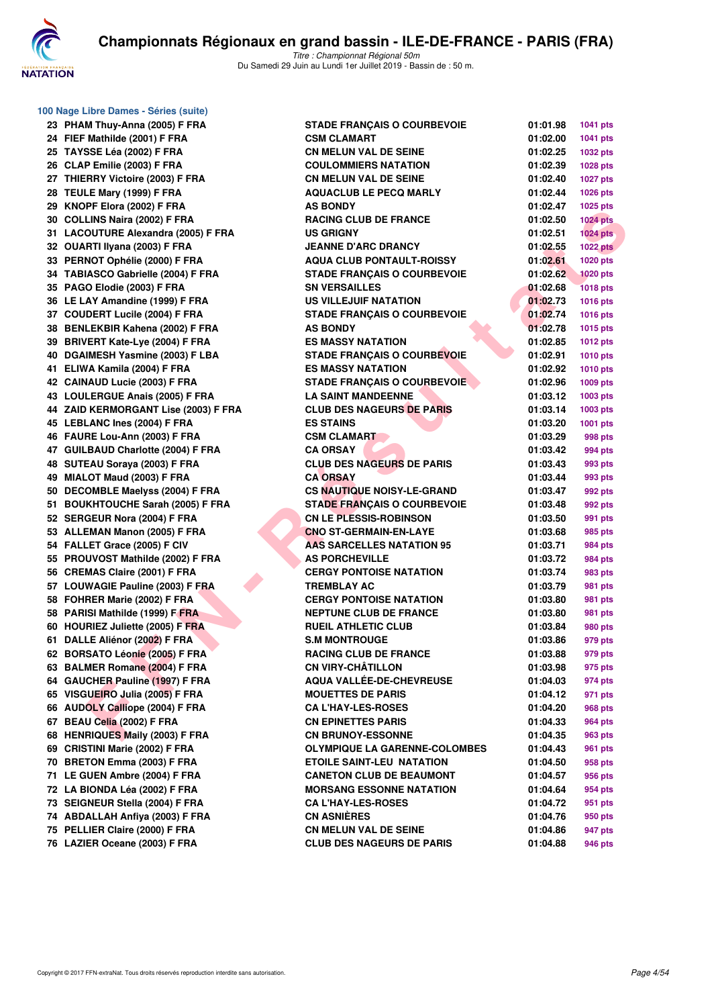

**100 Nage Libre Dames - Séries (suite)**

| 23       | PHAM Thuy-Anna (2005) F FRA                                          |
|----------|----------------------------------------------------------------------|
| 24       | FIEF Mathilde (2001) F FRA                                           |
| 25       | TAYSSE Léa (2002) F FRA                                              |
| 26       | CLAP Emilie (2003) F FRA                                             |
| 27       | THIERRY Victoire (2003) F FRA                                        |
| 28       | TEULE Mary (1999) F FRA                                              |
| 29       | KNOPF Elora (2002) F FRA                                             |
| 30       | COLLINS Naira (2002) F FRA                                           |
| 31       | LACOUTURE Alexandra (2005) F FRA                                     |
| 32       | OUARTI Ilyana (2003) F FRA                                           |
| 33       | PERNOT Ophélie (2000) F FRA                                          |
| 34       | TABIASCO Gabrielle (2004) F FRA                                      |
| 35       | PAGO Elodie (2003) F FRA                                             |
| 36       | LE LAY Amandine (1999) F FRA                                         |
| 37       | <b>COUDERT Lucile (2004) F FRA</b>                                   |
| 38       | BENLEKBIR Kahena (2002) F FRA                                        |
| 39       | <b>BRIVERT Kate-Lye (2004) F FRA</b>                                 |
| 40       | DGAIMESH Yasmine (2003) F LBA                                        |
| 41       | ELIWA Kamila (2004) F FRA                                            |
| 42       | CAINAUD Lucie (2003) F FRA                                           |
| 43       | LOULERGUE Anais (2005) F FRA                                         |
| 44       | ZAID KERMORGANT Lise (2003) F FR                                     |
| 45       |                                                                      |
|          | LEBLANC Ines (2004) F FRA                                            |
| 46<br>47 | FAURE Lou-Ann (2003) F FRA<br><b>GUILBAUD Charlotte (2004) F FRA</b> |
|          |                                                                      |
| 48       | SUTEAU Soraya (2003) F FRA                                           |
| 49       | MIALOT Maud (2003) F FRA                                             |
| 50       | <b>DECOMBLE Maelyss (2004) F FRA</b>                                 |
| 51       | <b>BOUKHTOUCHE Sarah (2005) F FRA</b>                                |
| 52       | SERGEUR Nora (2004) F FRA                                            |
| 53       | <b>ALLEMAN Manon (2005) F FRA</b>                                    |
| 54       | FALLET Grace (2005) F CIV                                            |
| 55       | PROUVOST Mathilde (2002) F FRA                                       |
| 56       | <b>CREMAS Claire (2001) F FRA</b>                                    |
| 57       | LOUWAGIE Pauline (2003) F FRA                                        |
| 58       | FOHRER Marie (2002) F FRA                                            |
| 58       | PARISI Mathilde (1999) F FRA                                         |
| 60       | HOURIEZ Juliette (2005) F FRA                                        |
| 61       | DALLE Aliénor (2002) F FRA                                           |
| 62       | <b>BORSATO Léonie (2005) F FRA</b>                                   |
| 63       | <b>BALMER Romane (2004) F FRA</b>                                    |
|          | 64 GAUCHER Pauline (1997) F FRA                                      |
| 65       | VISGUEIRO Julia (2005) F FRA                                         |
| 66       | <b>AUDOLY Calliope (2004) F FRA</b>                                  |
| 67       | BEAU Celia (2002) F FRA                                              |
| 68       | HENRIQUES Maily (2003) F FRA                                         |
| 69       | <b>CRISTINI Marie (2002) F FRA</b>                                   |
| 70       | <b>BRETON Emma (2003) F FRA</b>                                      |
| 71       | LE GUEN Ambre (2004) F FRA                                           |
| 72       | LA BIONDA Léa (2002) F FRA                                           |
| 73       | SEIGNEUR Stella (2004) F FRA                                         |
| 74       | <b>ABDALLAH Anfiya (2003) F FRA</b>                                  |
| 75       | PELLIER Claire (2000) F FRA                                          |
| 76       | LAZIER Oceane (2003) F FRA                                           |

| 23 PHAM Thuy-Anna (2005) F FRA       | <b>STADE FRANCAIS O COURBEVOIE</b>   | 01:01.98 | <b>1041 pts</b> |
|--------------------------------------|--------------------------------------|----------|-----------------|
| 24 FIEF Mathilde (2001) F FRA        | <b>CSM CLAMART</b>                   | 01:02.00 | <b>1041 pts</b> |
| 25 TAYSSE Léa (2002) F FRA           | <b>CN MELUN VAL DE SEINE</b>         | 01:02.25 | 1032 pts        |
| 26 CLAP Emilie (2003) F FRA          | <b>COULOMMIERS NATATION</b>          | 01:02.39 | 1028 pts        |
| 27 THIERRY Victoire (2003) F FRA     | <b>CN MELUN VAL DE SEINE</b>         | 01:02.40 | <b>1027 pts</b> |
| 28 TEULE Mary (1999) F FRA           | <b>AQUACLUB LE PECQ MARLY</b>        | 01:02.44 | 1026 pts        |
| 29 KNOPF Elora (2002) F FRA          | <b>AS BONDY</b>                      | 01:02.47 | 1025 pts        |
| 30 COLLINS Naira (2002) F FRA        | <b>RACING CLUB DE FRANCE</b>         | 01:02.50 | <b>1024 pts</b> |
| 31 LACOUTURE Alexandra (2005) F FRA  | <b>US GRIGNY</b>                     | 01:02.51 | $1024$ pts      |
| 32 OUARTI Ilyana (2003) F FRA        | <b>JEANNE D'ARC DRANCY</b>           | 01:02.55 | <b>1022 pts</b> |
| 33 PERNOT Ophélie (2000) F FRA       | <b>AQUA CLUB PONTAULT-ROISSY</b>     | 01:02.61 | <b>1020 pts</b> |
| 34 TABIASCO Gabrielle (2004) F FRA   | <b>STADE FRANCAIS O COURBEVOIE</b>   | 01:02.62 | <b>1020 pts</b> |
| 35 PAGO Elodie (2003) F FRA          | <b>SN VERSAILLES</b>                 | 01:02.68 | <b>1018 pts</b> |
| 36 LE LAY Amandine (1999) F FRA      | US VILLEJUIF NATATION                | 01:02.73 | <b>1016 pts</b> |
| 37 COUDERT Lucile (2004) F FRA       | <b>STADE FRANÇAIS O COURBEVOIE</b>   | 01:02.74 | <b>1016 pts</b> |
| 38 BENLEKBIR Kahena (2002) F FRA     | <b>AS BONDY</b>                      | 01:02.78 | <b>1015 pts</b> |
| 39 BRIVERT Kate-Lye (2004) F FRA     | <b>ES MASSY NATATION</b>             | 01:02.85 | <b>1012 pts</b> |
| 40 DGAIMESH Yasmine (2003) F LBA     | <b>STADE FRANÇAIS O COURBEVOIE</b>   | 01:02.91 | <b>1010 pts</b> |
| 41 ELIWA Kamila (2004) F FRA         | <b>ES MASSY NATATION</b>             | 01:02.92 | 1010 pts        |
| 42 CAINAUD Lucie (2003) F FRA        | <b>STADE FRANÇAIS O COURBEVOIE</b>   | 01:02.96 | 1009 pts        |
| 43 LOULERGUE Anais (2005) F FRA      | <b>LA SAINT MANDEENNE</b>            | 01:03.12 | 1003 pts        |
| 44 ZAID KERMORGANT Lise (2003) F FRA | <b>CLUB DES NAGEURS DE PARIS</b>     | 01:03.14 | 1003 pts        |
| 45 LEBLANC Ines (2004) F FRA         | <b>ES STAINS</b>                     | 01:03.20 | 1001 pts        |
| 46 FAURE Lou-Ann (2003) F FRA        | <b>CSM CLAMART</b>                   | 01:03.29 | 998 pts         |
| 47 GUILBAUD Charlotte (2004) F FRA   | <b>CA ORSAY</b>                      | 01:03.42 | 994 pts         |
| 48 SUTEAU Soraya (2003) F FRA        | <b>CLUB DES NAGEURS DE PARIS</b>     | 01:03.43 | 993 pts         |
| 49 MIALOT Maud (2003) F FRA          | <b>CA ORSAY</b>                      | 01:03.44 | 993 pts         |
| 50 DECOMBLE Maelyss (2004) F FRA     | <b>CS NAUTIQUE NOISY-LE-GRAND</b>    | 01:03.47 | 992 pts         |
| 51 BOUKHTOUCHE Sarah (2005) F FRA    | <b>STADE FRANÇAIS O COURBEVOIE</b>   | 01:03.48 | 992 pts         |
| 52 SERGEUR Nora (2004) F FRA         | <b>CN LE PLESSIS-ROBINSON</b>        | 01:03.50 | 991 pts         |
| 53 ALLEMAN Manon (2005) F FRA        | <b>CNO ST-GERMAIN-EN-LAYE</b>        | 01:03.68 | 985 pts         |
| 54 FALLET Grace (2005) F CIV         | AAS SARCELLES NATATION 95            | 01:03.71 | 984 pts         |
| 55 PROUVOST Mathilde (2002) F FRA    | <b>AS PORCHEVILLE</b>                | 01:03.72 | 984 pts         |
| 56 CREMAS Claire (2001) F FRA        | <b>CERGY PONTOISE NATATION</b>       | 01:03.74 | 983 pts         |
| 57 LOUWAGIE Pauline (2003) F FRA     | <b>TREMBLAY AC</b>                   | 01:03.79 | 981 pts         |
| 58 FOHRER Marie (2002) F FRA         | <b>CERGY PONTOISE NATATION</b>       | 01:03.80 | 981 pts         |
| 58 PARISI Mathilde (1999) F FRA      | <b>NEPTUNE CLUB DE FRANCE</b>        | 01:03.80 | 981 pts         |
| 60 HOURIEZ Juliette (2005) F FRA     | <b>RUEIL ATHLETIC CLUB</b>           | 01:03.84 | 980 pts         |
| 61 DALLE Aliénor (2002) F FRA        | <b>S.M MONTROUGE</b>                 | 01:03.86 | 979 pts         |
| 62 BORSATO Léonie (2005) F FRA       | <b>RACING CLUB DE FRANCE</b>         | 01:03.88 | 979 pts         |
| 63 BALMER Romane (2004) F FRA        | <b>CN VIRY-CHÂTILLON</b>             | 01:03.98 | 975 pts         |
| 64 GAUCHER Pauline (1997) F FRA      | AQUA VALLÉE-DE-CHEVREUSE             | 01:04.03 | 974 pts         |
| 65 VISGUEIRO Julia (2005) F FRA      | <b>MOUETTES DE PARIS</b>             | 01:04.12 | 971 pts         |
| 66 AUDOLY Calliope (2004) F FRA      | <b>CA L'HAY-LES-ROSES</b>            | 01:04.20 | 968 pts         |
| 67 BEAU Celia (2002) F FRA           | <b>CN EPINETTES PARIS</b>            | 01:04.33 | 964 pts         |
| 68 HENRIQUES Maily (2003) F FRA      | <b>CN BRUNOY-ESSONNE</b>             | 01:04.35 | 963 pts         |
| 69 CRISTINI Marie (2002) F FRA       | <b>OLYMPIQUE LA GARENNE-COLOMBES</b> | 01:04.43 | 961 pts         |
| 70 BRETON Emma (2003) F FRA          | <b>ETOILE SAINT-LEU NATATION</b>     | 01:04.50 | 958 pts         |
| 71 LE GUEN Ambre (2004) F FRA        | <b>CANETON CLUB DE BEAUMONT</b>      | 01:04.57 | 956 pts         |
| 72 LA BIONDA Léa (2002) F FRA        | <b>MORSANG ESSONNE NATATION</b>      | 01:04.64 | 954 pts         |
| 73 SEIGNEUR Stella (2004) F FRA      | <b>CA L'HAY-LES-ROSES</b>            | 01:04.72 | 951 pts         |
| 74 ABDALLAH Anfiya (2003) F FRA      | <b>CN ASNIERES</b>                   | 01:04.76 | 950 pts         |
| 75 PELLIER Claire (2000) F FRA       | <b>CN MELUN VAL DE SEINE</b>         | 01:04.86 | 947 pts         |
| 76 LAZIER Oceane (2003) F FRA        | <b>CLUB DES NAGEURS DE PARIS</b>     | 01:04.88 | 946 pts         |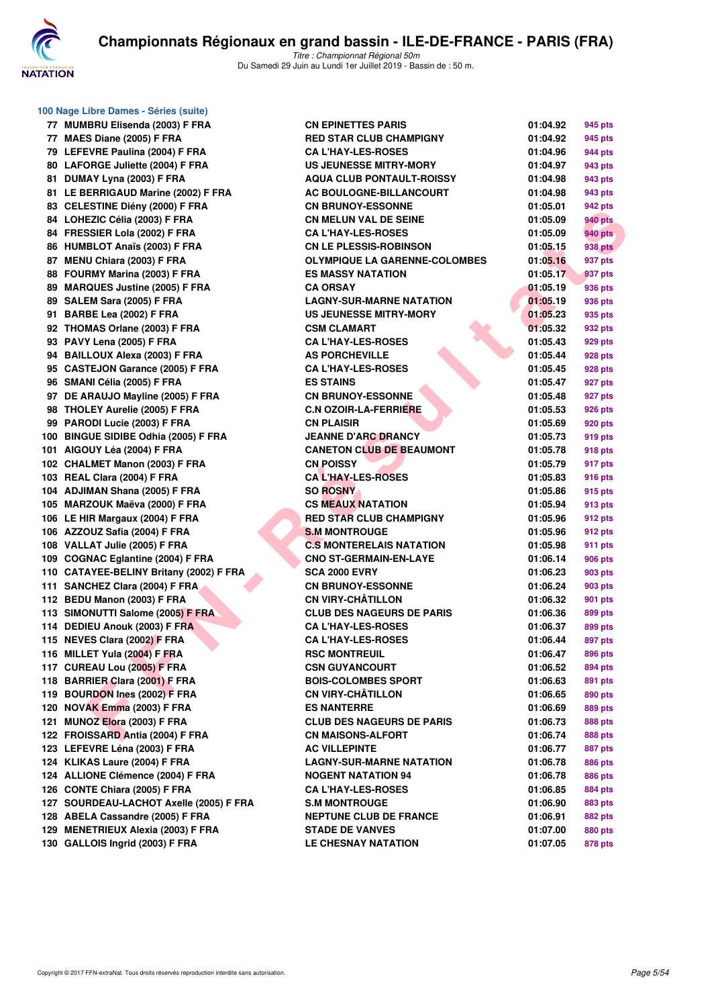

|     | 100 Nage Libre Dames - Séries (suite)                     |
|-----|-----------------------------------------------------------|
|     | 77 MUMBRU Elisenda (2003) F FRA                           |
|     | 77 MAES Diane (2005) F FRA                                |
|     | 79 LEFEVRE Paulina (2004) F FRA                           |
|     | 80 LAFORGE Juliette (2004) F FRA                          |
|     | 81 DUMAY Lyna (2003) F FRA                                |
|     | 81 LE BERRIGAUD Marine (2002) F FRA                       |
|     | 83 CELESTINE Diény (2000) F FRA                           |
|     | 84 LOHEZIC Célia (2003) F FRA                             |
|     | 84 FRESSIER Lola (2002) F FRA                             |
| 86  | HUMBLOT Anaïs (2003) F FRA                                |
|     | 87 MENU Chiara (2003) F FRA                               |
| 88  | FOURMY Marina (2003) F FRA                                |
|     | 89 MARQUES Justine (2005) F FRA                           |
| 89  | SALEM Sara (2005) F FRA                                   |
|     | 91 BARBE Lea (2002) F FRA                                 |
| 92  | THOMAS Orlane (2003) F FRA                                |
| 93  | PAVY Lena (2005) F FRA                                    |
|     | 94 BAILLOUX Alexa (2003) F FRA                            |
| 95  | <b>CASTEJON Garance (2005) F FRA</b>                      |
|     | 96 SMANI Célia (2005) F FRA                               |
| 97  | DE ARAUJO Mayline (2005) F FRA                            |
| 98  | THOLEY Aurelie (2005) F FRA                               |
|     | 99 PARODI Lucie (2003) F FRA                              |
|     | 100 BINGUE SIDIBE Odhia (2005) F FRA                      |
|     | 101 AIGOUY Léa (2004) F FRA                               |
|     | 102 CHALMET Manon (2003) F FRA                            |
|     | 103 REAL Clara (2004) F FRA                               |
|     | 104 ADJIMAN Shana (2005) F FRA                            |
|     | 105 MARZOUK Maëva (2000) F FRA                            |
| 106 | LE HIR Margaux (2004) F FRA                               |
|     | 106 AZZOUZ Safia (2004) F FRA                             |
|     | 108 VALLAT Julie (2005) F FRA                             |
|     | 109 COGNAC Eglantine (2004) F FRA                         |
|     | 110 CATAYEE-BELINY Britany (2002) F FRA                   |
|     | 111 SANCHEZ Clara (2004) F FRA                            |
|     | 112 BEDU Manon (2003) F FRA                               |
|     | 113 SIMONUTTI Salome (2005) F FRA                         |
|     | 114 DEDIEU Anouk (2003) F FRA                             |
|     | 115 NEVES Clara (2002) F FRA                              |
|     | 116 MILLET Yula (2004) F FRA                              |
|     | 117 CUREAU Lou (2005) F FRA                               |
|     | 118 BARRIER Clara (2001) F FRA                            |
|     | 119 BOURDON Ines (2002) F FRA                             |
|     | 120 NOVAK Emma (2003) F FRA                               |
| 121 | MUNOZ Elora (2003) F FRA                                  |
|     |                                                           |
| 122 | FROISSARD Antia (2004) F FRA<br>LEFEVRE Léna (2003) F FRA |
| 123 |                                                           |
| 124 | KLIKAS Laure (2004) F FRA                                 |
| 124 | <b>ALLIONE Clémence (2004) F FRA</b>                      |
|     | 126 CONTE Chiara (2005) F FRA                             |
|     | 127 SOURDEAU-LACHOT Axelle (2005) F FR                    |
|     | 128 ABELA Cassandre (2005) F FRA                          |
|     | 129 MENETRIEUX Alexia (2003) F FRA                        |
| 130 | GALLOIS Ingrid (2003) F FRA                               |

| 77 MUMBRU Elisenda (2003) F FRA         | <b>CN EPINETTES PARIS</b>            | 01:04.92 | 945 pts        |
|-----------------------------------------|--------------------------------------|----------|----------------|
| 77 MAES Diane (2005) F FRA              | <b>RED STAR CLUB CHAMPIGNY</b>       | 01:04.92 | 945 pts        |
| 79 LEFEVRE Paulina (2004) F FRA         | <b>CA L'HAY-LES-ROSES</b>            | 01:04.96 | 944 pts        |
| 80 LAFORGE Juliette (2004) F FRA        | US JEUNESSE MITRY-MORY               | 01:04.97 | 943 pts        |
| 81 DUMAY Lyna (2003) F FRA              | <b>AQUA CLUB PONTAULT-ROISSY</b>     | 01:04.98 | 943 pts        |
| 81 LE BERRIGAUD Marine (2002) F FRA     | AC BOULOGNE-BILLANCOURT              | 01:04.98 | 943 pts        |
| 83 CELESTINE Diény (2000) F FRA         | <b>CN BRUNOY-ESSONNE</b>             | 01:05.01 | 942 pts        |
| 84 LOHEZIC Célia (2003) F FRA           | <b>CN MELUN VAL DE SEINE</b>         | 01:05.09 | <b>940 pts</b> |
| 84 FRESSIER Lola (2002) F FRA           | <b>CA L'HAY-LES-ROSES</b>            | 01:05.09 | <b>940 pts</b> |
| 86 HUMBLOT Anaïs (2003) F FRA           | <b>CN LE PLESSIS-ROBINSON</b>        | 01:05.15 | <b>938 pts</b> |
| 87 MENU Chiara (2003) F FRA             | <b>OLYMPIQUE LA GARENNE-COLOMBES</b> | 01:05.16 | 937 pts        |
| 88 FOURMY Marina (2003) F FRA           | <b>ES MASSY NATATION</b>             | 01:05.17 | 937 pts        |
| 89 MARQUES Justine (2005) F FRA         | <b>CA ORSAY</b>                      | 01:05.19 | 936 pts        |
| 89 SALEM Sara (2005) F FRA              | <b>LAGNY-SUR-MARNE NATATION</b>      | 01:05.19 | 936 pts        |
| 91 BARBE Lea (2002) F FRA               | US JEUNESSE MITRY-MORY               | 01:05.23 | 935 pts        |
| 92 THOMAS Orlane (2003) F FRA           | <b>CSM CLAMART</b>                   | 01:05.32 | 932 pts        |
| 93 PAVY Lena (2005) F FRA               | <b>CA L'HAY-LES-ROSES</b>            | 01:05.43 | 929 pts        |
| 94 BAILLOUX Alexa (2003) F FRA          | <b>AS PORCHEVILLE</b>                | 01:05.44 | <b>928 pts</b> |
| 95 CASTEJON Garance (2005) F FRA        | <b>CA L'HAY-LES-ROSES</b>            | 01:05.45 | 928 pts        |
| 96 SMANI Célia (2005) F FRA             | <b>ES STAINS</b>                     | 01:05.47 | 927 pts        |
| 97 DE ARAUJO Mayline (2005) F FRA       | <b>CN BRUNOY-ESSONNE</b>             | 01:05.48 | 927 pts        |
| 98 THOLEY Aurelie (2005) F FRA          | <b>C.N OZOIR-LA-FERRIERE</b>         | 01:05.53 | 926 pts        |
| 99 PARODI Lucie (2003) F FRA            | <b>CN PLAISIR</b>                    | 01:05.69 | 920 pts        |
| 100 BINGUE SIDIBE Odhia (2005) F FRA    | <b>JEANNE D'ARC DRANCY</b>           | 01:05.73 | 919 pts        |
| 101 AIGOUY Léa (2004) F FRA             | <b>CANETON CLUB DE BEAUMONT</b>      | 01:05.78 | 918 pts        |
| 102 CHALMET Manon (2003) F FRA          | <b>CN POISSY</b>                     | 01:05.79 | 917 pts        |
| 103 REAL Clara (2004) F FRA             | <b>CAL'HAY-LES-ROSES</b>             | 01:05.83 | 916 pts        |
| 104 ADJIMAN Shana (2005) F FRA          | <b>SO ROSNY</b>                      | 01:05.86 | 915 pts        |
| 105 MARZOUK Maëva (2000) F FRA          | <b>CS MEAUX NATATION</b>             | 01:05.94 | 913 pts        |
| 106 LE HIR Margaux (2004) F FRA         | <b>RED STAR CLUB CHAMPIGNY</b>       | 01:05.96 | 912 pts        |
| 106 AZZOUZ Safia (2004) F FRA           | <b>S.M MONTROUGE</b>                 | 01:05.96 | 912 pts        |
| 108 VALLAT Julie (2005) F FRA           | <b>C.S MONTERELAIS NATATION</b>      | 01:05.98 | 911 pts        |
| 109 COGNAC Eglantine (2004) F FRA       | <b>CNO ST-GERMAIN-EN-LAYE</b>        | 01:06.14 | 906 pts        |
| 110 CATAYEE-BELINY Britany (2002) F FRA | <b>SCA 2000 EVRY</b>                 | 01:06.23 | <b>903 pts</b> |
| 111 SANCHEZ Clara (2004) F FRA          | <b>CN BRUNOY-ESSONNE</b>             | 01:06.24 | <b>903 pts</b> |
| 112 BEDU Manon (2003) F FRA             | <b>CN VIRY-CHÂTILLON</b>             | 01:06.32 | 901 pts        |
| 113 SIMONUTTI Salome (2005) F FRA       | <b>CLUB DES NAGEURS DE PARIS</b>     | 01:06.36 | 899 pts        |
| 114 DEDIEU Anouk (2003) F FRA           | <b>CA L'HAY-LES-ROSES</b>            | 01:06.37 | 899 pts        |
| 115 NEVES Clara (2002) F FRA            | <b>CA L'HAY-LES-ROSES</b>            | 01:06.44 | 897 pts        |
| 116 MILLET Yula (2004) F FRA            | <b>RSC MONTREUIL</b>                 | 01:06.47 | <b>896 pts</b> |
| 117 CUREAU Lou (2005) F FRA             | <b>CSN GUYANCOURT</b>                | 01:06.52 | 894 pts        |
| 118 BARRIER Clara (2001) F FRA          | <b>BOIS-COLOMBES SPORT</b>           | 01:06.63 | 891 pts        |
| 119 BOURDON Ines (2002) F FRA           | <b>CN VIRY-CHÂTILLON</b>             | 01:06.65 | 890 pts        |
| 120 NOVAK Emma (2003) F FRA             | <b>ES NANTERRE</b>                   | 01:06.69 | 889 pts        |
| 121 MUNOZ Elora (2003) F FRA            | <b>CLUB DES NAGEURS DE PARIS</b>     | 01:06.73 | 888 pts        |
| 122 FROISSARD Antia (2004) F FRA        | <b>CN MAISONS-ALFORT</b>             | 01:06.74 | 888 pts        |
| 123 LEFEVRE Léna (2003) F FRA           | <b>AC VILLEPINTE</b>                 | 01:06.77 | 887 pts        |
| 124 KLIKAS Laure (2004) F FRA           | <b>LAGNY-SUR-MARNE NATATION</b>      | 01:06.78 | 886 pts        |
| 124 ALLIONE Clémence (2004) F FRA       | <b>NOGENT NATATION 94</b>            | 01:06.78 | 886 pts        |
| 126 CONTE Chiara (2005) F FRA           | <b>CA L'HAY-LES-ROSES</b>            | 01:06.85 | 884 pts        |
| 127 SOURDEAU-LACHOT Axelle (2005) F FRA | <b>S.M MONTROUGE</b>                 | 01:06.90 | 883 pts        |
| 128 ABELA Cassandre (2005) F FRA        | <b>NEPTUNE CLUB DE FRANCE</b>        | 01:06.91 | 882 pts        |
| 129 MENETRIEUX Alexia (2003) F FRA      | <b>STADE DE VANVES</b>               | 01:07.00 | 880 pts        |
| 130 GALLOIS Ingrid (2003) F FRA         | <b>LE CHESNAY NATATION</b>           | 01:07.05 | 878 pts        |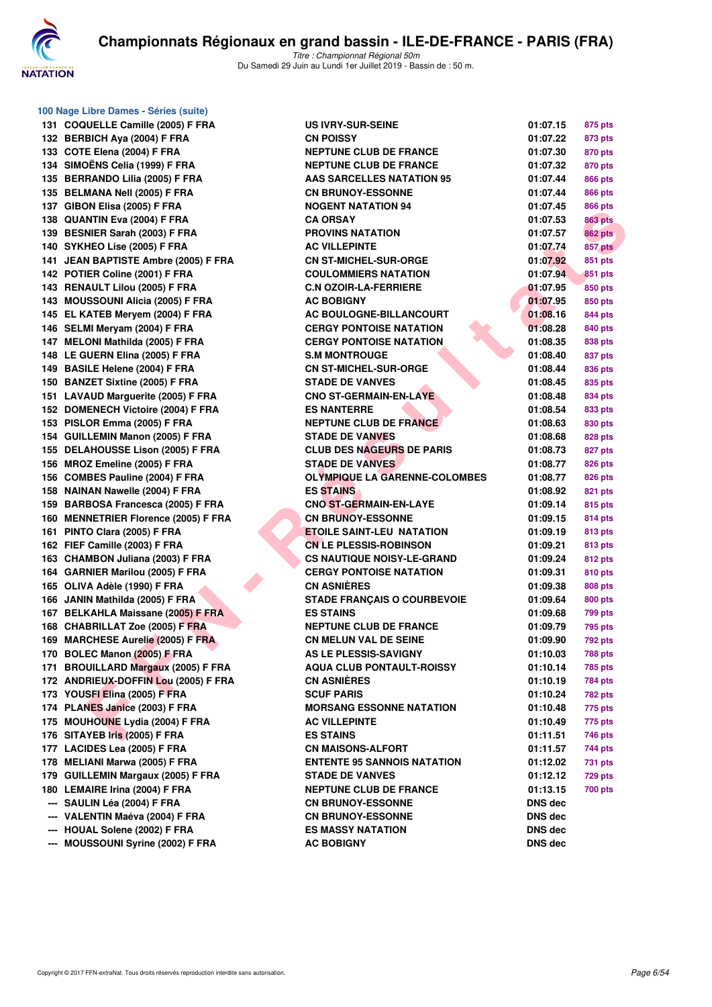

**100 Nage Libre Dames - Séries (suite)**

| 131 | <b>COQUELLE Camille (2005) F FRA</b>                           |
|-----|----------------------------------------------------------------|
| 132 | <b>BERBICH Aya (2004) F FRA</b>                                |
| 133 | COTE Elena (2004) F FRA                                        |
| 134 | SIMOËNS Celia (1999) F FRA                                     |
| 135 | <b>BERRANDO Lilia (2005) F FRA</b>                             |
| 135 | <b>BELMANA Nell (2005) F FRA</b>                               |
| 137 | GIBON Elisa (2005) F FRA                                       |
| 138 | QUANTIN Eva (2004) F FRA                                       |
| 139 | BESNIER Sarah (2003) F FRA                                     |
| 140 | SYKHEO Lise (2005) F FRA                                       |
| 141 | <b>JEAN BAPTISTE Ambre (2005) F FRA</b>                        |
| 142 | POTIER Coline (2001) F FRA                                     |
| 143 | <b>RENAULT Lilou (2005) F FRA</b>                              |
| 143 | <b>MOUSSOUNI Alicia (2005) F FRA</b>                           |
| 145 | EL KATEB Meryem (2004) F FRA                                   |
| 146 | SELMI Meryam (2004) F FRA                                      |
| 147 | MELONI Mathilda (2005) F FRA                                   |
| 148 | LE GUERN Elina (2005) F FRA                                    |
| 149 | <b>BASILE Helene (2004) F FRA</b>                              |
| 150 | <b>BANZET Sixtine (2005) F FRA</b>                             |
| 151 | LAVAUD Marguerite (2005) F FRA                                 |
| 152 | DOMENECH Victoire (2004) F FRA                                 |
| 153 | PISLOR Emma (2005) F FRA                                       |
| 154 | <b>GUILLEMIN Manon (2005) F FRA</b>                            |
| 155 | DELAHOUSSE Lison (2005) F FRA                                  |
| 156 | MROZ Emeline (2005) F FRA                                      |
| 156 | <b>COMBES Pauline (2004) F FRA</b>                             |
| 158 | <b>NAINAN Nawelle (2004) F FRA</b>                             |
| 159 | BARBOSA Francesca (2005) F FRA                                 |
| 160 | <b>MENNETRIER Florence (2005) F FRA</b>                        |
| 161 | PINTO Clara (2005) F FRA                                       |
| 162 | FIEF Camille (2003) F FRA                                      |
| 163 | CHAMBON Juliana (2003) F FRA                                   |
| 164 | <b>GARNIER Marilou (2005) F FRA</b>                            |
| 165 |                                                                |
| 166 | OLIVA Adèle (1990) F FRA                                       |
|     | JANIN Mathilda (2005) F FRA                                    |
| 167 | <b>BELKAHLA Maissane (2005) F FRA</b>                          |
| 168 | <b>CHABRILLAT Zoe (2005) F FRA</b>                             |
| 169 | <b>MARCHESE Aurelie (2005) F FRA</b>                           |
| 170 | <b>BOLEC Manon (2005) F FRA</b>                                |
| 171 | <b>BROUILLARD Margaux (2005) F FRA</b>                         |
| 172 | ANDRIEUX-DOFFIN Lou (2005) F FRA                               |
|     | 173 YOUSFI Elina (2005) F FRA                                  |
|     | 174 PLANES Janice (2003) F FRA                                 |
| 175 | <b>MOUHOUNE Lydia (2004) F FRA</b>                             |
| 176 | SITAYEB Iris (2005) F FRA                                      |
| 177 | LACIDES Lea (2005) F FRA                                       |
| 178 | <b>MELIANI Marwa (2005) F FRA</b>                              |
| 179 | <b>GUILLEMIN Margaux (2005) F FRA</b>                          |
| 180 | <b>LEMAIRE Irina (2004) F FRA</b>                              |
|     | --- SAULIN Léa (2004) F FRA                                    |
|     | --- VALENTIN Maéva (2004) F FRA                                |
| --- | --- HOUAL Solene (2002) F FRA<br>MOUSSOUNI Syrine (2002) F FRA |

| oo nage Libre Danies - Series (Suite) |                                                         |                      |                |
|---------------------------------------|---------------------------------------------------------|----------------------|----------------|
| 131 COQUELLE Camille (2005) F FRA     | <b>US IVRY-SUR-SEINE</b>                                | 01:07.15             | 875 pts        |
| 132 BERBICH Aya (2004) F FRA          | <b>CN POISSY</b>                                        | 01:07.22             | 873 pts        |
| 133 COTE Elena (2004) F FRA           | <b>NEPTUNE CLUB DE FRANCE</b>                           | 01:07.30             | 870 pts        |
| 134 SIMOËNS Celia (1999) F FRA        | <b>NEPTUNE CLUB DE FRANCE</b>                           | 01:07.32             | 870 pts        |
| 135 BERRANDO Lilia (2005) F FRA       | <b>AAS SARCELLES NATATION 95</b>                        | 01:07.44             | 866 pts        |
| 135 BELMANA Nell (2005) F FRA         | <b>CN BRUNOY-ESSONNE</b>                                | 01:07.44             | <b>866 pts</b> |
| 137 GIBON Elisa (2005) F FRA          | <b>NOGENT NATATION 94</b>                               | 01:07.45             | <b>866 pts</b> |
| 138 QUANTIN Eva (2004) F FRA          | <b>CA ORSAY</b>                                         | 01:07.53             | <b>863 pts</b> |
| 139 BESNIER Sarah (2003) F FRA        | <b>PROVINS NATATION</b>                                 | 01:07.57             | <b>862 pts</b> |
| 140 SYKHEO Lise (2005) F FRA          | <b>AC VILLEPINTE</b>                                    | 01:07.74             | <b>857 pts</b> |
| 141 JEAN BAPTISTE Ambre (2005) F FRA  | <b>CN ST-MICHEL-SUR-ORGE</b>                            | 01:07.92             | 851 pts        |
| 142 POTIER Coline (2001) F FRA        | <b>COULOMMIERS NATATION</b>                             | 01:07.94             | 851 pts        |
| 143 RENAULT Lilou (2005) F FRA        | <b>C.N OZOIR-LA-FERRIERE</b>                            | 01:07.95             | 850 pts        |
| 143 MOUSSOUNI Alicia (2005) F FRA     | <b>AC BOBIGNY</b>                                       | 01:07.95             | 850 pts        |
| 145 EL KATEB Meryem (2004) F FRA      | AC BOULOGNE-BILLANCOURT                                 | 01:08.16             | 844 pts        |
| 146 SELMI Meryam (2004) F FRA         | <b>CERGY PONTOISE NATATION</b>                          | 01:08.28             | 840 pts        |
| 147 MELONI Mathilda (2005) F FRA      | <b>CERGY PONTOISE NATATION</b>                          | 01:08.35             | 838 pts        |
| 148 LE GUERN Elina (2005) F FRA       | <b>S.M MONTROUGE</b>                                    | 01:08.40             | 837 pts        |
| 149 BASILE Helene (2004) F FRA        | <b>CN ST-MICHEL-SUR-ORGE</b>                            | 01:08.44             | 836 pts        |
| 150 BANZET Sixtine (2005) F FRA       | <b>STADE DE VANVES</b>                                  | 01:08.45             | 835 pts        |
|                                       | <b>CNO ST-GERMAIN-EN-LAYE</b>                           |                      |                |
| 151 LAVAUD Marguerite (2005) F FRA    | <b>ES NANTERRE</b>                                      | 01:08.48<br>01:08.54 | 834 pts        |
| 152 DOMENECH Victoire (2004) F FRA    |                                                         |                      | 833 pts        |
| 153 PISLOR Emma (2005) F FRA          | <b>NEPTUNE CLUB DE FRANCE</b><br><b>STADE DE VANVES</b> | 01:08.63             | 830 pts        |
| 154 GUILLEMIN Manon (2005) F FRA      |                                                         | 01:08.68             | 828 pts        |
| 155 DELAHOUSSE Lison (2005) F FRA     | <b>CLUB DES NAGEURS DE PARIS</b>                        | 01:08.73             | 827 pts        |
| 156 MROZ Emeline (2005) F FRA         | <b>STADE DE VANVES</b>                                  | 01:08.77             | <b>826 pts</b> |
| 156 COMBES Pauline (2004) F FRA       | <b>OLYMPIQUE LA GARENNE-COLOMBES</b>                    | 01:08.77             | 826 pts        |
| 158 NAINAN Nawelle (2004) F FRA       | <b>ES STAINS</b>                                        | 01:08.92             | 821 pts        |
| 159 BARBOSA Francesca (2005) F FRA    | <b>CNO ST-GERMAIN-EN-LAYE</b>                           | 01:09.14             | 815 pts        |
| 160 MENNETRIER Florence (2005) F FRA  | <b>CN BRUNOY-ESSONNE</b>                                | 01:09.15             | 814 pts        |
| 161 PINTO Clara (2005) F FRA          | <b>ETOILE SAINT-LEU NATATION</b>                        | 01:09.19             | <b>813 pts</b> |
| 162 FIEF Camille (2003) F FRA         | <b>CN LE PLESSIS-ROBINSON</b>                           | 01:09.21             | 813 pts        |
| 163 CHAMBON Juliana (2003) F FRA      | <b>CS NAUTIQUE NOISY-LE-GRAND</b>                       | 01:09.24             | 812 pts        |
| 164 GARNIER Marilou (2005) F FRA      | <b>CERGY PONTOISE NATATION</b>                          | 01:09.31             | 810 pts        |
| 165 OLIVA Adèle (1990) F FRA          | <b>CN ASNIÈRES</b>                                      | 01:09.38             | <b>808 pts</b> |
| 166 JANIN Mathilda (2005) F FRA       | <b>STADE FRANÇAIS O COURBEVOIE</b>                      | 01:09.64             | 800 pts        |
| 167 BELKAHLA Maissane (2005) F FRA    | <b>ES STAINS</b>                                        | 01:09.68             | 799 pts        |
| 168 CHABRILLAT Zoe (2005) F FRA       | <b>NEPTUNE CLUB DE FRANCE</b>                           | 01:09.79             | 795 pts        |
| 169 MARCHESE Aurelie (2005) F FRA     | <b>CN MELUN VAL DE SEINE</b>                            | 01:09.90             | <b>792 pts</b> |
| 170 BOLEC Manon (2005) F FRA          | <b>AS LE PLESSIS-SAVIGNY</b>                            | 01:10.03             | 788 pts        |
| 171 BROUILLARD Margaux (2005) F FRA   | <b>AQUA CLUB PONTAULT-ROISSY</b>                        | 01:10.14             | <b>785 pts</b> |
| 172 ANDRIEUX-DOFFIN Lou (2005) F FRA  | <b>CN ASNIERES</b>                                      | 01:10.19             | <b>784 pts</b> |
| 173 YOUSFI Elina (2005) F FRA         | <b>SCUF PARIS</b>                                       | 01:10.24             | 782 pts        |
| 174 PLANES Janice (2003) F FRA        | <b>MORSANG ESSONNE NATATION</b>                         | 01:10.48             | 775 pts        |
| 175 MOUHOUNE Lydia (2004) F FRA       | <b>AC VILLEPINTE</b>                                    | 01:10.49             | 775 pts        |
| 176 SITAYEB Iris (2005) F FRA         | <b>ES STAINS</b>                                        | 01:11.51             | 746 pts        |
| 177 LACIDES Lea (2005) F FRA          | <b>CN MAISONS-ALFORT</b>                                | 01:11.57             | 744 pts        |
| 178 MELIANI Marwa (2005) F FRA        | <b>ENTENTE 95 SANNOIS NATATION</b>                      | 01:12.02             | 731 pts        |
| 179 GUILLEMIN Margaux (2005) F FRA    | <b>STADE DE VANVES</b>                                  | 01:12.12             | 729 pts        |
| 180 LEMAIRE Irina (2004) F FRA        | <b>NEPTUNE CLUB DE FRANCE</b>                           | 01:13.15             | 700 pts        |
| --- SAULIN Léa (2004) F FRA           | <b>CN BRUNOY-ESSONNE</b>                                | DNS dec              |                |
| --- VALENTIN Maéva (2004) F FRA       | <b>CN BRUNOY-ESSONNE</b>                                | <b>DNS</b> dec       |                |
| --- HOUAL Solene (2002) F FRA         | <b>ES MASSY NATATION</b>                                | <b>DNS dec</b>       |                |
| --- MOUSSOUNI Syrine (2002) F FRA     | <b>AC BOBIGNY</b>                                       | <b>DNS dec</b>       |                |
|                                       |                                                         |                      |                |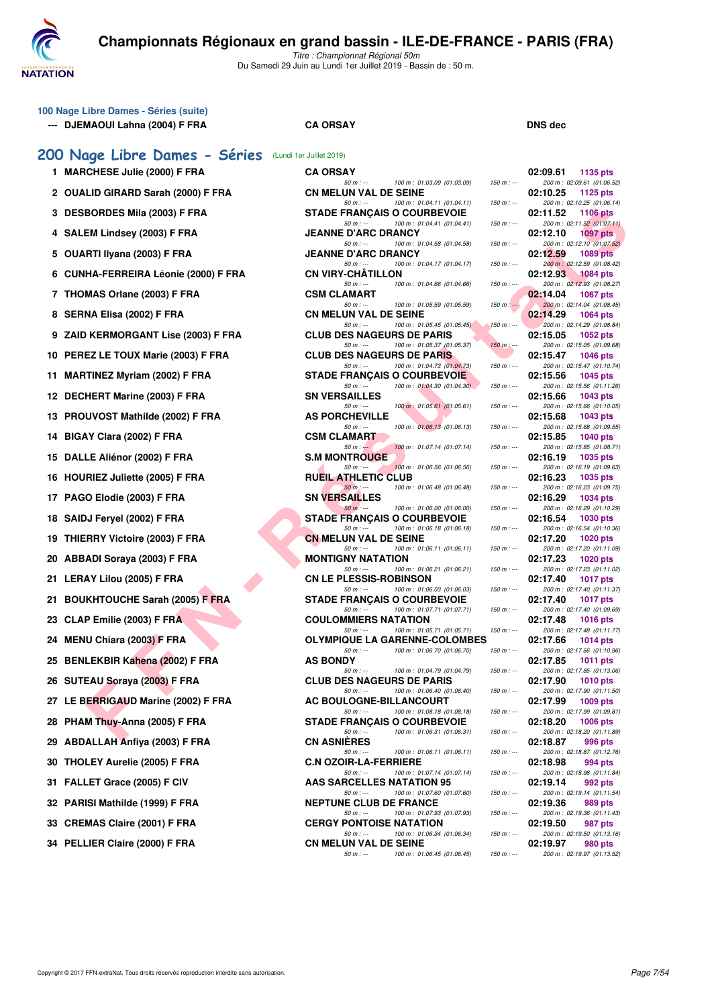

| 100 Nage Libre Dames - Séries (suite)<br>--- DJEMAOUI Lahna (2004) F FRA | <b>CA ORSAY</b>                                                                  |               | <b>DNS dec</b>                                            |
|--------------------------------------------------------------------------|----------------------------------------------------------------------------------|---------------|-----------------------------------------------------------|
| 200 Nage Libre Dames - Séries (Lundi 1er Juillet 2019)                   |                                                                                  |               |                                                           |
| 1 MARCHESE Julie (2000) F FRA                                            | <b>CA ORSAY</b>                                                                  |               | 02:09.61<br>1135 pts                                      |
| 2 OUALID GIRARD Sarah (2000) F FRA                                       | $50 m: -$<br>100 m: 01:03.09 (01:03.09)<br><b>CN MELUN VAL DE SEINE</b>          | $150 m$ : --- | 200 m: 02:09.61 (01:06.52)<br>02:10.25<br>1125 pts        |
| 3 DESBORDES Mila (2003) F FRA                                            | $50 m: -$<br>100 m: 01:04.11 (01:04.11)<br><b>STADE FRANCAIS O COURBEVOIE</b>    | $150 m : -$   | 200 m: 02:10.25 (01:06.14)<br>02:11.52<br><b>1106 pts</b> |
| 4 SALEM Lindsey (2003) F FRA                                             | $50 m: -$<br>100 m : 01:04.41 (01:04.41)<br><b>JEANNE D'ARC DRANCY</b>           | $150 m : -$   | 200 m: 02:11.52 (01:07.11)<br>02:12.10<br><b>1097 pts</b> |
| 5 OUARTI Ilyana (2003) F FRA                                             | $50 m: -$<br>100 m: 01:04.58 (01:04.58)<br><b>JEANNE D'ARC DRANCY</b>            | $150 m : -$   | 200 m: 02:12.10 (01:07.52)<br>02:12.59<br><b>1089 pts</b> |
| 6 CUNHA-FERREIRA Léonie (2000) F FRA                                     | $50 m: -$<br>100 m : 01:04.17 (01:04.17)<br><b>CN VIRY-CHATILLON</b>             | $150 m : -$   | 200 m: 02:12.59 (01:08.42)<br>02:12.93<br>1084 pts        |
| 7 THOMAS Orlane (2003) F FRA                                             | $50 m: -$<br>100 m: 01:04.66 (01:04.66)<br><b>CSM CLAMART</b>                    | $150 m : -$   | 200 m: 02:12.93 (01:08.27)<br>02:14.04<br>1067 pts        |
| 8 SERNA Elisa (2002) F FRA                                               | $50 m: -$<br>100 m: 01:05.59 (01:05.59)<br><b>CN MELUN VAL DE SEINE</b>          | $150 m: -$    | 200 m : 02:14.04 (01:08.45)<br>02:14.29<br>1064 pts       |
| 9 ZAID KERMORGANT Lise (2003) F FRA                                      | $50 m: -$<br>100 m : 01:05.45 (01:05.45)<br><b>CLUB DES NAGEURS DE PARIS</b>     | $150 m : -$   | 200 m: 02:14.29 (01:08.84)<br>02:15.05<br>1052 pts        |
| 10 PEREZ LE TOUX Marie (2003) F FRA                                      | $50 m: -$<br>100 m: 01:05.37 (01:05.37)<br><b>CLUB DES NAGEURS DE PARIS</b>      | $150 m$ : --- | 200 m: 02:15.05 (01:09.68)<br>02:15.47<br>1046 pts        |
| 11 MARTINEZ Myriam (2002) F FRA                                          | $50 m: -$<br>100 m: 01:04.73 (01:04.73)<br><b>STADE FRANCAIS O COURBEVOIE</b>    | $150 m: -$    | 200 m: 02:15.47 (01:10.74)<br>02:15.56<br>1045 pts        |
| 12 DECHERT Marine (2003) F FRA                                           | 100 m: 01:04.30 (01:04.30)<br>$50 m: -$<br><b>SN VERSAILLES</b>                  | $150 m : -$   | 200 m: 02:15.56 (01:11.26)<br>02:15.66<br><b>1043 pts</b> |
| 13 PROUVOST Mathilde (2002) F FRA                                        | 100 m: 01:05.61 (01:05.61)<br>$50 m: -$<br><b>AS PORCHEVILLE</b>                 | $150 m : -$   | 200 m: 02:15.66 (01:10.05)<br>02:15.68<br>1043 pts        |
| 14 BIGAY Clara (2002) F FRA                                              | 100 m: 01:06.13 (01:06.13)<br>$50 m: -$<br><b>CSM CLAMART</b>                    | $150 m: -$    | 200 m: 02:15.68 (01:09.55)<br>02:15.85<br><b>1040 pts</b> |
| 15 DALLE Aliénor (2002) F FRA                                            | $50 m: -$<br>100 m : 01:07.14 (01:07.14)<br><b>S.M MONTROUGE</b>                 | $150 m : -$   | 200 m: 02:15.85 (01:08.71)<br>02:16.19<br>1035 pts        |
| 16 HOURIEZ Juliette (2005) F FRA                                         | 100 m: 01:06.56 (01:06.56)<br>$50 m: -$<br><b>RUEIL ATHLETIC CLUB</b>            | $150 m: -$    | 200 m: 02:16.19 (01:09.63)<br>02:16.23<br>1035 pts        |
| 17 PAGO Elodie (2003) F FRA                                              | 100 m: 01:06.48 (01:06.48)<br>$50 m$ : ---<br><b>SN VERSAILLES</b>               | $150 m : -$   | 200 m: 02:16.23 (01:09.75)<br>02:16.29<br>1034 pts        |
| 18 SAIDJ Feryel (2002) F FRA                                             | $50 m: -$<br>100 m: 01:06.00 (01:06.00)<br><b>STADE FRANCAIS O COURBEVOIE</b>    | $150 m : -$   | 200 m: 02:16.29 (01:10.29)<br>02:16.54<br>1030 pts        |
| 19 THIERRY Victoire (2003) F FRA                                         | $50 m: -$<br>100 m: 01:06.18 (01:06.18)<br><b>CN MELUN VAL DE SEINE</b>          | $150 m: -$    | 200 m: 02:16.54 (01:10.36)<br>02:17.20<br>1020 pts        |
| 20 ABBADI Soraya (2003) F FRA                                            | $50 m: -$<br>100 m: 01:06.11 (01:06.11)<br><b>MONTIGNY NATATION</b>              | $150 m : -$   | 200 m: 02:17.20 (01:11.09)<br>02:17.23<br>1020 pts        |
| 21 LERAY Lilou (2005) F FRA                                              | $50 m: -$<br>100 m: 01:06.21 (01:06.21)<br><b>CN LE PLESSIS-ROBINSON</b>         | $150 m : -$   | 200 m: 02:17.23 (01:11.02)<br>02:17.40<br><b>1017 pts</b> |
| 21 BOUKHTOUCHE Sarah (2005) F FRA                                        | $50 m: -$<br>100 m: 01:06.03 (01:06.03)<br><b>STADE FRANCAIS O COURBEVOIE</b>    | $150 m : -$   | 200 m: 02:17.40 (01:11.37)<br>02:17.40<br><b>1017 pts</b> |
| 23 CLAP Emilie (2003) F FRA                                              | 100 m: 01:07.71 (01:07.71)<br>$50 m: -$<br><b>COULOMMIERS NATATION</b>           | $150 m: -$    | 200 m: 02:17.40 (01:09.69)<br>02:17.48<br><b>1016 pts</b> |
| 24 MENU Chiara (2003) F FRA                                              | $50 m: -$<br>100 m : 01:05.71 (01:05.71)<br><b>OLYMPIQUE LA GARENNE-COLOMBES</b> | $150 m: -$    | 200 m: 02:17.48 (01:11.77)<br>02:17.66<br>1014 pts        |
| 25 BENLEKBIR Kahena (2002) F FRA                                         | 100 m: 01:06.70 (01:06.70)<br>$50 m: -$<br><b>AS BONDY</b>                       | $150 m : -$   | 200 m: 02:17.66 (01:10.96)<br>02:17.85<br>1011 pts        |
| 26 SUTEAU Soraya (2003) F FRA                                            | $50 m: -$<br>100 m: 01:04.79 (01:04.79)<br><b>CLUB DES NAGEURS DE PARIS</b>      | $150 m : -$   | 200 m: 02:17.85 (01:13.06)<br>02:17.90<br><b>1010 pts</b> |
| 27 LE BERRIGAUD Marine (2002) F FRA                                      | $50 m: -$<br>100 m: 01:06.40 (01:06.40)<br><b>AC BOULOGNE-BILLANCOURT</b>        | $150 m : -$   | 200 m: 02:17.90 (01:11.50)<br>02:17.99<br>1009 pts        |
| 28 PHAM Thuy-Anna (2005) F FRA                                           | $50 m : -$<br>100 m : 01:08.18 (01:08.18)<br><b>STADE FRANÇAIS O COURBEVOIE</b>  | $150 m : -$   | 200 m: 02:17.99 (01:09.81)<br>02:18.20<br><b>1006 pts</b> |
| 29 ABDALLAH Anfiya (2003) F FRA                                          | $50 m: -$<br>100 m: 01:06.31 (01:06.31)<br><b>CN ASNIERES</b>                    | $150 m : -$   | 200 m: 02:18.20 (01:11.89)<br>02:18.87<br>996 pts         |
| 30 THOLEY Aurelie (2005) F FRA                                           | $50 m: -$<br>100 m: 01:06.11 (01:06.11)<br><b>C.N OZOIR-LA-FERRIERE</b>          | $150 m : -$   | 200 m: 02:18.87 (01:12.76)<br>02:18.98<br>994 pts         |
| 31 FALLET Grace (2005) F CIV                                             | $50 m: -$<br>100 m : 01:07.14 (01:07.14)<br><b>AAS SARCELLES NATATION 95</b>     | $150 m : -$   | 200 m: 02:18.98 (01:11.84)<br>02:19.14<br>992 pts         |
| 32 PARISI Mathilde (1999) F FRA                                          | $50 m: -$<br>100 m: 01:07.60 (01:07.60)<br><b>NEPTUNE CLUB DE FRANCE</b>         | 150 m : ---   | 200 m: 02:19.14 (01:11.54)<br>02:19.36<br>989 pts         |
| 33 CREMAS Claire (2001) F FRA                                            | $50 m: -$<br>100 m : 01:07.93 (01:07.93)<br><b>CERGY PONTOISE NATATION</b>       | $150 m : -$   | 200 m: 02:19.36 (01:11.43)<br>02:19.50<br>987 pts         |
| 34 PELLIER Claire (2000) F FRA                                           | $50 m: -$<br>100 m: 01:06.34 (01:06.34)<br><b>CN MELUN VAL DE SEINE</b>          | $150 m : -$   | 200 m: 02:19.50 (01:13.16)<br>02:19.97<br>980 pts         |
|                                                                          | 100 m: 01:06.45 (01:06.45)<br>$50 m: -$                                          | $150 m : -$   | 200 m: 02:19.97 (01:13.52)                                |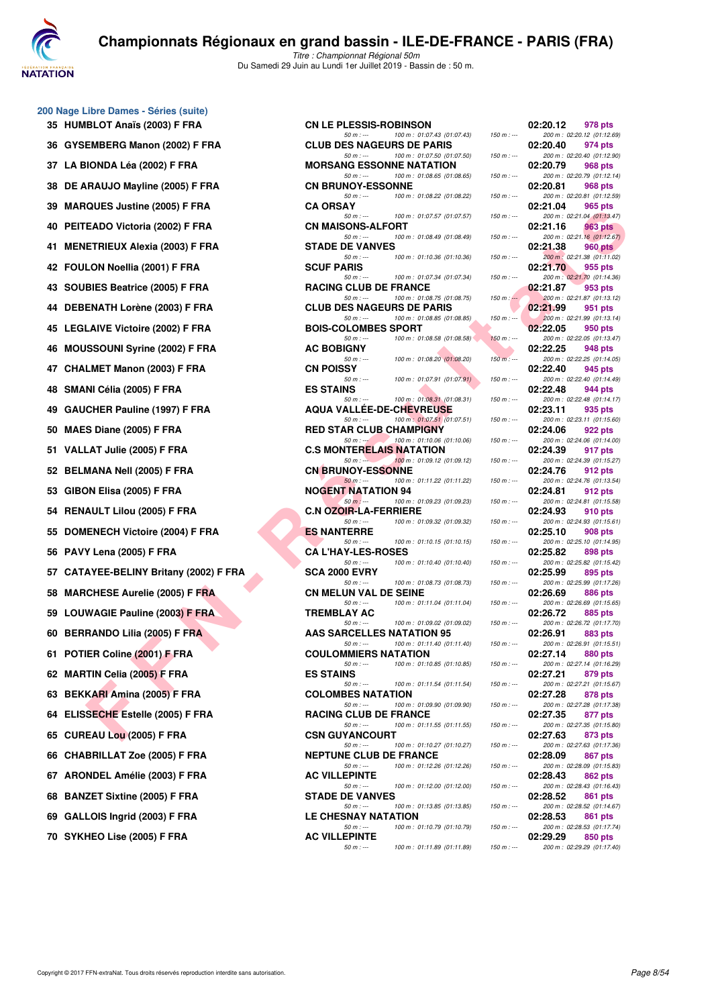

#### **200 Nage Libre Dames - Séries (suite)**

35 HUMBLOT Anaïs (2003) F FRA 36 GYSEMBERG Manon (2002) F FRA **37 LA BIONDA Léa (2002) F FRA** 38 DE ARAUJO Mayline (2005) F FRA **39 MARQUES Justine (2005) F FRA 40 PEITEADO Victoria (2002) F FRA 41 MENETRIEUX Alexia (2003) F FRA 42 FOULON Noellia (2001) F FRA 43 SOUBIES Beatrice (2005) F FRA 44 DEBENATH Lorène (2003) F FRA 45 LEGLAIVE Victoire (2002) F FRA 46 MOUSSOUNI Syrine (2002) F FRA 47 CHALMET Manon (2003) F FRA 48 SMANI Célia (2005) F FRA ES STAINS 02:22.48 944 pts** 49 GAUCHER Pauline (1997) F FRA 50 **MAES Diane (2005) F FRA 51 VALLAT Julie (2005) F FRA 52 BELMANA Nell (2005) F FRA 53 GIBON Elisa (2005) F FRA 54 RENAULT Lilou (2005) F FRA 55 DOMENECH Victoire (2004) F FRA 56 PAVY Lena (2005) F FRA** 57 CATAYEE-BELINY Britany (2002) F FRA 58 MARCHESE Aurelie (2005) F FRA 59 LOUWAGIE Pauline (2003) F FRA **60 BERRANDO Lilia (2005) F FRA 61 POTIER Coline (2001) F FRA 62 MARTIN Celia (2005) F FRA 63 BEKKARI Amina (2005) F FRA 64 ELISSECHE Estelle (2005) F FRA 65 CUREAU Lou (2005) F FRA 66 CHABRILLAT Zoe (2005) F FRA** 67 ARONDEL Amélie (2003) F FRA **68 BANZET Sixtine (2005) F FRA 69 GALLOIS Ingrid (2003) F FRA 70 SYKHEO Lise (2005) F FRA** 

| IBLOT Anaïs (2003) F FRA            | <b>CN LE PLESSIS-ROBINSON</b>                                                                                   |                          | 02:20.12<br>978 pts                                                                   |
|-------------------------------------|-----------------------------------------------------------------------------------------------------------------|--------------------------|---------------------------------------------------------------------------------------|
| EMBERG Manon (2002) F FRA           | $50 m: -$<br>100 m: 01:07.43 (01:07.43)<br><b>CLUB DES NAGEURS DE PARIS</b>                                     | $150 m : -$              | 200 m: 02:20.12 (01:12.69)<br>02:20.40<br>974 pts                                     |
| IONDA Léa (2002) F FRA              | $50 m: -$<br>100 m: 01:07.50 (01:07.50)<br><b>MORSANG ESSONNE NATATION</b>                                      | $150 m : -$              | 200 m: 02:20.40 (01:12.90)<br>02:20.79<br>968 pts                                     |
| <b>RAUJO Mayline (2005) F FRA</b>   | $50 m: -$<br>100 m: 01:08.65 (01:08.65)<br><b>CN BRUNOY-ESSONNE</b>                                             | $150 m : -$              | 200 m: 02:20.79 (01:12.14)<br>02:20.81<br>968 pts                                     |
| QUES Justine (2005) F FRA           | 100 m: 01:08.22 (01:08.22)<br>$50 m: -$<br><b>CA ORSAY</b>                                                      | $150 m: -$               | 200 m: 02:20.81 (01:12.59)<br>02:21.04<br>965 pts                                     |
| EADO Victoria (2002) F FRA          | 100 m: 01:07.57 (01:07.57)<br>$50 m: -$<br><b>CN MAISONS-ALFORT</b>                                             | $150 m : -$              | 200 m: 02:21.04 (01:13.47)<br>02:21.16<br>963 pts                                     |
| ETRIEUX Alexia (2003) F FRA         | $50 m: -$<br>100 m: 01:08.49 (01:08.49)<br><b>STADE DE VANVES</b>                                               | $150 m : -$              | 200 m: 02:21.16 (01:12.67)<br>02:21.38<br>960 pts                                     |
| LON Noellia (2001) F FRA            | 100 m: 01:10.36 (01:10.36)<br>$50 m: -$<br><b>SCUF PARIS</b>                                                    | $150 m : -$              | 200 m : 02:21.38 (01:11.02)<br>02:21.70<br>955 pts                                    |
| BIES Beatrice (2005) F FRA          | 100 m: 01:07.34 (01:07.34)<br>$50 m: -$<br><b>RACING CLUB DE FRANCE</b>                                         | $150 m : -$              | 200 m: 02:21.70 (01:14.36)<br>02:21.87<br>953 pts                                     |
| ENATH Lorène (2003) F FRA           | $50 m: -$<br>100 m: 01:08.75 (01:08.75)<br><b>CLUB DES NAGEURS DE PARIS</b>                                     | $150 m : -$              | 200 m: 02:21.87 (01:13.12)<br>02:21.99<br>951 pts                                     |
| LAIVE Victoire (2002) F FRA         | 100 m: 01:08.85 (01:08.85)<br>$50 m: -$<br><b>BOIS-COLOMBES SPORT</b>                                           | $150 m : -$              | 200 m: 02:21.99 (01:13.14)<br>02:22.05<br>950 pts                                     |
| <b>ISSOUNI Syrine (2002) F FRA</b>  | 100 m: 01:08.58 (01:08.58)<br>$50 m: -$<br><b>AC BOBIGNY</b>                                                    | $150 m : -$              | 200 m: 02:22.05 (01:13.47)<br>02:22.25<br>948 pts                                     |
| LMET Manon (2003) F FRA             | $50 m: -$<br>100 m: 01:08.20 (01:08.20)<br><b>CN POISSY</b>                                                     | $150 m$ : ---            | 200 m: 02:22.25 (01:14.05)<br>02:22.40<br>945 pts                                     |
| NI Célia (2005) F FRA               | 100 m: 01:07.91 (01:07.91)<br>$50 m: -$<br><b>ES STAINS</b>                                                     | $150 m : -$              | 200 m: 02:22.40 (01:14.49)<br>02:22.48<br>944 pts                                     |
| CHER Pauline (1997) F FRA           | 100 m: 01:08.31 (01:08.31)<br>$50 m: -$<br><b>AQUA VALLEE-DE-CHEVREUSE</b>                                      | $150 m : -$              | 200 m: 02:22.48 (01:14.17)<br>02:23.11<br>935 pts                                     |
| S Diane (2005) F FRA                | $50 m: -$<br>100 m: 01:07.51 (01:07.51)<br><b>RED STAR CLUB CHAMPIGNY</b>                                       | $150 m: -$               | 200 m: 02:23.11 (01:15.60)<br>02:24.06<br>922 pts                                     |
| LAT Julie (2005) F FRA              | 100 m: 01:10.06 (01:10.06)<br>$50 m: -1$<br><b>C.S MONTERELAIS NATATION</b>                                     | $150 m : -$              | 200 m: 02:24.06 (01:14.00)<br>02:24.39<br>917 pts                                     |
| MANA Nell (2005) F FRA              | 100 m: 01:09.12 (01:09.12)<br>$50 m: -$<br><b>CN BRUNOY-ESSONNE</b>                                             | $150 m : -$              | 200 m: 02:24.39 (01:15.27)<br>02:24.76<br>912 pts                                     |
| )N Elisa (2005) F FRA               | $50 m: -$<br>100 m: 01:11.22 (01:11.22)<br><b>NOGENT NATATION 94</b>                                            | $150 m: -$               | 200 m: 02:24.76 (01:13.54)<br>02:24.81<br>912 pts                                     |
| AULT Lilou (2005) F FRA             | 100 m: 01:09.23 (01:09.23)<br>$50 m: -$<br><b>C.N OZOIR-LA-FERRIERE</b>                                         | $150 m : -$              | 200 m: 02:24.81 (01:15.58)<br>02:24.93<br>910 pts                                     |
| <b>IENECH Victoire (2004) F FRA</b> | $50 m: -$<br>100 m: 01:09.32 (01:09.32)<br><b>ES NANTERRE</b>                                                   | $150 m : -$              | 200 m: 02:24.93 (01:15.61)<br>02:25.10<br>908 pts                                     |
| Y Lena (2005) F FRA                 | $50 m: -$<br>100 m: 01:10.15 (01:10.15)<br><b>CA L'HAY-LES-ROSES</b>                                            | $150 m : -$              | 200 m: 02:25.10 (01:14.95)<br>02:25.82<br>898 pts                                     |
| AYEE-BELINY Britany (2002) F FRA    | 100 m: 01:10.40 (01:10.40)<br>$50 m: -$<br><b>SCA 2000 EVRY</b>                                                 | $150 m : -$              | 200 m: 02:25.82 (01:15.42)<br>02:25.99<br>895 pts                                     |
| CHESE Aurelie (2005) F FRA          | $50 m: -$<br>100 m: 01:08.73 (01:08.73)<br><b>CN MELUN VAL DE SEINE</b>                                         | $150 m : -$              | 200 m: 02:25.99 (01:17.26)<br>02:26.69<br>886 pts                                     |
| WAGIE Pauline (2003) F FRA          | $50 m: -$<br>100 m: 01:11.04 (01:11.04)<br><b>TREMBLAY AC</b>                                                   | $150 m: -$               | 200 m: 02:26.69 (01:15.65)<br>02:26.72<br>885 pts                                     |
| RANDO Lilia (2005) F FRA            | $50 m: -$<br>100 m: 01:09.02 (01:09.02)<br><b>AAS SARCELLES NATATION 95</b>                                     | $150 m : -$              | 200 m: 02:26.72 (01:17.70)<br>02:26.91<br>883 pts                                     |
| ER Coline (2001) F FRA              | 100 m: 01:11.40 (01:11.40)<br>$50 m: -$<br><b>COULOMMIERS NATATION</b>                                          | $150 m : -$              | 200 m: 02:26.91 (01:15.51)<br>02:27.14<br>880 pts                                     |
| TIN Celia (2005) F FRA              | 100 m: 01:10.85 (01:10.85)<br>$50 m: -$<br><b>ES STAINS</b>                                                     | $150 m : -$              | 200 m: 02:27.14 (01:16.29)<br>02:27.21<br>879 pts                                     |
| KARI Amina (2005) F FRA             | $50 m: -$<br>100 m: 01:11.54 (01:11.54)<br><b>COLOMBES NATATION</b>                                             | $150 m : -$              | 200 m: 02:27.21 (01:15.67)<br>02:27.28<br>878 pts                                     |
| <b>SECHE Estelle (2005) F FRA</b>   | $50 m: -$<br>100 m: 01:09.90 (01:09.90)<br><b>RACING CLUB DE FRANCE</b>                                         | $150 m : -$              | 200 m: 02:27.28 (01:17.38)<br>02:27.35<br>877 pts                                     |
| EAU Lou (2005) F FRA                | $50 m: -$<br>100 m: 01:11.55 (01:11.55)<br><b>CSN GUYANCOURT</b>                                                | $150 m: -$               | 200 m: 02:27.35 (01:15.80)<br>02:27.63<br>873 pts                                     |
| BRILLAT Zoe (2005) F FRA            | $50 m: -$<br>100 m: 01:10.27 (01:10.27)<br><b>NEPTUNE CLUB DE FRANCE</b>                                        | $150 m: -$               | 200 m: 02:27.63 (01:17.36)<br>02:28.09<br>867 pts                                     |
| NDEL Amélie (2003) F FRA            | 100 m: 01:12.26 (01:12.26)<br>$50 m: -$<br><b>AC VILLEPINTE</b>                                                 | $150 m : -$              | 200 m: 02:28.09 (01:15.83)<br>02:28.43<br>862 pts                                     |
| ZET Sixtine (2005) F FRA            | 100 m: 01:12.00 (01:12.00)<br>$50 m: -$<br><b>STADE DE VANVES</b>                                               | $150 m: -$               | 200 m: 02:28.43 (01:16.43)<br>02:28.52<br>861 pts                                     |
| LOIS Ingrid (2003) F FRA            | 100 m: 01:13.85 (01:13.85)<br>$50 m: -$<br>LE CHESNAY NATATION                                                  | $150 m : -$              | 200 m: 02:28.52 (01:14.67)<br>02:28.53<br>861 pts                                     |
| HEO Lise (2005) F FRA               | 100 m: 01:10.79 (01:10.79)<br>$50 m: -$<br><b>AC VILLEPINTE</b><br>$100 m \cdot 01.11 89 (01.11 89)$<br>$50m$ . | $150 m : -$<br>$150 m$ . | 200 m: 02:28.53 (01:17.74)<br>02:29.29<br>850 pts<br>$200 m \cdot 02.29 29 (01.17 A)$ |
|                                     |                                                                                                                 |                          |                                                                                       |

| <b>LESSIS-ROBINSON</b>                |                                                          |               | 02:20.12                               | 978 pts                                      |
|---------------------------------------|----------------------------------------------------------|---------------|----------------------------------------|----------------------------------------------|
| $50 m: -$                             | 100 m: 01:07.43 (01:07.43)<br>ES NAGEURS DE PARIS        | $150 m : -$   | 02:20.40                               | 200 m: 02:20.12 (01:12.69)<br>974 pts        |
| $50 m: -$                             | 100 m: 01:07.50 (01:07.50)<br><b>NG ESSONNE NATATION</b> | $150 m : -$   | 02:20.79                               | 200 m: 02:20.40 (01:12.90)<br>968 pts        |
| $50 m: -$                             | 100 m: 01:08.65 (01:08.65)                               | $150 m : -$   |                                        | 200 m: 02:20.79 (01:12.14)                   |
| <b>NOY-ESSONNE</b><br>$50 m: -$       | 100 m: 01:08.22 (01:08.22)                               | $150 m : -$   | 02:20.81                               | 968 pts<br>200 m: 02:20.81 (01:12.59)        |
| AΥ                                    |                                                          |               | 02:21.04                               | 965 pts                                      |
| $50 m: -$<br><b>ONS-ALFORT</b>        | 100 m: 01:07.57 (01:07.57)                               | $150 m : -$   | 02:21.16                               | 200 m: 02:21.04 (01:13.47)<br>963 pts        |
| $50 m: -$                             | 100 m: 01:08.49 (01:08.49)                               | $150 m: -$    | 200 m: 02:21.16 (01:12.67)             |                                              |
| <b>DE VANVES</b>                      |                                                          |               | 02:21.38                               | <b>960 pts</b>                               |
| $50 m: -$<br><b>\RIS</b>              | 100 m: 01:10.36 (01:10.36)                               | $150 m : -$   | 02:21.70                               | 200 m : 02:21.38 (01:11.02)<br>955 pts       |
| $50 m: -$                             | 100 m: 01:07.34 (01:07.34)                               | $150 m : -$   |                                        | 200 m: 02:21.70 (01:14.36)                   |
| <b>CLUB DE FRANCE</b><br>$50 m: -$    | 100 m: 01:08.75 (01:08.75)                               | $150 m : -$   | 02:21.87<br>200 m: 02:21.87 (01:13.12) | 953 pts                                      |
|                                       | ES NAGEURS DE PARIS                                      |               | 02:21.99                               | 951 pts                                      |
| $50 m: -$<br><b>)LOMBES SPORT</b>     | 100 m: 01:08.85 (01:08.85)                               | $150 m : -$   | 02:22.05                               | 200 m: 02:21.99 (01:13.14)<br>950 pts        |
| $50 m: -$                             | 100 m: 01:08.58 (01:08.58)                               | $150 m : -$   |                                        | 200 m: 02:22.05 (01:13.47)                   |
| IGNY                                  |                                                          |               | 02:22.25                               | <b>948 pts</b>                               |
| $50 m: -$<br>SΥ                       | 100 m: 01:08.20 (01:08.20)                               | $150 m$ : --- | 200 m: 02:22.25 (01:14.05)<br>02:22.40 | 945 pts                                      |
| $50 m: -$                             | 100 m: 01:07.91 (01:07.91)                               | $150 m : -$   |                                        | 200 m: 02:22.40 (01:14.49)                   |
| NS<br>$50 m: -$                       | 100 m: 01:08.31 (01:08.31)                               | $150 m : -$   | 02:22.48<br>200 m: 02:22.48 (01:14.17) | 944 pts                                      |
|                                       | <b>ALLEE-DE-CHEVREUSE</b>                                |               | 02:23.11                               | 935 pts                                      |
| $50 m: -$<br><b>AR CLUB CHAMPIGNY</b> | 100 m: 01:07.51 (01:07.51)                               | $150 m : -$   | 02:24.06                               | 200 m: 02:23.11 (01:15.60)<br>922 pts        |
| $50 m : -1$                           | 100 m: 01:10.06 (01:10.06)                               | $150 m : -$   |                                        | 200 m: 02:24.06 (01:14.00)                   |
| ITERELAIS NATATION<br>$50 m: -20 m$   | 100 m: 01:09.12 (01:09.12)                               | $150 m : -$   | 02:24.39                               | 917 pts<br>200 m: 02:24.39 (01:15.27)        |
| <b>NOY-ESSONNE</b>                    |                                                          |               | 02:24.76                               | 912 pts                                      |
| $50 m: -$                             | 100 m: 01:11.22 (01:11.22)                               | $150 m: -$    | 200 m: 02:24.76 (01:13.54)             |                                              |
| <b>NATATION 94</b><br>$50 m: -$       | 100 m: 01:09.23 (01:09.23)                               | $150 m : -$   | 02:24.81<br>200 m: 02:24.81 (01:15.58) | 912 pts                                      |
| <b>IR-LA-FERRIERE</b>                 |                                                          |               | 02:24.93                               | 910 pts                                      |
| $50 m: -$<br><b>TERRE</b>             | 100 m: 01:09.32 (01:09.32)                               | $150 m: -$    | 02:25.10                               | 200 m: 02:24.93 (01:15.61)<br><b>908 pts</b> |
| 50 m : ---                            | 100 m: 01:10.15 (01:10.15)                               | $150 m: -$    |                                        | 200 m: 02:25.10 (01:14.95)                   |
| <b>Y-LES-ROSES</b><br>$50 m: -$       | 100 m: 01:10.40 (01:10.40)                               | $150 m : -$   | 02:25.82                               | 898 pts<br>200 m: 02:25.82 (01:15.42)        |
| 0 EVRY                                |                                                          |               | 02:25.99                               | 895 pts                                      |
| $50 m: -$<br>JN VAL DE SEINE          | 100 m: 01:08.73 (01:08.73)                               | $150 m: -$    | 02:26.69                               | 200 m: 02:25.99 (01:17.26)<br><b>886 pts</b> |
| $50 m: -$                             | 100 m: 01:11.04 (01:11.04)                               | $150 m : -$   |                                        | 200 m: 02:26.69 (01:15.65)                   |
| AY AC.<br>$50 m: -$                   | 100 m: 01:09.02 (01:09.02)                               | $150 m : -$   | 02:26.72                               | 885 pts<br>200 m: 02:26.72 (01:17.70)        |
|                                       | <b>RCELLES NATATION 95</b>                               |               | 02:26.91                               | <b>883 pts</b>                               |
| $50 m: -$<br><b>IMIERS NATATION</b>   | 100 m: 01:11.40 (01:11.40)                               | $150 m : -$   | 02:27.14                               | 200 m: 02:26.91 (01:15.51)<br><b>880 pts</b> |
| $50 m: -$                             | 100 m: 01:10.85 (01:10.85)                               | $150 m: -$    |                                        | 200 m: 02:27.14 (01:16.29)                   |
| NS                                    |                                                          |               | 02:27.21                               | 879 pts                                      |
| $50 m: -$<br><b>BES NATATION</b>      | 100 m: 01:11.54 (01:11.54)                               | $150 m : -$   | 02:27.28                               | 200 m: 02:27.21 (01:15.67)<br>878 pts        |
| $50 m: -$                             | 100 m: 01:09.90 (01:09.90)                               | $150 m : -$   |                                        | 200 m: 02:27.28 (01:17.38)                   |
| <b>CLUB DE FRANCE</b><br>50 m : ---   | 100 m: 01:11.55 (01:11.55)                               | $150 m : -$   | 02:27.35                               | 877 pts<br>200 m: 02:27.35 (01:15.80)        |
| YANCOURT                              |                                                          |               | 02:27.63                               | 873 pts                                      |
| $50 m: -$<br><b>E CLUB DE FRANCE</b>  | 100 m: 01:10.27 (01:10.27)                               | $150 m : -$   | 02:28.09                               | 200 m: 02:27.63 (01:17.36)<br>867 pts        |
| $50 m: -$                             | 100 m: 01:12.26 (01:12.26)                               | $150 m : -$   |                                        | 200 m: 02:28.09 (01:15.83)                   |
| <b>EPINTE</b><br>$50 m: -$            | 100 m: 01:12.00 (01:12.00)                               | $150 m : -$   | 02:28.43                               | 862 pts<br>200 m: 02:28.43 (01:16.43)        |
| <b>DE VANVES</b>                      |                                                          |               | 02:28.52                               | <b>861 pts</b>                               |
| $50 m: -$<br>SNAY NATATION            | 100 m: 01:13.85 (01:13.85)                               | $150 m : -$   | 02:28.53                               | 200 m: 02:28.52 (01:14.67)<br>861 pts        |
| $50 m : -$                            | 100 m: 01:10.79 (01:10.79)                               | $150 m : -$   |                                        | 200 m: 02:28.53 (01:17.74)                   |
| EPINTE                                |                                                          |               | 02:29.29                               | 850 pts                                      |
| $50 m : -$                            | 100 m: 01:11.89 (01:11.89)                               | $150 m : -$   |                                        | 200 m: 02:29.29 (01:17.40)                   |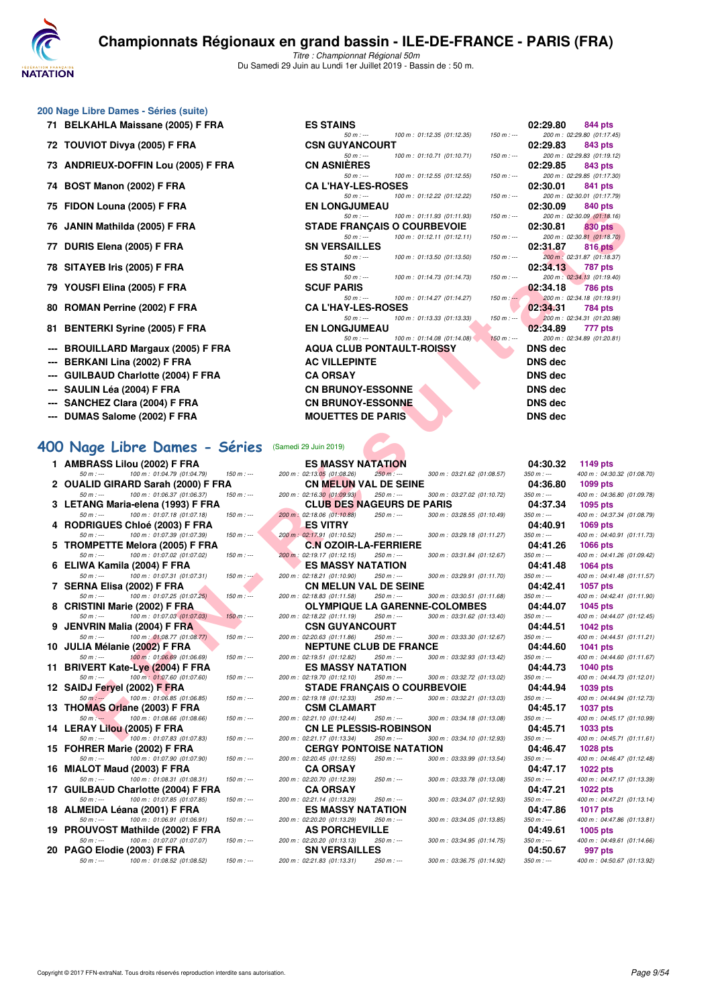

#### **200 Nage Libre Dames - Séries (suite)**

- 
- 
- **73 ANDRIEUX-DOFFIN Lou (2005) F FRA**
- **74 BOST Manon (2002) F FRA**
- 
- 
- **77 DURIS Elena (2005) F FRA**
- **78 SITAYEB Iris (2005) F FRA ES STAINS 02:34.13 787 pts**
- **79 YOUSFI Elina (2005) F FRA SCUF PARIS 02:34.18 786 pts**
- 80 ROMAN Perrine (2002) F FRA
- 
- 
- 
- 
- 
- 
- 

#### **400 Nage Libre Dames - Séries**

| 1  | AMBRASS LIIOU (2002) F FRA                   |               |
|----|----------------------------------------------|---------------|
|    | 100 m : 01:04.79 (01:04.79)<br>$50 m : -$    | $150 m: -$    |
| 2  | OUALID GIRARD Sarah (2000) F FRA             |               |
|    | 100 m: 01:06.37 (01:06.37)<br>$50 m : -$     | $150 m: -$    |
| 3  | LETANG Maria-elena (1993) F FRA              |               |
|    | 100 m: 01:07.18 (01:07.18)<br>$50 m: -$      | $150 m$ : --- |
| 4  | <b>RODRIGUES Chloé (2003) F FRA</b>          |               |
|    | 100 m: 01:07.39 (01:07.39)<br>$50 m : -$     | $150 m: -$    |
| 5  | <b>TROMPETTE Melora (2005) F FRA</b>         |               |
|    | 100 m: 01:07.02 (01:07.02)<br>50 m : ---     | $150 m: -$    |
| 6  | ELIWA Kamila (2004) F FRA                    |               |
|    | $50 m : \dots$ $100 m : 01:07.31 (01:07.31)$ | $150 m : -$   |
| 7  | SERNA Elisa (2002) F FRA                     |               |
|    | 100 m: 01:07.25 (01:07.25)<br>$50 m : -$     | $150 m$ : --- |
| 8  | <b>CRISTINI Marie (2002) F FRA</b>           |               |
|    | 100 m : 01:07.03 (01:07.03)<br>$50 m : -$    | $150 m: -$    |
| 9  | JENVRIN Malia (2004) F FRA                   |               |
|    | 100 m : 01:08.77 (01:08.77)<br>$50 m : -$    | $150 m: -$    |
| 10 | JULIA Mélanie (2002) F FRA                   |               |
|    | 100 m: 01:06.69 (01:06.69)<br>$50 m : -$     | $150 m$ : --- |
| 11 | <b>BRIVERT Kate-Lye (2004) F FRA</b>         |               |
|    | 100 m: 01:07.60 (01:07.60)<br>50 m : ---     | $150 m$ : --- |
| 12 | SAIDJ Feryel (2002) F FRA                    |               |
|    | 100 m: 01:06.85 (01:06.85)<br>$50 m : -2$    | $150 m: -$    |
| 13 | THOMAS Orlane (2003) F FRA                   |               |
|    | 100 m : 01:08.66 (01:08.66)<br>$50 m : -$    | $150 m: -$    |
| 14 | LERAY Lilou (2005) F FRA                     |               |
|    | 100 m : 01:07.83 (01:07.83)<br>$50 m : -$    | $150 m : -$   |
| 15 | FOHRER Marie (2002) F FRA                    |               |
|    | 100 m: 01:07.90 (01:07.90)<br>50 m : ---     | $150 m$ : --- |
| 16 | MIALOT Maud (2003) F FRA                     |               |
|    | 50 m : --- 100 m : 01:08.31 (01:08.31)       | $150 m$ : --- |
| 17 | <b>GUILBAUD Charlotte (2004) F FRA</b>       |               |
|    | 50 m : --- 100 m : 01:07.85 (01:07.85)       | $150 m$ : --- |
| 18 | ALMEIDA Léana (2001) F FRA                   |               |
|    | 50 m : --- 100 m : 01:06.91 (01:06.91)       | $150 m: -$    |
| 19 | PROUVOST Mathilde (2002) F FRA               |               |
|    | 100 m: 01:07.07 (01:07.07)<br>$50 m : -$     | $150 m: -$    |
| 20 | PAGO Elodie (2003) F FRA                     |               |
|    | 100 m: 01:08.52 (01:08.52)<br>50 m : ---     | $150 m : -$   |
|    |                                              |               |

| ou nage Libre Danies - Series (Suite) |                                    |                             |               |                |                            |
|---------------------------------------|------------------------------------|-----------------------------|---------------|----------------|----------------------------|
| 71 BELKAHLA Maissane (2005) F FRA     | <b>ES STAINS</b>                   |                             |               | 02:29.80       | 844 pts                    |
|                                       | $50 m: -$                          | 100 m: 01:12.35 (01:12.35)  | $150 m : -$   |                | 200 m: 02:29.80 (01:17.45) |
| 72 TOUVIOT Divya (2005) F FRA         | <b>CSN GUYANCOURT</b>              |                             |               | 02:29.83       | 843 pts                    |
|                                       | $50 m : -$                         | 100 m : 01:10.71 (01:10.71) | $150 m : -$   |                | 200 m: 02:29.83 (01:19.12) |
| 73 ANDRIEUX-DOFFIN Lou (2005) F FRA   | <b>CN ASNIÈRES</b>                 |                             |               | 02:29.85       | 843 pts                    |
|                                       | $50 m: -$                          | 100 m: 01:12.55 (01:12.55)  | $150 m : -$   |                | 200 m: 02:29.85 (01:17.30) |
| 74 BOST Manon (2002) F FRA            | <b>CA L'HAY-LES-ROSES</b>          |                             |               | 02:30.01       | 841 pts                    |
|                                       | $50 m: -$                          | 100 m : 01:12.22 (01:12.22) | 150 m : ---   |                | 200 m: 02:30.01 (01:17.79) |
| 75 FIDON Louna (2005) F FRA           | <b>EN LONGJUMEAU</b>               |                             |               | 02:30.09       | 840 pts                    |
|                                       | $50 m: -$                          | 100 m: 01:11.93 (01:11.93)  | $150 m : -$   |                | 200 m: 02:30.09 (01:18.16) |
| 76 JANIN Mathilda (2005) F FRA        | <b>STADE FRANÇAIS O COURBEVOIE</b> |                             |               | 02:30.81       | 830 pts                    |
|                                       | $50 m: -$                          | 100 m : 01:12.11 (01:12.11) | 150 m : ---   |                | 200 m: 02:30.81 (01:18.70) |
| 77 DURIS Elena (2005) F FRA           | <b>SN VERSAILLES</b>               |                             |               | 02:31.87       | 816 pts                    |
|                                       | $50 m: -$                          | 100 m : 01:13.50 (01:13.50) | $150 m$ : $-$ |                | 200 m: 02:31.87 (01:18.37) |
| 78 SITAYEB Iris (2005) F FRA          | <b>ES STAINS</b>                   |                             |               | 02:34.13       | 787 pts                    |
|                                       | $50 m : -$                         | 100 m : 01:14.73 (01:14.73) | $150 m : -$   |                | 200 m: 02:34.13 (01:19.40) |
| 79 YOUSFI Elina (2005) F FRA          | <b>SCUF PARIS</b>                  |                             |               | 02:34.18       | 786 pts                    |
|                                       | $50 m: -$                          | 100 m: 01:14.27 (01:14.27)  | $150 m: -$    |                | 200 m: 02:34.18 (01:19.91) |
| 80 ROMAN Perrine (2002) F FRA         | <b>CAL'HAY-LES-ROSES</b>           |                             |               | 02:34.31       | 784 pts                    |
|                                       | $50 m: -$                          | 100 m: 01:13.33 (01:13.33)  | $150 m : -1$  |                | 200 m: 02:34.31 (01:20.98) |
| 81 BENTERKI Syrine (2005) F FRA       | <b>EN LONGJUMEAU</b>               |                             |               | 02:34.89       | 777 pts                    |
|                                       | $50 m: -$                          | 100 m: 01:14.08 (01:14.08)  | $150 m: -$    |                | 200 m: 02:34.89 (01:20.81) |
| --- BROUILLARD Margaux (2005) F FRA   | <b>AQUA CLUB PONTAULT-ROISSY</b>   |                             |               | DNS dec        |                            |
| --- BERKANI Lina (2002) F FRA         | <b>AC VILLEPINTE</b>               |                             |               | DNS dec        |                            |
| --- GUILBAUD Charlotte (2004) F FRA   | <b>CA ORSAY</b>                    |                             |               | DNS dec        |                            |
| --- SAULIN Léa (2004) F FRA           | <b>CN BRUNOY-ESSONNE</b>           |                             |               | DNS dec        |                            |
| --- SANCHEZ Clara (2004) F FRA        | <b>CN BRUNOY-ESSONNE</b>           |                             |               | DNS dec        |                            |
| --- DUMAS Salome (2002) F FRA         | <b>MOUETTES DE PARIS</b>           |                             |               | <b>DNS</b> dec |                            |
|                                       |                                    |                             |               |                |                            |

| Samedi 29 Juin 2019) |  |
|----------------------|--|
|                      |  |

| $\overline{I}$ of Fiboly Louria (2003) F FRA                                   |              | EN LUNGJUMEAU                                                |             |                            |             | 02.JU.UJ                | <b>UTU NIS</b>                                |
|--------------------------------------------------------------------------------|--------------|--------------------------------------------------------------|-------------|----------------------------|-------------|-------------------------|-----------------------------------------------|
| 76   JANIN Mathilda (2005) F FRA                                               |              | $50 m: -$<br><b>STADE FRANCAIS O COURBEVOIE</b>              |             | 100 m: 01:11.93 (01:11.93) | $150 m : -$ | 02:30.81                | 200 m: 02:30.09 (01:18.16)<br><b>830 pts</b>  |
| 77 DURIS Elena (2005) F FRA                                                    |              | $50 m: -$<br><b>SN VERSAILLES</b>                            |             | 100 m: 01:12.11 (01:12.11) | $150 m : -$ | 02:31.87                | 200 m: 02:30.81 (01:18.70)<br>816 pts         |
|                                                                                |              | $50 m: -$                                                    |             | 100 m: 01:13.50 (01:13.50) | $150 m: -$  |                         | 200 m : 02:31.87 (01:18.37)                   |
| 78 SITAYEB Iris (2005) F FRA                                                   |              | <b>ES STAINS</b><br>$50 m: -$                                |             | 100 m: 01:14.73 (01:14.73) | $150 m : -$ | 02:34.13                | 787 pts<br>200 m: 02:34.13 (01:19.40)         |
| 79 YOUSFI Elina (2005) F FRA                                                   |              | <b>SCUF PARIS</b>                                            |             |                            |             | 02:34.18                | <b>786 pts</b>                                |
| 80 ROMAN Perrine (2002) F FRA                                                  |              | $50 m: -$<br><b>CA L'HAY-LES-ROSES</b>                       |             | 100 m: 01:14.27 (01:14.27) | $150 m : -$ | 02:34.31                | 200 m: 02:34.18 (01:19.91)<br>784 pts         |
|                                                                                |              | $50 m: -$                                                    |             | 100 m: 01:13.33 (01:13.33) | $150 m : -$ |                         | 200 m: 02:34.31 (01:20.98)                    |
| 81   BENTERKI Syrine (2005) F FRA                                              |              | <b>EN LONGJUMEAU</b><br>$50 m: -$                            |             | 100 m: 01:14.08 (01:14.08) | $150 m : -$ | 02:34.89                | 777 pts<br>200 m: 02:34.89 (01:20.81)         |
| --- BROUILLARD Margaux (2005) F FRA                                            |              | <b>AQUA CLUB PONTAULT-ROISSY</b>                             |             |                            |             | <b>DNS dec</b>          |                                               |
| --- BERKANI Lina (2002) F FRA                                                  |              | <b>AC VILLEPINTE</b>                                         |             |                            |             | <b>DNS dec</b>          |                                               |
| --- GUILBAUD Charlotte (2004) F FRA                                            |              | <b>CA ORSAY</b>                                              |             |                            |             | <b>DNS dec</b>          |                                               |
| --- SAULIN Léa (2004) F FRA                                                    |              | <b>CN BRUNOY-ESSONNE</b>                                     |             |                            |             | <b>DNS dec</b>          |                                               |
| --- SANCHEZ Clara (2004) F FRA                                                 |              | <b>CN BRUNOY-ESSONNE</b>                                     |             |                            |             | <b>DNS dec</b>          |                                               |
| --- DUMAS Salome (2002) F FRA                                                  |              | <b>MOUETTES DE PARIS</b>                                     |             |                            |             | <b>DNS dec</b>          |                                               |
|                                                                                |              |                                                              |             |                            |             |                         |                                               |
| 00 Nage Libre Dames - Séries                                                   |              | (Samedi 29 Juin 2019)                                        |             |                            |             |                         |                                               |
| 1 AMBRASS Lilou (2002) F FRA                                                   |              | <b>ES MASSY NATATION</b>                                     |             |                            |             | 04:30.32                | 1149 pts                                      |
| $50 m : -$<br>100 m: 01:04.79 (01:04.79)                                       | $150 m : -$  | 200 m: 02:13.05 (01:08.26)                                   | 250 m :---  | 300 m: 03:21.62 (01:08.57) |             | $350 m: -$              | 400 m: 04:30.32 (01:08.70)                    |
| 2 OUALID GIRARD Sarah (2000) F FRA<br>$50 m : -$<br>100 m: 01:06.37 (01:06.37) | $150 m : -$  | <b>CN MELUN VAL DE SEINE</b><br>200 m : 02:16.30 (01:09.93)  | 250 m : --- | 300 m: 03:27.02 (01:10.72) |             | 04:36.80<br>$350 m : -$ | 1099 pts<br>400 m: 04:36.80 (01:09.78)        |
| 3 LETANG Maria-elena (1993) F FRA                                              |              | <b>CLUB DES NAGEURS DE PARIS</b>                             |             |                            |             | 04:37.34                | 1095 pts                                      |
| 100 m: 01:07.18 (01:07.18)<br>$50 m : -$                                       | $150 m : -$  | 200 m: 02:18.06 (01:10.88)                                   | 250 m : --- | 300 m: 03:28.55 (01:10.49) |             | $350 m : -$             | 400 m: 04:37.34 (01:08.79)                    |
| 4 RODRIGUES Chloé (2003) F FRA<br>100 m: 01:07.39 (01:07.39)<br>$50 m : -$     | $150 m: -$   | <b>ES VITRY</b><br>200 m: 02:17.91 (01:10.52)                | 250 m : --- | 300 m: 03:29.18 (01:11.27) |             | 04:40.91<br>$350 m : -$ | 1069 pts<br>400 m: 04:40.91 (01:11.73)        |
| 5 TROMPETTE Melora (2005) F FRA                                                |              | <b>C.N OZOIR-LA-FERRIERE</b>                                 |             |                            |             | 04:41.26                | <b>1066 pts</b>                               |
| $50 m : -$<br>100 m: 01:07.02 (01:07.02)                                       | $150 m : -$  | 200 m: 02:19.17 (01:12.15)                                   | 250 m : --- | 300 m: 03:31.84 (01:12.67) |             | $350 m : -$             | 400 m: 04:41.26 (01:09.42)                    |
| 6 ELIWA Kamila (2004) F FRA<br>$50 m : -$                                      | $150 m : -2$ | <b>ES MASSY NATATION</b>                                     | $250 m : -$ | 300 m: 03:29.91 (01:11.70) |             | 04:41.48<br>$350 m : -$ | 1064 pts                                      |
| 100 m: 01:07.31 (01:07.31)<br>7 SERNA Elisa (2002) F FRA                       |              | 200 m: 02:18.21 (01:10.90)<br><b>CN MELUN VAL DE SEINE</b>   |             |                            |             | 04:42.41                | 400 m: 04:41.48 (01:11.57)<br>1057 pts        |
| $50 m: -$<br>100 m: 01:07.25 (01:07.25)                                        | $150 m : -$  | 200 m: 02:18.83 (01:11.58)                                   | 250 m : --- | 300 m: 03:30.51 (01:11.68) |             | $350 m : -$             | 400 m: 04:42.41 (01:11.90)                    |
| 8 CRISTINI Marie (2002) F FRA<br>100 m: 01:07.03 (01:07.03)                    |              | <b>OLYMPIQUE LA GARENNE-COLOMBES</b>                         |             |                            |             | 04:44.07                | 1045 pts                                      |
| $50 m : -$<br>9 JENVRIN Malia (2004) F FRA                                     | $150 m : -$  | 200 m: 02:18.22 (01:11.19)<br><b>CSN GUYANCOURT</b>          | 250 m : --- | 300 m: 03:31.62 (01:13.40) |             | $350 m : -$<br>04:44.51 | 400 m: 04:44.07 (01:12.45)<br><b>1042 pts</b> |
| 100 m: 01:08.77 (01:08.77)<br>$50 m: -$                                        | $150 m: -$   | 200 m: 02:20.63 (01:11.86)                                   | 250 m : --- | 300 m: 03:33.30 (01:12.67) |             | $350 m : -$             | 400 m: 04:44.51 (01:11.21)                    |
| 10 JULIA Mélanie (2002) F FRA                                                  |              | <b>NEPTUNE CLUB DE FRANCE</b>                                |             |                            |             | 04:44.60                | 1041 pts                                      |
| 100 m: 01:06.69 (01:06.69)<br>$50 m : -$<br>11 BRIVERT Kate-Lye (2004) F FRA   | $150 m: -$   | 200 m: 02:19.51 (01:12.82)<br><b>ES MASSY NATATION</b>       | $250 m : -$ | 300 m: 03:32.93 (01:13.42) |             | $350 m : -$<br>04:44.73 | 400 m: 04:44.60 (01:11.67)<br>1040 pts        |
| 100 m: 01:07.60 (01:07.60)<br>$50 m : -$                                       | $150 m : -$  | 200 m: 02:19.70 (01:12.10)                                   | 250 m : --- | 300 m: 03:32.72 (01:13.02) |             | $350 m : -$             | 400 m: 04:44.73 (01:12.01)                    |
| 12 SAIDJ Feryel (2002) F FRA                                                   |              | <b>STADE FRANCAIS O COURBEVOIE</b>                           |             |                            |             | 04:44.94                | 1039 pts                                      |
| $50 m: -$<br>100 m: 01:06.85 (01:06.85)<br>13 THOMAS Orlane (2003) F FRA       | $150 m: -$   | 200 m: 02:19.18 (01:12.33)<br><b>CSM CLAMART</b>             | 250 m : --- | 300 m: 03:32.21 (01:13.03) |             | $350 m : -$<br>04:45.17 | 400 m: 04:44.94 (01:12.73)<br><b>1037 pts</b> |
| 100 m: 01:08.66 (01:08.66)<br>$50 m: -$                                        | $150 m : -$  | 200 m: 02:21.10 (01:12.44)                                   | 250 m : --- | 300 m: 03:34.18 (01:13.08) |             | $350 m : -$             | 400 m: 04:45.17 (01:10.99)                    |
| 14 LERAY Lilou (2005) F FRA                                                    |              | <b>CN LE PLESSIS-ROBINSON</b>                                |             |                            |             | 04:45.71                | 1033 pts                                      |
| 100 m: 01:07.83 (01:07.83)<br>$50 m : -$<br>15 FOHRER Marie (2002) F FRA       | $150 m: -$   | 200 m: 02:21.17 (01:13.34)<br><b>CERGY PONTOISE NATATION</b> | 250 m : --- | 300 m: 03:34.10 (01:12.93) |             | $350 m : -$             | 400 m: 04:45.71 (01:11.61)<br>1028 pts        |
| $50 m : -$<br>100 m: 01:07.90 (01:07.90)                                       | $150 m: -$   | 200 m: 02:20.45 (01:12.55)                                   | 250 m : --- | 300 m: 03:33.99 (01:13.54) |             | 04:46.47<br>$350 m : -$ | 400 m: 04:46.47 (01:12.48)                    |
| 16 MIALOT Maud (2003) F FRA                                                    |              | <b>CA ORSAY</b>                                              |             |                            |             | 04:47.17                | 1022 pts                                      |
| $50 m : -$<br>100 m: 01:08.31 (01:08.31)                                       | $150 m : -$  | 200 m: 02:20.70 (01:12.39)                                   | 250 m : --- | 300 m: 03:33.78 (01:13.08) |             | $350 m : -$             | 400 m: 04:47.17 (01:13.39)                    |
| 17 GUILBAUD Charlotte (2004) F FRA<br>100 m: 01:07.85 (01:07.85)<br>$50 m : -$ | $150 m: -$   | <b>CA ORSAY</b><br>200 m: 02:21.14 (01:13.29)                | 250 m : --- | 300 m: 03:34.07 (01:12.93) |             | 04:47.21<br>$350 m : -$ | 1022 pts<br>400 m: 04:47.21 (01:13.14)        |
| 18 ALMEIDA Léana (2001) F FRA                                                  |              | <b>ES MASSY NATATION</b>                                     |             |                            |             | 04:47.86                | <b>1017 pts</b>                               |
| $50 m : -$<br>100 m: 01:06.91 (01:06.91)                                       | $150 m : -$  | 200 m : 02:20.20 (01:13.29)                                  | 250 m : --- | 300 m: 03:34.05 (01:13.85) |             | $350 m : -$             | 400 m: 04:47.86 (01:13.81)                    |
| 19 PROUVOST Mathilde (2002) F FRA<br>$50 m : -$<br>100 m: 01:07.07 (01:07.07)  | $150 m : -$  | <b>AS PORCHEVILLE</b><br>200 m : 02:20.20 (01:13.13)         | 250 m : --- | 300 m: 03:34.95 (01:14.75) |             | 04:49.61<br>$350 m : -$ | 1005 pts<br>400 m: 04:49.61 (01:14.66)        |
| 20 PAGO Elodie (2003) F FRA                                                    |              | <b>SN VERSAILLES</b>                                         |             |                            |             | 04:50.67                | 997 pts                                       |
| $50 m : -$<br>100 m: 01:08.52 (01:08.52)                                       | $150 m : -$  | 200 m: 02:21.83 (01:13.31)                                   | $250 m : -$ | 300 m: 03:36.75 (01:14.92) |             | $350 m : -$             | 400 m: 04:50.67 (01:13.92)                    |

| 30.OU | າດລລ hrs                               |
|-------|----------------------------------------|
|       | 400 m: 04:36.80 (01:09.78)             |
| 37.34 | 1095 pts                               |
|       | 400 m: 04:37.34 (01:08.79)             |
| 40.91 | 1069 pts                               |
|       | 400 m: 04:40.91 (01:11.73)             |
| 41.26 | 1066 pts                               |
|       | 400 m: 04:41.26 (01:09.42)             |
| 41.48 | 1064 pts                               |
|       | 400 m: 04:41.48 (01:11.57)             |
| 42.41 | 1057 pts                               |
|       | 400 m: 04:42.41 (01:11.90)             |
| 44.07 | 1045 pts                               |
|       | 400 m: 04:44.07 (01:12.45)             |
| 44.51 | 1042 pts                               |
|       | 400 m: 04:44.51 (01:11.21)             |
| 44.60 | 1041 pts                               |
|       | 400 m: 04:44.60 (01:11.67)             |
| 44.73 | 1040 pts                               |
|       | 400 m: 04:44.73 (01:12.01)             |
| 44.94 | 1039 pts                               |
|       | 400 m: 04:44.94 (01:12.73)             |
| 45.17 | 1037 pts                               |
|       | 400 m: 04:45.17 (01:10.99)             |
| 45.71 | 1033 pts                               |
|       | 400 m: 04:45.71 (01:11.61)             |
| 46.47 | 1028 pts                               |
|       | 400 m: 04:46.47 (01:12.48)             |
| 47.17 | 1022 pts                               |
| 47.21 | 400 m: 04:47.17 (01:13.39)             |
|       | <b>1022 pts</b>                        |
| 47.86 | 400 m: 04:47.21 (01:13.14)             |
|       | 1017 pts<br>400 m: 04:47.86 (01:13.81) |
| 49.61 | 1005 pts                               |
|       | 400 m: 04:49.61 (01:14.66)             |
| 50.67 | 997 pts                                |
|       | 400 m: 04:50.67 (01:13.92)             |
|       |                                        |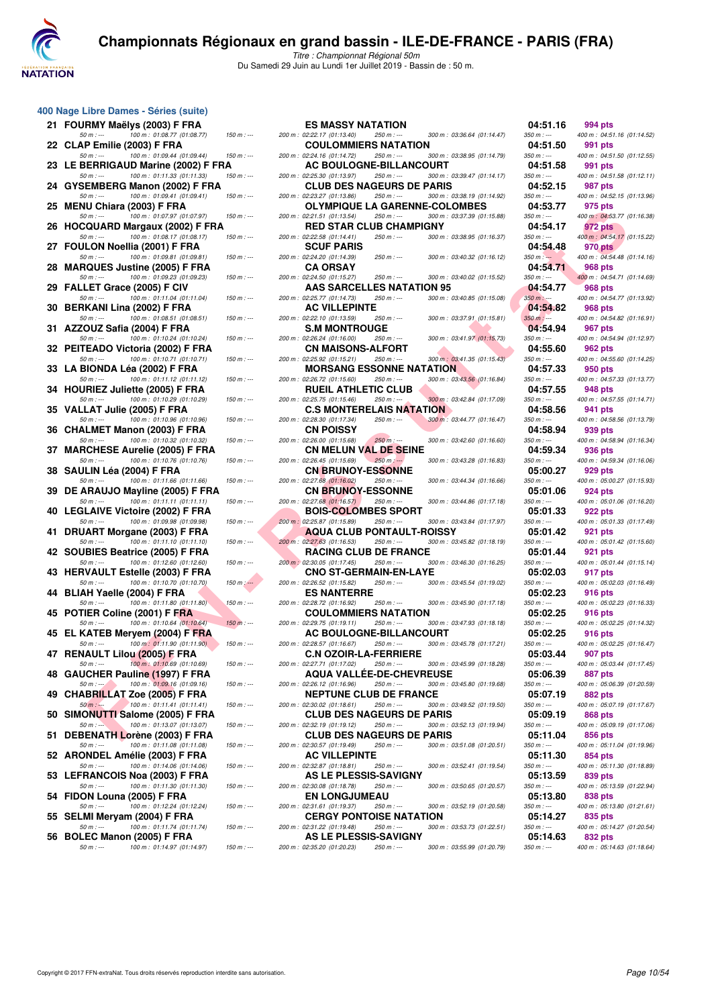

|    | 400 Nage Libre Dames - Séries (suite)                                                                      |            |
|----|------------------------------------------------------------------------------------------------------------|------------|
| 21 | FOURMY Maëlys (2003) F FRA                                                                                 |            |
| 22 | 100 m: 01:08.77 (01:08.77)<br>50 m : ---<br>CLAP Emilie (2003) F FRA                                       | 150        |
| 23 | 100 m: 01:09.44 (01:09.44)<br>50 m : ---<br>LE BERRIGAUD Marine (2002) F FRA<br>100 m: 01:11.33 (01:11.33) | 150<br>150 |
| 24 | 50 m : ---<br>GYSEMBERG Manon (2002) F FRA<br>100 m: 01:09.41 (01:09.41)<br>50 m : ---                     | 150        |
| 25 | <b>MENU Chiara (2003) F FRA</b><br>100 m: 01:07.97 (01:07.97)<br>50 m : ---                                | 150        |
| 26 | HOCQUARD Margaux (2002) F FRA<br>100 m: 01:08.17 (01:08.17)<br>$50 m : -$                                  | 150        |
| 27 | FOULON Noellia (2001) F FRA<br>100 m: 01:09.81 (01:09.81)<br>50 m : ---                                    | 150        |
| 28 | <b>MARQUES Justine (2005) F FRA</b><br>100 m: 01:09.23 (01:09.23)<br>$50 m: -$                             | 150        |
| 29 | FALLET Grace (2005) F CIV<br>100 m: 01:11.04 (01:11.04)<br>50 m : ---                                      | 150        |
| 30 | BERKANI Lina (2002) F FRA<br>100 m: 01:08.51 (01:08.51)<br>50 m : ---                                      | 150        |
| 31 | AZZOUZ Safia (2004) F FRA<br>100 m: 01:10.24 (01:10.24)<br>50 m : ---                                      | 150        |
| 32 | PEITEADO Victoria (2002) F FRA<br>100 m: 01:10.71 (01:10.71)<br>50 m : ---                                 | 150        |
| 33 | LA BIONDA Léa (2002) F FRA<br>100 m: 01:11.12 (01:11.12)<br>50 m : ---                                     | 150        |
| 34 | <b>HOURIEZ Juliette (2005) F FRA</b><br>100 m: 01:10.29 (01:10.29)<br>50 m : ---                           | 150        |
| 35 | VALLAT Julie (2005) F FRA<br>100 m: 01:10.96 (01:10.96)<br>$50 m : -$                                      | 150        |
| 36 | CHALMET Manon (2003) F FRA<br>100 m: 01:10.32 (01:10.32)<br>$50 m : -$                                     | 150        |
| 37 | <b>MARCHESE Aurelie (2005) F FRA</b><br>100 m: 01:10.76 (01:10.76)<br>50 m : ---                           | 150        |
| 38 | SAULIN Léa (2004) F FRA<br>100 m: 01:11.66 (01:11.66)<br>50 m : ---                                        | 150        |
| 39 | DE ARAUJO Mayline (2005) F FRA<br>100 m : 01:11.11 (01:11.11)<br>50 m : ---                                | 150        |
| 40 | <b>LEGLAIVE Victoire (2002) F FRA</b><br>100 m: 01:09.98 (01:09.98)<br>50 m : ---                          | 150        |
| 41 | DRUART Morgane (2003) F FRA<br>100 m: 01:11.10 (01:11.10)<br>50 m : ---                                    | 150        |
| 42 | SOUBIES Beatrice (2005) F FRA<br>100 m : 01:12.60 (01:12.60)<br>$50 m : -$                                 | 150        |
| 43 | HERVAULT Estelle (2003) F FRA<br>$50 m : -$<br>100 m: 01:10.70 (01:10.70)                                  | 150        |
| 44 | BLIAH Yaelle (2004) F FRA<br>100 m: 01:11.80 (01:11.80)<br>50 m : ---                                      | 150        |
| 45 | POTIER Coline (2001) F FRA<br>100 m: 01:10.64 (01:10.64)<br>50 m : ---                                     | 150        |
| 45 | EL KATEB Meryem (2004) F FRA<br>50 m : ---<br>100 m : 01:11.90 (01:11.90)                                  | 150        |
| 47 | <b>RENAULT Lilou (2005) F FRA</b><br>100 m: 01:10.69 (01:10.69)<br>$50 m: -$                               | 150        |
| 48 | GAUCHER Pauline (1997) F FRA<br>100 m: 01:09.16 (01:09.16)<br>$50 m : -$                                   | 150        |
| 49 | CHABRILLAT Zoe (2005) F FRA<br>100 m: 01:11.41 (01:11.41)<br>$50 m : -$                                    | 150        |
| 50 | SIMONUTTI Salome (2005) F FRA<br>100 m: 01:13.07 (01:13.07)<br>$50 m : -$                                  | 150        |
| 51 | DEBENATH Lorène (2003) F FRA<br>100 m: 01:11.08 (01:11.08)<br>50 m : ---                                   | 150        |
| 52 | ARONDEL Amélie (2003) F FRA<br>100 m: 01:14.06 (01:14.06)<br>50 m : ---                                    | 150        |
| 53 | LEFRANCOIS Noa (2003) F FRA<br>$50 m : -$<br>100 m: 01:11.30 (01:11.30)                                    | 150        |
| 54 | FIDON Louna (2005) F FRA<br>100 m: 01:12.24 (01:12.24)<br>$50 m : -$                                       | 150        |
| 55 | SELMI Meryam (2004) F FRA<br>50 m : ---<br>100 m: 01:11.74 (01:11.74)                                      | 150        |
| 56 | BOLEC Manon (2005) F FRA<br>$100 \text{ m}$ : 01:14.97 (01:14.97)<br>$50 m : -$                            | 150        |

| u nage Libre Danies - Series (Suite)                                           |               |                                                                |               |                               |                         |                                              |
|--------------------------------------------------------------------------------|---------------|----------------------------------------------------------------|---------------|-------------------------------|-------------------------|----------------------------------------------|
| 21 FOURMY Maëlys (2003) F FRA                                                  |               | <b>ES MASSY NATATION</b>                                       |               |                               | 04:51.16                | 994 pts                                      |
| $50 m : -$<br>100 m: 01:08.77 (01:08.77)                                       | $150 m: -$    | 200 m: 02:22.17 (01:13.40)                                     | 250 m : ---   | 300 m: 03:36.64 (01:14.47)    | $350 m : -$             | 400 m: 04:51.16 (01:14.52)                   |
| 22   CLAP Emilie (2003) F FRA                                                  |               | <b>COULOMMIERS NATATION</b>                                    |               |                               | 04:51.50                | 991 pts                                      |
| 100 m: 01:09.44 (01:09.44)<br>$50 m : -$                                       | $150 m: -$    | 200 m: 02:24.16 (01:14.72)                                     | 250 m : ---   | 300 m: 03:38.95 (01:14.79)    | $350 m : -$             | 400 m: 04:51.50 (01:12.55)                   |
| 23 LE BERRIGAUD Marine (2002) F FRA<br>100 m: 01:11.33 (01:11.33)              |               | <b>AC BOULOGNE-BILLANCOURT</b>                                 | 250 m : ---   |                               | 04:51.58                | 991 pts                                      |
| $50 m: -$<br>24   GYSEMBERG Manon (2002) F FRA                                 | 150 m : ---   | 200 m: 02:25.30 (01:13.97)<br><b>CLUB DES NAGEURS DE PARIS</b> |               | 300 m: 03:39.47 (01:14.17)    | 350 m : ---<br>04:52.15 | 400 m: 04:51.58 (01:12.11)<br>987 pts        |
| 100 m: 01:09.41 (01:09.41)<br>$50 m : -$                                       | $150 m : -$   | 200 m: 02:23.27 (01:13.86)                                     | 250 m : ---   | 300 m: 03:38.19 (01:14.92)    | $350 m : -$             | 400 m: 04:52.15 (01:13.96)                   |
| 25 MENU Chiara (2003) F FRA                                                    |               |                                                                |               | OLYMPIQUE LA GARENNE-COLOMBES | 04:53.77                | 975 pts                                      |
| $50 m : -$<br>100 m: 01:07.97 (01:07.97)                                       | $150 m : -$   | 200 m: 02:21.51 (01:13.54)                                     | 250 m : ---   | 300 m: 03:37.39 (01:15.88)    | 350 m : ---             | 400 m: 04:53.77 (01:16.38)                   |
| 26 HOCQUARD Margaux (2002) F FRA                                               |               | <b>RED STAR CLUB CHAMPIGNY</b>                                 |               |                               | 04:54.17                | 972 pts                                      |
| $50 m : -$<br>100 m: 01:08.17 (01:08.17)                                       | $150 m : -$   | 200 m: 02:22.58 (01:14.41)                                     | 250 m : ---   | 300 m: 03:38.95 (01:16.37)    | $350 m : -$             | 400 m : 04:54.17 (01:15.22)                  |
| 27   FOULON Noellia (2001) F FRA                                               |               | <b>SCUF PARIS</b>                                              |               |                               | 04:54.48                | 970 pts                                      |
| 100 m: 01:09.81 (01:09.81)<br>$50 m : -$                                       | $150 m : -$   | 200 m: 02:24.20 (01:14.39)                                     | 250 m : ---   | 300 m: 03:40.32 (01:16.12)    | $350 m: -$              | 400 m: 04:54.48 (01:14.16)                   |
| 28   MARQUES Justine (2005) F FRA                                              |               | <b>CA ORSAY</b>                                                |               |                               | 04:54.71                | <b>968 pts</b>                               |
| 100 m: 01:09.23 (01:09.23)<br>$50 m : -$<br>29 FALLET Grace (2005) F CIV       | $150 m : -$   | 200 m: 02:24.50 (01:15.27)<br>AAS SARCELLES NATATION 95        | 250 m : ---   | 300 m: 03:40.02 (01:15.52)    | $350 m : -$<br>04:54.77 | 400 m: 04:54.71 (01:14.69)<br>968 pts        |
| $50 m: -$<br>100 m: 01:11.04 (01:11.04)                                        | $150 m: -$    | 200 m: 02:25.77 (01:14.73)                                     | 250 m : ---   | 300 m: 03:40.85 (01:15.08)    | $350 m : -$             | 400 m: 04:54.77 (01:13.92)                   |
| 30   BERKANI Lina (2002) F FRA                                                 |               | AC VILLEPINTE                                                  |               |                               | 04:54.82                | 968 pts                                      |
| 100 m: 01:08.51 (01:08.51)<br>$50 m : -$                                       | $150 m : -$   | 200 m: 02:22.10 (01:13.59)                                     | 250 m : ---   | 300 m: 03:37.91 (01:15.81)    | $350 m : -$             | 400 m: 04:54.82 (01:16.91)                   |
| 31   AZZOUZ Safia (2004) F FRA                                                 |               | S.M MONTROUGE                                                  |               |                               | 04:54.94                | 967 pts                                      |
| $50 m: -$<br>100 m: 01:10.24 (01:10.24)                                        | $150 m : -$   | 200 m : 02:26.24 (01:16.00)                                    | $250 m : -$   | 300 m: 03:41.97 (01:15.73)    | $350 m : -$             | 400 m: 04:54.94 (01:12.97)                   |
| 32 PEITEADO Victoria (2002) F FRA                                              |               | <b>CN MAISONS-ALFORT</b>                                       |               |                               | 04:55.60                | 962 pts                                      |
| 100 m: 01:10.71 (01:10.71)<br>$50 m : -$                                       | $150 m: -$    | 200 m: 02:25.92 (01:15.21)                                     | 250 m : ---   | 300 m: 03:41.35 (01:15.43)    | $350 m : -$             | 400 m: 04:55.60 (01:14.25)                   |
| 33   LA BIONDA Léa (2002) F FRA                                                |               | <b>MORSANG ESSONNE NATATION</b>                                |               |                               | 04:57.33                | 950 pts                                      |
| 100 m: 01:11.12 (01:11.12)<br>$50 m : -$                                       | $150 m : -$   | 200 m : 02:26.72 (01:15.60)                                    | 250 m : ---   | 300 m : 03:43.56 (01:16.84)   | 350 m : ---             | 400 m: 04:57.33 (01:13.77)                   |
| 34   HOURIEZ Juliette (2005) F FRA<br>100 m: 01:10.29 (01:10.29)<br>$50 m : -$ | $150 m: -$    | <b>RUEIL ATHLETIC CLUB</b><br>200 m: 02:25.75 (01:15.46)       | 250 m : ---   | 300 m: 03:42.84 (01:17.09)    | 04:57.55<br>$350 m : -$ | 948 pts<br>400 m: 04:57.55 (01:14.71)        |
| 35   VALLAT Julie (2005) F FRA                                                 |               | <b>C.S MONTERELAIS NATATION</b>                                |               |                               | 04:58.56                | 941 pts                                      |
| 100 m: 01:10.96 (01:10.96)<br>$50 m : -$                                       | $150 m: -$    | 200 m: 02:28.30 (01:17.34)                                     | 250 m : ---   | 300 m: 03:44.77 (01:16.47)    | 350 m : ---             | 400 m: 04:58.56 (01:13.79)                   |
| 36   CHALMET Manon (2003) F FRA                                                |               | <b>CN POISSY</b>                                               |               |                               | 04:58.94                | 939 pts                                      |
| 100 m: 01:10.32 (01:10.32)<br>$50 m : -$                                       | $150 m : -$   | 200 m: 02:26.00 (01:15.68)                                     | $250 m : -$   | 300 m: 03:42.60 (01:16.60)    | $350 m : -$             | 400 m: 04:58.94 (01:16.34)                   |
| 37 MARCHESE Aurelie (2005) F FRA                                               |               | CN MELUN VAL DE SEINE                                          |               |                               | 04:59.34                | 936 pts                                      |
| $50 m : -$<br>100 m: 01:10.76 (01:10.76)                                       | $150 m : -$   | 200 m: 02:26.45 (01:15.69)                                     | $250 m$ : --- | 300 m : 03:43.28 (01:16.83)   | $350 m : -$             | 400 m: 04:59.34 (01:16.06)                   |
| 38   SAULIN Léa (2004) F FRA                                                   |               | <b>CN BRUNOY-ESSONNE</b>                                       |               |                               | 05:00.27                | 929 pts                                      |
| $50 m : -$<br>100 m: 01:11.66 (01:11.66)                                       | $150 m: -$    | 200 m: 02:27.68 (01:16.02)<br><b>CN BRUNOY-ESSONNE</b>         | 250 m : ---   | 300 m : 03:44.34 (01:16.66)   | $350 m : -$<br>05:01.06 | 400 m: 05:00.27 (01:15.93)                   |
| 39 DE ARAUJO Mayline (2005) F FRA<br>100 m: 01:11.11 (01:11.11)<br>$50 m : -$  | $150 m : -$   | 200 m: 02:27.68 (01:16.57)                                     | 250 m : ---   | 300 m : 03:44.86 (01:17.18)   | $350 m : -$             | 924 pts<br>400 m: 05:01.06 (01:16.20)        |
| 40   LEGLAIVE Victoire (2002) F FRA                                            |               | <b>BOIS-COLOMBES SPORT</b>                                     |               |                               | 05:01.33                | 922 pts                                      |
| $50 m: -$<br>100 m: 01:09.98 (01:09.98)                                        | $150 m : -$   | 200 m : 02:25.87 (01:15.89)                                    | 250 m : ---   | 300 m: 03:43.84 (01:17.97)    | 350 m : ---             | 400 m: 05:01.33 (01:17.49)                   |
| 41 DRUART Morgane (2003) F FRA                                                 |               | <b>AQUA CLUB PONTAULT-ROISSY</b>                               |               |                               | 05:01.42                | 921 pts                                      |
| 100 m: 01:11.10 (01:11.10)<br>$50 m : -$                                       | $150 m: -$    | 200 m : 02:27.63 (01:16.53)                                    | 250 m : ---   | 300 m: 03:45.82 (01:18.19)    | 350 m : ---             | 400 m: 05:01.42 (01:15.60)                   |
| 42 SOUBIES Beatrice (2005) F FRA                                               |               | <b>RACING CLUB DE FRANCE</b>                                   |               |                               | 05:01.44                | 921 pts                                      |
| 100 m: 01:12.60 (01:12.60)<br>$50 m: -$                                        | $150 m : -$   | 200 m : 02:30.05 (01:17.45)                                    | 250 m : ---   | 300 m: 03:46.30 (01:16.25)    | $350 m : -$             | 400 m: 05:01.44 (01:15.14)                   |
| 43   HERVAULT Estelle (2003) F FRA<br>$50 m: -$<br>100 m: 01:10.70 (01:10.70)  | $150 m: -$    | CNO ST-GERMAIN-EN-LAYE<br>200 m: 02:26.52 (01:15.82)           | 250 m : ---   | 300 m: 03:45.54 (01:19.02)    | 05:02.03<br>$350 m : -$ | 917 pts<br>400 m: 05:02.03 (01:16.49)        |
| 44 BLIAH Yaelle (2004) F FRA                                                   |               | <b>ES NANTERRE</b>                                             |               |                               | 05:02.23                | 916 pts                                      |
| 100 m: 01:11.80 (01:11.80)<br>$50 m : -$                                       | $150 m: -$    | 200 m: 02:28.72 (01:16.92)                                     | 250 m : ---   | 300 m: 03:45.90 (01:17.18)    | $350 m : -$             | 400 m: 05:02.23 (01:16.33)                   |
| 45 POTIER Coline (2001) F FRA                                                  |               | <b>COULOMMIERS NATATION</b>                                    |               |                               | 05:02.25                | 916 pts                                      |
| 100 m: 01:10.64 (01:10.64)<br>$50 m : -$                                       | $150 m : -$   | 200 m: 02:29.75 (01:19.11)                                     | 250 m : ---   | 300 m: 03:47.93 (01:18.18)    | $350 m : -$             | 400 m: 05:02.25 (01:14.32)                   |
| 45   EL KATEB Meryem <u>(</u> 2004) F FRA                                      |               | AC BOULOGNE-BILLANCOURT                                        |               |                               | 05:02.25                | 916 pts                                      |
| 100 m: 01:11.90 (01:11.90)<br>$50 m : -$                                       | $150 m: -$    | 200 m: 02:28.57 (01:16.67)                                     | 250 m : ---   | 300 m: 03:45.78 (01:17.21)    | $350 m : -$             | 400 m: 05:02.25 (01:16.47)                   |
| 47 RENAULT Lilou (2005) F FRA                                                  |               | <b>C.N OZOIR-LA-FERRIERE</b>                                   |               |                               | 05:03.44                | 907 pts                                      |
| $50 m : -$<br>100 m: 01:10.69 (01:10.69)                                       | $150 m$ : --- | 200 m: 02:27.71 (01:17.02)                                     | 250 m : ---   | 300 m: 03:45.99 (01:18.28)    | 350 m : ---             | 400 m: 05:03.44 (01:17.45)                   |
| 48 GAUCHER Pauline (1997) F FRA<br>100 m : 01:09.16 (01:09.16)<br>$50 m: -$    |               | <b>AQUA VALLEE-DE-CHEVREUSE</b><br>200 m : 02:26.12 (01:16.96) | 250 m : ---   |                               | 05:06.39<br>350 m : --- | <b>887 pts</b><br>400 m: 05:06.39 (01:20.59) |
| 49   CHABRILLAT Zoe (2005) F FRA                                               | $150 m : -$   | <b>NEPTUNE CLUB DE FRANCE</b>                                  |               | 300 m : 03:45.80 (01:19.68)   | 05:07.19                | 882 pts                                      |
| $50 m: -$<br>100 m: 01:11.41 (01:11.41)                                        | $150 m : -$   | 200 m: 02:30.02 (01:18.61)                                     | 250 m : ---   | 300 m: 03:49.52 (01:19.50)    | $350 m : -$             | 400 m: 05:07.19 (01:17.67)                   |
| 50   SIMONUTTI Salome (2005) F FRA                                             |               | <b>CLUB DES NAGEURS DE PARIS</b>                               |               |                               | 05:09.19                | 868 pts                                      |
| 100 m: 01:13.07 (01:13.07)<br>$50 m : -$                                       | $150 m$ : --- | 200 m : 02:32.19 (01:19.12)                                    | 250 m : ---   | 300 m: 03:52.13 (01:19.94)    | 350 m : ---             | 400 m: 05:09.19 (01:17.06)                   |
| 51   DEBENATH Lorène (2003) F FRA                                              |               | <b>CLUB DES NAGEURS DE PARIS</b>                               |               |                               | 05:11.04                | 856 pts                                      |
| $50 m : -$<br>100 m: 01:11.08 (01:11.08)                                       | $150 m : -$   | 200 m: 02:30.57 (01:19.49)                                     | 250 m : ---   | 300 m: 03:51.08 (01:20.51)    | 350 m : ---             | 400 m: 05:11.04 (01:19.96)                   |
| 52   ARONDEL Amélie (2003) F FRA                                               |               | <b>AC VILLEPINTE</b>                                           |               |                               | 05:11.30                | 854 pts                                      |
| 100 m: 01:14.06 (01:14.06)<br>$50 m: -$                                        | $150 m : -$   | 200 m: 02:32.87 (01:18.81)                                     | 250 m : ---   | 300 m: 03:52.41 (01:19.54)    | 350 m : ---             | 400 m: 05:11.30 (01:18.89)                   |
| 53   LEFRANCOIS Noa (2003) F FRA<br>$50 m : -$<br>100 m: 01:11.30 (01:11.30)   | $150 m$ : --- | AS LE PLESSIS-SAVIGNY<br>200 m: 02:30.08 (01:18.78)            | 250 m : ---   | 300 m: 03:50.65 (01:20.57)    | 05:13.59<br>350 m : --- | 839 pts<br>400 m: 05:13.59 (01:22.94)        |
| 54 FIDON Louna (2005) F FRA                                                    |               | <b>EN LONGJUMEAU</b>                                           |               |                               | 05:13.80                | 838 pts                                      |
| 100 m: 01:12.24 (01:12.24)<br>$50 m: -$                                        | $150 m$ : --- | 200 m: 02:31.61 (01:19.37)                                     | 250 m : ---   | 300 m: 03:52.19 (01:20.58)    | 350 m : ---             | 400 m: 05:13.80 (01:21.61)                   |
| 55 SELMI Meryam (2004) F FRA                                                   |               | <b>CERGY PONTOISE NATATION</b>                                 |               |                               | 05:14.27                | 835 pts                                      |
| $50 m : -$<br>100 m: 01:11.74 (01:11.74)                                       | $150 m : -$   | 200 m: 02:31.22 (01:19.48)                                     | 250 m : ---   | 300 m: 03:53.73 (01:22.51)    | $350 m : -$             | 400 m: 05:14.27 (01:20.54)                   |
| 56 BOLEC Manon (2005) F FRA                                                    |               | AS LE PLESSIS-SAVIGNY                                          |               |                               | 05:14.63                | 832 pts                                      |
| $50 m: -$<br>100 m: 01:14.97 (01:14.97)                                        | $150 m$ : --- | 200 m: 02:35.20 (01:20.23)                                     | $250 m : -$   | 300 m: 03:55.99 (01:20.79)    | $350 m : -$             | 400 m: 05:14.63 (01:18.64                    |

| 1.16     | 994 pts        |                             |
|----------|----------------|-----------------------------|
| 1.50     | 991 pts        | 400 m: 04:51.16 (01:14.52)  |
| 1.58     | 991 pts        | 400 m: 04:51.50 (01:12.55)  |
| 2.15     |                | 400 m : 04:51.58 (01:12.11) |
|          | 987 pts        | 400 m: 04:52.15 (01:13.96)  |
| 3.77     | 975 pts        | 400 m : 04:53.77 (01:16.38) |
| 4.17     | 972 pts        | 400 m : 04:54.17 (01:15.22) |
| 4.48     | 970 pts        |                             |
| 4.71     | 968 pts        | 400 m: 04:54.48 (01:14.16)  |
| 4.77     | <b>968 pts</b> | 400 m: 04:54.71 (01:14.69)  |
| 4.82     | 968 pts        | 400 m : 04:54.77 (01:13.92) |
| 4.94     | 967 pts        | 400 m : 04:54.82 (01:16.91) |
|          |                | 400 m : 04:54.94 (01:12.97) |
| 5.60     | 962 pts        | 400 m : 04:55.60 (01:14.25) |
| 7.33     | 950 pts        | 400 m: 04:57.33 (01:13.77)  |
| 7.55     | 948 pts        | 400 m: 04:57.55 (01:14.71)  |
| 8.56     | 941 pts        |                             |
| 8.94     | 939 pts        | 400 m : 04:58.56 (01:13.79) |
| 9.34     | 936 pts        | 400 m: 04:58.94 (01:16.34)  |
| $0.27\,$ | 929 pts        | 400 m : 04:59.34 (01:16.06) |
|          |                | 400 m : 05:00.27 (01:15.93) |
| 1.06     | 924 pts        | 400 m : 05:01.06 (01:16.20) |
| 1.33     | 922 pts        | 400 m: 05:01.33 (01:17.49)  |
| 1.42     | 921 pts        | 400 m : 05:01.42 (01:15.60) |
| 1.44     | 921 pts        |                             |
| 2.03     | 917 pts        | 400 m : 05:01.44 (01:15.14) |
| 2.23     | 916 pts        | 400 m: 05:02.03 (01:16.49)  |
| 2.25     | 916 pts        | 400 m : 05:02.23 (01:16.33) |
|          |                | 400 m: 05:02.25 (01:14.32)  |
| 2.25     | 916 pts        | 400 m: 05:02.25 (01:16.47)  |
| 3.44     | <b>907 pts</b> | 400 m: 05:03.44 (01:17.45)  |
| 6.39     | <b>887 pts</b> | 400 m: 05:06.39 (01:20.59)  |
| 7.19     | 882 pts        |                             |
| 9.19     | 868 pts        | 400 m: 05:07.19 (01:17.67)  |
| 1.04     | <b>856 pts</b> | 400 m: 05:09.19 (01:17.06)  |
| 1.30     | 854 pts        | 400 m: 05:11.04 (01:19.96)  |
| 3.59     | 839 pts        | 400 m: 05:11.30 (01:18.89)  |
|          |                | 400 m: 05:13.59 (01:22.94)  |
| 3.80     | 838 pts        | 400 m: 05:13.80 (01:21.61)  |
| 4.27     | 835 pts        | 400 m: 05:14.27 (01:20.54)  |
| 4.63     | 832 pts        |                             |
|          |                | 400 m: 05:14.63 (01:18.64)  |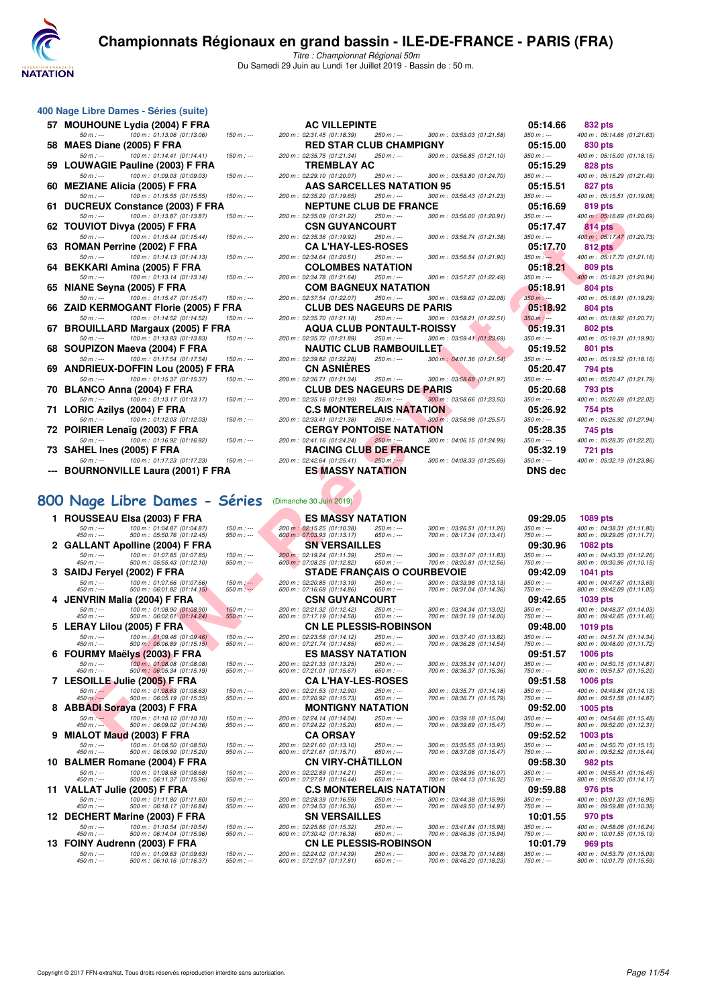

Titre : Championnat Régional 50m Du Samedi 29 Juin au Lundi 1er Juillet 2019 - Bassin de : 50 m.

|    | 400 Nage Libre Dames - Séries (suite)                 |           |
|----|-------------------------------------------------------|-----------|
| 57 | <b>MOUHOUNE Lydia (2004) F FRA</b>                    |           |
|    | 100 m: 01:13.06 (01:13.06)<br>$50 m : -$              | 150 m:    |
| 58 | MAES Diane (2005) F FRA                               |           |
|    | 100 m: 01:14.41 (01:14.41)<br>$50 m : -$              | 150 m:    |
| 59 | <b>LOUWAGIE Pauline (2003) F FRA</b>                  |           |
|    | 100 m: 01:09.03 (01:09.03)<br>$50 m : -$              | 150 m:    |
| 60 | <b>MEZIANE Alicia (2005) F FRA</b>                    |           |
|    | 100 m: 01:15.55 (01:15.55)<br>$50 m : -$              | 150 m:    |
| 61 | <b>DUCREUX Constance (2003) F FRA</b>                 |           |
|    | 100 m: 01:13.87 (01:13.87)<br>$50 m : -$              | 150 m:    |
| 62 | TOUVIOT Divya (2005) F FRA                            |           |
|    | 100 m: 01:15.44 (01:15.44)<br>$50 m : -$              | 150 m:    |
| 63 | ROMAN Perrine (2002) F FRA                            |           |
|    | 100 m: 01:14.13 (01:14.13)<br>$50 m : -$              | 150 m:    |
| 64 | <b>BEKKARI Amina (2005) F FRA</b>                     |           |
|    | 100 m: 01:13.14 (01:13.14)<br>$50 m: -$               | 150 m:    |
| 65 | NIANE Seyna (2005) F FRA                              |           |
|    | 100 m: 01:15.47 (01:15.47)<br>$50 m : -$              | $150 m$ : |
| 66 | ZAID KERMOGANT Florie (2005) F FRA                    |           |
|    | 100 m : 01:14.52 (01:14.52)<br>$50 m : -$             | 150 m:    |
| 67 | <b>BROUILLARD Margaux (2005) F FRA</b>                |           |
|    | 100 m : 01:13.83 (01:13.83)<br>$50 m: -$              | 150 m:    |
| 68 | SOUPIZON Maeva (2004) F FRA                           |           |
|    | 100 m : 01:17.54 (01:17.54)<br>$50 m: -$              | $150 m$ : |
| 69 | ANDRIEUX-DOFFIN Lou (2005) F FRA                      |           |
|    | 100 m: 01:15.37 (01:15.37)<br>$50 m: -$               | 150 m:    |
| 70 | BLANCO Anna (2004) F FRA                              |           |
|    | 100 m: 01:13.17 (01:13.17)<br>$50 m : -$              | 150 m:    |
| 71 | LORIC Azilys (2004) F FRA                             |           |
|    | 100 m: 01:12.03 (01:12.03)<br>50 m : ---              | 150 m:    |
|    | 72 POIRIER Lenaïg (2003) F FRA                        |           |
|    | 100 m : 01:16.92 (01:16.92)<br>$50 m : -$             | 150 m:    |
|    | 73 SAHEL Ines (2005) F FRA                            |           |
|    | $100 m : 01:17.23 (01:17.23)$ $150 m :$<br>$50 m : -$ |           |
|    | <b>BOURNONVILLE Laura (2001) F FRA</b>                |           |
|    |                                                       |           |
|    |                                                       |           |

# **[800 Nage Libre Dames - Séries](http://www.ffnatation.fr/webffn/resultats.php?idact=nat&go=epr&idcpt=61555&idepr=5)** (Dimanche 30 Juin 2019)

| 1  |                | <b>ROUSSEAU Elsa (2003) F FRA</b>    |             |
|----|----------------|--------------------------------------|-------------|
|    | $50 m : -$     | 100 m: 01:04.87 (01:04.87)           | 150 m : --  |
|    | 450 m : ---    | 500 m: 05:50.76 (01:12.45)           | 550 m : --  |
| 2  |                | <b>GALLANT Apolline (2004) F FRA</b> |             |
|    | $50 m: -$      | 100 m: 01:07.85 (01:07.85)           | $150 m : -$ |
|    | 450 m : ---    | 500 m: 05:55.43 (01:12.10)           | 550 m : --  |
| 3  |                | SAIDJ Feryel (2002) F FRA            |             |
|    | $50 m: -$      | 100 m : 01:07.66 (01:07.66)          | $150 m : -$ |
|    | 450 m : ---    | 500 m: 06:01.82 (01:14.15)           | 550 m : --  |
| 4  |                | JENVRIN Malia (2004) F FRA           |             |
|    | $50 m : -$     | 100 m: 01:08.90 (01:08.90)           | $150 m : -$ |
|    | $450 m : -$    | 500 m: 06:02.61 (01:14.24)           | $550 m: -$  |
| 5  |                | LERAY Lilou (2005) F FRA             |             |
|    | 50 m : ---     | 100 m : 01:09.46 (01:09.46)          | $150 m : -$ |
|    | 450 m : ---    | 500 m: 06:06.89 (01:15.15)           | 550 m : --  |
| 6  | <b>FOURMY</b>  | Maëlys (2003) F FRA                  |             |
|    | $50 m : -$     | 100 m: 01:08.08 (01:08.08)           | $150 m: -$  |
|    | $450 m : -$    | 500 m: 06:05.34 (01:15.19)           | 550 m : --  |
| 7  | <b>LESOIL</b>  | LLE Julie (2005) F FRA               |             |
|    | $50 m : -$     | 100 m: 01:08.63 (01:08.63)           | $150 m : -$ |
|    | $450 m$ : ---  | 500 m: 06:05.19 (01:15.35)           | $550 m: -$  |
| 8  |                | <b>ABBADI Soraya (2003) F FRA</b>    |             |
|    | $50 m: -$      | 100 m: 01:10.10 (01:10.10)           | $150 m: -$  |
|    | $450 m : -1$   | 500 m: 06:09.02 (01:14.36)           | 550 m : --  |
| 9  |                | MIALOT Maud (2003) F FRA             |             |
|    | $50 m: -$      | 100 m: 01:08.50 (01:08.50)           | $150 m : -$ |
|    | 450 m : ---    | 500 m: 06:05.90 (01:15.20)           | 550 m : --  |
| 10 |                | BALMER Romane (2004) F FRA           |             |
|    | $50 m: -$      | 100 m: 01:08.68 (01:08.68)           | $150 m: -$  |
|    | 450 m : ---    | 500 m: 06:11.37 (01:15.96)           | 550 m : --  |
| 11 |                | <b>VALLAT Julie (2005) F FRA</b>     |             |
|    | $50 m: -$      | 100 m: 01:11.80 (01:11.80)           | $150 m : -$ |
|    | 450 m : ---    | 500 m : 06:18.17 (01:16.84)          | 550 m : --  |
| 12 | <b>DECHERT</b> | <b>Marine (2003) F FRA</b>           |             |
|    | $50 m: -$      | 100 m: 01:10.54 (01:10.54)           | $150 m: -$  |
|    | 450 m : ---    | 500 m: 06:14.04 (01:15.96)           | 550 m : --  |
| 13 |                | FOINY Audrenn (2003) F FRA           |             |
|    | $50 m : -$     | 100 m: 01:09.63 (01:09.63)           | $150 m : -$ |
|    |                |                                      |             |

|     | 57   MOUHOUNE Lydia (2004) F FRA                                                                                      | <b>AC VILLEPINTE</b>                                       |                                                   |                                                           | 05:14.66                  | 832 pts                                                  |
|-----|-----------------------------------------------------------------------------------------------------------------------|------------------------------------------------------------|---------------------------------------------------|-----------------------------------------------------------|---------------------------|----------------------------------------------------------|
|     | $50 m: -$<br>100 m: 01:13.06 (01:13.06)<br>$150 m: -$                                                                 | 200 m: 02:31.45 (01:18.39)                                 | $250 m: -$                                        | 300 m: 03:53.03 (01:21.58)                                | $350 m : -$               | 400 m: 05:14.66 (01:21.63)                               |
|     | 58 MAES Diane (2005) F FRA                                                                                            |                                                            | <b>RED STAR CLUB CHAMPIGNY</b>                    |                                                           | 05:15.00                  | 830 pts                                                  |
|     | $50 m : -$<br>100 m: 01:14.41 (01:14.41)<br>$150 m : -$                                                               | 200 m: 02:35.75 (01:21.34)                                 | 250 m : ---                                       | 300 m: 03:56.85 (01:21.10)                                | $350 m : -$               | 400 m: 05:15.00 (01:18.15)                               |
|     | 59 LOUWAGIE Pauline (2003) F FRA                                                                                      | <b>TREMBLAY AC</b>                                         |                                                   |                                                           | 05:15.29                  | 828 pts                                                  |
|     | 100 m: 01:09.03 (01:09.03)<br>$50 m : -$<br>$150 m$ : ---<br>60   MEZIANE Alicia (2005) F FRA                         | 200 m : 02:29.10 (01:20.07)                                | 250 m : ---<br><b>AAS SARCELLES NATATION 95</b>   | 300 m: 03:53.80 (01:24.70)                                | $350 m : -$<br>05:15.51   | 400 m: 05:15.29 (01:21.49)<br>827 pts                    |
|     | 100 m: 01:15.55 (01:15.55)<br>$50 m : -$<br>$150 m: -$                                                                | 200 m: 02:35.20 (01:19.65)                                 | $250 m: -$                                        | 300 m: 03:56.43 (01:21.23)                                | 350 m : ---               | 400 m: 05:15.51 (01:19.08)                               |
|     | 61 DUCREUX Constance (2003) F FRA                                                                                     |                                                            | <b>NEPTUNE CLUB DE FRANCE</b>                     |                                                           | 05:16.69                  | <b>819 pts</b>                                           |
|     | 100 m: 01:13.87 (01:13.87)<br>$50 m : -$<br>$150 m : -$                                                               | 200 m : 02:35.09 (01:21.22)                                | 250 m : ---                                       | 300 m: 03:56.00 (01:20.91)                                | $350 m : -$               | 400 m: 05:16.69 (01:20.69)                               |
|     | 62   TOUVIOT Divya (2005) F FRA                                                                                       |                                                            | <b>CSN GUYANCOURT</b>                             |                                                           | 05:17.47                  | 814 pts                                                  |
|     | $50 m: -$<br>100 m: 01:15.44 (01:15.44)<br>$150 m : -$                                                                | 200 m: 02:35.36 (01:19.92)                                 | 250 m : ---                                       | 300 m: 03:56.74 (01:21.38)                                | $350 m : -$               | 400 m: 05:17.47 (01:20.73)                               |
|     | 63 ROMAN Perrine (2002) F FRA                                                                                         |                                                            | <b>CA L'HAY-LES-ROSES</b>                         |                                                           | 05:17.70                  | <b>812 pts</b>                                           |
|     | 100 m: 01:14.13 (01:14.13)<br>$50 m$ : ---<br>$150 m$ : ---                                                           | 200 m: 02:34.64 (01:20.51)                                 | 250 m : ---                                       | 300 m: 03:56.54 (01:21.90)                                | $350 m: -$                | 400 m: 05:17.70 (01:21.16)                               |
|     | 64 BEKKARI Amina (2005) F FRA                                                                                         |                                                            | <b>COLOMBES NATATION</b>                          |                                                           | 05:18.21                  | 809 pts                                                  |
|     | 100 m: 01:13.14 (01:13.14)<br>$50 m : -$<br>$150 m: -$                                                                | 200 m: 02:34.78 (01:21.64)                                 | 250 m : ---                                       | 300 m: 03:57.27 (01:22.49)                                | $350 m: -$                | 400 m: 05:18.21 (01:20.94)                               |
|     | 65   NIANE Seyna (2005) F FRA                                                                                         |                                                            | <b>COM BAGNEUX NATATION</b>                       |                                                           | 05:18.91                  | 804 pts                                                  |
|     | 100 m: 01:15.47 (01:15.47)<br>$150 m : -$<br>$50 m: -$                                                                | 200 m: 02:37.54 (01:22.07)                                 | 250 m : ---                                       | 300 m: 03:59.62 (01:22.08)                                | $350 m$ : ---             | 400 m: 05:18.91 (01:19.29)                               |
|     | 66   ZAID KERMOGANT Florie (2005) F FRA                                                                               |                                                            | <b>CLUB DES NAGEURS DE PARIS</b>                  |                                                           | 05:18.92                  | 804 pts                                                  |
|     | 100 m: 01:14.52 (01:14.52)<br>$150 m: -$<br>$50 m : -$                                                                | 200 m: 02:35.70 (01:21.18)                                 | 250 m : ---<br><b>AQUA CLUB PONTAULT-ROISSY</b>   | 300 m: 03:58.21 (01:22.51)                                | $350 m : -$<br>05:19.31   | 400 m: 05:18.92 (01:20.71)                               |
|     | 67   BROUILLARD Margaux (2005) F FRA<br>100 m: 01:13.83 (01:13.83)<br>$50 m : -$<br>$150 m : -$                       | 200 m: 02:35.72 (01:21.89)                                 | 250 m : ---                                       | 300 m: 03:59.41 (01:23.69)                                | $350 m : -$               | 802 pts<br>400 m: 05:19.31 (01:19.90)                    |
|     | 68 SOUPIZON Maeva (2004) F FRA                                                                                        |                                                            | <b>NAUTIC CLUB RAMBOUILLET</b>                    |                                                           | 05:19.52                  | 801 pts                                                  |
|     | $50 m: -$<br>100 m: 01:17.54 (01:17.54)<br>$150 m: -$                                                                 | 200 m: 02:39.82 (01:22.28)                                 | $250 m : -$                                       | 300 m: 04:01.36 (01:21.54)                                | $350 m: -$                | 400 m: 05:19.52 (01:18.16)                               |
|     | 69   ANDRIEUX-DOFFIN Lou (2005) F FRA                                                                                 | <b>CN ASNIERES</b>                                         |                                                   |                                                           | 05:20.47                  | 794 pts                                                  |
|     | 100 m: 01:15.37 (01:15.37)<br>$50 m: -$<br>$150 m: -$                                                                 | 200 m: 02:36.71 (01:21.34)                                 | $250 m: -$                                        | 300 m: 03:58.68 (01:21.97)                                | $350 m : -$               | 400 m: 05:20.47 (01:21.79)                               |
|     | 70   BLANCO Anna (2004) F FRA                                                                                         |                                                            | <b>CLUB DES NAGEURS DE PARIS</b>                  |                                                           | 05:20.68                  | 793 pts                                                  |
|     | $50 m : -$<br>100 m: 01:13.17 (01:13.17)<br>$150 m : -$                                                               | 200 m: 02:35.16 (01:21.99)                                 | 250 m : ---                                       | 300 m: 03:58.66 (01:23.50)                                | $350 m : -$               | 400 m: 05:20.68 (01:22.02)                               |
| 71. | LORIC Azilys (2004) F FRA                                                                                             |                                                            | <b>C.S MONTERELAIS NATATION</b>                   |                                                           | 05:26.92                  | 754 pts                                                  |
|     | 100 m: 01:12.03 (01:12.03)<br>$50 m: -$<br>$150 m: -$                                                                 | 200 m: 02:33.41 (01:21.38)                                 | 250 m : ---                                       | 300 m: 03:58.98 (01:25.57)                                | $350 m : -$               | 400 m: 05:26.92 (01:27.94)                               |
|     | 72 POIRIER Lenaïg (2003) F FRA                                                                                        |                                                            | <b>CERGY PONTOISE NATATION</b>                    |                                                           | 05:28.35                  | 745 pts                                                  |
|     | 100 m: 01:16.92 (01:16.92)<br>$50 m: -$<br>$150 m: -$                                                                 | 200 m : 02:41.16 (01:24.24)                                | $250 m: -$                                        | 300 m: 04:06.15 (01:24.99)                                | $350 m : -$               | 400 m: 05:28.35 (01:22.20)                               |
|     | 73   SAHEL Ines (2005) F FRA<br>100 m: 01:17.23 (01:17.23)<br>$50 m: -$<br>$150 m : -$                                | 200 m: 02:42.64 (01:25.41)                                 | <b>RACING CLUB DE FRANCE</b><br>$250 m: -$        | 300 m: 04:08.33 (01:25.69)                                | 05:32.19<br>$350 m : -$   | 721 pts<br>400 m: 05:32.19 (01:23.86)                    |
|     | --- BOURNONVILLE Laura (2001) F FRA                                                                                   |                                                            | <b>ES MASSY NATATION</b>                          |                                                           | <b>DNS</b> dec            |                                                          |
|     |                                                                                                                       |                                                            |                                                   |                                                           |                           |                                                          |
|     |                                                                                                                       |                                                            |                                                   |                                                           |                           |                                                          |
|     | 00 Nage Libre Dames - Séries                                                                                          | (Dimanche 30 Juin 2019)                                    |                                                   |                                                           |                           |                                                          |
|     |                                                                                                                       |                                                            |                                                   |                                                           |                           |                                                          |
|     | 1 ROUSSEAU Elsa (2003) F FRA<br>100 m: 01:04.87 (01:04.87)                                                            |                                                            | <b>ES MASSY NATATION</b><br>250 m : ---           |                                                           | 09:29.05<br>$350 m : -$   | 1089 pts<br>400 m: 04:38.31 (01:11.80)                   |
|     | $50 m: -$<br>$150 m : -$<br>450 m : ---<br>500 m: 05:50.76 (01:12.45)<br>550 $m$ : ---                                | 200 m : 02:15.25 (01:10.38)<br>600 m : 07:03.93 (01:13.17) | 650 m : ---                                       | 300 m: 03:26.51 (01:11.26)<br>700 m : 08:17.34 (01:13.41) | 750 m : ---               | 800 m: 09:29.05 (01:11.71)                               |
|     | 2 GALLANT Apolline (2004) F FRA                                                                                       | <b>SN VERSAILLES</b>                                       |                                                   |                                                           | 09:30.96                  | 1082 pts                                                 |
|     | 100 m: 01:07.85 (01:07.85)<br>$50 m: -$<br>$150 m : -$                                                                | 200 m: 02:19.24 (01:11.39)                                 | 250 m : ---                                       | 300 m: 03:31.07 (01:11.83)                                | $350 m : -$               | 400 m: 04:43.33 (01:12.26)                               |
|     | 500 m: 05:55.43 (01:12.10)<br>$550 m: -$<br>450 m : ---<br>3 SAIDJ Feryel (2002) F FRA                                | 600 m: 07:08.25 (01:12.82)                                 | 650 m : ---<br><b>STADE FRANÇAIS O COURBEVOIE</b> | 700 m: 08:20.81 (01:12.56)                                | 750 m : ---<br>09:42.09   | 800 m: 09:30.96 (01:10.15)<br>1041 pts                   |
|     | $50 m: -$<br>100 m: 01:07.66 (01:07.66)<br>$150 m$ : $-$                                                              | 200 m: 02:20.85 (01:13.19)                                 | 250 m : ---                                       | 300 m: 03:33.98 (01:13.13)                                | $350 m : -$               | 400 m: 04:47.67 (01:13.69)                               |
|     | 500 m: 06:01.82 (01:14.15)<br>550 m $: -$<br>450 m : ---                                                              | 600 m: 07:16.68 (01:14.86)                                 | 650 m : ---                                       | 700 m: 08:31.04 (01:14.36)                                | 750 m : ---               | 800 m : 09:42.09 (01:11.05)                              |
|     | 4 JENVRIN Malia (2004) F FRA                                                                                          |                                                            | <b>CSN GUYANCOURT</b>                             |                                                           | 09:42.65                  | 1039 pts                                                 |
|     | 100 m: 01:08.90 (01:08.90)<br>$150 m : -$<br>$50 m : -$<br>500 m : 06:02.61 (01:14.24)<br>$550 m: -$<br>450 m : ---   | 200 m: 02:21.32 (01:12.42)<br>600 m: 07:17.19 (01:14.58)   | $250 m: -$<br>650 m : ---                         | 300 m: 03:34.34 (01:13.02)<br>700 m: 08:31.19 (01:14.00)  | $350 m: -$<br>750 m : --- | 400 m: 04:48.37 (01:14.03)<br>800 m: 09:42.65 (01:11.46) |
|     | 5 LERAY Lilou (2005) F FRA                                                                                            |                                                            | <b>CN LE PLESSIS-ROBINSON</b>                     |                                                           | 09:48.00                  | 1019 pts                                                 |
|     | 100 m: 01:09.46 (01:09.46)<br>$50 m: -$<br>$150 m : -$                                                                | 200 m: 02:23.58 (01:14.12)                                 | 250 m : ---                                       | 300 m: 03:37.40 (01:13.82)                                | $350 m : -$               | 400 m: 04:51.74 (01:14.34)                               |
|     | 500 m: 06:06.89 (01:15.15)<br>450 m : ---<br>$550 m : -$                                                              | 600 m: 07:21.74 (01:14.85)                                 | 650 m : ---                                       | 700 m : 08:36.28 (01:14.54)                               | 750 m : ---               | 800 m : 09:48.00 (01:11.72)                              |
|     | 6 FOURMY Maëlys (2003) F FRA                                                                                          |                                                            | ES MASSY NATATION                                 |                                                           | 09:51.57                  | <b>1006 pts</b>                                          |
|     | 100 m : 01:08.08 (01:08.08)<br>$50 m: -$<br>$150 m: -$<br>450 m : ---<br>500 m : 06:05.34 (01:15.19)<br>$550 m: -$    | 200 m: 02:21.33 (01:13.25)<br>600 m: 07:21.01 (01:15.67)   | 250 m : ---<br>650 m : ---                        | 300 m: 03:35.34 (01:14.01)<br>700 m : 08:36.37 (01:15.36) | $350 m : -$<br>$750 m: -$ | 400 m: 04:50.15 (01:14.81)<br>800 m: 09:51.57 (01:15.20) |
|     | 7 LESOILLE Julie (2005) F FRA                                                                                         |                                                            | <b>CA L'HAY-LES-ROSES</b>                         |                                                           | 09:51.58                  | <b>1006 pts</b>                                          |
|     | 100 m: 01:08.63 (01:08.63)<br>$50 m : -$<br>$150 m : -$                                                               | 200 m: 02:21.53 (01:12.90)                                 | 250 m : ---                                       | 300 m: 03:35.71 (01:14.18)                                | $350 m : -$               | 400 m: 04:49.84 (01:14.13)                               |
|     | 500 m : 06:05.19 (01:15.35)<br>450 m : ---<br>$550 m : -$                                                             | 600 m: 07:20.92 (01:15.73)                                 | 650 m : ---                                       | 700 m: 08:36.71 (01:15.79)                                | 750 m : ---               | 800 m: 09:51.58 (01:14.87)                               |
|     | 8 ABBADI Soraya (2003) F FRA                                                                                          |                                                            | <b>MONTIGNY NATATION</b>                          |                                                           | 09:52.00                  | 1005 pts                                                 |
|     | 100 m: 01:10.10 (01:10.10)<br>$50 m: -$<br>$150 m : -$<br>500 m : 06:09.02 (01:14.36)<br>450 m : ---<br>$550 m$ : --- | 200 m: 02:24.14 (01:14.04)<br>600 m: 07:24.22 (01:15.20)   | 250 m : ---<br>$650 m$ : ---                      | 300 m: 03:39.18 (01:15.04)<br>700 m : 08:39.69 (01:15.47) | $350 m: -$<br>750 m : --- | 400 m: 04:54.66 (01:15.48)<br>800 m: 09:52.00 (01:12.31) |
|     | 9 MIALOT Maud (2003) F FRA                                                                                            | <b>CA ORSAY</b>                                            |                                                   |                                                           | 09:52.52                  | 1003 pts                                                 |
|     |                                                                                                                       |                                                            |                                                   |                                                           |                           |                                                          |

| vv. | <b>TARGE</b><br>U∪<br>╺<br>DUITES                                                       | כשו ושש                   |                                                           |                                |                                                           |                           |                                                          |
|-----|-----------------------------------------------------------------------------------------|---------------------------|-----------------------------------------------------------|--------------------------------|-----------------------------------------------------------|---------------------------|----------------------------------------------------------|
|     | 1 ROUSSEAU Elsa (2003) F FRA                                                            |                           | <b>ES MASSY NATATION</b>                                  |                                |                                                           | 09:29.05                  | 1089 pts                                                 |
|     | 100 m: 01:04.87 (01:04.87)<br>$50 m: -$<br>$450 m : -$<br>500 m: 05:50.76 (01:12.45)    | $150 m: -$<br>$550 m: -$  | 200 m: 02:15.25 (01:10.38)<br>600 m : 07:03.93 (01:13.17) | $250 m: -$<br>$650 m$ : ---    | 300 m: 03:26.51 (01:11.26)<br>700 m: 08:17.34 (01:13.41)  | $350 m : -$<br>$750 m: -$ | 400 m: 04:38.31 (01:11.80<br>800 m: 09:29.05 (01:11.71)  |
|     | 2 GALLANT Apolline (2004) F FRA                                                         |                           | <b>SN VERSAILLES</b>                                      |                                |                                                           | 09:30.96                  | <b>1082 pts</b>                                          |
|     | 100 m: 01:07.85 (01:07.85)<br>$50 m: -$<br>$450 m : -$<br>500 m: 05:55.43 (01:12.10)    | $150 m : -$<br>$550 m: -$ | 200 m: 02:19.24 (01:11.39)<br>600 m: 07:08.25 (01:12.82)  | $250 m$ : ---<br>$650 m$ : --- | 300 m: 03:31.07 (01:11.83)<br>700 m: 08:20.81 (01:12.56)  | $350 m : -$<br>$750 m: -$ | 400 m: 04:43.33 (01:12.26<br>800 m: 09:30.96 (01:10.15   |
| 3   | <b>SAIDJ Feryel</b><br>(2002) F FRA                                                     |                           | <b>STADE FRANÇAIS O COURBEVOIE</b>                        |                                |                                                           | 09:42.09                  | 1041 pts                                                 |
|     | $50 m: -$<br>100 m : 01:07.66 (01:07.66)<br>$450 m$ : ---<br>500 m: 06:01.82 (01:14.15) | $150 m: -$<br>$550 m: -$  | 200 m : 02:20.85 (01:13.19)<br>600 m: 07:16.68 (01:14.86) | $250 m: -$<br>$650 m$ : ---    | 300 m: 03:33.98 (01:13.13)<br>700 m : 08:31.04 (01:14.36) | $350 m : -$<br>$750 m: -$ | 400 m: 04:47.67 (01:13.69<br>800 m: 09:42.09 (01:11.05)  |
| 4   | JENVRIN Malia (2004) F FRA                                                              |                           | <b>CSN GUYANCOURT</b>                                     |                                |                                                           | 09:42.65                  | 1039 pts                                                 |
|     | $50 m: -$<br>100 m: 01:08.90 (01:08.90)<br>$450 m : -$<br>500 m : 06:02.61 (01:14.24)   | $150 m: -$<br>$550 m: -$  | 200 m : 02:21.32 (01:12.42)<br>600 m: 07:17.19 (01:14.58) | $250 m: -$<br>$650 m$ : ---    | 300 m: 03:34.34 (01:13.02)<br>700 m: 08:31.19 (01:14.00)  | $350 m : -$<br>$750 m: -$ | 400 m: 04:48.37 (01:14.03<br>800 m: 09:42.65 (01:11.46   |
| 5.  | <b>LERAY Lilou</b><br>(2005) F FRA                                                      |                           | <b>CN LE PLESSIS-ROBINSON</b>                             |                                |                                                           | 09:48.00                  | <b>1019 pts</b>                                          |
|     | $50 m: -$<br>100 m : 01:09.46 (01:09.46)<br>$450 m : -$<br>500 m: 06:06.89 (01:15.15)   | $150 m : -$<br>$550 m: -$ | 200 m : 02:23.58 (01:14.12)<br>600 m: 07:21.74 (01:14.85) | $250 m : -$<br>$650 m: -$      | 300 m: 03:37.40 (01:13.82)<br>700 m: 08:36.28 (01:14.54)  | $350 m : -$<br>$750 m: -$ | 400 m: 04:51.74 (01:14.34)<br>800 m: 09:48.00 (01:11.72) |
| 6.  | <b>FOURMY Maëlys (2003) F FRA</b>                                                       |                           | <b>ES MASSY NATATION</b>                                  |                                |                                                           | 09:51.57                  | <b>1006 pts</b>                                          |
|     | $50 m: -$<br>100 m: 01:08.08 (01:08.08)<br>$450 m$ : ---<br>500 m: 06:05.34 (01:15.19)  | $150 m : -$<br>$550 m: -$ | 200 m : 02:21.33 (01:13.25)<br>600 m: 07:21.01 (01:15.67) | $250 m: -$<br>$650 m$ : ---    | 300 m: 03:35.34 (01:14.01)<br>700 m: 08:36.37 (01:15.36)  | $350 m: -$<br>$750 m: -$  | 400 m: 04:50.15 (01:14.81)<br>800 m: 09:51.57 (01:15.20) |
|     | 7 LESOILLE Julie (2005) F FRA                                                           |                           | <b>CA L'HAY-LES-ROSES</b>                                 |                                |                                                           | 09:51.58                  | <b>1006 pts</b>                                          |
|     | 100 m: 01:08.63 (01:08.63)<br>$50 m : -$<br>500 m: 06:05.19 (01:15.35)<br>$450 m: -$    | $150 m: -$<br>$550 m: -$  | 200 m: 02:21.53 (01:12.90)<br>600 m: 07:20.92 (01:15.73)  | 250 m : ---<br>$650 m$ : ---   | 300 m: 03:35.71 (01:14.18)<br>700 m: 08:36.71 (01:15.79)  | $350 m : -$<br>$750 m: -$ | 400 m: 04:49.84 (01:14.13)<br>800 m: 09:51.58 (01:14.87) |
| 8   | <b>ABBADI Soraya (2003) F FRA</b>                                                       |                           | <b>MONTIGNY NATATION</b>                                  |                                |                                                           | 09:52.00                  | 1005 pts                                                 |
|     | 100 m: 01:10.10 (01:10.10)<br>$50 m: -$<br>$450 m : -$<br>500 m: 06:09.02 (01:14.36)    | $150 m : -$<br>$550 m: -$ | 200 m: 02:24.14 (01:14.04)<br>600 m: 07:24.22 (01:15.20)  | $250 m: -$<br>$650 m$ : ---    | 300 m: 03:39.18 (01:15.04)<br>700 m: 08:39.69 (01:15.47)  | $350 m : -$<br>$750 m: -$ | 400 m: 04:54.66 (01:15.48<br>800 m: 09:52.00 (01:12.31)  |
| 9   | MIALOT Maud (2003) F FRA                                                                |                           | <b>CA ORSAY</b>                                           |                                |                                                           | 09:52.52                  | 1003 pts                                                 |
|     | 100 m: 01:08.50 (01:08.50)<br>$50 m: -$<br>$450 m : -$<br>500 m: 06:05.90 (01:15.20)    | $150 m : -$<br>$550 m: -$ | 200 m: 02:21.60 (01:13.10)<br>600 m: 07:21.61 (01:15.71)  | $250 m$ : ---<br>$650 m: -$    | 300 m: 03:35.55 (01:13.95)<br>700 m : 08:37.08 (01:15.47) | $350 m : -$<br>$750 m: -$ | 400 m: 04:50.70 (01:15.15<br>800 m: 09:52.52 (01:15.44)  |
| 10  | <b>BALMER Romane (2004) F FRA</b>                                                       |                           | <b>CN VIRY-CHÂTILLON</b>                                  |                                |                                                           | 09:58.30                  | <b>982 pts</b>                                           |
|     | 100 m: 01:08.68 (01:08.68)<br>$50 m: -$<br>$450 m : -$<br>500 m: 06:11.37 (01:15.96)    | $150 m : -$<br>$550 m: -$ | 200 m: 02:22.89 (01:14.21)<br>600 m: 07:27.81 (01:16.44)  | $250 m$ : ---<br>$650 m$ : --- | 300 m: 03:38.96 (01:16.07)<br>700 m: 08:44.13 (01:16.32)  | $350 m : -$<br>$750 m: -$ | 400 m: 04:55.41 (01:16.45)<br>800 m: 09:58.30 (01:14.17) |
|     | 11 VALLAT Julie (2005) F FRA                                                            |                           | <b>C.S MONTERELAIS NATATION</b>                           |                                |                                                           | 09:59.88                  | 976 pts                                                  |
|     | $50 m: -$<br>100 m: 01:11.80 (01:11.80)<br>$450 m: -$<br>500 m: 06:18.17 (01:16.84)     | $150 m: -$<br>$550 m: -$  | 200 m : 02:28.39 (01:16.59)<br>600 m: 07:34.53 (01:16.36) | $250 m: -$<br>$650 m$ : ---    | 300 m: 03:44.38 (01:15.99)<br>700 m: 08:49.50 (01:14.97)  | $350 m : -$<br>$750 m: -$ | 400 m: 05:01.33 (01:16.95<br>800 m: 09:59.88 (01:10.38   |
|     | 12 DECHERT Marine (2003) F FRA                                                          |                           | <b>SN VERSAILLES</b>                                      |                                |                                                           | 10:01.55                  | 970 pts                                                  |
|     | 100 m: 01:10.54 (01:10.54)<br>$50 m: -$<br>$450 m : -$<br>500 m: 06:14.04 (01:15.96)    | $150 m: -$<br>$550 m: -$  | 200 m: 02:25.86 (01:15.32)<br>600 m: 07:30.42 (01:16.38)  | $250 m$ : ---<br>$650 m: -$    | 300 m: 03:41.84 (01:15.98)<br>700 m: 08:46.36 (01:15.94)  | $350 m : -$<br>$750 m: -$ | 400 m: 04:58.08 (01:16.24<br>800 m: 10:01.55 (01:15.19)  |
|     | 13 FOINY Audrenn (2003) F FRA                                                           |                           | <b>CN LE PLESSIS-ROBINSON</b>                             |                                |                                                           | 10:01.79                  | <b>969 pts</b>                                           |
|     | $50 m: -$<br>100 m: 01:09.63 (01:09.63)<br>$450 m : -$<br>500 m: 06:10.16 (01:16.37)    | $150 m : -$<br>$550 m: -$ | 200 m: 02:24.02 (01:14.39)<br>600 m: 07:27.97 (01:17.81)  | $250 m: -$<br>$650 m: -$       | 300 m: 03:38.70 (01:14.68)<br>700 m: 08:46.20 (01:18.23)  | $350 m : -$<br>$750 m: -$ | 400 m: 04:53.79 (01:15.09<br>800 m: 10:01.79 (01:15.59)  |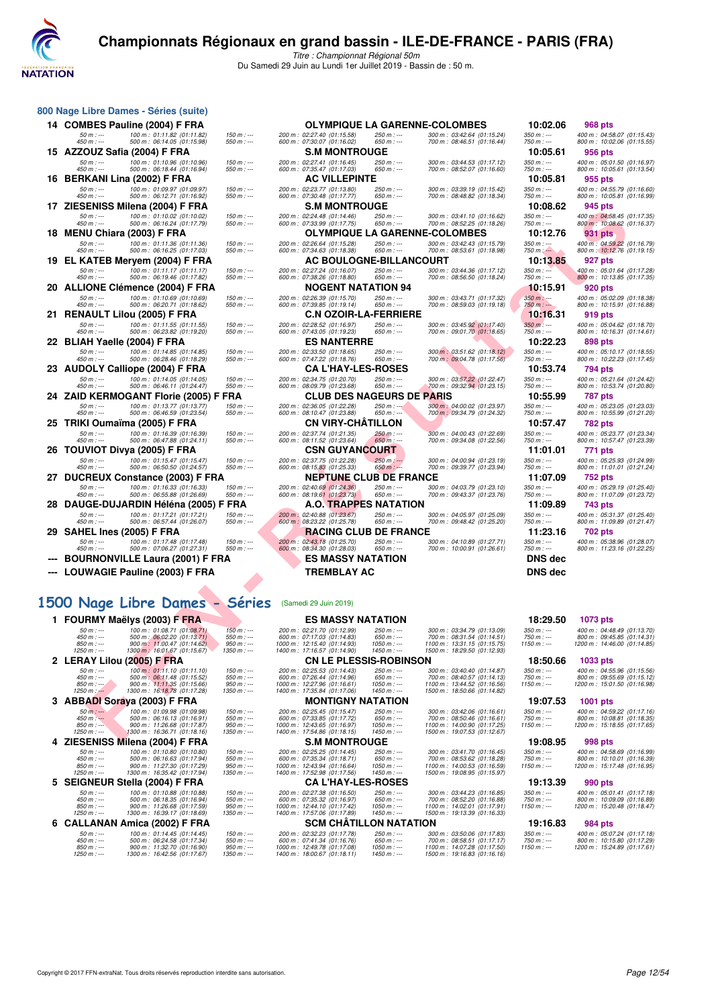

|     | 800 Nage Libre Dames - Séries (suite)                                                  |                                |                                                                    |                              |                                                            |                             |                                                          |
|-----|----------------------------------------------------------------------------------------|--------------------------------|--------------------------------------------------------------------|------------------------------|------------------------------------------------------------|-----------------------------|----------------------------------------------------------|
|     | 14 COMBES Pauline (2004) F FRA                                                         |                                | <b>OLYMPIQUE LA GARENNE-COLOMBES</b>                               |                              |                                                            | 10:02.06                    | 968 pts                                                  |
|     | 100 m: 01:11.82 (01:11.82)<br>50 m : ---<br>500 m: 06:14.05 (01:15.98)<br>450 m : ---  | $150 m: -$<br>$550 m: -$       | 200 m: 02:27.40 (01:15.58)<br>600 m : 07:30.07 (01:16.02)          | 250 m : ---<br>650 m : ---   | 300 m: 03:42.64 (01:15.24)<br>700 m: 08:46.51 (01:16.44)   | $350 m : -$<br>750 m : ---  | 400 m: 04:58.07 (01:15.43<br>800 m: 10:02.06 (01:15.55   |
|     | 15 AZZOUZ Safia (2004) F FRA                                                           |                                | <b>S.M MONTROUGE</b>                                               |                              |                                                            | 10:05.61                    | 956 pts                                                  |
|     | 50 m : ---<br>100 m: 01:10.96 (01:10.96)<br>450 m : ---<br>500 m: 06:18.44 (01:16.94)  | $150 m: -$<br>$550 m: -$       | 200 m: 02:27.41 (01:16.45)<br>600 m: 07:35.47 (01:17.03)           | 250 m : ---<br>650 m : ---   | 300 m: 03:44.53 (01:17.12)<br>700 m: 08:52.07 (01:16.60)   | $350 m : -$<br>750 m : ---  | 400 m: 05:01.50 (01:16.97<br>800 m: 10:05.61 (01:13.54)  |
| 16  | <b>BERKANI Lina (2002) F FRA</b>                                                       |                                | <b>AC VILLEPINTE</b>                                               |                              |                                                            | 10:05.81                    | 955 pts                                                  |
|     | $50 m : -$<br>100 m: 01:09.97 (01:09.97)                                               | $150 m: -$                     | 200 m : 02:23.77 (01:13.80)                                        | 250 m : ---                  | 300 m: 03:39.19 (01:15.42)                                 | $350 m : -$                 | 400 m: 04:55.79 (01:16.60                                |
| 17. | $450 m$ : ---<br>500 m: 06:12.71 (01:16.92)<br>ZIESENISS Milena (2004) F FRA           | $550 m$ : ---                  | 600 m: 07:30.48 (01:17.77)<br><b>S.M MONTROUGE</b>                 | $650 m: -$                   | 700 m: 08:48.82 (01:18.34)                                 | $750 m: -$<br>10:08.62      | 800 m: 10:05.81 (01:16.99)<br>945 pts                    |
|     | $50 m: -$<br>100 m: 01:10.02 (01:10.02)                                                | $150 m: -$                     | 200 m: 02:24.48 (01:14.46)                                         | 250 m : ---                  | 300 m: 03:41.10 (01:16.62)                                 | $350 m : -$                 | 400 m: 04:58.45 (01:17.35)                               |
|     | $450 m$ : ---<br>500 m: 06:16.24 (01:17.79)                                            | $550 m: -$                     | 600 m: 07:33.99 (01:17.75)                                         | 650 m : ---                  | 700 m: 08:52.25 (01:18.26)                                 | $750 m: -$                  | 800 m: 10:08.62 (01:16.37)                               |
| 18. | <b>MENU Chiara (2003) F FRA</b><br>$50 m : -$<br>100 m: 01:11.36 (01:11.36)            | $150 m: -$                     | <b>OLYMPIQUE LA GARENNE-COLOMBES</b><br>200 m: 02:26.64 (01:15.28) | 250 m : ---                  | 300 m : 03:42.43 (01:15.79)                                | 10:12.76<br>$350 m : -$     | <b>931 pts</b><br>400 m: 04:59.22 (01:16.79              |
|     | $450 m: -$<br>500 m: 06:16.25 (01:17.03)                                               | $550 m: -$                     | 600 m: 07:34.63 (01:18.38)                                         | $650 m: -$                   | 700 m: 08:53.61 (01:18.98)                                 | $750 m: -$                  | 800 m : 10:12.76 (01:19.15                               |
| 19. | EL KATEB Meryem (2004) F FRA                                                           |                                | <b>AC BOULOGNE-BILLANCOURT</b>                                     |                              |                                                            | 10:13.85                    | 927 pts                                                  |
|     | $50 m: -$<br>100 m: 01:11.17 (01:11.17)<br>$450 m: -$<br>500 m: 06:19.46 (01:17.82)    | $150 m$ : ---<br>$550 m$ : --- | 200 m: 02:27.24 (01:16.07)<br>600 m: 07:38.26 (01:18.80)           | 250 m : ---<br>$650 m$ : --- | 300 m : 03:44.36 (01:17.12)<br>700 m: 08:56.50 (01:18.24)  | $350 m : -$<br>$750 m: -$   | 400 m: 05:01.64 (01:17.28<br>800 m: 10:13.85 (01:17.35)  |
|     | 20 ALLIONE Clémence (2004) F FRA                                                       |                                | <b>NOGENT NATATION 94</b>                                          |                              |                                                            | 10:15.91                    | 920 pts                                                  |
|     | 100 m: 01:10.69 (01:10.69)<br>$50 m: -$<br>$450 m$ : ---<br>500 m: 06:20.71 (01:18.62) | $150 m$ : ---<br>$550 m: -$    | 200 m: 02:26.39 (01:15.70)<br>600 m: 07:39.85 (01:19.14)           | 250 m : ---<br>650 m : ---   | 300 m: 03:43.71 (01:17.32)<br>700 m: 08:59.03 (01:19.18)   | $350 m$ : ---<br>$750 m: -$ | 400 m: 05:02.09 (01:18.38)<br>800 m: 10:15.91 (01:16.88) |
| 21. | <b>RENAULT Lilou (2005) F FRA</b>                                                      |                                | <b>C.N OZOIR-LA-FERRIERE</b>                                       |                              |                                                            | 10:16.31                    | 919 pts                                                  |
|     | $50 m: -$<br>100 m: 01:11.55 (01:11.55)                                                | $150 m: -$                     | 200 m: 02:28.52 (01:16.97)                                         | 250 m : ---                  | 300 m: 03:45.92 (01:17.40)                                 | $350 m: -$                  | 400 m: 05:04.62 (01:18.70)                               |
|     | $450 m$ : ---<br>500 m: 06:23.82 (01:19.20)<br>22 BLIAH Yaelle (2004) F FRA            | $550 m: -$                     | 600 m: 07:43.05 (01:19.23)<br><b>ES NANTERRE</b>                   | 650 m : ---                  | 700 m : 09:01.70 (01:18.65)                                | $750 m: -$<br>10:22.23      | 800 m: 10:16.31 (01:14.61)<br>898 pts                    |
|     | $50 m: -$<br>100 m: 01:14.85 (01:14.85)                                                | $150 m: -$                     | 200 m: 02:33.50 (01:18.65)                                         | $250 m$ : ---                | 300 m: 03:51.62 (01:18.12)                                 | $350 m : -$                 | 400 m: 05:10.17 (01:18.55                                |
|     | $450 m$ : ---<br>500 m: 06:28.46 (01:18.29)                                            | $550 m: -$                     | 600 m: 07:47.22 (01:18.76)                                         | $650 m: -$                   | 700 m: 09:04.78 (01:17.56)                                 | 750 m : ---                 | 800 m: 10:22.23 (01:17.45)                               |
|     | 23 AUDOLY Calliope (2004) F FRA<br>$50 m: -$<br>100 m: 01:14.05 (01:14.05)             | $150 m: -$                     | <b>CA L'HAY-LES-ROSES</b><br>200 m: 02:34.75 (01:20.70)            | 250 m : ---                  | 300 m: 03:57.22 (01:22.47)                                 | 10:53.74<br>$350 m : -$     | 794 pts<br>400 m: 05:21.64 (01:24.42                     |
|     | 450 m : ---<br>500 m: 06:46.11 (01:24.47)                                              | $550 m: -$                     | 600 m: 08:09.79 (01:23.68)                                         | 650 m : ---                  | 700 m : 09:32.94 (01:23.15)                                | $750 m: -$                  | 800 m: 10:53.74 (01:20.80)                               |
|     | 24 ZAID KERMOGANT Florie (2005) F                                                      | FRA                            | <b>CLUB DES NAGEURS DE PARIS</b>                                   |                              |                                                            | 10:55.99                    | 787 pts                                                  |
|     | $50 m: -$<br>100 m: 01:13.77 (01:13.77)<br>450 m : ---<br>500 m: 06:46.59 (01:23.54)   | $150 m: -$<br>$550 m: -$       | 200 m: 02:36.05 (01:22.28)<br>600 m: 08:10.47 (01:23.88)           | $250 m : -$<br>650 m : ---   | 300 m : 04:00.02 (01:23.97)<br>700 m : 09:34.79 (01:24.32) | $350 m : -$<br>750 m : ---  | 400 m: 05:23.05 (01:23.03)<br>800 m: 10:55.99 (01:21.20) |
|     | 25 TRIKI Oumaïma (2005) F FRA                                                          |                                | CN VIRY-CHATILLON                                                  |                              |                                                            | 10:57.47                    | <b>782 pts</b>                                           |
|     | $50 m: -$<br>100 m: 01:16.39 (01:16.39)<br>450 m : ---<br>500 m: 06:47.88 (01:24.11)   | $150 m: -$<br>$550 m: -$       | 200 m: 02:37.74 (01:21.35)<br>600 m : 08:11.52 (01:23.64)          | $250 m : -$<br>$650 m: -$    | 300 m : 04:00.43 (01:22.69)<br>700 m: 09:34.08 (01:22.56)  | $350 m : -$<br>750 m : ---  | 400 m: 05:23.77 (01:23.34<br>800 m: 10:57.47 (01:23.39)  |
| 26. | <b>TOUVIOT Divya (2005) F FRA</b>                                                      |                                | <b>CSN GUYANCOURT</b>                                              |                              |                                                            | 11:01.01                    | 771 pts                                                  |
|     | $50 m: -$<br>100 m: 01:15.47 (01:15.47)                                                | $150 m$ : ---                  | 200 m: 02:37.75 (01:22.28)                                         | $250 m$ : ---                | 300 m: 04:00.94 (01:23.19)                                 | $350 m : -$                 | 400 m: 05:25.93 (01:24.99                                |
| 27  | $450 m$ : ---<br>500 m: 06:50.50 (01:24.57)<br>DUCREUX Constance (2003) F FRA          | 550 m : ---                    | 600 m: 08:15.83 (01:25.33)<br><b>NEPTUNE CLUB DE FRANCE</b>        | $650 m: -$                   | 700 m: 09:39.77 (01:23.94)                                 | $750 m: -$<br>11:07.09      | 800 m: 11:01.01 (01:21.24)<br>752 pts                    |
|     | $50 m: -$<br>100 m: 01:16.33 (01:16.33)                                                | $150 m: -$                     | 200 m : 02:40.69 (01:24.36)                                        | 250 m : ---                  | 300 m : 04:03.79 (01:23.10)                                | $350 m : -$                 | 400 m : 05:29.19 (01:25.40)                              |
|     | $450 m : -$<br>500 m: 06:55.88 (01:26.69)                                              | 550 m : ---                    | 600 m: 08:19.61 (01:23.73)                                         | 650 m : ---                  | 700 m : 09:43.37 (01:23.76)                                | $750 m: -$                  | 800 m: 11:07.09 (01:23.72)                               |
|     | 28 DAUGE-DUJARDIN Héléna (2005) F FRA<br>$50 m: -$<br>100 m: 01:17.21 (01:17.21)       | $150 m: -$                     | <b>A.O. TRAPPES NATATION</b><br>200 m : 02:40.88 (01:23.67)        | $250 m : -$                  | 300 m: 04:05.97 (01:25.09)                                 | 11:09.89<br>$350 m: -$      | <b>743 pts</b><br>400 m: 05:31.37 (01:25.40)             |
|     | 450 m : ---<br>500 m: 06:57.44 (01:26.07)                                              | $550 m: -$                     | 600 m : 08:23.22 (01:25.78)                                        | 650 m : ---                  | 700 m : 09:48.42 (01:25.20)                                | 750 m : ---                 | 800 m: 11:09.89 (01:21.47)                               |
|     | 29   SAHEL Ines (2005) F FRA                                                           |                                | <b>RACING CLUB DE FRANCE</b>                                       |                              |                                                            | 11:23.16                    | 702 pts                                                  |
|     | $50 m: -$<br>100 m: 01:17.48 (01:17.48)<br>500 m: 07:06.27 (01:27.31)<br>$450 m : -$   | $150 m$ : ---<br>550 m : ---   | 200 m : 02:43.18 (01:25.70)<br>600 m : 08:34.30 (01:28.03)         | $250 m : -$<br>$650 m$ : --- | 300 m: 04:10.89 (01:27.71)<br>700 m: 10:00.91 (01:26.61)   | $350 m : -$<br>750 m : ---  | 400 m: 05:38.96 (01:28.07<br>800 m: 11:23.16 (01:22.25)  |
|     | <b>BOURNONVILLE Laura (2001) F FRA</b>                                                 |                                | <b>ES MASSY NATATION</b>                                           |                              |                                                            | <b>DNS</b> dec              |                                                          |
|     | <b>LOUWAGIE Pauline (2003) F FRA</b>                                                   |                                | <b>TREMBLAY AC</b>                                                 |                              |                                                            | <b>DNS</b> dec              |                                                          |
|     | $\blacksquare$                                                                         |                                |                                                                    |                              |                                                            |                             |                                                          |

#### 1500 Nage Libre Dames -

| ., | ∠เ⊑ง<br>בו <b>זוסט וויווטופן בעו</b> דוואו ככוויום                                            |                              |                                                            | טטח ו ויוטוויו ויווכ      | uc                                   |                                                            | 10.00.04                   | ວຯບ µເວ                                                  |  |
|----|-----------------------------------------------------------------------------------------------|------------------------------|------------------------------------------------------------|---------------------------|--------------------------------------|------------------------------------------------------------|----------------------------|----------------------------------------------------------|--|
|    | 100 m: 01:10.02 (01:10.02)<br>$50 m : -$<br>$450 m : -$<br>500 m: 06:16.24 (01:17.79)         | $150 m : -$<br>$550 m$ : --- | 200 m: 02:24.48 (01:14.46)<br>600 m: 07:33.99 (01:17.75)   |                           | 250 m : ---<br>$650 m$ : ---         | 300 m: 03:41.10 (01:16.62)<br>700 m: 08:52.25 (01:18.26)   | $350 m : -$<br>$750 m: -$  | 400 m: 04:58.45 (01:17.35)<br>800 m: 10:08.62 (01:16.37) |  |
|    | 18 MENU Chiara (2003) F FRA                                                                   |                              |                                                            |                           | OLYMPIQUE LA GARENNE-COLOMBES        |                                                            | 10:12.76                   | 931 pts                                                  |  |
|    | 100 m: 01:11.36 (01:11.36)<br>$50 m : -$<br>500 m: 06:16.25 (01:17.03)<br>$450 m : -$         | $150 m: -$<br>$550 m$ : ---  | 200 m: 02:26.64 (01:15.28)<br>600 m: 07:34.63 (01:18.38)   |                           | $250 m$ : ---<br>$650 m$ : ---       | 300 m : 03:42.43 (01:15.79)<br>700 m: 08:53.61 (01:18.98)  | $350 m : -$<br>$750 m: -$  | 400 m: 04:59.22 (01:16.79)<br>800 m : 10:12.76 (01:19.15 |  |
|    | 19 EL KATEB Meryem (2004) F FRA                                                               |                              |                                                            |                           | <b>AC BOULOGNE-BILLANCOURT</b>       |                                                            | 10:13.85                   | 927 pts                                                  |  |
|    | $50 m: -$<br>100 m: 01:11.17 (01:11.17)<br>450 m : ---                                        | $150 m: -$<br>$550 m: -$     | 200 m: 02:27.24 (01:16.07)                                 |                           | $250 m : -$<br>$650 m: -$            | 300 m: 03:44.36 (01:17.12)<br>700 m: 08:56.50 (01:18.24)   | $350 m : -$<br>750 m : --- | 400 m: 05:01.64 (01:17.28)                               |  |
|    | 500 m: 06:19.46 (01:17.82)<br>20   ALLIONE Clémence (2004) F FRA                              |                              | 600 m: 07:38.26 (01:18.80)                                 | NOGENT NATATION 94        |                                      |                                                            | 10:15.91                   | 800 m: 10:13.85 (01:17.35)<br>920 pts                    |  |
|    | $50 m: -$<br>100 m: 01:10.69 (01:10.69)                                                       | $150 m: -$                   | 200 m: 02:26.39 (01:15.70)                                 |                           | 250 m : ---                          | 300 m: 03:43.71 (01:17.32)                                 | $350 m: -$                 | 400 m: 05:02.09 (01:18.38                                |  |
|    | 450 m : ---<br>500 m: 06:20.71 (01:18.62)<br>21   RENAULT Lilou (2005) F FRA                  | $550 m : -$                  | 600 m: 07:39.85 (01:19.14)                                 |                           | 650 m : ---<br>C.N OZOIR-LA-FERRIERE | 700 m: 08:59.03 (01:19.18)                                 | 750 m : ---<br>10:16.31    | 800 m: 10:15.91 (01:16.88)<br>919 pts                    |  |
|    | 100 m: 01:11.55 (01:11.55)<br>$50 m: -$                                                       | $150 m : -$                  | 200 m: 02:28.52 (01:16.97)                                 |                           | 250 m : ---                          | 300 m: 03:45.92 (01:17.40)                                 | $350 m: -$                 | 400 m: 05:04.62 (01:18.70                                |  |
|    | 450 m : ---<br>500 m: 06:23.82 (01:19.20)                                                     | $550 m$ : ---                | 600 m: 07:43.05 (01:19.23)                                 |                           | 650 m : ---                          | 700 m : 09:01.70 (01:18.65)                                | 750 m : ---<br>10:22.23    | 800 m: 10:16.31 (01:14.61)                               |  |
|    | 22   BLIAH Yaelle (2004) F FRA<br>100 m: 01:14.85 (01:14.85)<br>$50 m: -$                     | $150 m: -$                   | 200 m: 02:33.50 (01:18.65)                                 | <b>ES NANTERRE</b>        | 250 m : ---                          | 300 m: 03:51.62 (01:18.12)                                 | $350 m: -$                 | 898 pts<br>400 m: 05:10.17 (01:18.55)                    |  |
|    | 500 m: 06:28.46 (01:18.29)<br>450 m : ---                                                     | $550 m$ : ---                | 600 m: 07:47.22 (01:18.76)                                 |                           | $650 m$ : ---                        | 700 m: 09:04.78 (01:17.56)                                 | 750 m : ---                | 800 m: 10:22.23 (01:17.45)                               |  |
|    | 23 AUDOLY Calliope (2004) F FRA                                                               |                              |                                                            | <b>CA L'HAY-LES-ROSES</b> | 250 m : ---                          |                                                            | 10:53.74<br>$350 m : -$    | 794 pts                                                  |  |
|    | 100 m: 01:14.05 (01:14.05)<br>$50 m: -$<br>450 m : ---<br>500 m: 06:46.11 (01:24.47)          | $150 m: -$<br>$550 m: -$     | 200 m: 02:34.75 (01:20.70)<br>600 m: 08:09.79 (01:23.68)   |                           | 650 m : ---                          | 300 m: 03:57.22 (01:22.47)<br>700 m : 09:32.94 (01:23.15)  | 750 m : ---                | 400 m: 05:21.64 (01:24.42)<br>800 m: 10:53.74 (01:20.80) |  |
|    | 24 ZAID KERMOGANT Florie (2005) F FRA                                                         |                              |                                                            |                           | <b>CLUB DES NAGEURS DE PARIS</b>     |                                                            | 10:55.99                   | 787 pts                                                  |  |
|    | 100 m: 01:13.77 (01:13.77)<br>$50 m: -$<br>450 m : ---<br>500 m: 06:46.59 (01:23.54)          | $150 m : -$<br>$550 m: -$    | 200 m: 02:36.05 (01:22.28)<br>600 m: 08:10.47 (01:23.88)   |                           | $250 m : -$<br>650 m : ---           | 300 m : 04:00.02 (01:23.97)<br>700 m : 09:34.79 (01:24.32) | $350 m: -$<br>750 m : ---  | 400 m: 05:23.05 (01:23.03)<br>800 m: 10:55.99 (01:21.20) |  |
|    | 25   TRIKI Oumaïma (2005) F FRA                                                               |                              |                                                            | CN VIRY-CHATILLON         |                                      |                                                            | 10:57.47                   | 782 pts                                                  |  |
|    | $50 m: -$<br>100 m: 01:16.39 (01:16.39)<br>500 m: 06:47.88 (01:24.11)<br>450 m : ---          | $150 m: -$<br>$550 m: -$     | 200 m: 02:37.74 (01:21.35)<br>600 m: 08:11.52 (01:23.64)   |                           | 250 m : ---<br>$650 m: -$            | 300 m: 04:00.43 (01:22.69)<br>700 m: 09:34.08 (01:22.56)   | $350 m : -$<br>750 m : --- | 400 m: 05:23.77 (01:23.34)<br>800 m: 10:57.47 (01:23.39) |  |
|    | 26   TOUVIOT Divya (2005) F FRA                                                               |                              |                                                            | CSN GUYANCOURT            |                                      |                                                            | 11:01.01                   | 771 pts                                                  |  |
|    | $50 m: -$<br>100 m: 01:15.47 (01:15.47)                                                       | $150 m : -$                  | 200 m: 02:37.75 (01:22.28)                                 |                           | 250 m :---                           | 300 m : 04:00.94 (01:23.19)                                | $350 m : -$                | 400 m: 05:25.93 (01:24.99)                               |  |
|    | 450 m : ---<br>500 m: 06:50.50 (01:24.57)<br>27 DUCREUX Constance (2003) F FRA                | $550 m: -$                   | 600 m: 08:15.83 (01:25.33)                                 |                           | $650 m: -$<br>NEPTUNE CLUB DE FRANCE | 700 m: 09:39.77 (01:23.94)                                 | 750 m : ---<br>11:07.09    | 800 m: 11:01.01 (01:21.24)<br>752 pts                    |  |
|    | $50 m: -$<br>100 m: 01:16.33 (01:16.33)                                                       | $150 m: -$                   | 200 m: 02:40.69 (01:24.36)                                 |                           | 250 m : ---                          | 300 m: 04:03.79 (01:23.10)                                 | $350 m : -$                | 400 m: 05:29.19 (01:25.40                                |  |
|    | 500 m: 06:55.88 (01:26.69)<br>450 m : ---                                                     | $550 m : -$                  | 600 m : 08:19.61 (01:23.73)                                |                           | $650 m: -$                           | 700 m : 09:43.37 (01:23.76)                                | 750 m : ---<br>11:09.89    | 800 m: 11:07.09 (01:23.72)                               |  |
|    | 28   DAUGE-DUJARDIN Héléna (2005) F FRA<br>$50 m: -$<br>100 m: 01:17.21 (01:17.21)            | $150 m: -$                   | 200 m: 02:40.88 (01:23.67)                                 |                           | A.O. TRAPPES NATATION<br>250 m : --- | 300 m: 04:05.97 (01:25.09)                                 | $350 m : -$                | 743 pts<br>400 m: 05:31.37 (01:25.40)                    |  |
|    | 450 m : ---<br>500 m: 06:57.44 (01:26.07)                                                     | $550 m: -$                   | 600 m : 08:23.22 (01:25.78)                                |                           | 650 m : ---                          | 700 m : 09:48.42 (01:25.20)                                | 750 m : ---                | 800 m: 11:09.89 (01:21.47)                               |  |
|    | 29   SAHEL Ines (2005) F FRA                                                                  |                              |                                                            |                           | <b>RACING CLUB DE FRANCE</b>         |                                                            | 11:23.16                   | 702 pts                                                  |  |
|    | 100 m: 01:17.48 (01:17.48)<br>$50 m: -$<br>450 m : ---<br>500 m: 07:06.27 (01:27.31)          | $150 m: -$<br>$550 m: -$     | 200 m : 02:43.18 (01:25.70)<br>600 m : 08:34.30 (01:28.03) |                           | 250 m : ---<br>650 m : ---           | 300 m : 04:10.89 (01:27.71)<br>700 m: 10:00.91 (01:26.61)  | $350 m : -$<br>750 m : --- | 400 m: 05:38.96 (01:28.07)<br>800 m: 11:23.16 (01:22.25) |  |
|    | --- BOURNONVILLE Laura (2001) F FRA                                                           |                              |                                                            | <b>ES MASSY NATATION</b>  |                                      |                                                            | <b>DNS dec</b>             |                                                          |  |
|    | --- LOUWAGIE Pauline (2003) F FRA                                                             |                              |                                                            | TREMBLAY AC               |                                      |                                                            | <b>DNS dec</b>             |                                                          |  |
|    |                                                                                               |                              |                                                            |                           |                                      |                                                            |                            |                                                          |  |
|    | 500 Nage Libre Dames - Séries                                                                 |                              | (Samedi 29 Juin 2019)                                      |                           |                                      |                                                            |                            |                                                          |  |
|    |                                                                                               |                              |                                                            |                           |                                      |                                                            |                            |                                                          |  |
|    | 1 FOURMY Maëlys (2003) F FRA                                                                  |                              |                                                            | <b>ES MASSY NATATION</b>  |                                      |                                                            | 18:29.50<br>$350 m : -$    | 1073 pts                                                 |  |
|    | $50 m: -$<br>100 m: 01:08.71 (01:08.71)<br>450 m : ---<br>500 m : 06:02.20 (01:13.71)         | $150 m: -$<br>$550 m: -$     | 200 m: 02:21.70 (01:12.99)<br>600 m: 07:17.03 (01:14.83)   |                           | 250 m : ---<br>$650 m: -$            | 300 m: 03:34.79 (01:13.09)<br>700 m : 08:31.54 (01:14.51)  | 750 m : ---                | 400 m: 04:48.49 (01:13.70)<br>800 m: 09:45.85 (01:14.31) |  |
|    | 900 m: 11:00.47 (01:14.62)<br>$850 m$ : ---<br>1300 m : 16:01.67 (01:15.67)<br>$1250 m$ : --- | $950 m: -$<br>$1350 m$ : --- | 1000 m: 12:15.40 (01:14.93)<br>1400 m: 17:16.57 (01:14.90) |                           | $1050 m: -$<br>$1450 m$ : ---        | 1100 m: 13:31.15 (01:15.75)<br>1500 m: 18:29.50 (01:12.93) | $1150 m: -$                | 1200 m: 14:46.00 (01:14.85)                              |  |
|    | 2 LERAY Lilou (2005) F FRA                                                                    |                              |                                                            |                           | <b>CN LE PLESSIS-ROBINSON</b>        |                                                            | 18:50.66                   | 1033 pts                                                 |  |
|    | $50 m: -$<br>100 m: 01:11.10 (01:11.10)<br>450 m : ---<br>500 m: 06:11.48 (01:15.52)          | $150 m: -$<br>$550 m : -$    | 200 m: 02:25.53 (01:14.43)<br>600 m: 07:26.44 (01:14.96)   |                           | $250 m$ : ---<br>650 m : ---         | 300 m: 03:40.40 (01:14.87)<br>700 m: 08:40.57 (01:14.13)   | $350 m : -$<br>750 m : --- | 400 m: 04:55.96 (01:15.56)<br>800 m: 09:55.69 (01:15.12) |  |
|    | $850 m : -$<br>900 m: 11:11.35 (01:15.66)<br>$1250 m$ : $-$                                   | $950 m: -$<br>$1350 m : -$   | 1000 m: 12:27.96 (01:16.61)<br>1400 m: 17:35.84 (01:17.06) |                           | $1050 m: -$<br>$1450 m : -$          | 1100 m: 13:44.52 (01:16.56)<br>1500 m: 18:50.66 (01:14.82) | $1150 m: -$                | 1200 m: 15:01.50 (01:16.98                               |  |
|    | 1300 m: 16:18.78 (01:17.28)<br>3 ABBADI Soraya (2003) F FRA                                   |                              |                                                            | <b>MONTIGNY NATATION</b>  |                                      |                                                            | 19:07.53                   | 1001 pts                                                 |  |
|    | $50 m: -$<br>100 m: 01:09.98 (01:09.98)                                                       | $150 m$ : ---                | 200 m: 02:25.45 (01:15.47)                                 |                           | 250 m : ---                          | 300 m: 03:42.06 (01:16.61)                                 | $350 m : -$                | 400 m: 04:59.22 (01:17.16)                               |  |
|    | $450 m: -$<br>500 m: 06:16.13 (01:16.91)<br>$850 m: -$<br>900 m: 11:26.68 (01:17.87)          | $550 m: -$<br>$950 m: -$     | 600 m: 07:33.85 (01:17.72)<br>1000 m: 12:43.65 (01:16.97)  |                           | $650 m$ : ---<br>$1050 m: -$         | 700 m: 08:50.46 (01:16.61)<br>1100 m: 14:00.90 (01:17.25)  | $750 m: -$<br>$1150 m: -$  | 800 m: 10:08.81 (01:18.35<br>1200 m: 15:18.55 (01:17.65) |  |
|    | 1300 m: 16:36.71 (01:18.16)<br>1250 m : ---                                                   | 1350 m : ---                 | 1400 m: 17:54.86 (01:18.15)                                |                           | $1450 m : -$                         | 1500 m: 19:07.53 (01:12.67)                                |                            |                                                          |  |
|    | 4 ZIESENISS Milena (2004) F FRA<br>$100 m \cdot 01 \cdot 10.80$ (01:10.80)<br>$50 m -$        | $150 m -$                    | $200 \text{ m} \cdot 02.2525 (01.1445)$                    | <b>S.M MONTROUGE</b>      | 250 m                                | $300 \text{ m} \cdot 034170 (011645)$                      | 19:08.95<br>$350 m -$      | 998 pts<br>$400 m \cdot 04.5869 01.1699$                 |  |
|    |                                                                                               |                              |                                                            |                           |                                      |                                                            |                            |                                                          |  |

|    |                              | 1 FOURMY Maëlys (2003) F FRA                               |                           | <b>ES MASSY NATATION</b>                                   |                            |                                                            | 18:29.50    | 1073 pts                                               |
|----|------------------------------|------------------------------------------------------------|---------------------------|------------------------------------------------------------|----------------------------|------------------------------------------------------------|-------------|--------------------------------------------------------|
|    | $50 m : -$                   | 100 m: 01:08.71 (01:08.71)                                 | $150 m: -$                | 200 m: 02:21.70 (01:12.99)                                 | $250 m : -$                | 300 m: 03:34.79 (01:13.09)                                 | $350 m: -$  | 400 m: 04:48.49 (01:13.70                              |
|    | $450 m: -$                   | 500 m : 06:02.20 (01:13.71)                                | $550 m: -$                | 600 m: 07:17.03 (01:14.83)                                 | $650 m: -$                 | 700 m: 08:31.54 (01:14.51)                                 | $750 m: -$  | 800 m: 09:45.85 (01:14.31)                             |
|    | $850 m: -$<br>$1250 m$ : --- | 900 m: 11:00.47 (01:14.62)<br>1300 m : 16:01.67 (01:15.67) | $950 m: -$<br>$1350 m: -$ | 1000 m: 12:15.40 (01:14.93)<br>1400 m: 17:16.57 (01:14.90) | $1050 m: -$<br>$1450 m: -$ | 1100 m: 13:31.15 (01:15.75)<br>1500 m: 18:29.50 (01:12.93) | $1150 m: -$ | 1200 m: 14:46.00 (01:14.85)                            |
|    |                              |                                                            |                           |                                                            |                            |                                                            |             |                                                        |
|    |                              | LERAY Lilou (2005) F FRA                                   |                           | <b>CN LE PLESSIS-ROBINSON</b>                              |                            |                                                            | 18:50.66    | <b>1033 pts</b>                                        |
|    | $50 m : -$                   | 100 m: 01:11.10 (01:11.10)                                 | $150 m: -$                | 200 m: 02:25.53 (01:14.43)                                 | $250 m : -$                | 300 m: 03:40.40 (01:14.87)                                 | $350 m: -$  | 400 m: 04:55.96 (01:15.56)                             |
|    | $450 m: -$                   | 500 m: 06:11.48 (01:15.52)                                 | $550 m: -$                | 600 m: 07:26.44 (01:14.96)                                 | $650 m: -$                 | 700 m: 08:40.57 (01:14.13)                                 | $750 m: -$  | 800 m: 09:55.69 (01:15.12                              |
|    | $850 m: -$                   | 900 m: 11:11.35 (01:15.66)                                 | $950 m: -$                | 1000 m: 12:27.96 (01:16.61)                                | $1050 m$ : ---             | 1100 m: 13:44.52 (01:16.56)                                | $1150 m: -$ | 1200 m: 15:01.50 (01:16.98                             |
|    | $1250 m$ : $-$               | 1300 m: 16:18.78 (01:17.28)                                | $1350 m$ : ---            | 1400 m: 17:35.84 (01:17.06)                                | $1450 m: -$                | 1500 m: 18:50.66 (01:14.82)                                |             |                                                        |
|    |                              | <b>ABBADI Soraya (2003) F FRA</b>                          |                           | <b>MONTIGNY NATATION</b>                                   |                            |                                                            | 19:07.53    | <b>1001 pts</b>                                        |
|    | $50 m: -$                    | 100 m: 01:09.98 (01:09.98)                                 | $150 m: -$                | 200 m: 02:25.45 (01:15.47)                                 | $250 m: -$                 | 300 m: 03:42.06 (01:16.61)                                 | $350 m: -$  | 400 m: 04:59.22 (01:17.16                              |
|    | $450 m: -$                   | 500 m: 06:16.13 (01:16.91)                                 | $550 m: -$                | 600 m: 07:33.85 (01:17.72)                                 | $650 m: -$                 | 700 m: 08:50.46 (01:16.61)                                 | $750 m: -$  | 800 m: 10:08.81 (01:18.35)                             |
|    | $850 m: -$                   | 900 m: 11:26.68 (01:17.87)                                 | $950 m: -$                | 1000 m: 12:43.65 (01:16.97)                                | $1050 m: -$                | 1100 m: 14:00.90 (01:17.25)                                | $1150 m: -$ | 1200 m: 15:18.55 (01:17.65                             |
|    | $1250 m : -$                 | 1300 m: 16:36.71 (01:18.16)                                | $1350 m: -$               | 1400 m: 17:54.86 (01:18.15)                                | $1450 m: -$                | 1500 m: 19:07.53 (01:12.67)                                |             |                                                        |
|    |                              | ZIESENISS Milena (2004) F FRA                              |                           | <b>S.M MONTROUGE</b>                                       |                            |                                                            | 19:08.95    | 998 pts                                                |
|    |                              |                                                            |                           |                                                            |                            |                                                            |             |                                                        |
|    | $50 m$ : ---                 | 100 m: 01:10.80 (01:10.80)                                 | $150 m : -$               | 200 m: 02:25.25 (01:14.45)                                 | $250 m : -$                | 300 m: 03:41.70 (01:16.45)                                 | $350 m: -$  | 400 m: 04:58.69 (01:16.99)                             |
|    | $450 m: -$                   | 500 m: 06:16.63 (01:17.94)                                 | $550 m: -$                | 600 m: 07:35.34 (01:18.71)                                 | $650 m: -$                 | 700 m: 08:53.62 (01:18.28)                                 | $750 m: -$  | 800 m: 10:10.01 (01:16.39)                             |
|    | $850 m: -$                   | 900 m: 11:27.30 (01:17.29)                                 | $950 m: -$                | 1000 m: 12:43.94 (01:16.64)                                | $1050 m$ : ---             | 1100 m: 14:00.53 (01:16.59)                                | $1150 m: -$ | 1200 m: 15:17.48 (01:16.95                             |
|    | $1250 m : -$                 | 1300 m: 16:35.42 (01:17.94)                                | $1350 m: -$               | 1400 m: 17:52.98 (01:17.56)                                | $1450 m : -$               | 1500 m: 19:08.95 (01:15.97)                                |             |                                                        |
| b. |                              | <b>SEIGNEUR Stella (2004) F FRA</b>                        |                           | <b>CA L'HAY-LES-ROSES</b>                                  |                            |                                                            | 19:13.39    | 990 pts                                                |
|    | $50 m : -$                   | 100 m: 01:10.88 (01:10.88)                                 | $150 m: -$                | 200 m: 02:27.38 (01:16.50)                                 | $250 m : -$                | 300 m: 03:44.23 (01:16.85)                                 | $350 m: -$  | 400 m: 05:01.41 (01:17.18                              |
|    | $450 m: -$                   | 500 m: 06:18.35 (01:16.94)                                 | $550 m: -$                | 600 m: 07:35.32 (01:16.97)                                 | $650 m: -$                 | 700 m: 08:52.20 (01:16.88)                                 | $750 m: -$  | 800 m: 10:09.09 (01:16.89                              |
|    | $850 m: -$                   | 900 m: 11:26.68 (01:17.59)                                 | $950 m: -$                | 1000 m: 12:44.10 (01:17.42)                                | $1050 m: -$                | 1100 m: 14:02.01 (01:17.91)                                | $1150 m: -$ | 1200 m: 15:20.48 (01:18.47)                            |
|    | $1250 m$ : ---               | 1300 m: 16:39.17 (01:18.69)                                | $1350 m : -$              | 1400 m: 17:57.06 (01:17.89)                                | $1450 m$ : ---             | 1500 m: 19:13.39 (01:16.33)                                |             |                                                        |
| 6. | <b>CALLANAN</b>              | Amica (2002) F FRA                                         |                           | <b>SCM CHATILLON NATATION</b>                              |                            |                                                            | 19:16.83    | 984 pts                                                |
|    | $50 m : -$                   |                                                            | $150 m: -$                |                                                            | $250 m: -$                 |                                                            | $350 m: -$  |                                                        |
|    | $450 m: -$                   | 100 m: 01:14.45 (01:14.45)<br>500 m: 06:24.58 (01:17.34)   | $550 m: -$                | 200 m: 02:32.23 (01:17.78)<br>600 m : 07:41.34 (01:16.76)  | $650 m: -$                 | 300 m: 03:50.06 (01:17.83)<br>700 m: 08:58.51 (01:17.17)   | $750 m: -$  | 400 m: 05:07.24 (01:17.18<br>800 m: 10:15.80 (01:17.29 |
|    | $850 m: -$                   | 900 m: 11:32.70 (01:16.90)                                 | $950 m: -$                | 1000 m: 12:49.78 (01:17.08)                                | $1050 m$ : ---             | 1100 m: 14:07.28 (01:17.50)                                | $1150 m: -$ | 1200 m: 15:24.89 (01:17.61                             |
|    | $1250 m : -$                 | 1300 m: 16:42.56 (01:17.67)                                | $1350 m: -$               | 1400 m: 18:00.67 (01:18.11)                                | $1450 m: -$                | 1500 m: 19:16.83 (01:16.16)                                |             |                                                        |
|    |                              |                                                            |                           |                                                            |                            |                                                            |             |                                                        |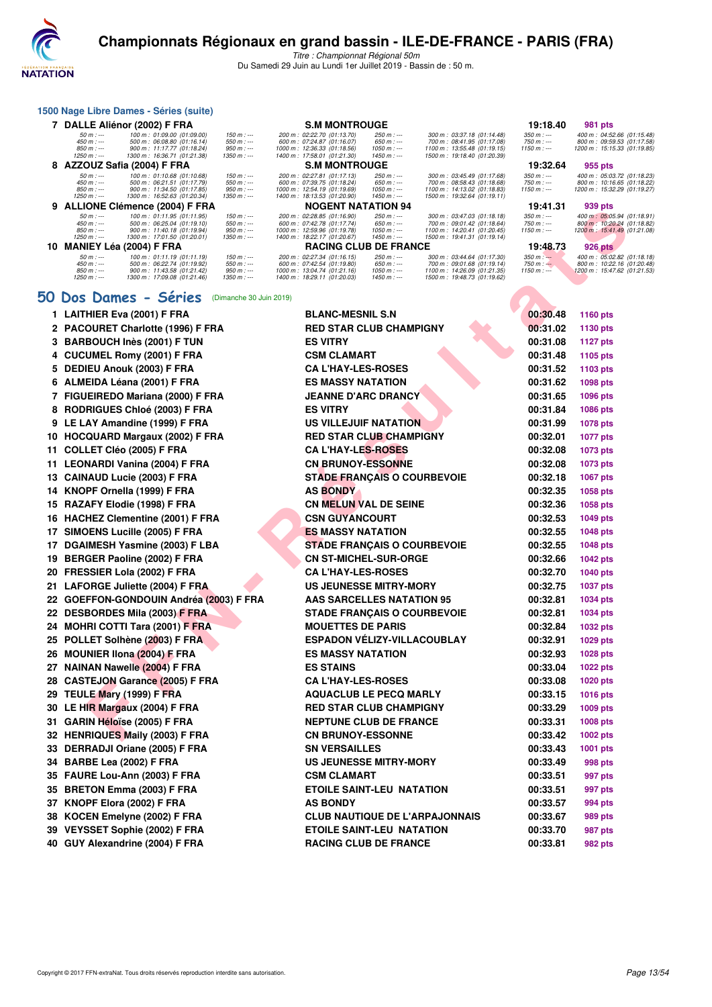

Titre : Championnat Régional 50m Du Samedi 29 Juin au Lundi 1er Juillet 2019 - Bassin de : 50 m.

|    |                                                          | 1500 Nage Libre Dames - Séries (suite)                                                                                 |                                                         |                                                                                                                          |                                                             |                                                                                                                          |                                          |                                                                                         |
|----|----------------------------------------------------------|------------------------------------------------------------------------------------------------------------------------|---------------------------------------------------------|--------------------------------------------------------------------------------------------------------------------------|-------------------------------------------------------------|--------------------------------------------------------------------------------------------------------------------------|------------------------------------------|-----------------------------------------------------------------------------------------|
|    |                                                          | 7 DALLE Aliénor (2002) F FRA                                                                                           |                                                         | <b>S.M MONTROUGE</b>                                                                                                     |                                                             |                                                                                                                          | 19:18.40                                 | 981 pts                                                                                 |
|    | $50 m : -$<br>$450 m : -$<br>$850 m : -$<br>$1250 m : -$ | 100 m : 01:09.00 (01:09.00)<br>500 m: 06:08.80 (01:16.14)<br>900 m: 11:17.77 (01:18.24)<br>1300 m: 16:36.71 (01:21.38) | 150 m : ---<br>$550 m: -$<br>$950 m: -$<br>$1350 m : -$ | 200 m : 02:22.70 (01:13.70)<br>600 m: 07:24.87 (01:16.07)<br>1000 m: 12:36.33 (01:18.56)<br>1400 m: 17:58.01 (01:21.30)  | $250 m : -$<br>$650 m: -$<br>1050 m : ---<br>$1450 m$ : --- | 300 m: 03:37.18 (01:14.48)<br>700 m: 08:41.95 (01:17.08)<br>1100 m: 13:55.48 (01:19.15)<br>1500 m: 19:18.40 (01:20.39)   | $350 m : -$<br>$750 m: -$<br>$1150 m: -$ | 400 m: 04:52.66 (01:15.48)<br>800 m: 09:59.53 (01:17.58)<br>1200 m: 15:15.33 (01:19.85) |
|    |                                                          | 8 AZZOUZ Safia (2004) F FRA                                                                                            |                                                         | <b>S.M MONTROUGE</b>                                                                                                     |                                                             |                                                                                                                          | 19:32.64                                 | 955 pts                                                                                 |
|    | $50 m : -$<br>$450 m : -$<br>$850 m : -$<br>$1250 m : -$ | 100 m: 01:10.68 (01:10.68)<br>500 m: 06:21.51 (01:17.79)<br>900 m: 11:34.50 (01:17.85)<br>1300 m: 16:52.63 (01:20.34)  | $150 m : -$<br>$550 m: -$<br>$950 m: -$<br>$1350 m : -$ | 200 m: 02:27.81 (01:17.13)<br>600 m: 07:39.75 (01:18.24)<br>1000 m: 12:54.19 (01:19.69)<br>1400 m: 18:13.53 (01:20.90)   | $250 m : -$<br>$650 m: -$<br>1050 m : ---<br>$1450 m$ : --- | 300 m : 03:45.49 (01:17.68)<br>700 m: 08:58.43 (01:18.68)<br>1100 m: 14:13.02 (01:18.83)<br>1500 m: 19:32.64 (01:19.11)  | $350 m : -$<br>$750 m: -$<br>$1150 m: -$ | 400 m: 05:03.72 (01:18.23)<br>800 m: 10:16.65 (01:18.22)<br>1200 m: 15:32.29 (01:19.27) |
|    |                                                          | 9 ALLIONE Clémence (2004) F FRA                                                                                        |                                                         | <b>NOGENT NATATION 94</b>                                                                                                |                                                             |                                                                                                                          | 19:41.31                                 | 939 pts                                                                                 |
|    | $50 m : -$<br>$450 m : -$<br>$850 m : -$<br>$1250 m : -$ | 100 m: 01:11.95 (01:11.95)<br>500 m: 06:25.04 (01:19.10)<br>900 m: 11:40.18 (01:19.94)<br>1300 m: 17:01.50 (01:20.01)  | $150 m : -$<br>$550 m: -$<br>$950 m: -$<br>$1350 m : -$ | 200 m: 02:28.85 (01:16.90)<br>600 m : 07:42.78 (01:17.74)<br>1000 m: 12:59.96 (01:19.78)<br>1400 m: 18:22.17 (01:20.67)  | $250 m : -$<br>650 m : ---<br>$1050 m$ : ---<br>$1450 m: -$ | 300 m : 03:47.03 (01:18.18)<br>700 m : 09:01.42 (01:18.64)<br>1100 m: 14:20.41 (01:20.45)<br>1500 m: 19:41.31 (01:19.14) | $350 m : -$<br>$750 m: -$<br>$1150 m: -$ | 400 m: 05:05.94 (01:18.91)<br>800 m: 10:20.24 (01:18.82)<br>1200 m: 15:41.49 (01:21.08) |
| 10 |                                                          | <b>MANIEY Léa (2004) F FRA</b>                                                                                         |                                                         | <b>RACING CLUB DE FRANCE</b>                                                                                             |                                                             |                                                                                                                          | 19:48.73                                 | <b>926 pts</b>                                                                          |
|    | $50 m : -$<br>$450 m : -$<br>$850 m : -$<br>$1250 m : -$ | 100 m : 01:11.19 (01:11.19)<br>500 m: 06:22.74 (01:19.92)<br>900 m: 11:43.58 (01:21.42)<br>1300 m: 17:09.08 (01:21.46) | $150 m : -$<br>$550 m: -$<br>$950 m: -$<br>$1350 m: -$  | 200 m : 02:27.34 (01:16.15)<br>600 m : 07:42.54 (01:19.80)<br>1000 m: 13:04.74 (01:21.16)<br>1400 m: 18:29.11 (01:20.03) | $250 m : -$<br>650 m : ---<br>1050 m : ---<br>$1450 m: -$   | 300 m : 03:44.64 (01:17.30)<br>700 m : 09:01.68 (01:19.14)<br>1100 m: 14:26.09 (01:21.35)<br>1500 m: 19:48.73 (01:19.62) | $350 m: -$<br>$750 m: -$<br>$1150 m: -$  | 400 m: 05:02.82 (01:18.18)<br>800 m: 10:22.16 (01:20.48)<br>1200 m: 15:47.62 (01:21.53) |

#### **[50 Dos Dames - Séries](http://www.ffnatation.fr/webffn/resultats.php?idact=nat&go=epr&idcpt=61555&idepr=11)** (Dimanche 30 Juin 2019)

| <b>ALLIVIL VICHICILE (2004) F FRA</b>                                                                                                                                       | <b>LIVI IVA</b>                                                                         |                                              |                                                                                         | 19.41.91                                  | ວວວ µເວ                                                                    |
|-----------------------------------------------------------------------------------------------------------------------------------------------------------------------------|-----------------------------------------------------------------------------------------|----------------------------------------------|-----------------------------------------------------------------------------------------|-------------------------------------------|----------------------------------------------------------------------------|
| 100 m: 01:11.95 (01:11.95)<br>$50 m: -$<br>$150 m : -$<br>$450 m : -$<br>500 m: 06:25.04 (01:19.10)<br>$550 m: -$<br>$850 m: -$<br>900 m: 11:40.18 (01:19.94)<br>$950 m: -$ | 200 m: 02:28.85 (01:16.90)<br>600 m: 07:42.78 (01:17.74)<br>1000 m: 12:59.96 (01:19.78) | 250 m : ---<br>650 m : ---<br>$1050 m$ : --- | 300 m: 03:47.03 (01:18.18)<br>700 m: 09:01.42 (01:18.64)<br>1100 m: 14:20.41 (01:20.45) | $350 m : -$<br>750 m : ---<br>$1150 m: -$ | 400 m: 05:05.94 (01:1<br>800 m : 10:20.24 (01:1<br>1200 m: 15:41.49 (01:2) |
| $1250 m : -$<br>1300 m: 17:01.50 (01:20.01)<br>1350 m : ---                                                                                                                 | 1400 m: 18:22.17 (01:20.67)                                                             | $1450 m: -$                                  | 1500 m: 19:41.31 (01:19.14)                                                             |                                           |                                                                            |
| 10 MANIEY Léa (2004) F FRA<br>100 m: 01:11.19 (01:11.19)<br>$150 m: -$<br>$50 m: -$                                                                                         | <b>RACING CLUB DE FRANCE</b><br>200 m: 02:27.34 (01:16.15)                              | 250 m : ---                                  | 300 m: 03:44.64 (01:17.30)                                                              | 19:48.73<br>$350 m: -$                    | 926 pts<br>400 m: 05:02.82 (01:1                                           |
| 500 m: 06:22.74 (01:19.92)<br>$550 m: -$<br>$450 m : -$<br>$850 m: -$<br>900 m: 11:43.58 (01:21.42)<br>$950 m : -$                                                          | 600 m: 07:42.54 (01:19.80)<br>1000 m: 13:04.74 (01:21.16)                               | $650 m: -$<br>$1050 m$ : ---                 | 700 m: 09:01.68 (01:19.14)<br>1100 m: 14:26.09 (01:21.35)                               | $750 m: -$<br>$1150 m: -$                 | 800 m: 10:22.16 (01:2)<br>1200 m : 15:47.62 (01:2                          |
| 1300 m: 17:09.08 (01:21.46)<br>$1250 m : -$<br>$1350 m : -$                                                                                                                 | 1400 m: 18:29.11 (01:20.03)                                                             | $1450 m: -$                                  | 1500 m: 19:48.73 (01:19.62)                                                             |                                           |                                                                            |
| 0 Dos Dames - Séries<br>(Dimanche 30 Juin 2019)                                                                                                                             |                                                                                         |                                              |                                                                                         |                                           |                                                                            |
| 1 LAITHIER Eva (2001) F FRA                                                                                                                                                 | <b>BLANC-MESNIL S.N</b>                                                                 |                                              |                                                                                         | 00:30.48                                  | 1160 pts                                                                   |
| 2 PACOURET Charlotte (1996) F FRA                                                                                                                                           | <b>RED STAR CLUB CHAMPIGNY</b>                                                          |                                              |                                                                                         | 00:31.02                                  | 1130 pts                                                                   |
| 3 BARBOUCH Inès (2001) F TUN                                                                                                                                                | <b>ES VITRY</b>                                                                         |                                              |                                                                                         | 00:31.08                                  | <b>1127 pts</b>                                                            |
| 4 CUCUMEL Romy (2001) F FRA                                                                                                                                                 | <b>CSM CLAMART</b>                                                                      |                                              |                                                                                         | 00:31.48                                  | 1105 pts                                                                   |
| 5 DEDIEU Anouk (2003) F FRA                                                                                                                                                 | <b>CAL'HAY-LES-ROSES</b>                                                                |                                              |                                                                                         | 00:31.52                                  | 1103 pts                                                                   |
| 6 ALMEIDA Léana (2001) F FRA                                                                                                                                                | <b>ES MASSY NATATION</b>                                                                |                                              |                                                                                         | 00:31.62                                  | 1098 pts                                                                   |
| 7 FIGUEIREDO Mariana (2000) F FRA                                                                                                                                           | <b>JEANNE D'ARC DRANCY</b>                                                              |                                              |                                                                                         | 00:31.65                                  | 1096 pts                                                                   |
| 8 RODRIGUES Chloé (2003) F FRA                                                                                                                                              | <b>ES VITRY</b>                                                                         |                                              |                                                                                         | 00:31.84                                  | 1086 pts                                                                   |
| 9 LE LAY Amandine (1999) F FRA                                                                                                                                              | US VILLEJUIF NATATION                                                                   |                                              |                                                                                         | 00:31.99                                  | 1078 pts                                                                   |
| 10 HOCQUARD Margaux (2002) F FRA                                                                                                                                            | <b>RED STAR CLUB CHAMPIGNY</b>                                                          |                                              |                                                                                         | 00:32.01                                  | <b>1077 pts</b>                                                            |
| 11 COLLET Cléo (2005) F FRA                                                                                                                                                 | <b>CA L'HAY-LES-ROSES</b>                                                               |                                              |                                                                                         | 00:32.08                                  | 1073 pts                                                                   |
| 11 LEONARDI Vanina (2004) F FRA                                                                                                                                             | <b>CN BRUNOY-ESSONNE</b>                                                                |                                              |                                                                                         | 00:32.08                                  | 1073 pts                                                                   |
| 13 CAINAUD Lucie (2003) F FRA                                                                                                                                               | <b>STADE FRANÇAIS O COURBEVOIE</b>                                                      |                                              |                                                                                         | 00:32.18                                  | 1067 pts                                                                   |
| 14 KNOPF Ornella (1999) F FRA                                                                                                                                               | <b>AS BONDY</b>                                                                         |                                              |                                                                                         | 00:32.35                                  | 1058 pts                                                                   |
| 15 RAZAFY Elodie (1998) F FRA                                                                                                                                               | <b>CN MELUN VAL DE SEINE</b>                                                            |                                              |                                                                                         | 00:32.36                                  | 1058 pts                                                                   |
| 16 HACHEZ Clementine (2001) F FRA                                                                                                                                           | <b>CSN GUYANCOURT</b>                                                                   |                                              |                                                                                         | 00:32.53                                  | <b>1049 pts</b>                                                            |
| 17 SIMOENS Lucille (2005) F FRA                                                                                                                                             | <b>ES MASSY NATATION</b>                                                                |                                              |                                                                                         | 00:32.55                                  | <b>1048 pts</b>                                                            |
| 17 DGAIMESH Yasmine (2003) F LBA                                                                                                                                            | <b>STADE FRANÇAIS O COURBEVOIE</b>                                                      |                                              |                                                                                         | 00:32.55                                  | <b>1048 pts</b>                                                            |
| 19 BERGER Paoline (2002) F FRA                                                                                                                                              | <b>CN ST-MICHEL-SUR-ORGE</b>                                                            |                                              |                                                                                         | 00:32.66                                  | <b>1042 pts</b>                                                            |
| 20 FRESSIER Lola (2002) F FRA                                                                                                                                               | <b>CA L'HAY-LES-ROSES</b>                                                               |                                              |                                                                                         | 00:32.70                                  | <b>1040 pts</b>                                                            |
| 21 LAFORGE Juliette (2004) F FRA                                                                                                                                            | <b>US JEUNESSE MITRY-MORY</b>                                                           |                                              |                                                                                         | 00:32.75                                  | <b>1037 pts</b>                                                            |
| 22   GOEFFON-GONDOUIN Andréa (2003) F FRA                                                                                                                                   | <b>AAS SARCELLES NATATION 95</b>                                                        |                                              |                                                                                         | 00:32.81                                  | <b>1034 pts</b>                                                            |
| 22 DESBORDES Mila (2003) F FRA                                                                                                                                              | <b>STADE FRANÇAIS O COURBEVOIE</b>                                                      |                                              |                                                                                         | 00:32.81                                  | <b>1034 pts</b>                                                            |
| 24 MOHRI COTTI Tara (2001) F FRA                                                                                                                                            | <b>MOUETTES DE PARIS</b>                                                                |                                              |                                                                                         | 00:32.84                                  | 1032 pts                                                                   |
| 25 POLLET Solhène (2003) F FRA                                                                                                                                              | <b>ESPADON VÉLIZY-VILLACOUBLAY</b>                                                      |                                              |                                                                                         | 00:32.91                                  | 1029 pts                                                                   |
| 26 MOUNIER IIona (2004) F FRA                                                                                                                                               | <b>ES MASSY NATATION</b>                                                                |                                              |                                                                                         | 00:32.93                                  | <b>1028 pts</b>                                                            |
| 27 NAINAN Nawelle (2004) F FRA<br>28 CASTEJON Garance (2005) F FRA                                                                                                          | <b>ES STAINS</b><br><b>CA L'HAY-LES-ROSES</b>                                           |                                              |                                                                                         | 00:33.04<br>00:33.08                      | <b>1022 pts</b>                                                            |
| 29 TEULE Mary (1999) F FRA                                                                                                                                                  | <b>AQUACLUB LE PECQ MARLY</b>                                                           |                                              |                                                                                         | 00:33.15                                  | 1020 pts                                                                   |
| 30 LE HIR Margaux (2004) F FRA                                                                                                                                              | <b>RED STAR CLUB CHAMPIGNY</b>                                                          |                                              |                                                                                         | 00:33.29                                  | <b>1016 pts</b><br>1009 pts                                                |
| 31 GARIN Héloïse (2005) F FRA                                                                                                                                               | <b>NEPTUNE CLUB DE FRANCE</b>                                                           |                                              |                                                                                         | 00:33.31                                  | <b>1008 pts</b>                                                            |
| 32 HENRIQUES Maily (2003) F FRA                                                                                                                                             | <b>CN BRUNOY-ESSONNE</b>                                                                |                                              |                                                                                         | 00:33.42                                  | 1002 pts                                                                   |
| 33 DERRADJI Oriane (2005) F FRA                                                                                                                                             | <b>SN VERSAILLES</b>                                                                    |                                              |                                                                                         | 00:33.43                                  | <b>1001 pts</b>                                                            |
| 34 BARBE Lea (2002) F FRA                                                                                                                                                   | <b>US JEUNESSE MITRY-MORY</b>                                                           |                                              |                                                                                         | 00:33.49                                  | 998 pts                                                                    |
| 35 FAURE Lou-Ann (2003) F FRA                                                                                                                                               | <b>CSM CLAMART</b>                                                                      |                                              |                                                                                         | 00:33.51                                  | 997 pts                                                                    |
| 35 BRETON Emma (2003) F FRA                                                                                                                                                 | ETOILE SAINT-LEU NATATION                                                               |                                              |                                                                                         | 00:33.51                                  | 997 pts                                                                    |
| 37 KNOPF Elora (2002) F FRA                                                                                                                                                 | <b>AS BONDY</b>                                                                         |                                              |                                                                                         | 00:33.57                                  | 994 pts                                                                    |
| 38 KOCEN Emelyne (2002) F FRA                                                                                                                                               |                                                                                         |                                              | <b>CLUB NAUTIQUE DE L'ARPAJONNAIS</b>                                                   | 00:33.67                                  | 989 pts                                                                    |
| 39 VEYSSET Sophie (2002) F FRA                                                                                                                                              | <b>ETOILE SAINT-LEU NATATION</b>                                                        |                                              |                                                                                         | 00:33.70                                  | 987 pts                                                                    |
| 40 GUY Alexandrine (2004) F FRA                                                                                                                                             | <b>RACING CLUB DE FRANCE</b>                                                            |                                              |                                                                                         | 00:33.81                                  | <b>982 pts</b>                                                             |
|                                                                                                                                                                             |                                                                                         |                                              |                                                                                         |                                           |                                                                            |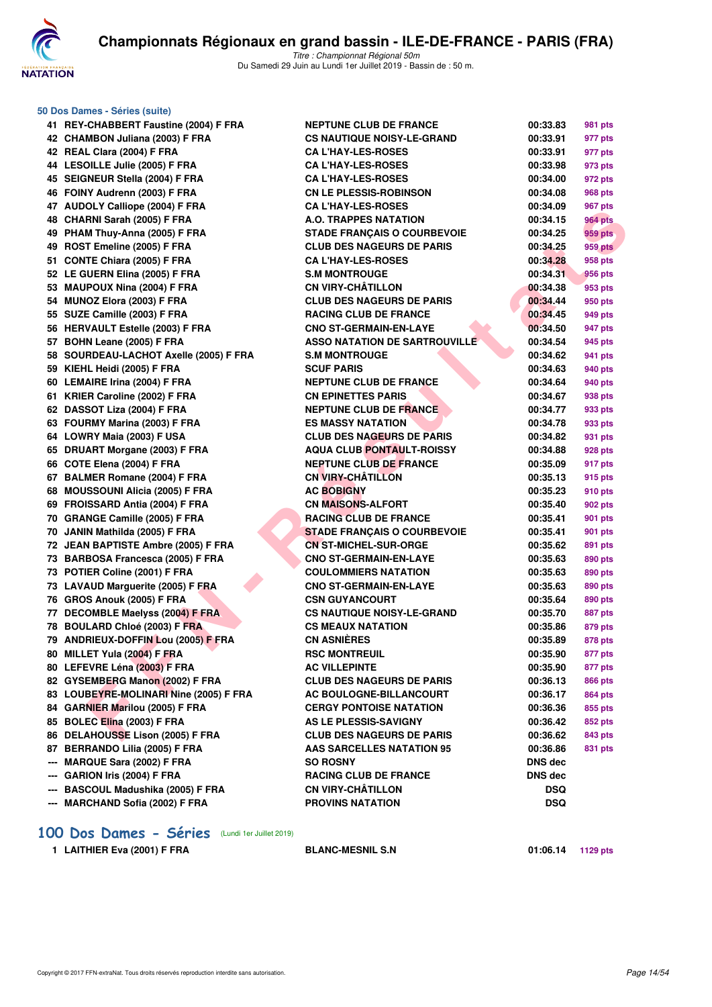

|     | 50 Dos Dames - Séries (suite)           |        |
|-----|-----------------------------------------|--------|
|     | 41 REY-CHABBERT Faustine (2004) F FRA   | Ν      |
|     | 42 CHAMBON Juliana (2003) F FRA         | c      |
|     | 42 REAL Clara (2004) F FRA              | c      |
|     | 44 LESOILLE Julie (2005) F FRA          | c      |
| 45  | SEIGNEUR Stella (2004) F FRA            | c      |
| 46  |                                         | c      |
|     | FOINY Audrenn (2003) F FRA              |        |
| 47  | <b>AUDOLY Calliope (2004) F FRA</b>     | c      |
| 48  | CHARNI Sarah (2005) F FRA               | Α<br>s |
|     | 49 PHAM Thuy-Anna (2005) F FRA          | C      |
|     | 49 ROST Emeline (2005) F FRA            | C      |
|     | 51 CONTE Chiara (2005) F FRA            |        |
|     | 52 LE GUERN Elina (2005) F FRA          | s      |
| 53  | <b>MAUPOUX Nina (2004) F FRA</b>        | c      |
| 54  | MUNOZ Elora (2003) F FRA                | C      |
| 55  | SUZE Camille (2003) F FRA               | R      |
| 56  | <b>HERVAULT Estelle (2003) F FRA</b>    | c      |
| 57  | BOHN Leane (2005) F FRA                 | Α      |
| 58  | SOURDEAU-LACHOT Axelle (2005) F FRA     | s      |
| 59  | KIEHL Heidi (2005) F FRA                | s      |
|     | 60 LEMAIRE Irina (2004) F FRA           | Ν      |
| 61  | KRIER Caroline (2002) F FRA             | c      |
|     | 62 DASSOT Liza (2004) F FRA             | Ν      |
| 63  | FOURMY Marina (2003) F FRA              | Е      |
| 64  | LOWRY Maia (2003) F USA                 | C      |
| 65  | DRUART Morgane (2003) F FRA             | Α      |
| 66  | COTE Elena (2004) F FRA                 | Ν      |
| 67  | <b>BALMER Romane (2004) F FRA</b>       | C      |
| 68. | <b>MOUSSOUNI Alicia (2005) F FRA</b>    | Α      |
|     | 69 FROISSARD Antia (2004) F FRA         | c      |
|     | 70 GRANGE Camille (2005) F FRA          | R      |
| 70  | JANIN Mathilda (2005) F FRA             | S      |
| 72. | <b>JEAN BAPTISTE Ambre (2005) F FRA</b> | c      |
| 73  | <b>BARBOSA Francesca (2005) F FRA</b>   | С      |
| 73  | POTIER Coline (2001) F FRA              | c      |
| 73  | <b>LAVAUD Marguerite (2005) F FRA</b>   | c      |
| 76  | GROS Anouk (2005) F FRA                 | c      |
| 77  | <b>DECOMBLE Maelyss (2004) F FRA</b>    | C      |
|     | 78 BOULARD Chloé (2003) F FRA           | C      |
|     | 79 ANDRIEUX-DOFFIN Lou (2005) F FRA     | C      |
|     | 80 MILLET Yula (2004) F FRA             | R      |
|     | 80 LEFEVRE Léna (2003) F FRA            | A      |
|     | 82 GYSEMBERG Manon (2002) F FRA         | c      |
| 83  | LOUBEYRE-MOLINARI Nine (2005) F FRA     | Α      |
|     | 84 GARNIER Marilou (2005) F FRA         | c      |
| 85  | BOLEC Elina (2003) F FRA                | A      |
|     | 86 DELAHOUSSE Lison (2005) F FRA        | C      |
|     | 87 BERRANDO Lilia (2005) F FRA          | Α      |
| --- | MARQUE Sara (2002) F FRA                | s      |
|     | --- GARION Iris (2004) F FRA            | R      |
|     | --- BASCOUL Madushika (2005) F FRA      | c      |
|     | --- MARCHAND Sofia (2002) F FRA         | P      |

| 41 REY-CHABBERT Faustine (2004) F FRA                                 | <b>NEPTUNE CLUB DE FRANCE</b>                            | 00:33.83              | 981 pts        |
|-----------------------------------------------------------------------|----------------------------------------------------------|-----------------------|----------------|
| 42 CHAMBON Juliana (2003) F FRA                                       | <b>CS NAUTIQUE NOISY-LE-GRAND</b>                        | 00:33.91              | 977 pts        |
| 42 REAL Clara (2004) F FRA                                            | <b>CA L'HAY-LES-ROSES</b>                                | 00:33.91              | 977 pts        |
| 44 LESOILLE Julie (2005) F FRA                                        | <b>CA L'HAY-LES-ROSES</b>                                | 00:33.98              | 973 pts        |
| 45 SEIGNEUR Stella (2004) F FRA                                       | <b>CA L'HAY-LES-ROSES</b>                                | 00:34.00              | 972 pts        |
| 46 FOINY Audrenn (2003) F FRA                                         | <b>CN LE PLESSIS-ROBINSON</b>                            | 00:34.08              | 968 pts        |
| 47 AUDOLY Calliope (2004) F FRA                                       | <b>CAL'HAY-LES-ROSES</b>                                 | 00:34.09              | 967 pts        |
| 48 CHARNI Sarah (2005) F FRA                                          | A.O. TRAPPES NATATION                                    | 00:34.15              | <b>964 pts</b> |
| 49 PHAM Thuy-Anna (2005) F FRA                                        | <b>STADE FRANÇAIS O COURBEVOIE</b>                       | 00:34.25              | 959 pts        |
| 49 ROST Emeline (2005) F FRA                                          | <b>CLUB DES NAGEURS DE PARIS</b>                         | 00:34.25              | <b>959 pts</b> |
| 51 CONTE Chiara (2005) F FRA                                          | <b>CAL'HAY-LES-ROSES</b>                                 | 00:34.28              | 958 pts        |
| 52 LE GUERN Elina (2005) F FRA                                        | <b>S.M MONTROUGE</b>                                     | 00:34.31              | 956 pts        |
| 53 MAUPOUX Nina (2004) F FRA                                          | <b>CN VIRY-CHÂTILLON</b>                                 | 00:34.38              | 953 pts        |
| 54 MUNOZ Elora (2003) F FRA                                           | <b>CLUB DES NAGEURS DE PARIS</b>                         | 00:34.44              | 950 pts        |
| 55 SUZE Camille (2003) F FRA                                          | <b>RACING CLUB DE FRANCE</b>                             | 00:34.45              | 949 pts        |
| 56 HERVAULT Estelle (2003) F FRA                                      | <b>CNO ST-GERMAIN-EN-LAYE</b>                            | 00:34.50              | 947 pts        |
| 57 BOHN Leane (2005) F FRA                                            | <b>ASSO NATATION DE SARTROUVILLE</b>                     | 00:34.54              | 945 pts        |
| 58 SOURDEAU-LACHOT Axelle (2005) F FRA                                | <b>S.M MONTROUGE</b>                                     | 00:34.62              | 941 pts        |
| 59 KIEHL Heidi (2005) F FRA                                           | <b>SCUF PARIS</b>                                        | 00:34.63              | 940 pts        |
| 60 LEMAIRE Irina (2004) F FRA                                         | <b>NEPTUNE CLUB DE FRANCE</b>                            | 00:34.64              | 940 pts        |
| 61 KRIER Caroline (2002) F FRA                                        | <b>CN EPINETTES PARIS</b>                                | 00:34.67              | 938 pts        |
| 62 DASSOT Liza (2004) F FRA                                           | <b>NEPTUNE CLUB DE FRANCE</b>                            | 00:34.77              | 933 pts        |
| 63 FOURMY Marina (2003) F FRA                                         | <b>ES MASSY NATATION</b>                                 | 00:34.78              | 933 pts        |
| 64 LOWRY Maia (2003) F USA                                            | <b>CLUB DES NAGEURS DE PARIS</b>                         | 00:34.82              | 931 pts        |
| 65 DRUART Morgane (2003) F FRA                                        | <b>AQUA CLUB PONTAULT-ROISSY</b>                         | 00:34.88              | 928 pts        |
| 66 COTE Elena (2004) F FRA                                            | <b>NEPTUNE CLUB DE FRANCE</b>                            | 00:35.09              | 917 pts        |
| 67 BALMER Romane (2004) F FRA                                         | <b>CN VIRY-CHÂTILLON</b>                                 | 00:35.13              | 915 pts        |
| 68 MOUSSOUNI Alicia (2005) F FRA                                      | <b>AC BOBIGNY</b>                                        | 00:35.23              | 910 pts        |
| 69 FROISSARD Antia (2004) F FRA                                       | <b>CN MAISONS-ALFORT</b>                                 | 00:35.40              | 902 pts        |
| 70 GRANGE Camille (2005) F FRA                                        | <b>RACING CLUB DE FRANCE</b>                             | 00:35.41              | 901 pts        |
| 70 JANIN Mathilda (2005) F FRA                                        | <b>STADE FRANÇAIS O COURBEVOIE</b>                       | 00:35.41              | 901 pts        |
| 72 JEAN BAPTISTE Ambre (2005) F FRA                                   | <b>CN ST-MICHEL-SUR-ORGE</b>                             | 00:35.62              | 891 pts        |
| 73 BARBOSA Francesca (2005) F FRA                                     | <b>CNO ST-GERMAIN-EN-LAYE</b>                            | 00:35.63              | 890 pts        |
| 73 POTIER Coline (2001) F FRA                                         | <b>COULOMMIERS NATATION</b>                              | 00:35.63              | 890 pts        |
| 73 LAVAUD Marguerite (2005) F FRA                                     | <b>CNO ST-GERMAIN-EN-LAYE</b>                            | 00:35.63              | 890 pts        |
| 76 GROS Anouk (2005) F FRA                                            | <b>CSN GUYANCOURT</b>                                    | 00:35.64              | 890 pts        |
| 77 DECOMBLE Maelyss (2004) F FRA                                      | <b>CS NAUTIQUE NOISY-LE-GRAND</b>                        | 00:35.70              | <b>887 pts</b> |
| 78 BOULARD Chloé (2003) F FRA                                         | <b>CS MEAUX NATATION</b>                                 | 00:35.86              | 879 pts        |
| 79 ANDRIEUX-DOFFIN Lou (2005) F FRA                                   | <b>CN ASNIÈRES</b>                                       | 00:35.89              | <b>878 pts</b> |
| 80   MILLET Yula (2004) F FRA                                         | <b>RSC MONTREUIL</b>                                     | 00:35.90              | 877 pts        |
| 80 LEFEVRE Léna (2003) F FRA                                          | <b>AC VILLEPINTE</b>                                     | 00:35.90              | 877 pts        |
| 82 GYSEMBERG Manon (2002) F FRA                                       | <b>CLUB DES NAGEURS DE PARIS</b>                         | 00:36.13              | 866 pts        |
| 83 LOUBEYRE-MOLINARI Nine (2005) F FRA                                | AC BOULOGNE-BILLANCOURT                                  | 00:36.17              | 864 pts        |
| 84 GARNIER Marilou (2005) F FRA                                       | <b>CERGY PONTOISE NATATION</b>                           | 00:36.36              | 855 pts        |
| 85 BOLEC Elina (2003) F FRA                                           | <b>AS LE PLESSIS-SAVIGNY</b>                             | 00:36.42              | 852 pts        |
| 86 DELAHOUSSE Lison (2005) F FRA                                      | <b>CLUB DES NAGEURS DE PARIS</b>                         | 00:36.62              | 843 pts        |
| 87 BERRANDO Lilia (2005) F FRA                                        | <b>AAS SARCELLES NATATION 95</b>                         | 00:36.86              |                |
| --- MARQUE Sara (2002) F FRA                                          | <b>SO ROSNY</b>                                          |                       | 831 pts        |
|                                                                       |                                                          | DNS dec               |                |
| --- GARION Iris (2004) F FRA                                          | <b>RACING CLUB DE FRANCE</b><br><b>CN VIRY-CHÂTILLON</b> | DNS dec<br><b>DSQ</b> |                |
| --- BASCOUL Madushika (2005) F FRA<br>--- MARCHAND Sofia (2002) F FRA | <b>PROVINS NATATION</b>                                  | <b>DSQ</b>            |                |
|                                                                       |                                                          |                       |                |

# **[100 Dos Dames - Séries](http://www.ffnatation.fr/webffn/resultats.php?idact=nat&go=epr&idcpt=61555&idepr=12)** (Lundi 1er Juillet 2019)

**1 LAITHIER Eva (2001) F FRA BLANC-MESNIL S.N 01:06.14 1129 pts**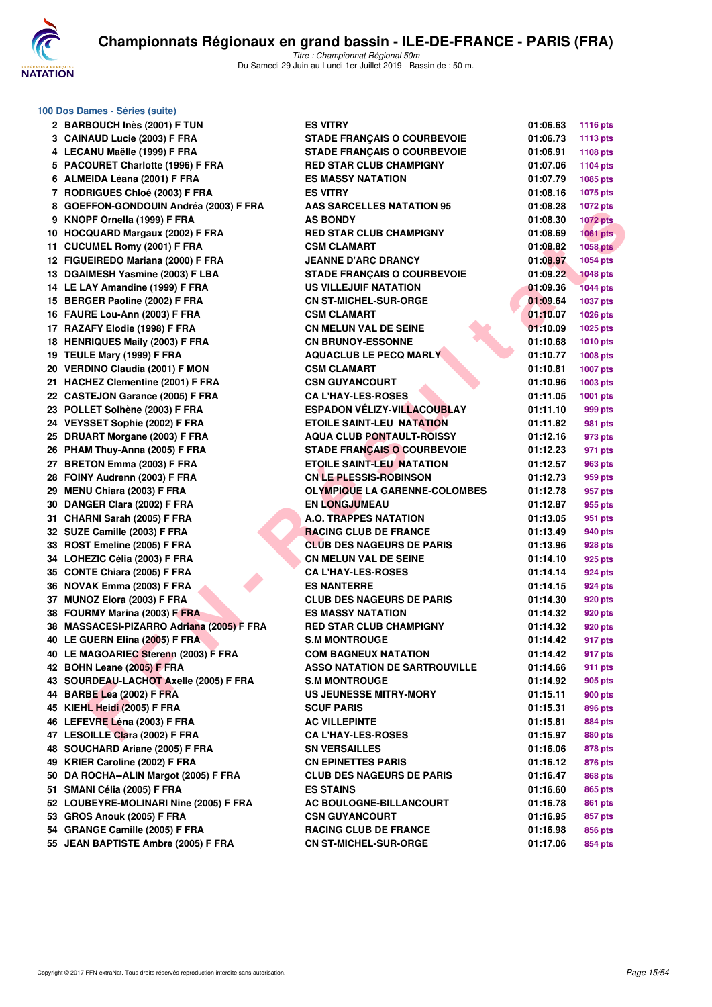

| 100 Dos Dames - Séries (suite)            |                                      |          |                 |
|-------------------------------------------|--------------------------------------|----------|-----------------|
| 2 BARBOUCH Inès (2001) F TUN              | <b>ES VITRY</b>                      | 01:06.63 | <b>1116 pts</b> |
| 3 CAINAUD Lucie (2003) F FRA              | <b>STADE FRANÇAIS O COURBEVOIE</b>   | 01:06.73 | 1113 pts        |
| 4 LECANU Maëlle (1999) F FRA              | <b>STADE FRANÇAIS O COURBEVOIE</b>   | 01:06.91 | 1108 pts        |
| 5 PACOURET Charlotte (1996) F FRA         | <b>RED STAR CLUB CHAMPIGNY</b>       | 01:07.06 | <b>1104 pts</b> |
| 6 ALMEIDA Léana (2001) F FRA              | <b>ES MASSY NATATION</b>             | 01:07.79 | 1085 pts        |
| 7 RODRIGUES Chloé (2003) F FRA            | <b>ES VITRY</b>                      | 01:08.16 | 1075 pts        |
| 8 GOEFFON-GONDOUIN Andréa (2003) F FRA    | <b>AAS SARCELLES NATATION 95</b>     | 01:08.28 | <b>1072 pts</b> |
| 9 KNOPF Ornella (1999) F FRA              | <b>AS BONDY</b>                      | 01:08.30 | <b>1072 pts</b> |
|                                           |                                      |          |                 |
| 10 HOCQUARD Margaux (2002) F FRA          | <b>RED STAR CLUB CHAMPIGNY</b>       | 01:08.69 | <b>1061 pts</b> |
| 11 CUCUMEL Romy (2001) F FRA              | <b>CSM CLAMART</b>                   | 01:08.82 | <b>1058 pts</b> |
| 12 FIGUEIREDO Mariana (2000) F FRA        | <b>JEANNE D'ARC DRANCY</b>           | 01:08.97 | 1054 pts        |
| 13 DGAIMESH Yasmine (2003) F LBA          | <b>STADE FRANCAIS O COURBEVOIE</b>   | 01:09.22 | <b>1048 pts</b> |
| 14 LE LAY Amandine (1999) F FRA           | <b>US VILLEJUIF NATATION</b>         | 01:09.36 | <b>1044 pts</b> |
| 15 BERGER Paoline (2002) F FRA            | <b>CN ST-MICHEL-SUR-ORGE</b>         | 01:09.64 | <b>1037 pts</b> |
| 16 FAURE Lou-Ann (2003) F FRA             | <b>CSM CLAMART</b>                   | 01:10.07 | 1026 pts        |
| 17 RAZAFY Elodie (1998) F FRA             | <b>CN MELUN VAL DE SEINE</b>         | 01:10.09 | 1025 pts        |
| 18 HENRIQUES Maily (2003) F FRA           | <b>CN BRUNOY-ESSONNE</b>             | 01:10.68 | <b>1010 pts</b> |
| 19 TEULE Mary (1999) F FRA                | <b>AQUACLUB LE PECQ MARLY</b>        | 01:10.77 | 1008 pts        |
| 20 VERDINO Claudia (2001) F MON           | <b>CSM CLAMART</b>                   | 01:10.81 | <b>1007 pts</b> |
| 21 HACHEZ Clementine (2001) F FRA         | <b>CSN GUYANCOURT</b>                | 01:10.96 | 1003 pts        |
| 22 CASTEJON Garance (2005) F FRA          | <b>CA L'HAY-LES-ROSES</b>            | 01:11.05 | 1001 pts        |
| 23 POLLET Solhène (2003) F FRA            | <b>ESPADON VELIZY-VILLACOUBLAY</b>   | 01:11.10 | 999 pts         |
| 24 VEYSSET Sophie (2002) F FRA            | <b>ETOILE SAINT-LEU NATATION</b>     | 01:11.82 | 981 pts         |
| 25 DRUART Morgane (2003) F FRA            | <b>AQUA CLUB PONTAULT-ROISSY</b>     | 01:12.16 | 973 pts         |
|                                           | <b>STADE FRANCAIS O COURBEVOIE</b>   |          |                 |
| 26 PHAM Thuy-Anna (2005) F FRA            |                                      | 01:12.23 | 971 pts         |
| 27 BRETON Emma (2003) F FRA               | <b>ETOILE SAINT-LEU NATATION</b>     | 01:12.57 | 963 pts         |
| 28 FOINY Audrenn (2003) F FRA             | <b>CN LE PLESSIS-ROBINSON</b>        | 01:12.73 | 959 pts         |
| 29 MENU Chiara (2003) F FRA               | <b>OLYMPIQUE LA GARENNE-COLOMBES</b> | 01:12.78 | 957 pts         |
| 30 DANGER Clara (2002) F FRA              | <b>EN LONGJUMEAU</b>                 | 01:12.87 | 955 pts         |
| 31 CHARNI Sarah (2005) F FRA              | <b>A.O. TRAPPES NATATION</b>         | 01:13.05 | 951 pts         |
| 32 SUZE Camille (2003) F FRA              | <b>RACING CLUB DE FRANCE</b>         | 01:13.49 | 940 pts         |
| 33 ROST Emeline (2005) F FRA              | <b>CLUB DES NAGEURS DE PARIS</b>     | 01:13.96 | 928 pts         |
| 34 LOHEZIC Célia (2003) F FRA             | <b>CN MELUN VAL DE SEINE</b>         | 01:14.10 | 925 pts         |
| 35 CONTE Chiara (2005) F FRA              | <b>CA L'HAY-LES-ROSES</b>            | 01:14.14 | 924 pts         |
| 36 NOVAK Emma (2003) F FRA                | <b>ES NANTERRE</b>                   | 01:14.15 | 924 pts         |
| 37 MUNOZ Elora (2003) F FRA               | <b>CLUB DES NAGEURS DE PARIS</b>     | 01:14.30 | 920 pts         |
| 38 FOURMY Marina (2003) F FRA             | <b>ES MASSY NATATION</b>             | 01:14.32 | 920 pts         |
| 38 MASSACESI-PIZARRO Adriana (2005) F FRA | <b>RED STAR CLUB CHAMPIGNY</b>       | 01:14.32 | 920 pts         |
| 40 LE GUERN Elina (2005) F FRA            | <b>S.M MONTROUGE</b>                 | 01:14.42 | 917 pts         |
| 40 LE MAGOARIEC Sterenn (2003) F FRA      | <b>COM BAGNEUX NATATION</b>          | 01:14.42 | 917 pts         |
| 42 BOHN Leane (2005) F FRA                | <b>ASSO NATATION DE SARTROUVILLE</b> | 01:14.66 | 911 pts         |
| 43 SOURDEAU-LACHOT Axelle (2005) F FRA    | <b>S.M MONTROUGE</b>                 | 01:14.92 | 905 pts         |
|                                           |                                      |          |                 |
| 44 BARBE Lea (2002) F FRA                 | US JEUNESSE MITRY-MORY               | 01:15.11 | 900 pts         |
| 45 KIEHL Heidi (2005) F FRA               | <b>SCUF PARIS</b>                    | 01:15.31 | 896 pts         |
| 46 LEFEVRE Léna (2003) F FRA              | <b>AC VILLEPINTE</b>                 | 01:15.81 | 884 pts         |
| 47 LESOILLE Clara (2002) F FRA            | <b>CA L'HAY-LES-ROSES</b>            | 01:15.97 | 880 pts         |
| 48 SOUCHARD Ariane (2005) F FRA           | <b>SN VERSAILLES</b>                 | 01:16.06 | 878 pts         |
| 49 KRIER Caroline (2002) F FRA            | <b>CN EPINETTES PARIS</b>            | 01:16.12 | 876 pts         |
| 50 DA ROCHA--ALIN Margot (2005) F FRA     | <b>CLUB DES NAGEURS DE PARIS</b>     | 01:16.47 | 868 pts         |
| 51 SMANI Célia (2005) F FRA               | <b>ES STAINS</b>                     | 01:16.60 | 865 pts         |
| 52 LOUBEYRE-MOLINARI Nine (2005) F FRA    | AC BOULOGNE-BILLANCOURT              | 01:16.78 | 861 pts         |
| 53 GROS Anouk (2005) F FRA                | <b>CSN GUYANCOURT</b>                | 01:16.95 | 857 pts         |
| 54 GRANGE Camille (2005) F FRA            | <b>RACING CLUB DE FRANCE</b>         | 01:16.98 | 856 pts         |
| 55 JEAN BAPTISTE Ambre (2005) F FRA       | <b>CN ST-MICHEL-SUR-ORGE</b>         | 01:17.06 | 854 pts         |
|                                           |                                      |          |                 |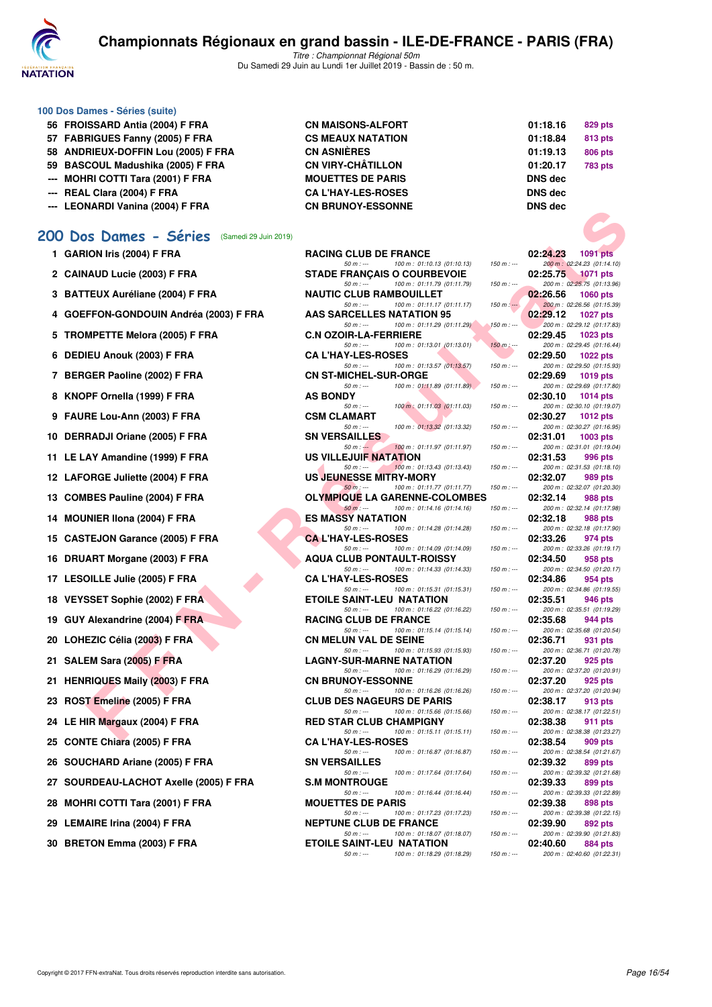

Titre : Championnat Régional 50m Du Samedi 29 Juin au Lundi 1er Juillet 2019 - Bassin de : 50 m.

| 100 Dos Dames - Séries (suite)      |                           |                |         |
|-------------------------------------|---------------------------|----------------|---------|
| 56 FROISSARD Antia (2004) F FRA     | <b>CN MAISONS-ALFORT</b>  | 01:18.16       | 829 pts |
| 57 FABRIGUES Fanny (2005) F FRA     | <b>CS MEAUX NATATION</b>  | 01:18.84       | 813 pts |
| 58 ANDRIEUX-DOFFIN Lou (2005) F FRA | <b>CN ASNIÈRES</b>        | 01:19.13       | 806 pts |
| 59 BASCOUL Madushika (2005) F FRA   | <b>CN VIRY-CHÂTILLON</b>  | 01:20.17       | 783 pts |
| --- MOHRI COTTI Tara (2001) F FRA   | <b>MOUETTES DE PARIS</b>  | <b>DNS</b> dec |         |
| --- REAL Clara (2004) F FRA         | <b>CA L'HAY-LES-ROSES</b> | <b>DNS</b> dec |         |
| --- LEONARDI Vanina (2004) F FRA    | <b>CN BRUNOY-ESSONNE</b>  | <b>DNS</b> dec |         |

#### **[200 Dos Dames - Séries](http://www.ffnatation.fr/webffn/resultats.php?idact=nat&go=epr&idcpt=61555&idepr=13)** (Samedi 29 Juin 2019)

1 GARION Iris (2004) **F FRA Rance 20:24** 

**2 CAINAUD Lucie (2003) F FRA** STADE STADE STADLES

**3 BATTEUX Auréliane (2004) F FRA NAUTIC RAMBOUTIC RAMBOUTIER RAMBOUTIER OF PRANAUTIC RAMBOUTIER OF PERMIT** 

- 4 GOEFFON-GONDOUIN Andréa (2003) F FRA
- **5 TROMPETTE Melora (2005) F FRA**

**6 DEDIEU Anouk (2003) F FRA** 

- **7 BERGER Paoline (2002) F FRA**
- **8 KNOPF Ornella (1999) F FRA**
- **9 FAURE Lou-Ann (2003) F FRA**
- 10 DERRADJI Oriane (2005) F FRA
- **11 LE LAY Amandine (1999) F FRA**
- **12 LAFORGE Juliette (2004) F FRA**
- **13 COMBES Pauline (2004) F FRA**
- **14 MOUNIER IIona (2004) F FRA**
- 15 CASTEJON Garance (2005) F FRA
- 16 DRUART Morgane (2003) F FRA

17 LESOILLE Julie (2005) F FRA

**18 VEYSSET Sophie (2002) F FRA PTS** 

- **19 GUY Alexandrine (2004) F FRA RACING CLUB DE FRANCE OF BEFAULT DE FRA**
- 20 LOHEZIC Célia (2003) F FRA
- 21 SALEM Sara (2005) **F FRA**
- 21 HENRIQUES Maily (2003) F FRA
- **23 ROST Emeline (2005) F FRA**
- 24 LE HIR Margaux (2004) **F FRA**
- **25 CONTE Chiara (2005) F FRA**
- **26 SOUCHARD Ariane (2005) F FRA 899 812 <b>899 11:32 899 812 82:33**
- 27 SOURDEAU-LACHOT Axelle (2005) F FRA S.M
- **28 MOHRI COTTI Tara (2001) F FRA MOHRI**
- **29 LEMAIRE Irina (2004) F FRA** NEPTUNE CLUB DE RESERVE DE RESERVE DE RESERVE DE RESERVE DE RESERVE DE RESERVE DE RESERVE DE RESERVE DE RESERVE DE RESERVE DE RESERVE DE RESERVE DE RESERVE DE RESERVE DE RESERVE DE RESERVE D
- **30 BRETON Emma (2003) F FRA ETOILE SAINT-LEU NATATION**

| L Clara (2004) F FRA                       | <b><i>UA L'HAY-LES-ROSES</i></b>                                              |               | <b>DNS GGC</b>                                             |
|--------------------------------------------|-------------------------------------------------------------------------------|---------------|------------------------------------------------------------|
| NARDI Vanina (2004) F FRA                  | <b>CN BRUNOY-ESSONNE</b>                                                      |               | <b>DNS dec</b>                                             |
| vs Dames - Séries<br>(Samedi 29 Juin 2019) |                                                                               |               |                                                            |
| ION Iris (2004) F FRA                      | <b>RACING CLUB DE FRANCE</b>                                                  |               | 02:24.23<br><b>1091 pts</b>                                |
| <b>IAUD Lucie (2003) F FRA</b>             | $50 m: -$<br>100 m: 01:10.13 (01:10.13)<br><b>STADE FRANCAIS O COURBEVOIE</b> | $150 m: -$    | 200 m : 02:24.23 (01:14.10)<br>02:25.75<br><b>1071 pts</b> |
| TEUX Auréliane (2004) F FRA                | $50 m: -$<br>100 m: 01:11.79 (01:11.79)<br><b>NAUTIC CLUB RAMBOUILLET</b>     | $150 m: -$    | 200 m: 02:25.75 (01:13.96)<br>02:26.56<br><b>1060 pts</b>  |
| FFON-GONDOUIN Andréa (2003) F FRA          | 100 m: 01:11.17 (01:11.17)<br>$50 m: -$<br>AAS SARCELLES NATATION 95          | $150 m: -$    | 200 m: 02:26.56 (01:15.39)<br>02:29.12<br><b>1027 pts</b>  |
| MPETTE Melora (2005) F FRA                 | $50 m : -$<br>100 m: 01:11.29 (01:11.29)<br><b>C.N OZOIR-LA-FERRIERE</b>      | $150 m : -$   | 200 m: 02:29.12 (01:17.83)<br>02:29.45<br>$1023$ pts       |
| IEU Anouk (2003) F FRA                     | $50 m: -$<br>100 m: 01:13.01 (01:13.01)<br><b>CAL'HAY-LES-ROSES</b>           | $150 m$ : --- | 200 m: 02:29.45 (01:16.44)<br>02:29.50<br><b>1022 pts</b>  |
|                                            | 100 m: 01:13.57 (01:13.57)<br>$50 m: -$                                       | $150 m: -$    | 200 m: 02:29.50 (01:15.93)                                 |
| GER Paoline (2002) F FRA                   | <b>CN ST-MICHEL-SUR-ORGE</b><br>$50 m: -$<br>100 m: 01:11.89 (01:11.89)       | $150 m : -$   | 02:29.69<br>1019 pts<br>200 m: 02:29.69 (01:17.80)         |
| PF Ornella (1999) F FRA                    | <b>AS BONDY</b><br>100 m: 01:11.03 (01:11.03)<br>$50 m : -$                   | $150 m: -$    | 02:30.10<br>1014 $pts$<br>200 m: 02:30.10 (01:19.07)       |
| RE Lou-Ann (2003) F FRA                    | <b>CSM CLAMART</b>                                                            |               | 02:30.27<br>1012 $pts$                                     |
| RADJI Oriane (2005) F FRA                  | 100 m: 01:13.32 (01:13.32)<br>$50 m: -$<br><b>SN VERSAILLES</b>               | $150 m : -$   | 200 m: 02:30.27 (01:16.95)<br>02:31.01<br>$1003$ pts       |
| AY Amandine (1999) F FRA                   | $50 m : -$<br>100 m: 01:11.97 (01:11.97)<br>US VILLEJUIF NATATION             | $150 m : -$   | 200 m: 02:31.01 (01:19.04)<br>02:31.53<br>996 pts          |
|                                            | 100 m: 01:13.43 (01:13.43)<br>$50 m: -$                                       | $150 m$ : --- | 200 m: 02:31.53 (01:18.10)                                 |
| <b>DRGE Juliette (2004) F FRA</b>          | <b>US JEUNESSE MITRY-MORY</b><br>100 m: 01:11.77 (01:11.77)<br>$50 m$ : ---   | $150 m : -$   | 02:32.07<br>989 pts<br>200 m: 02:32.07 (01:20.30)          |
| IBES Pauline (2004) F FRA                  | <b>OLYMPIQUE LA GARENNE-COLOMBES</b>                                          |               | 02:32.14<br>988 pts                                        |
| <b>INIER Ilona (2004) F FRA</b>            | $50 m: -$<br>100 m: 01:14.16 (01:14.16)<br><b>ES MASSY NATATION</b>           | $150 m: -$    | 200 m: 02:32.14 (01:17.98)<br>02:32.18<br>988 pts          |
| TEJON Garance (2005) F FRA                 | $50 m: -$<br>100 m: 01:14.28 (01:14.28)<br><b>CAL'HAY-LES-ROSES</b>           | $150 m: -$    | 200 m: 02:32.18 (01:17.90)<br>02:33.26<br>974 pts          |
| ART Morgane (2003) F FRA                   | 100 m: 01:14.09 (01:14.09)<br>$50 m: -$<br><b>AQUA CLUB PONTAULT-ROISSY</b>   | $150 m : -$   | 200 m: 02:33.26 (01:19.17)<br>02:34.50<br>958 pts          |
| <b>OILLE Julie (2005) F FRA</b>            | $50 m: -$<br>100 m: 01:14.33 (01:14.33)<br><b>CA L'HAY-LES-ROSES</b>          | $150 m : -$   | 200 m: 02:34.50 (01:20.17)<br>02:34.86<br>954 pts          |
|                                            | 100 m: 01:15.31 (01:15.31)<br>$50 m: -$                                       | $150 m : -$   | 200 m: 02:34.86 (01:19.55)                                 |
| SSET Sophie (2002) F FRA                   | <b>ETOILE SAINT-LEU NATATION</b><br>$50 m: -$<br>100 m: 01:16.22 (01:16.22)   | $150 m : -$   | 02:35.51<br>946 pts<br>200 m: 02:35.51 (01:19.29)          |
| Alexandrine (2004) F FRA                   | <b>RACING CLUB DE FRANCE</b>                                                  |               | 02:35.68<br>944 pts                                        |
| EZIC Célia (2003) F FRA                    | $50 m: -$<br>100 m: 01:15.14 (01:15.14)<br><b>CN MELUN VAL DE SEINE</b>       | $150 m : -$   | 200 m: 02:35.68 (01:20.54)<br>02:36.71<br>931 pts          |
| EM Sara (2005) F FRA                       | 100 m: 01:15.93 (01:15.93)<br>$50 m: -$<br><b>LAGNY-SUR-MARNE NATATION</b>    | $150 m: -$    | 200 m: 02:36.71 (01:20.78)<br>02:37.20<br>925 pts          |
|                                            | 100 m: 01:16.29 (01:16.29)<br>$50 m: -$                                       | $150 m : -$   | 200 m: 02:37.20 (01:20.91)                                 |
| RIQUES Maily (2003) F FRA                  | <b>CN BRUNOY-ESSONNE</b><br>$50 m: -$<br>100 m: 01:16.26 (01:16.26)           | $150 m: -$    | 02:37.20<br>925 pts<br>200 m: 02:37.20 (01:20.94)          |
| T Emeline (2005) F FRA                     | <b>CLUB DES NAGEURS DE PARIS</b>                                              |               | 02:38.17<br>913 pts                                        |
| IR Margaux (2004) F FRA                    | $50 m: -$<br>100 m: 01:15.66 (01:15.66)<br><b>RED STAR CLUB CHAMPIGNY</b>     | $150 m: -$    | 200 m: 02:38.17 (01:22.51)<br>02:38.38<br>911 pts          |
| TE Chiara (2005) F FRA                     | $50 m : -$<br>100 m: 01:15.11 (01:15.11)                                      | $150 m : -$   | 200 m: 02:38.38 (01:23.27)                                 |
|                                            | <b>CA L'HAY-LES-ROSES</b><br>$50 m : -$<br>100 m: 01:16.87 (01:16.87)         | $150 m: -$    | 02:38.54<br>909 pts<br>200 m: 02:38.54 (01:21.67)          |
| CHARD Ariane (2005) F FRA                  | <b>SN VERSAILLES</b><br>100 m: 01:17.64 (01:17.64)<br>50 m : ---              | $150 m : -$   | 02:39.32<br>899 pts<br>200 m : 02:39.32 (01:21.68)         |
| RDEAU-LACHOT Axelle (2005) F FRA           | <b>S.M MONTROUGE</b>                                                          |               | 02:39.33<br>899 pts                                        |
| IRI COTTI Tara (2001) F FRA                | $50 m: -$<br>100 m: 01:16.44 (01:16.44)<br><b>MOUETTES DE PARIS</b>           | $150 m : -$   | 200 m: 02:39.33 (01:22.89)<br>02:39.38<br>898 pts          |
| AIRE Irina (2004) F FRA                    | 100 m: 01:17.23 (01:17.23)<br>$50 m: -$<br><b>NEPTUNE CLUB DE FRANCE</b>      | $150 m : -$   | 200 m: 02:39.38 (01:22.15)<br>02:39.90<br>892 pts          |
|                                            | 100 m: 01:18.07 (01:18.07)<br>$50 m: -$                                       | $150 m : -$   | 200 m: 02:39.90 (01:21.83)                                 |

50 m : --- 100 m : 01:18.29 (01:18.29)

| 829 pts        |
|----------------|
| 813 pts        |
| 806 pts        |
| <b>783 pts</b> |
|                |
|                |
|                |
|                |

|            | 02:24.23 | 1091 pts                    |
|------------|----------|-----------------------------|
| $50 m : -$ |          | 200 m : 02:24.23 (01:14.10) |
|            |          | 02:25.75 1071 pts           |
|            |          |                             |
| $50 m : -$ |          | 200 m: 02:25.75 (01:13.96)  |
|            |          | 02:26.56 1060 pts           |
| $50 m : -$ |          | 200 m : 02:26.56 (01:15.39) |
|            | 02:29.12 | 1027 pts                    |
| $50 m : -$ |          | 200 m: 02:29.12 (01:17.83)  |
|            | 02:29.45 | 1023 pts                    |
| $50 m : -$ |          | 200 m: 02:29.45 (01:16.44)  |
|            | 02:29.50 | 1022 pts                    |
| $50 m : -$ |          | 200 m: 02:29.50 (01:15.93)  |
|            |          | 02:29.69 1019 pts           |
| $50 m : -$ |          | 200 m: 02:29.69 (01:17.80)  |
|            |          | 02:30.10 1014 pts           |
| $50 m : -$ |          | 200 m: 02:30.10 (01:19.07)  |
|            |          | 02:30.27 1012 pts           |
|            |          |                             |
| $50 m : -$ |          | 200 m: 02:30.27 (01:16.95)  |
|            |          | 02:31.01  1003 pts          |
| $50 m : -$ |          | 200 m: 02:31.01 (01:19.04)  |
|            | 02:31.53 | 996 pts                     |
| $50 m: -$  |          | 200 m: 02:31.53 (01:18.10)  |
|            | 02:32.07 | <b>989 pts</b>              |
| $50 m : -$ |          | 200 m: 02:32.07 (01:20.30)  |
|            | 02:32.14 | 988 pts                     |
| $50 m : -$ |          | 200 m: 02:32.14 (01:17.98)  |
|            | 02:32.18 | 988 pts                     |
| $50 m : -$ |          | 200 m: 02:32.18 (01:17.90)  |
|            | 02:33.26 | 974 pts                     |
| $50 m : -$ |          | 200 m: 02:33.26 (01:19.17)  |
|            |          | 02:34.50 958 pts            |
| $50 m : -$ |          |                             |
|            |          | 200 m: 02:34.50 (01:20.17)  |
|            | 02:34.86 | 954 pts                     |
| $50 m: -$  |          | 200 m: 02:34.86 (01:19.55)  |
|            | 02:35.51 | 946 pts                     |
| $50 m : -$ |          | 200 m: 02:35.51 (01:19.29)  |
|            | 02:35.68 | 944 pts                     |
| $50 m : -$ |          | 200 m: 02:35.68 (01:20.54)  |
|            | 02:36.71 | 931 pts                     |
| $50 m : -$ |          | 200 m: 02:36.71 (01:20.78)  |
|            | 02:37.20 | 925 pts                     |
| $50 m : -$ |          | 200 m: 02:37.20 (01:20.91)  |
|            | 02:37.20 | 925 pts                     |
| $50 m : -$ |          | 200 m: 02:37.20 (01:20.94)  |
|            | 02:38.17 | 913 pts                     |
| $50 m: -$  |          | 200 m: 02:38.17 (01:22.51)  |
|            | 02:38.38 | <b>911 pts</b>              |
| $50 m : -$ |          | 200 m: 02:38.38 (01:23.27)  |
|            | 02:38.54 | 909 pts                     |
| $50 m: -$  |          | 200 m: 02:38.54 (01:21.67)  |
|            |          | 02:39.32 899 pts            |
|            |          |                             |
| $50 m : -$ |          | 200 m: 02:39.32 (01:21.68)  |
|            | 02:39.33 | 899 pts                     |
| 50 m : --- |          | 200 m: 02:39.33 (01:22.89)  |
|            | 02:39.38 | 898 pts                     |
| $50 m: -$  |          | 200 m: 02:39.38 (01:22.15)  |
|            | 02:39.90 | 892 pts                     |
| $50 m: -$  |          | 200 m: 02:39.90 (01:21.83)  |
|            | 02:40.60 | <b>884 pts</b>              |
| $50 m: -$  |          | 200 m: 02:40.60 (01:22.31)  |
|            |          |                             |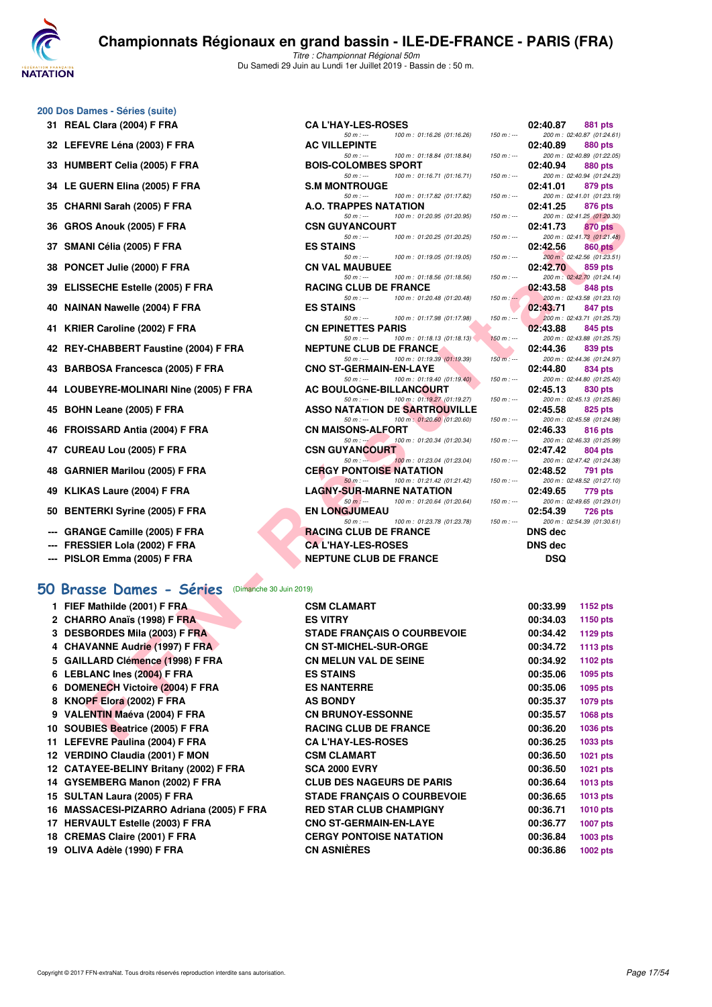

Titre : Championnat Régional 50m Du Samedi 29 Juin au Lundi 1er Juillet 2019 - Bassin de : 50 m.

#### **200 Dos Dames - Séries (suite)**

- 
- **32 LEFEVRE Léna (2003) F FRA**
- **33 HUMBERT Celia (2005) F FRA**
- **34 LE GUERN Elina (2005) F FRA**
- 
- **36 GROS Anouk (2005) F FRA**
- 
- 
- 
- 
- 
- 
- 
- 
- **45 BOHN Leane (2005) F FRA**
- **46 FROISSARD Antia (2004) F FRA**
- 
- **48 GARNIER Marilou (2005) F FRA**
- **49 KLIKAS Laure (2004) F FRA LAGNY-SUR-MARNE NATATION 02:49.65 779 pts**
- **50 BENTERKI Syrine (2005) F FRA**
- --- GRANGE Camille (2005) F FRA
- **--- FRESSIER Lola (2002) F FRA**
- **--- PISLOR Emma (2005) F FRA**

#### **[50 Brasse Dames - Séries](http://www.ffnatation.fr/webffn/resultats.php?idact=nat&go=epr&idcpt=61555&idepr=21)** (Dimanche 30 Juin 2019)

| 1 FIEF Mathilde (2001) F FRA              | <b>CSM CLAMART</b>                 | 00:33.99 | <b>1152 pts</b> |
|-------------------------------------------|------------------------------------|----------|-----------------|
| 2 CHARRO Anaïs (1998) F FRA               | <b>ES VITRY</b>                    | 00:34.03 | <b>1150 pts</b> |
| 3 DESBORDES Mila (2003) F FRA             | <b>STADE FRANÇAIS O COURBEVOIE</b> | 00:34.42 | 1129 pts        |
| 4 CHAVANNE Audrie (1997) F FRA            | <b>CN ST-MICHEL-SUR-ORGE</b>       | 00:34.72 | <b>1113 pts</b> |
| 5 GAILLARD Clémence (1998) F FRA          | <b>CN MELUN VAL DE SEINE</b>       | 00:34.92 | 1102 pts        |
| 6 LEBLANC Ines (2004) F FRA               | <b>ES STAINS</b>                   | 00:35.06 | 1095 pts        |
| 6 DOMENECH Victoire (2004) F FRA          | <b>ES NANTERRE</b>                 | 00:35.06 | 1095 pts        |
| 8 KNOPF Elora (2002) F FRA                | <b>AS BONDY</b>                    | 00:35.37 | 1079 pts        |
| 9 VALENTIN Maéva (2004) F FRA             | <b>CN BRUNOY-ESSONNE</b>           | 00:35.57 | 1068 pts        |
| 10 SOUBIES Beatrice (2005) F FRA          | <b>RACING CLUB DE FRANCE</b>       | 00:36.20 | <b>1036 pts</b> |
| 11 LEFEVRE Paulina (2004) F FRA           | <b>CA L'HAY-LES-ROSES</b>          | 00:36.25 | 1033 pts        |
| 12 VERDINO Claudia (2001) F MON           | <b>CSM CLAMART</b>                 | 00:36.50 | 1021 pts        |
| 12 CATAYEE-BELINY Britany (2002) F FRA    | <b>SCA 2000 EVRY</b>               | 00:36.50 | 1021 pts        |
| 14 GYSEMBERG Manon (2002) F FRA           | <b>CLUB DES NAGEURS DE PARIS</b>   | 00:36.64 | <b>1013 pts</b> |
| 15 SULTAN Laura (2005) F FRA              | <b>STADE FRANÇAIS O COURBEVOIE</b> | 00:36.65 | <b>1013 pts</b> |
| 16 MASSACESI-PIZARRO Adriana (2005) F FRA | <b>RED STAR CLUB CHAMPIGNY</b>     | 00:36.71 | <b>1010 pts</b> |
| 17 HERVAULT Estelle (2003) F FRA          | <b>CNO ST-GERMAIN-EN-LAYE</b>      | 00:36.77 | <b>1007 pts</b> |
| 18 CREMAS Claire (2001) F FRA             | <b>CERGY PONTOISE NATATION</b>     | 00:36.84 | 1003 pts        |
| 19 OLIVA Adèle (1990) F FRA               | <b>CN ASNIÈRES</b>                 | 00:36.86 | <b>1002 pts</b> |

| 31 REAL Clara (2004) F FRA                                                | <b>CA L'HAY-LES-ROSES</b>                                                  |             | 02:40.87<br>881 pts                                |
|---------------------------------------------------------------------------|----------------------------------------------------------------------------|-------------|----------------------------------------------------|
| 32 LEFEVRE Léna (2003) F FRA                                              | $50 m: -$<br>100 m: 01:16.26 (01:16.26)<br><b>AC VILLEPINTE</b>            | $150 m : -$ | 200 m: 02:40.87 (01:24.61)<br>02:40.89<br>880 pts  |
| 33 HUMBERT Celia (2005) F FRA                                             | 100 m: 01:18.84 (01:18.84)<br>$50 m: -$<br><b>BOIS-COLOMBES SPORT</b>      | $150 m : -$ | 200 m: 02:40.89 (01:22.05)<br>02:40.94<br>880 pts  |
| 34 LE GUERN Elina (2005) F FRA                                            | $50 m: -$<br>100 m : 01:16.71 (01:16.71)<br><b>S.M MONTROUGE</b>           | $150 m : -$ | 200 m: 02:40.94 (01:24.23)<br>02:41.01             |
|                                                                           | 100 m: 01:17.82 (01:17.82)<br>$50 m: -$                                    | $150 m : -$ | 879 pts<br>200 m: 02:41.01 (01:23.19)              |
| 35 CHARNI Sarah (2005) F FRA                                              | A.O. TRAPPES NATATION<br>100 m: 01:20.95 (01:20.95)<br>$50 m: -$           | $150 m : -$ | 02:41.25<br>876 pts<br>200 m: 02:41.25 (01:20.30)  |
| 36 GROS Anouk (2005) F FRA                                                | <b>CSN GUYANCOURT</b><br>$50 m: -$<br>100 m: 01:20.25 (01:20.25)           | $150 m : -$ | 02:41.73<br>870 pts<br>200 m: 02:41.73 (01:21.48)  |
| 37 SMANI Célia (2005) F FRA                                               | <b>ES STAINS</b>                                                           |             | 02:42.56<br>860 pts                                |
| 38 PONCET Julie (2000) F FRA                                              | 100 m: 01:19.05 (01:19.05)<br>$50 m: -$<br><b>CN VAL MAUBUEE</b>           | $150 m : -$ | 200 m : 02:42.56 (01:23.51)<br>02:42.70<br>859 pts |
| 39 ELISSECHE Estelle (2005) F FRA                                         | $50 m: -$<br>100 m: 01:18.56 (01:18.56)<br><b>RACING CLUB DE FRANCE</b>    | $150 m : -$ | 200 m: 02:42.70 (01:24.14)<br>02:43.58<br>848 pts  |
| 40 NAINAN Nawelle (2004) F FRA                                            | $50 m: -$<br>100 m: 01:20.48 (01:20.48)<br><b>ES STAINS</b>                | $150 m : -$ | 200 m: 02:43.58 (01:23.10)<br>02:43.71<br>847 pts  |
|                                                                           | $50 m : -$<br>100 m: 01:17.98 (01:17.98)                                   | $150 m : -$ | 200 m: 02:43.71 (01:25.73)                         |
| 41 KRIER Caroline (2002) F FRA                                            | <b>CN EPINETTES PARIS</b><br>100 m: 01:18.13 (01:18.13)<br>$50 m: -$       | $150 m : -$ | 02:43.88<br>845 pts<br>200 m: 02:43.88 (01:25.75)  |
| 42 REY-CHABBERT Faustine (2004) F FRA                                     | <b>NEPTUNE CLUB DE FRANCE</b>                                              |             | 02:44.36<br>839 pts                                |
| 43 BARBOSA Francesca (2005) F FRA                                         | $50 m: -$<br>100 m: 01:19.39 (01:19.39)<br><b>CNO ST-GERMAIN-EN-LAYE</b>   | $150 m: -$  | 200 m: 02:44.36 (01:24.97)<br>02:44.80<br>834 pts  |
|                                                                           | 100 m: 01:19.40 (01:19.40)<br>$50 m: -$                                    | $150 m : -$ | 200 m: 02:44.80 (01:25.40)                         |
| 44 LOUBEYRE-MOLINARI Nine (2005) F FRA                                    | AC BOULOGNE-BILLANCOURT<br>100 m: 01:19.27 (01:19.27)<br>$50 m: -$         | $150 m : -$ | 02:45.13<br>830 pts<br>200 m: 02:45.13 (01:25.86)  |
| 45 BOHN Leane (2005) F FRA                                                | <b>ASSO NATATION DE SARTROUVILLE</b>                                       |             | 02:45.58<br>825 pts                                |
| 46 FROISSARD Antia (2004) F FRA                                           | $50 m$ : ---<br>100 m: 01:20.60 (01:20.60)<br><b>CN MAISONS-ALFORT</b>     | $150 m : -$ | 200 m: 02:45.58 (01:24.98)<br>02:46.33<br>816 pts  |
| 47 CUREAU Lou (2005) F FRA                                                | 100 m: 01:20.34 (01:20.34)<br>$50 m: -1$<br><b>CSN GUYANCOURT</b>          | $150 m : -$ | 200 m: 02:46.33 (01:25.99)<br>02:47.42<br>804 pts  |
| 48 GARNIER Marilou (2005) F FRA                                           | 100 m : 01:23.04 (01:23.04)<br>$50 m: -$<br><b>CERGY PONTOISE NATATION</b> | $150 m : -$ | 200 m: 02:47.42 (01:24.38)<br>02:48.52             |
|                                                                           | $50 m: -$<br>100 m: 01:21.42 (01:21.42)                                    | $150 m : -$ | 791 pts<br>200 m: 02:48.52 (01:27.10)              |
| 49 KLIKAS Laure (2004) F FRA                                              | <b>LAGNY-SUR-MARNE NATATION</b><br>100 m: 01:20.64 (01:20.64)<br>$50 m: -$ | $150 m : -$ | 02:49.65<br>779 pts<br>200 m: 02:49.65 (01:29.01)  |
| 50 BENTERKI Syrine (2005) F FRA                                           | <b>EN LONGJUMEAU</b>                                                       |             | 02:54.39<br>726 pts                                |
| <b>GRANGE Camille (2005) F FRA</b>                                        | $50 m: -$<br>100 m : 01:23.78 (01:23.78)<br><b>RACING CLUB DE FRANCE</b>   | $150 m : -$ | 200 m: 02:54.39 (01:30.61)<br><b>DNS dec</b>       |
| FRESSIER Lola (2002) F FRA                                                | <b>CAL'HAY-LES-ROSES</b>                                                   |             | <b>DNS dec</b>                                     |
| --- PISLOR Emma (2005) F FRA                                              | <b>NEPTUNE CLUB DE FRANCE</b>                                              |             | <b>DSQ</b>                                         |
|                                                                           |                                                                            |             |                                                    |
| 0 Brasse Dames - Séries<br>(Dimanche 30 Juin 2019)                        |                                                                            |             |                                                    |
| 1 FIEF Mathilde (2001) F FRA                                              | <b>CSM CLAMART</b>                                                         |             | 00:33.99<br><b>1152 pts</b>                        |
| 2 CHARRO Anaïs (1998) F FRA                                               | <b>ES VITRY</b>                                                            |             | 00:34.03<br><b>1150 pts</b>                        |
| 3 DESBORDES Mila (2003) F FRA                                             | <b>STADE FRANÇAIS O COURBEVOIE</b>                                         |             | 00:34.42<br>1129 pts                               |
| 4 CHAVANNE Audrie (1997) F FRA                                            | <b>CN ST-MICHEL-SUR-ORGE</b>                                               |             | 00:34.72<br>1113 pts                               |
| 5 GAILLARD Clémence (1998) F FRA                                          | <b>CN MELUN VAL DE SEINE</b>                                               |             | 00:34.92<br>1102 pts                               |
| 6 LEBLANC Ines (2004) F FRA                                               | <b>ES STAINS</b>                                                           |             | 00:35.06<br>1095 pts                               |
| 6 DOMENECH Victoire (2004) F FRA                                          | <b>ES NANTERRE</b>                                                         |             | 00:35.06<br>1095 pts                               |
| 8 KNOPF Elora (2002) F FRA                                                | <b>AS BONDY</b>                                                            |             | 00:35.37<br><b>1079 pts</b>                        |
| 9 VALENTIN Maéva (2004) F FRA                                             | <b>CN BRUNOY-ESSONNE</b>                                                   |             | 00:35.57<br><b>1068 pts</b>                        |
| 10 SOUBIES Beatrice (2005) F FRA<br>$44 \pm E$ CCVDC Davises (0004) C CDA | <b>RACING CLUB DE FRANCE</b><br><b>CALUAVIEC DOCEC</b>                     |             | 00:36.20<br>1036 pts<br>00.00 OF                   |
|                                                                           |                                                                            |             | $1000 - 1$                                         |

|           | 02:40.87       | 881 pts                                        |
|-----------|----------------|------------------------------------------------|
| $m:$ $-$  |                | 200 m: 02:40.87 (01:24.61)                     |
|           | 02:40.89       | 880 pts                                        |
| $m:$ $-$  |                | 200 m: 02:40.89 (01:22.05)                     |
|           | 02:40.94       | <b>880 pts</b>                                 |
| $m:$ $-$  |                | 200 m: 02:40.94 (01:24.23)                     |
|           | 02:41.01       | 879 pts                                        |
| $m:$ $-$  |                | 200 m: 02:41.01 (01:23.19)                     |
|           | 02:41.25       | 876 pts                                        |
| $m:$ $-$  |                | 200 m: 02:41.25 (01:20.30)                     |
|           | 02:41.73       | <b>870 pts</b>                                 |
| $m:$ $-$  |                | 200 m: 02:41.73 (01:21.48)                     |
|           | 02:42.56       | <b>860 pts</b>                                 |
| $m:$ $-$  | 02:42.70       | 200 m : 02:42.56 (01:23.51)                    |
|           |                | 859 pts                                        |
| $m:$ $-$  |                | 200 m: 02:42.70 (01:24.14)<br>02:43.58 848 pts |
|           |                | 200 m: 02:43.58 (01:23.10)                     |
| $m:$ $-$  | 02:43.71       | 847 pts                                        |
| $m:$ $-$  |                | 200 m : 02:43.71 (01:25.73)                    |
|           | 02:43.88       | 845 pts                                        |
| $m:$ $-$  |                | 200 m: 02:43.88 (01:25.75)                     |
|           | 02:44.36       | 839 pts                                        |
| $m$ : $-$ |                | 200 m: 02:44.36 (01:24.97)                     |
|           | 02:44.80       | 834 pts                                        |
| $m:$ $-$  |                | 200 m: 02:44.80 (01:25.40)                     |
|           | 02:45.13       | 830 pts                                        |
| $m:$ $-$  |                | 200 m: 02:45.13 (01:25.86)                     |
|           |                | 02:45.58 825 pts                               |
| $m:$ $-$  |                | 200 m: 02:45.58 (01:24.98)                     |
|           | 02:46.33       | <b>816 pts</b>                                 |
| $m:$ $-$  |                | 200 m: 02:46.33 (01:25.99)                     |
|           | 02:47.42       | 804 pts                                        |
| $m:$ $-$  |                | 200 m: 02:47.42 (01:24.38)                     |
|           | 02:48.52       | 791 pts                                        |
| $m:$ $-$  |                | 200 m: 02:48.52 (01:27.10)                     |
|           | 02:49.65       | 779 pts                                        |
| $m:$ $-$  |                | 200 m: 02:49.65 (01:29.01)                     |
|           | 02:54.39       | <b>726 pts</b>                                 |
| $m:$ $-$  |                | 200 m: 02:54.39 (01:30.61)                     |
|           | <b>DNS dec</b> |                                                |
|           | <b>DNS dec</b> |                                                |
|           | <b>DSQ</b>     |                                                |
|           |                |                                                |

| <b>TUUZ PIS</b> |  |
|-----------------|--|
|                 |  |
|                 |  |
|                 |  |
|                 |  |
|                 |  |
|                 |  |
|                 |  |
|                 |  |
|                 |  |
|                 |  |
|                 |  |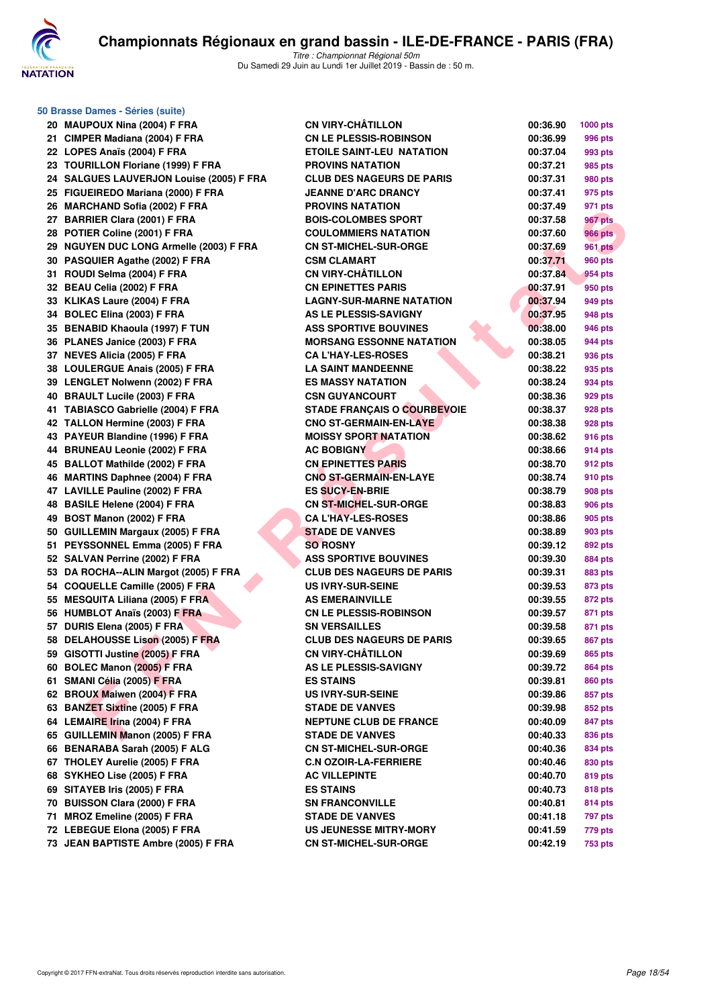

| 50 Brasse Dames - Séries (suite)         |                                    |          |                 |  |  |  |
|------------------------------------------|------------------------------------|----------|-----------------|--|--|--|
| 20 MAUPOUX Nina (2004) F FRA             | <b>CN VIRY-CHÂTILLON</b>           | 00:36.90 | <b>1000 pts</b> |  |  |  |
| 21 CIMPER Madiana (2004) F FRA           | <b>CN LE PLESSIS-ROBINSON</b>      | 00:36.99 | 996 pts         |  |  |  |
| 22 LOPES Anaïs (2004) F FRA              | <b>ETOILE SAINT-LEU NATATION</b>   | 00:37.04 | 993 pts         |  |  |  |
| 23 TOURILLON Floriane (1999) F FRA       | <b>PROVINS NATATION</b>            | 00:37.21 | 985 pts         |  |  |  |
| 24 SALGUES LAUVERJON Louise (2005) F FRA | <b>CLUB DES NAGEURS DE PARIS</b>   | 00:37.31 | 980 pts         |  |  |  |
| 25 FIGUEIREDO Mariana (2000) F FRA       | <b>JEANNE D'ARC DRANCY</b>         | 00:37.41 | 975 pts         |  |  |  |
| 26 MARCHAND Sofia (2002) F FRA           | <b>PROVINS NATATION</b>            | 00:37.49 | 971 pts         |  |  |  |
| 27 BARRIER Clara (2001) F FRA            | <b>BOIS-COLOMBES SPORT</b>         | 00:37.58 | 967 pts         |  |  |  |
| 28 POTIER Coline (2001) F FRA            | <b>COULOMMIERS NATATION</b>        | 00:37.60 | <b>966 pts</b>  |  |  |  |
| 29 NGUYEN DUC LONG Armelle (2003) F FRA  | <b>CN ST-MICHEL-SUR-ORGE</b>       | 00:37.69 | <b>961 pts</b>  |  |  |  |
| 30 PASQUIER Agathe (2002) F FRA          | <b>CSM CLAMART</b>                 | 00:37.71 | 960 pts         |  |  |  |
| 31 ROUDI Selma (2004) F FRA              | <b>CN VIRY-CHÂTILLON</b>           | 00:37.84 | 954 pts         |  |  |  |
| 32 BEAU Celia (2002) F FRA               | <b>CN EPINETTES PARIS</b>          | 00:37.91 | 950 pts         |  |  |  |
| 33 KLIKAS Laure (2004) F FRA             | <b>LAGNY-SUR-MARNE NATATION</b>    | 00:37.94 | 949 pts         |  |  |  |
| 34 BOLEC Elina (2003) F FRA              | AS LE PLESSIS-SAVIGNY              | 00:37.95 | 948 pts         |  |  |  |
| 35 BENABID Khaoula (1997) F TUN          | <b>ASS SPORTIVE BOUVINES</b>       | 00:38.00 | 946 pts         |  |  |  |
| 36 PLANES Janice (2003) F FRA            | <b>MORSANG ESSONNE NATATION</b>    | 00:38.05 | 944 pts         |  |  |  |
| 37 NEVES Alicia (2005) F FRA             | <b>CA L'HAY-LES-ROSES</b>          | 00:38.21 | 936 pts         |  |  |  |
| 38 LOULERGUE Anais (2005) F FRA          | <b>LA SAINT MANDEENNE</b>          | 00:38.22 | 935 pts         |  |  |  |
| 39 LENGLET Nolwenn (2002) F FRA          | <b>ES MASSY NATATION</b>           | 00:38.24 | 934 pts         |  |  |  |
| 40 BRAULT Lucile (2003) F FRA            | <b>CSN GUYANCOURT</b>              | 00:38.36 | 929 pts         |  |  |  |
| 41 TABIASCO Gabrielle (2004) F FRA       | <b>STADE FRANCAIS O COURBEVOIE</b> | 00:38.37 | <b>928 pts</b>  |  |  |  |
| 42 TALLON Hermine (2003) F FRA           | <b>CNO ST-GERMAIN-EN-LAYE</b>      | 00:38.38 | 928 pts         |  |  |  |
| 43 PAYEUR Blandine (1996) F FRA          | <b>MOISSY SPORT NATATION</b>       | 00:38.62 | 916 pts         |  |  |  |
| 44 BRUNEAU Leonie (2002) F FRA           | <b>AC BOBIGNY</b>                  | 00:38.66 | 914 pts         |  |  |  |
| 45 BALLOT Mathilde (2002) F FRA          | <b>CN EPINETTES PARIS</b>          | 00:38.70 | 912 pts         |  |  |  |
| 46 MARTINS Daphnee (2004) F FRA          | <b>CNO ST-GERMAIN-EN-LAYE</b>      | 00:38.74 | 910 pts         |  |  |  |
| 47 LAVILLE Pauline (2002) F FRA          | <b>ES SUCY-EN-BRIE</b>             | 00:38.79 | 908 pts         |  |  |  |
| 48 BASILE Helene (2004) F FRA            | <b>CN ST-MICHEL-SUR-ORGE</b>       | 00:38.83 | <b>906 pts</b>  |  |  |  |
| 49 BOST Manon (2002) F FRA               | <b>CA L'HAY-LES-ROSES</b>          | 00:38.86 | 905 pts         |  |  |  |
| 50 GUILLEMIN Margaux (2005) F FRA        | <b>STADE DE VANVES</b>             | 00:38.89 | 903 pts         |  |  |  |
| 51 PEYSSONNEL Emma (2005) F FRA          | <b>SO ROSNY</b>                    | 00:39.12 | 892 pts         |  |  |  |
| 52 SALVAN Perrine (2002) F FRA           | <b>ASS SPORTIVE BOUVINES</b>       | 00:39.30 | 884 pts         |  |  |  |
| 53 DA ROCHA--ALIN Margot (2005) F FRA    | <b>CLUB DES NAGEURS DE PARIS</b>   | 00:39.31 | 883 pts         |  |  |  |
| 54 COQUELLE Camille (2005) F FRA         | <b>US IVRY-SUR-SEINE</b>           | 00:39.53 | 873 pts         |  |  |  |
| 55 MESQUITA Liliana (2005) F FRA         | <b>AS EMERAINVILLE</b>             | 00:39.55 | 872 pts         |  |  |  |
| 56 HUMBLOT Anaïs (2003) F FRA            | <b>CN LE PLESSIS-ROBINSON</b>      | 00:39.57 | 871 pts         |  |  |  |
| 57 DURIS Elena (2005) F FRA              | <b>SN VERSAILLES</b>               | 00:39.58 | 871 pts         |  |  |  |
| 58 DELAHOUSSE Lison (2005) F FRA         | <b>CLUB DES NAGEURS DE PARIS</b>   | 00:39.65 | <b>867 pts</b>  |  |  |  |
| 59 GISOTTI Justine (2005) F FRA          | <b>CN VIRY-CHATILLON</b>           | 00:39.69 | 865 pts         |  |  |  |
| 60 BOLEC Manon (2005) F FRA              | AS LE PLESSIS-SAVIGNY              | 00:39.72 | 864 pts         |  |  |  |
| 61 SMANI Célia (2005) F FRA              | <b>ES STAINS</b>                   | 00:39.81 | 860 pts         |  |  |  |
| 62 BROUX Maiwen (2004) F FRA             | <b>US IVRY-SUR-SEINE</b>           | 00:39.86 | 857 pts         |  |  |  |
| 63 BANZET Sixtine (2005) F FRA           | <b>STADE DE VANVES</b>             | 00:39.98 | 852 pts         |  |  |  |
| 64 LEMAIRE Irina (2004) F FRA            | <b>NEPTUNE CLUB DE FRANCE</b>      | 00:40.09 | 847 pts         |  |  |  |
| 65 GUILLEMIN Manon (2005) F FRA          | <b>STADE DE VANVES</b>             | 00:40.33 | 836 pts         |  |  |  |
| 66 BENARABA Sarah (2005) F ALG           | <b>CN ST-MICHEL-SUR-ORGE</b>       | 00:40.36 | 834 pts         |  |  |  |
| 67 THOLEY Aurelie (2005) F FRA           | <b>C.N OZOIR-LA-FERRIERE</b>       | 00:40.46 | 830 pts         |  |  |  |
| 68 SYKHEO Lise (2005) F FRA              | <b>AC VILLEPINTE</b>               | 00:40.70 | 819 pts         |  |  |  |
| 69 SITAYEB Iris (2005) F FRA             | <b>ES STAINS</b>                   | 00:40.73 | 818 pts         |  |  |  |
| 70 BUISSON Clara (2000) F FRA            | <b>SN FRANCONVILLE</b>             | 00:40.81 | 814 pts         |  |  |  |
| 71 MROZ Emeline (2005) F FRA             | <b>STADE DE VANVES</b>             | 00:41.18 | 797 pts         |  |  |  |
| 72 LEBEGUE Elona (2005) F FRA            | <b>US JEUNESSE MITRY-MORY</b>      | 00:41.59 | 779 pts         |  |  |  |
| 73 JEAN BAPTISTE Ambre (2005) F FRA      | <b>CN ST-MICHEL-SUR-ORGE</b>       | 00:42.19 | <b>753 pts</b>  |  |  |  |
|                                          |                                    |          |                 |  |  |  |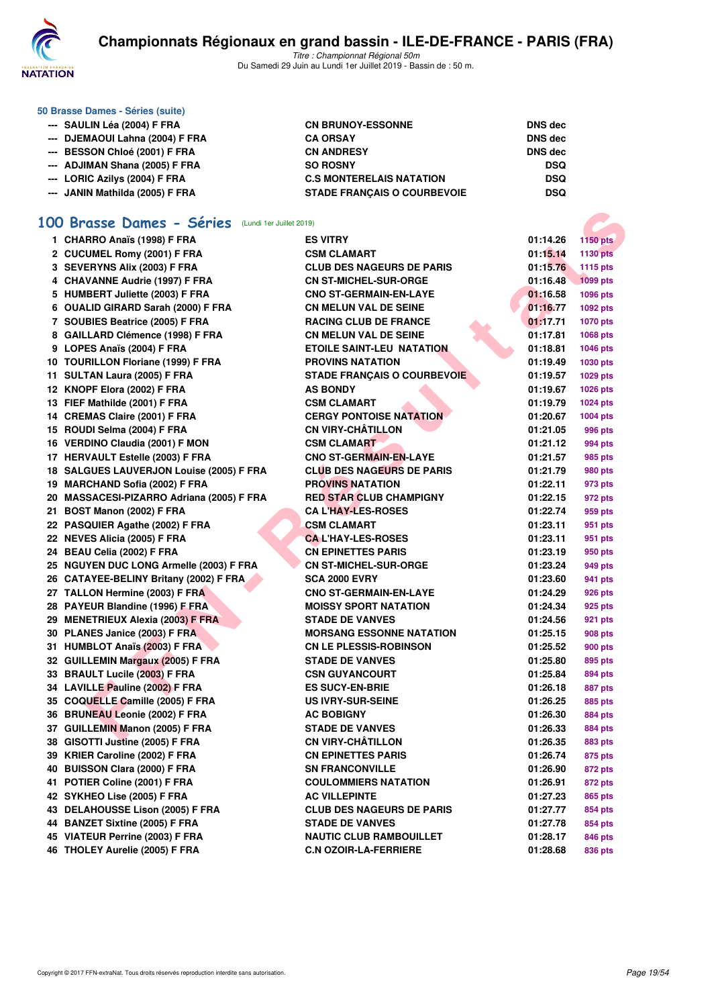

**50 Brasse Dames - Séries (suite)**

Titre : Championnat Régional 50m Du Samedi 29 Juin au Lundi 1er Juillet 2019 - Bassin de : 50 m.

| --- SAULIN Léa (2004) F FRA     | <b>CN BRUNOY-ESSONNE</b>           | <b>DNS</b> dec |
|---------------------------------|------------------------------------|----------------|
| --- DJEMAOUI Lahna (2004) F FRA | <b>CA ORSAY</b>                    | DNS dec        |
| --- BESSON Chloé (2001) F FRA   | <b>CN ANDRESY</b>                  | DNS dec        |
| --- ADJIMAN Shana (2005) F FRA  | <b>SO ROSNY</b>                    | <b>DSQ</b>     |
| --- LORIC Azilys (2004) F FRA   | <b>C.S MONTERELAIS NATATION</b>    | <b>DSQ</b>     |
| --- JANIN Mathilda (2005) F FRA | <b>STADE FRANCAIS O COURBEVOIE</b> | <b>DSQ</b>     |

#### **[100 Brasse Dames - Séries](http://www.ffnatation.fr/webffn/resultats.php?idact=nat&go=epr&idcpt=61555&idepr=22)** (Lundi 1er Juillet 2019)

| OO Brasse Dames - Séries (Lundi 1er Juillet 2019)                 |                                    |                             |
|-------------------------------------------------------------------|------------------------------------|-----------------------------|
| 1 CHARRO Anaïs (1998) F FRA                                       | <b>ES VITRY</b>                    | 01:14.26<br><b>1150 pts</b> |
| 2 CUCUMEL Romy (2001) F FRA                                       | <b>CSM CLAMART</b>                 | 01:15.14<br><b>1130 pts</b> |
| 3 SEVERYNS Alix (2003) F FRA                                      | <b>CLUB DES NAGEURS DE PARIS</b>   | 01:15.76<br>1115 pts        |
| 4 CHAVANNE Audrie (1997) F FRA                                    | <b>CN ST-MICHEL-SUR-ORGE</b>       | 01:16.48<br><b>1099 pts</b> |
| 5 HUMBERT Juliette (2003) F FRA                                   | <b>CNO ST-GERMAIN-EN-LAYE</b>      | 01:16.58<br>1096 pts        |
| 6 OUALID GIRARD Sarah (2000) F FRA                                | <b>CN MELUN VAL DE SEINE</b>       | 01:16.77<br>1092 pts        |
| 7 SOUBIES Beatrice (2005) F FRA                                   | <b>RACING CLUB DE FRANCE</b>       | 01:17.71<br><b>1070 pts</b> |
| 8 GAILLARD Clémence (1998) F FRA                                  | <b>CN MELUN VAL DE SEINE</b>       | 01:17.81<br>1068 pts        |
| 9 LOPES Anaïs (2004) F FRA                                        | <b>ETOILE SAINT-LEU NATATION</b>   | 01:18.81<br><b>1046 pts</b> |
| 10 TOURILLON Floriane (1999) F FRA                                | <b>PROVINS NATATION</b>            | 01:19.49<br>1030 pts        |
| 11 SULTAN Laura (2005) F FRA                                      | <b>STADE FRANÇAIS O COURBEVOIE</b> | 01:19.57<br>1029 pts        |
| 12 KNOPF Elora (2002) F FRA                                       | <b>AS BONDY</b>                    | 01:19.67<br><b>1026 pts</b> |
| 13 FIEF Mathilde (2001) F FRA                                     | <b>CSM CLAMART</b>                 | 01:19.79<br>1024 pts        |
| 14 CREMAS Claire (2001) F FRA                                     | <b>CERGY PONTOISE NATATION</b>     | 01:20.67<br><b>1004 pts</b> |
| 15 ROUDI Selma (2004) F FRA                                       | <b>CN VIRY-CHÂTILLON</b>           | 01:21.05<br>996 pts         |
| 16 VERDINO Claudia (2001) F MON                                   | <b>CSM CLAMART</b>                 | 01:21.12<br>994 pts         |
| 17 HERVAULT Estelle (2003) F FRA                                  | <b>CNO ST-GERMAIN-EN-LAYE</b>      | 01:21.57<br>985 pts         |
| 18 SALGUES LAUVERJON Louise (2005) F FRA                          | <b>CLUB DES NAGEURS DE PARIS</b>   | 01:21.79<br>980 pts         |
| 19 MARCHAND Sofia (2002) F FRA                                    | <b>PROVINS NATATION</b>            | 01:22.11<br>973 pts         |
| 20 MASSACESI-PIZARRO Adriana (2005) F FRA                         | <b>RED STAR CLUB CHAMPIGNY</b>     | 01:22.15<br>972 pts         |
| 21 BOST Manon (2002) F FRA                                        | <b>CA L'HAY-LES-ROSES</b>          | 01:22.74<br>959 pts         |
| 22 PASQUIER Agathe (2002) F FRA                                   | <b>CSM CLAMART</b>                 | 01:23.11<br>951 pts         |
| 22 NEVES Alicia (2005) F FRA                                      | <b>CA L'HAY-LES-ROSES</b>          | 01:23.11<br>951 pts         |
| 24 BEAU Celia (2002) F FRA                                        | <b>CN EPINETTES PARIS</b>          | 01:23.19<br>950 pts         |
| 25 NGUYEN DUC LONG Armelle (2003) F FRA                           | <b>CN ST-MICHEL-SUR-ORGE</b>       | 01:23.24<br>949 pts         |
| 26 CATAYEE-BELINY Britany (2002) F FRA                            | <b>SCA 2000 EVRY</b>               | 01:23.60<br>941 pts         |
| 27 TALLON Hermine (2003) F FRA                                    | <b>CNO ST-GERMAIN-EN-LAYE</b>      | 01:24.29<br>926 pts         |
| 28 PAYEUR Blandine (1996) F FRA                                   | <b>MOISSY SPORT NATATION</b>       | 01:24.34<br>925 pts         |
| 29 MENETRIEUX Alexia (2003) F FRA                                 | <b>STADE DE VANVES</b>             | 01:24.56<br>921 pts         |
| 30 PLANES Janice (2003) F FRA                                     | <b>MORSANG ESSONNE NATATION</b>    | 01:25.15<br>908 pts         |
| 31 HUMBLOT Anaïs (2003) F FRA                                     | <b>CN LE PLESSIS-ROBINSON</b>      | 01:25.52<br>900 pts         |
| 32 GUILLEMIN Margaux (2005) F FRA                                 | <b>STADE DE VANVES</b>             | 01:25.80<br>895 pts         |
| 33 BRAULT Lucile (2003) F FRA                                     | <b>CSN GUYANCOURT</b>              | 01:25.84<br>894 pts         |
| 34 LAVILLE Pauline (2002) F FRA                                   | <b>ES SUCY-EN-BRIE</b>             | 01:26.18<br>887 pts         |
| 35 COQUELLE Camille (2005) F FRA                                  | <b>US IVRY-SUR-SEINE</b>           | 01:26.25<br>885 pts         |
| 36 BRUNEAU Leonie (2002) F FRA                                    | <b>AC BOBIGNY</b>                  | 01:26.30<br>884 pts         |
| 37 GUILLEMIN Manon (2005) F FRA                                   | <b>STADE DE VANVES</b>             | 01:26.33<br>884 pts         |
|                                                                   | <b>CN VIRY-CHATILLON</b>           | 01:26.35                    |
| 38 GISOTTI Justine (2005) F FRA<br>39 KRIER Caroline (2002) F FRA | <b>CN EPINETTES PARIS</b>          | 883 pts                     |
| 40 BUISSON Clara (2000) F FRA                                     |                                    | 01:26.74<br>875 pts         |
|                                                                   | <b>SN FRANCONVILLE</b>             | 01:26.90<br>872 pts         |
| 41 POTIER Coline (2001) F FRA                                     | <b>COULOMMIERS NATATION</b>        | 01:26.91<br>872 pts         |
| 42 SYKHEO Lise (2005) F FRA                                       | <b>AC VILLEPINTE</b>               | 01:27.23<br>865 pts         |
| 43 DELAHOUSSE Lison (2005) F FRA                                  | <b>CLUB DES NAGEURS DE PARIS</b>   | 01:27.77<br>854 pts         |
| 44 BANZET Sixtine (2005) F FRA                                    | <b>STADE DE VANVES</b>             | 01:27.78<br>854 pts         |
| 45 VIATEUR Perrine (2003) F FRA                                   | <b>NAUTIC CLUB RAMBOUILLET</b>     | 01:28.17<br>846 pts         |
| 46 THOLEY Aurelie (2005) F FRA                                    | <b>C.N OZOIR-LA-FERRIERE</b>       | 01:28.68<br>836 pts         |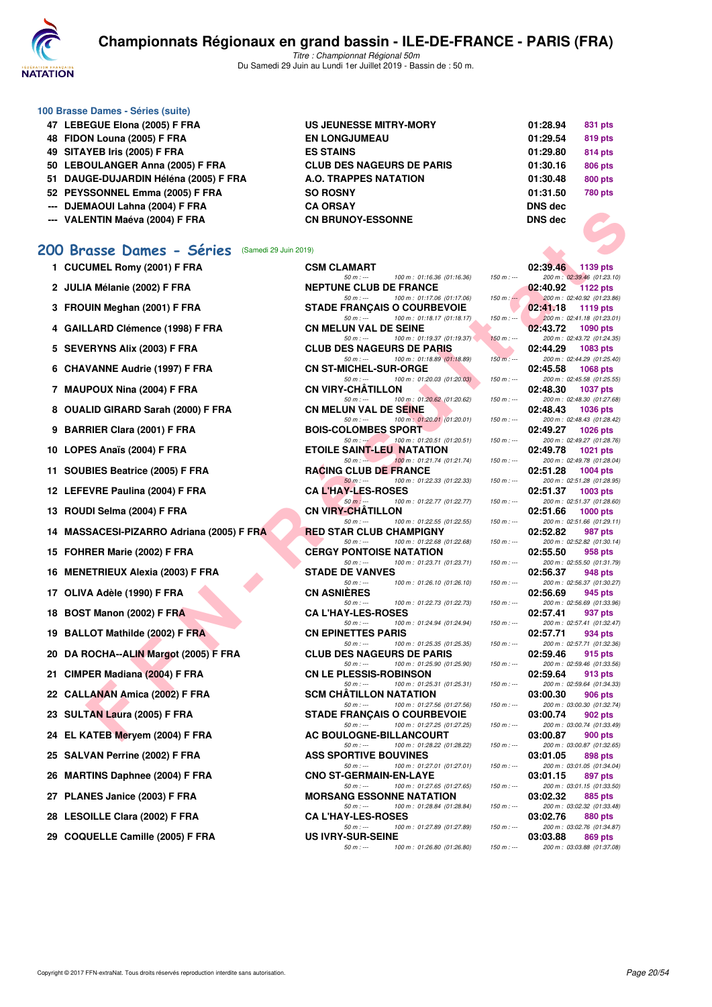

**100 Brasse Dames - Séries (suite)**

# **Championnats Régionaux en grand bassin - ILE-DE-FRANCE - PARIS (FRA)**

Titre : Championnat Régional 50m Du Samedi 29 Juin au Lundi 1er Juillet 2019 - Bassin de : 50 m.

| 47 LEBEGUE Elona (2005) F FRA         | <b>US JEUNESSE MITRY-MORY</b>    | 01:28.94       | 831 pts        |
|---------------------------------------|----------------------------------|----------------|----------------|
| 48 FIDON Louna (2005) F FRA           | <b>EN LONGJUMEAU</b>             | 01:29.54       | 819 pts        |
| 49 SITAYEB Iris (2005) F FRA          | <b>ES STAINS</b>                 | 01:29.80       | <b>814 pts</b> |
| 50 LEBOULANGER Anna (2005) F FRA      | <b>CLUB DES NAGEURS DE PARIS</b> | 01:30.16       | <b>806 pts</b> |
| 51 DAUGE-DUJARDIN Héléna (2005) F FRA | <b>A.O. TRAPPES NATATION</b>     | 01:30.48       | <b>800 pts</b> |
| 52 PEYSSONNEL Emma (2005) F FRA       | <b>SO ROSNY</b>                  | 01:31.50       | <b>780 pts</b> |
| --- DJEMAOUI Lahna (2004) F FRA       | <b>CA ORSAY</b>                  | DNS dec        |                |
| --- VALENTIN Maéva (2004) F FRA       | <b>CN BRUNOY-ESSONNE</b>         | <b>DNS</b> dec |                |
|                                       |                                  |                |                |

#### **[200 Brasse Dames - Séries](http://www.ffnatation.fr/webffn/resultats.php?idact=nat&go=epr&idcpt=61555&idepr=23)** (Samedi 29 Juin 2019)

| --- DJEMAVUI LAIIIIA (2004) F FRA              | UA UNJA I                                                                      |               | DING ACC |                                               |
|------------------------------------------------|--------------------------------------------------------------------------------|---------------|----------|-----------------------------------------------|
| --- VALENTIN Maéva (2004) F FRA                | <b>CN BRUNOY-ESSONNE</b>                                                       |               | DNS dec  |                                               |
|                                                |                                                                                |               |          |                                               |
| 00 Brasse Dames - Séries (Samedi 29 Juin 2019) |                                                                                |               |          |                                               |
| 1 CUCUMEL Romy (2001) F FRA                    | <b>CSM CLAMART</b>                                                             |               | 02:39.46 | 1139 pts                                      |
| 2 JULIA Mélanie (2002) F FRA                   | $50 m: -$<br>100 m: 01:16.36 (01:16.36)<br><b>NEPTUNE CLUB DE FRANCE</b>       | $150 m : -$   | 02:40.92 | 200 m: 02:39.46 (01:23.10)<br><b>1122 pts</b> |
|                                                | 50 m : ---<br>100 m: 01:17.06 (01:17.06)                                       | $150 m$ : $-$ |          | 200 m: 02:40.92 (01:23.86)                    |
| 3 FROUIN Meghan (2001) F FRA                   | <b>STADE FRANÇAIS O COURBEVOIE</b>                                             |               | 02:41.18 | 1119 pts                                      |
| 4 GAILLARD Clémence (1998) F FRA               | $50 m: -$<br>100 m: 01:18.17 (01:18.17)<br><b>CN MELUN VAL DE SEINE</b>        | $150 m : -$   | 02:43.72 | 200 m: 02:41.18 (01:23.01)<br>1090 pts        |
|                                                | 100 m: 01:19.37 (01:19.37)<br>$50 m: -$                                        | $150 m: -$    |          | 200 m: 02:43.72 (01:24.35)                    |
| 5 SEVERYNS Alix (2003) F FRA                   | <b>CLUB DES NAGEURS DE PARIS</b><br>$50 m: -$<br>100 m: 01:18.89 (01:18.89)    | $150 m: -$    | 02:44.29 | 1083 pts<br>200 m: 02:44.29 (01:25.40)        |
| 6 CHAVANNE Audrie (1997) F FRA                 | <b>CN ST-MICHEL-SUR-ORGE</b>                                                   |               | 02:45.58 | <b>1068 pts</b>                               |
| 7 MAUPOUX Nina (2004) F FRA                    | $50 m: -$<br>100 m: 01:20.03 (01:20.03)<br><b>CN VIRY-CHATILLON</b>            | $150 m : -$   | 02:48.30 | 200 m: 02:45.58 (01:25.55)<br>1037 pts        |
|                                                | $50 m: -$<br>100 m: 01:20.62 (01:20.62)                                        | $150 m : -$   |          | 200 m: 02:48.30 (01:27.68)                    |
| 8 OUALID GIRARD Sarah (2000) F FRA             | <b>CN MELUN VAL DE SEINE</b><br>$50 m: -$<br>100 m: 01:20.01 (01:20.01)        | $150 m : -$   | 02:48.43 | <b>1036 pts</b><br>200 m: 02:48.43 (01:28.42) |
| 9 BARRIER Clara (2001) F FRA                   | <b>BOIS-COLOMBES SPORT</b>                                                     |               | 02:49.27 | <b>1026 pts</b>                               |
| 10 LOPES Anaïs (2004) F FRA                    | 100 m: 01:20.51 (01:20.51)<br>$50 m : -$<br><b>ETOILE SAINT-LEU NATATION</b>   | $150 m : -$   | 02:49.78 | 200 m: 02:49.27 (01:28.76)<br><b>1021 pts</b> |
|                                                | 100 m: 01:21.74 (01:21.74)<br>$50 m: -$                                        | $150 m : -$   |          | 200 m: 02:49.78 (01:28.04)                    |
| 11 SOUBIES Beatrice (2005) F FRA               | <b>RACING CLUB DE FRANCE</b><br>100 m: 01:22.33 (01:22.33)<br>$50 m: -$        | $150 m: -$    | 02:51.28 | <b>1004 pts</b><br>200 m: 02:51.28 (01:28.95) |
| 12 LEFEVRE Paulina (2004) F FRA                | <b>CA L'HAY-LES-ROSES</b>                                                      |               | 02:51.37 | 1003 pts                                      |
| 13 ROUDI Selma (2004) F FRA                    | $50 m: -$<br>100 m: 01:22.77 (01:22.77)<br><b>CN VIRY-CHATILLON</b>            | $150 m : -$   | 02:51.66 | 200 m: 02:51.37 (01:28.60)<br><b>1000 pts</b> |
|                                                | $50 m: -$<br>100 m: 01:22.55 (01:22.55)                                        | $150 m: -$    |          | 200 m: 02:51.66 (01:29.11)                    |
| 14 MASSACESI-PIZARRO Adriana (2005) F FRA      | <b>RED STAR CLUB CHAMPIGNY</b><br>$50 m: -$<br>100 m: 01:22.68 (01:22.68)      | $150 m : -$   | 02:52.82 | 987 pts<br>200 m: 02:52.82 (01:30.14)         |
| 15 FOHRER Marie (2002) F FRA                   | <b>CERGY PONTOISE NATATION</b>                                                 |               | 02:55.50 | 958 pts                                       |
| 16 MENETRIEUX Alexia (2003) F FRA              | 100 m: 01:23.71 (01:23.71)<br>$50 m: -$<br><b>STADE DE VANVES</b>              | $150 m : -$   | 02:56.37 | 200 m: 02:55.50 (01:31.79)<br>948 pts         |
| 17 OLIVA Adèle (1990) F FRA                    | 100 m: 01:26.10 (01:26.10)<br>$50 m: -$<br><b>CN ASNIERES</b>                  | $150 m : -$   | 02:56.69 | 200 m: 02:56.37 (01:30.27)                    |
|                                                | 100 m: 01:22.73 (01:22.73)<br>$50 m: -$                                        | $150 m : -$   |          | 945 pts<br>200 m: 02:56.69 (01:33.96)         |
| 18 BOST Manon (2002) F FRA                     | <b>CA L'HAY-LES-ROSES</b><br>100 m: 01:24.94 (01:24.94)<br>$50 m: -$           | $150 m : -$   | 02:57.41 | 937 pts<br>200 m: 02:57.41 (01:32.47)         |
| 19 BALLOT Mathilde (2002) F FRA                | <b>CN EPINETTES PARIS</b>                                                      |               | 02:57.71 | 934 pts                                       |
| 20 DA ROCHA--ALIN Margot (2005) F FRA          | 100 m: 01:25.35 (01:25.35)<br>$50 m: -$<br><b>CLUB DES NAGEURS DE PARIS</b>    | $150 m : -$   | 02:59.46 | 200 m: 02:57.71 (01:32.36)<br>915 pts         |
|                                                | 100 m: 01:25.90 (01:25.90)<br>$50 m: -$                                        | $150 m : -$   |          | 200 m: 02:59.46 (01:33.56)                    |
| 21 CIMPER Madiana (2004) F FRA                 | <b>CN LE PLESSIS-ROBINSON</b><br>100 m: 01:25.31 (01:25.31)<br>$50 m: -$       | $150 m : -$   | 02:59.64 | 913 pts<br>200 m: 02:59.64 (01:34.33)         |
| 22 CALLANAN Amica (2002) F FRA                 | <b>SCM CHATILLON NATATION</b>                                                  |               | 03:00.30 | 906 pts                                       |
| 23 SULTAN Laura (2005) F FRA                   | 100 m: 01:27.56 (01:27.56)<br>50 m : ---<br><b>STADE FRANCAIS O COURBEVOIE</b> | $150 m : -$   | 03:00.74 | 200 m: 03:00.30 (01:32.74)<br>902 pts         |
|                                                | $50 m: -$<br>100 m: 01:27.25 (01:27.25)                                        | $150 m : -$   |          | 200 m: 03:00.74 (01:33.49)                    |
| 24 EL KATEB Meryem (2004) F FRA                | AC BOULOGNE-BILLANCOURT<br>50 m : ---<br>100 m : 01:28.22 (01:28.22)           | 150 m : ---   | 03:00.87 | 900 pts<br>200 m : 03:00.87 (01:32.65)        |
| 25 SALVAN Perrine (2002) F FRA                 | <b>ASS SPORTIVE BOUVINES</b>                                                   |               | 03:01.05 | 898 pts                                       |
| 26 MARTINS Daphnee (2004) F FRA                | 50 m : ---<br>100 m : 01:27.01 (01:27.01)<br><b>CNO ST-GERMAIN-EN-LAYE</b>     | $150 m : -$   | 03:01.15 | 200 m: 03:01.05 (01:34.04)<br>897 pts         |
|                                                | $50 m: -$<br>100 m: 01:27.65 (01:27.65)                                        | $150 m : -$   |          | 200 m: 03:01.15 (01:33.50)                    |
| 27 PLANES Janice (2003) F FRA                  | <b>MORSANG ESSONNE NATATION</b><br>$50 m: -$<br>100 m: 01:28.84 (01:28.84)     | $150 m : -$   | 03:02.32 | 885 pts<br>200 m: 03:02.32 (01:33.48)         |
| 28 LESOILLE Clara (2002) F FRA                 | <b>CA L'HAY-LES-ROSES</b>                                                      |               | 03:02.76 | 880 pts                                       |
| 29 COQUELLE Camille (2005) F FRA               | 100 m: 01:27.89 (01:27.89)<br>50 m : ---<br><b>US IVRY-SUR-SEINE</b>           | $150 m : -$   | 03:03.88 | 200 m : 03:02.76 (01:34.87)<br>869 pts        |
|                                                | 100 m: 01:26.80 (01:26.80)<br>$50 m: -$                                        | $150 m : -$   |          | 200 m: 03:03.88 (01:37.08)                    |

| 1 CUCUMEL Romy (2001) F FRA              | <b>CSM CLAMART</b> |                                            |                                                                  |             | 02:39.46 | 1139 pts                                       |
|------------------------------------------|--------------------|--------------------------------------------|------------------------------------------------------------------|-------------|----------|------------------------------------------------|
| 2 JULIA Mélanie (2002) F FRA             |                    | $50 m: -$                                  | 100 m: 01:16.36 (01:16.36)<br><b>NEPTUNE CLUB DE FRANCE</b>      | $150 m : -$ | 02:40.92 | 200 m: 02:39.46 (01:23.10<br><b>1122 pts</b>   |
| 3 FROUIN Meghan (2001) F FRA             |                    | $50 m: -$                                  | 100 m: 01:17.06 (01:17.06)<br><b>STADE FRANÇAIS O COURBEVOIE</b> | $150 m : -$ | 02:41.18 | 200 m : 02:40.92 (01:23.86<br>1119 pts         |
|                                          |                    | $50 m: -$                                  | 100 m: 01:18.17 (01:18.17)                                       | $150 m : -$ |          | 200 m: 02:41.18 (01:23.01                      |
| 4 GAILLARD Clémence (1998) F FRA         |                    | <b>CN MELUN VAL DE SEINE</b><br>$50 m: -$  | 100 m: 01:19.37 (01:19.37)                                       | $150 m: -$  | 02:43.72 | <b>1090 pts</b><br>200 m: 02:43.72 (01:24.35   |
| 5 SEVERYNS Alix (2003) F FRA             |                    |                                            | <b>CLUB DES NAGEURS DE PARIS</b>                                 |             | 02:44.29 | 1083 pts                                       |
| 6 CHAVANNE Audrie (1997) F FRA           |                    | $50 m: -$<br><b>CN ST-MICHEL-SUR-ORGE</b>  | 100 m: 01:18.89 (01:18.89)                                       | $150 m: -$  | 02:45.58 | 200 m: 02:44.29 (01:25.40)<br><b>1068 pts</b>  |
| 7 MAUPOUX Nina (2004) F FRA              |                    | $50 m: -$<br><b>CN VIRY-CHATILLON</b>      | 100 m: 01:20.03 (01:20.03)                                       | $150 m: -$  | 02:48.30 | 200 m: 02:45.58 (01:25.55<br><b>1037 pts</b>   |
|                                          |                    | $50 m: -$                                  | 100 m: 01:20.62 (01:20.62)                                       | $150 m: -$  |          | 200 m: 02:48.30 (01:27.68                      |
| 8 OUALID GIRARD Sarah (2000) F FRA       |                    | <b>CN MELUN VAL DE SEINE</b><br>$50 m: -$  | 100 m: 01:20.01 (01:20.01)                                       | $150 m: -$  | 02:48.43 | <b>1036 pts</b><br>200 m : 02:48.43 (01:28.42) |
| 9 BARRIER Clara (2001) F FRA             |                    | <b>BOIS-COLOMBES SPORT</b>                 |                                                                  |             | 02:49.27 | 1026 pts                                       |
| 0 LOPES Anaïs (2004) F FRA               |                    | $50 m : -2$                                | 100 m: 01:20.51 (01:20.51)<br><b>ETOILE SAINT-LEU NATATION</b>   | $150 m: -$  | 02:49.78 | 200 m: 02:49.27 (01:28.76<br>1021 pts          |
|                                          |                    | $50 m: -$                                  | 100 m: 01:21.74 (01:21.74)                                       | $150 m: -$  |          | 200 m: 02:49.78 (01:28.04                      |
| 1 SOUBIES Beatrice (2005) F FRA          |                    | <b>RACING CLUB DE FRANCE</b>               |                                                                  |             | 02:51.28 | $1004$ pts                                     |
| 2 LEFEVRE Paulina (2004) F FRA           |                    | $50 m: -$<br><b>CA L'HAY-LES-ROSES</b>     | 100 m: 01:22.33 (01:22.33)                                       | $150 m: -$  | 02:51.37 | 200 m: 02:51.28 (01:28.95<br>$1003$ pts        |
|                                          |                    | $50 m: -$                                  | 100 m: 01:22.77 (01:22.77)                                       | $150 m: -$  |          | 200 m: 02:51.37 (01:28.60)                     |
| 3 ROUDI Selma (2004) F FRA               |                    | <b>CN VIRY-CHATILLON</b>                   |                                                                  |             | 02:51.66 | $1000$ pts                                     |
| 4 MASSACESI-PIZARRO Adriana (2005) F FRA |                    | $50 m: -$                                  | 100 m: 01:22.55 (01:22.55)<br><b>RED STAR CLUB CHAMPIGNY</b>     | $150 m : -$ | 02:52.82 | 200 m: 02:51.66 (01:29.11)<br>987 pts          |
|                                          |                    | $50 m: -$                                  | 100 m: 01:22.68 (01:22.68)                                       | $150 m : -$ |          | 200 m: 02:52.82 (01:30.14)                     |
| 5 FOHRER Marie (2002) F FRA              |                    |                                            | <b>CERGY PONTOISE NATATION</b>                                   |             | 02:55.50 | 958 pts                                        |
| 6 MENETRIEUX Alexia (2003) F FRA         |                    | $50 m: -$<br><b>STADE DE VANVES</b>        | 100 m: 01:23.71 (01:23.71)                                       | $150 m : -$ | 02:56.37 | 200 m: 02:55.50 (01:31.79)                     |
|                                          |                    | $50 m: -$                                  | 100 m: 01:26.10 (01:26.10)                                       | $150 m: -$  |          | 948 pts<br>200 m: 02:56.37 (01:30.27           |
| 17 OLIVA Adèle (1990) F FRA              | <b>CN ASNIERES</b> |                                            |                                                                  |             | 02:56.69 | 945 pts                                        |
| 8 BOST Manon (2002) F FRA                |                    | $50 m: -$<br><b>CA L'HAY-LES-ROSES</b>     | 100 m: 01:22.73 (01:22.73)                                       | $150 m : -$ | 02:57.41 | 200 m: 02:56.69 (01:33.96<br>937 pts           |
|                                          |                    | $50 m: -$                                  | 100 m: 01:24.94 (01:24.94)                                       | $150 m : -$ |          | 200 m: 02:57.41 (01:32.47)                     |
| 9 BALLOT Mathilde (2002) F FRA           |                    | <b>CN EPINETTES PARIS</b>                  |                                                                  |             | 02:57.71 | 934 pts                                        |
| 20 DA ROCHA--ALIN Margot (2005) F FRA    |                    | $50 m: -$                                  | 100 m: 01:25.35 (01:25.35)<br><b>CLUB DES NAGEURS DE PARIS</b>   | $150 m: -$  | 02:59.46 | 200 m: 02:57.71 (01:32.36<br>915 pts           |
|                                          |                    | 50 m : ---                                 | 100 m: 01:25.90 (01:25.90)                                       | $150 m : -$ |          | 200 m: 02:59.46 (01:33.56)                     |
| 21 CIMPER Madiana (2004) F FRA           |                    | <b>CN LE PLESSIS-ROBINSON</b>              |                                                                  |             | 02:59.64 | 913 pts                                        |
|                                          |                    | $50 m: -$                                  | 100 m: 01:25.31 (01:25.31)                                       | $150 m: -$  |          | 200 m: 02:59.64 (01:34.33                      |
| 22   CALLANAN Amica (2002) F FRA         |                    | <b>SCM CHATILLON NATATION</b><br>$50 m: -$ | 100 m: 01:27.56 (01:27.56)                                       | $150 m: -$  | 03:00.30 | 906 pts<br>200 m : 03:00.30 (01:32.74          |
| 23 SULTAN Laura (2005) F FRA             |                    |                                            | <b>STADE FRANCAIS O COURBEVOIE</b>                               |             | 03:00.74 | 902 pts                                        |
| 24   EL KATEB Meryem (2004) F FRA        |                    | $50 m: -$                                  | 100 m: 01:27.25 (01:27.25)<br>AC BOULOGNE-BILLANCOURT            | $150 m : -$ | 03:00.87 | 200 m: 03:00.74 (01:33.49)<br>900 pts          |
|                                          |                    | $50 m: -$                                  | 100 m: 01:28.22 (01:28.22)                                       | $150 m: -$  |          | 200 m: 03:00.87 (01:32.65)                     |
| 25 SALVAN Perrine (2002) F FRA           |                    | <b>ASS SPORTIVE BOUVINES</b>               |                                                                  |             | 03:01.05 | 898 pts                                        |
| 26 MARTINS Daphnee (2004) F FRA          |                    | $50 m: -$<br><b>CNO ST-GERMAIN-EN-LAYE</b> | 100 m: 01:27.01 (01:27.01)                                       | $150 m: -$  | 03:01.15 | 200 m: 03:01.05 (01:34.04)<br>897 pts          |
|                                          |                    | $50 m : -$                                 | 100 m: 01:27.65 (01:27.65)                                       | $150 m : -$ |          | 200 m: 03:01.15 (01:33.50)                     |
| 27 PLANES Janice (2003) F FRA            |                    |                                            | <b>MORSANG ESSONNE NATATION</b>                                  |             | 03:02.32 | 885 pts                                        |
| 28 LESOILLE Clara (2002) F FRA           |                    | $50 m: -$<br><b>CA L'HAY-LES-ROSES</b>     | 100 m: 01:28.84 (01:28.84)                                       | $150 m: -$  | 03:02.76 | 200 m: 03:02.32 (01:33.48)<br>880 pts          |
|                                          |                    | $50 m: -$                                  | 100 m: 01:27.89 (01:27.89)                                       | $150 m: -$  |          | 200 m: 03:02.76 (01:34.87                      |
| 29 COQUELLE Camille (2005) F FRA         |                    | <b>US IVRY-SUR-SEINE</b>                   |                                                                  |             | 03:03.88 | 869 pts                                        |
|                                          |                    | 50 m : ---                                 | 100 m : 01:26.80 (01:26.80)                                      | $150 m : -$ |          | 200 m : 03:03.88 (01:37.08                     |

|                   | 02:39.46 | 1139 pts                                         |
|-------------------|----------|--------------------------------------------------|
| ) : ---           | 02:40.92 | 200 m: 02:39.46 (01:23.10)<br>1122 pts           |
| $\mathbf{r}$      |          | 200 m: 02:40.92 (01:23.86)                       |
|                   | 02:41.18 | 1119 pts                                         |
| $\sum_{i=1}^{n}$  |          | 200 m: 02:41.18 (01:23.01)                       |
|                   |          | 02:43.72 1090 pts                                |
| ) ( ---           | 02:44.29 | 200 m : 02:43.72 (01:24.35)<br>1083 pts          |
| $\mathbf{r}$      |          | 200 m: 02:44.29 (01:25.40)                       |
|                   |          | 02:45.58 1068 pts                                |
| $\frac{1}{2}$     |          | 200 m: 02:45.58 (01:25.55)                       |
|                   | 02:48.30 | 1037 pts                                         |
| i pos             |          | 200 m: 02:48.30 (01:27.68)<br>02:48.43 1036 pts  |
| r: --             |          | 200 m: 02:48.43 (01:28.42)                       |
|                   | 02:49.27 | 1026 pts                                         |
| r: --             |          | 200 m: 02:49.27 (01:28.76)                       |
|                   |          | 02:49.78 1021 pts                                |
| r: --             | 02:51.28 | 200 m: 02:49.78 (01:28.04)<br>1004 pts           |
| r: ---            |          | 200 m: 02:51.28 (01:28.95)                       |
|                   | 02:51.37 | 1003 pts                                         |
| i ber             |          | 200 m: 02:51.37 (01:28.60)                       |
|                   | 02:51.66 | 1000 pts                                         |
| r: ---            | 02:52.82 | 200 m: 02:51.66 (01:29.11)<br>987 pts            |
| $\frac{1}{2}$ and |          | 200 m: 02:52.82 (01:30.14)                       |
|                   | 02:55.50 | 958 pts                                          |
| ) ( ---           |          | 200 m: 02:55.50 (01:31.79)                       |
|                   | 02:56.37 | 948 pts<br>$200 \text{ m}$ : 02:56.37 (01:30.27) |
| i den             | 02:56.69 | 945 pts                                          |
| ) () ---          |          | 200 m: 02:56.69 (01:33.96)                       |
|                   | 02:57.41 | 937 pts                                          |
| r: --             |          | 200 m: 02:57.41 (01:32.47)                       |
|                   | 02:57.71 | 934 pts                                          |
| $\frac{1}{2}$     | 02:59.46 | 200 m : 02:57.71 (01:32.36)<br>915 pts           |
| i pos             |          | 200 m: 02:59.46 (01:33.56)                       |
|                   | 02:59.64 | 913 pts                                          |
| ) ( ---           |          | 200 m : 02:59.64 (01:34.33)                      |
|                   | 03:00.30 | <b>906 pts</b>                                   |
| $\frac{1}{2}$     | 03:00.74 | 200 m: 03:00.30 (01:32.74)<br><b>902 pts</b>     |
| ) ( ---           |          | 200 m: 03:00.74 (01:33.49)                       |
|                   | 03:00.87 | <b>900 pts</b>                                   |
| ) ( ---           |          | 200 m: 03:00.87 (01:32.65)                       |
|                   | 03:01.05 | 898 pts                                          |
| i pos             | 03:01.15 | 200 m: 03:01.05 (01:34.04)<br>897 pts            |
| i pos             |          | 200 m: 03:01.15 (01:33.50)                       |
|                   | 03:02.32 | 885 pts                                          |
| $\frac{1}{2}$ and |          | 200 m: 03:02.32 (01:33.48)                       |
|                   | 03:02.76 | 880 pts                                          |
| ) ( ---           |          | 200 m: 03:02.76 (01:34.87)<br>03:03.88 869 pts   |
| ) : --            |          | 200 m: 03:03.88 (01:37.08)                       |
|                   |          |                                                  |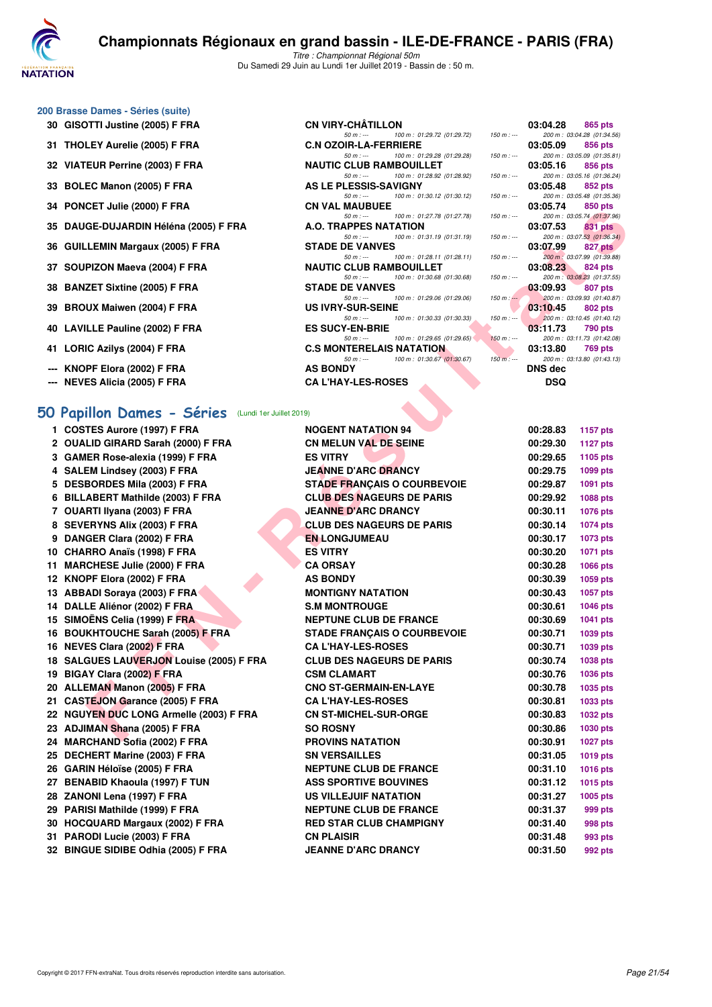

50 m : --- 100 m : 01:29.72 (01:29.72)

50 m : --- 100 m : 01:29.28 (01:29.28) 150 m : --- 200 m : 03:05.09 (01:35.81)

50 m : --- 100 m : 01:28.92 (01:28.92) 150 m : -- 200 m : 03:05.16 (01:36.24)<br>AS LE PLESSIS-SAVIGNY 03:05.48 852 pts

50 m : --- 100 m : 01:30.12 (01:30.12) 150 m : --- 200 m : 03:05.48 (01:35.36)

#### **200 Brasse Dames - Séries (suite)**

- **30 GISOTTI Justine (2005) F FRA** CN VIRY-CHÂTILLON **03:04.28 03:04.28 865 pts**<br>  $\frac{50 \text{ m} \cdot \text{m}}{100 \text{ m} \cdot 0.29.72}$  (01:29.72) **150 m** :  $\frac{1}{50 \text{ m} \cdot \text{m}}$  **03:04.28 01:34.86**
- **31 THOLEY Aurelie (2005) F FRA C.N OZOIR-LA-FERRIERE 03:05.09 856 pts**
- **32 VIATEUR Perrine (2003) F FRA**
- **33 BOLEC Manon (2005) F FRA AS LE PLESSIS-SAVIGNY 60 as a complement of the stage of the stage of the stage of the stage of the stage of the stage of the stage of the stage of the stage of the stage of the stage of th**
- **34 PONCET Julie (2000) F FRA CN VAL MAUBUEE 03:05.74 850 pts**<br>  $\frac{50 \text{ m} \cdot \text{m}}{50 \text{ m} \cdot \text{m}}$  **100 m**: 01:27.78 (01:27.78) **150 m** : 200 m : 03:05.74 **01:37.9**
- **35 DAUGE-DUJARDIN Héléna (2005) F FRA A.O. TRAPPES NATATION 03:07.53 831 pts**
- **36 GUILLEMIN Margaux (2005) F FRA** STADE DE VANVES **03:07.99 827 pts**<br>  $\frac{50 \text{ m} \cdot \text{m}}{200 \text{ m} \cdot 0128.11 \cdot (0128.11)}$   $\frac{150 \text{ m} \cdot \text{m}}{200 \text{ m} \cdot 03372.99 \cdot (0139.88)}$
- **37 SOUPIZON Maeva (2004) F FRA** NAUTIC CLUB RAMBOUILLET 03:08.23 **824 pts**<br>  $\frac{50 \text{ m} \cdot \ldots}{100 \text{ m} \cdot 01:30.68}$  (01:30.68)  $\frac{150 \text{ m} \cdot \ldots}{150 \text{ m} \cdot \ldots}$  200 m; 03:08.23 (01:37.5
- **38 BANZET Sixtine (2005) F FRA** STADE DE VANVES 50 m: -- 100 m: 01:29.06 (01:29.06) 150 m: -- 200 m: 03:09.93 (01:40.87)
- **39 BROUX Maiwen (2004) F FRA** US IVRY-SUR-SEINE 50 m i at 100 m i 01:30.33 (01:30.33) 150 m i as 10.45 **802 pts**<br>
58 m i at 100 m i 01:30.33 (01:30.33) 150 m i 150 m i 03:10.45 (01:40.1
- **40 LAVILLE Pauline (2002) F FRA** ES SUCY-EN-BRIE **100 m**: 01:29.65 (01:29.65) **150 m**: -- 200 m: 03:11.73 790 pts
- **41 LORIC Azilys (2004) F FRA C.S MONTERELAIS NATATION 03:13.80 769 pts**<br>  $\frac{50 \text{ m} \cdot \text{m}}{100 \text{ m} \cdot 0.30.67}$  (01:30.67) **150 m** :  $\frac{400 \text{ m} \cdot \text{m}}{160 \text{ m} \cdot \text{m}}$  **03:13.80 01:43.13**
- **--- KNOPF Elora (2002) F FRA AS BONDY DNS dec**
- **--- NEVES Alicia (2005) F FRA CA L'HAY-LES-ROSES DSQ**

# **[50 Papillon Dames - Séries](http://www.ffnatation.fr/webffn/resultats.php?idact=nat&go=epr&idcpt=61555&idepr=31)** (Lundi 1er Juillet 2019)

| <b>34 FUNCEI JUIC (2000) F FRA</b>                 | UN VAL MAUDULE                                                             |               | 00.00.74       | <b>OUU PIS</b>                               |  |
|----------------------------------------------------|----------------------------------------------------------------------------|---------------|----------------|----------------------------------------------|--|
| 35 DAUGE-DUJARDIN Héléna (2005) F FRA              | $50 m: -$<br>100 m: 01:27.78 (01:27.78)<br><b>A.O. TRAPPES NATATION</b>    | $150 m : -$   | 03:07.53       | 200 m: 03:05.74 (01:37.96)<br><b>831 pts</b> |  |
| 36 GUILLEMIN Margaux (2005) F FRA                  | 100 m: 01:31.19 (01:31.19)<br>$50 m: -$<br><b>STADE DE VANVES</b>          | $150 m : -$   | 03:07.99       | 200 m: 03:07.53 (01:36.34)<br>827 pts        |  |
|                                                    | $50 m: -$<br>100 m: 01:28.11 (01:28.11)                                    | $150 m : -$   |                | 200 m : 03:07.99 (01:39.88)                  |  |
| 37 SOUPIZON Maeva (2004) F FRA                     | <b>NAUTIC CLUB RAMBOUILLET</b><br>100 m: 01:30.68 (01:30.68)<br>$50 m: -$  | $150 m : -$   | 03:08.23       | 824 pts<br>200 m: 03:08.23 (01:37.55)        |  |
| 38 BANZET Sixtine (2005) F FRA                     | <b>STADE DE VANVES</b><br>$50 m: -$<br>100 m: 01:29.06 (01:29.06)          | $150 m$ : $-$ | 03:09.93       | 807 pts<br>200 m: 03:09.93 (01:40.87)        |  |
| 39 BROUX Maiwen (2004) F FRA                       | <b>US IVRY-SUR-SEINE</b>                                                   |               | 03:10.45       | 802 pts                                      |  |
| 40 LAVILLE Pauline (2002) F FRA                    | $50 m: -$<br>100 m: 01:30.33 (01:30.33)<br><b>ES SUCY-EN-BRIE</b>          | $150 m : -$   | 03:11.73       | 200 m: 03:10.45 (01:40.12)<br>790 pts        |  |
| 41 LORIC Azilys (2004) F FRA                       | 100 m: 01:29.65 (01:29.65)<br>$50 m: -$<br><b>C.S MONTERELAIS NATATION</b> | $150 m : -$   | 03:13.80       | 200 m: 03:11.73 (01:42.08)<br><b>769 pts</b> |  |
| --- KNOPF Elora (2002) F FRA                       | $50 m: -$<br>100 m: 01:30.67 (01:30.67)<br><b>AS BONDY</b>                 | $150 m: -$    | <b>DNS dec</b> | 200 m: 03:13.80 (01:43.13)                   |  |
| --- NEVES Alicia (2005) F FRA                      | <b>CA L'HAY-LES-ROSES</b>                                                  |               | DSQ            |                                              |  |
|                                                    |                                                                            |               |                |                                              |  |
| O Papillon Dames - Séries (Lundi 1er Juillet 2019) |                                                                            |               |                |                                              |  |
| 1 COSTES Aurore (1997) F FRA                       | <b>NOGENT NATATION 94</b>                                                  |               | 00:28.83       | <b>1157 pts</b>                              |  |
| 2 OUALID GIRARD Sarah (2000) F FRA                 | <b>CN MELUN VAL DE SEINE</b>                                               |               | 00:29.30       | <b>1127 pts</b>                              |  |
| 3 GAMER Rose-alexia (1999) F FRA                   | <b>ES VITRY</b>                                                            |               | 00:29.65       | 1105 pts                                     |  |
| 4 SALEM Lindsey (2003) F FRA                       | <b>JEANNE D'ARC DRANCY</b>                                                 |               | 00:29.75       | 1099 pts                                     |  |
| 5 DESBORDES Mila (2003) F FRA                      | <b>STADE FRANÇAIS O COURBEVOIE</b>                                         |               | 00:29.87       | <b>1091 pts</b>                              |  |
| 6 BILLABERT Mathilde (2003) F FRA                  | <b>CLUB DES NAGEURS DE PARIS</b>                                           |               | 00:29.92       | <b>1088 pts</b>                              |  |
| 7 OUARTI Ilyana (2003) F FRA                       | <b>JEANNE D'ARC DRANCY</b>                                                 |               | 00:30.11       | <b>1076 pts</b>                              |  |
| 8 SEVERYNS Alix (2003) F FRA                       | <b>CLUB DES NAGEURS DE PARIS</b>                                           |               | 00:30.14       | <b>1074 pts</b>                              |  |
| 9 DANGER Clara (2002) F FRA                        | <b>EN LONGJUMEAU</b>                                                       |               | 00:30.17       | 1073 pts                                     |  |
| 10 CHARRO Anaïs (1998) F FRA                       | <b>ES VITRY</b>                                                            |               | 00:30.20       | <b>1071 pts</b>                              |  |
| 11 MARCHESE Julie (2000) F FRA                     | <b>CA ORSAY</b>                                                            |               | 00:30.28       | <b>1066 pts</b>                              |  |
| 12 KNOPF Elora (2002) F FRA                        | <b>AS BONDY</b>                                                            |               | 00:30.39       | <b>1059 pts</b>                              |  |
| 13 ABBADI Soraya (2003) F FRA                      | <b>MONTIGNY NATATION</b>                                                   |               | 00:30.43       | <b>1057 pts</b>                              |  |
| 14 DALLE Aliénor (2002) F FRA                      | <b>S.M MONTROUGE</b>                                                       |               | 00:30.61       | <b>1046 pts</b>                              |  |
| 15 SIMOËNS Celia (1999) F FRA                      | <b>NEPTUNE CLUB DE FRANCE</b>                                              |               | 00:30.69       | <b>1041 pts</b>                              |  |
| 16 BOUKHTOUCHE Sarah (2005) F FRA                  | <b>STADE FRANÇAIS O COURBEVOIE</b>                                         |               | 00:30.71       | <b>1039 pts</b>                              |  |
| 16 NEVES Clara (2002) F FRA                        | <b>CA L'HAY-LES-ROSES</b>                                                  |               | 00:30.71       | 1039 pts                                     |  |
| 18 SALGUES LAUVERJON Louise (2005) F FRA           | <b>CLUB DES NAGEURS DE PARIS</b>                                           |               | 00:30.74       | <b>1038 pts</b>                              |  |
| 19 BIGAY Clara (2002) F FRA                        | <b>CSM CLAMART</b>                                                         |               | 00:30.76       | <b>1036 pts</b>                              |  |
| 20 ALLEMAN Manon (2005) F FRA                      | <b>CNO ST-GERMAIN-EN-LAYE</b>                                              |               | 00:30.78       | 1035 pts                                     |  |
| 21 CASTEJON Garance (2005) F FRA                   | <b>CA L'HAY-LES-ROSES</b>                                                  |               | 00:30.81       | 1033 pts                                     |  |
| 22 NGUYEN DUC LONG Armelle (2003) F FRA            | <b>CN ST-MICHEL-SUR-ORGE</b>                                               |               | 00:30.83       | <b>1032 pts</b>                              |  |
| 23 ADJIMAN Shana (2005) F FRA                      | <b>SO ROSNY</b>                                                            |               | 00:30.86       | <b>1030 pts</b>                              |  |
| 24 MARCHAND Sofia (2002) F FRA                     | <b>PROVINS NATATION</b>                                                    |               | 00:30.91       | <b>1027 pts</b>                              |  |
| 25 DECHERT Marine (2003) F FRA                     | <b>SN VERSAILLES</b>                                                       |               | 00:31.05       | 1019 pts                                     |  |
| 26 GARIN Héloïse (2005) F FRA                      | <b>NEPTUNE CLUB DE FRANCE</b>                                              |               | 00:31.10       | <b>1016 pts</b>                              |  |
| 27 BENABID Khaoula (1997) F TUN                    | <b>ASS SPORTIVE BOUVINES</b>                                               |               | 00:31.12       | <b>1015 pts</b>                              |  |
| 28 ZANONI Lena (1997) F FRA                        | <b>US VILLEJUIF NATATION</b>                                               |               | 00:31.27       | <b>1005 pts</b>                              |  |
| 29 PARISI Mathilde (1999) F FRA                    | <b>NEPTUNE CLUB DE FRANCE</b>                                              |               | 00:31.37       | 999 pts                                      |  |
| 30 HOCQUARD Margaux (2002) F FRA                   | <b>RED STAR CLUB CHAMPIGNY</b>                                             |               | 00:31.40       | 998 pts                                      |  |
| 31 PARODI Lucie (2003) F FRA                       | <b>CN PLAISIR</b>                                                          |               | 00:31.48       | 993 pts                                      |  |
| 32 BINGUE SIDIBE Odhia (2005) F FRA                | <b>JEANNE D'ARC DRANCY</b>                                                 |               | 00:31.50       | 992 pts                                      |  |
|                                                    |                                                                            |               |                |                                              |  |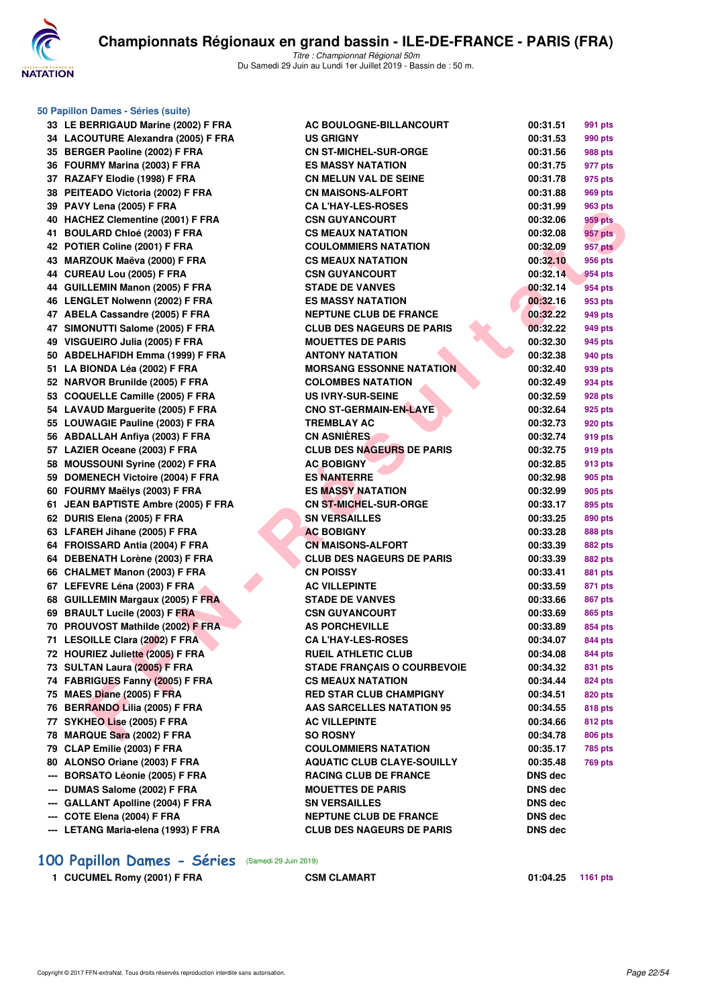

**50 Papillon Dames - Séries (suite)**

Titre : Championnat Régional 50m Du Samedi 29 Juin au Lundi 1er Juillet 2019 - Bassin de : 50 m.

| 33  | LE BERRIGAUD Marine (2002) F FRA                               |
|-----|----------------------------------------------------------------|
| 34  | LACOUTURE Alexandra (2005) F FRA                               |
| 35  | <b>BERGER Paoline (2002) F FRA</b>                             |
| 36  | FOURMY Marina (2003) F FRA                                     |
| 37  | RAZAFY Elodie (1998) F FRA                                     |
| 38  | PEITEADO Victoria (2002) F FRA                                 |
| 39  | PAVY Lena (2005) F FRA                                         |
| 40  | <b>HACHEZ Clementine (2001) F FRA</b>                          |
| 41  | <b>BOULARD Chloé (2003) F FRA</b>                              |
| 42  | POTIER Coline (2001) F FRA                                     |
| 43  | MARZOUK Maëva (2000) F FRA                                     |
| 44  | CUREAU Lou (2005) F FRA                                        |
| 44  | <b>GUILLEMIN Manon (2005) F FRA</b>                            |
| 46  | <b>LENGLET Nolwenn (2002) F FRA</b>                            |
| 47  | <b>ABELA Cassandre (2005) F FRA</b>                            |
|     |                                                                |
| 47  | SIMONUTTI Salome (2005) F FRA                                  |
| 49  | VISGUEIRO Julia (2005) F FRA                                   |
| 50  | <b>ABDELHAFIDH Emma (1999) F FRA</b>                           |
| 51  | LA BIONDA Léa (2002) F FRA                                     |
| 52  | NARVOR Brunilde (2005) F FRA                                   |
| 53  | <b>COQUELLE Camille (2005) F FRA</b>                           |
| 54  | <b>LAVAUD Marguerite (2005) F FRA</b>                          |
| 55  | <b>LOUWAGIE Pauline (2003) F FRA</b>                           |
| 56  | <b>ABDALLAH Anfiya (2003) F FRA</b>                            |
| 57  | LAZIER Oceane (2003) F FRA                                     |
| 58  | MOUSSOUNI Syrine (2002) F FRA                                  |
| 59  | DOMENECH Victoire (2004) F FRA                                 |
| 60  | FOURMY Maëlys (2003) F FRA                                     |
|     |                                                                |
| 61  | <b>JEAN BAPTISTE Ambre (2005) F FRA</b>                        |
| 62  | DURIS Elena (2005) F FRA                                       |
| 63  | LFAREH Jihane (2005) F FRA                                     |
| 64  | FROISSARD Antia (2004) F FRA                                   |
| 64  | DEBENATH Lorène (2003) F FRA                                   |
| 66  | CHALMET Manon (2003) F FRA                                     |
| 67  | LEFEVRE Léna (2003) F FRA                                      |
| 68  | <b>GUILLEMIN Margaux (2005) F FRA</b>                          |
| 69  | <b>BRAULT Lucile (2003) F FRA</b>                              |
| 70  | PROUVOST Mathilde (2002) F FRA                                 |
| 71  | <b>LESOILLE Clara (2002) F FRA</b>                             |
| 72  | HOURIEZ Juliette (2005) F FRA                                  |
| 73  |                                                                |
|     | SULTAN Laura (2005) F FRA                                      |
|     | 74 FABRIGUES Fanny (2005) F FRA                                |
|     | 75 MAES Diane (2005) F FRA                                     |
|     | 76 BERRANDO Lilia (2005) F FRA                                 |
| 78  | 77 SYKHEO Lise (2005) F FRA                                    |
| 79  | MARQUE Sara (2002) F FRA                                       |
| 80  | CLAP Emilie (2003) F FRA                                       |
| --- | ALONSO Oriane (2003) F FRA                                     |
|     | <b>BORSATO Léonie (2005) F FRA</b>                             |
|     | --- DUMAS Salome (2002) F FRA                                  |
|     | --- GALLANT Apolline (2004) F FRA                              |
| --- | --- COTE Elena (2004) F FRA<br>LETANG Maria-elena (1993) F FRA |

| Papillon Dames - Séries (suite)     |                                    |                |         |
|-------------------------------------|------------------------------------|----------------|---------|
| 33 LE BERRIGAUD Marine (2002) F FRA | AC BOULOGNE-BILLANCOURT            | 00:31.51       | 991 pts |
| 34 LACOUTURE Alexandra (2005) F FRA | <b>US GRIGNY</b>                   | 00:31.53       | 990 pts |
| 35 BERGER Paoline (2002) F FRA      | <b>CN ST-MICHEL-SUR-ORGE</b>       | 00:31.56       | 988 pts |
| 36 FOURMY Marina (2003) F FRA       | <b>ES MASSY NATATION</b>           | 00:31.75       | 977 pts |
| 37 RAZAFY Elodie (1998) F FRA       | <b>CN MELUN VAL DE SEINE</b>       | 00:31.78       | 975 pts |
| 38 PEITEADO Victoria (2002) F FRA   | <b>CN MAISONS-ALFORT</b>           | 00:31.88       | 969 pts |
| 39 PAVY Lena (2005) F FRA           | <b>CA L'HAY-LES-ROSES</b>          | 00:31.99       | 963 pts |
| 40 HACHEZ Clementine (2001) F FRA   | <b>CSN GUYANCOURT</b>              | 00:32.06       | 959 pts |
| 41 BOULARD Chloé (2003) F FRA       | <b>CS MEAUX NATATION</b>           | 00:32.08       | 957 pts |
| 42 POTIER Coline (2001) F FRA       | <b>COULOMMIERS NATATION</b>        | 00:32.09       | 957 pts |
| 43 MARZOUK Maëva (2000) F FRA       | <b>CS MEAUX NATATION</b>           | 00:32.10       | 956 pts |
| 44 CUREAU Lou (2005) F FRA          | <b>CSN GUYANCOURT</b>              | 00:32.14       | 954 pts |
| 44 GUILLEMIN Manon (2005) F FRA     | <b>STADE DE VANVES</b>             | 00:32.14       | 954 pts |
| 46 LENGLET Nolwenn (2002) F FRA     | <b>ES MASSY NATATION</b>           | 00:32.16       | 953 pts |
| 47 ABELA Cassandre (2005) F FRA     | <b>NEPTUNE CLUB DE FRANCE</b>      | 00:32.22       | 949 pts |
| 47 SIMONUTTI Salome (2005) F FRA    | <b>CLUB DES NAGEURS DE PARIS</b>   | 00:32.22       | 949 pts |
| 49 VISGUEIRO Julia (2005) F FRA     | <b>MOUETTES DE PARIS</b>           | 00:32.30       | 945 pts |
| 50 ABDELHAFIDH Emma (1999) F FRA    | <b>ANTONY NATATION</b>             | 00:32.38       | 940 pts |
| 51 LA BIONDA Léa (2002) F FRA       | <b>MORSANG ESSONNE NATATION</b>    | 00:32.40       | 939 pts |
| 52 NARVOR Brunilde (2005) F FRA     | <b>COLOMBES NATATION</b>           | 00:32.49       | 934 pts |
| 53 COQUELLE Camille (2005) F FRA    | <b>US IVRY-SUR-SEINE</b>           | 00:32.59       | 928 pts |
| 54 LAVAUD Marguerite (2005) F FRA   | <b>CNO ST-GERMAIN-EN-LAYE</b>      | 00:32.64       | 925 pts |
| 55 LOUWAGIE Pauline (2003) F FRA    | <b>TREMBLAY AC</b>                 | 00:32.73       | 920 pts |
| 56 ABDALLAH Anfiya (2003) F FRA     | <b>CN ASNIÈRES</b>                 | 00:32.74       | 919 pts |
| 57 LAZIER Oceane (2003) F FRA       | <b>CLUB DES NAGEURS DE PARIS</b>   | 00:32.75       | 919 pts |
| 58 MOUSSOUNI Syrine (2002) F FRA    | <b>AC BOBIGNY</b>                  | 00:32.85       | 913 pts |
| 59 DOMENECH Victoire (2004) F FRA   | <b>ES NANTERRE</b>                 | 00:32.98       | 905 pts |
| 60 FOURMY Maëlys (2003) F FRA       | <b>ES MASSY NATATION</b>           | 00:32.99       | 905 pts |
| 61 JEAN BAPTISTE Ambre (2005) F FRA | <b>CN ST-MICHEL-SUR-ORGE</b>       | 00:33.17       | 895 pts |
| 62 DURIS Elena (2005) F FRA         | <b>SN VERSAILLES</b>               | 00:33.25       | 890 pts |
| 63 LFAREH Jihane (2005) F FRA       | <b>AC BOBIGNY</b>                  | 00:33.28       | 888 pts |
| 64 FROISSARD Antia (2004) F FRA     | <b>CN MAISONS-ALFORT</b>           | 00:33.39       | 882 pts |
| 64 DEBENATH Lorène (2003) F FRA     | <b>CLUB DES NAGEURS DE PARIS</b>   | 00:33.39       | 882 pts |
| 66 CHALMET Manon (2003) F FRA       | <b>CN POISSY</b>                   | 00:33.41       | 881 pts |
| 67 LEFEVRE Léna (2003) F FRA        | <b>AC VILLEPINTE</b>               | 00:33.59       | 871 pts |
| 68 GUILLEMIN Margaux (2005) F FRA   | <b>STADE DE VANVES</b>             | 00:33.66       | 867 pts |
| 69 BRAULT Lucile (2003) F FRA       | <b>CSN GUYANCOURT</b>              | 00:33.69       | 865 pts |
| 70 PROUVOST Mathilde (2002) F FRA   | <b>AS PORCHEVILLE</b>              | 00:33.89       | 854 pts |
| 71 LESOILLE Clara (2002) F FRA      | <b>CA L'HAY-LES-ROSES</b>          | 00:34.07       | 844 pts |
| 72 HOURIEZ Juliette (2005) F FRA    | <b>RUEIL ATHLETIC CLUB</b>         | 00:34.08       | 844 pts |
| 73 SULTAN Laura (2005) F FRA        | <b>STADE FRANÇAIS O COURBEVOIE</b> | 00:34.32       | 831 pts |
| 74 FABRIGUES Fanny (2005) F FRA     | <b>CS MEAUX NATATION</b>           | 00:34.44       | 824 pts |
| 75 MAES Diane (2005) F FRA          | <b>RED STAR CLUB CHAMPIGNY</b>     | 00:34.51       | 820 pts |
| 76 BERRANDO Lilia (2005) F FRA      | AAS SARCELLES NATATION 95          | 00:34.55       | 818 pts |
| 77   SYKHEO Lise (2005) F FRA       | <b>AC VILLEPINTE</b>               | 00:34.66       | 812 pts |
| 78 MARQUE Sara (2002) F FRA         | <b>SO ROSNY</b>                    | 00:34.78       | 806 pts |
| 79 CLAP Emilie (2003) F FRA         | <b>COULOMMIERS NATATION</b>        | 00:35.17       | 785 pts |
| 80 ALONSO Oriane (2003) F FRA       | <b>AQUATIC CLUB CLAYE-SOUILLY</b>  |                | 769 pts |
|                                     |                                    | 00:35.48       |         |
| --- BORSATO Léonie (2005) F FRA     | <b>RACING CLUB DE FRANCE</b>       | <b>DNS</b> dec |         |
| --- DUMAS Salome (2002) F FRA       | <b>MOUETTES DE PARIS</b>           | <b>DNS</b> dec |         |
| --- GALLANT Apolline (2004) F FRA   | <b>SN VERSAILLES</b>               | <b>DNS</b> dec |         |
| --- COTE Elena (2004) F FRA         | <b>NEPTUNE CLUB DE FRANCE</b>      | <b>DNS dec</b> |         |
| --- LETANG Maria-elena (1993) F FRA | <b>CLUB DES NAGEURS DE PARIS</b>   | <b>DNS dec</b> |         |

# **[100 Papillon Dames - Séries](http://www.ffnatation.fr/webffn/resultats.php?idact=nat&go=epr&idcpt=61555&idepr=32)** (Samedi 29 Juin 2019)

1 CUCUMEL Romy (2001) F FRA **CSM CLAMART 11:04.25 1161 pts**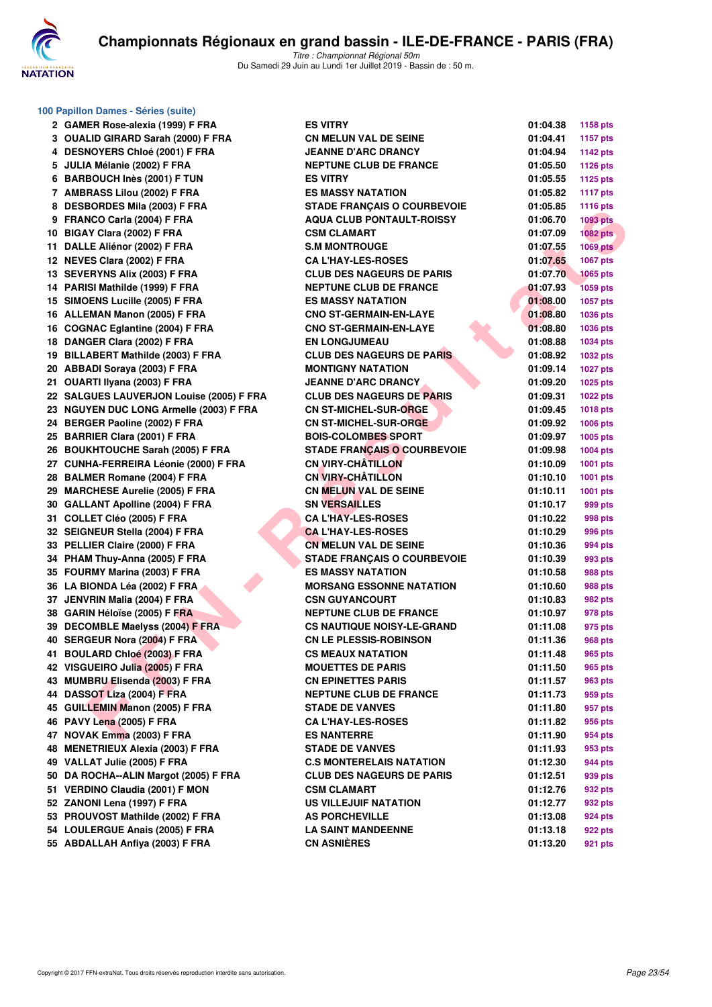

|          | 100 Papillon Dames - Séries (suite)                               |          |
|----------|-------------------------------------------------------------------|----------|
|          | 2 GAMER Rose-alexia (1999) F FRA                                  | E        |
|          | 3 OUALID GIRARD Sarah (2000) F FRA                                | СI       |
|          | 4 DESNOYERS Chloé (2001) F FRA                                    | JI       |
| 5.       | JULIA Mélanie (2002) F FRA                                        | NI       |
| 6.       | <b>BARBOUCH Inès (2001) F TUN</b>                                 | E        |
| 7.       | AMBRASS Lilou (2002) F FRA                                        | E        |
|          | 8 DESBORDES Mila (2003) F FRA                                     | s.       |
|          | 9 FRANCO Carla (2004) F FRA                                       | A١       |
|          | 10 BIGAY Clara (2002) F FRA                                       | C.       |
| 11       | DALLE Aliénor (2002) F FRA                                        | S.       |
|          | 12 NEVES Clara (2002) F FRA                                       | C,       |
|          | 13 SEVERYNS Alix (2003) F FRA                                     | СI       |
| 14       | PARISI Mathilde (1999) F FRA                                      | NI       |
| 15       | SIMOENS Lucille (2005) F FRA                                      | E        |
|          | 16 ALLEMAN Manon (2005) F FRA                                     | СI       |
|          | 16 COGNAC Eglantine (2004) F FRA                                  | СI       |
| 18       | DANGER Clara (2002) F FRA                                         | ы        |
| 19       | <b>BILLABERT Mathilde (2003) F FRA</b>                            | СI       |
|          | 20 ABBADI Soraya (2003) F FRA                                     | М        |
| 21       | OUARTI Ilyana (2003) F FRA                                        | JI       |
|          | 22 SALGUES LAUVERJON Louise (2005) F FRA                          | СI       |
| 23       | <b>NGUYEN DUC LONG Armelle (2003) F FRA</b>                       | СI       |
| 24       | <b>BERGER Paoline (2002) F FRA</b>                                | СI       |
| 25       | <b>BARRIER Clara (2001) F FRA</b>                                 | В١       |
|          | 26 BOUKHTOUCHE Sarah (2005) F FRA                                 | s.       |
| 27       | <b>CUNHA-FERREIRA Léonie (2000) F FRA</b>                         | CI       |
| 28       | <b>BALMER Romane (2004) F FRA</b>                                 | СI       |
|          | 29 MARCHESE Aurelie (2005) F FRA                                  | СI       |
|          | 30 GALLANT Apolline (2004) F FRA                                  | sı       |
| 31       | COLLET Cléo (2005) F FRA                                          | C,       |
|          | SEIGNEUR Stella (2004) F FRA                                      |          |
| 32       | PELLIER Claire (2000) F FRA                                       | C,<br>C  |
| 33       |                                                                   | s.       |
| 34       | PHAM Thuy-Anna (2005) F FRA<br>35 FOURMY Marina (2003) F FRA      | E        |
|          |                                                                   | М        |
| 36<br>37 | LA BIONDA Léa (2002) F FRA                                        |          |
|          | JENVRIN Malia (2004) F FRA                                        | C.<br>NI |
|          | 38 GARIN Héloïse (2005) F FRA<br>39 DECOMBLE Maelyss (2004) F FRA | C.       |
|          |                                                                   |          |
|          | 40 SERGEUR Nora (2004) F FRA<br><b>BOULARD Chloé (2003) F FRA</b> | CI       |
| 41       | VISGUEIRO Julia (2005) F FRA                                      | C.<br>М  |
| 42       | <b>MUMBRU Elisenda (2003) F FRA</b>                               | СI       |
| 43       |                                                                   |          |
| 44       | DASSOT Liza (2004) F FRA                                          | NI       |
| 45       | <b>GUILLEMIN Manon (2005) F FRA</b>                               | s.       |
| 46       | PAVY Lena (2005) F FRA<br>NOVAK Emma (2003) F FRA                 | C,<br>E9 |
| 47       | <b>MENETRIEUX Alexia (2003) F FRA</b>                             |          |
| 48       |                                                                   | s.       |
|          | 49 VALLAT Julie (2005) F FRA                                      | C.       |
| 50       | DA ROCHA--ALIN Margot (2005) F FRA                                | СI       |
| 51       | <b>VERDINO Claudia (2001) F MON</b>                               | C.       |
|          | 52 ZANONI Lena (1997) F FRA                                       | U.       |
|          | 53 PROUVOST Mathilde (2002) F FRA                                 | A.       |
|          | 54 LOULERGUE Anais (2005) F FRA                                   | L/       |
|          | 55 ABDALLAH Anfiya (2003) F FRA                                   | CI       |

| 0 Papillon Dames - Séries (suite)        |                                    |          |                 |
|------------------------------------------|------------------------------------|----------|-----------------|
| 2 GAMER Rose-alexia (1999) F FRA         | <b>ES VITRY</b>                    | 01:04.38 | <b>1158 pts</b> |
| 3 OUALID GIRARD Sarah (2000) F FRA       | <b>CN MELUN VAL DE SEINE</b>       | 01:04.41 | 1157 pts        |
| 4 DESNOYERS Chloé (2001) F FRA           | <b>JEANNE D'ARC DRANCY</b>         | 01:04.94 | <b>1142 pts</b> |
| 5 JULIA Mélanie (2002) F FRA             | <b>NEPTUNE CLUB DE FRANCE</b>      | 01:05.50 | 1126 pts        |
| 6 BARBOUCH Inès (2001) F TUN             | <b>ES VITRY</b>                    | 01:05.55 | <b>1125 pts</b> |
| 7 AMBRASS Lilou (2002) F FRA             | <b>ES MASSY NATATION</b>           | 01:05.82 | <b>1117 pts</b> |
| 8 DESBORDES Mila (2003) F FRA            | <b>STADE FRANÇAIS O COURBEVOIE</b> | 01:05.85 | 1116 pts        |
| 9 FRANCO Carla (2004) F FRA              | <b>AQUA CLUB PONTAULT-ROISSY</b>   | 01:06.70 | 1093 pts        |
| 10 BIGAY Clara (2002) F FRA              | <b>CSM CLAMART</b>                 | 01:07.09 | <b>1082 pts</b> |
| 11 DALLE Aliénor (2002) F FRA            | <b>S.M MONTROUGE</b>               | 01:07.55 | <b>1069 pts</b> |
| 12 NEVES Clara (2002) F FRA              | <b>CA L'HAY-LES-ROSES</b>          | 01:07.65 | 1067 pts        |
| 13 SEVERYNS Alix (2003) F FRA            | <b>CLUB DES NAGEURS DE PARIS</b>   | 01:07.70 | <b>1065 pts</b> |
| 14 PARISI Mathilde (1999) F FRA          | <b>NEPTUNE CLUB DE FRANCE</b>      | 01:07.93 | <b>1059 pts</b> |
| 15 SIMOENS Lucille (2005) F FRA          | <b>ES MASSY NATATION</b>           | 01:08.00 | <b>1057 pts</b> |
| 16 ALLEMAN Manon (2005) F FRA            | <b>CNO ST-GERMAIN-EN-LAYE</b>      | 01:08.80 | <b>1036 pts</b> |
| 16 COGNAC Eglantine (2004) F FRA         | <b>CNO ST-GERMAIN-EN-LAYE</b>      | 01:08.80 | 1036 pts        |
| 18 DANGER Clara (2002) F FRA             | <b>EN LONGJUMEAU</b>               | 01:08.88 | 1034 pts        |
| 19 BILLABERT Mathilde (2003) F FRA       | <b>CLUB DES NAGEURS DE PARIS</b>   | 01:08.92 | 1032 pts        |
| 20 ABBADI Soraya (2003) F FRA            | <b>MONTIGNY NATATION</b>           | 01:09.14 | <b>1027 pts</b> |
| 21 OUARTI Ilyana (2003) F FRA            | <b>JEANNE D'ARC DRANCY</b>         | 01:09.20 | 1025 pts        |
| 22 SALGUES LAUVERJON Louise (2005) F FRA | <b>CLUB DES NAGEURS DE PARIS</b>   | 01:09.31 | 1022 pts        |
| 23 NGUYEN DUC LONG Armelle (2003) F FRA  | CN ST-MICHEL-SUR-ORGE              | 01:09.45 | <b>1018 pts</b> |
| 24 BERGER Paoline (2002) F FRA           | <b>CN ST-MICHEL-SUR-ORGE</b>       | 01:09.92 | 1006 pts        |
| 25 BARRIER Clara (2001) F FRA            | <b>BOIS-COLOMBES SPORT</b>         | 01:09.97 | 1005 pts        |
| 26 BOUKHTOUCHE Sarah (2005) F FRA        | <b>STADE FRANÇAIS O COURBEVOIE</b> | 01:09.98 | 1004 pts        |
| 27 CUNHA-FERREIRA Léonie (2000) F FRA    | <b>CN VIRY-CHÂTILLON</b>           | 01:10.09 | 1001 pts        |
| 28 BALMER Romane (2004) F FRA            | <b>CN VIRY-CHÂTILLON</b>           | 01:10.10 | 1001 pts        |
| 29 MARCHESE Aurelie (2005) F FRA         | <b>CN MELUN VAL DE SEINE</b>       | 01:10.11 | 1001 pts        |
| 30 GALLANT Apolline (2004) F FRA         | <b>SN VERSAILLES</b>               | 01:10.17 | 999 pts         |
| 31 COLLET Cléo (2005) F FRA              | <b>CA L'HAY-LES-ROSES</b>          | 01:10.22 | 998 pts         |
| 32 SEIGNEUR Stella (2004) F FRA          | <b>CA L'HAY-LES-ROSES</b>          | 01:10.29 | 996 pts         |
| 33 PELLIER Claire (2000) F FRA           | <b>CN MELUN VAL DE SEINE</b>       | 01:10.36 | 994 pts         |
| 34 PHAM Thuy-Anna (2005) F FRA           | <b>STADE FRANÇAIS O COURBEVOIE</b> | 01:10.39 | 993 pts         |
| 35 FOURMY Marina (2003) F FRA            | <b>ES MASSY NATATION</b>           | 01:10.58 | 988 pts         |
| 36 LA BIONDA Léa (2002) F FRA            | <b>MORSANG ESSONNE NATATION</b>    | 01:10.60 | 988 pts         |
| 37 JENVRIN Malia (2004) F FRA            | <b>CSN GUYANCOURT</b>              | 01:10.83 | 982 pts         |
| 38 GARIN Héloïse (2005) F FRA            | <b>NEPTUNE CLUB DE FRANCE</b>      | 01:10.97 | 978 pts         |
| 39 DECOMBLE Maelyss (2004) F FRA         | <b>CS NAUTIQUE NOISY-LE-GRAND</b>  | 01:11.08 | 975 pts         |
| 40 SERGEUR Nora (2004) F FRA             | <b>CN LE PLESSIS-ROBINSON</b>      | 01:11.36 | <b>968 pts</b>  |
| 41 BOULARD Chloé (2003) F FRA            | <b>CS MEAUX NATATION</b>           | 01:11.48 | 965 pts         |
| 42 VISGUEIRO Julia (2005) F FRA          | <b>MOUETTES DE PARIS</b>           | 01:11.50 | 965 pts         |
| 43 MUMBRU Elisenda (2003) F FRA          | <b>CN EPINETTES PARIS</b>          | 01:11.57 | 963 pts         |
| 44 DASSOT Liza (2004) F FRA              | <b>NEPTUNE CLUB DE FRANCE</b>      | 01:11.73 | 959 pts         |
| 45 GUILLEMIN Manon (2005) F FRA          | <b>STADE DE VANVES</b>             | 01:11.80 | 957 pts         |
| 46 PAVY Lena (2005) F FRA                | <b>CA L'HAY-LES-ROSES</b>          | 01:11.82 | 956 pts         |
| 47 NOVAK Emma (2003) F FRA               | <b>ES NANTERRE</b>                 | 01:11.90 | 954 pts         |
| 48 MENETRIEUX Alexia (2003) F FRA        | <b>STADE DE VANVES</b>             | 01:11.93 | 953 pts         |
| 49 VALLAT Julie (2005) F FRA             | <b>C.S MONTERELAIS NATATION</b>    | 01:12.30 | 944 pts         |
| 50 DA ROCHA--ALIN Margot (2005) F FRA    | <b>CLUB DES NAGEURS DE PARIS</b>   | 01:12.51 | 939 pts         |
| 51 VERDINO Claudia (2001) F MON          | <b>CSM CLAMART</b>                 | 01:12.76 | 932 pts         |
| 52 ZANONI Lena (1997) F FRA              | US VILLEJUIF NATATION              | 01:12.77 | 932 pts         |
| 53 PROUVOST Mathilde (2002) F FRA        | <b>AS PORCHEVILLE</b>              | 01:13.08 | 924 pts         |
| 54 LOULERGUE Anais (2005) F FRA          | <b>LA SAINT MANDEENNE</b>          | 01:13.18 | 922 pts         |
| 55 ABDALLAH Anfiya (2003) F FRA          | <b>CN ASNIÈRES</b>                 | 01:13.20 | 921 pts         |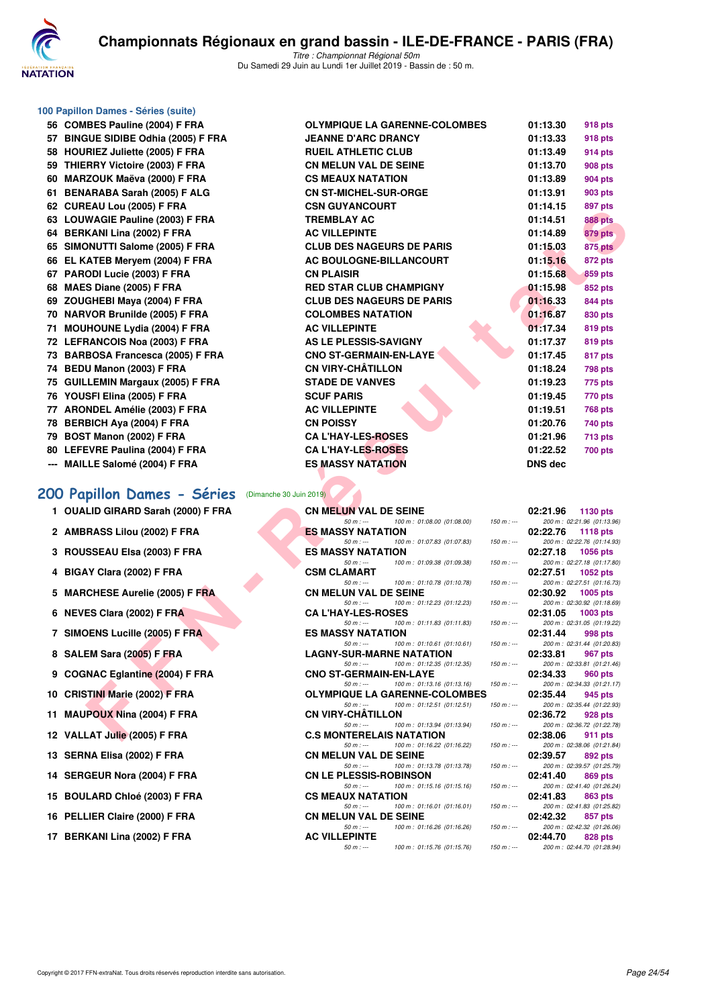

#### **100 Papillon Dames - Séries (suite)**

**56 COMBES Pauline (2004) F FRA OLYMPIQUE LA GARENNE-COLOMBES 01:13.30 918 pts 57 BINGUE SIDIBE Odhia (2005) F FRA JUNE DRANCY DRAMA DRAMACY OF STARK DRAMACY DRAMACY DRAMACY DRAMACY DRAMACY DR 58 HOURIEZ Juliette (2005) F FRA RUEIL BURGER 59 THIERRY Victoire (2003) F FRA CON CONGRESS PTS 60 MARZOUK Maëva (2000) F FRA CONSERVERT CONSERVERT 61 BENARABA Sarah (2005) F ALG CONSTANT ON STATE OF STATE OF STATE OF STATE OF STATE OF STATE OF STATE OF STATE OF STATE OF STATE OF STATE OF STATE OF STATE OF STATE OF STATE OF STATE OF STATE OF STATE OF STATE OF STATE O 62 CUREAU Lou (2005) F FRA C** 63 LOUWAGIE Pauline (2003) F FRA T **64 BERKANI Lina (2002) F FRA ACCORD BERKANI LINA CONSUMINTE ON A** 65 SIMONUTTI Salome (2005) F FRA C **66 EL KATEB Meryem (2004) F FRA ACCOUNCED BOULOGNEER 67 PARODI Lucie (2003) F FRA CN PLAISIR 01:15.68 859 pts 68 MAES Diane (2005) F FRA RED STAR RED STAR CLUB CHAMPIGNY ON RED STAR RED STAR RED STAR BIGGERY ON RED STAR RED STAR RED STAR RED STAR RED STAR RED STAR RED STAR RED STAR RED STAR RED STAR RED STAR RED STAR RED STAR RED 69 ZOUGHEBI Maya (2004) F FRA CLUB DESCRIPTION OF STARIS DESCRIPTION OF STARIS DESCRIPTION OF STARIS DESCRIPTION OF STARIS DESCRIPTION OF STARIS DESCRIPTION OF STARIS DESCRIPTION OF STARIS DESCRIPTION OF STARIS DESCRIPTIO 70 NARVOR Brunilde (2005) F FRA COLOMBER 1830 PTS 71 MOUHOUNE Lydia (2004) F FRA ACCOMPLING ACCOMPLINATION 72 LEFRANCOIS Noa (2003) F FRA ASSEMBLEM 73 BARBOSA Francesca (2005) F FRA C 74 BEDU Manon (2003) F FRA C** 75 GUILLEMIN Margaux (2005) F FRA STADE STADLE **76 YOUSFI Elina (2005) F FRA** S **77 ARONDEL Amélie (2003) F FRA ACCESSION ACCESSION ACCESSION ACCESSION ACCESSION ACCESSION ACCESSION ACCESSION ACCESSION ACCESSION ACCESSION ACCESSION ACCESSION ACCESSION ACCESSION ACCESSION ACCESSION ACCESSION ACCESSION 78 BERBICH Aya (2004) F FRA CN POISSY 01:20.76 740 pts 79 BOST Manon (2002) F FRA CAN CAN CAN CAN CA LIMIT ON STATE OF STATE OF STATE OF STATE OF STATE OF STATE OF STATE OF STATE OF STATE OF STATE OF STATE OF STATE OF STATE OF STATE OF STATE OF STATE OF STATE OF STATE OF STAT** 80 LEFEVRE Paulina (2004) F FRA C **--- MAILLE Salomé (2004) F FRA ESSALATE** 

#### **[200 Papillon Dames - Séries](http://www.ffnatation.fr/webffn/resultats.php?idact=nat&go=epr&idcpt=61555&idepr=33)** (Dimanche 30 Juin 2019)

- 
- 
- 
- 
- 
- 
- 
- 
- 
- 
- 
- 
- 
- 
- 
- 
- 

| In Dames - Series (suite)                               |                                                                                          |                                                           |
|---------------------------------------------------------|------------------------------------------------------------------------------------------|-----------------------------------------------------------|
| <b>IBES Pauline (2004) F FRA</b>                        | <b>OLYMPIQUE LA GARENNE-COLOMBES</b>                                                     | 01:13.30<br>918 pts                                       |
| <b>SUE SIDIBE Odhia (2005) F FRA</b>                    | <b>JEANNE D'ARC DRANCY</b>                                                               | 01:13.33<br>918 pts                                       |
| RIEZ Juliette (2005) F FRA                              | <b>RUEIL ATHLETIC CLUB</b>                                                               | 01:13.49<br>914 pts                                       |
| RRY Victoire (2003) F FRA                               | <b>CN MELUN VAL DE SEINE</b>                                                             | 01:13.70<br>908 pts                                       |
| ZOUK Maëva (2000) F FRA                                 | <b>CS MEAUX NATATION</b>                                                                 | 01:13.89<br>904 pts                                       |
| ARABA Sarah (2005) F ALG                                | <b>CN ST-MICHEL-SUR-ORGE</b>                                                             | 01:13.91<br>903 pts                                       |
| EAU Lou (2005) F FRA                                    | <b>CSN GUYANCOURT</b>                                                                    | 01:14.15<br>897 pts                                       |
| <b>WAGIE Pauline (2003) F FRA</b>                       | <b>TREMBLAY AC</b>                                                                       | 01:14.51<br><b>888 pts</b>                                |
| KANI Lina (2002) F FRA                                  | <b>AC VILLEPINTE</b>                                                                     | 01:14.89<br>879 pts                                       |
| )NUTTI Salome (2005) F FRA                              | <b>CLUB DES NAGEURS DE PARIS</b>                                                         | 01:15.03<br><b>875 pts</b>                                |
| ATEB Mervem (2004) F FRA                                | AC BOULOGNE-BILLANCOURT                                                                  | 01:15.16<br>872 pts                                       |
| ODI Lucie (2003) F FRA                                  | <b>CN PLAISIR</b>                                                                        | 01:15.68<br>859 pts                                       |
| S Diane (2005) F FRA                                    | <b>RED STAR CLUB CHAMPIGNY</b>                                                           | 01:15.98<br>852 pts                                       |
| GHEBI Maya (2004) F FRA                                 | <b>CLUB DES NAGEURS DE PARIS</b>                                                         | 01:16.33<br>844 pts                                       |
| VOR Brunilde (2005) F FRA                               | <b>COLOMBES NATATION</b>                                                                 | 01:16.87<br>830 pts                                       |
| <b>HOUNE Lydia (2004) F FRA</b>                         | <b>AC VILLEPINTE</b>                                                                     | 01:17.34<br>819 pts                                       |
| RANCOIS Noa (2003) F FRA<br>BOSA Francesca (2005) F FRA | AS LE PLESSIS-SAVIGNY<br><b>CNO ST-GERMAIN-EN-LAYE</b>                                   | 01:17.37<br>819 pts                                       |
| <b>U Manon (2003) F FRA</b>                             | <b>CN VIRY-CHÂTILLON</b>                                                                 | 01:17.45<br>817 pts<br>01:18.24<br>798 pts                |
| LEMIN Margaux (2005) F FRA                              | <b>STADE DE VANVES</b>                                                                   | 01:19.23<br>775 pts                                       |
| SFI Elina (2005) F FRA                                  | <b>SCUF PARIS</b>                                                                        | 01:19.45<br>770 pts                                       |
| NDEL Amélie (2003) F FRA                                | <b>AC VILLEPINTE</b>                                                                     | 01:19.51<br><b>768 pts</b>                                |
| BICH Aya (2004) F FRA                                   | <b>CN POISSY</b>                                                                         | 01:20.76<br>740 pts                                       |
| T Manon (2002) F FRA                                    | <b>CA L'HAY-LES-ROSES</b>                                                                | 01:21.96<br>713 pts                                       |
| EVRE Paulina (2004) F FRA                               | <b>CA L'HAY-LES-ROSES</b>                                                                | 01:22.52<br><b>700 pts</b>                                |
| LE Salomé (2004) F FRA                                  | <b>ES MASSY NATATION</b>                                                                 | DNS dec                                                   |
|                                                         |                                                                                          |                                                           |
| pillon Dames - Séries (Dimanche 30 Juin 2019)           |                                                                                          |                                                           |
| LID GIRARD Sarah (2000) F FRA                           | <b>CN MELUN VAL DE SEINE</b>                                                             | 02:21.96                                                  |
|                                                         | $50 m: -$<br>100 m: 01:08.00 (01:08.00)<br>$150 m : -$                                   | 1130 pts<br>200 m: 02:21.96 (01:13.96)                    |
| RASS Lilou (2002) F FRA                                 | <b>ES MASSY NATATION</b>                                                                 | 02:22.76<br>1118 $pts$                                    |
| SSEAU Elsa (2003) F FRA                                 | 100 m: 01:07.83 (01:07.83)<br>$50 m: -$<br>$150 m: -$<br><b>ES MASSY NATATION</b>        | 200 m: 02:22.76 (01:14.93)<br>02:27.18<br><b>1056 pts</b> |
|                                                         | $50 m: -$<br>100 m: 01:09.38 (01:09.38)<br>$150 m: -$                                    | 200 m: 02:27.18 (01:17.80)                                |
| <b>AY Clara (2002) F FRA</b>                            | <b>CSM CLAMART</b><br>$50 m: -$                                                          | 02:27.51<br><b>1052 pts</b><br>200 m: 02:27.51 (01:16.73) |
| CHESE Aurelie (2005) F FRA                              | 100 m: 01:10.78 (01:10.78)<br>$150 m : -$<br><b>CN MELUN VAL DE SEINE</b>                | 02:30.92<br>$1005$ pts                                    |
| ES Clara (2002) F FRA                                   | 100 m: 01:12.23 (01:12.23)<br>$50 m: -$<br>$150 m : -$<br><b>CA L'HAY-LES-ROSES</b>      | 200 m: 02:30.92 (01:18.69)<br>02:31.05<br>$1003$ pts      |
| <b>DENS Lucille (2005) F FRA</b>                        | 100 m: 01:11.83 (01:11.83)<br>$50 m: -$<br>$150 m : -$<br><b>ES MASSY NATATION</b>       | 200 m: 02:31.05 (01:19.22)<br>02:31.44<br>998 pts         |
|                                                         | $50 m: -$<br>100 m: 01:10.61 (01:10.61)<br>$150 m : -$                                   | 200 m: 02:31.44 (01:20.83)                                |
| EM Sara (2005) F FRA                                    | <b>LAGNY-SUR-MARNE NATATION</b><br>$50 m: -$<br>100 m: 01:12.35 (01:12.35)<br>$150 m: -$ | 02:33.81<br>967 pts<br>200 m: 02:33.81 (01:21.46)         |
| NAC Eglantine (2004) F FRA                              | <b>CNO ST-GERMAIN-EN-LAYE</b><br>100 m: 01:13.16 (01:13.16)<br>$50 m: -$<br>$150 m: -$   | 02:34.33<br><b>960 pts</b><br>200 m: 02:34.33 (01:21.17)  |
| TINI Marie (2002) F FRA                                 | <b>OLYMPIQUE LA GARENNE-COLOMBES</b>                                                     | 02:35.44<br>945 pts                                       |
| POUX Nina (2004) F FRA                                  | 100 m: 01:12.51 (01:12.51)<br>$50 m: -$<br>$150 m : -$<br><b>CN VIRY-CHATILLON</b>       | 200 m: 02:35.44 (01:22.93)<br>02:36.72<br>928 pts         |
| LAT Julie (2005) F FRA                                  | $50 m: -$<br>100 m: 01:13.94 (01:13.94)<br>$150 m: -$<br><b>C.S MONTERELAIS NATATION</b> | 200 m: 02:36.72 (01:22.78)<br>02:38.06<br>911 pts         |
|                                                         |                                                                                          |                                                           |

| 1 OUALID GIRARD Sarah (2000) F FRA | <b>CN MELUN VAL DE SEINE</b>                  |                                       |             | 02:21.96 | 1130 pts                               |
|------------------------------------|-----------------------------------------------|---------------------------------------|-------------|----------|----------------------------------------|
|                                    | $50 m : -$                                    | 100 m : 01:08.00 (01:08.00)           | $150 m : -$ |          | 200 m: 02:21.96 (01:13.96)             |
| 2 AMBRASS Lilou (2002) F FRA       | <b>ES MASSY NATATION</b>                      |                                       |             | 02:22.76 | 1118 $pts$                             |
| 3 ROUSSEAU Elsa (2003) F FRA       | $50 m: -$<br><b>ES MASSY NATATION</b>         | 100 m : 01:07.83 (01:07.83)           | 150 m : --- | 02:27.18 | 200 m: 02:22.76 (01:14.93)<br>1056 pts |
|                                    | $50 m: -$                                     | 100 m : 01:09.38 (01:09.38)           | $150 m : -$ |          | 200 m: 02:27.18 (01:17.80)             |
| 4 BIGAY Clara (2002) F FRA         | <b>CSM CLAMART</b>                            |                                       |             | 02:27.51 | $1052$ pts                             |
|                                    | $50 m: -$                                     | 100 m : 01:10.78 (01:10.78)           | $150 m : -$ |          | 200 m: 02:27.51 (01:16.73)             |
| 5 MARCHESE Aurelie (2005) F FRA    | <b>CN MELUN VAL DE SEINE</b>                  |                                       |             | 02:30.92 | $1005$ pts                             |
|                                    | $50 m: -$                                     | 100 m : 01:12.23 (01:12.23)           | $150 m : -$ |          | 200 m: 02:30.92 (01:18.69)             |
| 6 NEVES Clara (2002) F FRA         | <b>CAL'HAY-LES-ROSES</b>                      |                                       |             |          | 02:31.05 1003 pts                      |
|                                    | $50 m : -$                                    | 100 m : 01:11.83 (01:11.83)           | $150 m : -$ |          | 200 m: 02:31.05 (01:19.22)             |
| 7 SIMOENS Lucille (2005) F FRA     | <b>ES MASSY NATATION</b>                      |                                       |             | 02:31.44 | 998 pts                                |
| 8 SALEM Sara (2005) F FRA          | $50 m : -$<br><b>LAGNY-SUR-MARNE NATATION</b> | 100 m : 01:10.61 (01:10.61)           | $150 m : -$ | 02:33.81 | 200 m: 02:31.44 (01:20.83)<br>967 pts  |
|                                    |                                               | 50 m :--- 100 m : 01:12.35 (01:12.35) | $150 m: -$  |          | 200 m: 02:33.81 (01:21.46)             |
| 9 COGNAC Eglantine (2004) F FRA    | <b>CNO ST-GERMAIN-EN-LAYE</b>                 |                                       |             | 02:34.33 | 960 pts                                |
|                                    | $50 m : -$                                    | 100 m : 01:13.16 (01:13.16)           | $150 m: -$  |          | 200 m: 02:34.33 (01:21.17)             |
| 10 CRISTINI Marie (2002) F FRA     |                                               | <b>OLYMPIQUE LA GARENNE-COLOMBES</b>  |             | 02:35.44 | 945 pts                                |
|                                    | $50 m: -$                                     | 100 m: 01:12.51 (01:12.51)            | $150 m : -$ |          | 200 m: 02:35.44 (01:22.93)             |
| 11 MAUPOUX Nina (2004) F FRA       | <b>CN VIRY-CHÂTILLON</b>                      |                                       |             | 02:36.72 | 928 pts                                |
|                                    | $50 m : -$                                    | 100 m : 01:13.94 (01:13.94)           | $150 m : -$ |          | 200 m: 02:36.72 (01:22.78)             |
| 12 VALLAT Julie (2005) F FRA       | <b>C.S MONTERELAIS NATATION</b>               |                                       |             | 02:38.06 | 911 pts                                |
| 13 SERNA Elisa (2002) F FRA        | $50 m: -$<br><b>CN MELUN VAL DE SEINE</b>     | 100 m : 01:16.22 (01:16.22)           | $150 m : -$ | 02:39.57 | 200 m: 02:38.06 (01:21.84)<br>892 pts  |
|                                    | $50 m: -$                                     | 100 m : 01:13.78 (01:13.78)           | $150 m: -$  |          | 200 m: 02:39.57 (01:25.79)             |
| 14 SERGEUR Nora (2004) F FRA       | <b>CN LE PLESSIS-ROBINSON</b>                 |                                       |             | 02:41.40 | 869 pts                                |
|                                    | 50 m : ---                                    | 100 m : 01:15.16 (01:15.16)           | 150 m : --- |          | 200 m: 02:41.40 (01:26.24)             |
| 15 BOULARD Chloé (2003) F FRA      | <b>CS MEAUX NATATION</b>                      |                                       |             | 02:41.83 | 863 pts                                |
|                                    | $50 m: -$                                     | 100 m : 01:16.01 (01:16.01)           | $150 m : -$ |          | 200 m: 02:41.83 (01:25.82)             |
| 16 PELLIER Claire (2000) F FRA     | <b>CN MELUN VAL DE SEINE</b>                  |                                       |             | 02:42.32 | 857 pts                                |
|                                    | $50 m: -$                                     | 100 m : 01:16.26 (01:16.26)           | $150 m : -$ |          | 200 m: 02:42.32 (01:26.06)             |
| 17 BERKANI Lina (2002) F FRA       | <b>AC VILLEPINTE</b>                          |                                       |             | 02:44.70 | <b>828 pts</b>                         |
|                                    | $50 m : -$                                    | 100 m : 01:15.76 (01:15.76)           | $150 m : -$ |          | 200 m: 02:44.70 (01:28.94)             |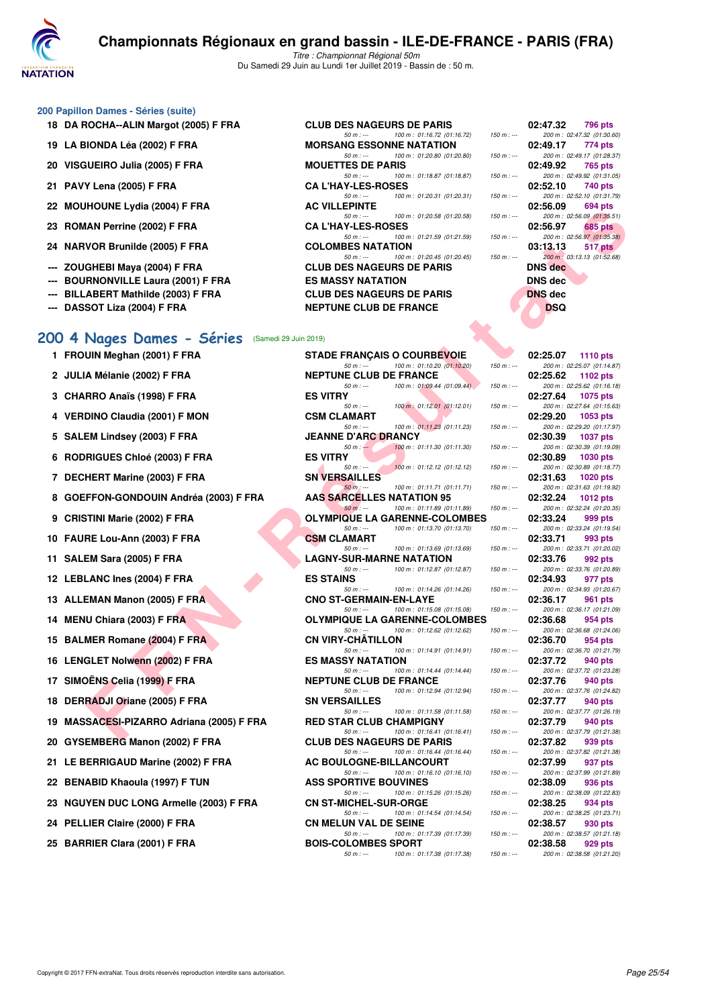

#### **200 Papillon Dames - Séries (suite)**

- 
- 
- 20 VISGUEIRO Julia (2005) F FRA
- 21 PAVY Lena (2005) **F FRA**
- 
- 
- 
- 
- 
- 
- 

#### [200 4 Nages Dames - Séries](http://www.ffnatation.fr/webffn/resultats.php?idact=nat&go=epr&idcpt=61555&idepr=41) **(Samedi 29 Ju**

- **1 FROUIN Meghan (2001) F FRA**
- 2 JULIA Mélanie (2002) F FRA
- **3 CHARRO Anaïs (1998) F FRA**
- **4 VERDINO Claudia (2001) F MON**
- 5 SALEM Lindsey (2003) F FRA
- **6 RODRIGUES Chloé (2003) F FRA**
- **7 DECHERT Marine (2003) F FRA**
- **8 GOEFFON-GONDOUIN Andréa (2003) F FRA**
- **9 CRISTINI Marie (2002) F FRA**
- **10 FAURE Lou-Ann (2003) F FRA**
- **11 SALEM Sara (2005) F FRA**
- **12 LEBLANC Ines (2004) F FRA**
- **13 ALLEMAN Manon (2005) F FRA**
- **14 MENU Chiara (2003) F FRA**
- **15 BALMER Romane (2004) F FRA**
- 16 LENGLET Nolwenn (2002) F FRA
- 17 SIMOËNS Celia (1999) F FRA
- 18 DERRADJI Oriane (2005) F FRA
- 19 MASSACESI-PIZARRO Adriana (2005) F FRA
- 20 GYSEMBERG Manon (2002) F FRA
- 21 LE BERRIGAUD Marine (2002) F FRA
- 22 BENABID Khaoula (1997) F TUN
- 23 NGUYEN DUC LONG Armelle (2003) F FRA
- 24 PELLIER Claire (2000) F FRA
- 

| JU Papilion Dames - Series (suite)    |                                           |                                           |
|---------------------------------------|-------------------------------------------|-------------------------------------------|
| 18 DA ROCHA--ALIN Margot (2005) F FRA | <b>CLUB DES NAGEURS DE PARIS</b>          | 02:47.32<br>796 pts                       |
|                                       | 100 m : 01:16.72 (01:16.72)<br>$50 m : -$ | $150 m : -$<br>200 m : 02:47.32 (01:30.60 |
| 19 LA BIONDA Léa (2002) F FRA         | <b>MORSANG ESSONNE NATATION</b>           | 02:49.17 774 pts                          |
|                                       | 50 m : --- 100 m : 01:20.80 (01:20.80)    | 150 m : ---<br>200 m: 02:49.17 (01:28.37  |
| 20 VISGUEIRO Julia (2005) F FRA       | <b>MOUETTES DE PARIS</b>                  | 02:49.92 765 pts                          |
|                                       | 100 m : 01:18.87 (01:18.87)<br>$50 m : -$ | $150 m : -$<br>200 m: 02:49.92 (01:31.05  |
| 21 PAVY Lena (2005) F FRA             | <b>CA L'HAY-LES-ROSES</b>                 | 02:52.10<br>740 pts                       |
|                                       | 100 m : 01:20.31 (01:20.31)<br>$50 m: -$  | 200 m: 02:52.10 (01:31.79<br>150 m : ---  |
| 22 MOUHOUNE Lydia (2004) F FRA        | <b>AC VILLEPINTE</b>                      | 02:56.09<br>694 pts                       |
|                                       | 50 m : --- 100 m : 01:20.58 (01:20.58)    | 200 m: 02:56.09 (01:35.51<br>$150 m : -$  |
| 23 ROMAN Perrine (2002) F FRA         | <b>CA L'HAY-LES-ROSES</b>                 | 02:56.97<br>685 pts                       |
|                                       | 100 m : 01:21.59 (01:21.59)<br>$50 m : -$ | 200 m: 02:56.97 (01:35.38<br>150 m : ---  |
| 24 NARVOR Brunilde (2005) F FRA       | <b>COLOMBES NATATION</b>                  | 03:13.13<br>517 pts                       |
|                                       | 50 m : --- 100 m : 01:20.45 (01:20.45)    | 150 m : ---<br>200 m : 03:13.13 (01:52.68 |
| --- ZOUGHEBI Maya (2004) F FRA        | <b>CLUB DES NAGEURS DE PARIS</b>          | <b>DNS</b> dec                            |
| --- BOURNONVILLE Laura (2001) F FRA   | <b>ES MASSY NATATION</b>                  | DNS dec                                   |
| --- BILLABERT Mathilde (2003) F FRA   | <b>CLUB DES NAGEURS DE PARIS</b>          | <b>DNS</b> dec                            |
| --- DASSOT Liza (2004) F FRA          | <b>NEPTUNE CLUB DE FRANCE</b>             | <b>DSQ</b>                                |



| ZZ MUUILUUNE LYUIA (ZUU+) F FRA                    | <b>VILLETINIE</b>                                                               |             | <b>04.00.05</b><br>งฮฯ มเธ                                |
|----------------------------------------------------|---------------------------------------------------------------------------------|-------------|-----------------------------------------------------------|
| 23 ROMAN Perrine (2002) F FRA                      | $50 m: -$<br>100 m: 01:20.58 (01:20.58)<br><b>CA L'HAY-LES-ROSES</b>            | $150 m : -$ | 200 m: 02:56.09 (01:35.51)<br>02:56.97<br><b>685 pts</b>  |
| 24 NARVOR Brunilde (2005) F FRA                    | 100 m: 01:21.59 (01:21.59)<br>$50 m: -$<br><b>COLOMBES NATATION</b>             | $150 m : -$ | 200 m: 02:56.97 (01:35.38)<br>03:13.13<br>517 pts         |
| --- ZOUGHEBI Maya (2004) F FRA                     | $50 m: -$<br>100 m: 01:20.45 (01:20.45)<br><b>CLUB DES NAGEURS DE PARIS</b>     | $150 m : -$ | 200 m : 03:13.13 (01:52.68)<br><b>DNS</b> dec             |
| <b>BOURNONVILLE Laura (2001) F FRA</b>             | <b>ES MASSY NATATION</b>                                                        |             | <b>DNS</b> dec                                            |
|                                                    |                                                                                 |             |                                                           |
| <b>BILLABERT Mathilde (2003) F FRA</b>             | <b>CLUB DES NAGEURS DE PARIS</b>                                                |             | <b>DNS</b> dec                                            |
| --- DASSOT Liza (2004) F FRA                       | <b>NEPTUNE CLUB DE FRANCE</b>                                                   |             | <b>DSQ</b>                                                |
| 00 4 Nages Dames - Séries<br>(Samedi 29 Juin 2019) |                                                                                 |             |                                                           |
| 1 FROUIN Meghan (2001) F FRA                       | <b>STADE FRANÇAIS O COURBEVOIE</b><br>100 m: 01:10.20 (01:10.20)<br>$50 m: -$   | $150 m : -$ | 02:25.07<br><b>1110 pts</b><br>200 m: 02:25.07 (01:14.87) |
| 2 JULIA Mélanie (2002) F FRA                       | <b>NEPTUNE CLUB DE FRANCE</b>                                                   |             | 02:25.62<br>1102 pts                                      |
| 3 CHARRO Anaïs (1998) F FRA                        | 100 m: 01:09.44 (01:09.44).<br>$50 m: -$<br><b>ES VITRY</b>                     | $150 m : -$ | 200 m: 02:25.62 (01:16.18)<br>02:27.64<br>1075 pts        |
| 4 VERDINO Claudia (2001) F MON                     | 100 m: 01:12.01 (01:12.01)<br>$50 m: -$<br><b>CSM CLAMART</b>                   | 150 m : --- | 200 m: 02:27.64 (01:15.63)<br>02:29.20<br>1053 pts        |
| 5 SALEM Lindsey (2003) F FRA                       | 100 m: 01:11.23 (01:11.23)<br>$50 m: -$<br><b>JEANNE D'ARC DRANCY</b>           | $150 m : -$ | 200 m: 02:29.20 (01:17.97)<br>02:30.39<br><b>1037 pts</b> |
| 6 RODRIGUES Chloé (2003) F FRA                     | 100 m: 01:11.30 (01:11.30)<br>$50 m: -$<br><b>ES VITRY</b>                      | $150 m : -$ | 200 m: 02:30.39 (01:19.09)<br>02:30.89<br>1030 pts        |
| 7 DECHERT Marine (2003) F FRA                      | 100 m: 01:12.12 (01:12.12)<br>$50 m: -$<br><b>SN VERSAILLES</b>                 | $150 m : -$ | 200 m: 02:30.89 (01:18.77)<br>02:31.63<br><b>1020 pts</b> |
| 8 GOEFFON-GONDOUIN Andréa (2003) F FRA             | $50 m$ : ---<br>100 m: 01:11.71 (01:11.71)<br><b>AAS SARCELLES NATATION 95</b>  | $150 m : -$ | 200 m: 02:31.63 (01:19.92)<br>02:32.24<br><b>1012 pts</b> |
| 9 CRISTINI Marie (2002) F FRA                      | 100 m: 01:11.89 (01:11.89)<br>$50 m: -$<br><b>OLYMPIQUE LA GARENNE-COLOMBES</b> | $150 m : -$ | 200 m: 02:32.24 (01:20.35)<br>02:33.24<br>999 pts         |
| 10 FAURE Lou-Ann (2003) F FRA                      | 100 m: 01:13.70 (01:13.70)<br>$50 m: -$<br><b>CSM CLAMART</b>                   | $150 m : -$ | 200 m: 02:33.24 (01:19.54)<br>02:33.71<br>993 pts         |
| 11 SALEM Sara (2005) F FRA                         | 100 m: 01:13.69 (01:13.69)<br>$50 m: -$<br><b>LAGNY-SUR-MARNE NATATION</b>      | $150 m : -$ | 200 m: 02:33.71 (01:20.02)<br>02:33.76<br>992 pts         |
| 12 LEBLANC Ines (2004) F FRA                       | 100 m: 01:12.87 (01:12.87)<br>$50 m: -$<br><b>ES STAINS</b>                     | $150 m : -$ | 200 m: 02:33.76 (01:20.89)<br>02:34.93<br>977 pts         |
| 13 ALLEMAN Manon (2005) F FRA                      | $50 m: -$<br>100 m: 01:14.26 (01:14.26)<br><b>CNO ST-GERMAIN-EN-LAYE</b>        | $150 m : -$ | 200 m: 02:34.93 (01:20.67)<br>02:36.17<br>961 pts         |
| 14 MENU Chiara (2003) F FRA                        | 100 m: 01:15.08 (01:15.08)<br>$50 m: -$<br><b>OLYMPIQUE LA GARENNE-COLOMBES</b> | $150 m : -$ | 200 m: 02:36.17 (01:21.09)<br>02:36.68<br>954 pts         |
| 15 BALMER Romane (2004) F FRA                      | $50 m: -$<br>100 m: 01:12.62 (01:12.62)<br><b>CN VIRY-CHATILLON</b>             | $150 m : -$ | 200 m: 02:36.68 (01:24.06)<br>02:36.70<br>954 pts         |
| 16 LENGLET Nolwenn (2002) F FRA                    | 100 m: 01:14.91 (01:14.91)<br>$50 m: -$<br><b>ES MASSY NATATION</b>             | 150 m : --- | 200 m: 02:36.70 (01:21.79)<br>02:37.72<br>940 pts         |
| 17 SIMOËNS Celia (1999) F FRA                      | 100 m: 01:14.44 (01:14.44)<br>$50 m: -$<br><b>NEPTUNE CLUB DE FRANCE</b>        | $150 m : -$ | 200 m: 02:37.72 (01:23.28)<br>02:37.76<br>940 pts         |
| 18 DERRADJI Oriane (2005) F FRA                    | 100 m: 01:12.94 (01:12.94)<br>$50 m$ : ---<br><b>SN VERSAILLES</b>              | $150 m: -$  | 200 m: 02:37.76 (01:24.82)<br>02:37.77<br>940 pts         |
| 19 MASSACESI-PIZARRO Adriana (2005) F FRA          | 100 m: 01:11.58 (01:11.58)<br>$50 m: -$<br><b>RED STAR CLUB CHAMPIGNY</b>       | $150 m : -$ | 200 m: 02:37.77 (01:26.19)<br>02:37.79<br>940 pts         |
| 20 GYSEMBERG Manon (2002) F FRA                    | $50 m$ : ---<br>100 m: 01:16.41 (01:16.41)<br><b>CLUB DES NAGEURS DE PARIS</b>  | $150 m : -$ | 200 m: 02:37.79 (01:21.38)<br>02:37.82<br>939 pts         |
| 21 LE BERRIGAUD Marine (2002) F FRA                | 50 m : ---<br>100 m : 01:16.44 (01:16.44)<br>AC BOULOGNE-BILLANCOURT            | $150 m : -$ | 200 m: 02:37.82 (01:21.38)<br>02:37.99<br>937 pts         |
| 22 BENABID Khaoula (1997) F TUN                    | 100 m: 01:16.10 (01:16.10)<br>$50 m: -$<br><b>ASS SPORTIVE BOUVINES</b>         | $150 m : -$ | 200 m: 02:37.99 (01:21.89)<br>02:38.09<br>936 pts         |
| 23 NGUYEN DUC LONG Armelle (2003) F FRA            | 100 m: 01:15.26 (01:15.26)<br>$50 m: -$<br><b>CN ST-MICHEL-SUR-ORGE</b>         | $150 m : -$ | 200 m: 02:38.09 (01:22.83)<br>02:38.25<br>934 pts         |
| 24 PELLIER Claire (2000) F FRA                     | 100 m: 01:14.54 (01:14.54)<br>$50 m: -$<br><b>CN MELUN VAL DE SEINE</b>         | $150 m : -$ | 200 m: 02:38.25 (01:23.71)<br>02:38.57<br>930 pts         |
| 25 BARRIER Clara (2001) F FRA                      | 100 m: 01:17.39 (01:17.39)<br>50 m : ---<br><b>BOIS-COLOMBES SPORT</b>          | $150 m : -$ | 200 m: 02:38.57 (01:21.18)<br>02:38.58<br>929 pts         |
|                                                    | 50 m : --- 100 m : 01:17.38 (01:17.38)                                          | 150 m : --- | 200 m: 02:38.58 (01:21.20)                                |

|                          | 02:25.07 1110 pts                        |
|--------------------------|------------------------------------------|
|                          | 200 m: 02:25.07 (01:14.87)               |
|                          | 02:25.62 1102 pts                        |
| i                        | 200 m: 02:25.62 (01:16.18)               |
|                          | 02:27.64 1075 pts                        |
| f                        | 200 m: 02:27.64 (01:15.63)               |
|                          | 02:29.20 1053 pts                        |
| i                        | 200 m: 02:29.20 (01:17.97)               |
|                          | 02:30.39 1037 pts                        |
| j                        | 200 m: 02:30.39 (01:19.09)               |
| 02:30.89                 | <b>1030 pts</b>                          |
| j                        | 200 m: 02:30.89 (01:18.77)               |
| 02:31.63                 | 1020 pts                                 |
| f                        | 200 m: 02:31.63 (01:19.92)               |
| 02:32.24                 | <b>1012 pts</b>                          |
| i                        | 200 m: 02:32.24 (01:20.35)               |
| 02:33.24                 | 999 pts                                  |
| $\overline{a}$           | 200 m: 02:33.24 (01:19.54)               |
| 02:33.71                 | 993 pts                                  |
| i                        | 200 m: 02:33.71 (01:20.02)               |
| 02:33.76                 | 992 pts                                  |
| 1                        | 200 m: 02:33.76 (01:20.89)               |
| 02:34.93                 | 977 pts                                  |
| 1                        | 200 m: 02:34.93 (01:20.67)               |
| 02:36.17                 | 961 pts                                  |
| ֘֒                       | 200 m: 02:36.17 (01:21.09)               |
| 02:36.68                 | 954 pts                                  |
| f                        | 200 m: 02:36.68 (01:24.06)               |
| 02:36.70                 | 954 pts                                  |
| i                        | 200 m: 02:36.70 (01:21.79)               |
| 02:37.72                 | 940 pts                                  |
| j                        | 200 m: 02:37.72 (01:23.28)               |
| 02:37.76                 | 940 pts                                  |
| $\overline{a}$           | 200 m: 02:37.76 (01:24.82)               |
| 02:37.77                 | 940 pts                                  |
| i                        | 200 m: 02:37.77 (01:26.19)               |
| 02:37.79                 | 940 pts                                  |
| i                        | 200 m : 02:37.79 (01:21.38)              |
| 02:37.82                 | 939 pts                                  |
| $\overline{a}$           | 200 m: 02:37.82 (01:21.38)               |
| 02:37.99                 | 937 pts                                  |
| $\overline{\phantom{a}}$ | 200 m: 02:37.99 (01:21.89)               |
| 02:38.09                 | 936 pts                                  |
|                          | 200 m: 02:38.09 (01:22.83)               |
| 02:38.25                 | 934 pts                                  |
| j                        | 200 m: 02:38.25 (01:23.71)               |
|                          | 02:38.57 930 pts                         |
| 1<br>ng.go co            | 200 m: 02:38.57 (01:21.18)<br>$0.00 - 4$ |
|                          |                                          |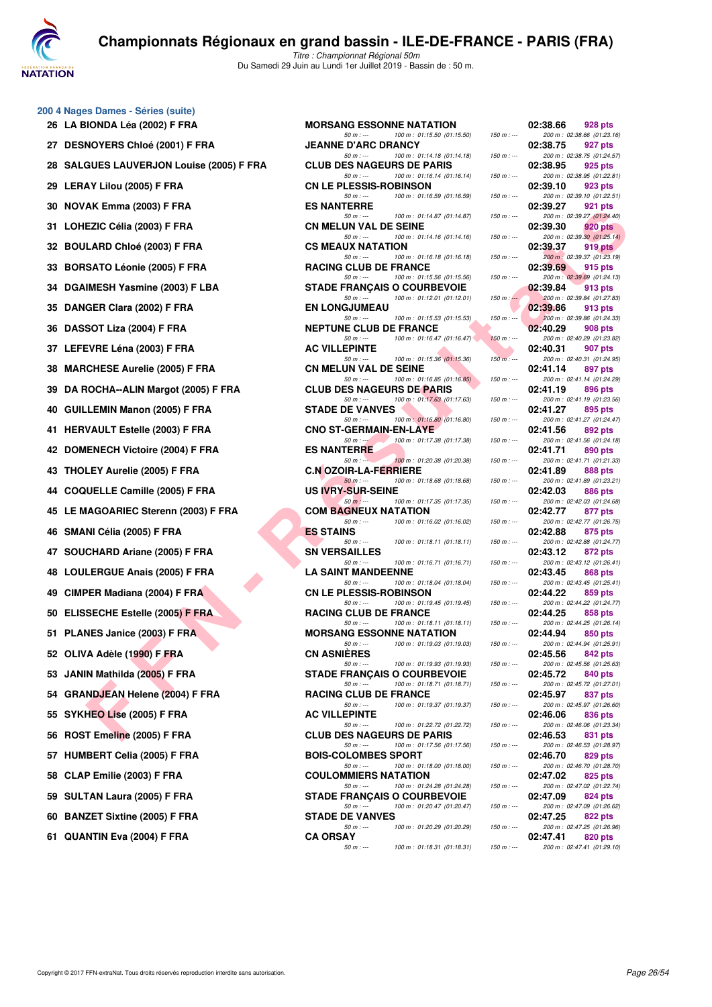

|  | 200 4 Nages Dames - Séries (suite) |                          |  |
|--|------------------------------------|--------------------------|--|
|  | .                                  | $\overline{\phantom{a}}$ |  |

| 26 LA BIONDA Léa (2002) F FRA            | <b>MORSANG ESSONNE NATATION</b>                                               |                                                                                                                                                                                                                                                                                                                                                                                                                                                                                                                                                                                                                                                                                                                                                                               | 928 pts<br>02:38.66                                                                                                                                                                                                         |
|------------------------------------------|-------------------------------------------------------------------------------|-------------------------------------------------------------------------------------------------------------------------------------------------------------------------------------------------------------------------------------------------------------------------------------------------------------------------------------------------------------------------------------------------------------------------------------------------------------------------------------------------------------------------------------------------------------------------------------------------------------------------------------------------------------------------------------------------------------------------------------------------------------------------------|-----------------------------------------------------------------------------------------------------------------------------------------------------------------------------------------------------------------------------|
| 27 DESNOYERS Chloé (2001) F FRA          | <b>JEANNE D'ARC DRANCY</b>                                                    |                                                                                                                                                                                                                                                                                                                                                                                                                                                                                                                                                                                                                                                                                                                                                                               | 200 m: 02:38.66 (01:23.<br>02:38.75<br>927 pts                                                                                                                                                                              |
| 28 SALGUES LAUVERJON Louise (2005) F FRA | <b>CLUB DES NAGEURS DE PARIS</b>                                              |                                                                                                                                                                                                                                                                                                                                                                                                                                                                                                                                                                                                                                                                                                                                                                               | 200 m: 02:38.75 (01:24.<br>02:38.95<br>925 pts                                                                                                                                                                              |
| 29 LERAY Lilou (2005) F FRA              | <b>CN LE PLESSIS-ROBINSON</b>                                                 |                                                                                                                                                                                                                                                                                                                                                                                                                                                                                                                                                                                                                                                                                                                                                                               | 200 m: 02:38.95 (01:22.<br>02:39.10<br>923 pts                                                                                                                                                                              |
| 30 NOVAK Emma (2003) F FRA               | 100 m: 01:16.59 (01:16.59)<br>$50 m: -$<br><b>ES NANTERRE</b>                 | $150 m: -$                                                                                                                                                                                                                                                                                                                                                                                                                                                                                                                                                                                                                                                                                                                                                                    | 200 m : 02:39.10 (01:22.<br>02:39.27<br>921 pts                                                                                                                                                                             |
| 31 LOHEZIC Célia (2003) F FRA            | $50 m : -$<br>100 m: 01:14.87 (01:14.87)<br><b>CN MELUN VAL DE SEINE</b>      | $150 m : -$                                                                                                                                                                                                                                                                                                                                                                                                                                                                                                                                                                                                                                                                                                                                                                   | 200 m: 02:39.27 (01:24.<br>02:39.30<br>920 pts                                                                                                                                                                              |
| 32 BOULARD Chloé (2003) F FRA            | $50 m: -$<br>100 m: 01:14.16 (01:14.16)<br><b>CS MEAUX NATATION</b>           | $150 m : -$                                                                                                                                                                                                                                                                                                                                                                                                                                                                                                                                                                                                                                                                                                                                                                   | 200 m : 02:39.30 (01:25.<br>02:39.37<br>919 pts                                                                                                                                                                             |
| 33 BORSATO Léonie (2005) F FRA           | $50 m: -$<br>100 m: 01:16.18 (01:16.18)<br><b>RACING CLUB DE FRANCE</b>       | $150 m: -$                                                                                                                                                                                                                                                                                                                                                                                                                                                                                                                                                                                                                                                                                                                                                                    | 200 m : 02:39.37 (01:23.<br>02:39.69<br>915 pts                                                                                                                                                                             |
| 34 DGAIMESH Yasmine (2003) F LBA         | $50 m: -$<br>100 m: 01:15.56 (01:15.56)<br><b>STADE FRANCAIS O COURBEVOIE</b> | $150 m : -$                                                                                                                                                                                                                                                                                                                                                                                                                                                                                                                                                                                                                                                                                                                                                                   | 200 m: 02:39.69 (01:24.<br>02:39.84<br>913 pts                                                                                                                                                                              |
| 35 DANGER Clara (2002) F FRA             | $50 m: -$<br>100 m: 01:12.01 (01:12.01)<br><b>EN LONGJUMEAU</b>               | $150 m : -$                                                                                                                                                                                                                                                                                                                                                                                                                                                                                                                                                                                                                                                                                                                                                                   | 200 m : 02:39.84 (01:27.<br>02:39.86<br>913 pts                                                                                                                                                                             |
| 36 DASSOT Liza (2004) F FRA              | $50 m: -$<br>100 m : 01:15.53 (01:15.53)<br><b>NEPTUNE CLUB DE FRANCE</b>     | $150 m : -$                                                                                                                                                                                                                                                                                                                                                                                                                                                                                                                                                                                                                                                                                                                                                                   | 200 m : 02:39.86 (01:24.<br>02:40.29<br>908 pts                                                                                                                                                                             |
| 37 LEFEVRE Léna (2003) F FRA             | 100 m: 01:16.47 (01:16.47)<br>$50 m: -$<br><b>AC VILLEPINTE</b>               | $150 m : -$                                                                                                                                                                                                                                                                                                                                                                                                                                                                                                                                                                                                                                                                                                                                                                   | 200 m: 02:40.29 (01:23.<br>02:40.31<br>907 pts                                                                                                                                                                              |
| 38 MARCHESE Aurelie (2005) F FRA         | $50 m: -$<br>100 m: 01:15.36 (01:15.36)<br><b>CN MELUN VAL DE SEINE</b>       | $150 m: -$                                                                                                                                                                                                                                                                                                                                                                                                                                                                                                                                                                                                                                                                                                                                                                    | 200 m: 02:40.31 (01:24.<br>02:41.14<br>897 pts                                                                                                                                                                              |
| 39 DA ROCHA--ALIN Margot (2005) F FRA    | $50 m: -$<br>100 m: 01:16.85 (01:16.85)<br><b>CLUB DES NAGEURS DE PARIS</b>   | $150 m : -$                                                                                                                                                                                                                                                                                                                                                                                                                                                                                                                                                                                                                                                                                                                                                                   | 200 m: 02:41.14 (01:24.<br>02:41.19<br>896 pts                                                                                                                                                                              |
| 40 GUILLEMIN Manon (2005) F FRA          | $50 m: -$<br>100 m: 01:17.63 (01:17.63)<br><b>STADE DE VANVES</b>             | $150 m : -$                                                                                                                                                                                                                                                                                                                                                                                                                                                                                                                                                                                                                                                                                                                                                                   | 200 m : 02:41.19 (01:23.<br>02:41.27<br>895 pts                                                                                                                                                                             |
| 41 HERVAULT Estelle (2003) F FRA         | $50 m: -$<br>100 m: 01:16.80 (01:16.80)<br><b>CNO ST-GERMAIN-EN-LAYE</b>      | $150 m : -$                                                                                                                                                                                                                                                                                                                                                                                                                                                                                                                                                                                                                                                                                                                                                                   | 200 m : 02:41.27 (01:24.<br>02:41.56<br>892 pts                                                                                                                                                                             |
| 42 DOMENECH Victoire (2004) F FRA        | 100 m: 01:17.38 (01:17.38)<br>$50 m : -$<br><b>ES NANTERRE</b>                | $150 m : -$                                                                                                                                                                                                                                                                                                                                                                                                                                                                                                                                                                                                                                                                                                                                                                   | 200 m: 02:41.56 (01:24.<br>02:41.71<br>890 pts                                                                                                                                                                              |
| 43 THOLEY Aurelie (2005) F FRA           | $50 m : -$<br><b>C.N OZOIR-LA-FERRIERE</b>                                    | $150 m : -$                                                                                                                                                                                                                                                                                                                                                                                                                                                                                                                                                                                                                                                                                                                                                                   | 200 m: 02:41.71 (01:21.<br>02:41.89<br>888 pts                                                                                                                                                                              |
| 44 COQUELLE Camille (2005) F FRA         | 100 m: 01:18.68 (01:18.68)<br>$50 m: -$<br><b>US IVRY-SUR-SEINE</b>           | $150 m : -$                                                                                                                                                                                                                                                                                                                                                                                                                                                                                                                                                                                                                                                                                                                                                                   | 200 m: 02:41.89 (01:23.<br>02:42.03<br>886 pts                                                                                                                                                                              |
| 45 LE MAGOARIEC Sterenn (2003) F FRA     | $50 m: -$<br>100 m : 01:17.35 (01:17.35)<br><b>COM BAGNEUX NATATION</b>       | $150 m : -$                                                                                                                                                                                                                                                                                                                                                                                                                                                                                                                                                                                                                                                                                                                                                                   | 200 m : 02:42.03 (01:24.<br>02:42.77<br>877 pts                                                                                                                                                                             |
| 46 SMANI Célia (2005) F FRA              | $50 m: -$<br>100 m: 01:16.02 (01:16.02)<br><b>ES STAINS</b>                   | $150 m : -$                                                                                                                                                                                                                                                                                                                                                                                                                                                                                                                                                                                                                                                                                                                                                                   | 200 m : 02:42.77 (01:26.<br>02:42.88<br>875 pts                                                                                                                                                                             |
| 47 SOUCHARD Ariane (2005) F FRA          | $50 m: -$<br>100 m: 01:18.11 (01:18.11)<br><b>SN VERSAILLES</b>               | $150 m : -$                                                                                                                                                                                                                                                                                                                                                                                                                                                                                                                                                                                                                                                                                                                                                                   | 200 m: 02:42.88 (01:24.<br>02:43.12<br>872 pts                                                                                                                                                                              |
| 48 LOULERGUE Anais (2005) F FRA          | $50 m: -$<br><b>LA SAINT MANDEENNE</b>                                        | $150 m : -$                                                                                                                                                                                                                                                                                                                                                                                                                                                                                                                                                                                                                                                                                                                                                                   | 200 m : 02:43.12 (01:26.<br>02:43.45<br>868 pts                                                                                                                                                                             |
| 49 CIMPER Madiana (2004) F FRA           | <b>CN LE PLESSIS-ROBINSON</b>                                                 | $150 m : -$                                                                                                                                                                                                                                                                                                                                                                                                                                                                                                                                                                                                                                                                                                                                                                   | 200 m: 02:43.45 (01:25.<br>02:44.22<br>859 pts                                                                                                                                                                              |
| 50 ELISSECHE Estelle (2005) F FRA        | <b>RACING CLUB DE FRANCE</b>                                                  |                                                                                                                                                                                                                                                                                                                                                                                                                                                                                                                                                                                                                                                                                                                                                                               | 200 m : 02:44.22 (01:24.<br>02:44.25<br>858 pts                                                                                                                                                                             |
| 51 PLANES Janice (2003) F FRA            | <b>MORSANG ESSONNE NATATION</b>                                               |                                                                                                                                                                                                                                                                                                                                                                                                                                                                                                                                                                                                                                                                                                                                                                               | 200 m: 02:44.25 (01:26.<br>02:44.94<br>850 pts                                                                                                                                                                              |
| 52 OLIVA Adèle (1990) F FRA              | <b>CN ASNIERES</b>                                                            |                                                                                                                                                                                                                                                                                                                                                                                                                                                                                                                                                                                                                                                                                                                                                                               | 200 m : 02:44.94 (01:25.<br>02:45.56<br>842 pts                                                                                                                                                                             |
| 53 JANIN Mathilda (2005) F FRA           | <b>STADE FRANÇAIS O COURBEVOIE</b>                                            |                                                                                                                                                                                                                                                                                                                                                                                                                                                                                                                                                                                                                                                                                                                                                                               | 200 m: 02:45.56 (01:25.<br>02:45.72<br>840 pts                                                                                                                                                                              |
| 54 GRANDJEAN Helene (2004) F FRA         | <b>RACING CLUB DE FRANCE</b>                                                  |                                                                                                                                                                                                                                                                                                                                                                                                                                                                                                                                                                                                                                                                                                                                                                               | 200 m : 02:45.72 (01:27.<br>02:45.97<br>837 pts                                                                                                                                                                             |
| 55 SYKHEO Lise (2005) F FRA              | <b>AC VILLEPINTE</b>                                                          |                                                                                                                                                                                                                                                                                                                                                                                                                                                                                                                                                                                                                                                                                                                                                                               | 200 m : 02:45.97 (01:26.<br>02:46.06<br>836 pts                                                                                                                                                                             |
| 56 ROST Emeline (2005) F FRA             | <b>CLUB DES NAGEURS DE PARIS</b>                                              |                                                                                                                                                                                                                                                                                                                                                                                                                                                                                                                                                                                                                                                                                                                                                                               | 200 m : 02:46.06 (01:23.<br>02:46.53<br>831 pts                                                                                                                                                                             |
| 57 HUMBERT Celia (2005) F FRA            | <b>BOIS-COLOMBES SPORT</b>                                                    |                                                                                                                                                                                                                                                                                                                                                                                                                                                                                                                                                                                                                                                                                                                                                                               | 200 m: 02:46.53 (01:28.<br>02:46.70<br>829 pts                                                                                                                                                                              |
| 58 CLAP Emilie (2003) F FRA              | <b>COULOMMIERS NATATION</b>                                                   |                                                                                                                                                                                                                                                                                                                                                                                                                                                                                                                                                                                                                                                                                                                                                                               | 200 m: 02:46.70 (01:28.<br>02:47.02<br>825 pts                                                                                                                                                                              |
| 59 SULTAN Laura (2005) F FRA             | <b>STADE FRANÇAIS O COURBEVOIE</b>                                            |                                                                                                                                                                                                                                                                                                                                                                                                                                                                                                                                                                                                                                                                                                                                                                               | 200 m: 02:47.02 (01:22.<br>02:47.09<br>824 pts                                                                                                                                                                              |
| <b>BANZET Sixtine (2005) F FRA</b><br>60 | <b>STADE DE VANVES</b>                                                        |                                                                                                                                                                                                                                                                                                                                                                                                                                                                                                                                                                                                                                                                                                                                                                               | 200 m : 02:47.09 (01:26.<br>02:47.25<br>822 pts                                                                                                                                                                             |
| 61 QUANTIN Eva (2004) F FRA              | <b>CA ORSAY</b>                                                               |                                                                                                                                                                                                                                                                                                                                                                                                                                                                                                                                                                                                                                                                                                                                                                               | 200 m: 02:47.25 (01:26.<br>02:47.41<br>820 pts                                                                                                                                                                              |
|                                          |                                                                               | 100 m: 01:15.50 (01:15.50)<br>$50 m: -$<br>$50 m: -$<br>100 m: 01:14.18 (01:14.18)<br>$50 m: -$<br>100 m: 01:16.14 (01:16.14)<br>100 m: 01:20.38 (01:20.38)<br>100 m: 01:16.71 (01:16.71)<br>$50 m: -$<br>100 m: 01:18.04 (01:18.04)<br>100 m: 01:19.45 (01:19.45)<br>50 m : ---<br>$50 m: -$<br>100 m: 01:18.11 (01:18.11)<br>100 m: 01:19.03 (01:19.03)<br>$50 m: -$<br>50 m : ---<br>100 m: 01:19.93 (01:19.93)<br>$50 m : -$<br>100 m: 01:18.71 (01:18.71)<br>$50 m: -$<br>100 m: 01:19.37 (01:19.37)<br>$50 m: -$<br>100 m: 01:22.72 (01:22.72)<br>50 m : ---<br>100 m: 01:17.56 (01:17.56)<br>100 m: 01:18.00 (01:18.00)<br>$50 m: -$<br>$50 m: -$<br>100 m: 01:24.28 (01:24.28)<br>50 m : ---<br>100 m: 01:20.47 (01:20.47)<br>$50 m: -$<br>100 m: 01:20.29 (01:20.29) | $150 m : -$<br>$150 m : -$<br>$150 m : -$<br>$150 m : -$<br>$150 m : -$<br>$150 m: -$<br>$150 m : -$<br>$150 m: -$<br>$150 m : -$<br>150 m : ---<br>$150 m : -$<br>$150 m : -$<br>$150 m : -$<br>$150 m : -$<br>$150 m : -$ |

| $\sigma$ + naged banics conce (bane)       |                                                                                                                     |                            |                                                                                 |
|--------------------------------------------|---------------------------------------------------------------------------------------------------------------------|----------------------------|---------------------------------------------------------------------------------|
| 26   LA BIONDA Léa (2002) F FRA            | <b>MORSANG ESSONNE NATATION</b>                                                                                     |                            | 02:38.66<br>928 pts                                                             |
| 27 DESNOYERS Chloé (2001) F FRA            | $50 m: -$<br>100 m: 01:15.50 (01:15.50)<br><b>JEANNE D'ARC DRANCY</b>                                               | $150 m : -$                | 200 m: 02:38.66 (01:23.16)<br>02:38.75<br>927 pts                               |
| 28   SALGUES LAUVERJON Louise (2005) F FRA | 100 m: 01:14.18 (01:14.18)<br>$50 m: -$<br><b>CLUB DES NAGEURS DE PARIS</b>                                         | $150 m : -$                | 200 m: 02:38.75 (01:24.57)<br>02:38.95<br>925 pts                               |
| 29 LERAY Lilou (2005) F FRA                | $50 m : -$<br>100 m: 01:16.14 (01:16.14)<br><b>CN LE PLESSIS-ROBINSON</b>                                           | $150 m : -$                | 200 m: 02:38.95 (01:22.81)<br>02:39.10<br>923 pts                               |
| 30   NOVAK Emma (2003) F FRA               | 100 m: 01:16.59 (01:16.59)<br>$50 m: -$<br><b>ES NANTERRE</b>                                                       | $150 m : -$                | 200 m: 02:39.10 (01:22.51)<br>02:39.27<br>921 pts                               |
| 31 LOHEZIC Célia (2003) F FRA              | 100 m: 01:14.87 (01:14.87)<br>$50 m: -$<br><b>CN MELUN VAL DE SEINE</b>                                             | $150 m : -$                | 200 m: 02:39.27 (01:24.40)<br>02:39.30<br><b>920 pts</b>                        |
| 32 BOULARD Chloé (2003) F FRA              | $50 m: -$<br>100 m: 01:14.16 (01:14.16)<br><b>CS MEAUX NATATION</b>                                                 | $150 m: -$                 | 200 m: 02:39.30 (01:25.14)<br>02:39.37<br>919 pts                               |
| 33   BORSATO Léonie (2005) F FRA           | 100 m: 01:16.18 (01:16.18)<br>$50 m: -$<br><b>RACING CLUB DE FRANCE</b>                                             | $150 m : -$                | 200 m : 02:39.37 (01:23.19)<br>02:39.69<br>915 pts                              |
| 34 DGAIMESH Yasmine (2003) F LBA           | 100 m: 01:15.56 (01:15.56)<br>$50 m: -$<br><b>STADE FRANÇAIS O COURBEVOIE</b><br>$50 m: -$                          | $150 m : -$                | 200 m: 02:39.69 (01:24.13)<br>02:39.84<br>913 pts                               |
| 35 DANGER Clara (2002) F FRA               | 100 m: 01:12.01 (01:12.01)<br><b>EN LONGJUMEAU</b>                                                                  | $150 m : -$                | 200 m: 02:39.84 (01:27.83)<br>02:39.86<br>913 pts                               |
| 36   DASSOT Liza (2004) F FRA              | 100 m: 01:15.53 (01:15.53)<br>$50 m: -$<br><b>NEPTUNE CLUB DE FRANCE</b><br>100 m: 01:16.47 (01:16.47)<br>$50 m: -$ | $150 m : -$<br>$150 m : -$ | 200 m: 02:39.86 (01:24.33)<br>02:40.29<br>908 pts<br>200 m: 02:40.29 (01:23.82) |
| 37 LEFEVRE Léna (2003) F FRA               | <b>AC VILLEPINTE</b><br>$50 m: -$<br>100 m: 01:15.36 (01:15.36)                                                     | $150 m$ : ---              | 02:40.31<br>907 pts<br>200 m: 02:40.31 (01:24.95)                               |
| 38 MARCHESE Aurelie (2005) F FRA           | <b>CN MELUN VAL DE SEINE</b><br>100 m: 01:16.85 (01:16.85)<br>$50 m: -$                                             | $150 m : -$                | 02:41.14<br>897 pts<br>200 m: 02:41.14 (01:24.29)                               |
| 39 DA ROCHA--ALIN Margot (2005) F FRA      | <b>CLUB DES NAGEURS DE PARIS</b><br>100 m: 01:17.63 (01:17.63)<br>$50 m: -$                                         | $150 m: -$                 | 02:41.19<br>896 pts<br>200 m: 02:41.19 (01:23.56)                               |
| 40 GUILLEMIN Manon (2005) F FRA            | <b>STADE DE VANVES</b><br>$50 m: -$<br>100 m: 01:16.80 (01:16.80)                                                   | $150 m : -$                | 02:41.27<br>895 pts<br>200 m: 02:41.27 (01:24.47)                               |
| 41 HERVAULT Estelle (2003) F FRA           | <b>CNO ST-GERMAIN-EN-LAYE</b><br>100 m: 01:17.38 (01:17.38)<br>$50 m: -1$                                           | $150 m : -$                | 02:41.56<br>892 pts<br>200 m: 02:41.56 (01:24.18)                               |
| 42 DOMENECH Victoire (2004) F FRA          | <b>ES NANTERRE</b><br>100 m: 01:20.38 (01:20.38)<br>$50 m: -20$                                                     | $150 m : -$                | 02:41.71<br>890 pts<br>200 m: 02:41.71 (01:21.33)                               |
| 43 THOLEY Aurelie (2005) F FRA             | <b>C.N OZOIR-LA-FERRIERE</b><br>100 m: 01:18.68 (01:18.68)<br>$50 m: -$                                             | $150 m : -$                | 02:41.89<br>888 pts<br>200 m: 02:41.89 (01:23.21)                               |
| 44 COQUELLE Camille (2005) F FRA           | <b>US IVRY-SUR-SEINE</b><br>$50 m: -$                                                                               |                            | 02:42.03<br>886 pts                                                             |
| 45 LE MAGOARIEC Sterenn (2003) F FRA       | 100 m: 01:17.35 (01:17.35)<br><b>COM BAGNEUX NATATION</b>                                                           | $150 m : -$                | 200 m: 02:42.03 (01:24.68)<br>02:42.77<br>877 pts                               |
| 46 SMANI Célia (2005) F FRA                | $50 m: -$<br>100 m: 01:16.02 (01:16.02)<br><b>ES STAINS</b><br>$50 m: -$<br>100 m: 01:18.11 (01:18.11)              | $150 m: -$<br>$150 m : -$  | 200 m: 02:42.77 (01:26.75)<br>02:42.88<br>875 pts<br>200 m: 02:42.88 (01:24.77) |
| 47 SOUCHARD Ariane (2005) F FRA            | <b>SN VERSAILLES</b><br>$50 m: -$                                                                                   |                            | 02:43.12<br>872 pts<br>200 m: 02:43.12 (01:26.41)                               |
| 48 LOULERGUE Anais (2005) F FRA            | 100 m: 01:16.71 (01:16.71)<br><b>LA SAINT MANDEENNE</b>                                                             | $150 m : -$                | 02:43.45<br>868 pts                                                             |
| 49 CIMPER Madiana (2004) F FRA             | $50 m: -$<br>100 m: 01:18.04 (01:18.04)<br><b>CN LE PLESSIS-ROBINSON</b><br>100 m: 01:19.45 (01:19.45)              | $150 m : -$                | 200 m: 02:43.45 (01:25.41)<br>02:44.22<br>859 pts                               |
| 50 ELISSECHE Estelle (2005) F FRA          | $50 m: -$<br><b>RACING CLUB DE FRANCE</b><br>100 m: 01:18.11 (01:18.11)                                             | $150 m : -$                | 200 m: 02:44.22 (01:24.77)<br>02:44.25<br>858 pts                               |
| 51 PLANES Janice (2003) F FRA              | $50 m: -$<br><b>MORSANG ESSONNE NATATION</b><br>$50 m: -$                                                           | $150 m : -$                | 200 m: 02:44.25 (01:26.14)<br>02:44.94<br>850 pts<br>200 m: 02:44.94 (01:25.91) |
| 52 OLIVA Adèle (1990) F FRA                | 100 m: 01:19.03 (01:19.03)<br><b>CN ASNIERES</b><br>100 m: 01:19.93 (01:19.93)                                      | $150 m : -$                | 842 pts<br>02:45.56                                                             |
| 53 JANIN Mathilda (2005) F FRA             | $50 m$ : $-$<br><b>STADE FRANÇAIS O COURBEVOIE</b>                                                                  | $150 m : -$                | 200 m: 02:45.56 (01:25.63)<br>02:45.72<br>840 pts                               |
| 54 GRANDJEAN Helene (2004) F FRA           | 50 m : ---<br>100 m: 01:18.71 (01:18.71)<br><b>RACING CLUB DE FRANCE</b><br>100 m: 01:19.37 (01:19.37)              | $150 m : -$                | 200 m: 02:45.72 (01:27.01)<br>02:45.97<br>837 pts                               |
| 55 SYKHEO Lise (2005) F FRA                | $50 m : -$<br><b>AC VILLEPINTE</b><br>$50 m: -$                                                                     | $150 m : -$                | 200 m: 02:45.97 (01:26.60)<br>02:46.06<br>836 pts<br>200 m: 02:46.06 (01:23.34) |
| 56 ROST Emeline (2005) F FRA               | 100 m: 01:22.72 (01:22.72)<br><b>CLUB DES NAGEURS DE PARIS</b><br>$50 m: -$                                         | $150 m : -$                | 02:46.53<br>831 pts                                                             |
| 57 HUMBERT Celia (2005) F FRA              | 100 m: 01:17.56 (01:17.56)<br><b>BOIS-COLOMBES SPORT</b>                                                            | $150 m : -$                | 200 m: 02:46.53 (01:28.97)<br>02:46.70<br>829 pts                               |
| 58 CLAP Emilie (2003) F FRA                | 100 m: 01:18.00 (01:18.00)<br>50 m : ---<br><b>COULOMMIERS NATATION</b><br>$50 m: -$<br>100 m : 01:24.28 (01:24.28) | $150 m : -$<br>$150 m : -$ | 200 m: 02:46.70 (01:28.70)<br>02:47.02<br>825 pts<br>200 m: 02:47.02 (01:22.74) |
| 59 SULTAN Laura (2005) F FRA               | <b>STADE FRANCAIS O COURBEVOIE</b><br>$50 m: -$<br>100 m: 01:20.47 (01:20.47)                                       | $150 m : -$                | 02:47.09<br>824 pts<br>200 m: 02:47.09 (01:26.62)                               |
| 60 BANZET Sixtine (2005) F FRA             | <b>STADE DE VANVES</b><br>$50 m: -$<br>100 m: 01:20.29 (01:20.29)                                                   | $150 m : -$                | 02:47.25<br>822 pts<br>200 m: 02:47.25 (01:26.96)                               |
| 61 QUANTIN Eva (2004) F FRA                | <b>CA ORSAY</b><br>100 m: 01:18.31 (01:18.31)<br>$50 m: -$                                                          | $150 m : -$                | 02:47.41<br>820 pts<br>200 m: 02:47.41 (01:29.10)                               |
|                                            |                                                                                                                     |                            |                                                                                 |

|          | 02:38.66 | 928 pts                                      |
|----------|----------|----------------------------------------------|
|          |          | 200 m: 02:38.66 (01:23.16)                   |
|          | 02:38.75 | 927 pts                                      |
|          |          | 200 m : 02:38.75 (01:24.57)                  |
|          | 02:38.95 | 925 pts                                      |
|          | 02:39.10 | 200 m: 02:38.95 (01:22.81)<br>923 pts        |
|          |          | 200 m: 02:39.10 (01:22.51)                   |
|          | 02:39.27 | 921 pts                                      |
|          |          | 200 m: 02:39.27 (01:24.40)                   |
|          | 02:39.30 | <b>920 pts</b>                               |
|          | 02:39.37 | 200 m : 02:39.30 (01:25.14)<br>919 pts       |
| $\sim$   |          | 200 m : 02:39.37 (01:23.19)                  |
|          | 02:39.69 | 915 pts                                      |
|          |          | 200 m: 02:39.69 (01:24.13)                   |
| لم :     | 02:39.84 | 913 pts<br>200 m : 02:39.84 (01:27.83)       |
|          | 02:39.86 | 913 pts                                      |
|          |          | 200 m: 02:39.86 (01:24.33)                   |
|          | 02:40.29 | 908 pts                                      |
|          |          | 200 m: 02:40.29 (01:23.82)                   |
|          | 02:40.31 | 907 pts<br>200 m: 02:40.31 (01:24.95)        |
|          | 02:41.14 | 897 pts                                      |
|          |          | 200 m: 02:41.14 (01:24.29)                   |
|          | 02:41.19 | 896 pts                                      |
|          | 02:41.27 | 200 m: 02:41.19 (01:23.56)                   |
|          |          | 895 pts<br>200 m: 02:41.27 (01:24.47)        |
|          | 02:41.56 | 892 pts                                      |
|          |          | 200 m: 02:41.56 (01:24.18)                   |
|          | 02:41.71 | 890 pts                                      |
|          | 02:41.89 | 200 m: 02:41.71 (01:21.33)                   |
|          |          | 888 pts<br>200 m: 02:41.89 (01:23.21)        |
|          | 02:42.03 | <b>886 pts</b>                               |
| $\sim$   |          | 200 m: 02:42.03 (01:24.68)                   |
|          | 02:42.77 | 877 pts                                      |
|          | 02:42.88 | 200 m: 02:42.77 (01:26.75)<br>875 pts        |
| $\cdot$  |          | 200 m: 02:42.88 (01:24.77)                   |
|          | 02:43.12 | 872 pts                                      |
|          |          | 200 m: 02:43.12 (01:26.41)                   |
|          | 02:43.45 | <b>868 pts</b><br>200 m: 02:43.45 (01:25.41) |
|          | 02:44.22 | 859 pts                                      |
|          |          | 200 m: 02:44.22 (01:24.77)                   |
|          | 02:44.25 | 858 pts                                      |
|          | 02:44.94 | 200 m: 02:44.25 (01:26.14)<br><b>850 pts</b> |
|          |          | 200 m: 02:44.94 (01:25.91)                   |
|          | 02:45.56 | <b>842 pts</b>                               |
|          |          | 200 m: 02:45.56 (01:25.63)                   |
|          | 02:45.72 | <b>840 pts</b>                               |
| $\cdots$ | 02:45.97 | 200 m: 02:45.72 (01:27.01)<br>837 pts        |
|          |          | 200 m: 02:45.97 (01:26.60)                   |
|          | 02:46.06 | <b>836 pts</b>                               |
|          |          | 200 m: 02:46.06 (01:23.34)                   |
|          | 02:46.53 | 831 pts<br>200 m: 02:46.53 (01:28.97)        |
|          | 02:46.70 | <b>829 pts</b>                               |
|          |          | 200 m: 02:46.70 (01:28.70)                   |
|          | 02:47.02 | 825 pts                                      |
|          |          | 200 m: 02:47.02 (01:22.74)                   |
|          | 02:47.09 | <b>824 pts</b><br>200 m: 02:47.09 (01:26.62) |
|          | 02:47.25 | <b>822 pts</b>                               |
|          |          | 200 m: 02:47.25 (01:26.96)                   |
|          | 02:47.41 | 820 pts                                      |
|          |          | 200 m: 02:47.41 (01:29.10)                   |
|          |          |                                              |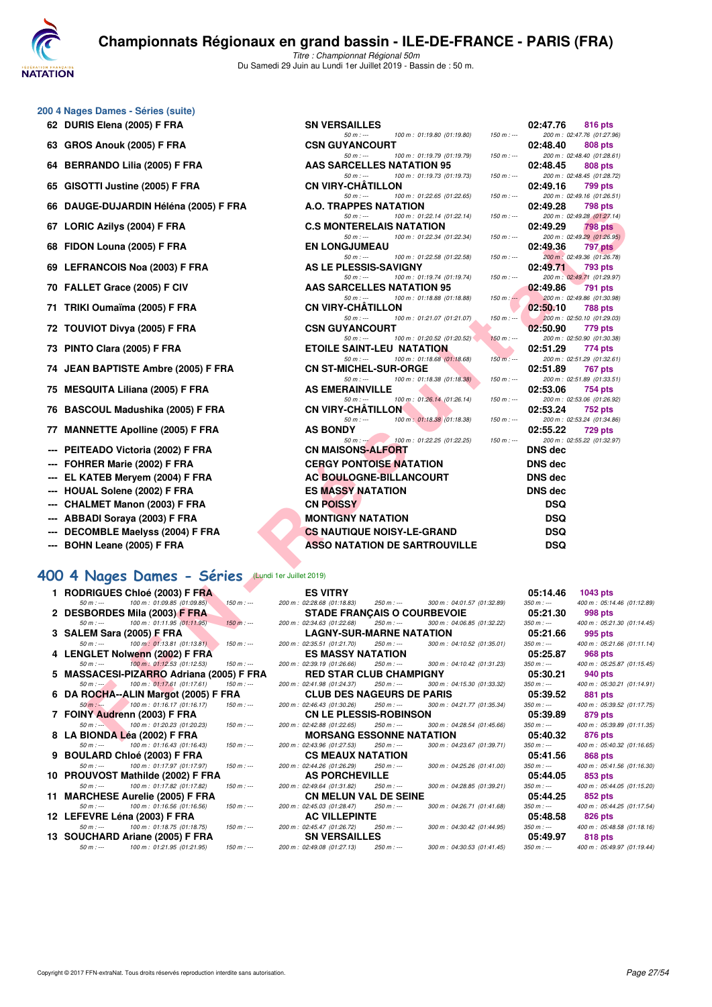

| 200 4 Nages Dames - Séries (suite) |  |  |  |
|------------------------------------|--|--|--|
|------------------------------------|--|--|--|

- 
- 
- **64 BERRANDO Lilia (2005) F FRA**
- 65 GISOTTI Justine (2005) F FRA
- 66 DAUGE-DUJARDIN Héléna (2005) F FRA
- 
- **68 FIDON Louna (2005) F FRA**
- **69 LEFRANCOIS Noa (2003) F FRA**
- 
- 
- 
- 
- 74 JEAN BAPTISTE Ambre (2005) F FRA
- 
- 
- 
- **--- PEITEADO Victoria (2002) F FRA**
- 
- 
- 
- 
- 
- 
- 

## **[400 4 Nages Dames - Séries](http://www.ffnatation.fr/webffn/resultats.php?idact=nat&go=epr&idcpt=61555&idepr=42)** (Lundi 1er Juillet 2019)

| 1 RODRIGUES Chloe (2003) F FRA                                                                    |             | <b>ES VITRY</b>                                                    |             |                             | 05:14.46    | 1043 pts                  |
|---------------------------------------------------------------------------------------------------|-------------|--------------------------------------------------------------------|-------------|-----------------------------|-------------|---------------------------|
| 100 m: 01:09.85 (01:09.85)<br>$50 m : -$                                                          | $150 m : -$ | 200 m: 02:28.68 (01:18.83)                                         | $250 m : -$ | 300 m: 04:01.57 (01:32.89)  | $350 m : -$ | 400 m : 05:1              |
| 2 DESBORDES Mila (2003) F FRA                                                                     |             | <b>STADE FRANCAIS O COURBEVOIE</b>                                 |             |                             | 05:21.30    | 998 pts                   |
| 100 m: 01:11.95 (01:11.95)<br>$50 m : -$                                                          | $150 m : -$ | 200 m: 02:34.63 (01:22.68)                                         | $250 m : -$ | 300 m : 04:06.85 (01:32.22) | $350 m: -$  | 400 m : 05:2              |
| 3 SALEM Sara (2005) F FRA                                                                         |             | <b>LAGNY-SUR-MARNE NATATION</b>                                    |             |                             | 05:21.66    | 995 pts                   |
| $100 \text{ m}$ : 01:13.81 (01:13.81)<br>$50 m : -$                                               | $150 m : -$ | 200 m: 02:35.51 (01:21.70)                                         | $250 m : -$ | 300 m: 04:10.52 (01:35.01)  | $350 m: -$  | 400 m : 05:2              |
| 4 LENGLET Nolwenn (2002) F FRA                                                                    |             | <b>ES MASSY NATATION</b>                                           |             |                             | 05:25.87    | 968 pts                   |
| 100 m : 01:12.53 (01:12.53)<br>$50 m : -$                                                         | $150 m : -$ | 200 m : 02:39.19 (01:26.66)                                        | $250 m: -$  | 300 m: 04:10.42 (01:31.23)  | $350 m: -$  | 400 m : 05:2              |
| 5 MASSACESI-PIZARRO Adriana (2005) F FRA                                                          |             | <b>RED STAR CLUB CHAMPIGNY</b>                                     |             |                             | 05:30.21    | 940 pts                   |
| 100 m: 01:17.61 (01:17.61)<br>$50 m : -20$                                                        | $150 m: -$  | 200 m: 02:41.98 (01:24.37)                                         | $250 m: -$  | 300 m : 04:15.30 (01:33.32) | $350 m : -$ | 400 m : 05:3              |
| 6 DA ROCHA--ALIN Margot (2005) F FRA                                                              |             | <b>CLUB DES NAGEURS DE PARIS</b>                                   |             |                             | 05:39.52    | 881 pts                   |
| $100 \text{ m}$ : 01:16.17 (01:16.17)<br>$50 m : -$                                               | $150 m : -$ | 200 m: 02:46.43 (01:30.26)                                         | $250 m: -$  | 300 m : 04:21.77 (01:35.34) | $350 m: -$  | 400 m : 05:3              |
| 7 FOINY Audrenn (2003) F FRA                                                                      |             | <b>CN LE PLESSIS-ROBINSON</b>                                      |             |                             | 05:39.89    | 879 pts                   |
| 100 m : 01:20.23 (01:20.23)<br>$50 m : -2$                                                        | 150 m : --- | 200 m: 02:42.88 (01:22.65)                                         | $250 m: -$  | 300 m : 04:28.54 (01:45.66) | $350 m : -$ | 400 m : 05:3              |
| 8 LA BIONDA Léa (2002) F FRA                                                                      |             | <b>MORSANG ESSONNE NATATION</b>                                    |             |                             | 05:40.32    | 876 pts                   |
| 100 m: 01:16.43 (01:16.43)<br>$50 m : -$                                                          | $150 m : -$ | 200 m: 02:43.96 (01:27.53)                                         | $250 m : -$ | 300 m: 04:23.67 (01:39.71)  | $350 m : -$ | 400 m : 05:4              |
| 9 BOULARD Chloé (2003) F FRA                                                                      |             | <b>CS MEAUX NATATION</b>                                           |             |                             | 05:41.56    | 868 pts                   |
| 100 m : 01:17.97 (01:17.97)<br>$50 m : -$                                                         | $150 m: -$  | 200 m : 02:44.26 (01:26.29)                                        | $250 m: -$  | 300 m : 04:25.26 (01:41.00) | $350 m : -$ | 400 m : 05:4              |
| 10 PROUVOST Mathilde (2002) F FRA                                                                 |             | <b>AS PORCHEVILLE</b>                                              |             |                             | 05:44.05    | 853 pts                   |
| 100 m : 01:17.82 (01:17.82)<br>$50 m : -$                                                         | $150 m: -$  | 200 m : 02:49.64 (01:31.82)                                        | 250 m : --- | 300 m: 04:28.85 (01:39.21)  | $350 m : -$ | 400 m : 05:4              |
| 11 MARCHESE Aurelie (2005) F FRA                                                                  |             | <b>CN MELUN VAL DE SEINE</b>                                       |             |                             | 05:44.25    | 852 pts                   |
| 100 m: 01:16.56 (01:16.56)<br>$50 m : -$                                                          | $150 m : -$ | 200 m : 02:45.03 (01:28.47)                                        | $250 m : -$ | 300 m : 04:26.71 (01:41.68) | $350 m: -$  | 400 m : 05:4              |
| 12 LEFEVRE Léna (2003) F FRA                                                                      |             | <b>AC VILLEPINTE</b>                                               |             |                             | 05:48.58    | 826 pts                   |
| 100 m : 01:18.75 (01:18.75)<br>$50 m : -$                                                         | 150 m : --- | 200 m : 02:45.47 (01:26.72)                                        | $250 m: -$  | 300 m : 04:30.42 (01:44.95) | $350 m : -$ | 400 m : 05:4              |
| 13 SOUCHARD Ariane (2005) F FRA                                                                   |             | <b>SN VERSAILLES</b>                                               |             |                             | 05:49.97    | 818 pts                   |
| $50 \text{ m}$ : $\frac{100 \text{ m} \cdot 01.21 \text{ q}}{50 \text{ m} \cdot 01.21 \text{ q}}$ | $150 m + $  | $200 \text{ m} \cdot 0249.08(01.2713)$ $250 \text{ m} \cdot \dots$ |             | $300 m + 04.3053 (01.4145)$ | $350 m + $  | $400 \text{ m} \cdot 054$ |

|     | 00 4 Nages Dames - Séries (suite)                                                              |                                                                                                               |             |                                  |                                              |
|-----|------------------------------------------------------------------------------------------------|---------------------------------------------------------------------------------------------------------------|-------------|----------------------------------|----------------------------------------------|
|     | 62 DURIS Elena (2005) F FRA                                                                    | <b>SN VERSAILLES</b>                                                                                          |             | 02:47.76                         | 816 pts                                      |
|     | 63 GROS Anouk (2005) F FRA                                                                     | 100 m: 01:19.80 (01:19.80)<br>$50 m: -$<br><b>CSN GUYANCOURT</b>                                              | $150 m: -$  | 02:48.40                         | 200 m: 02:47.76 (01:27.96)<br>808 pts        |
|     | 64 BERRANDO Lilia (2005) F FRA                                                                 | 100 m: 01:19.79 (01:19.79)<br>$50 m: -$<br>AAS SARCELLES NATATION 95                                          | $150 m : -$ | 02:48.45                         | 200 m: 02:48.40 (01:28.61)<br>808 pts        |
|     |                                                                                                | 100 m: 01:19.73 (01:19.73)<br>$50 m: -$                                                                       | $150 m : -$ |                                  | 200 m: 02:48.45 (01:28.72)                   |
|     | 65 GISOTTI Justine (2005) F FRA                                                                | <b>CN VIRY-CHATILLON</b><br>$50 m: -$<br>100 m: 01:22.65 (01:22.65)                                           | $150 m : -$ | 02:49.16                         | 799 pts<br>200 m: 02:49.16 (01:26.51)        |
|     | 66 DAUGE-DUJARDIN Héléna (2005) F FRA                                                          | A.O. TRAPPES NATATION                                                                                         |             | 02:49.28                         | 798 pts                                      |
|     | 67 LORIC Azilys (2004) F FRA                                                                   | 100 m: 01:22.14 (01:22.14)<br>$50 m: -$<br><b>C.S MONTERELAIS NATATION</b>                                    | $150 m : -$ | 02:49.29                         | 200 m: 02:49.28 (01:27.14)<br><b>798 pts</b> |
|     | 68 FIDON Louna (2005) F FRA                                                                    | $50 m$ : ---<br>100 m: 01:22.34 (01:22.34)<br><b>EN LONGJUMEAU</b>                                            | $150 m : -$ | 02:49.36                         | 200 m: 02:49.29 (01:26.95)<br><b>797 pts</b> |
|     | 69 LEFRANCOIS Noa (2003) F FRA                                                                 | $50 m: -$<br>100 m: 01:22.58 (01:22.58)<br>AS LE PLESSIS-SAVIGNY                                              | $150 m : -$ | 02:49.71                         | 200 m : 02:49.36 (01:26.78)<br>793 pts       |
|     | 70 FALLET Grace (2005) F CIV                                                                   | 100 m: 01:19.74 (01:19.74)<br>$50 m: -$<br>AAS SARCELLES NATATION 95                                          | $150 m : -$ | 02:49.86                         | 200 m: 02:49.71 (01:29.97)<br>791 pts        |
|     |                                                                                                | $50 m: -$<br>100 m: 01:18.88 (01:18.88)                                                                       | $150 m : -$ |                                  | 200 m: 02:49.86 (01:30.98)                   |
|     | 71 TRIKI Oumaïma (2005) F FRA                                                                  | <b>CN VIRY-CHATILLON</b><br>$50 m: -$<br>100 m: 01:21.07 (01:21.07)                                           | $150 m : -$ | 02:50.10                         | <b>788 pts</b><br>200 m: 02:50.10 (01:29.03) |
|     | 72 TOUVIOT Divya (2005) F FRA                                                                  | <b>CSN GUYANCOURT</b>                                                                                         |             | 02:50.90                         | 779 pts                                      |
|     | 73 PINTO Clara (2005) F FRA                                                                    | 100 m: 01:20.52 (01:20.52)<br>$50 m: -$<br><b>ETOILE SAINT-LEU NATATION</b>                                   | $150 m : -$ | 02:51.29                         | 200 m: 02:50.90 (01:30.38)<br>774 pts        |
|     |                                                                                                | $50 m: -$<br>100 m: 01:18.68 (01:18.68)                                                                       | $150 m: -$  |                                  | 200 m: 02:51.29 (01:32.61)                   |
|     | 74 JEAN BAPTISTE Ambre (2005) F FRA                                                            | <b>CN ST-MICHEL-SUR-ORGE</b><br>100 m: 01:18.38 (01:18.38)<br>$50 m: -$                                       | $150 m : -$ | 02:51.89                         | <b>767 pts</b><br>200 m: 02:51.89 (01:33.51) |
|     | 75 MESQUITA Liliana (2005) F FRA                                                               | <b>AS EMERAINVILLE</b>                                                                                        |             | 02:53.06                         | 754 pts                                      |
|     | 76 BASCOUL Madushika (2005) F FRA                                                              | 100 m: 01:26.14 (01:26.14)<br>$50 m: -$<br><b>CN VIRY-CHATILLON</b>                                           | $150 m : -$ | 02:53.24                         | 200 m: 02:53.06 (01:26.92)<br>752 pts        |
|     | 77 MANNETTE Apolline (2005) F FRA                                                              | $50 m: -$<br>100 m: 01:18.38 (01:18.38)<br><b>AS BONDY</b>                                                    | $150 m : -$ | 02:55.22                         | 200 m: 02:53.24 (01:34.86)<br><b>729 pts</b> |
|     |                                                                                                | 100 m: 01:22.25 (01:22.25)<br>$50 m : -1$                                                                     | $150 m : -$ |                                  | 200 m: 02:55.22 (01:32.97)                   |
|     | PEITEADO Victoria (2002) F FRA<br>FOHRER Marie (2002) F FRA                                    | <b>CN MAISONS-ALFORT</b><br><b>CERGY PONTOISE NATATION</b>                                                    |             | <b>DNS dec</b><br><b>DNS dec</b> |                                              |
| --- |                                                                                                | <b>AC BOULOGNE-BILLANCOURT</b>                                                                                |             | <b>DNS dec</b>                   |                                              |
|     | EL KATEB Meryem (2004) F FRA<br><b>HOUAL Solene (2002) F FRA</b>                               | <b>ES MASSY NATATION</b>                                                                                      |             | <b>DNS dec</b>                   |                                              |
| --- | <b>CHALMET Manon (2003) F FRA</b>                                                              | <b>CN POISSY</b>                                                                                              |             | DSQ                              |                                              |
|     | ABBADI Soraya (2003) F FRA                                                                     | <b>MONTIGNY NATATION</b>                                                                                      |             | DSQ                              |                                              |
|     | DECOMBLE Maelyss (2004) F FRA                                                                  | <b>CS NAUTIQUE NOISY-LE-GRAND</b>                                                                             |             | <b>DSQ</b>                       |                                              |
|     | --- BOHN Leane (2005) F FRA                                                                    | <b>ASSO NATATION DE SARTROUVILLE</b>                                                                          |             | <b>DSQ</b>                       |                                              |
|     |                                                                                                |                                                                                                               |             |                                  |                                              |
|     | 00 4 Nages Dames - Séries (Lundi 1er Juillet 2019)                                             |                                                                                                               |             |                                  |                                              |
|     | 1 RODRIGUES Chloé (2003) F FRA                                                                 | <b>ES VITRY</b>                                                                                               |             | 05:14.46                         | 1043 pts                                     |
|     | $50 m : -$<br>100 m: 01:09.85 (01:09.85)<br>$150 m: -$<br>2 DESBORDES Mila (2003) F FRA        | 200 m: 02:28.68 (01:18.83)<br>$250 m : -$<br>300 m: 04:01.57 (01:32.89)<br><b>STADE FRANCAIS O COURBEVOIE</b> |             | $350 m : -$<br>05:21.30          | 400 m: 05:14.46 (01:1)<br><b>998 pts</b>     |
|     | 100 m: 01:11.95 (01:11.95)<br>$150 m: -$<br>$50 m: -$<br>3 SALEM Sara (2005) F FRA             | 200 m: 02:34.63 (01:22.68)<br>300 m: 04:06.85 (01:32.22)<br>$250 m : -$<br><b>LAGNY-SUR-MARNE NATATION</b>    |             | $350 m : -$<br>05:21.66          | 400 m: 05:21.30 (01:14<br>995 pts            |
|     | $50 m$ : $\leftarrow$ $100 m$ : 01:13.81 (01:13.81) 150 m : $\leftarrow$                       | 200 m: 02:35.51 (01:21.70)<br>$250 m : -$<br>300 m: 04:10.52 (01:35.01)                                       |             | $350 m : -$                      | 400 m: 05:21.66 (01:1                        |
|     | 4 LENGLET Nolwenn (2002) F FRA<br>50 m : ---<br>$150 m : -$                                    | <b>ES MASSY NATATION</b><br>250 m : ---<br>300 m: 04:10.42 (01:31.23)                                         |             | 05:25.87                         | 968 pts                                      |
|     | 100 m: 01:12.53 (01:12.53)<br>5 MASSACESI-PIZARRO Adriana (2005) F FRA                         | 200 m: 02:39.19 (01:26.66)<br><b>RED STAR CLUB CHAMPIGNY</b>                                                  |             | $350 m : -$<br>05:30.21          | 400 m: 05:25.87 (01:1<br>940 pts             |
|     | 100 m: 01:17.61 (01:17.61)<br>$150 m : -$<br>$50 m : -2$                                       | 200 m: 02:41.98 (01:24.37)<br>250 m : ---<br>300 m: 04:15.30 (01:33.32)                                       |             | $350 m : -$                      | 400 m: 05:30.21 (01:14                       |
|     | 6 DA ROCHA--ALIN Margot (2005) F FRA<br>$50 m: -$<br>100 m: 01:16.17 (01:16.17)<br>$150 m : -$ | <b>CLUB DES NAGEURS DE PARIS</b><br>200 m: 02:46.43 (01:30.26)<br>250 m : ---<br>300 m: 04:21.77 (01:35.34)   |             | 05:39.52<br>350 m : ---          | 881 pts<br>400 m: 05:39.52 (01:1)            |
|     | 7 FOINY Audrenn (2003) F FRA                                                                   | <b>CN LE PLESSIS-ROBINSON</b>                                                                                 |             | 05:39.89                         | 879 pts                                      |
|     | $50 m : -1$<br>100 m : 01:20.23 (01:20.23)<br>$150 m : -$<br>8 LA BIONDA Léa (2002) F FRA      | 200 m: 02:42.88 (01:22.65)<br>250 m : ---<br>300 m: 04:28.54 (01:45.66)<br><b>MORSANG ESSONNE NATATION</b>    |             | $350 m : -$<br>05:40.32          | 400 m: 05:39.89 (01:1<br>876 pts             |

| 1 RODRIGUES Chloé (2003) F FRA             |               | <b>ES VITRY</b>                    |             |                             | 05:14.46    | 1043 pts                   |
|--------------------------------------------|---------------|------------------------------------|-------------|-----------------------------|-------------|----------------------------|
| 100 m: 01:09.85 (01:09.85)<br>$50 m$ : --- | $150 m: -$    | 200 m: 02:28.68 (01:18.83)         | $250 m: -$  | 300 m: 04:01.57 (01:32.89)  | $350 m: -$  | 400 m: 05:14.46 (01:12.89  |
| 2 DESBORDES Mila (2003) F FRA              |               | <b>STADE FRANCAIS O COURBEVOIE</b> |             |                             | 05:21.30    | 998 pts                    |
| 100 m: 01:11.95 (01:11.95)<br>$50 m : -$   | $150 m: -$    | 200 m: 02:34.63 (01:22.68)         | $250 m: -$  | 300 m: 04:06.85 (01:32.22)  | $350 m: -$  | 400 m: 05:21.30 (01:14.45  |
| 3 SALEM Sara (2005) F FRA                  |               | <b>LAGNY-SUR-MARNE NATATION</b>    |             |                             | 05:21.66    | 995 pts                    |
| 100 m: 01:13.81 (01:13.81)<br>$50 m$ : --- | $150 m$ : --- | 200 m: 02:35.51 (01:21.70)         | $250 m: -$  | 300 m: 04:10.52 (01:35.01)  | $350 m: -$  | 400 m: 05:21.66 (01:11.14  |
| 4 LENGLET Nolwenn (2002) F FRA             |               | <b>ES MASSY NATATION</b>           |             |                             | 05:25.87    | 968 pts                    |
| 100 m: 01:12.53 (01:12.53)<br>$50 m$ : --- | $150 m: -$    | 200 m: 02:39.19 (01:26.66)         | $250 m: -$  | 300 m: 04:10.42 (01:31.23)  | $350 m: -$  | 400 m: 05:25.87 (01:15.45  |
| 5 MASSACESI-PIZARRO Adriana (2005) F FRA   |               | <b>RED STAR CLUB CHAMPIGNY</b>     |             |                             | 05:30.21    | 940 pts                    |
| 100 m: 01:17.61 (01:17.61)<br>$50 m : -20$ | $150 m$ : --- | 200 m: 02:41.98 (01:24.37)         | $250 m: -$  | 300 m: 04:15.30 (01:33.32)  | $350 m: -$  | 400 m: 05:30.21 (01:14.91) |
| 6 DA ROCHA--ALIN Margot (2005) F FRA       |               | <b>CLUB DES NAGEURS DE PARIS</b>   |             |                             | 05:39.52    | 881 pts                    |
| 100 m: 01:16.17 (01:16.17)<br>$50 m : -$   | $150 m$ : --- | 200 m: 02:46.43 (01:30.26)         | $250 m : -$ | 300 m: 04:21.77 (01:35.34)  | $350 m: -$  | 400 m: 05:39.52 (01:17.75) |
| 7 FOINY Audrenn (2003) F FRA               |               | <b>CN LE PLESSIS-ROBINSON</b>      |             |                             | 05:39.89    | 879 pts                    |
| 100 m : 01:20.23 (01:20.23)<br>$50 m : -2$ | $150 m: -$    | 200 m: 02:42.88 (01:22.65)         | $250 m: -$  | 300 m: 04:28.54 (01:45.66)  | $350 m: -$  | 400 m: 05:39.89 (01:11.35  |
| 8 LA BIONDA Léa (2002) F FRA               |               | <b>MORSANG ESSONNE NATATION</b>    |             |                             | 05:40.32    | 876 pts                    |
| 100 m: 01:16.43 (01:16.43)<br>$50 m : -$   | $150 m$ : --- | 200 m: 02:43.96 (01:27.53)         | $250 m: -$  | 300 m: 04:23.67 (01:39.71)  | $350 m: -$  | 400 m: 05:40.32 (01:16.65  |
| 9 BOULARD Chloé (2003) F FRA               |               | <b>CS MEAUX NATATION</b>           |             |                             | 05:41.56    | 868 pts                    |
| 100 m: 01:17.97 (01:17.97)<br>$50 m : -$   | $150 m: -$    | 200 m: 02:44.26 (01:26.29)         | $250 m: -$  | 300 m: 04:25.26 (01:41.00)  | $350 m: -$  | 400 m: 05:41.56 (01:16.30) |
| 10 PROUVOST Mathilde (2002) F FRA          |               | <b>AS PORCHEVILLE</b>              |             |                             | 05:44.05    | 853 pts                    |
| 100 m: 01:17.82 (01:17.82)<br>$50 m : -$   | $150 m$ : --- | 200 m: 02:49.64 (01:31.82)         | $250 m: -$  | 300 m: 04:28.85 (01:39.21)  | $350 m: -$  | 400 m: 05:44.05 (01:15.20  |
| 11 MARCHESE Aurelie (2005) F FRA           |               | <b>CN MELUN VAL DE SEINE</b>       |             |                             | 05:44.25    | 852 pts                    |
| 100 m: 01:16.56 (01:16.56)<br>$50 m : -$   | $150 m$ : --- | 200 m: 02:45.03 (01:28.47)         | $250 m: -$  | 300 m : 04:26.71 (01:41.68) | $350 m : -$ | 400 m: 05:44.25 (01:17.54  |
| 12 LEFEVRE Léna (2003) F FRA               |               | <b>AC VILLEPINTE</b>               |             |                             | 05:48.58    | 826 pts                    |
| 100 m : 01:18.75 (01:18.75)<br>$50 m : -$  | $150 m$ : --- | 200 m: 02:45.47 (01:26.72)         | $250 m : -$ | 300 m : 04:30.42 (01:44.95) | $350 m: -$  | 400 m: 05:48.58 (01:18.16  |
| 12. COUCHARD Ariene (2005) E CRA           |               | CM VEDCAILLEC                      |             |                             | 05.40.07    | 010M <sub>0</sub>          |

50 m : --- 100 m : 01:21.95 (01:21.95) 150 m : --- 200 m : 02:49.08 (01:27.13) 250 m : --- 300 m : 04:30.53 (01:41.45) 350 m : --- 400 m : 05:49.97 (01:19.44)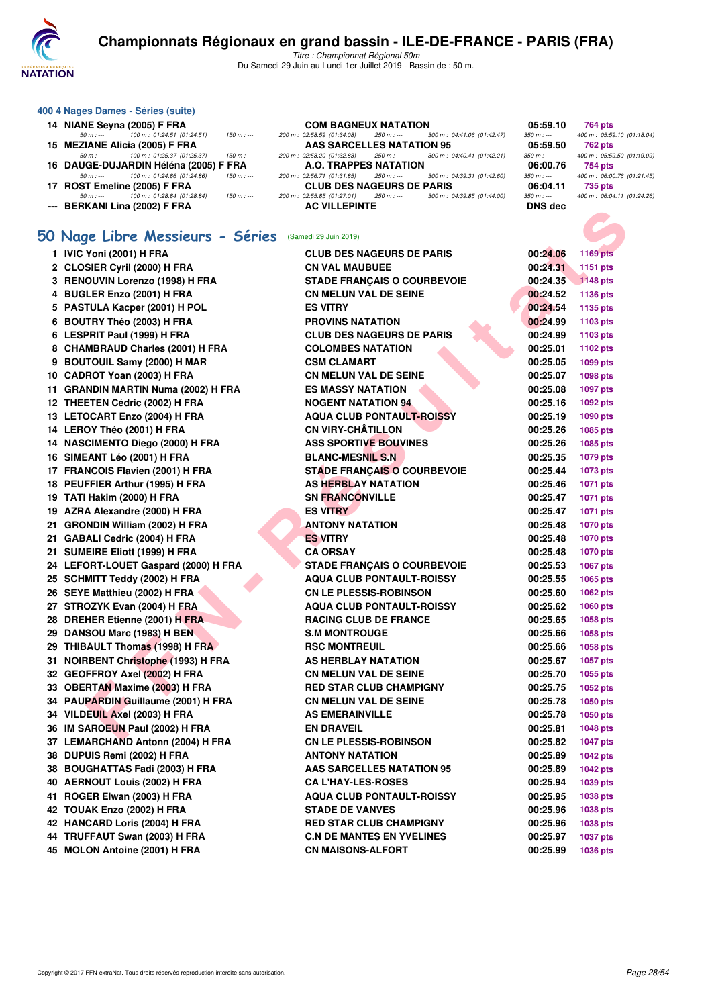

Titre : Championnat Régional 50m Du Samedi 29 Juin au Lundi 1er Juillet 2019 - Bassin de : 50 m.

|            | 400 4 Nages Dames - Séries (suite)    |               |                                  |             |                             |                |
|------------|---------------------------------------|---------------|----------------------------------|-------------|-----------------------------|----------------|
|            | 14 NIANE Seyna (2005) F FRA           |               | <b>COM BAGNEUX NATATION</b>      |             |                             | 05:59.10       |
| $50 m : -$ | 100 m: 01:24.51 (01:24.51)            | $150 m$ : --- | 200 m : 02:58.59 (01:34.08)      | 250 m : --- | 300 m : 04:41.06 (01:42.47) | $350 m : -$    |
|            | 15 MEZIANE Alicia (2005) F FRA        |               | AAS SARCELLES NATATION 95        |             |                             | 05:59.50       |
| $50 m : -$ | 100 m: 01:25.37 (01:25.37)            | $150 m$ : --- | 200 m : 02:58.20 (01:32.83)      | 250 m : --- | 300 m : 04:40.41 (01:42.21) | $350 m : -$    |
|            | 16 DAUGE-DUJARDIN Héléna (2005) F FRA |               | A.O. TRAPPES NATATION            |             |                             | 06:00.76       |
| $50 m : -$ | 100 m : 01:24.86 (01:24.86)           | $150 m: -$    | 200 m : 02:56.71 (01:31.85)      | 250 m : --- | 300 m: 04:39.31 (01:42.60)  | $350 m : -$    |
|            | 17 ROST Emeline (2005) F FRA          |               | <b>CLUB DES NAGEURS DE PARIS</b> |             |                             | 06:04.11       |
| $50 m : -$ | 100 m : 01:28.84 (01:28.84)           | $150 m$ : --- | 200 m : 02:55.85 (01:27.01)      | $250 m : -$ | 300 m: 04:39.85 (01:44.00)  | $350 m: -$     |
|            | --- BERKANI Lina (2002) F FRA         |               | <b>AC VILLEPINTE</b>             |             |                             | <b>DNS</b> dec |
|            |                                       |               |                                  |             |                             |                |

# **[50 Nage Libre Messieurs - Séries](http://www.ffnatation.fr/webffn/resultats.php?idact=nat&go=epr&idcpt=61555&idepr=51)** (Samedi 29 Juin 2019)

| <b>---</b> DENNANI LIIIQ (2002) F FNA                  |                                    | טאט טוע  |                 |
|--------------------------------------------------------|------------------------------------|----------|-----------------|
|                                                        |                                    |          |                 |
| 50 Nage Libre Messieurs - Séries (Samedi 29 Juin 2019) |                                    |          |                 |
| 1 IVIC Yoni (2001) H FRA                               | <b>CLUB DES NAGEURS DE PARIS</b>   | 00:24.06 | 1169 pts        |
| 2 CLOSIER Cyril (2000) H FRA                           | <b>CN VAL MAUBUEE</b>              | 00:24.31 | 1151 pts        |
| 3 RENOUVIN Lorenzo (1998) H FRA                        | <b>STADE FRANÇAIS O COURBEVOIE</b> | 00:24.35 | <b>1148 pts</b> |
| 4 BUGLER Enzo (2001) H FRA                             | <b>CN MELUN VAL DE SEINE</b>       | 00:24.52 | 1136 pts        |
| 5 PASTULA Kacper (2001) H POL                          | <b>ES VITRY</b>                    | 00:24.54 | 1135 pts        |
| 6 BOUTRY Théo (2003) H FRA                             | <b>PROVINS NATATION</b>            | 00:24.99 | 1103 pts        |
| 6 LESPRIT Paul (1999) H FRA                            | <b>CLUB DES NAGEURS DE PARIS</b>   | 00:24.99 | 1103 pts        |
| 8 CHAMBRAUD Charles (2001) H FRA                       | <b>COLOMBES NATATION</b>           | 00:25.01 | 1102 pts        |
| 9 BOUTOUIL Samy (2000) H MAR                           | <b>CSM CLAMART</b>                 | 00:25.05 | 1099 pts        |
| 10 CADROT Yoan (2003) H FRA                            | <b>CN MELUN VAL DE SEINE</b>       | 00:25.07 | 1098 pts        |
| 11 GRANDIN MARTIN Numa (2002) H FRA                    | <b>ES MASSY NATATION</b>           | 00:25.08 | 1097 pts        |
| 12 THEETEN Cédric (2002) H FRA                         | <b>NOGENT NATATION 94</b>          | 00:25.16 | 1092 pts        |
| 13 LETOCART Enzo (2004) H FRA                          | <b>AQUA CLUB PONTAULT-ROISSY</b>   | 00:25.19 | 1090 pts        |
| 14 LEROY Théo (2001) H FRA                             | <b>CN VIRY-CHÂTILLON</b>           | 00:25.26 | 1085 pts        |
| 14 NASCIMENTO Diego (2000) H FRA                       | <b>ASS SPORTIVE BOUVINES</b>       | 00:25.26 | 1085 pts        |
| 16 SIMEANT Léo (2001) H FRA                            | <b>BLANC-MESNIL S.N</b>            | 00:25.35 | 1079 pts        |
| 17 FRANCOIS Flavien (2001) H FRA                       | <b>STADE FRANÇAIS O COURBEVOIE</b> | 00:25.44 | 1073 pts        |
| 18 PEUFFIER Arthur (1995) H FRA                        | <b>AS HERBLAY NATATION</b>         | 00:25.46 | 1071 pts        |
| 19 TATI Hakim (2000) H FRA                             | <b>SN FRANCONVILLE</b>             | 00:25.47 | 1071 pts        |
| 19 AZRA Alexandre (2000) H FRA                         | <b>ES VITRY</b>                    | 00:25.47 | 1071 pts        |
| 21 GRONDIN William (2002) H FRA                        | <b>ANTONY NATATION</b>             | 00:25.48 | <b>1070 pts</b> |
| 21 GABALI Cedric (2004) H FRA                          | <b>ES VITRY</b>                    | 00:25.48 | 1070 pts        |
| 21 SUMEIRE Eliott (1999) H FRA                         | <b>CA ORSAY</b>                    | 00:25.48 | <b>1070 pts</b> |
| 24 LEFORT-LOUET Gaspard (2000) H FRA                   | <b>STADE FRANÇAIS O COURBEVOIE</b> | 00:25.53 | 1067 pts        |
| 25 SCHMITT Teddy (2002) H FRA                          | <b>AQUA CLUB PONTAULT-ROISSY</b>   | 00:25.55 | 1065 pts        |
| 26 SEYE Matthieu (2002) H FRA                          | <b>CN LE PLESSIS-ROBINSON</b>      | 00:25.60 | 1062 pts        |
| 27 STROZYK Evan (2004) H FRA                           | <b>AQUA CLUB PONTAULT-ROISSY</b>   | 00:25.62 | <b>1060 pts</b> |
| 28 DREHER Etienne (2001) H FRA                         | <b>RACING CLUB DE FRANCE</b>       | 00:25.65 | 1058 pts        |
| 29 DANSOU Marc (1983) H BEN                            | <b>S.M MONTROUGE</b>               | 00:25.66 | 1058 pts        |
| 29 THIBAULT Thomas (1998) H FRA                        | <b>RSC MONTREUIL</b>               | 00:25.66 | 1058 pts        |
| 31 NOIRBENT Christophe (1993) H FRA                    | AS HERBLAY NATATION                | 00:25.67 | 1057 pts        |
| 32 GEOFFROY Axel (2002) H FRA                          | <b>CN MELUN VAL DE SEINE</b>       | 00:25.70 | 1055 pts        |
| 33 OBERTAN Maxime (2003) H FRA                         | <b>RED STAR CLUB CHAMPIGNY</b>     | 00:25.75 | 1052 pts        |
| 34 PAUPARDIN Guillaume (2001) H FRA                    | <b>CN MELUN VAL DE SEINE</b>       | 00:25.78 | 1050 pts        |
| 34 VILDEUIL Axel (2003) H FRA                          | <b>AS EMERAINVILLE</b>             | 00:25.78 | 1050 pts        |
| 36 IM SAROEUN Paul (2002) H FRA                        | <b>EN DRAVEIL</b>                  | 00:25.81 | <b>1048 pts</b> |
| 37 LEMARCHAND Antonn (2004) H FRA                      | <b>CN LE PLESSIS-ROBINSON</b>      | 00:25.82 | <b>1047 pts</b> |
| 38 DUPUIS Remi (2002) H FRA                            | <b>ANTONY NATATION</b>             | 00:25.89 | <b>1042 pts</b> |
| 38 BOUGHATTAS Fadi (2003) H FRA                        | <b>AAS SARCELLES NATATION 95</b>   | 00:25.89 | <b>1042 pts</b> |
| 40 AERNOUT Louis (2002) H FRA                          | <b>CA L'HAY-LES-ROSES</b>          | 00:25.94 | 1039 pts        |
| 41 ROGER Elwan (2003) H FRA                            | <b>AQUA CLUB PONTAULT-ROISSY</b>   | 00:25.95 | 1038 pts        |
| 42 TOUAK Enzo (2002) H FRA                             | <b>STADE DE VANVES</b>             | 00:25.96 | 1038 pts        |
| 42 HANCARD Loris (2004) H FRA                          | <b>RED STAR CLUB CHAMPIGNY</b>     | 00:25.96 | 1038 pts        |
| 44 TRUFFAUT Swan (2003) H FRA                          | <b>C.N DE MANTES EN YVELINES</b>   | 00:25.97 | <b>1037 pts</b> |
| 45 MOLON Antoine (2001) H FRA                          | <b>CN MAISONS-ALFORT</b>           | 00:25.99 | 1036 pts        |

|               | <b>GNEUX NATATION</b>      |                                                       | 05:59.10       | 764 pts                    |
|---------------|----------------------------|-------------------------------------------------------|----------------|----------------------------|
|               |                            | $(0.08)$ 250 m : --- 300 m : 04:41.06 (01:42.47)      | $350 m : -$    | 400 m: 05:59.10 (01:18.04) |
|               | <b>RCELLES NATATION 95</b> |                                                       | 05:59.50       | 762 pts                    |
|               |                            | .83) 250 m :--- 300 m : 04:40.41 (01:42.21)           | $350 m : -$    | 400 m: 05:59.50 (01:19.09) |
|               | <b>PPES NATATION</b>       |                                                       | 06:00.76       | 754 pts                    |
|               |                            | .85) 250 m : --- 300 m : 04:39.31 (01:42.60)          | $350 m : -$    | 400 m: 06:00.76 (01:21.45) |
|               | <b>S NAGEURS DE PARIS</b>  |                                                       | 06:04.11       | 735 pts                    |
|               |                            | $250 m$ : $-250 m$ : $-500 m$ : $04.39.85$ (01:44.00) | $350 m : -$    | 400 m: 06:04.11 (01:24.26) |
| <b>EPINTE</b> |                            |                                                       | <b>DNS</b> dec |                            |

| 00:24.31<br>1151 pts        |
|-----------------------------|
| 00:24.35<br><b>1148 pts</b> |
| 00:24.52<br>1136 pts        |
| 00:24.54<br>1135 pts        |
| 00:24.99<br>1103 pts        |
| 00:24.99<br>1103 pts        |
| 00:25.01<br>1102 pts        |
| 00:25.05<br>1099 pts        |
| 00:25.07<br>1098 pts        |
| 00:25.08<br>1097 pts        |
| 00:25.16<br>1092 pts        |
| 00:25.19<br>1090 pts        |
| 00:25.26<br>1085 pts        |
| 00:25.26<br>1085 pts        |
| 00:25.35<br>1079 pts        |
| 00:25.44<br>1073 pts        |
| 00:25.46<br>1071 pts        |
| 00:25.47<br>1071 pts        |
| 00:25.47<br>1071 pts        |
| 00:25.48<br>1070 pts        |
| 00:25.48<br><b>1070 pts</b> |
| 00:25.48<br>1070 pts        |
| 00:25.53<br>1067 pts        |
| 00:25.55<br>1065 pts        |
| 00:25.60<br>1062 pts        |
| 00:25.62<br>1060 pts        |
| 00:25.65<br>1058 pts        |
| 00:25.66<br>1058 pts        |
| 00:25.66<br>1058 pts        |
| 00:25.67<br>1057 pts        |
| 00:25.70<br>1055 pts        |
| 00:25.75<br>1052 pts        |
| 00:25.78<br>1050 pts        |
| 00:25.78<br>1050 pts        |
| 00:25.81<br>1048 pts        |
| 00:25.82<br><b>1047 pts</b> |
| 00:25.89<br><b>1042 pts</b> |
| 00:25.89<br><b>1042 pts</b> |
| 00:25.94<br>1039 pts        |
| 00:25.95<br>1038 pts        |
| 00:25.96<br>1038 pts        |
|                             |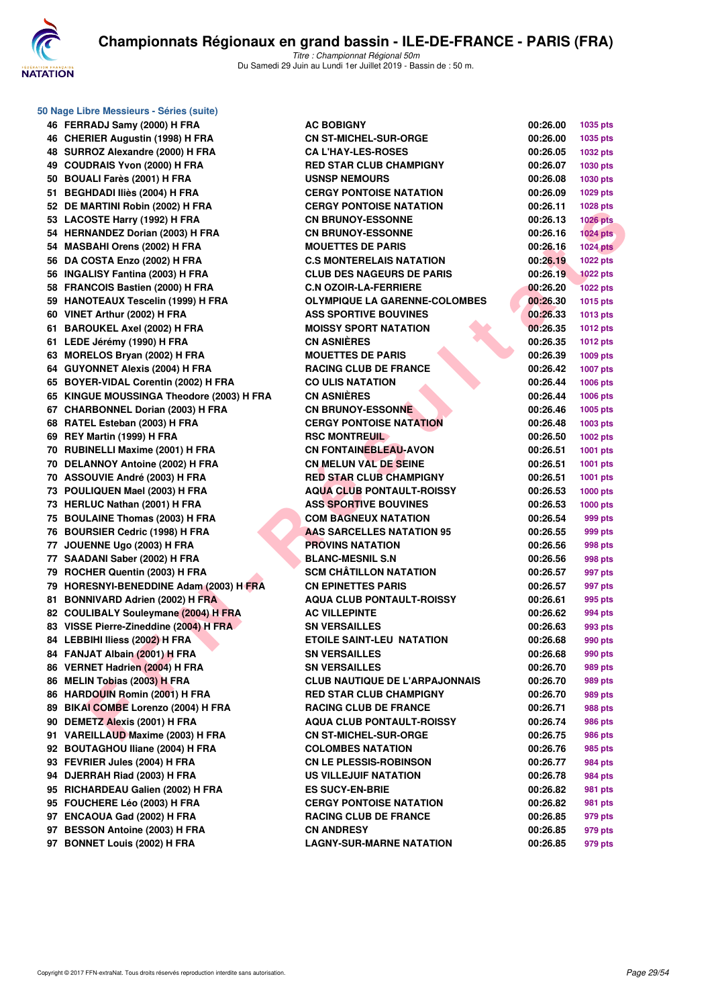

**50 Nage Libre Messieurs - Séries (suite)**

Titre : Championnat Régional 50m Du Samedi 29 Juin au Lundi 1er Juillet 2019 - Bassin de : 50 m.

**46 FERRADJ Samy (2000) H FRA 46 CHERIER Augustin (1998) H FRA 48 SURROZ Alexandre (2000) H FRA 49 COUDRAIS Yvon (2000) H FRA RED STAR CLUB CHAMPIGNY 00:26.07 1030 pts 50 BOUALI Farès (2001) H FRA** 51 BEGHDADI Iliès (2004) H FRA 52 DE MARTINI Robin (2002) H FRA 53 LACOSTE Harry (1992) H FRA 54 HERNANDEZ Dorian (2003) H FRA 54 MASBAHI Orens (2002) H FRA 56 DA COSTA Enzo (2002) H FRA 56 **INGALISY Fantina (2003) H FRA** 58 FRANCOIS Bastien (2000) H FRA 59 HANOTEAUX Tescelin (1999) H FRA **60 VINET Arthur (2002) H FRA 61 BAROUKEL Axel (2002) H FRA 61 LEDE Jérémy (1990) H FRA CN ASNIÈRES 00:26.35 1012 pts** 63 MORELOS Bryan (2002) H FRA **64 GUYONNET Alexis (2004) H FRA 65 BOYER-VIDAL Corentin (2002) H FRA 65 KINGUE MOUSSINGA Theodore (2003) H FRA 67 CHARBONNEL Dorian (2003) H FRA 68 RATEL Esteban (2003) H FRA 69 REY Martin (1999) H FRA 70 RUBINELLI Maxime (2001) H FRA 70 DELANNOY Antoine (2002) H FRA** 70 ASSOUVIE André (2003) H FRA **73 POULIQUEN Mael (2003) H FRA** 73 HERLUC Nathan (2001) H FRA **75 BOULAINE Thomas (2003) H FRA 76 BOURSIER Cedric (1998) H FRA 77 JOUENNE Ugo (2003) H FRA** 77 SAADANI Saber (2002) H FRA 79 ROCHER Quentin (2003) H FRA 79 HORESNYI-BENEDDINE Adam (2003) H FRA 81 BONNIVARD Adrien (2002) H FRA 82 COULIBALY Souleymane (2004) H FRA 83 VISSE Pierre-Zineddine (2004) H FRA 84 LEBBIHI Iliess (2002) H FRA **84 FANJAT Albain (2001) H FRA** 86 VERNET Hadrien (2004) H FRA 86 MELIN Tobias (2003) H FRA 86 HARDOUIN Romin (2001) H FRA 89 BIKAI COMBE Lorenzo (2004) H FRA **90 DEMETZ Alexis (2001) H FRA** 91 VAREILLAUD Maxime (2003) H FRA 92 BOUTAGHOU Iliane (2004) H FRA 93 FEVRIER Jules (2004) H FRA **94 DJERRAH Riad (2003) H FRA** 95 RICHARDEAU Galien (2002) H FRA **95 FOUCHERE Léo (2003) H FRA CERGY PONTOISE NATATION 00:26.82 981 pts 97 ENCAOUA Gad (2002) H FRA 97 BESSON Antoine (2003) H FRA** 97 BONNET Louis (2002) H FRA

| Dre Messieurs - Series (Suite).            |                                       |          |                 |
|--------------------------------------------|---------------------------------------|----------|-----------------|
| RADJ Samy (2000) H FRA                     | <b>AC BOBIGNY</b>                     | 00:26.00 | 1035 pts        |
| RIER Augustin (1998) H FRA                 | <b>CN ST-MICHEL-SUR-ORGE</b>          | 00:26.00 | 1035 pts        |
| ROZ Alexandre (2000) H FRA                 | <b>CA L'HAY-LES-ROSES</b>             | 00:26.05 | 1032 pts        |
| DRAIS Yvon (2000) H FRA                    | <b>RED STAR CLUB CHAMPIGNY</b>        | 00:26.07 | 1030 pts        |
| ALI Farès (2001) H FRA                     | <b>USNSP NEMOURS</b>                  | 00:26.08 | 1030 pts        |
| <b>HDADI Iliès (2004) H FRA</b>            | <b>CERGY PONTOISE NATATION</b>        | 00:26.09 | 1029 pts        |
| <b>IARTINI Robin (2002) H FRA</b>          | <b>CERGY PONTOISE NATATION</b>        | 00:26.11 | 1028 pts        |
| OSTE Harry (1992) H FRA                    | <b>CN BRUNOY-ESSONNE</b>              | 00:26.13 | <b>1026 pts</b> |
| <b>NANDEZ Dorian (2003) H FRA</b>          | <b>CN BRUNOY-ESSONNE</b>              | 00:26.16 | <b>1024 pts</b> |
| BAHI Orens (2002) H FRA                    | <b>MOUETTES DE PARIS</b>              | 00:26.16 | <b>1024 pts</b> |
| <b>COSTA Enzo (2002) H FRA</b>             | <b>C.S MONTERELAIS NATATION</b>       | 00:26.19 | <b>1022 pts</b> |
| LISY Fantina (2003) H FRA                  | <b>CLUB DES NAGEURS DE PARIS</b>      | 00:26.19 | <b>1022 pts</b> |
| NCOIS Bastien (2000) H FRA                 | <b>C.N OZOIR-LA-FERRIERE</b>          | 00:26.20 | <b>1022 pts</b> |
| OTEAUX Tescelin (1999) H FRA               | <b>OLYMPIQUE LA GARENNE-COLOMBES</b>  | 00:26.30 | 1015 pts        |
| T Arthur (2002) H FRA                      | <b>ASS SPORTIVE BOUVINES</b>          | 00:26.33 | 1013 pts        |
| OUKEL Axel (2002) H FRA                    | <b>MOISSY SPORT NATATION</b>          | 00:26.35 | <b>1012 pts</b> |
| E Jérémy (1990) H FRA                      | <b>CN ASNIÈRES</b>                    | 00:26.35 | <b>1012 pts</b> |
| ELOS Bryan (2002) H FRA                    | <b>MOUETTES DE PARIS</b>              | 00:26.39 | 1009 pts        |
| <b>ONNET Alexis (2004) H FRA</b>           | <b>RACING CLUB DE FRANCE</b>          | 00:26.42 | <b>1007 pts</b> |
| ER-VIDAL Corentin (2002) H FRA             | <b>CO ULIS NATATION</b>               | 00:26.44 | 1006 pts        |
| <b>iUE MOUSSINGA Theodore (2003) H FRA</b> | <b>CN ASNIÈRES</b>                    | 00:26.44 | 1006 pts        |
| RBONNEL Dorian (2003) H FRA                | <b>CN BRUNOY-ESSONNE</b>              | 00:26.46 | 1005 pts        |
| EL Esteban (2003) H FRA                    | <b>CERGY PONTOISE NATATION</b>        | 00:26.48 | 1003 pts        |
| Martin (1999) H FRA                        | <b>RSC MONTREUIL</b>                  | 00:26.50 | 1002 pts        |
| INELLI Maxime (2001) H FRA                 | <b>CN FONTAINEBLEAU-AVON</b>          | 00:26.51 | 1001 pts        |
| <b>ANNOY Antoine (2002) H FRA</b>          | <b>CN MELUN VAL DE SEINE</b>          | 00:26.51 | <b>1001 pts</b> |
| <b>OUVIE André (2003) H FRA</b>            | <b>RED STAR CLUB CHAMPIGNY</b>        | 00:26.51 | 1001 pts        |
| LIQUEN Mael (2003) H FRA                   | <b>AQUA CLUB PONTAULT-ROISSY</b>      | 00:26.53 | <b>1000 pts</b> |
| LUC Nathan (2001) H FRA                    | <b>ASS SPORTIVE BOUVINES</b>          | 00:26.53 | <b>1000 pts</b> |
| LAINE Thomas (2003) H FRA                  | <b>COM BAGNEUX NATATION</b>           | 00:26.54 | 999 pts         |
| RSIER Cedric (1998) H FRA                  | AAS SARCELLES NATATION 95             | 00:26.55 | 999 pts         |
| ENNE Ugo (2003) H FRA                      | <b>PROVINS NATATION</b>               | 00:26.56 | 998 pts         |
| DANI Saber (2002) H FRA                    | <b>BLANC-MESNIL S.N</b>               | 00:26.56 | 998 pts         |
| HER Quentin (2003) H FRA                   | <b>SCM CHÂTILLON NATATION</b>         | 00:26.57 | 997 pts         |
| ESNYI-BENEDDINE Adam (2003) H FRA          | <b>CN EPINETTES PARIS</b>             | 00:26.57 | 997 pts         |
| NIVARD Adrien (2002) H FRA                 | <b>AQUA CLUB PONTAULT-ROISSY</b>      | 00:26.61 | 995 pts         |
| LIBALY Souleymane (2004) H FRA             | <b>AC VILLEPINTE</b>                  | 00:26.62 | 994 pts         |
| E Pierre-Zineddine (2004) H FRA            | <b>SN VERSAILLES</b>                  | 00:26.63 | 993 pts         |
| BIHI Iliess (200 <mark>2)</mark> H FRA     | <b>ETOILE SAINT-LEU NATATION</b>      | 00:26.68 | 990 pts         |
| JAT Albain (2001) H FRA                    | <b>SN VERSAILLES</b>                  | 00:26.68 | 990 pts         |
| NET Hadrien (2004) H FRA                   | <b>SN VERSAILLES</b>                  | 00:26.70 | 989 pts         |
| IN Tobias (2003) H FRA                     | <b>CLUB NAUTIQUE DE L'ARPAJONNAIS</b> | 00:26.70 | 989 pts         |
| DOUIN Romin (2001) H FRA                   | <b>RED STAR CLUB CHAMPIGNY</b>        | 00:26.70 | 989 pts         |
| I COMBE Lorenzo (2004) H FRA               | <b>RACING CLUB DE FRANCE</b>          | 00:26.71 | 988 pts         |
| ETZ Alexis (2001) H FRA                    | <b>AQUA CLUB PONTAULT-ROISSY</b>      | 00:26.74 | 986 pts         |
| EILLAUD Maxime (2003) H FRA                | <b>CN ST-MICHEL-SUR-ORGE</b>          | 00:26.75 | 986 pts         |
| TAGHOU Iliane (2004) H FRA                 | <b>COLOMBES NATATION</b>              | 00:26.76 | 985 pts         |
| <b>RIER Jules (2004) H FRA</b>             | <b>CN LE PLESSIS-ROBINSON</b>         | 00:26.77 | 984 pts         |
| RRAH Riad (2003) H FRA                     | <b>US VILLEJUIF NATATION</b>          | 00:26.78 | 984 pts         |
| IARDEAU Galien (2002) H FRA                | <b>ES SUCY-EN-BRIE</b>                | 00:26.82 | 981 pts         |
| <b>CHERE Léo (2003) H FRA</b>              | <b>CERGY PONTOISE NATATION</b>        | 00:26.82 | 981 pts         |
| AOUA Gad (2002) H FRA                      | <b>RACING CLUB DE FRANCE</b>          | 00:26.85 | 979 pts         |
| SON Antoine (2003) H FRA                   | <b>CN ANDRESY</b>                     | 00:26.85 | 979 pts         |
| <b>NFT Louis (2002) H FRA</b>              | I AGNY-SHR-MARNE NATATION             | በበ 26 ጸ5 | 979 nte         |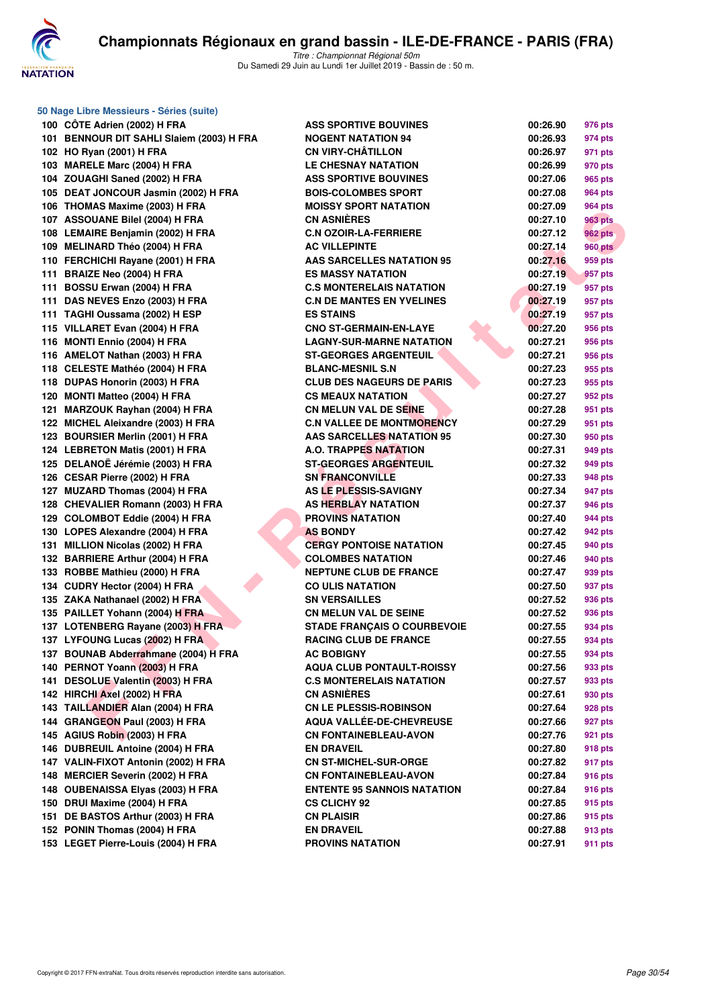

**50 Nage Libre Messieurs - Séries (suite)**

|     | 100 CÖTE Adrien (2002) H FRA                     | ASS        |
|-----|--------------------------------------------------|------------|
|     | 101 BENNOUR DIT SAHLI Slaiem (2003) H FRA        | NOG        |
|     | 102 HO Ryan (2001) H FRA                         | CN ۱       |
|     | 103 MARELE Marc (2004) H FRA                     | LE (       |
|     | 104 ZOUAGHI Saned (2002) H FRA                   | ASS        |
|     | 105 DEAT JONCOUR Jasmin (2002) H FRA             | <b>BOI</b> |
|     | 106 THOMAS Maxime (2003) H FRA                   | MOI        |
|     | 107 ASSOUANE Bilel (2004) H FRA                  | CN /       |
|     | 108 LEMAIRE Benjamin (2002) H FRA                | C.N        |
|     | 109 MELINARD Théo (2004) H FRA                   | AC \       |
|     | 110 FERCHICHI Rayane (2001) H FRA                | AAS        |
|     | 111 BRAIZE Neo (2004) H FRA                      | ES N       |
|     | 111 BOSSU Erwan (2004) H FRA                     | C.S        |
|     | 111 DAS NEVES Enzo (2003) H FRA                  | C.N        |
|     | 111 TAGHI Oussama (2002) H ESP                   | ES S       |
|     | 115 VILLARET Evan (2004) H FRA                   | CNC        |
|     | 116 MONTI Ennio (2004) H FRA                     | LAG        |
|     | 116 AMELOT Nathan (2003) H FRA                   | ST-0       |
|     | 118 CELESTE Mathéo (2004) H FRA                  | BLA        |
|     | 118 DUPAS Honorin (2003) H FRA                   | CLU        |
|     | 120 MONTI Matteo (2004) H FRA                    | CS I       |
|     | MARZOUK Rayhan (2004) H FRA                      | CN I       |
| 121 | 122 MICHEL Aleixandre (2003) H FRA               | C.N        |
|     |                                                  |            |
|     | 123 BOURSIER Merlin (2001) H FRA                 | AAS        |
|     | 124 LEBRETON Matis (2001) H FRA                  | A.O.       |
|     | 125 DELANOË Jérémie (2003) H FRA                 | ST-0       |
|     | 126 CESAR Pierre (2002) H FRA                    | SN I       |
|     | 127 MUZARD Thomas (2004) H FRA                   | AS I       |
|     | 128 CHEVALIER Romann (2003) H FRA                | AS I       |
|     | 129 COLOMBOT Eddie (2004) H FRA                  | <b>PRC</b> |
|     | 130 LOPES Alexandre (2004) H FRA                 | AS I       |
|     | 131 MILLION Nicolas (2002) H FRA                 | <b>CER</b> |
|     | 132 BARRIERE Arthur (2004) H FRA                 | COL        |
|     | 133 ROBBE Mathieu (2000) H FRA                   | <b>NEP</b> |
|     | 134 CUDRY Hector (2004) H FRA                    | CO l       |
|     | 135 ZAKA Nathanael (2002) H FRA                  | SN ۱       |
|     | 135 PAILLET Yohann (2004) H FRA                  | CN I       |
|     | 137 LOTENBERG Rayane (2003) H FRA                | STA        |
|     | 137 LYFOUNG Lucas (2002) H FRA                   | RAC        |
|     | 137 BOUNAB Abderrahmane (2004) H FRA             | AC I       |
|     | 140 PERNOT Yoann (2003) H FRA                    | AQL        |
| 141 | <b>DESOLUE Valentin (2003) H FRA</b>             | C.S        |
|     | 142 HIRCHI Axel (2002) H FRA                     | CN /       |
|     | 143 TAILLANDIER Alan (2004) H FRA                | CN I       |
|     | 144 GRANGEON Paul (2003) H FRA                   | AQL        |
|     | 145 AGIUS Robin (2003) H FRA                     | CN I       |
|     | 146 DUBREUIL Antoine (2004) H FRA                | EN I       |
|     | 147 VALIN-FIXOT Antonin (2002) H FRA             | CN S       |
|     | 148 MERCIER Severin (2002) H FRA                 | CN I       |
|     | 148 OUBENAISSA Elyas (2003) H FRA                | ENT        |
|     | 150 DRUI Maxime (2004) H FRA                     | CS (       |
|     | 151 DE BASTOS Arthur (2003) H FRA                | CN I       |
|     | 152 PONIN Thomas (2004) H FRA                    | EN I       |
|     | $450$ , $1505$ Discover $1500$ $(0000)$ , $1150$ | nne        |

| <sub>0</sub> 0 Nage Libre Messieurs - Series (suite) |                                    |          |                    |
|------------------------------------------------------|------------------------------------|----------|--------------------|
| 100 CÔTE Adrien (2002) H FRA                         | <b>ASS SPORTIVE BOUVINES</b>       | 00:26.90 | 976 pts            |
| 101 BENNOUR DIT SAHLI Slaiem (2003) H FRA            | <b>NOGENT NATATION 94</b>          | 00:26.93 | 974 pts            |
| 102 HO Ryan (2001) H FRA                             | <b>CN VIRY-CHÂTILLON</b>           | 00:26.97 | 971 pts            |
| 103 MARELE Marc (2004) H FRA                         | <b>LE CHESNAY NATATION</b>         | 00:26.99 | 970 pts            |
| 104 ZOUAGHI Saned (2002) H FRA                       | <b>ASS SPORTIVE BOUVINES</b>       | 00:27.06 | 965 pts            |
| 105 DEAT JONCOUR Jasmin (2002) H FRA                 | <b>BOIS-COLOMBES SPORT</b>         | 00:27.08 | <b>964 pts</b>     |
| 106 THOMAS Maxime (2003) H FRA                       | <b>MOISSY SPORT NATATION</b>       | 00:27.09 | <b>964 pts</b>     |
| 107 ASSOUANE Bilel (2004) H FRA                      | <b>CN ASNIÈRES</b>                 | 00:27.10 | <b>963 pts</b>     |
| 108 LEMAIRE Benjamin (2002) H FRA                    | <b>C.N OZOIR-LA-FERRIERE</b>       | 00:27.12 | 962 pts            |
| 109 MELINARD Théo (2004) H FRA                       | <b>AC VILLEPINTE</b>               | 00:27.14 | <b>960 pts</b>     |
| 110 FERCHICHI Rayane (2001) H FRA                    | <b>AAS SARCELLES NATATION 95</b>   | 00:27.16 | 959 pts            |
| 111 BRAIZE Neo (2004) H FRA                          | <b>ES MASSY NATATION</b>           | 00:27.19 | 957 pts            |
| 111 BOSSU Erwan (2004) H FRA                         | <b>C.S MONTERELAIS NATATION</b>    | 00:27.19 | 957 pts            |
| 111 DAS NEVES Enzo (2003) H FRA                      | <b>C.N DE MANTES EN YVELINES</b>   | 00:27.19 | 957 pts            |
| 111 TAGHI Oussama (2002) H ESP                       | <b>ES STAINS</b>                   | 00:27.19 | 957 pts            |
| 115 VILLARET Evan (2004) H FRA                       | <b>CNO ST-GERMAIN-EN-LAYE</b>      | 00:27.20 | 956 pts            |
| 116 MONTI Ennio (2004) H FRA                         | <b>LAGNY-SUR-MARNE NATATION</b>    | 00:27.21 | 956 pts            |
| 116 AMELOT Nathan (2003) H FRA                       | <b>ST-GEORGES ARGENTEUIL</b>       | 00:27.21 | 956 pts            |
| 118 CELESTE Mathéo (2004) H FRA                      | <b>BLANC-MESNIL S.N</b>            | 00:27.23 | 955 pts            |
| 118 DUPAS Honorin (2003) H FRA                       | <b>CLUB DES NAGEURS DE PARIS</b>   | 00:27.23 | 955 pts            |
| 120 MONTI Matteo (2004) H FRA                        | <b>CS MEAUX NATATION</b>           | 00:27.27 | 952 pts            |
| 121 MARZOUK Rayhan (2004) H FRA                      | <b>CN MELUN VAL DE SEINE</b>       | 00:27.28 | 951 pts            |
| 122 MICHEL Aleixandre (2003) H FRA                   | <b>C.N VALLEE DE MONTMORENCY</b>   | 00:27.29 | 951 pts            |
| 123 BOURSIER Merlin (2001) H FRA                     | <b>AAS SARCELLES NATATION 95</b>   | 00:27.30 | 950 pts            |
| 124 LEBRETON Matis (2001) H FRA                      | <b>A.O. TRAPPES NATATION</b>       | 00:27.31 | 949 pts            |
| 125 DELANOË Jérémie (2003) H FRA                     | <b>ST-GEORGES ARGENTEUIL</b>       | 00:27.32 | 949 pts            |
| 126 CESAR Pierre (2002) H FRA                        | <b>SN FRANCONVILLE</b>             | 00:27.33 | 948 pts            |
| 127 MUZARD Thomas (2004) H FRA                       | <b>AS LE PLESSIS-SAVIGNY</b>       | 00:27.34 | 947 pts            |
| 128 CHEVALIER Romann (2003) H FRA                    | <b>AS HERBLAY NATATION</b>         | 00:27.37 | 946 pts            |
| 129 COLOMBOT Eddie (2004) H FRA                      | <b>PROVINS NATATION</b>            | 00:27.40 | 944 pts            |
| 130 LOPES Alexandre (2004) H FRA                     | <b>AS BONDY</b>                    | 00:27.42 | 942 pts            |
| 131 MILLION Nicolas (2002) H FRA                     | <b>CERGY PONTOISE NATATION</b>     | 00:27.45 | 940 pts            |
| 132 BARRIERE Arthur (2004) H FRA                     | <b>COLOMBES NATATION</b>           | 00:27.46 | 940 pts            |
| 133 ROBBE Mathieu (2000) H FRA                       | <b>NEPTUNE CLUB DE FRANCE</b>      | 00:27.47 | 939 pts            |
| 134 CUDRY Hector (2004) H FRA                        | <b>CO ULIS NATATION</b>            | 00:27.50 | 937 pts            |
| 135 ZAKA Nathanael (2002) H FRA                      | <b>SN VERSAILLES</b>               | 00:27.52 | 936 pts            |
| 135 PAILLET Yohann (2004) H FRA                      | <b>CN MELUN VAL DE SEINE</b>       | 00:27.52 | 936 pts            |
| 137 LOTENBERG Rayane (2003) H FRA                    | <b>STADE FRANÇAIS O COURBEVOIE</b> | 00:27.55 | 934 pts            |
| 137 LYFOUNG Lucas (2002) H FRA                       | <b>RACING CLUB DE FRANCE</b>       | 00:27.55 | 934 pts            |
| 137 BOUNAB Abderrahmane (2004) H FRA                 | <b>AC BOBIGNY</b>                  | 00:27.55 | 934 pts            |
| 140 PERNOT Yoann (2003) H FRA                        | <b>AQUA CLUB PONTAULT-ROISSY</b>   | 00:27.56 | 933 pts            |
| 141 DESOLUE Valentin (2003) H FRA                    | <b>C.S MONTERELAIS NATATION</b>    | 00:27.57 | 933 pts            |
| 142 HIRCHI Axel (2002) H FRA                         | <b>CN ASNIÈRES</b>                 | 00:27.61 | 930 pts            |
| 143 TAILLANDIER Alan (2004) H FRA                    | <b>CN LE PLESSIS-ROBINSON</b>      | 00:27.64 | 928 pts            |
| 144 GRANGEON Paul (2003) H FRA                       | AQUA VALLÉE-DE-CHEVREUSE           | 00:27.66 | 927 pts            |
| 145 AGIUS Robin (2003) H FRA                         | <b>CN FONTAINEBLEAU-AVON</b>       | 00:27.76 | 921 pts            |
| 146 DUBREUIL Antoine (2004) H FRA                    | <b>EN DRAVEIL</b>                  | 00:27.80 | 918 pts            |
| 147 VALIN-FIXOT Antonin (2002) H FRA                 | <b>CN ST-MICHEL-SUR-ORGE</b>       | 00:27.82 |                    |
| 148 MERCIER Severin (2002) H FRA                     | <b>CN FONTAINEBLEAU-AVON</b>       | 00:27.84 | 917 pts<br>916 pts |
| 148 OUBENAISSA Elyas (2003) H FRA                    | <b>ENTENTE 95 SANNOIS NATATION</b> | 00:27.84 | 916 pts            |
| 150 DRUI Maxime (2004) H FRA                         | <b>CS CLICHY 92</b>                | 00:27.85 | 915 pts            |
| 151 DE BASTOS Arthur (2003) H FRA                    | <b>CN PLAISIR</b>                  | 00:27.86 | 915 pts            |
| 152 PONIN Thomas (2004) H FRA                        | EN DRAVEIL                         | 00:27.88 | 913 pts            |
| 153 LEGET Pierre-Louis (2004) H FRA                  | <b>PROVINS NATATION</b>            | 00:27.91 |                    |
|                                                      |                                    |          | 911 pts            |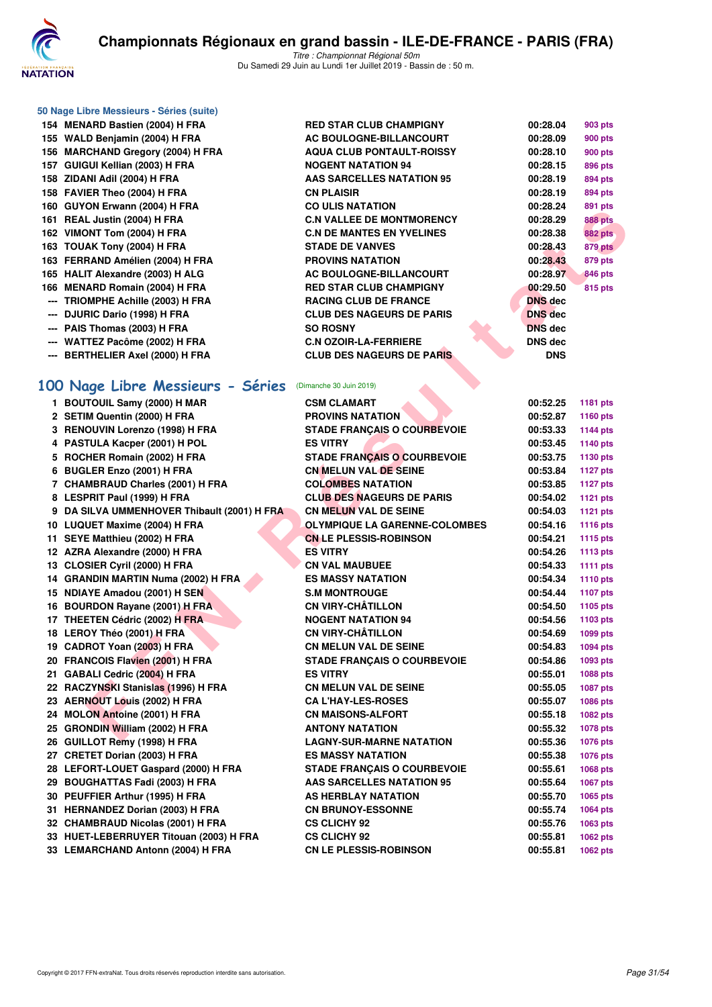

|  |  | 50 Nage Libre Messieurs - Séries (suite) |  |  |
|--|--|------------------------------------------|--|--|
|--|--|------------------------------------------|--|--|

- **--- TRIOMPHE Achille (2003) H FRA --- DJURIC Dario (1998) H FRA --- PAIS Thomas (2003) H FRA** --- WATTEZ Pacôme (2002) H FRA **--- BERTHELIER Axel (2000) H FRA** 100 Nage Libre Messieurs - Séri **1 BOUTOUIL Samy (2000) H MAR 2 SETIM Quentin (2000) H FRA 3 RENOUVIN Lorenzo (1998) H FRA 4 PASTULA Kacper (2001) H POL** 5 ROCHER Romain (2002) H FRA **6 BUGLER Enzo (2001) H FRA 7 CHAMBRAUD Charles (2001) H FRA** 
	- 8 LESPRIT Paul (1999) H FRA
	- **9 DA SILVA UMMENHOVER Thibault (2001) H 10 LUQUET Maxime (2004) H FRA 11 SEYE Matthieu (2002) H FRA** 12 AZRA Alexandre (2000) H FRA
	- 13 CLOSIER Cyril (2000) H FRA
	- 14 GRANDIN MARTIN Numa (2002) H FRA
	- **15 NDIAYE Amadou (2001) H SEN 16 BOURDON Rayane (2001) H FRA**
	- **17 THEETEN Cédric (2002) H FRA**
	- **18 LEROY Théo (2001) H FRA**
	- **19 CADROT Yoan (2003) H FRA**
	- 20 FRANCOIS Flavien (2001) H FRA **21 GABALI Cedric (2004) H FRA** 22 RACZYNSKI Stanislas (1996) H FRA
	- **23 AERNOUT Louis (2002) H FRA**
	- 24 MOLON Antoine (2001) H FRA
	- **25 GRONDIN William (2002) H FRA**
	- **26 GUILLOT Remy (1998) H FRA**
	- 27 CRETET Dorian (2003) H FRA
	- 28 LEFORT-LOUET Gaspard (2000) H FRA 29 BOUGHATTAS Fadi (2003) H FRA
	- **30 PEUFFIER Arthur (1995) H FRA**
	- 31 HERNANDEZ Dorian (2003) H FRA
	- 32 CHAMBRAUD Nicolas (2001) H FRA 33 HUET-LEBERRUYER Titouan (2003) H FRA
	- **33 LEMARCHAND Antonn (2004) H FRA**

| 154 MENARD Bastien (2004) H FRA   | <b>RED STAR CLUB CHAMPIGNY</b>   | 00:28.04       | <b>903 pts</b> |
|-----------------------------------|----------------------------------|----------------|----------------|
| 155 WALD Benjamin (2004) H FRA    | AC BOULOGNE-BILLANCOURT          | 00:28.09       | <b>900 pts</b> |
| 156 MARCHAND Gregory (2004) H FRA | <b>AQUA CLUB PONTAULT-ROISSY</b> | 00:28.10       | <b>900 pts</b> |
| 157 GUIGUI Kellian (2003) H FRA   | <b>NOGENT NATATION 94</b>        | 00:28.15       | <b>896 pts</b> |
| 158 ZIDANI Adil (2004) H FRA      | AAS SARCELLES NATATION 95        | 00:28.19       | 894 pts        |
| 158 FAVIER Theo (2004) H FRA      | <b>CN PLAISIR</b>                | 00:28.19       | 894 pts        |
| 160 GUYON Erwann (2004) H FRA     | <b>CO ULIS NATATION</b>          | 00:28.24       | 891 pts        |
| 161 REAL Justin (2004) H FRA      | <b>C.N VALLEE DE MONTMORENCY</b> | 00:28.29       | <b>888 pts</b> |
| 162 VIMONT Tom (2004) H FRA       | <b>C.N DE MANTES EN YVELINES</b> | 00:28.38       | <b>882 pts</b> |
| 163 TOUAK Tony (2004) H FRA       | <b>STADE DE VANVES</b>           | 00:28.43       | 879 pts        |
| 163 FERRAND Amélien (2004) H FRA  | <b>PROVINS NATATION</b>          | 00:28.43       | 879 pts        |
| 165 HALIT Alexandre (2003) H ALG  | AC BOULOGNE-BILLANCOURT          | 00:28.97       | <b>846 pts</b> |
| 166 MENARD Romain (2004) H FRA    | <b>RED STAR CLUB CHAMPIGNY</b>   | 00:29.50       | <b>815 pts</b> |
| --- TRIOMPHE Achille (2003) H FRA | <b>RACING CLUB DE FRANCE</b>     | <b>DNS</b> dec |                |
| --- DJURIC Dario (1998) H FRA     | <b>CLUB DES NAGEURS DE PARIS</b> | <b>DNS</b> dec |                |
| --- PAIS Thomas (2003) H FRA      | <b>SO ROSNY</b>                  | <b>DNS</b> dec |                |
| --- WATTEZ Pacôme (2002) H FRA    | <b>C.N OZOIR-LA-FERRIERE</b>     | <b>DNS</b> dec |                |
| --- BERTHELIER Axel (2000) H FRA  | <b>CLUB DES NAGEURS DE PARIS</b> | <b>DNS</b>     |                |

| VIN EI WAIIII (4004) II FRA                   | UU ULIJ IYATATIUN                    | <b>UU.</b> 20. 24 | oai hra         |
|-----------------------------------------------|--------------------------------------|-------------------|-----------------|
| L Justin (2004) H FRA                         | <b>C.N VALLEE DE MONTMORENCY</b>     | 00:28.29          | <b>888 pts</b>  |
| <b>DNT Tom (2004) H FRA</b>                   | <b>C.N DE MANTES EN YVELINES</b>     | 00:28.38          | <b>882 pts</b>  |
| AK Tony (2004) H FRA                          | <b>STADE DE VANVES</b>               | 00:28.43          | 879 pts         |
| RAND Amélien (2004) H FRA                     | <b>PROVINS NATATION</b>              | 00:28.43          | 879 pts         |
| T Alexandre (2003) H ALG                      | <b>AC BOULOGNE-BILLANCOURT</b>       | 00:28.97          | 846 pts         |
| ARD Romain (2004) H FRA                       | <b>RED STAR CLUB CHAMPIGNY</b>       | 00:29.50          | 815 pts         |
| <b>MPHE Achille (2003) H FRA</b>              | <b>RACING CLUB DE FRANCE</b>         | DNS dec           |                 |
| RIC Dario (1998) H FRA                        | <b>CLUB DES NAGEURS DE PARIS</b>     | <b>DNS</b> dec    |                 |
| Thomas (2003) H FRA                           | <b>SO ROSNY</b>                      | <b>DNS</b> dec    |                 |
| TEZ Pacôme (2002) H FRA                       | <b>C.N OZOIR-LA-FERRIERE</b>         | DNS dec           |                 |
| THELIER Axel (2000) H FRA                     | <b>CLUB DES NAGEURS DE PARIS</b>     | <b>DNS</b>        |                 |
| age Libre Messieurs - Séries                  | (Dimanche 30 Juin 2019)              |                   |                 |
| TOUIL Samy (2000) H MAR                       | <b>CSM CLAMART</b>                   | 00:52.25          | 1181 pts        |
| M Quentin (2000) H FRA                        | <b>PROVINS NATATION</b>              | 00:52.87          | <b>1160 pts</b> |
| OUVIN Lorenzo (1998) H FRA                    | <b>STADE FRANÇAIS O COURBEVOIE</b>   | 00:53.33          | <b>1144 pts</b> |
| TULA Kacper (2001) H POL                      | <b>ES VITRY</b>                      | 00:53.45          | <b>1140 pts</b> |
| HER Romain (2002) H FRA                       | <b>STADE FRANÇAIS O COURBEVOIE</b>   | 00:53.75          | 1130 pts        |
| LER Enzo (2001) H FRA                         | CN MELUN VAL DE SEINE                | 00:53.84          | <b>1127 pts</b> |
| <b>MBRAUD Charles (2001) H FRA</b>            | <b>COLOMBES NATATION</b>             | 00:53.85          | <b>1127 pts</b> |
| PRIT Paul (1999) H FRA                        | <b>CLUB DES NAGEURS DE PARIS</b>     | 00:54.02          | <b>1121 pts</b> |
| <b>SILVA UMMENHOVER Thibault (2001) H FRA</b> | <b>CN MELUN VAL DE SEINE</b>         | 00:54.03          | <b>1121 pts</b> |
| UET Maxime (2004) H FRA                       | <b>OLYMPIQUE LA GARENNE-COLOMBES</b> | 00:54.16          | 1116 pts        |
| E Matthieu (2002) H FRA                       | <b>CN LE PLESSIS-ROBINSON</b>        | 00:54.21          | <b>1115 pts</b> |
| A Alexandre (2000) H FRA                      | <b>ES VITRY</b>                      | 00:54.26          | <b>1113 pts</b> |
| SIER Cyril (2000) H FRA                       | <b>CN VAL MAUBUEE</b>                | 00:54.33          | 1111 $pts$      |
| NDIN MARTIN Numa (2002) H FRA                 | <b>ES MASSY NATATION</b>             | 00:54.34          | <b>1110 pts</b> |
| <b>YE Amadou (2001) H SEN</b>                 | <b>S.M MONTROUGE</b>                 | 00:54.44          | <b>1107 pts</b> |
| RDON Rayane (2001) H FRA                      | <b>CN VIRY-CHÂTILLON</b>             | 00:54.50          | 1105 pts        |
| ETEN Cédric (2002) H FRA                      | <b>NOGENT NATATION 94</b>            | 00:54.56          | 1103 pts        |
| OY Théo (2001) H FRA                          | <b>CN VIRY-CHÂTILLON</b>             | 00:54.69          | 1099 pts        |
| ROT Yoan (2003) H FRA                         | <b>CN MELUN VAL DE SEINE</b>         | 00:54.83          | 1094 pts        |
| NCOIS Flavien (2001) H FRA                    | <b>STADE FRANÇAIS O COURBEVOIE</b>   | 00:54.86          | 1093 pts        |
| ALI Cedric (2004) H FRA                       | <b>ES VITRY</b>                      | 00:55.01          | 1088 pts        |
| ZYNSKI Stanislas (1996) H FRA                 | <b>CN MELUN VAL DE SEINE</b>         | 00:55.05          | 1087 pts        |
| NOUT Louis (2002) H FRA                       | <b>CA L'HAY-LES-ROSES</b>            | 00:55.07          | 1086 pts        |
| ON Antoine (2001) H FRA                       | <b>CN MAISONS-ALFORT</b>             | 00:55.18          | 1082 pts        |
| NDIN William (2002) H FRA                     | <b>ANTONY NATATION</b>               | 00:55.32          | <b>1078 pts</b> |
| LOT Remy (1998) H FRA                         | <b>LAGNY-SUR-MARNE NATATION</b>      | 00:55.36          | 1076 pts        |
| TET Dorian (2003) H FRA                       | <b>ES MASSY NATATION</b>             | 00:55.38          | 1076 pts        |
| <b>DRT-LOUET Gaspard (2000) H FRA</b>         | <b>STADE FRANÇAIS O COURBEVOIE</b>   | 00:55.61          | 1068 pts        |
| GHATTAS Fadi (2003) H FRA                     | <b>AAS SARCELLES NATATION 95</b>     | 00:55.64          | 1067 pts        |
| FFIER Arthur (1995) H FRA                     | AS HERBLAY NATATION                  | 00:55.70          | 1065 pts        |
| NANDEZ Dorian (2003) H FRA                    | <b>CN BRUNOY-ESSONNE</b>             | 00:55.74          | <b>1064 pts</b> |
| <b>MBRAUD Nicolas (2001) H FRA</b>            | <b>CS CLICHY 92</b>                  | 00:55.76          | 1063 pts        |
| T-LEBERRUYER Titouan (2003) H FRA             | <b>CS CLICHY 92</b>                  | 00:55.81          | 1062 pts        |
| <b>ARCHAND Antonn (2004) H FRA</b>            | <b>CN LE PLESSIS-ROBINSON</b>        | 00:55.81          | 1062 pts        |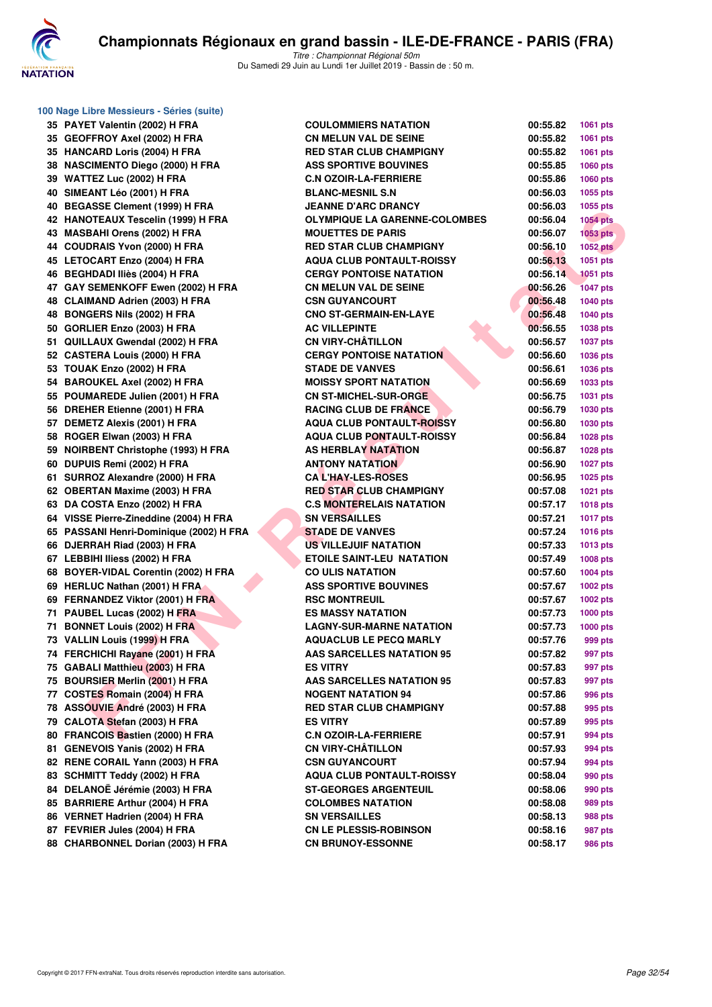

| 100 Nage Libre Messieurs - Séries (suite) |                                      |          |                 |
|-------------------------------------------|--------------------------------------|----------|-----------------|
| 35 PAYET Valentin (2002) H FRA            | <b>COULOMMIERS NATATION</b>          | 00:55.82 | 1061 pts        |
| 35 GEOFFROY Axel (2002) H FRA             | <b>CN MELUN VAL DE SEINE</b>         | 00:55.82 | 1061 pts        |
| 35 HANCARD Loris (2004) H FRA             | <b>RED STAR CLUB CHAMPIGNY</b>       | 00:55.82 | 1061 pts        |
| 38 NASCIMENTO Diego (2000) H FRA          | <b>ASS SPORTIVE BOUVINES</b>         | 00:55.85 | 1060 pts        |
| 39 WATTEZ Luc (2002) H FRA                | <b>C.N OZOIR-LA-FERRIERE</b>         | 00:55.86 | 1060 pts        |
| 40 SIMEANT Léo (2001) H FRA               | <b>BLANC-MESNIL S.N</b>              | 00:56.03 | 1055 pts        |
| 40 BEGASSE Clement (1999) H FRA           | <b>JEANNE D'ARC DRANCY</b>           | 00:56.03 | 1055 pts        |
| 42 HANOTEAUX Tescelin (1999) H FRA        | <b>OLYMPIQUE LA GARENNE-COLOMBES</b> | 00:56.04 | <b>1054 pts</b> |
| 43 MASBAHI Orens (2002) H FRA             | <b>MOUETTES DE PARIS</b>             | 00:56.07 | $1053$ pts      |
| 44 COUDRAIS Yvon (2000) H FRA             | <b>RED STAR CLUB CHAMPIGNY</b>       | 00:56.10 | <b>1052 pts</b> |
| 45 LETOCART Enzo (2004) H FRA             | <b>AQUA CLUB PONTAULT-ROISSY</b>     | 00:56.13 | 1051 pts        |
| 46 BEGHDADI Iliès (2004) H FRA            | <b>CERGY PONTOISE NATATION</b>       | 00:56.14 | <b>1051 pts</b> |
| 47 GAY SEMENKOFF Ewen (2002) H FRA        | <b>CN MELUN VAL DE SEINE</b>         | 00:56.26 | <b>1047 pts</b> |
| 48 CLAIMAND Adrien (2003) H FRA           | <b>CSN GUYANCOURT</b>                | 00:56.48 | <b>1040 pts</b> |
| 48 BONGERS Nils (2002) H FRA              | <b>CNO ST-GERMAIN-EN-LAYE</b>        | 00:56.48 | <b>1040 pts</b> |
| 50 GORLIER Enzo (2003) H FRA              | <b>AC VILLEPINTE</b>                 | 00:56.55 | 1038 pts        |
| 51 QUILLAUX Gwendal (2002) H FRA          | <b>CN VIRY-CHÂTILLON</b>             | 00:56.57 | <b>1037 pts</b> |
| 52 CASTERA Louis (2000) H FRA             | <b>CERGY PONTOISE NATATION</b>       | 00:56.60 | 1036 pts        |
| 53 TOUAK Enzo (2002) H FRA                | <b>STADE DE VANVES</b>               | 00:56.61 | 1036 pts        |
| 54 BAROUKEL Axel (2002) H FRA             | <b>MOISSY SPORT NATATION</b>         | 00:56.69 | 1033 pts        |
| 55 POUMAREDE Julien (2001) H FRA          | <b>CN ST-MICHEL-SUR-ORGE</b>         | 00:56.75 | 1031 pts        |
| 56 DREHER Etienne (2001) H FRA            | <b>RACING CLUB DE FRANCE</b>         | 00:56.79 | 1030 pts        |
| 57 DEMETZ Alexis (2001) H FRA             | <b>AQUA CLUB PONTAULT-ROISSY</b>     | 00:56.80 | 1030 pts        |
| 58 ROGER Elwan (2003) H FRA               | <b>AQUA CLUB PONTAULT-ROISSY</b>     | 00:56.84 | 1028 pts        |
| 59 NOIRBENT Christophe (1993) H FRA       | <b>AS HERBLAY NATATION</b>           | 00:56.87 | 1028 pts        |
| 60 DUPUIS Remi (2002) H FRA               | <b>ANTONY NATATION</b>               | 00:56.90 | <b>1027 pts</b> |
| 61 SURROZ Alexandre (2000) H FRA          | <b>CAL'HAY-LES-ROSES</b>             | 00:56.95 | 1025 pts        |
| 62 OBERTAN Maxime (2003) H FRA            | <b>RED STAR CLUB CHAMPIGNY</b>       | 00:57.08 | 1021 pts        |
| 63 DA COSTA Enzo (2002) H FRA             | <b>C.S MONTERELAIS NATATION</b>      | 00:57.17 | 1018 pts        |
| 64 VISSE Pierre-Zineddine (2004) H FRA    | <b>SN VERSAILLES</b>                 | 00:57.21 | 1017 pts        |
| 65 PASSANI Henri-Dominique (2002) H FRA   | <b>STADE DE VANVES</b>               | 00:57.24 | 1016 pts        |
| 66 DJERRAH Riad (2003) H FRA              | <b>US VILLEJUIF NATATION</b>         | 00:57.33 | 1013 pts        |
| 67 LEBBIHI Iliess (2002) H FRA            | <b>ETOILE SAINT-LEU NATATION</b>     | 00:57.49 | 1008 pts        |
| 68 BOYER-VIDAL Corentin (2002) H FRA      | <b>CO ULIS NATATION</b>              | 00:57.60 | 1004 pts        |
| 69 HERLUC Nathan (2001) H FRA             | <b>ASS SPORTIVE BOUVINES</b>         | 00:57.67 | 1002 pts        |
| 69 FERNANDEZ Viktor (2001) H FRA          | <b>RSC MONTREUIL</b>                 | 00:57.67 | 1002 pts        |
| 71 PAUBEL Lucas (2002) H FRA              | <b>ES MASSY NATATION</b>             | 00:57.73 | <b>1000 pts</b> |
| 71 BONNET Louis (2002) H FRA              | <b>LAGNY-SUR-MARNE NATATION</b>      | 00:57.73 | 1000 pts        |
| 73 VALLIN Louis (1999) H FRA              | <b>AQUACLUB LE PECQ MARLY</b>        | 00:57.76 | 999 pts         |
| 74 FERCHICHI Rayane (2001) H FRA          | <b>AAS SARCELLES NATATION 95</b>     | 00:57.82 | 997 pts         |
| 75 GABALI Matthieu (2003) H FRA           | <b>ES VITRY</b>                      | 00:57.83 | 997 pts         |
| 75 BOURSIER Merlin (2001) H FRA           | <b>AAS SARCELLES NATATION 95</b>     | 00:57.83 | 997 pts         |
| 77 COSTES Romain (2004) H FRA             | <b>NOGENT NATATION 94</b>            | 00:57.86 | 996 pts         |
| 78 ASSOUVIE André (2003) H FRA            | <b>RED STAR CLUB CHAMPIGNY</b>       | 00:57.88 | 995 pts         |
| 79 CALOTA Stefan (2003) H FRA             | <b>ES VITRY</b>                      | 00:57.89 | 995 pts         |
| 80 FRANCOIS Bastien (2000) H FRA          | <b>C.N OZOIR-LA-FERRIERE</b>         | 00:57.91 | 994 pts         |
| 81 GENEVOIS Yanis (2002) H FRA            | <b>CN VIRY-CHÂTILLON</b>             | 00:57.93 | 994 pts         |
| 82 RENE CORAIL Yann (2003) H FRA          | <b>CSN GUYANCOURT</b>                | 00:57.94 | 994 pts         |
| 83 SCHMITT Teddy (2002) H FRA             | <b>AQUA CLUB PONTAULT-ROISSY</b>     | 00:58.04 | 990 pts         |
| 84 DELANOË Jérémie (2003) H FRA           | <b>ST-GEORGES ARGENTEUIL</b>         | 00:58.06 | 990 pts         |
| 85 BARRIERE Arthur (2004) H FRA           | <b>COLOMBES NATATION</b>             | 00:58.08 | 989 pts         |
| 86 VERNET Hadrien (2004) H FRA            | <b>SN VERSAILLES</b>                 | 00:58.13 | 988 pts         |
| 87 FEVRIER Jules (2004) H FRA             | <b>CN LE PLESSIS-ROBINSON</b>        | 00:58.16 | 987 pts         |
| 88 CHARBONNEL Dorian (2003) H FRA         | <b>CN BRUNOY-ESSONNE</b>             | 00:58.17 | 986 pts         |

|     | 00:55.82 | 1061 pts        |
|-----|----------|-----------------|
|     | 00:55.82 | 1061 pts        |
|     | 00:55.82 | 1061 pts        |
|     | 00:55.85 | 1060 pts        |
|     | 00:55.86 | 1060 pts        |
|     | 00:56.03 | 1055 pts        |
|     | 00:56.03 | 1055 pts        |
| BES | 00:56.04 | 1054 pts        |
|     | 00:56.07 | 1053 pts        |
|     | 00:56.10 | <b>1052 pts</b> |
|     | 00:56.13 | 1051 pts        |
|     | 00:56.14 | 1051 pts        |
|     | 00:56.26 | <b>1047 pts</b> |
|     | 00:56.48 | 1040 pts        |
|     | 00:56.48 | 1040 pts        |
|     | 00:56.55 | 1038 pts        |
|     | 00:56.57 | 1037 pts        |
|     | 00:56.60 | 1036 pts        |
|     | 00:56.61 | 1036 pts        |
|     | 00:56.69 | 1033 pts        |
|     | 00:56.75 | 1031 pts        |
|     | 00:56.79 | 1030 pts        |
|     | 00:56.80 | 1030 pts        |
|     | 00:56.84 | 1028 pts        |
|     | 00:56.87 | 1028 pts        |
|     | 00:56.90 | 1027 pts        |
|     | 00:56.95 | 1025 pts        |
|     | 00:57.08 | 1021 pts        |
|     | 00:57.17 | <b>1018 pts</b> |
|     | 00:57.21 | 1017 pts        |
|     | 00:57.24 | 1016 pts        |
|     | 00:57.33 | 1013 pts        |
|     | 00:57.49 | 1008 pts        |
|     | 00:57.60 | 1004 pts        |
|     | 00:57.67 | <b>1002 pts</b> |
|     | 00:57.67 | 1002 pts        |
|     | 00:57.73 | 1000 pts        |
|     | 00:57.73 | <b>1000 pts</b> |
|     | 00:57.76 | 999 pts         |
|     | 00:57.82 | 997 pts         |
|     | 00:57.83 | 997 pts         |
|     | 00:57.83 | 997 pts         |
|     | 00:57.86 | 996 pts         |
|     | 00:57.88 | 995 pts         |
|     | 00:57.89 | 995 pts         |
|     | 00:57.91 | 994 pts         |
|     | 00:57.93 | 994 pts         |
|     | 00:57.94 | 994 pts         |
|     | 00:58.04 | 990 pts         |
|     | 00:58.06 | 990 pts         |
|     | 00:58.08 | 989 pts         |
|     | 00:58.13 | 988 pts         |
|     | 00:58.16 | 987 pts         |
|     | 00:58.17 | <b>986 pts</b>  |
|     |          |                 |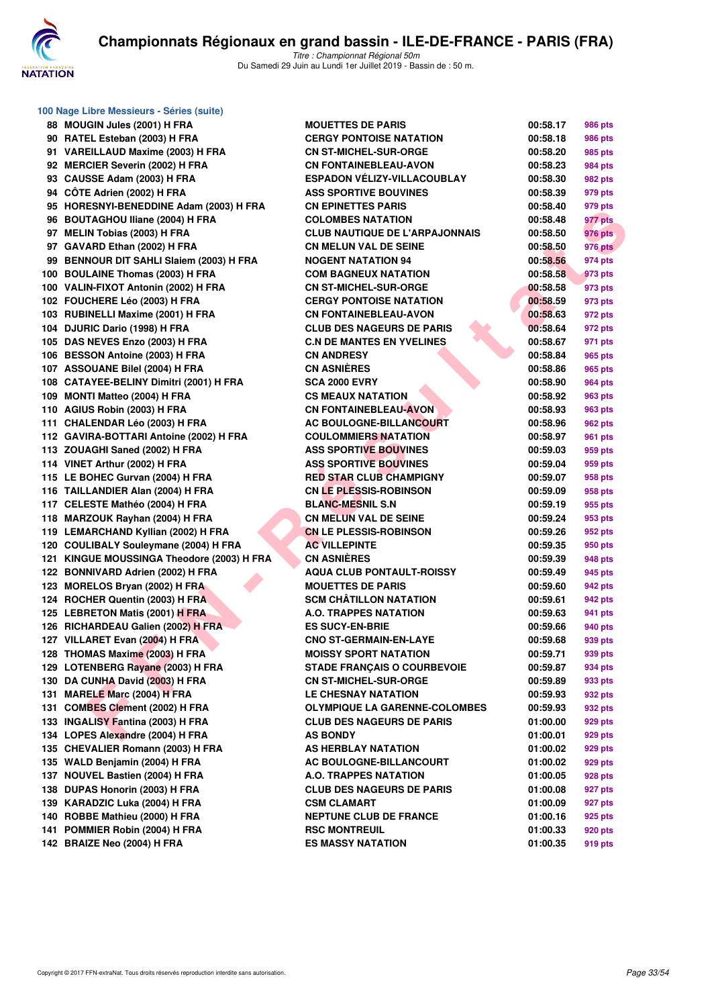

| 100 Nage Libre Messieurs - Séries (suite)  |                                       |          |                |
|--------------------------------------------|---------------------------------------|----------|----------------|
| 88 MOUGIN Jules (2001) H FRA               | <b>MOUETTES DE PARIS</b>              | 00:58.17 | <b>986 pts</b> |
| 90 RATEL Esteban (2003) H FRA              | <b>CERGY PONTOISE NATATION</b>        | 00:58.18 | 986 pts        |
| 91 VAREILLAUD Maxime (2003) H FRA          | <b>CN ST-MICHEL-SUR-ORGE</b>          | 00:58.20 | 985 pts        |
| 92 MERCIER Severin (2002) H FRA            | <b>CN FONTAINEBLEAU-AVON</b>          | 00:58.23 | 984 pts        |
| 93 CAUSSE Adam (2003) H FRA                | <b>ESPADON VÉLIZY-VILLACOUBLAY</b>    | 00:58.30 | 982 pts        |
| 94 CÔTE Adrien (2002) H FRA                | <b>ASS SPORTIVE BOUVINES</b>          | 00:58.39 | 979 pts        |
| 95 HORESNYI-BENEDDINE Adam (2003) H FRA    | <b>CN EPINETTES PARIS</b>             | 00:58.40 | 979 pts        |
| 96 BOUTAGHOU Iliane (2004) H FRA           | <b>COLOMBES NATATION</b>              | 00:58.48 | 977 pts        |
| 97 MELIN Tobias (2003) H FRA               | <b>CLUB NAUTIQUE DE L'ARPAJONNAIS</b> | 00:58.50 | <b>976 pts</b> |
| 97 GAVARD Ethan (2002) H FRA               | <b>CN MELUN VAL DE SEINE</b>          | 00:58.50 | <b>976 pts</b> |
| 99 BENNOUR DIT SAHLI Slaiem (2003) H FRA   | <b>NOGENT NATATION 94</b>             | 00:58.56 | 974 pts        |
| 100 BOULAINE Thomas (2003) H FRA           | <b>COM BAGNEUX NATATION</b>           | 00:58.58 | 973 pts        |
| 100 VALIN-FIXOT Antonin (2002) H FRA       | <b>CN ST-MICHEL-SUR-ORGE</b>          | 00:58.58 | 973 pts        |
| 102 FOUCHERE Léo (2003) H FRA              | <b>CERGY PONTOISE NATATION</b>        | 00:58.59 | 973 pts        |
| 103 RUBINELLI Maxime (2001) H FRA          | <b>CN FONTAINEBLEAU-AVON</b>          | 00:58.63 | 972 pts        |
| 104 DJURIC Dario (1998) H FRA              | <b>CLUB DES NAGEURS DE PARIS</b>      | 00:58.64 | 972 pts        |
| 105 DAS NEVES Enzo (2003) H FRA            | <b>C.N DE MANTES EN YVELINES</b>      | 00:58.67 | 971 pts        |
| 106 BESSON Antoine (2003) H FRA            | <b>CN ANDRESY</b>                     | 00:58.84 | 965 pts        |
| 107 ASSOUANE Bilel (2004) H FRA            | <b>CN ASNIÈRES</b>                    | 00:58.86 | 965 pts        |
| 108 CATAYEE-BELINY Dimitri (2001) H FRA    | <b>SCA 2000 EVRY</b>                  | 00:58.90 | 964 pts        |
| 109 MONTI Matteo (2004) H FRA              | <b>CS MEAUX NATATION</b>              | 00:58.92 | 963 pts        |
| 110 AGIUS Robin (2003) H FRA               | <b>CN FONTAINEBLEAU-AVON</b>          | 00:58.93 | <b>963 pts</b> |
| 111 CHALENDAR Léo (2003) H FRA             | <b>AC BOULOGNE-BILLANCOURT</b>        | 00:58.96 | 962 pts        |
| 112 GAVIRA-BOTTARI Antoine (2002) H FRA    | <b>COULOMMIERS NATATION</b>           | 00:58.97 | 961 pts        |
| 113 ZOUAGHI Saned (2002) H FRA             | <b>ASS SPORTIVE BOUVINES</b>          | 00:59.03 | 959 pts        |
| 114 VINET Arthur (2002) H FRA              | <b>ASS SPORTIVE BOUVINES</b>          | 00:59.04 | 959 pts        |
| 115 LE BOHEC Gurvan (2004) H FRA           | <b>RED STAR CLUB CHAMPIGNY</b>        | 00:59.07 | 958 pts        |
| 116 TAILLANDIER Alan (2004) H FRA          | <b>CN LE PLESSIS-ROBINSON</b>         | 00:59.09 | 958 pts        |
| 117 CELESTE Mathéo (2004) H FRA            | <b>BLANC-MESNIL S.N</b>               | 00:59.19 | 955 pts        |
| 118 MARZOUK Rayhan (2004) H FRA            | <b>CN MELUN VAL DE SEINE</b>          | 00:59.24 | 953 pts        |
| 119 LEMARCHAND Kyllian (2002) H FRA        | <b>CN LE PLESSIS-ROBINSON</b>         | 00:59.26 | 952 pts        |
| 120 COULIBALY Souleymane (2004) H FRA      | <b>AC VILLEPINTE</b>                  | 00:59.35 | 950 pts        |
| 121 KINGUE MOUSSINGA Theodore (2003) H FRA | <b>CN ASNIERES</b>                    | 00:59.39 | 948 pts        |
| 122 BONNIVARD Adrien (2002) H FRA          | <b>AQUA CLUB PONTAULT-ROISSY</b>      | 00:59.49 | 945 pts        |
| 123 MORELOS Bryan (2002) H FRA             | <b>MOUETTES DE PARIS</b>              | 00:59.60 | 942 pts        |
| 124 ROCHER Quentin (2003) H FRA            | <b>SCM CHÂTILLON NATATION</b>         | 00:59.61 | 942 pts        |
| 125 LEBRETON Matis (2001) H FRA            | <b>A.O. TRAPPES NATATION</b>          | 00:59.63 | 941 pts        |
| 126 RICHARDEAU Galien (2002) H FRA         | <b>ES SUCY-EN-BRIE</b>                | 00:59.66 | 940 pts        |
| 127 VILLARET Evan (2004) H FRA             | <b>CNO ST-GERMAIN-EN-LAYE</b>         | 00:59.68 | 939 pts        |
| 128 THOMAS Maxime (2003) H FRA             | <b>MOISSY SPORT NATATION</b>          | 00:59.71 | 939 pts        |
| 129 LOTENBERG Rayane (2003) H FRA          | <b>STADE FRANÇAIS O COURBEVOIE</b>    | 00:59.87 | 934 pts        |
| 130 DA CUNHA David (2003) H FRA            | <b>CN ST-MICHEL-SUR-ORGE</b>          | 00:59.89 | 933 pts        |
| 131 MARELE Marc (2004) H FRA               | <b>LE CHESNAY NATATION</b>            | 00:59.93 | 932 pts        |
| 131 COMBES Clement (2002) H FRA            | <b>OLYMPIQUE LA GARENNE-COLOMBES</b>  | 00:59.93 | 932 pts        |
| 133 INGALISY Fantina (2003) H FRA          | <b>CLUB DES NAGEURS DE PARIS</b>      | 01:00.00 | 929 pts        |
| 134 LOPES Alexandre (2004) H FRA           | <b>AS BONDY</b>                       | 01:00.01 | 929 pts        |
| 135 CHEVALIER Romann (2003) H FRA          | AS HERBLAY NATATION                   | 01:00.02 | 929 pts        |
| 135 WALD Benjamin (2004) H FRA             | <b>AC BOULOGNE-BILLANCOURT</b>        | 01:00.02 | 929 pts        |
| 137 NOUVEL Bastien (2004) H FRA            | <b>A.O. TRAPPES NATATION</b>          | 01:00.05 | 928 pts        |
| 138 DUPAS Honorin (2003) H FRA             | <b>CLUB DES NAGEURS DE PARIS</b>      | 01:00.08 | 927 pts        |
| 139 KARADZIC Luka (2004) H FRA             | <b>CSM CLAMART</b>                    | 01:00.09 | 927 pts        |
| 140 ROBBE Mathieu (2000) H FRA             | <b>NEPTUNE CLUB DE FRANCE</b>         | 01:00.16 | 925 pts        |
| 141 POMMIER Robin (2004) H FRA             | <b>RSC MONTREUIL</b>                  | 01:00.33 | 920 pts        |
| 142 BRAIZE Neo (2004) H FRA                | <b>ES MASSY NATATION</b>              | 01:00.35 | 919 pts        |

|            | 00:58.17 | <b>986 pts</b> |
|------------|----------|----------------|
|            | 00:58.18 | 986 pts        |
|            | 00:58.20 | 985 pts        |
|            | 00:58.23 | 984 pts        |
|            | 00:58.30 | 982 pts        |
|            | 00:58.39 | 979 pts        |
|            | 00:58.40 | 979 pts        |
|            | 00:58.48 | 977 pts        |
| AIS        | 00:58.50 | 976 pts        |
|            | 00:58.50 | 976 pts        |
|            | 00:58.56 | 974 pts        |
|            | 00:58.58 | 973 pts        |
|            | 00:58.58 | 973 pts        |
|            | 00:58.59 | 973 pts        |
|            | 00:58.63 | 972 pts        |
|            | 00:58.64 | 972 pts        |
|            | 00:58.67 | 971 pts        |
|            | 00:58.84 | 965 pts        |
|            | 00:58.86 | 965 pts        |
|            | 00:58.90 | 964 pts        |
|            | 00:58.92 | 963 pts        |
|            | 00:58.93 | 963 pts        |
|            | 00:58.96 | <b>962 pts</b> |
|            | 00:58.97 | 961 pts        |
|            | 00:59.03 | 959 pts        |
|            | 00:59.04 | 959 pts        |
|            | 00:59.07 | 958 pts        |
|            | 00:59.09 | 958 pts        |
|            | 00:59.19 | 955 pts        |
|            | 00:59.24 | 953 pts        |
|            | 00:59.26 | 952 pts        |
|            | 00:59.35 | 950 pts        |
|            | 00:59.39 | 948 pts        |
|            | 00:59.49 | 945 pts        |
|            | 00:59.60 | 942 pts        |
|            | 00:59.61 | 942 pts        |
|            | 00:59.63 | 941 pts        |
|            | 00:59.66 | 940 pts        |
|            | 00:59.68 | 939 pts        |
|            | 00:59.71 | 939 pts        |
|            | 00:59.87 | 934 pts        |
|            | 00:59.89 | 933 pts        |
|            | 00:59.93 | 932 pts        |
| <b>BES</b> | 00:59.93 | 932 pts        |
|            | 01:00.00 | 929 pts        |
|            | 01:00.01 | 929 pts        |
|            | 01:00.02 | 929 pts        |
|            | 01:00.02 | 929 pts        |
|            | 01:00.05 | 928 pts        |
|            | 01:00.08 | 927 pts        |
|            | 01:00.09 | 927 pts        |
|            | 01:00.16 | 925 pts        |
|            | 01:00.33 | 920 pts        |
|            | 01:00.35 | 919 pts        |
|            |          |                |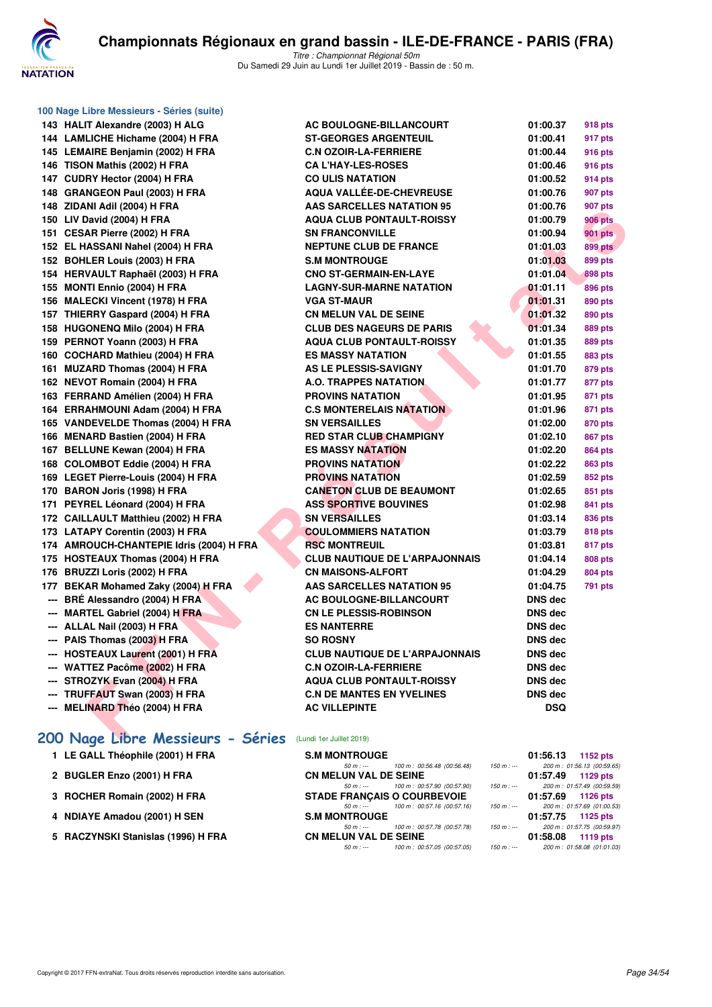

| 143 HALIT Alexandre (2003) H ALG         | <b>AC BOULOGN</b>               |
|------------------------------------------|---------------------------------|
| 144 LAMLICHE Hichame (2004) H FRA        | <b>ST-GEORGES</b>               |
| 145 LEMAIRE Benjamin (2002) H FRA        | <b>C.N OZOIR-LA</b>             |
| 146 TISON Mathis (2002) H FRA            | <b>CAL'HAY-LES</b>              |
| 147 CUDRY Hector (2004) H FRA            | <b>CO ULIS NATA</b>             |
| 148 GRANGEON Paul (2003) H FRA           | <b>AQUA VALLÉE</b>              |
| 148 ZIDANI Adil (2004) H FRA             | <b>AAS SARCELL</b>              |
| 150 LIV David (2004) H FRA               | <b>AQUA CLUB P</b>              |
| 151 CESAR Pierre (2002) H FRA            | <b>SN FRANCON'</b>              |
| 152 EL HASSANI Nahel (2004) H FRA        | <b>NEPTUNE CLL</b>              |
| 152 BOHLER Louis (2003) H FRA            | <b>S.M MONTROL</b>              |
| 154 HERVAULT Raphaël (2003) H FRA        | <b>CNO ST-GERN</b>              |
| 155 MONTI Ennio (2004) H FRA             | <b>LAGNY-SUR-M</b>              |
| 156 MALECKI Vincent (1978) H FRA         | <b>VGA ST-MAUR</b>              |
| 157 THIERRY Gaspard (2004) H FRA         | <b>CN MELUN VA</b>              |
| 158 HUGONENQ Milo (2004) H FRA           | <b>CLUB DES NA</b>              |
| 159 PERNOT Yoann (2003) H FRA            | <b>AQUA CLUB P</b>              |
| 160 COCHARD Mathieu (2004) H FRA         | <b>ES MASSY NA</b>              |
| 161 MUZARD Thomas (2004) H FRA           | <b>AS LE PLESSI</b>             |
| 162 NEVOT Romain (2004) H FRA            | <b>A.O. TRAPPES</b>             |
| 163 FERRAND Amélien (2004) H FRA         | <b>PROVINS NAT</b>              |
| 164 ERRAHMOUNI Adam (2004) H FRA         | <b>C.S MONTERE</b>              |
| 165 VANDEVELDE Thomas (2004) H FRA       | <b>SN VERSAILLI</b>             |
| 166 MENARD Bastien (2004) H FRA          | <b>RED STAR CLI</b>             |
| 167 BELLUNE Kewan (2004) H FRA           | <b>ES MASSY NA</b>              |
| 168 COLOMBOT Eddie (2004) H FRA          | <b>PROVINS NAT</b>              |
| 169 LEGET Pierre-Louis (2004) H FRA      | <b>PROVINS NAT</b>              |
| 170 BARON Joris (1998) H FRA             | <b>CANETON CLU</b>              |
| 171 PEYREL Léonard (2004) H FRA          | <b>ASS SPORTIV</b>              |
| 172 CAILLAULT Matthieu (2002) H FRA      | <b>SN VERSAILLI</b>             |
| 173 LATAPY Corentin (2003) H FRA         | <b>COULOMMIER</b>               |
| 174 AMROUCH-CHANTEPIE Idris (2004) H FRA | <b>RSC MONTRE</b>               |
| 175 HOSTEAUX Thomas (2004) H FRA         | <b>CLUB NAUTIQ</b>              |
| 176 BRUZZI Loris (2002) H FRA            | <b>CN MAISONS-</b>              |
| 177 BEKAR Mohamed Zaky (2004) H FRA      | <b>AAS SARCELL</b>              |
| --- BRÉ Alessandro (2004) H FRA          | <b>AC BOULOGN</b>               |
| --- MARTEL Gabriel (2004) H FRA          | <b>CN LE PLESSI</b>             |
| --- ALLAL Nail (2003) H FRA              | <b>ES NANTERRE</b>              |
| --- PAIS Thomas (2003) H FRA             | <b>SO ROSNY</b>                 |
| --- HOSTEAUX Laurent (2001) H FRA        | <b>CLUB NAUTIQ</b>              |
| --- WATTEZ Pacôme (2002) H FRA           | <b>C.N OZOIR-LA</b>             |
| --- STROZYK Evan (2004) H FRA            | <b>AQUA CLUB P</b>              |
| --- TRUFFAUT Swan (2003) H FRA           | <b>C.N DE MANTE</b>             |
| --- MELINARD Théo (2004) H FRA           | <b>AC VILLEPINT</b>             |
| 200 Nage Libre Messieurs - Séries        | (Lundi 1er Juillet 2019)        |
| 1 LE GALL Théophile (2001) H FRA         | <b>S.M MONTROL</b><br>$50 m: -$ |
| 2 BUGLER Enzo (2001) H FRA               | <b>CN MELUN VA</b><br>$50 m: -$ |
| 3 ROCHER Romain (2002) H FRA             | <b>STADE FRANÇ</b>              |

**100 Nage Libre Messieurs - Séries (suite)**

| 143 HALIT Alexandre (2003) H ALG                                  | AC BOULOGNE-BILLANCOURT               | 01:00.37       | <b>918 pts</b> |
|-------------------------------------------------------------------|---------------------------------------|----------------|----------------|
| 144 LAMLICHE Hichame (2004) H FRA                                 | <b>ST-GEORGES ARGENTEUIL</b>          | 01:00.41       | 917 pts        |
| 145 LEMAIRE Benjamin (2002) H FRA                                 | <b>C.N OZOIR-LA-FERRIERE</b>          | 01:00.44       | <b>916 pts</b> |
| 146 TISON Mathis (2002) H FRA                                     | <b>CA L'HAY-LES-ROSES</b>             | 01:00.46       | 916 pts        |
| 147 CUDRY Hector (2004) H FRA                                     | <b>CO ULIS NATATION</b>               | 01:00.52       | 914 pts        |
| 148 GRANGEON Paul (2003) H FRA                                    | <b>AQUA VALLÉE-DE-CHEVREUSE</b>       | 01:00.76       | 907 pts        |
| 148 ZIDANI Adil (2004) H FRA                                      | <b>AAS SARCELLES NATATION 95</b>      | 01:00.76       | 907 pts        |
| 150 LIV David (2004) H FRA                                        | <b>AQUA CLUB PONTAULT-ROISSY</b>      | 01:00.79       | <b>906 pts</b> |
| 151 CESAR Pierre (2002) H FRA                                     | <b>SN FRANCONVILLE</b>                | 01:00.94       | <b>901 pts</b> |
| 152 EL HASSANI Nahel (2004) H FRA                                 | <b>NEPTUNE CLUB DE FRANCE</b>         | 01:01.03       | <b>899 pts</b> |
| 152 BOHLER Louis (2003) H FRA                                     | <b>S.M MONTROUGE</b>                  | 01:01.03       | 899 pts        |
| 154 HERVAULT Raphaël (2003) H FRA                                 | <b>CNO ST-GERMAIN-EN-LAYE</b>         | 01:01.04       | <b>898 pts</b> |
| 155 MONTI Ennio (2004) H FRA                                      | <b>LAGNY-SUR-MARNE NATATION</b>       | 01:01.11       | 896 pts        |
| 156 MALECKI Vincent (1978) H FRA                                  | <b>VGA ST-MAUR</b>                    | 01:01.31       | 890 pts        |
| 157 THIERRY Gaspard (2004) H FRA                                  | <b>CN MELUN VAL DE SEINE</b>          | 01:01.32       | 890 pts        |
| 158 HUGONENQ Milo (2004) H FRA                                    | <b>CLUB DES NAGEURS DE PARIS</b>      | 01:01.34       | 889 pts        |
| 159 PERNOT Yoann (2003) H FRA                                     | <b>AQUA CLUB PONTAULT-ROISSY</b>      | 01:01.35       | <b>889 pts</b> |
| 160 COCHARD Mathieu (2004) H FRA                                  | <b>ES MASSY NATATION</b>              | 01:01.55       | <b>883 pts</b> |
| 161 MUZARD Thomas (2004) H FRA                                    | AS LE PLESSIS-SAVIGNY                 | 01:01.70       | 879 pts        |
| 162 NEVOT Romain (2004) H FRA                                     | <b>A.O. TRAPPES NATATION</b>          | 01:01.77       | 877 pts        |
| 163 FERRAND Amélien (2004) H FRA                                  | <b>PROVINS NATATION</b>               | 01:01.95       | 871 pts        |
| 164 ERRAHMOUNI Adam (2004) H FRA                                  | <b>C.S MONTERELAIS NATATION</b>       | 01:01.96       | 871 pts        |
| 165 VANDEVELDE Thomas (2004) H FRA                                | <b>SN VERSAILLES</b>                  | 01:02.00       | <b>870 pts</b> |
| 166 MENARD Bastien (2004) H FRA                                   | <b>RED STAR CLUB CHAMPIGNY</b>        | 01:02.10       | <b>867 pts</b> |
| 167 BELLUNE Kewan (2004) H FRA                                    | <b>ES MASSY NATATION</b>              | 01:02.20       | <b>864 pts</b> |
| 168 COLOMBOT Eddie (2004) H FRA                                   | <b>PROVINS NATATION</b>               | 01:02.22       | 863 pts        |
| 169 LEGET Pierre-Louis (2004) H FRA                               | <b>PROVINS NATATION</b>               | 01:02.59       | 852 pts        |
| 170 BARON Joris (1998) H FRA                                      | <b>CANETON CLUB DE BEAUMONT</b>       | 01:02.65       | 851 pts        |
| 171 PEYREL Léonard (2004) H FRA                                   | <b>ASS SPORTIVE BOUVINES</b>          | 01:02.98       | 841 pts        |
| 172 CAILLAULT Matthieu (2002) H FRA                               | <b>SN VERSAILLES</b>                  | 01:03.14       | 836 pts        |
| 173 LATAPY Corentin (2003) H FRA                                  | <b>COULOMMIERS NATATION</b>           | 01:03.79       | 818 pts        |
| 174 AMROUCH-CHANTEPIE Idris (2004) H FRA                          | <b>RSC MONTREUIL</b>                  | 01:03.81       | 817 pts        |
| 175 HOSTEAUX Thomas (2004) H FRA                                  | <b>CLUB NAUTIQUE DE L'ARPAJONNAIS</b> | 01:04.14       | 808 pts        |
| 176 BRUZZI Loris (2002) H FRA                                     | <b>CN MAISONS-ALFORT</b>              | 01:04.29       | <b>804 pts</b> |
| 177 BEKAR Mohamed Zaky (2004) H FRA                               | <b>AAS SARCELLES NATATION 95</b>      | 01:04.75       | 791 pts        |
| --- BRÉ Alessandro (2004) H FRA                                   | AC BOULOGNE-BILLANCOURT               | <b>DNS dec</b> |                |
| --- MARTEL Gabriel (2004) H FRA                                   | <b>CN LE PLESSIS-ROBINSON</b>         | <b>DNS dec</b> |                |
| --- ALLAL Nail (2003) H FRA                                       | <b>ES NANTERRE</b>                    | <b>DNS dec</b> |                |
| --- PAIS Thomas (2003) H FRA                                      | <b>SO ROSNY</b>                       | DNS dec        |                |
| --- HOSTEAUX Laurent (2001) H FRA                                 | <b>CLUB NAUTIQUE DE L'ARPAJONNAIS</b> | <b>DNS dec</b> |                |
| --- WATTEZ Pacôme (2002) H FRA                                    | <b>C.N OZOIR-LA-FERRIERE</b>          | <b>DNS dec</b> |                |
| --- STROZYK Evan (2004) H FRA                                     | <b>AQUA CLUB PONTAULT-ROISSY</b>      | <b>DNS dec</b> |                |
| --- TRUFFAUT Swan (2003) H FRA                                    | <b>C.N DE MANTES EN YVELINES</b>      | DNS dec        |                |
| --- MELINARD Théo (2004) H FRA                                    | <b>AC VILLEPINTE</b>                  | <b>DSQ</b>     |                |
|                                                                   |                                       |                |                |
| <b>POO Nage Libre Messieurs - Séries</b> (Lundi ter Juillet 2019) |                                       |                |                |
|                                                                   |                                       |                |                |

| 1 LE GALL Théophile (2001) H FRA   | <b>S.M MONTROUGE</b>                      |             | 01:56.13<br>1152 pts       |
|------------------------------------|-------------------------------------------|-------------|----------------------------|
|                                    | 100 m : 00:56.48 (00:56.48)<br>50 m : --- | 150 m : --- | 200 m: 01:56.13 (00:59.65  |
| 2 BUGLER Enzo (2001) H FRA         | <b>CN MELUN VAL DE SEINE</b>              |             | 01:57.49<br>1129 pts       |
|                                    | 100 m : 00:57.90 (00:57.90)<br>$50 m : -$ | $150 m : -$ | 200 m: 01:57.49 (00:59.59) |
| 3 ROCHER Romain (2002) H FRA       | <b>STADE FRANCAIS O COURBEVOIE</b>        |             | 01:57.69<br>1126 pts       |
|                                    | 100 m : 00:57.16 (00:57.16)<br>50 m : --- | $150 m : -$ | 200 m: 01:57.69 (01:00.53  |
| 4 NDIAYE Amadou (2001) H SEN       | <b>S.M MONTROUGE</b>                      |             | 01:57.75<br>1125 pts       |
|                                    | 100 m : 00:57.78 (00:57.78)<br>$50 m : -$ | $150 m : -$ | 200 m: 01:57.75 (00:59.97  |
| 5 RACZYNSKI Stanislas (1996) H FRA | <b>CN MELUN VAL DE SEINE</b>              |             | 01:58.08<br>1119 pts       |
|                                    | 100 m : 00:57.05 (00:57.05)<br>$50 m: -$  | 150 m : --- | 200 m: 01:58.08 (01:01.03  |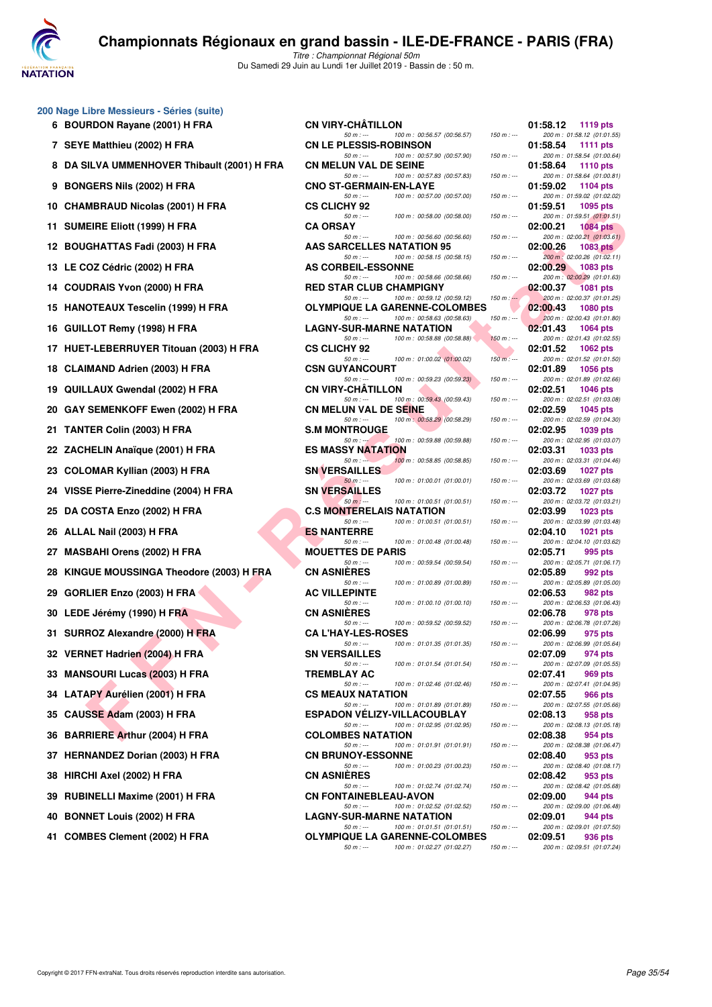

|    | 200 Nage Libre Messieurs - Séries (suite)     |                                                                                                                                                           |                                                                                         |
|----|-----------------------------------------------|-----------------------------------------------------------------------------------------------------------------------------------------------------------|-----------------------------------------------------------------------------------------|
|    | 6 BOURDON Rayane (2001) H FRA                 | <b>CN VIRY-CHATILLON</b><br>$50 m: -$<br>$150 m: -$<br>100 m : 00:56.57 (00:56.57)                                                                        | 01:58.12<br>1119 pts<br>200 m: 01:58.12 (01:01.55)                                      |
|    | 7 SEYE Matthieu (2002) H FRA                  | <b>CN LE PLESSIS-ROBINSON</b><br>$50 m: -$<br>100 m : 00:57.90 (00:57.90)<br>$150 m : -$                                                                  | 01:58.54<br><b>1111 pts</b><br>200 m: 01:58.54 (01:00.64)                               |
| 8  | DA SILVA UMMENHOVER Thibault (2001) H FRA     | <b>CN MELUN VAL DE SEINE</b><br>100 m: 00:57.83 (00:57.83)<br>$50 m: -$<br>$150 m: -$                                                                     | 01:58.64<br>1110 pts<br>200 m: 01:58.64 (01:00.81)                                      |
|    | 9 BONGERS Nils (2002) H FRA                   | <b>CNO ST-GERMAIN-EN-LAYE</b><br>100 m : 00:57.00 (00:57.00)<br>$50 m: -$<br>$150 m : -$                                                                  | 01:59.02<br><b>1104 pts</b><br>200 m: 01:59.02 (01:02.02)                               |
|    | 10 CHAMBRAUD Nicolas (2001) H FRA             | <b>CS CLICHY 92</b>                                                                                                                                       | 01:59.51<br>1095 pts                                                                    |
|    | 11 SUMEIRE Eliott (1999) H FRA                | $50 m: -$<br>100 m : 00:58.00 (00:58.00)<br>$150 m : -$<br><b>CA ORSAY</b>                                                                                | 200 m: 01:59.51 (01:01.51)<br>02:00.21<br><b>1084 pts</b>                               |
|    | 12 BOUGHATTAS Fadi (2003) H FRA               | $50 m: -$<br>100 m : 00:56.60 (00:56.60)<br>$150 m : -$<br>AAS SARCELLES NATATION 95                                                                      | 200 m: 02:00.21 (01:03.61)<br>02:00.26<br><b>1083 pts</b>                               |
|    | 13 LE COZ Cédric (2002) H FRA                 | 100 m: 00:58.15 (00:58.15)<br>$50 m: -$<br>$150 m : -$<br><b>AS CORBEIL-ESSONNE</b>                                                                       | 200 m : 02:00.26 (01:02.11)<br>02:00.29<br><b>1083 pts</b>                              |
|    | 14 COUDRAIS Yvon (2000) H FRA                 | $50 m: -$<br>100 m: 00:58.66 (00:58.66)<br>$150 m: -$<br><b>RED STAR CLUB CHAMPIGNY</b>                                                                   | 200 m: 02:00.29 (01:01.63)<br>02:00.37<br><b>1081 pts</b>                               |
|    | 15 HANOTEAUX Tescelin (1999) H FRA            | $150 m : -$<br>$50 m: -$<br>100 m : 00:59.12 (00:59.12)<br><b>OLYMPIQUE LA GARENNE-COLOMBES</b><br>100 m: 00:58.63 (00:58.63)<br>$50 m: -$<br>$150 m : -$ | 200 m: 02:00.37 (01:01.25)<br>02:00.43<br><b>1080 pts</b><br>200 m: 02:00.43 (01:01.80) |
|    | 16 GUILLOT Remy (1998) H FRA                  | <b>LAGNY-SUR-MARNE NATATION</b>                                                                                                                           | 02:01.43<br>1064 pts                                                                    |
|    | 17 HUET-LEBERRUYER Titouan (2003) H FRA       | 100 m: 00:58.88 (00:58.88)<br>$50 m: -$<br>$150 m: -$<br><b>CS CLICHY 92</b>                                                                              | 200 m: 02:01.43 (01:02.55)<br>02:01.52<br>1062 pts                                      |
|    | 18 CLAIMAND Adrien (2003) H FRA               | 100 m: 01:00.02 (01:00.02)<br>$50 m: -$<br>$150 m$ : ---<br><b>CSN GUYANCOURT</b>                                                                         | 200 m: 02:01.52 (01:01.50)<br>02:01.89<br><b>1056 pts</b>                               |
| 19 | QUILLAUX Gwendal (2002) H FRA                 | $50 m: -$<br>100 m: 00:59.23 (00:59.23)<br>$150 m : -$<br><b>CN VIRY-CHATILLON</b>                                                                        | 200 m: 02:01.89 (01:02.66)<br>02:02.51<br>1046 pts                                      |
| 20 | GAY SEMENKOFF Ewen (2002) H FRA               | $50 m: -$<br>100 m : 00:59.43 (00:59.43)<br>$150 m : -$<br><b>CN MELUN VAL DE SEINE</b>                                                                   | 200 m: 02:02.51 (01:03.08)<br>02:02.59<br>1045 pts                                      |
|    | 21 TANTER Colin (2003) H FRA                  | 100 m : 00:58.29 (00:58.29)<br>$50 m: -$<br>$150 m : -$<br><b>S.M MONTROUGE</b>                                                                           | 200 m: 02:02.59 (01:04.30)<br>02:02.95<br>1039 pts                                      |
|    | 22 ZACHELIN Anaïque (2001) H FRA              | 100 m: 00:59.88 (00:59.88)<br>$50 m: -1$<br>$150 m: -$<br><b>ES MASSY NATATION</b>                                                                        | 200 m: 02:02.95 (01:03.07)<br>02:03.31<br>1033 pts                                      |
|    | 23 COLOMAR Kyllian (2003) H FRA               | 100 m: 00:58.85 (00:58.85)<br>$50 m: -$<br>$150 m: -$<br><b>SN VERSAILLES</b>                                                                             | 200 m: 02:03.31 (01:04.46)<br>02:03.69<br>1027 pts                                      |
|    | 24 VISSE Pierre-Zineddine (2004) H FRA        | $50 m: -$<br>100 m: 01:00.01 (01:00.01)<br>$150 m : -$<br><b>SN VERSAILLES</b>                                                                            | 200 m: 02:03.69 (01:03.68)<br>02:03.72<br>1027 pts                                      |
|    | 25 DA COSTA Enzo (2002) H FRA                 | $50 m: -$<br>100 m: 01:00.51 (01:00.51)<br>$150 m: -$<br><b>C.S MONTERELAIS NATATION</b>                                                                  | 200 m: 02:03.72 (01:03.21)<br>02:03.99<br>1023 pts                                      |
|    |                                               | $50 m: -$<br>100 m: 01:00.51 (01:00.51)<br>$150 m : -$<br><b>ES NANTERRE</b>                                                                              | 200 m: 02:03.99 (01:03.48)                                                              |
|    | 26 ALLAL Nail (2003) H FRA                    | $50 m: -$<br>100 m: 01:00.48 (01:00.48)<br>$150 m : -$                                                                                                    | 02:04.10<br>1021 pts<br>200 m: 02:04.10 (01:03.62)                                      |
|    | 27 MASBAHI Orens (2002) H FRA                 | <b>MOUETTES DE PARIS</b><br>$50 m: -$<br>100 m: 00:59.54 (00:59.54)<br>$150 m: -$                                                                         | 02:05.71<br>995 pts<br>200 m: 02:05.71 (01:06.17)                                       |
| 28 | <b>KINGUE MOUSSINGA Theodore (2003) H FRA</b> | <b>CN ASNIERES</b><br>100 m: 01:00.89 (01:00.89)<br>$50 m: -$<br>$150 m: -$                                                                               | 02:05.89<br>992 pts<br>200 m: 02:05.89 (01:05.00)                                       |
| 29 | GORLIER Enzo (2003) H FRA                     | <b>AC VILLEPINTE</b><br>$50 m: -$<br>100 m : 01:00.10 (01:00.10)<br>$150 m : -$                                                                           | 02:06.53<br>982 pts<br>200 m: 02:06.53 (01:06.43)                                       |
|    | 30 LEDE Jérémy (1990) H FRA                   | <b>CN ASNIERES</b><br>$50 m: -$<br>100 m : 00:59.52 (00:59.52)<br>$150 m: -$                                                                              | 02:06.78<br>978 pts<br>200 m: 02:06.78 (01:07.26)                                       |
|    | 31 SURROZ Alexandre (2000) H FRA              | <b>CA L'HAY-LES-ROSES</b><br>100 m: 01:01.35 (01:01.35)                                                                                                   | 02:06.99<br>975 pts                                                                     |
|    | 32 VERNET Hadrien (2004) H FRA                | $150 m : -$<br>50 m : ---<br><b>SN VERSAILLES</b>                                                                                                         | 200 m: 02:06.99 (01:05.64)<br>02:07.09<br>974 pts                                       |
|    | 33 MANSOURI Lucas (2003) H FRA                | $50 m: -$<br>100 m: 01:01.54 (01:01.54)<br>$150 m : -$<br><b>TREMBLAY AC</b>                                                                              | 200 m: 02:07.09 (01:05.55)<br>02:07.41<br>969 pts                                       |
|    | 34 LATAPY Aurélien (2001) H FRA               | $50 m: -$<br>100 m: 01:02.46 (01:02.46)<br>$150 m : -$<br><b>CS MEAUX NATATION</b>                                                                        | 200 m: 02:07.41 (01:04.95)<br>02:07.55<br>966 pts                                       |
| 35 | CAUSSE Adam (2003) H FRA                      | $50 m: -$<br>100 m: 01:01.89 (01:01.89)<br>$150 m : -$<br><b>ESPADON VELIZY-VILLACOUBLAY</b>                                                              | 200 m: 02:07.55 (01:05.66)<br>02:08.13<br>958 pts                                       |
| 36 | <b>BARRIERE Arthur (2004) H FRA</b>           | $50 m: -$<br>100 m: 01:02.95 (01:02.95)<br>$150 m : -$<br><b>COLOMBES NATATION</b>                                                                        | 200 m : 02:08.13 (01:05.18)<br>02:08.38<br>954 pts                                      |
| 37 | <b>HERNANDEZ Dorian (2003) H FRA</b>          | 100 m: 01:01.91 (01:01.91)<br>$50 m: -$<br>$150 m : -$<br><b>CN BRUNOY-ESSONNE</b>                                                                        | 200 m: 02:08.38 (01:06.47)<br>02:08.40<br>953 pts                                       |
| 38 | HIRCHI Axel (2002) H FRA                      | 100 m: 01:00.23 (01:00.23)<br>$50 m: -$<br>$150 m : -$<br><b>CN ASNIERES</b>                                                                              | 200 m: 02:08.40 (01:08.17)<br>02:08.42<br>953 pts                                       |
| 39 | <b>RUBINELLI Maxime (2001) H FRA</b>          | $50 m: -$<br>100 m: 01:02.74 (01:02.74)<br>$150 m : -$<br><b>CN FONTAINEBLEAU-AVON</b>                                                                    | 200 m: 02:08.42 (01:05.68)<br>02:09.00<br>944 pts                                       |
| 40 | <b>BONNET Louis (2002) H FRA</b>              | 100 m: 01:02.52 (01:02.52)<br>$50 m: -$<br>$150 m : -$<br><b>LAGNY-SUR-MARNE NATATION</b>                                                                 | 200 m: 02:09.00 (01:06.48)<br>02:09.01<br>944 pts                                       |
|    | 41 COMBES Clement (2002) H FRA                | $50 m: -$<br>100 m: 01:01.51 (01:01.51)<br>$150 m : -$<br><b>OLYMPIQUE LA GARENNE-COLOMBES</b>                                                            | 200 m : 02:09.01 (01:07.50)<br>02:09.51<br>936 pts                                      |

| -CHÂTILLON                                  |  |                             |               | 01:58.12 | 1119 pts                                      |
|---------------------------------------------|--|-----------------------------|---------------|----------|-----------------------------------------------|
| $50 m: -$<br><b>LESSIS-ROBINSON</b>         |  | 100 m: 00:56.57 (00:56.57)  | $150 m : -$   | 01:58.54 | 200 m: 01:58.12 (01:01.55)<br>1111 pts        |
| $50 m: -$                                   |  | 100 m : 00:57.90 (00:57.90) | $150 m : -$   |          | 200 m: 01:58.54 (01:00.64)                    |
| <b>JN VAL DE SEINE</b><br>$50 m: -$         |  | 100 m: 00:57.83 (00:57.83)  | $150 m: -$    | 01:58.64 | <b>1110 pts</b><br>200 m: 01:58.64 (01:00.81) |
| <b>GERMAIN-EN-LAYE</b>                      |  |                             |               | 01:59.02 | 1104 $pts$                                    |
| $50 m: -$<br>HY 92                          |  | 100 m : 00:57.00 (00:57.00) | $150 m : -$   | 01:59.51 | 200 m: 01:59.02 (01:02.02)<br>1095 pts        |
| $50 m: -$                                   |  | 100 m : 00:58.00 (00:58.00) | $150 m: -$    |          | 200 m: 01:59.51 (01:01.51)                    |
| AΥ                                          |  | 100 m : 00:56.60 (00:56.60) | $150 m: -$    | 02:00.21 | <b>1084 pts</b><br>200 m: 02:00.21 (01:03.61) |
| 50 m : ---<br><b>RCELLES NATATION 95</b>    |  |                             |               | 02:00.26 | 1083 $pts$                                    |
| $50 m: -$<br><b>BEIL-ESSONNE</b>            |  | 100 m: 00:58.15 (00:58.15)  | $150 m : -$   | 02:00.29 | 200 m : 02:00.26 (01:02.11)<br>1083 pts       |
| $50 m: -$                                   |  | 100 m : 00:58.66 (00:58.66) | $150 m : -$   |          | 200 m: 02:00.29 (01:01.63)                    |
| <b>AR CLUB CHAMPIGNY</b>                    |  |                             |               | 02:00.37 | <b>1081 pts</b>                               |
| $50 m: -$<br><b>QUE LA GARENNE-COLOMBES</b> |  | 100 m : 00:59.12 (00:59.12) | $150 m : -$   | 02:00.43 | 200 m: 02:00.37 (01:01.25)<br>1080 pts        |
| $50 m: -$                                   |  | 100 m: 00:58.63 (00:58.63)  | $150 m : -$   |          | 200 m : 02:00.43 (01:01.80)                   |
| <b>SUR-MARNE NATATION</b>                   |  |                             |               | 02:01.43 | 1064 pts                                      |
| $50 m: -$<br>HY 92                          |  | 100 m: 00:58.88 (00:58.88)  | $150 m : -$   | 02:01.52 | 200 m: 02:01.43 (01:02.55)<br>1062 $pts$      |
| $50 m: -$                                   |  | 100 m: 01:00.02 (01:00.02)  | $150 m$ : --- |          | 200 m: 02:01.52 (01:01.50)                    |
| <b>YANCOURT</b>                             |  |                             |               | 02:01.89 | <b>1056 pts</b>                               |
| $50 m: -$<br>-CHÀTILLON                     |  | 100 m : 00:59.23 (00:59.23) | $150 m : -$   | 02:02.51 | 200 m: 02:01.89 (01:02.66)<br><b>1046 pts</b> |
| $50 m: -$                                   |  | 100 m: 00:59.43 (00:59.43)  | $150 m : -$   |          | 200 m: 02:02.51 (01:03.08)                    |
| UN VAL DE S <b>EIN</b> E<br>$50 m: -$       |  | 100 m: 00:58.29 (00:58.29)  | $150 m: -$    | 02:02.59 | <b>1045 pts</b><br>200 m: 02:02.59 (01:04.30) |
| <b>ITROUGE</b>                              |  |                             |               | 02:02.95 | <b>1039 pts</b>                               |
| $50 m : -1$                                 |  | 100 m : 00:59.88 (00:59.88) | $150 m : -$   |          | 200 m: 02:02.95 (01:03.07)                    |
| SY NATATION<br>$50 m: -$                    |  | 100 m : 00:58.85 (00:58.85) | $150 m : -$   | 02:03.31 | 1033 pts<br>200 m: 02:03.31 (01:04.46)        |
| <b>SAILLES</b>                              |  |                             |               | 02:03.69 | <b>1027 pts</b>                               |
| $50 m: -$<br>SAILLES                        |  | 100 m: 01:00.01 (01:00.01)  | $150 m: -$    | 02:03.72 | 200 m: 02:03.69 (01:03.68)<br>1027 $p$ ts     |
| $50 m: -$                                   |  | 100 m: 01:00.51 (01:00.51)  | $150 m : -$   |          | 200 m : 02:03.72 (01:03.21)                   |
| ITERELAIS NATATION                          |  |                             |               | 02:03.99 | 1023 pts                                      |
| $50 m: -$<br><b>TERRE</b>                   |  | 100 m: 01:00.51 (01:00.51)  | $150 m: -$    | 02:04.10 | 200 m: 02:03.99 (01:03.48)<br>1021 pts        |
| $50 m: -$                                   |  | 100 m: 01:00.48 (01:00.48)  | $150 m : -$   |          | 200 m: 02:04.10 (01:03.62)                    |
| 'ES DE PARIS<br>$50 m: -$                   |  | 100 m: 00:59.54 (00:59.54)  | $150 m : -$   | 02:05.71 | 995 pts<br>200 m: 02:05.71 (01:06.17)         |
| <b>ERES</b>                                 |  |                             |               | 02:05.89 | 992 pts                                       |
| $50 m: -$<br><b>EPINTE</b>                  |  | 100 m: 01:00.89 (01:00.89)  | $150 m: -$    | 02:06.53 | 200 m: 02:05.89 (01:05.00)<br>982 pts         |
| $50 m: -$                                   |  | 100 m: 01:00.10 (01:00.10)  | $150 m: -$    |          | 200 m: 02:06.53 (01:06.43)                    |
| <b>ERES</b>                                 |  |                             |               | 02:06.78 | 978 pts                                       |
| $50 m: -$<br><b>Y-LES-ROSES</b>             |  | 100 m : 00:59.52 (00:59.52) | $150 m : -$   | 02:06.99 | 200 m: 02:06.78 (01:07.26)<br>975 pts         |
| 50 m : ---                                  |  | 100 m: 01:01.35 (01:01.35)  | $150 m : -$   |          | 200 m: 02:06.99 (01:05.64)                    |
| <b>SAILLES</b><br>$50 m: -$                 |  | 100 m: 01:01.54 (01:01.54)  | $150 m : -$   | 02:07.09 | 974 pts<br>200 m: 02:07.09 (01:05.55)         |
| AY AC.                                      |  |                             |               | 02:07.41 | 969 pts                                       |
| $50 m: -$                                   |  | 100 m: 01:02.46 (01:02.46)  | $150 m : -$   | 02:07.55 | 200 m: 02:07.41 (01:04.95)                    |
| UX NATATION<br>$50 m: -$                    |  | 100 m: 01:01.89 (01:01.89)  | $150 m : -$   |          | 966 pts<br>200 m: 02:07.55 (01:05.66)         |
| <b>IN VELIZY-VILLACOUBLAY</b>               |  |                             |               | 02:08.13 | 958 pts                                       |
| $50 m: -$<br><b>BES NATATION</b>            |  | 100 m: 01:02.95 (01:02.95)  | $150 m: -$    | 02:08.38 | 200 m: 02:08.13 (01:05.18)<br>954 pts         |
| $50 m: -$                                   |  | 100 m: 01:01.91 (01:01.91)  | $150 m : -$   |          | 200 m: 02:08.38 (01:06.47)                    |
| <b>NOY-ESSONNE</b><br>$50 m: -$             |  | 100 m: 01:00.23 (01:00.23)  | $150 m : -$   | 02:08.40 | 953 pts<br>200 m: 02:08.40 (01:08.17)         |
| <b>ERES</b>                                 |  |                             |               | 02:08.42 | 953 pts                                       |
| 50 m : ---<br><b>TAINEBLEAU-AVON</b>        |  | 100 m: 01:02.74 (01:02.74)  | $150 m: -$    | 02:09.00 | 200 m: 02:08.42 (01:05.68)<br>944 pts         |
| $50 m: -$                                   |  | 100 m: 01:02.52 (01:02.52)  | $150 m : -$   |          | 200 m: 02:09.00 (01:06.48)                    |
| SUR-MARNE NATATION                          |  |                             |               | 02:09.01 | 944 pts                                       |
| $50 m: -$<br><b>QUE LA GARENNE-COLOMBES</b> |  | 100 m: 01:01.51 (01:01.51)  | $150 m : -$   | 02:09.51 | 200 m: 02:09.01 (01:07.50)<br>936 pts         |
| $50 m: -$                                   |  | 100 m: 01:02.27 (01:02.27)  | $150 m : -$   |          | 200 m: 02:09.51 (01:07.24)                    |
|                                             |  |                             |               |          |                                               |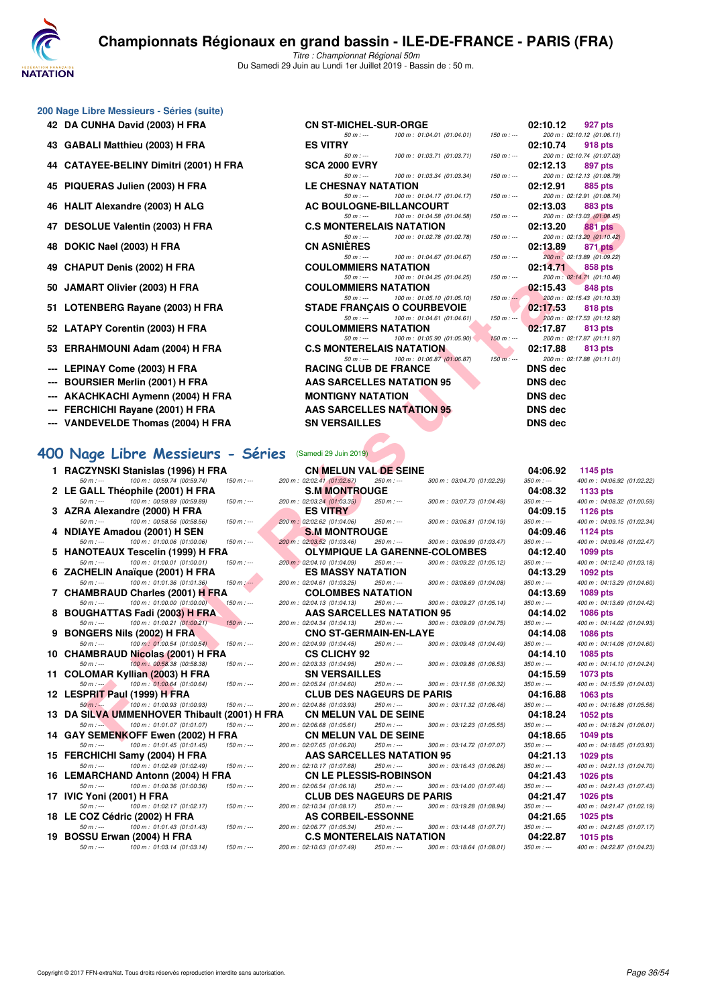

Titre : Championnat Régional 50m Du Samedi 29 Juin au Lundi 1er Juillet 2019 - Bassin de : 50 m.

#### **200 Nage Libre Messieurs - Séries (suite)**

- 
- **43 GABALI Matthieu (2003) H FRA**
- **44 CATAYEE-BELINY Dimitri (2001) H FRA**
- **45 PIQUERAS Julien (2003) H FRA**
- 
- **47 DESOLUE Valentin (2003) H FRA**
- 
- 
- 
- 
- 
- 
- **LEPINAY Come (2003) H FRA**
- **BOURSIER Merlin (2001) H FRA**
- --- AKACHKACHI Aymenn (2004) H FRA
- --- FERCHICHI Rayane (2001) H FRA
- **VANDEVELDE Thomas (2004) H FRA**

#### **[400 Nage Libre Messieurs - Séries](http://www.ffnatation.fr/webffn/resultats.php?idact=nat&go=epr&idcpt=61555&idepr=54)** (Samedi 29 Juin 2019)

1 RACZYNSKI Stanislas (1996) H FRA **CN MELUN VAL DE SEINE** 2 LE GALL Théophile (2001) H FRA **3 AZRA Alexandre (2000) H FRA ES VITRY**<br>
50 m = 100 m = 02:58 56 (00:58.56) = 150 m = 200 m = 02:02.62 (01:04.06) = 250 m = 300 m = 03:06 ft 4 NDIAYE Amadou (2001) H SEN S.M MONTROUGE 50 m : --- 100 m : 01:00.06 (01:00.06) 150 m : --- 200 m : 02:03.46 250 m : -- 300 m : 03:06.99 (01:03.47) 350 m : -- 400 m : 04:09.46 (01:02.47)<br>HANOTEAUX Tescelin (1999) H FRA OLYMPIQUE LA GARENNE-COLOMBES 04:12.40 1099 **5 HANOTEAUX Tescelin (1999) H FRA OLYMPIQUE LA GARENNE-COLOMBES 04:12.40 1099 pts 6 ZACHELIN Anaïque (2001) H FRA ES MASSY NATATION** 50 m : 109 m : 01:01:03.08 pts in 109 m : 01:01:03.08 pts in 109 m : 03:08.6 **7 CHAMBRAUD Charles (2001) H FRA COLOMBES NATATION**<br>
50.m = 100.m = 01:00.00 (01:00.00) = 150.m = 200.m = 02:04 13.(01:04 13) = 250.m = 300.m = 03:09 2 **8 BOUGHATTAS Fadi (2003) H FRA AAS SARCELLES NATATION 95**<br>  $50 m$ :  $\cdots$  100 m: 01:00.21 (01:00.21) 150 m;  $\cdots$  200 m: 02:04.34 (01:04.13) 250 m;  $\cdots$  300 m; 03:09.0 **9 BONGERS Nils (2002) H FRA CNO ST-GERMAIN-EN-LAYE**<br>  $\frac{50 \text{ m} \cdot \text{m}}{200 \text{ m} \cdot 00 \text{ m} \cdot 00 \text{ m} \cdot 00 \cdot 00 \cdot 00 \cdot 4}}$   $\frac{150 \text{ m} \cdot \text{m}}{150 \text{ m} \cdot \text{m}}$   $\frac{200 \text{ m} \cdot 0204.99}{250 \text{ m} \cdot 0304.45}$   $\frac{250 \text{ m} \cdot \text$ **10 CHAMBRAUD Nicolas (2001) H FRA CS CLICHY 92 04:14.10 1085 pts** 100 m : 00:58.38 (00:58.38) **11 COLOMAR Kyllian (2003) H FRA** SN VERSAILLES 50 m: -- 500 m: 03:11.5 **12 LESPRIT Paul (1999) H FRA CLUB DES NAGEURS DE PARIS**<br>
50 m : 100 m : 01:00.93 (01:00.93) 150 m : 160 m : 02:04.86 (01:03.93) 250 m : 16 00 m : 03:11.3 **13 DA SILVA UMMENHOVER Thibault (2001) H FRA CN MELUN VAL DE SEINE 04:18.24 1052 pts 14 GAY SEMENKOFF Ewen (2002) H FRA CN MELUN VAL DE SEINE**<br>
50 m : --- 100 m : 01:01.45 (01:01.45) 150 m :-- 200 m : 02:07.65 (01:06.20) 250 m :-- 300 m : 03:14.7 **15 FERCHICHI Samy (2004) H FRA AAS SARCELLES NATATION 95 50** m : --- **100** m : 01:02.49 (01:02.49) **150** m : -- **200 m** : 02:10.17 (01:07.68) **250** m : -- **300** m : 03:16.4 **16 LEMARCHAND Antonn (2004) H FRA CN LE PLESSIS-ROBINSON**<br>
50 m : --- 100 m : 01:00.36 (01:00.36) 150 m :--- 200 m : 02:06.54 (01:06.18) 250 m :--- 300 m : 03:14.0 **17 IVIC Yoni (2001) H FRA CLUB DES NAGEURS DE PARIS 60 m** : --- **100 m** : 01:02.17 (01:02.17) **150 m** : -- **200 m** : 02:10.34 (01:08.17) **250 m** :-- **300 m** : 03:19.2 **18 LE COZ Cédric (2002) H FRA 19 BOSSU Erwan (2004) H FRA C.S MONTERELAIS NATATION**<br>
50 m : --- 100 m : 01:03.14 (01:03.14) 150 m : -- 200 m : 02:10.63 (01:07.49) 250 m : -- 300 m : 03:18.6

| Copyright © 2017 FFN-extraNat. Tous droits réservés reproduction interdite sans autorisation. | Page 36/54 |
|-----------------------------------------------------------------------------------------------|------------|

| JU Nage Libre Messieurs - Series (suite). |                                    |                                        |                         |                |                            |
|-------------------------------------------|------------------------------------|----------------------------------------|-------------------------|----------------|----------------------------|
| 42 DA CUNHA David (2003) H FRA            | <b>CN ST-MICHEL-SUR-ORGE</b>       |                                        |                         | 02:10.12       | 927 pts                    |
|                                           | $50 m : -$                         | 100 m: 01:04.01 (01:04.01)             | $150 m : -$             |                | 200 m: 02:10.12 (01:06.11) |
| 43 GABALI Matthieu (2003) H FRA           | <b>ES VITRY</b>                    |                                        |                         | 02:10.74       | 918 pts                    |
|                                           |                                    | 50 m : --- 100 m : 01:03.71 (01:03.71) | $150 m : -$             |                | 200 m: 02:10.74 (01:07.03  |
| 44 CATAYEE-BELINY Dimitri (2001) H FRA    | <b>SCA 2000 EVRY</b>               |                                        |                         | 02:12.13       | 897 pts                    |
|                                           | $50 m: -$                          | 100 m : 01:03.34 (01:03.34)            | $150 m : -$             |                | 200 m: 02:12.13 (01:08.79  |
| 45 PIQUERAS Julien (2003) H FRA           | <b>LE CHESNAY NATATION</b>         |                                        |                         | 02:12.91       | 885 pts                    |
|                                           | $50 m : -$                         | 100 m : 01:04.17 (01:04.17)            | $150 m : -$             |                | 200 m: 02:12.91 (01:08.74  |
| 46 HALIT Alexandre (2003) H ALG           | AC BOULOGNE-BILLANCOURT            |                                        |                         | 02:13.03       | 883 pts                    |
|                                           | $50 m: -$                          | 100 m : 01:04.58 (01:04.58)            | $150 m : -$             |                | 200 m: 02:13.03 (01:08.45  |
| 47 DESOLUE Valentin (2003) H FRA          | <b>C.S MONTERELAIS NATATION</b>    |                                        |                         | 02:13.20       | 881 pts                    |
|                                           | $50 m : -$                         | 100 m : 01:02.78 (01:02.78)            | $150 m : -$             |                | 200 m: 02:13.20 (01:10.42  |
| 48 DOKIC Nael (2003) H FRA                | <b>CN ASNIÈRES</b>                 |                                        |                         | 02:13.89       | 871 pts                    |
|                                           |                                    | 50 m : --- 100 m : 01:04.67 (01:04.67) | $150 m$ : $-$           |                | 200 m : 02:13.89 (01:09.22 |
| 49 CHAPUT Denis (2002) H FRA              | <b>COULOMMIERS NATATION</b>        |                                        |                         | 02:14.71       | 858 pts                    |
|                                           | $50 m: -$                          | 100 m : 01:04.25 (01:04.25)            | $150 m : -$             |                | 200 m: 02:14.71 (01:10.46  |
| 50 JAMART Olivier (2003) H FRA            | <b>COULOMMIERS NATATION</b>        |                                        |                         | 02:15.43       | 848 pts                    |
|                                           | $50 m: -$                          | 100 m: 01:05.10 (01:05.10)             | $150 \text{ m}$ : $-$ 0 |                | 200 m: 02:15.43 (01:10.33) |
| 51 LOTENBERG Rayane (2003) H FRA          | <b>STADE FRANÇAIS O COURBEVOIE</b> |                                        |                         | 02:17.53       | 818 pts                    |
|                                           | $50 m$ : $--$                      | 100 m: 01:04.61 (01:04.61)             | $150 m : -1$            |                | 200 m: 02:17.53 (01:12.92) |
| 52 LATAPY Corentin (2003) H FRA           | <b>COULOMMIERS NATATION</b>        |                                        |                         | 02:17.87       | 813 pts                    |
|                                           | $50 m: -$                          | 100 m: 01:05.90 (01:05.90)             | $150 m: -$              |                | 200 m: 02:17.87 (01:11.97  |
| 53 ERRAHMOUNI Adam (2004) H FRA           | <b>C.S MONTERELAIS NATATION</b>    |                                        |                         | 02:17.88       | 813 pts                    |
|                                           | $50 m: -$                          | 100 m : 01:06.87 (01:06.87)            | $150 m$ : ---           |                | 200 m: 02:17.88 (01:11.01  |
| --- LEPINAY Come (2003) H FRA             | <b>RACING CLUB DE FRANCE</b>       |                                        |                         | <b>DNS</b> dec |                            |
| --- BOURSIER Merlin (2001) H FRA          | AAS SARCELLES NATATION 95          |                                        |                         | DNS dec        |                            |
| --- AKACHKACHI Aymenn (2004) H FRA        | <b>MONTIGNY NATATION</b>           |                                        |                         | <b>DNS</b> dec |                            |
| --- FERCHICHI Rayane (2001) H FRA         | <b>AAS SARCELLES NATATION 95</b>   |                                        |                         | <b>DNS</b> dec |                            |
|                                           |                                    |                                        |                         |                |                            |
| --- VANDEVELDE Thomas (2004) H FRA        | <b>SN VERSAILLES</b>               |                                        |                         | <b>DNS</b> dec |                            |
|                                           |                                    |                                        |                         |                |                            |

|       |         | 02:10.12 927 pts            |
|-------|---------|-----------------------------|
| : --- |         | 200 m: 02:10.12 (01:06.11)  |
|       |         | 02:10.74 918 pts            |
|       |         | 200 m: 02:10.74 (01:07.03)  |
|       |         | 02:12.13 897 pts            |
|       |         | 200 m: 02:12.13 (01:08.79)  |
|       |         | 02:12.91 885 pts            |
|       |         | 200 m: 02:12.91 (01:08.74)  |
|       |         | 02:13.03 883 pts            |
|       |         | 200 m: 02:13.03 (01:08.45)  |
|       |         | 02:13.20 881 pts            |
|       |         | 200 m : 02:13.20 (01:10.42) |
|       |         | 02:13.89 871 pts            |
|       |         | 200 m: 02:13.89 (01:09.22)  |
|       |         | $02:14.71$ 858 pts          |
|       |         | 200 m: 02:14.71 (01:10.46)  |
|       |         | 02:15.43 848 pts            |
|       |         | 200 m: 02:15.43 (01:10.33)  |
|       |         | 02:17.53 818 pts            |
|       |         | 200 m: 02:17.53 (01:12.92)  |
|       |         | 02:17.87 813 pts            |
|       |         | 200 m: 02:17.87 (01:11.97)  |
|       |         | 02:17.88 813 pts            |
|       |         | 200 m: 02:17.88 (01:11.01)  |
|       | DNS dec |                             |
|       | DNS dec |                             |
|       | DNS dec |                             |
|       | DNS dec |                             |
|       |         |                             |
|       | DNS dec |                             |

| LII Alexandre (2003) II ALG                                                                        | AC BOULOGNE-BILLANCOURT                                                                                 | <u>uz. 19.09</u><br>oos pis                                              |
|----------------------------------------------------------------------------------------------------|---------------------------------------------------------------------------------------------------------|--------------------------------------------------------------------------|
| SOLUE Valentin (2003) H FRA                                                                        | 100 m: 01:04.58 (01:04.58)<br>$50 m: -$<br>$150 m : -$<br><b>C.S MONTERELAIS NATATION</b>               | 200 m: 02:13.03 (01:08.45)<br>02:13.20<br>881 pts                        |
|                                                                                                    | $50 m: -$<br>100 m: 01:02.78 (01:02.78)<br>$150 m : -$                                                  | 200 m: 02:13.20 (01:10.42)                                               |
| KIC Nael (2003) H FRA                                                                              | <b>CN ASNIERES</b><br>$50 m: -$<br>100 m: 01:04.67 (01:04.67)<br>$150 m : -$                            | 02:13.89<br>871 pts<br>200 m : 02:13.89 (01:09.22)                       |
| APUT Denis (2002) H FRA                                                                            | <b>COULOMMIERS NATATION</b>                                                                             | 02:14.71<br>858 pts                                                      |
|                                                                                                    | 100 m: 01:04.25 (01:04.25)<br>$50 m: -$<br>$150 m : -$                                                  | 200 m: 02:14.71 (01:10.46)                                               |
| MART Olivier (2003) H FRA                                                                          | <b>COULOMMIERS NATATION</b><br>$50 m: -$<br>100 m : 01:05.10 (01:05.10)<br>$150 m : -$                  | 02:15.43<br>848 pts<br>200 m: 02:15.43 (01:10.33)                        |
| TENBERG Rayane (2003) H FRA                                                                        | <b>STADE FRANÇAIS O COURBEVOIE</b>                                                                      | 02:17.53<br>818 pts                                                      |
|                                                                                                    | $50 m: -$<br>100 m: 01:04.61 (01:04.61)<br>$150 m : -$                                                  | 200 m: 02:17.53 (01:12.92)                                               |
| TAPY Corentin (2003) H FRA                                                                         | <b>COULOMMIERS NATATION</b><br>100 m: 01:05.90 (01:05.90)<br>$150 m : -$<br>$50 m: -$                   | 02:17.87<br>813 pts<br>200 m: 02:17.87 (01:11.97)                        |
| RAHMOUNI Adam (2004) H FRA                                                                         | <b>C.S MONTERELAIS NATATION</b>                                                                         | 02:17.88<br>813 pts                                                      |
|                                                                                                    | $50 m: -$<br>100 m: 01:06.87 (01:06.87)<br>$150 m: -$                                                   | 200 m: 02:17.88 (01:11.01)                                               |
| PINAY Come (2003) H FRA                                                                            | <b>RACING CLUB DE FRANCE</b>                                                                            | <b>DNS</b> dec                                                           |
| URSIER Merlin (2001) H FRA                                                                         | AAS SARCELLES NATATION 95                                                                               | <b>DNS</b> dec                                                           |
| ACHKACHI Aymenn (2004) H FRA                                                                       | <b>MONTIGNY NATATION</b><br><b>AAS SARCELLES NATATION 95</b>                                            | <b>DNS</b> dec                                                           |
| RCHICHI Rayane (2001) H FRA                                                                        |                                                                                                         | <b>DNS dec</b>                                                           |
| <b>NDEVELDE Thomas (2004) H FRA</b>                                                                | <b>SN VERSAILLES</b>                                                                                    | <b>DNS</b> dec                                                           |
|                                                                                                    |                                                                                                         |                                                                          |
| lage Libre Messieurs - Séries                                                                      | (Samedi 29 Juin 2019)                                                                                   |                                                                          |
| CZYNSKI Stanislas (1996) H FRA                                                                     | <b>CN MELUN VAL DE SEINE</b>                                                                            | 04:06.92<br>1145 pts                                                     |
| $50 m: -$<br>100 m : 00:59.74 (00:59.74)<br>$150 m: -$<br>GALL Théophile (2001) H FRA              | 200 m: 02:02.41 (01:02.67)<br>250 m : ---<br>300 m : 03:04.70 (01:02.29)                                | $350 m : -$<br>400 m: 04:06.92 (01:02.22)                                |
| $50 m: -$<br>100 m : 00:59.89 (00:59.89)<br>$150 m : -$                                            | <b>S.M MONTROUGE</b><br>200 m : 02:03.24 (01:03.35)<br>250 m : ---<br>300 m: 03:07.73 (01:04.49)        | 04:08.32<br>1133 pts<br>$350 m : -$<br>400 m: 04:08.32 (01:00.59)        |
| RA Alexandre (2000) H FRA                                                                          | <b>ES VITRY</b>                                                                                         | 04:09.15<br>1126 pts                                                     |
| 100 m : 00:58.56 (00:58.56)<br>$50 m: -$<br>$150 m : -$                                            | 200 m : 02:02.62 (01:04.06)<br>300 m: 03:06.81 (01:04.19)<br>250 m : ---                                | $350 m : -$<br>400 m: 04:09.15 (01:02.34)                                |
| IAYE Amadou (2001) H SEN<br>$50 m : -$<br>100 m : 01:00.06 (01:00.06)<br>$150 m : -$               | <b>S.M MONTROUGE</b><br>200 m : 02:03.52 (01:03.46)<br>250 m : ---<br>300 m: 03:06.99 (01:03.47)        | 04:09.46<br>1124 pts<br>$350 m : -$<br>400 m: 04:09.46 (01:02.47)        |
| NOTEAUX Tescelin (1999) H FRA                                                                      | <b>OLYMPIQUE LA GARENNE-COLOMBES</b>                                                                    | 04:12.40<br>1099 pts                                                     |
| $50 m : -$<br>100 m: 01:00.01 (01:00.01)<br>$150 m : -$                                            | 200 m: 02:04.10 (01:04.09)<br>$250 m : -$<br>300 m : 03:09.22 (01:05.12)                                | $350 m : -$<br>400 m: 04:12.40 (01:03.18)                                |
| CHELIN Anaïque (2001) H FRA<br>$50 m : -$<br>100 m: 01:01.36 (01:01.36)<br>$150 m$ : ---           | <b>ES MASSY NATATION</b><br>200 m: 02:04.61 (01:03.25)<br>300 m: 03:08.69 (01:04.08)<br>250 m : ---     | 04:13.29<br>1092 pts<br>$350 m : -$<br>400 m: 04:13.29 (01:04.60)        |
| AMBRAUD Charles (2001) <del>H</del> FRA                                                            | <b>COLOMBES NATATION</b>                                                                                | 04:13.69<br>1089 pts                                                     |
| 100 m : 01:00.00 (01:00.00)<br>$150 m : -$<br>$50 m : -$                                           | 200 m: 02:04.13 (01:04.13)<br>250 m : ---<br>300 m: 03:09.27 (01:05.14)                                 | $350 m : -$<br>400 m: 04:13.69 (01:04.42)                                |
| UGHATTAS Fadi (2003) H FRA<br>$50 m: -$<br>100 m: 01:00.21 (01:00.21)<br>$150 m: -$                | AAS SARCELLES NATATION 95<br>250 m : ---<br>300 m: 03:09.09 (01:04.75)                                  | 04:14.02<br><b>1086 pts</b><br>$350 m : -$<br>400 m: 04:14.02 (01:04.93) |
| NGERS Nils (2002) H FRA                                                                            | 200 m: 02:04.34 (01:04.13)<br><b>CNO ST-GERMAIN-EN-LAYE</b>                                             | 04:14.08<br><b>1086 pts</b>                                              |
| 100 m: 01:00.54 (01:00.54)<br>$50 m: -$<br>$150 m : -$                                             | 200 m: 02:04.99 (01:04.45)<br>300 m: 03:09.48 (01:04.49)<br>250 m : ---                                 | 400 m: 04:14.08 (01:04.60)<br>$350 m : -$                                |
| AMBRAUD Nicolas (2001) H FRA                                                                       | <b>CS CLICHY 92</b>                                                                                     | 04:14.10<br>1085 pts                                                     |
| 100 m : 00:58.38 (00:58.38)<br>$150 m : -$<br>$50 m: -$<br>LOMAR Kyllian (2003) H FRA              | 200 m: 02:03.33 (01:04.95)<br>$250 m : -$<br>300 m : 03:09.86 (01:06.53)<br><b>SN VERSAILLES</b>        | $350 m : -$<br>400 m: 04:14.10 (01:04.24)<br>04:15.59<br>1073 pts        |
| 100 m : 01:00.64 (01:00.64)<br>$50 m : -1$<br>$150 m : -$                                          | 200 m : 02:05.24 (01:04.60)<br>300 m: 03:11.56 (01:06.32)<br>250 m : ---                                | $350 m : -$<br>400 m: 04:15.59 (01:04.03)                                |
| SPRIT Paul (1999) H FRA                                                                            | <b>CLUB DES NAGEURS DE PARIS</b>                                                                        | 04:16.88<br><b>1063 pts</b>                                              |
| 100 m : 01:00.93 (01:00.93)<br>$50 m : -$<br>150 m : ---<br>SILVA UMMENHOVER Thibault (2001) H FRA | 200 m: 02:04.86 (01:03.93)<br>300 m: 03:11.32 (01:06.46)<br>250 m : ---<br><b>CN MELUN VAL DE SEINE</b> | 400 m: 04:16.88 (01:05.56)<br>350 m : ---<br>04:18.24<br>1052 pts        |
| 100 m: 01:01.07 (01:01.07)<br>$150 m: -$<br>$50 m: -$                                              | 200 m: 02:06.68 (01:05.61)<br>250 m : ---<br>300 m: 03:12.23 (01:05.55)                                 | $350 m : -$<br>400 m: 04:18.24 (01:06.01)                                |
| Y SEMENKOFF Ewen (2002) H FRA                                                                      | <b>CN MELUN VAL DE SEINE</b>                                                                            | 04:18.65<br><b>1049 pts</b>                                              |
| 50 m : ---<br>100 m : 01:01.45 (01:01.45)<br>$150 m : -$                                           | 200 m : 02:07.65 (01:06.20)<br>250 m : ---<br>300 m : 03:14.72 (01:07.07)                               | 400 m: 04:18.65 (01:03.93)<br>350 m : ---                                |
| RCHICHI Samy (2004) H FRA<br>100 m: 01:02.49 (01:02.49)<br>$50 m: -$<br>$150 m : -$                | AAS SARCELLES NATATION 95<br>200 m: 02:10.17 (01:07.68)<br>300 m: 03:16.43 (01:06.26)<br>250 m : ---    | 04:21.13<br>1029 pts<br>$350 m : -$<br>400 m: 04:21.13 (01:04.70)        |
| MARCHAND Antonn (2004) H FRA                                                                       | <b>CN LE PLESSIS-ROBINSON</b>                                                                           | 04:21.43<br><b>1026 pts</b>                                              |
| 100 m: 01:00.36 (01:00.36)<br>$50 m: -$<br>$150 m : -$                                             | 200 m: 02:06.54 (01:06.18)<br>250 m : ---<br>300 m: 03:14.00 (01:07.46)                                 | $350 m : -$<br>400 m: 04:21.43 (01:07.43)                                |
| C Yoni (2001) H FRA<br>100 m: 01:02.17 (01:02.17)                                                  | <b>CLUB DES NAGEURS DE PARIS</b><br>250 m : ---                                                         | 04:21.47<br>1026 pts                                                     |
| 50 m : ---<br>$150 m : -$<br>COZ Cédric (2002) H FRA                                               | 200 m: 02:10.34 (01:08.17)<br>300 m: 03:19.28 (01:08.94)<br><b>AS CORBEIL-ESSONNE</b>                   | $350 m : -$<br>400 m: 04:21.47 (01:02.19)<br>04:21.65<br><b>1025 pts</b> |
| 100 m: 01:01.43 (01:01.43)<br>$50 m: -$<br>150 m : ---                                             | 200 m: 02:06.77 (01:05.34)<br>300 m: 03:14.48 (01:07.71)<br>250 m : ---                                 | $350 m : -$<br>400 m: 04:21.65 (01:07.17)                                |
| SSU Erwan (2004) H FRA                                                                             | <b>C.S MONTERELAIS NATATION</b>                                                                         | 04:22.87<br><b>1015 pts</b>                                              |
| 50 m : ---<br>100 m: 01:03.14 (01:03.14)<br>$150 m : -$                                            | 200 m: 02:10.63 (01:07.49)<br>250 m : ---<br>300 m: 03:18.64 (01:08.01)                                 | 400 m: 04:22.87 (01:04.23)<br>$350 m : -$                                |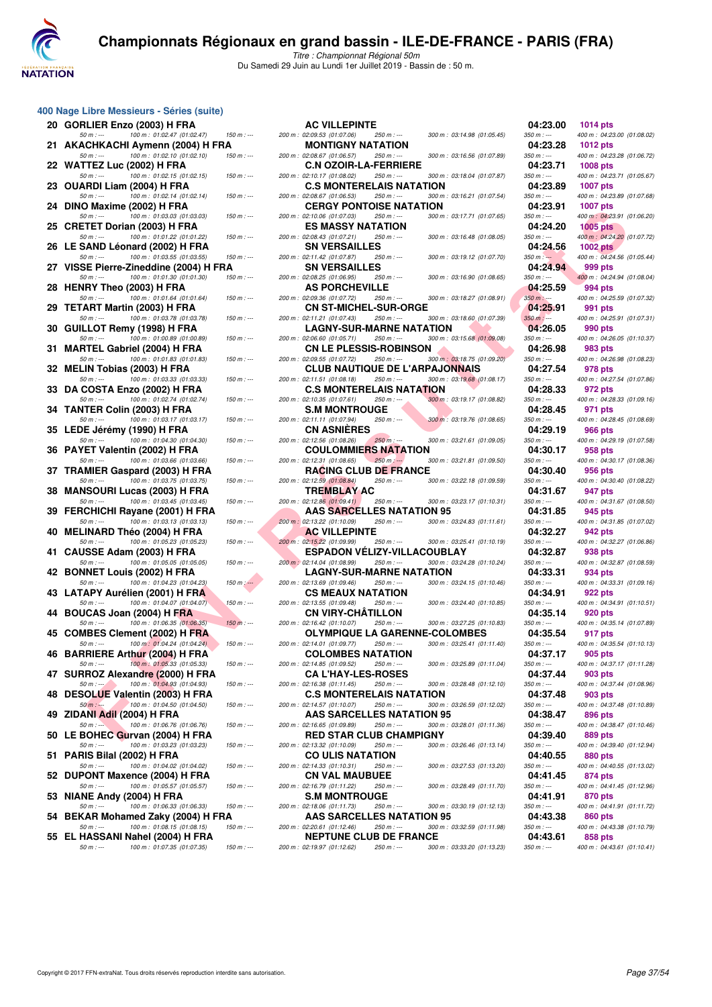

Titre : Championnat Régional 50m Du Samedi 29 Juin au Lundi 1er Juillet 2019 - Bassin de : 50 m.

|    | $50 m: -$<br>100 m: 01:02.14 (01:02.14)        | 15 |
|----|------------------------------------------------|----|
| 24 | DINO Maxime (2002) H FRA                       |    |
|    | 100 m: 01:03.03 (01:03.03)<br>$50 m: -$        | 15 |
| 25 | <b>CRETET Dorian (2003) H FRA</b>              |    |
|    | 100 m: 01:01.22 (01:01.22)<br>50 m : ---       | 15 |
| 26 | LE SAND Léonard (2002) H FRA                   |    |
|    | 100 m: 01:03.55 (01:03.55)<br>$50 m: -$        | 15 |
| 27 | VISSE Pierre-Zineddine (2004) H FRA            |    |
|    | 100 m: 01:01.30 (01:01.30)<br>50 m : ---       | 15 |
| 28 | <b>HENRY Theo (2003) H FRA</b>                 |    |
|    | 100 m: 01:01.64 (01:01.64)<br>$50 m : -$       | 15 |
| 29 | TETART Martin (2003) H FRA                     |    |
|    | 100 m: 01:03.78 (01:03.78)<br>50 m : ---       | 15 |
| 30 | GUILLOT Remy (1998) H FRA                      |    |
|    | $50 m: -$<br>100 m: 01:00.89 (01:00.89)        | 15 |
| 31 | <b>MARTEL Gabriel (2004) H FRA</b>             |    |
|    | $50 m: -$<br>100 m: 01:01.83 (01:01.83)        | 15 |
| 32 | MELIN Tobias (2003) H FRA                      |    |
|    | $50 m: -$<br>100 m: 01:03.33 (01:03.33)        | 15 |
| 33 | DA COSTA Enzo (2002) H FRA                     |    |
|    | $50 m : -$<br>100 m: 01:02.74 (01:02.74)       | 15 |
| 34 | <b>TANTER Colin (2003) H FRA</b>               |    |
|    | 100 m: 01:03.17 (01:03.17)<br>$50 m: -$        | 15 |
| 35 | LEDE Jérémy (1990) H FRA                       |    |
|    | 100 m: 01:04.30 (01:04.30)<br>$50 m: -$        | 15 |
| 36 | PAYET Valentin (2002) H FRA                    |    |
|    | 100 m: 01:03.66 (01:03.66)<br>$50 m: -$        | 15 |
| 37 | TRAMIER Gaspard (2003) H FRA                   |    |
|    | 100 m: 01:03.75 (01:03.75)<br>50 m : ---       | 15 |
| 38 | <b>MANSOURI Lucas (2003) H FRA</b>             |    |
|    | 100 m: 01:03.45 (01:03.45)<br>$50 m: -$        | 15 |
| 39 | FERCHICHI Rayane (2001) H FRA                  |    |
|    | 100 m: 01:03.13 (01:03.13)<br>$50 m: -$        | 15 |
| 40 | MELINARD Théo (2004) H FRA                     |    |
|    | 100 m: 01:05.23 (01:05.23)<br>$50 m: -$        | 15 |
| 41 | CAUSSE Adam (2003) H FRA                       |    |
|    | 100 m: 01:05.05 (01:05.05)<br>50 m : ---       | 15 |
| 42 | <b>BONNET Louis (2002) H FRA</b>               |    |
|    | 100 m: 01:04.23 (01:04.23)<br>$50 m : -$       | 15 |
| 43 | LATAPY Aurélien (2001) H FRA                   |    |
|    | 100 m: 01:04.07 (01:04.07)<br>50 m : ---       | 15 |
| 44 | <b>BOUCAS Joan (2004) H FRA</b>                |    |
|    | 100 m: 01:06.35 (01:06.35)<br>50 m : ---       | 15 |
| 45 | <b>COMBES Clement (2002) H FRA</b>             |    |
|    | 100 m: 01:04.24 (01:04.24)<br>50 m : ---       | 15 |
| 46 | <b>BARRIERE Arthur (2004) H FRA</b>            |    |
|    | $50 m : -$<br>100 m: 01:05.33 (01:05.33)       | 15 |
| 47 | SURROZ Alexandre (2000) H FRA                  |    |
|    | 100 m: 01:04.93 (01:04.93)<br>$50 m : -$<br>Þ. | 15 |
| 10 | <b>DECOLLE Valoritin (2002) H ED A</b>         |    |

**400 Nage Libre Messieurs - Séries (suite)**

|                             | 48 DESOLUE Valentin (2003) H FRA      |    |
|-----------------------------|---------------------------------------|----|
| $50 m : -$                  | $100 \text{ m}$ : 01:04.50 (01:04.50) | 15 |
| 49 ZIDANI Adil (2004) H FRA |                                       |    |
| $50 m : -$                  | 100 m: 01:06.76 (01:06.76)            | 15 |

- 50 m : --- 100 m : 01:03.23 (01:03.23) 150 m : --- 200 m : 02:13.32 (01:10.09) 250 m : --- 300 m : 03:26.46 (01:13.14) 350 m : --- 400 m : 04:39.40 (01:12.94)
- 50 m : --- 100 m : 01:04.02 (01:04.02)
- 50 m : --- 100 m : 01:05.57 (01:05.57)
- 
- 
- 

| $\sim$ may Library measicals center (suite)                                   |               |                                                                                                                  |                         |                                                |
|-------------------------------------------------------------------------------|---------------|------------------------------------------------------------------------------------------------------------------|-------------------------|------------------------------------------------|
| 20 GORLIER Enzo (2003) H FRA                                                  |               | <b>AC VILLEPINTE</b>                                                                                             | 04:23.00                | 1014 pts                                       |
| $50 m: -$<br>100 m: 01:02.47 (01:02.47)                                       | $150 m: -$    | 200 m: 02:09.53 (01:07.06)<br>250 m : ---<br>300 m: 03:14.98 (01:05.45)                                          | $350 m : -$             | 400 m: 04:23.00 (01:08.02)                     |
| 21 AKACHKACHI Aymenn (2004) H FRA<br>100 m: 01:02.10 (01:02.10)<br>$50 m : -$ | 150 m : ---   | <b>MONTIGNY NATATION</b><br>200 m: 02:08.67 (01:06.57)<br>250 m : ---<br>300 m: 03:16.56 (01:07.89)              | 04:23.28<br>350 m : --- | <b>1012 pts</b><br>400 m: 04:23.28 (01:06.72)  |
| 22 WATTEZ Luc (2002) H FRA                                                    |               | <b>C.N OZOIR-LA-FERRIERE</b>                                                                                     | 04:23.71                | <b>1008 pts</b>                                |
| $50 m: -$<br>100 m: 01:02.15 (01:02.15)                                       | $150 m : -$   | 200 m: 02:10.17 (01:08.02)<br>250 m : ---<br>300 m: 03:18.04 (01:07.87)                                          | $350 m : -$             | 400 m: 04:23.71 (01:05.67)                     |
| 23 OUARDI Liam (2004) H FRA<br>$50 m: -$<br>100 m : 01:02.14 (01:02.14)       | $150 m$ : --- | <b>C.S MONTERELAIS NATATION</b><br>200 m: 02:08.67 (01:06.53)<br>250 m : ---<br>300 m: 03:16.21 (01:07.54)       | 04:23.89<br>$350 m : -$ | 1007 pts<br>400 m: 04:23.89 (01:07.68)         |
| 24 DINO Maxime (2002) H FRA                                                   |               | <b>CERGY PONTOISE NATATION</b>                                                                                   | 04:23.91                | <b>1007 pts</b>                                |
| 100 m: 01:03.03 (01:03.03)<br>50 m : ---                                      | $150 m$ : --- | 200 m: 02:10.06 (01:07.03)<br>300 m: 03:17.71 (01:07.65)<br>250 m : ---                                          | 350 m : ---             | 400 m : 04:23.91 (01:06.20)                    |
| 25 CRETET Dorian (2003) H FRA<br>$50 m: -$                                    |               | <b>ES MASSY NATATION</b>                                                                                         | 04:24.20                | $1005$ pts                                     |
| 100 m: 01:01.22 (01:01.22)<br>26 LE SAND Léonard (2002) H FRA                 | $150 m : -$   | 200 m: 02:08.43 (01:07.21)<br>250 m : ---<br>300 m: 03:16.48 (01:08.05)<br><b>SN VERSAILLES</b>                  | $350 m : -$<br>04:24.56 | 400 m : 04:24.20 (01:07.72)<br><b>1002 pts</b> |
| $50 m: -$<br>100 m: 01:03.55 (01:03.55)                                       | $150 m : -$   | 200 m: 02:11.42 (01:07.87)<br>250 m : ---<br>300 m: 03:19.12 (01:07.70)                                          | $350 m: -$              | 400 m: 04:24.56 (01:05.44)                     |
| 27 VISSE Pierre-Zineddine (2004) H FRA                                        |               | <b>SN VERSAILLES</b>                                                                                             | 04:24.94                | 999 pts                                        |
| 100 m: 01:01.30 (01:01.30)<br>$50 m : -$<br>28 HENRY Theo (2003) H FRA        | 150 m : ---   | 200 m: 02:08.25 (01:06.95)<br>250 m : ---<br>300 m: 03:16.90 (01:08.65)<br><b>AS PORCHEVILLE</b>                 | 350 m : ---<br>04:25.59 | 400 m: 04:24.94 (01:08.04)<br>994 pts          |
| $50 m: -$<br>100 m: 01:01.64 (01:01.64)                                       | $150 m : -$   | 200 m: 02:09.36 (01:07.72)<br>250 m : ---<br>300 m: 03:18.27 (01:08.91)                                          | $350 m: -$              | 400 m: 04:25.59 (01:07.32)                     |
| 29 TETART Martin (2003) H FRA                                                 |               | <b>CN ST-MICHEL-SUR-ORGE</b>                                                                                     | 04:25.91                | 991 pts                                        |
| $50 m: -$<br>100 m : 01:03.78 (01:03.78)                                      | $150 m : -$   | 200 m: 02:11.21 (01:07.43)<br>250 m : ---<br>300 m: 03:18.60 (01:07.39)                                          | $350 m : -$             | 400 m: 04:25.91 (01:07.31)                     |
| 30 GUILLOT Remy (1998) H FRA<br>100 m : 01:00.89 (01:00.89)<br>$50 m : -$     | $150 m : -$   | <b>LAGNY-SUR-MARNE NATATION</b><br>300 m: 03:15.68 (01:09.08)<br>200 m : 02:06.60 (01:05.71)<br>250 m : ---      | 04:26.05<br>350 m : --- | 990 pts<br>400 m: 04:26.05 (01:10.37)          |
| 31 MARTEL Gabriel (2004) H FRA                                                |               | <b>CN LE PLESSIS-ROBINSON</b>                                                                                    | 04:26.98                | 983 pts                                        |
| $50 m: -$<br>100 m: 01:01.83 (01:01.83)                                       | $150 m : -$   | 200 m: 02:09.55 (01:07.72)<br>250 m : ---<br>300 m: 03:18.75 (01:09.20)                                          | $350 m : -$             | 400 m: 04:26.98 (01:08.23)                     |
| 32 MELIN Tobias (2003) H FRA<br>$50 m : -$<br>100 m: 01:03.33 (01:03.33)      | $150 m : -$   | <b>CLUB NAUTIQUE DE L'ARPAJONNAIS</b><br>200 m: 02:11.51 (01:08.18)<br>250 m : ---<br>300 m: 03:19.68 (01:08.17) | 04:27.54<br>$350 m : -$ | 978 pts<br>400 m: 04:27.54 (01:07.86)          |
| 33 DA COSTA Enzo (2002) H FRA                                                 |               | <b>C.S MONTERELAIS NATATION</b>                                                                                  | 04:28.33                | 972 pts                                        |
| 100 m: 01:02.74 (01:02.74)<br>$50 m : -$                                      | $150 m$ : --- | 200 m: 02:10.35 (01:07.61)<br>250 m : ---<br>300 m: 03:19.17 (01:08.82)                                          | 350 m : ---             | 400 m: 04:28.33 (01:09.16)                     |
| 34 TANTER Colin (2003) H FRA                                                  |               | <b>S.M MONTROUGE</b><br>$250 m: -$                                                                               | 04:28.45                | 971 pts                                        |
| $50 m : -$<br>100 m: 01:03.17 (01:03.17)<br>35 LEDE Jérémy (1990) H FRA       | $150 m : -$   | 200 m: 02:11.11 (01:07.94)<br>300 m: 03:19.76 (01:08.65)<br><b>CN ASNIERES</b>                                   | $350 m : -$<br>04:29.19 | 400 m: 04:28.45 (01:08.69)<br>966 pts          |
| $50 m : -$<br>100 m: 01:04.30 (01:04.30)                                      | $150 m : -$   | 200 m: 02:12.56 (01:08.26)<br>$250 m : -$<br>300 m: 03:21.61 (01:09.05)                                          | $350 m : -$             | 400 m: 04:29.19 (01:07.58)                     |
| 36 PAYET Valentin (2002) H FRA                                                |               | <b>COULOMMIERS NATATION</b>                                                                                      | 04:30.17                | 958 pts                                        |
| 100 m: 01:03.66 (01:03.66)<br>$50 m : -$<br>37 TRAMIER Gaspard (2003) H FRA   | $150 m$ : --- | 200 m: 02:12.31 (01:08.65)<br>$250 m: -$<br>300 m: 03:21.81 (01:09.50)<br><b>RACING CLUB DE FRANCE</b>           | 350 m : ---<br>04:30.40 | 400 m: 04:30.17 (01:08.36)<br>956 pts          |
| $50 m: -$<br>100 m: 01:03.75 (01:03.75)                                       | $150 m : -$   | 200 m : 02:12.59 (01:08.84)<br>250 m : ---<br>300 m: 03:22.18 (01:09.59)                                         | $350 m : -$             | 400 m: 04:30.40 (01:08.22)                     |
| 38 MANSOURI Lucas (2003) H FRA                                                |               | <b>TREMBLAY AC</b>                                                                                               | 04:31.67                | 947 pts                                        |
| $50 m : -$<br>100 m: 01:03.45 (01:03.45)                                      | $150 m : -$   | 200 m : 02:12.86 (01:09.41)<br>300 m: 03:23.17 (01:10.31)<br>250 m : ---                                         | $350 m : -$             | 400 m: 04:31.67 (01:08.50)                     |
| 39 FERCHICHI Rayane (2001) H FRA<br>$50 m : -$<br>100 m: 01:03.13 (01:03.13)  | $150 m : -$   | <b>AAS SARCELLES NATATION 95</b><br>200 m : 02:13.22 (01:10.09)<br>250 m : ---<br>300 m: 03:24.83 (01:11.61)     | 04:31.85<br>$350 m : -$ | 945 pts<br>400 m: 04:31.85 (01:07.02)          |
| 40 MELINARD Théo (2004) H FRA                                                 |               | <b>AC VILLEPINTE</b>                                                                                             | 04:32.27                | 942 pts                                        |
| $50 m: -$<br>100 m: 01:05.23 (01:05.23)                                       | $150 m : -$   | 200 m : 02:15.22 (01:09.99)<br>250 m : ---<br>300 m: 03:25.41 (01:10.19)                                         | $350 m : -$             | 400 m: 04:32.27 (01:06.86)                     |
| 41 CAUSSE Adam (2003) H FRA<br>$50 m: -$<br>100 m : 01:05.05 (01:05.05)       | $150 m : -$   | <b>ESPADON VELIZY-VILLACOUBLAY</b><br>200 m: 02:14.04 (01:08.99)<br>250 m : ---<br>300 m: 03:24.28 (01:10.24)    | 04:32.87<br>$350 m : -$ | 938 pts<br>400 m: 04:32.87 (01:08.59)          |
| 42 BONNET Louis (2002) H FRA                                                  |               | <b>LAGNY-SUR-MARNE NATATION</b>                                                                                  | 04:33.31                | 934 pts                                        |
| $50 m : -$<br>100 m: 01:04.23 (01:04.23)                                      | $150 m$ : --- | 200 m: 02:13.69 (01:09.46)<br>250 m : ---<br>300 m: 03:24.15 (01:10.46)                                          | $350 m : -$             | 400 m: 04:33.31 (01:09.16)                     |
| 43 LATAPY Aurélien (2001) H FRA<br>$50 m: -$<br>100 m: 01:04.07 (01:04.07)    |               | <b>CS MEAUX NATATION</b>                                                                                         | 04:34.91                | 922 pts                                        |
| 44 BOUCAS Joan (2004) H FRA                                                   | $150 m : -$   | 200 m: 02:13.55 (01:09.48)<br>250 m : ---<br>300 m: 03:24.40 (01:10.85)<br><b>CN VIRY-CHATILLON</b>              | $350 m : -$<br>04:35.14 | 400 m: 04:34.91 (01:10.51)<br>920 pts          |
| 100 m: 01:06.35 (01:06.35)<br>$50 m : -$                                      | $150 m : -$   | 200 m: 02:16.42 (01:10.07)<br>250 m : ---<br>300 m: 03:27.25 (01:10.83)                                          | $350 m : -$             | 400 m: 04:35.14 (01:07.89)                     |
| 45 COMBES Clement (2002) H FRA                                                |               | <b>OLYMPIQUE LA GARENNE-COLOMBES</b>                                                                             | 04:35.54                | 917 pts                                        |
| 100 m: 01:04.24 (01:04.24)<br>$50 m: -$<br>46 BARRIERE Arthur (2004) H FRA    | $150 m: -$    | 200 m: 02:14.01 (01:09.77)<br>250 m : ---<br>300 m: 03:25.41 (01:11.40)<br><b>COLOMBES NATATION</b>              | 350 m : ---<br>04:37.17 | 400 m: 04:35.54 (01:10.13)<br>905 pts          |
| $50\,m$ : ---<br>100 m : 01:05.33 (01:05.33)                                  | $150 m : -$   | 200 m: 02:14.85 (01:09.52)<br>250 m : ---<br>300 m: 03:25.89 (01:11.04)                                          | $350 m : -$             | 400 m: 04:37.17 (01:11.28)                     |
| 47 SURROZ Alexandre (2000) H FRA                                              |               | <b>CA L'HAY-LES-ROSES</b>                                                                                        | 04:37.44                | 903 pts                                        |
| $50 m : -1$<br>100 m: 01:04.93 (01:04.93)<br>48 DESOLUE Valentin (2003) H FRA | $150 m : -$   | 200 m: 02:16.38 (01:11.45)<br>250 m : ---<br>300 m: 03:28.48 (01:12.10)                                          | $350 m : -$<br>04:37.48 | 400 m: 04:37.44 (01:08.96)                     |
| $50 m: -$<br>100 m: 01:04.50 (01:04.50)                                       | $150 m : -$   | <b>C.S MONTERELAIS NATATION</b><br>200 m: 02:14.57 (01:10.07)<br>250 m : ---<br>300 m: 03:26.59 (01:12.02)       | $350 m : -$             | 903 pts<br>400 m: 04:37.48 (01:10.89)          |
| 49 ZIDANI Adil (2004) H FRA                                                   |               | AAS SARCELLES NATATION 95                                                                                        | 04:38.47                | 896 pts                                        |
| 100 m: 01:06.76 (01:06.76)<br>$50 m : -$                                      | $150 m : -$   | 200 m: 02:16.65 (01:09.89)<br>250 m : ---<br>300 m: 03:28.01 (01:11.36)                                          | $350 m : -$             | 400 m: 04:38.47 (01:10.46)                     |
| 50 LE BOHEC Gurvan (2004) H FRA<br>$50 m: -$<br>100 m: 01:03.23 (01:03.23)    | $150 m$ : --- | <b>RED STAR CLUB CHAMPIGNY</b><br>200 m: 02:13.32 (01:10.09)<br>250 m : ---<br>300 m: 03:26.46 (01:13.14)        | 04:39.40<br>350 m : --- | 889 pts<br>400 m: 04:39.40 (01:12.94)          |
| 51 PARIS Bilal (2002) H FRA                                                   |               | <b>CO ULIS NATATION</b>                                                                                          | 04:40.55                | 880 pts                                        |
| $50 m : -$<br>100 m : 01:04.02 (01:04.02)                                     | $150 m : -$   | 200 m: 02:14.33 (01:10.31)<br>250 m : ---<br>300 m: 03:27.53 (01:13.20)                                          | $350 m : -$             | 400 m: 04:40.55 (01:13.02)                     |
| 52 DUPONT Maxence (2004) H FRA<br>100 m: 01:05.57 (01:05.57)<br>$50 m : -$    | $150 m : -$   | <b>CN VAL MAUBUEE</b><br>200 m: 02:16.79 (01:11.22)<br>300 m: 03:28.49 (01:11.70)<br>250 m : ---                 | 04:41.45<br>$350 m : -$ | 874 pts<br>400 m: 04:41.45 (01:12.96)          |
| 53 NIANE Andy (2004) H FRA                                                    |               | <b>S.M MONTROUGE</b>                                                                                             | 04:41.91                | 870 pts                                        |
| $50 m : -$<br>100 m: 01:06.33 (01:06.33)                                      | $150 m$ : --- | 300 m: 03:30.19 (01:12.13)<br>200 m : 02:18.06 (01:11.73)<br>250 m : ---                                         | $350 m : -$             | 400 m: 04:41.91 (01:11.72)                     |
| 54 BEKAR Mohamed Zaky (2004) H FRA                                            |               | <b>AAS SARCELLES NATATION 95</b>                                                                                 | 04:43.38                | 860 pts                                        |
| $50 m : -$<br>100 m: 01:08.15 (01:08.15)<br>55 EL HASSANI Nahel (2004) H FRA  | $150 m : -$   | 200 m: 02:20.61 (01:12.46)<br>250 m : ---<br>300 m: 03:32.59 (01:11.98)<br><b>NEPTUNE CLUB DE FRANCE</b>         | $350 m : -$<br>04:43.61 | 400 m: 04:43.38 (01:10.79)<br>858 pts          |

**55 EL HASSANI Nahel (2004) H FRA NEPTUNE CLUB DE FRANCE 04:43.61 858 pts**<br> **50 m** : 100 m : 01:07.35 (01:07.35) 150 m : -- 200 m : 02:19.97 (01:12.62) 250 m : -- 300 m : 03:33.20 (01:13.23) 350 m : -- 400 m : 04:43. 50 m : --- 100 m : 01:07.35 (01:07.35) 150 m : --- 200 m : 02:19.97 (01:12.62) 250 m : --- 300 m : 03:33.20 (01:13.23) 350 m : --- 400 m : 04:43.61 (01:10.41)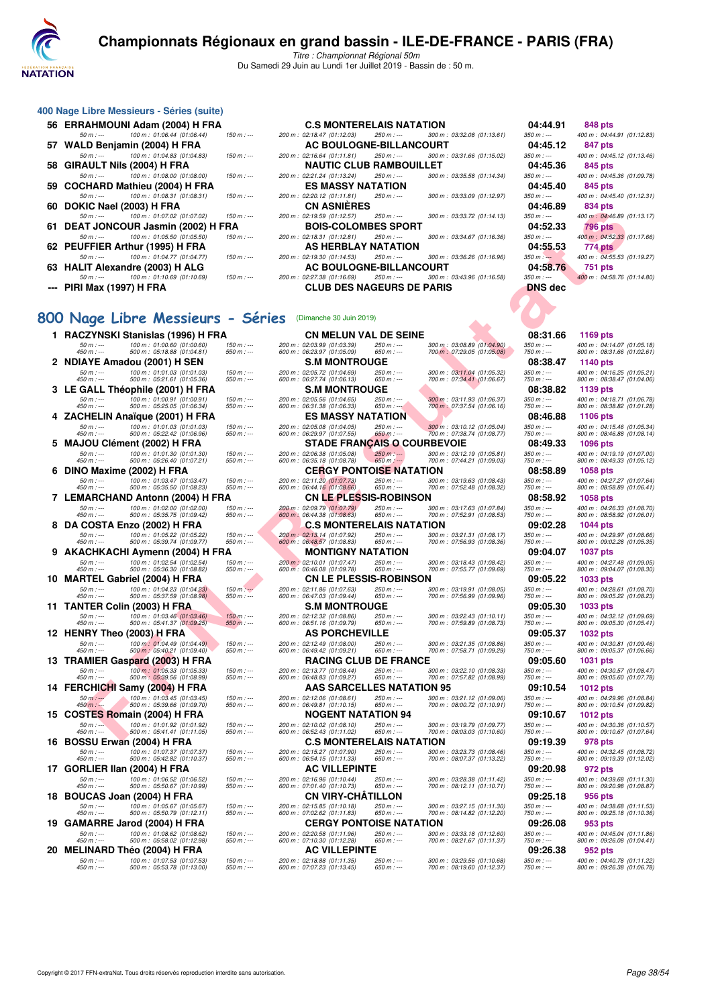

Titre : Championnat Régional 50m Du Samedi 29 Juin au Lundi 1er Juillet 2019 - Bassin de : 50 m.

| 56 ERRAHMOUNI Adam (2004) H FRA             |       |
|---------------------------------------------|-------|
| 50 m : --- 100 m : 01:06.44 (01:06.44)      | 150 m |
| 57 WALD Benjamin (2004) H FRA               |       |
| 50 m : --- 100 m : 01:04.83 (01:04.83)      | 150 m |
| 58 GIRAULT Nils (2004) H FRA                |       |
| 50 m : --- 100 m : 01:08.00 (01:08.00)      | 150 m |
| 59 COCHARD Mathieu (2004) H FRA             |       |
| 100 m : 01:08.31 (01:08.31)<br>$50 m : -$   | 150 m |
| 60 DOKIC Nael (2003) H FRA                  |       |
| 50 m : --- 100 m : 01:07.02 (01:07.02)      | 150 m |
| 61 DEAT JONCOUR Jasmin (2002) H FRA         |       |
| 50 m : --- 100 m : 01:05.50 (01:05.50)      | 150 m |
| 62 PEUFFIER Arthur (1995) H FRA             |       |
| 100 m : 01:04.77 (01:04.77)<br>$50 m : -$   | 150 m |
| 63 HALIT Alexandre (2003) H ALG             |       |
| 100 m : 01:10.69 (01:10.69)<br>50 m $:$ --- | 150 m |
| <b>PIRI Max (1997) H FRA</b>                |       |

**400 Nage Libre Messieurs - Séries (suite)**

| 56 ERRAHMOUNI Adam (2004) H FRA           |               | <b>C.S MONTERELAIS NATATION</b>  |             |                             | 04:44.91       | 848 pts                    |
|-------------------------------------------|---------------|----------------------------------|-------------|-----------------------------|----------------|----------------------------|
| 100 m: 01:06.44 (01:06.44)<br>$50 m : -$  | $150 m$ : --- | 200 m: 02:18.47 (01:12.03)       | 250 m : --- | 300 m: 03:32.08 (01:13.61)  | $350 m : -$    | 400 m: 04:44.91 (01:12.83) |
| 57 WALD Benjamin (2004) H FRA             |               | AC BOULOGNE-BILLANCOURT          |             |                             | 04:45.12       | 847 pts                    |
| 100 m: 01:04.83 (01:04.83)<br>$50 m : -$  | $150 m$ : --- | 200 m: 02:16.64 (01:11.81)       | $250 m : -$ | 300 m: 03:31.66 (01:15.02)  | $350 m : -$    | 400 m: 04:45.12 (01:13.46) |
| 58   GIRAULT Nils (2004) H FRA            |               | <b>NAUTIC CLUB RAMBOUILLET</b>   |             |                             | 04:45.36       | 845 pts                    |
| 100 m : 01:08.00 (01:08.00)<br>$50 m : -$ | $150 m : -$   | 200 m : 02:21.24 (01:13.24)      | $250 m : -$ | 300 m : 03:35.58 (01:14.34) | $350 m : -$    | 400 m: 04:45.36 (01:09.78) |
| 59 COCHARD Mathieu (2004) H FRA           |               | <b>ES MASSY NATATION</b>         |             |                             | 04:45.40       | 845 pts                    |
| 100 m: 01:08.31 (01:08.31)<br>$50 m : -$  | $150 m : -$   | 200 m : 02:20.12 (01:11.81)      | $250 m : -$ | 300 m : 03:33.09 (01:12.97) | $350 m : -$    | 400 m: 04:45.40 (01:12.31) |
| 60 DOKIC Nael (2003) H FRA                |               | <b>CN ASNIÈRES</b>               |             |                             | 04:46.89       | 834 pts                    |
| 100 m : 01:07.02 (01:07.02)<br>$50 m : -$ | $150 m: -$    | 200 m : 02:19.59 (01:12.57)      | $250 m : -$ | 300 m : 03:33.72 (01:14.13) | $350 m : -$    | 400 m: 04:46.89 (01:13.17) |
| 61 DEAT JONCOUR Jasmin (2002) H FRA       |               | <b>BOIS-COLOMBES SPORT</b>       |             |                             | 04:52.33       | <b>796 pts</b>             |
| 100 m : 01:05.50 (01:05.50)<br>$50 m : -$ | $150 m : -$   | 200 m: 02:18.31 (01:12.81)       | 250 m : --- | 300 m : 03:34.67 (01:16.36) | $350 m : -$    | 400 m: 04:52.33 (01:17.66) |
| 62 PEUFFIER Arthur (1995) H FRA           |               | AS HERBLAY NATATION              |             |                             | 04:55.53       | 774 pts                    |
| 100 m: 01:04.77 (01:04.77)<br>$50 m : -$  | $150 m$ : --- | 200 m : 02:19.30 (01:14.53)      | $250 m : -$ | 300 m: 03:36.26 (01:16.96)  | $350 m: -$     | 400 m: 04:55.53 (01:19.27) |
| 63 HALIT Alexandre (2003) H ALG           |               | AC BOULOGNE-BILLANCOURT          |             |                             | 04:58.76       | 751 pts                    |
| 100 m : 01:10.69 (01:10.69)<br>$50 m : -$ | $150 m$ : --- | 200 m : 02:27.38 (01:16.69)      | 250 m : --- | 300 m : 03:43.96 (01:16.58) | $350 m : -$    | 400 m: 04:58.76 (01:14.80) |
| --- PIRI Max (1997) H FRA                 |               | <b>CLUB DES NAGEURS DE PARIS</b> |             |                             | <b>DNS</b> dec |                            |

# 400 m : 04:44.91 (01:12.83)<br>847 pts

#### 800 Nage Libre Messieurs - Série

| 1  |                           | RACZYNSKI Stanislas (1996) H FRA                                                                  |                          |
|----|---------------------------|---------------------------------------------------------------------------------------------------|--------------------------|
|    | $50 m : -$<br>$450 m : -$ | $\begin{array}{l} 100\ m:\ 01:00.60\ \ (01:00.60) \\ 500\ m:\ 05:18.88\ \ (01:04.81) \end{array}$ | 150 m : --<br>550 m : -- |
| 2  |                           | NDIAYE Amadou (2001) H SEN                                                                        |                          |
|    | 50 m : ---<br>$450 m : -$ | $\begin{array}{l} 100\ m:\ 01:01.03\ \ (01:01.03) \\ 500\ m:\ 05:21.61\ \ (01:05.36) \end{array}$ | 150 m : --<br>550 m : -- |
| 3  |                           | LE GALL Théophile (2001) H FRA                                                                    |                          |
|    | $50 m : -$<br>$450 m : -$ | 100 m : 01:00.91 (01:00.91)<br>500 m : 05:25.05 (01:06.34)                                        | 150 m : --               |
| 4  |                           | ZACHELIN Anaïque (2001) H FRA                                                                     | 550 m : --               |
|    | $50 m: -$                 | 100 m : 01:01.03 (01:01.03)<br>500 m : 05:22.42 (01:06.96)                                        | $150 m: -$               |
| 5  | $450 m : -$               | MAJOU Clément (2002) H FRA                                                                        | 550 m : --               |
|    | 50 m : ---                | 100 m : 01:01.30 (01:01.30)                                                                       | 150 m : --               |
| 6  | 450 m : ---               | 500 m: 05:26.40 (01:07.21)<br>DINO Maxime (2002) H FRA                                            | 550 m : --               |
|    | $50 m : -$                | 100 m: 01:03.47 (01:03.47)                                                                        | 150 m : --               |
| 7  | 450 m : ---               | 500 m: 05:35.50 (01:08.23)<br>LEMARCHAND Antonn (2004) H FRA                                      | 550 m : --               |
|    | $50 m: -$                 | 100 m: 01:02.00 (01:02.00)                                                                        | $150 m: -$               |
| 8  | 450 m : ---               | 500 m: 05:35.75 (01:09.42)<br>DA COSTA Enzo (2002) H FRA                                          | 550 m : --               |
|    | $50 m : -$                | 100 m: 01:05.22 (01:05.22)                                                                        | 150 m : --               |
| 9  | 450 m : ---               | 500 m : 05:39.74 (01:09.77)<br>AKACHKACHI Aymenn (2004) H FRA                                     | 550 m : --               |
|    | $50 m: -$                 | 100 m : 01:02.54 (01:02.54)<br>500 m : 05:36.30 (01:08.82)                                        | $150 m: -$               |
| 10 | $450 m: -$                | MARTEL Gabriel (2004) H FRA                                                                       | 550 m : --               |
|    | $50 m : -$                | 100 m: 01:04.23 (01:04.23)                                                                        | $150 m: -$               |
| 11 | 450 m : ---               | 500 m : 05:37.59 (01:08.98)<br>TANTER Colin (2003) H FRA                                          | 550 m : --               |
|    | 50 m : ---                | 100 m : 01:03.46 (01:03.46)<br>500 m : 05:41.37 (01:09.25)                                        | $150 m : -$              |
| 12 | 450 m : ---               | HENRY Theo (2003) H FRA                                                                           | $550 m: -$               |
|    | $50 m : -$                | 100 m: 01:04.49 (01:04.49)                                                                        | 150 m : --               |
| 13 | $450 m : -$               | 500 m : 05:40.21 (01:09.40)<br>TRAMIER Gaspard (2003) H FRA                                       | 550 m : --               |
|    | $50 m: -$                 | 100 m : 01:05.33 (01:05.33)<br>500 m : 05:39.56 (01:08.99)                                        | 150 m : --               |
| 14 | $450 m: -$                | FERCHICHI Samy (2004) H FRA                                                                       | 550 m : --               |
|    | 50 m : ---                | 100 m : 01:03.45 (01:03.45)                                                                       | 150 m : --               |
| 15 | $450 m : -$               | 500 m: 05:39.66 (01:09.70)<br>COSTES Romain (2004) H FRA                                          | 550 m : --               |
|    | 50 m : ---                | 100 m : 01:01.92 (01:01.92)<br>500 m : 05:41.41 (01:11.05)                                        | 150 m : --               |
| 16 | 450 m : ---               | BOSSU Erwan (2004) H FRA                                                                          | 550 m : --               |
|    | $50 m: -$                 | 100 m : 01:07.37 (01:07.37)                                                                       | $150 m: -$               |
| 17 | 450 m : ---               | 500 m : 05:42.82 (01:10.37)<br>GORLIER IIan (2004) H FRA                                          | 550 m : --               |
|    | 50 m : ---                | 100 m : 01:06.52 (01:06.52)<br>500 m : 05:50.67 (01:10.99)                                        | $150 m: -$               |
| 18 | 450 m : ---               | BOUCAS Joan (2004) H FRA                                                                          | 550 m : --               |
|    | $50 m: -$                 | 100 m : 01:05.67 (01:05.67)<br>500 m : 05:50.79 (01:12.11)                                        | $150 m: -$               |
| 19 | 450 m : ---               | GAMARRE Jarod (2004) H FRA                                                                        | 550 m : --               |
|    | $50 m : -$                | 100 m: 01:08.62 (01:08.62)                                                                        | $150 m : -$              |
| 20 | 450 m : ---               | 500 m: 05:58.02 (01:12.98)                                                                        | 550 m : --               |
|    | $50 m: -$                 | MELINARD Théo (2004) H FRA<br>100 m: 01:07.53 (01:07.53)                                          | $150 m : -$              |
|    | 50m                       | $0.5.52$ 78 $(0.1.12, 0.0)$<br>$500 \, m$                                                         | $50 m +$                 |

| υu. | <b>DUNIC NGCI (2003) II FRA</b>                                                       |                              | UN AJNILNLJ                                                                               |                                                            | U4.40.05                   | טא דטט                                                    |
|-----|---------------------------------------------------------------------------------------|------------------------------|-------------------------------------------------------------------------------------------|------------------------------------------------------------|----------------------------|-----------------------------------------------------------|
|     | 100 m: 01:07.02 (01:07.02)<br>$50 m: -$<br>61   DEAT JONCOUR Jasmin (2002) H FRA      | $150 m : -$                  | 200 m: 02:19.59 (01:12.57)<br>250 m : ---<br><b>BOIS-COLOMBES SPORT</b>                   | 300 m : 03:33.72 (01:14.13)                                | $350 m : -$<br>04:52.33    | 400 m: 04:46.89 (01:13.17)<br>796 pts                     |
|     | 100 m: 01:05.50 (01:05.50)<br>$50 m: -$                                               | 150 m : ---                  | 200 m: 02:18.31 (01:12.81)<br>250 m : ---                                                 | 300 m: 03:34.67 (01:16.36)                                 | $350 m : -$                | 400 m: 04:52.33 (01:17.66)                                |
|     | 62 PEUFFIER Arthur (1995) H FRA                                                       |                              | AS HERBLAY NATATION                                                                       |                                                            | 04:55.53                   | 774 pts                                                   |
|     | 100 m: 01:04.77 (01:04.77)<br>$50 m: -$<br>63   HALIT Alexandre (2003) H ALG          | $150 m : -$                  | 200 m: 02:19.30 (01:14.53)<br>250 m : ---<br><b>AC BOULOGNE-BILLANCOURT</b>               | 300 m : 03:36.26 (01:16.96)                                | $350 m: -$<br>04:58.76     | 400 m: 04:55.53 (01:19.27)                                |
|     | 100 m: 01:10.69 (01:10.69)<br>$50 m : -$                                              | $150 m : -$                  | 200 m: 02:27.38 (01:16.69)<br>250 m : ---                                                 | 300 m: 03:43.96 (01:16.58)                                 | $350 m : -$                | 751 pts<br>400 m: 04:58.76 (01:14.80)                     |
|     | --- PIRI Max (1997) H FRA                                                             |                              | <b>CLUB DES NAGEURS DE PARIS</b>                                                          |                                                            | <b>DNS</b> dec             |                                                           |
|     |                                                                                       |                              |                                                                                           |                                                            |                            |                                                           |
|     | 00 Nage Libre Messieurs - Séries                                                      |                              | (Dimanche 30 Juin 2019)                                                                   |                                                            |                            |                                                           |
|     |                                                                                       |                              |                                                                                           |                                                            |                            |                                                           |
|     | 1 RACZYNSKI Stanislas (1996) H FRA<br>100 m : 01:00.60 (01:00.60)<br>$50 m: -$        | $150 m: -$                   | <b>CN MELUN VAL DE SEINE</b><br>200 m: 02:03.99 (01:03.39)<br>250 m : ---                 | 300 m: 03:08.89 (01:04.90)                                 | 08:31.66<br>$350 m : -$    | 1169 pts<br>400 m: 04:14.07 (01:05.18                     |
|     | 500 m: 05:18.88 (01:04.81)<br>450 m : ---                                             | $550 m: -$                   | 600 m: 06:23.97 (01:05.09)<br>650 m : ---                                                 | 700 m : 07:29.05 (01:05.08)                                | 750 m : ---                | 800 m: 08:31.66 (01:02.61)                                |
|     | 2 NDIAYE Amadou (2001) H SEN<br>100 m: 01:01.03 (01:01.03)<br>$50 m: -$               | $150 m : -$                  | <b>S.M MONTROUGE</b><br>200 m: 02:05.72 (01:04.69)<br>250 m : ---                         | 300 m: 03:11.04 (01:05.32)                                 | 08:38.47<br>$350 m : -$    | 1140 pts<br>400 m: 04:16.25 (01:05.21)                    |
|     | 500 m: 05:21.61 (01:05.36)<br>450 m : ---                                             | $550 m: -$                   | 600 m: 06:27.74 (01:06.13)<br>650 m : ---                                                 | 700 m: 07:34.41 (01:06.67)                                 | 750 m : ---                | 800 m: 08:38.47 (01:04.06)                                |
|     | 3 LE GALL Théophile (2001) H FRA<br>100 m: 01:00.91 (01:00.91)<br>$50 m : -$          | $150 m : -$                  | <b>S.M MONTROUGE</b><br>200 m: 02:05.56 (01:04.65)<br>250 m : ---                         | 300 m : 03:11.93 (01:06.37)                                | 08:38.82<br>$350 m : -$    | 1139 pts<br>400 m : 04:18.71 (01:06.78)                   |
|     | 500 m: 05:25.05 (01:06.34)<br>450 m : ---                                             | $550 m: -$                   | 600 m: 06:31.38 (01:06.33)<br>$650 m : -$                                                 | 700 m : 07:37.54 (01:06.16)                                | 750 m : ---                | 800 m: 08:38.82 (01:01.28)                                |
|     | 4 ZACHELIN Anaïque (2001) H FRA<br>100 m: 01:01.03 (01:01.03)<br>$50 m: -$            | $150 m : -$                  | ES MASSY NATATION<br>200 m : 02:05.08 (01:04.05)<br>250 m : ---                           | 300 m : 03:10.12 (01:05.04)                                | 08:46.88<br>$350 m : -$    | 1106 pts<br>400 m: 04:15.46 (01:05.34)                    |
|     | $450 m : -$<br>500 m: 05:22.42 (01:06.96)                                             | $550 m: -$                   | 600 m: 06:29.97 (01:07.55)<br>$650 m$ : ---                                               | 700 m : 07:38.74 (01:08.77)                                | 750 m : ---                | 800 m: 08:46.88 (01:08.14)                                |
|     | 5 MAJOU Clément (2002) H FRA<br>100 m: 01:01.30 (01:01.30)<br>$50 m: -$               | $150 m : -$                  | <b>STADE FRANÇAIS O COURBEVOIE</b><br>200 m: 02:06.38 (01:05.08)<br>$250 m$ : ---         | 300 m: 03:12.19 (01:05.81)                                 | 08:49.33<br>$350 m : -$    | 1096 pts<br>400 m: 04:19.19 (01:07.00                     |
|     | 450 m : ---<br>500 m: 05:26.40 (01:07.21)                                             | $550 m$ : ---                | 600 m : 06:35.18 (01:08.78)<br>$650 m$ : ---                                              | 700 m: 07:44.21 (01:09.03)                                 | 750 m : ---                | 800 m: 08:49.33 (01:05.12)                                |
|     | 6 DINO Maxime (2002) H FRA<br>$50 m: -$<br>100 m: 01:03.47 (01:03.47)                 | $150 m: -$                   | <b>CERGY PONTOISE NATATION</b><br>200 m: 02:11.20 (01:07.73)<br>250 m : ---               | 300 m: 03:19.63 (01:08.43)                                 | 08:58.89<br>$350 m : -$    | <b>1058 pts</b><br>400 m: 04:27.27 (01:07.64              |
|     | 450 m : ---<br>500 m: 05:35.50 (01:08.23)                                             | $550 m : -$                  | 600 m : 06:44.16 (01:08.66)<br>650 m : ---                                                | 700 m: 07:52.48 (01:08.32)                                 | 750 m : ---                | 800 m: 08:58.89 (01:06.41)                                |
|     | 7 LEMARCHAND Antonn (2004) H FRA<br>100 m: 01:02.00 (01:02.00)                        |                              | CN LE PLESSIS-ROBINSON<br>200 m : 02:09.79 (01:07.79)<br>250 m : ---                      | 300 m: 03:17.63 (01:07.84)                                 | 08:58.92<br>$350 m : -$    | 1058 pts                                                  |
|     | $50 m: -$<br>450 m : ---<br>500 m: 05:35.75 (01:09.42)                                | $150 m: -$<br>$550 m : -$    | 600 m: 06:44.38 (01:08.63)<br>650 m : ---                                                 | 700 m: 07:52.91 (01:08.53)                                 | 750 m : ---                | 400 m: 04:26.33 (01:08.70)<br>800 m : 08:58.92 (01:06.01) |
|     | 8 DA COSTA Enzo (2002) H FRA                                                          |                              | C.S MONTERELAIS NATATION                                                                  |                                                            | 09:02.28                   | 1044 pts                                                  |
|     | 100 m: 01:05.22 (01:05.22)<br>$50 m: -$<br>500 m: 05:39.74 (01:09.77)<br>$450 m : -$  | $150 m : -$<br>$550 m$ : --- | 200 m : 02:13.14 (01:07.92)<br>250 m : ---<br>600 m: 06:48.57 (01:08.83)<br>$650 m: -$    | 300 m: 03:21.31 (01:08.17)<br>700 m: 07:56.93 (01:08.36)   | $350 m : -$<br>750 m : --- | 400 m: 04:29.97 (01:08.66)<br>800 m: 09:02.28 (01:05.35)  |
|     | 9 AKACHKACHI Aymenn (2004) H FRA                                                      |                              | MONTIGNY NATATION                                                                         |                                                            | 09:04.07                   | <b>1037 pts</b>                                           |
|     | 100 m: 01:02.54 (01:02.54)<br>$50 m : -$<br>450 m : ---<br>500 m: 05:36.30 (01:08.82) | $150 m : -$<br>$550 m: -$    | 200 m : 02:10.01 (01:07.47)<br>250 m : ---<br>600 m: 06:46.08 (01:09.78)<br>650 m : ---   | 300 m: 03:18.43 (01:08.42)<br>700 m: 07:55.77 (01:09.69)   | $350 m : -$<br>750 m : --- | 400 m: 04:27.48 (01:09.05)<br>800 m: 09:04.07 (01:08.30)  |
|     | 10 MARTEL Gabriel (2004) H FRA                                                        |                              | <b>CN LE PLESSIS-ROBINSON</b>                                                             |                                                            | 09:05.22                   | 1033 pts                                                  |
|     | 100 m: 01:04.23 (01:04.23)<br>$50 m : -$<br>$450 m : -$<br>500 m: 05:37.59 (01:08.98) | $150 m: -$<br>550 m : ---    | 200 m: 02:11.86 (01:07.63)<br>250 m : ---<br>600 m: 06:47.03 (01:09.44)<br>650 m : ---    | 300 m : 03:19.91 (01:08.05)<br>700 m: 07:56.99 (01:09.96)  | $350 m : -$<br>750 m : --- | 400 m: 04:28.61 (01:08.70)<br>800 m: 09:05.22 (01:08.23)  |
|     | 11 TANTER Colin (2003) H FRA                                                          |                              | <b>S.M MONTROUGE</b>                                                                      |                                                            | 09:05.30                   | 1033 pts                                                  |
|     | 100 m: 01:03.46 (01:03.46)<br>$50 m: -$<br>500 m: 05:41.37 (01:09.25)<br>450 m : ---  | $150 m : -$<br>$550 m$ : --- | 200 m: 02:12.32 (01:08.86)<br>250 m : ---<br>600 m: 06:51.16 (01:09.79)<br>650 m : ---    | 300 m : 03:22.43 (01:10.11)<br>700 m: 07:59.89 (01:08.73)  | $350 m : -$<br>750 m : --- | 400 m: 04:32.12 (01:09.69)<br>800 m: 09:05.30 (01:05.41)  |
|     | 12 HENRY Theo (2003) H FRA                                                            |                              | <b>AS PORCHEVILLE</b>                                                                     |                                                            | 09:05.37                   | <b>1032 pts</b>                                           |
|     | 100 m: 01:04.49 (01:04.49)<br>$50 m: -$<br>500 m : 05:40.21 (01:09.40)<br>450 m : --- | $150 m : -$<br>$550 m : -$   | 200 m: 02:12.49 (01:08.00)<br>250 m : ---<br>600 m: 06:49.42 (01:09.21)<br>650 m : ---    | 300 m : 03:21.35 (01:08.86)<br>700 m : 07:58.71 (01:09.29) | 350 m : ---<br>750 m : --- | 400 m: 04:30.81 (01:09.46)<br>800 m: 09:05.37 (01:06.66)  |
|     | 13 TRAMIER Gaspard (2003) H FRA                                                       |                              | <b>RACING CLUB DE FRANCE</b>                                                              |                                                            | 09:05.60                   | 1031 pts                                                  |
|     | 100 m: 01:05.33 (01:05.33)<br>$50 m: -$<br>500 m: 05:39.56 (01:08.99)<br>450 m : ---  | $150 m : -$<br>$550 m: -$    | 200 m: 02:13.77 (01:08.44)<br>$250 m : -$<br>600 m : 06:48.83 (01:09.27)<br>$650 m$ : --- | 300 m: 03:22.10 (01:08.33)<br>700 m: 07:57.82 (01:08.99)   | $350 m : -$<br>750 m : --- | 400 m: 04:30.57 (01:08.47)<br>800 m : 09:05.60 (01:07.78) |
|     | 14 FERCHICHI Samy (2004) H FRA                                                        |                              | AAS SARCELLES NATATION 95                                                                 |                                                            | 09:10.54                   | <b>1012 pts</b>                                           |
|     | 100 m: 01:03.45 (01:03.45)<br>$50 m: -$<br>450 m : ---<br>500 m : 05:39.66 (01:09.70) | $150 m: -$<br>$550 m : -$    | 200 m: 02:12.06 (01:08.61)<br>250 m : ---<br>600 m: 06:49.81 (01:10.15)<br>$650 m$ : ---  | 300 m: 03:21.12 (01:09.06)<br>700 m : 08:00.72 (01:10.91)  | $350 m : -$<br>750 m : --- | 400 m: 04:29.96 (01:08.84)<br>800 m : 09:10.54 (01:09.82) |
|     | 15 COSTES Romain (2004) H FRA                                                         |                              | NOGENT NATATION 94                                                                        |                                                            | 09:10.67                   | 1012 pts                                                  |
|     | 100 m: 01:01.92 (01:01.92)<br>$50 m : -$<br>500 m: 05:41.41 (01:11.05)<br>450 m : --- | $150 m: -$<br>$550 m : -$    | 200 m: 02:10.02 (01:08.10)<br>250 m : ---<br>600 m: 06:52.43 (01:11.02)<br>650 m : ---    | 300 m: 03:19.79 (01:09.77)<br>700 m : 08:03.03 (01:10.60)  | $350 m : -$<br>750 m : --- | 400 m: 04:30.36 (01:10.57<br>800 m: 09:10.67 (01:07.64)   |
|     | 16 BOSSU Erwan (2004) H FRA                                                           |                              | C.S MONTERELAIS NATATION                                                                  |                                                            | 09:19.39                   | 978 pts                                                   |
|     | 100 m: 01:07.37 (01:07.37)<br>$50 m: -$<br>500 m: 05:42.82 (01:10.37)<br>450 m : ---  | $150 m : -$<br>$550 m: -$    | 200 m: 02:15.27 (01:07.90)<br>250 m : ---<br>600 m: 06:54.15 (01:11.33)<br>$650 m$ : ---  | 300 m: 03:23.73 (01:08.46)<br>700 m: 08:07.37 (01:13.22)   | $350 m : -$<br>$750 m: -$  | 400 m: 04:32.45 (01:08.72)<br>800 m: 09:19.39 (01:12.02)  |
|     | 17 GORLIER IIan (2004) H FRA                                                          |                              | <b>AC VILLEPINTE</b>                                                                      |                                                            | 09:20.98                   | 972 pts                                                   |
|     | 100 m: 01:06.52 (01:06.52)<br>$50 m : -$<br>500 m: 05:50.67 (01:10.99)<br>450 m : --- | 150 m : ---<br>$550 m: -$    | 200 m : 02:16.96 (01:10.44)<br>250 m : ---<br>600 m: 07:01.40 (01:10.73)<br>650 m : ---   | 300 m: 03:28.38 (01:11.42)<br>700 m : 08:12.11 (01:10.71)  | 350 m : ---<br>750 m : --- | 400 m: 04:39.68 (01:11.30)<br>800 m: 09:20.98 (01:08.87)  |
|     | 18 BOUCAS Joan (2004) H FRA                                                           |                              | CN VIRY-CHATILLON                                                                         |                                                            | 09:25.18                   | 956 pts                                                   |
|     | 100 m: 01:05.67 (01:05.67)<br>$50 m: -$<br>450 m : ---<br>500 m: 05:50.79 (01:12.11)  | $150 m : -$<br>$550 m: -$    | 250 m : ---<br>200 m : 02:15.85 (01:10.18)<br>600 m: 07:02.62 (01:11.83)<br>650 m : ---   | 300 m : 03:27.15 (01:11.30)<br>700 m : 08:14.82 (01:12.20) | $350 m : -$<br>750 m : --- | 400 m: 04:38.68 (01:11.53)<br>800 m: 09:25.18 (01:10.36)  |
|     | 19 GAMARRE Jarod (2004) H FRA                                                         |                              | <b>CERGY PONTOISE NATATION</b>                                                            |                                                            | 09:26.08                   | 953 pts                                                   |
|     | 100 m: 01:08.62 (01:08.62)<br>$50 m : -$<br>500 m: 05:58.02 (01:12.98)<br>450 m : --- | $150 m : -$<br>$550 m: -$    | 200 m: 02:20.58 (01:11.96)<br>250 m : ---<br>600 m: 07:10.30 (01:12.28)<br>650 m : ---    | 300 m : 03:33.18 (01:12.60)<br>700 m: 08:21.67 (01:11.37)  | $350 m : -$<br>750 m : --- | 400 m: 04:45.04 (01:11.86)<br>800 m: 09:26.08 (01:04.41)  |
|     | 20   MELINARD Théo (2004) H FRA                                                       |                              | <b>AC VILLEPINTE</b>                                                                      |                                                            | 09:26.38                   | 952 pts                                                   |
|     | $50 m: -$<br>100 m: 01:07.53 (01:07.53)<br>450 m : ---<br>500 m: 05:53.78 (01:13.00)  | $150 m : -$<br>$550 m: -$    | 200 m: 02:18.88 (01:11.35)<br>250 m : ---<br>$650 m: -$<br>600 m: 07:07.23 (01:13.45)     | 300 m: 03:29.56 (01:10.68)<br>700 m: 08:19.60 (01:12.37)   | $350 m : -$<br>750 m : --- | 400 m: 04:40.78 (01:11.22)<br>800 m: 09:26.38 (01:06.78   |
|     |                                                                                       |                              |                                                                                           |                                                            |                            |                                                           |

| l.66      | 1169 pts           |                             |                                                            |
|-----------|--------------------|-----------------------------|------------------------------------------------------------|
|           |                    |                             | 400 m : 04:14.07 (01:05.18)<br>800 m : 08:31.66 (01:02.61) |
| 3.47      | 1140 pts           |                             |                                                            |
|           | 800 m :            | 400 m: 04:16.25<br>08:38.47 | (01:05.21)<br>(01:04.06)                                   |
| 3.82      | 1139 pts           |                             |                                                            |
|           | 800 m :            | 400 m: 04:18.71<br>08:38.82 | (01:06.78)<br>(01:01.28)                                   |
| 5.88      | 1106 pts           |                             |                                                            |
|           | 400 m:<br>800 m:   |                             | 04:15.46 (01:05.34)<br>08:46.88 (01:08.14)                 |
| J.<br>33  | 1096 pts           |                             |                                                            |
|           |                    |                             | 400 m : 04:19.19 (01:07.00)<br>800 m : 08:49.33 (01:05.12) |
| 8.89      | 1058 pts           |                             |                                                            |
|           | 400 m:<br>800 m:   |                             | 04:27.27 (01:07.64)<br>08:58.89 (01:06.41)                 |
| 3.92      | 1058 pts           |                             |                                                            |
|           | 400 m :<br>800 m : |                             | 04:26.33 (01:08.70)<br>08:58.92 (01:06.01)                 |
| 2.28      | 1044 pts           |                             |                                                            |
|           | 400 m :<br>800 m : | 04:29.97                    | (01:08.66)<br>09:02.28 (01:05.35)                          |
| 1.07      | 1037               | pts                         |                                                            |
|           | 400 m:             |                             | 04:27.48 (01:09.05)<br>800 m: 09:04.07 (01:08.30)          |
| .22       | 1033 pts           | 04:28.61                    |                                                            |
|           |                    |                             | 400 m : 04:28.61 (01:08.70)<br>800 m : 09:05.22 (01:08.23) |
| Š.<br>30  | 1033 pts           |                             |                                                            |
|           | 400 m :<br>800 m : |                             | 04:32.12 (01:09.69)<br>09:05.30 (01:05.41)                 |
| 37        | 1032               | pts<br>400 m : 04:30.81     | (01:09.46)                                                 |
|           | 800 m :            |                             | 09:05.37 (01:06.66)                                        |
| 5.60      | 1031<br>400 m:     | pts<br>04:30.57             | (01:08.47)                                                 |
|           | 800 m :            |                             | 09:05.60 (01:07.78)                                        |
| ).<br>.54 | 1012 pts           |                             | 400 m: 04:29.96 (01:08.84)                                 |
| 1.67      |                    |                             | 800 m: 09:10.54 (01:09.82)                                 |
|           | 1012 pts           |                             |                                                            |
| ) 39      |                    |                             | 400 m : 04:30.36 (01:10.57)<br>800 m : 09:10.67 (01:07.64) |
|           | 978 pts<br>400 m:  |                             | 04:32.45 (01:08.72)<br>09:19.39 (01:12.02)                 |
| ١.<br>.98 | 800 m :<br>972 pts |                             |                                                            |
|           |                    | 400 m : 04:39.68            | (01:11.30)                                                 |
| š.<br>18  | 956 pts            |                             | 800 m: 09:20.98 (01:08.87)                                 |
|           |                    | 400 m : 04:38.68            | (01:11.53)                                                 |
| 5.O8      | 953 pts            |                             | 800 m: 09:25.18 (01:10.36)                                 |
|           |                    |                             | 400 m: 04:45.04 (01:11.86)                                 |
| 3.38      | 952 pts            |                             | 800 m: 09:26.08 (01:04.41)                                 |
|           |                    |                             | 400 m : 04:40.78 (01:11.22)<br>800 m : 09:26.38 (01:06.78) |
|           |                    |                             |                                                            |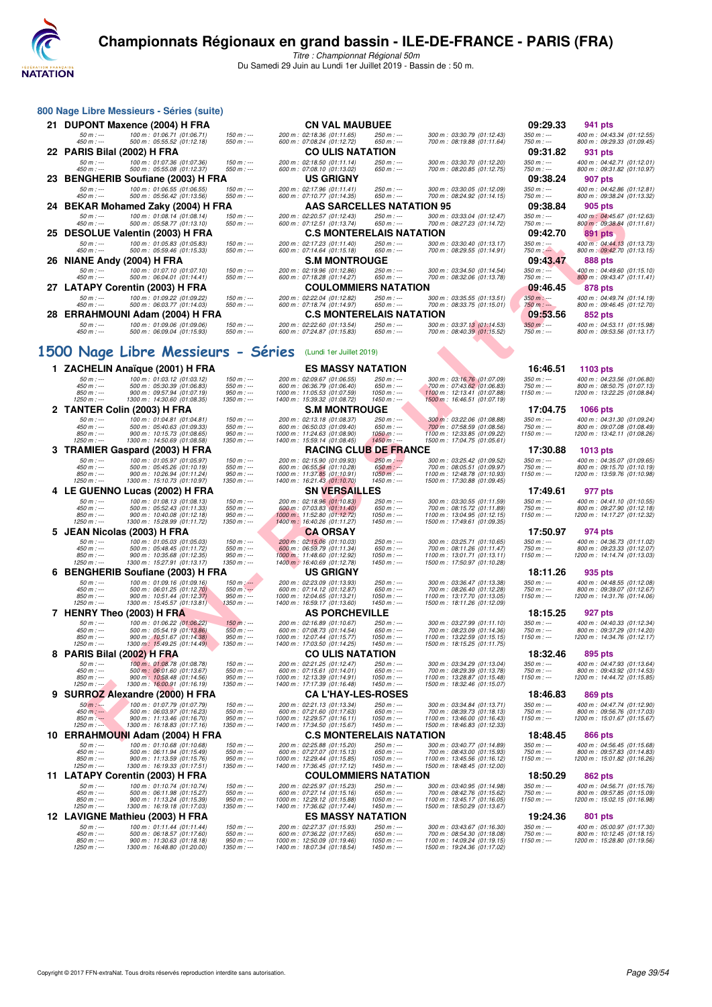

|     | 800 Nage Libre Messieurs - Séries (suite)                                                  |                                    |                                                               |                                  |                                                             |                             |                                                           |
|-----|--------------------------------------------------------------------------------------------|------------------------------------|---------------------------------------------------------------|----------------------------------|-------------------------------------------------------------|-----------------------------|-----------------------------------------------------------|
|     | 21 DUPONT Maxence (2004) H FRA                                                             |                                    | <b>CN VAL MAUBUEE</b>                                         |                                  |                                                             | 09:29.33                    | 941 pts                                                   |
|     | $50 m : -$<br>100 m: 01:06.71 (01:06.71)<br>450 m : ---<br>500 m: 05:55.52 (01:12.18)      | $150 m : -$<br>$550 m : -$         | 200 m : 02:18.36 (01:11.65)<br>600 m : 07:08.24 (01:12.72)    | 250 m : ---<br>$650 m$ : ---     | 300 m : 03:30.79 (01:12.43)<br>700 m: 08:19.88 (01:11.64)   | $350 m : -$<br>750 m : ---  | 400 m: 04:43.34 (01:12.55)<br>800 m : 09:29.33 (01:09.45) |
|     | 22 PARIS Bilal (2002) H FRA                                                                |                                    | <b>CO ULIS NATATION</b>                                       |                                  |                                                             | 09:31.82                    | 931 pts                                                   |
|     | $50 m : -$<br>100 m : 01:07.36 (01:07.36)<br>450 m : ---<br>500 m: 05:55.08 (01:12.37)     | $150 m: -$<br>550 m : ---          | 200 m: 02:18.50 (01:11.14)<br>600 m: 07:08.10 (01:13.02)      | 250 m : ---<br>$650 m$ : ---     | 300 m : 03:30.70 (01:12.20)<br>700 m: 08:20.85 (01:12.75)   | $350 m : -$<br>750 m : ---  | 400 m: 04:42.71 (01:12.01)<br>800 m: 09:31.82 (01:10.97)  |
|     | 23 BENGHERIB Soufiane (2003) H FRA                                                         |                                    | <b>US GRIGNY</b>                                              |                                  |                                                             | 09:38.24                    | 907 pts                                                   |
|     | $50 m: -$<br>100 m : 01:06.55 (01:06.55)                                                   | $150 m : -$                        | 200 m: 02:17.96 (01:11.41)                                    | 250 m : ---                      | 300 m: 03:30.05 (01:12.09)                                  | $350 m : -$                 | 400 m: 04:42.86 (01:12.81)                                |
| 24  | 450 m : ---<br>500 m : 05:56.42 (01:13.56)                                                 | $550 m : -$                        | 600 m: 07:10.77 (01:14.35)<br>AAS SARCELLES NATATION 95       | 650 m : ---                      | 700 m : 08:24.92 (01:14.15)                                 | 750 m : ---<br>09:38.84     | 800 m: 09:38.24 (01:13.32)<br>905 pts                     |
|     | BEKAR Mohamed Zaky (2004) H FRA<br>$50 m: -$<br>100 m: 01:08.14 (01:08.14)                 | 150 m : ---                        | 200 m: 02:20.57 (01:12.43)                                    | 250 m : ---                      | 300 m: 03:33.04 (01:12.47)                                  | $350 m : -$                 | 400 m: 04:45.67 (01:12.63)                                |
|     | $450 m$ : ---<br>500 m : 05:58.77 (01:13.10)                                               | 550 m : ---                        | 600 m: 07:12.51 (01:13.74)                                    | 650 m : ---                      | 700 m : 08:27.23 (01:14.72)                                 | 750 m : ---                 | 800 m : 09:38.84 (01:11.61)                               |
|     | 25 DESOLUE Valentin (2003) H FRA<br>$50 m: -$<br>100 m: 01:05.83 (01:05.83)                | $150 m: -$                         | <b>C.S MONTERELAIS NATATION</b><br>200 m: 02:17.23 (01:11.40) | 250 m : ---                      | 300 m: 03:30.40 (01:13.17)                                  | 09:42.70<br>$350 m : -$     | <b>891 pts</b>                                            |
|     | 450 m : ---<br>500 m : 05:59.46 (01:15.33)                                                 | $550 m$ : ---                      | 600 m: 07:14.64 (01:15.18)                                    | $650 m: -$                       | 700 m: 08:29.55 (01:14.91)                                  | $750 m$ : $-$               | 400 m: 04:44.13 (01:13.73)<br>800 m : 09:42.70 (01:13.15) |
|     | 26 NIANE Andy (2004) H FRA                                                                 |                                    | <b>S.M MONTROUGE</b>                                          |                                  |                                                             | 09:43.47                    | 888 pts                                                   |
|     | 100 m: 01:07.10 (01:07.10)<br>$50 m: -$<br>$450 m : -$<br>500 m : 06:04.01 (01:14.41)      | $150 m$ : ---<br>$550 m: -$        | 200 m: 02:19.96 (01:12.86)<br>600 m: 07:18.28 (01:14.27)      | 250 m : ---<br>650 m : ---       | 300 m: 03:34.50 (01:14.54)<br>700 m: 08:32.06 (01:13.78)    | $350 m : -$<br>750 m : ---  | 400 m: 04:49.60 (01:15.10)<br>800 m: 09:43.47 (01:11.41)  |
|     | 27 LATAPY Corentin (2003) H FRA                                                            |                                    | <b>COULOMMIERS NATATION</b>                                   |                                  |                                                             | 09:46.45                    | 878 pts                                                   |
|     | 100 m: 01:09.22 (01:09.22)<br>$50 m: -$<br>$450 m$ : ---<br>500 m: 06:03.77 (01:14.03)     | $150 m: -$<br>$550 m: -$           | 200 m: 02:22.04 (01:12.82)<br>600 m: 07:18.74 (01:14.97)      | 250 m : ---<br>650 m : ---       | 300 m: 03:35.55 (01:13.51)<br>700 m: 08:33.75 (01:15.01)    | $350 m: -$<br>750 m : ---   | 400 m: 04:49.74 (01:14.19)<br>800 m: 09:46.45 (01:12.70)  |
| 28. | <b>ERRAHMOUNI Adam (2004) H FRA</b>                                                        |                                    | <b>C.S MONTERELAIS NATATION</b>                               |                                  |                                                             | 09:53.56                    | <b>852 pts</b>                                            |
|     | $50 m: -$<br>100 m : 01:09.06 (01:09.06)                                                   | $150 m : -$                        | 200 m: 02:22.60 (01:13.54)                                    | 250 m : ---                      | 300 m: 03:37.13 (01:14.53)                                  | $350 m: -$                  | 400 m: 04:53.11 (01:15.98)                                |
|     | $450 m$ : ---<br>500 m: 06:09.04 (01:15.93)                                                | $550 m: -$                         | 600 m: 07:24.87 (01:15.83)                                    | 650 m : ---                      | 700 m : 08:40.39 (01:15.52)                                 | $750 m: -$                  | 800 m: 09:53.56 (01:13.17)                                |
|     | 1500 Nage Libre Messieurs - Séries                                                         |                                    | (Lundi 1er Juillet 2019)                                      |                                  |                                                             |                             |                                                           |
|     |                                                                                            |                                    |                                                               |                                  |                                                             |                             |                                                           |
|     | 1 ZACHELIN Anaïque (2001) H FRA<br>100 m : 01:03.12 (01:03.12)<br>50 m : ---               | $150 m : -$                        | <b>ES MASSY NATATION</b><br>200 m : 02:09.67 (01:06.55)       | 250 m : ---                      | 300 m : 03:16.76 (01:07.09)                                 | 16:46.51<br>$350 m : -$     | 1103 pts<br>400 m: 04:23.56 (01:06.80                     |
|     | 500 m: 05:30.39 (01:06.83)<br>$450 m : -$<br>850 m : ---<br>900 m: 09:57.94 (01:07.19)     | $550 m : -$<br>$950 m: -$          | 600 m : 06:36.79 (01:06.40)                                   | $650 m$ : ---<br>$1050 m$ : ---  | 700 m : 07:43.62 (01:06.83)                                 | 750 m : ---<br>$1150 m: -$  | 800 m: 08:50.75 (01:07.13)<br>1200 m: 13:22.25 (01:08.84) |
|     | $1250 m : -$<br>1300 m: 14:30.60 (01:08.35)                                                | $1350 m : -$                       | 1000 m: 11:05.53 (01:07.59)<br>1400 m: 15:39.32 (01:08.72)    | $1450 m: -$                      | 1100 m: 12:13.41 (01:07.88)<br>1500 m: 16:46.51 (01:07.19)  |                             |                                                           |
| 2   | <b>TANTER Colin (2003) H FRA</b>                                                           |                                    | <b>S.M MONTROUGE</b>                                          |                                  |                                                             | 17:04.75                    | <b>1066 pts</b>                                           |
|     | $50 m : -$<br>100 m: 01:04.81 (01:04.81)<br>450 m : ---<br>500 m : 05:40.63 (01:09.33)     | $150 m$ : ---<br>$550 m: -$        | 200 m : 02:13.18 (01:08.37)<br>600 m: 06:50.03 (01:09.40)     | 250 m : ---<br>650 m : ---       | 300 m: 03:22.06 (01:08.88)<br>700 m : 07:58.59 (01:08.56)   | $350 m : -$<br>$750 m: -$   | 400 m: 04:31.30 (01:09.24)<br>800 m: 09:07.08 (01:08.49)  |
|     | 850 m : ---<br>900 m: 10:15.73 (01:08.65)<br>1250 m : ---<br>1300 m: 14:50.69 (01:08.58)   | $950 m : -$<br>1350 m : ---        | 1000 m: 11:24.63 (01:08.90)<br>1400 m: 15:59.14 (01:08.45)    | $1050 m$ : ---<br>$1450 m$ : --- | 1100 m: 12:33.85 (01:09.22)<br>1500 m: 17:04.75 (01:05.61)  | $1150 m: -$                 | 1200 m: 13:42.11 (01:08.26)                               |
|     | 3 TRAMIER Gaspard (2003) H FRA                                                             |                                    | <b>RACING CLUB DE FRANCE</b>                                  |                                  |                                                             | 17:30.88                    | 1013 pts                                                  |
|     | 100 m: 01:05.97 (01:05.97)<br>$50 m: -$<br>$450 m$ : ---<br>500 m: 05:45.26 (01:10.19)     | $150 m: -$<br>$550 m: -$           | 200 m: 02:15.90 (01:09.93)<br>600 m: 06:55.54 (01:10.28)      | $250 m$ : ---<br>$650 m: -$      | 300 m: 03:25.42 (01:09.52)<br>700 m: 08:05.51 (01:09.97)    | $350 m : -$<br>$750 m: -$   | 400 m: 04:35.07 (01:09.65)<br>800 m: 09:15.70 (01:10.19   |
|     | $850 m: -$<br>900 m: 10:26.94 (01:11.24)                                                   | $950 m: -$                         | 1000 m: 11:37.85 (01:10.91)                                   | $1050 m$ : ---                   | 1100 m: 12:48.78 (01:10.93)                                 | $1150 m: -$                 | 1200 m: 13:59.76 (01:10.98)                               |
|     | 1250 m : ---<br>1300 m: 15:10.73 (01:10.97)<br>4 LE GUENNO Lucas (2002) H FRA              | 1350 m : ---                       | 1400 m: 16:21.43 (01:10.70)<br>SN VERSAILLES                  | $1450 m$ : ---                   | 1500 m: 17:30.88 (01:09.45)                                 | 17:49.61                    | 977 pts                                                   |
|     | $50 m : -$<br>100 m : 01:08.13 (01:08.13)                                                  | $150 m : -$                        | 200 m : 02:18.96 (01:10.83)                                   | 250 m : ---                      | 300 m : 03:30.55 (01:11.59)                                 | $350 m : -$                 | 400 m: 04:41.10 (01:10.55)                                |
|     | $450 m : -$<br>500 m: 05:52.43 (01:11.33)<br>850 m : ---<br>900 m: 10:40.08 (01:12.18)     | $550 m : -$<br>$950 m : -$         | 600 m : 07:03.83 (01:11.40)<br>1000 m: 11:52.80 (01:12.72)    | $650 m: -$<br>$1050 m$ : ---     | 700 m : 08:15.72 (01:11.89)<br>1100 m: 13:04.95 (01:12.15)  | 750 m : ---<br>$1150 m: -$  | 800 m: 09:27.90 (01:12.18)<br>1200 m: 14:17.27 (01:12.32) |
|     | $1250 m : -$<br>1300 m: 15:28.99 (01:11.72)                                                | 1350 m : ---                       | 1400 m: 16:40.26 (01:11.27)                                   | $1450 m: -$                      | 1500 m: 17:49.61 (01:09.35)                                 |                             |                                                           |
| 5.  | <b>JEAN Nicolas (2003) H FRA</b><br>$50 m : -$<br>100 m : 01:05.03 (01:05.03)              | $150 m$ : ---                      | <b>CA ORSAY</b><br>200 m: 02:15.06 (01:10.03)                 | 250 m : ---                      | 300 m : 03:25.71 (01:10.65)                                 | 17:50.97<br>$350 m : -$     | 974 pts<br>400 m: 04:36.73 (01:11.02)                     |
|     | 500 m: 05:48.45 (01:11.72)<br>450 m : ---                                                  | $550 m: -$                         | 600 m : 06:59.79 (01:11.34)                                   | $650 m: -$                       | 700 m: 08:11.26 (01:11.47)                                  | $750 m: -$                  | 800 m: 09:23.33 (01:12.07)                                |
|     | $850 m: -$<br>900 m: 10:35.68 (01:12.35)<br>1250 m : ---<br>1300 m: 15:27.91 (01:13.17)    | $950 m: -$<br>1350 m : ---         | 1000 m : 11:48.60 (01:12.92)<br>1400 m: 16:40.69 (01:12.78)   | $1050 m: -$<br>1450 m : ---      | 1100 m: 13:01.71 (01:13.11)<br>1500 m: 17:50.97 (01:10.28)  | $1150 m: -$                 | 1200 m: 14:14.74 (01:13.03)                               |
| 6   | <b>BENGHERIB Soufiane (2003) H FRA</b>                                                     |                                    | <b>US GRIGNY</b>                                              |                                  |                                                             | 18:11.26                    | 935 pts                                                   |
|     | 100 m: 01:09.16 (01:09.16)<br>$50 m : -$<br>450 m : ---<br>500 m : 06:01.25 (01:12.70)     | $150 m$ : ---<br>$550 m: -$        | 200 m: 02:23.09 (01:13.93)<br>600 m : 07:14.12 (01:12.87)     | 250 m : ---<br>650 m : ---       | 300 m: 03:36.47 (01:13.38)<br>700 m: 08:26.40 (01:12.28)    | $350 m : -$<br>750 m : ---  | 400 m: 04:48.55 (01:12.08)<br>800 m: 09:39.07 (01:12.67)  |
|     | $850 m : -$<br>900 m: 10:51.44 (01:12.37)<br>1250 m : ---<br>1300 m: 15:45.57 (01:13.81)   | $950 m : -$<br>$1350 m : -$        | 1000 m: 12:04.65 (01:13.21)<br>1400 m: 16:59.17 (01:13.60)    | $1050 m$ : ---<br>$1450 m: -$    | 1100 m: 13:17.70 (01:13.05)<br>1500 m: 18:11.26 (01:12.09)  | 1150 m : ---                | 1200 m: 14:31.76 (01:14.06                                |
|     | 7 HENRY Theo (2003) H FRA                                                                  |                                    | <b>AS PORCHEVILLE</b>                                         |                                  |                                                             | 18:15.25                    | 927 pts                                                   |
|     | $50 m: -$<br>100 m: 01:06.22 (01:06.22)<br>$450 m$ : ---<br>500 m: 05:54.19 (01:13.86)     | $150 m: -$                         | 200 m : 02:16.89 (01:10.67)                                   | 250 m : ---                      | 300 m : 03:27.99 (01:11.10)                                 | $350 m : -$<br>$750 m: -$   | 400 m: 04:40.33 (01:12.34                                 |
|     | 850 m :<br>900 m : 10.51.67                                                                | 550 m : ---<br>950 m :<br>1000 m : | 600 m: 07:08.73 (01:14.54)<br>12:07.44<br>(01:15.7            | $650 m: -$<br>1050 m :           | 700 m: 08:23.09 (01:14.36)<br>1100 m : 13:22.59 (01:15.15)  | 1150 m :                    | 800 m: 09:37.29 (01:14.20)<br>1200 m: 14:34.76 (01:12.17) |
|     | $1250 m : -$<br>1300 m: 15:49.25 (01:14.49)<br>8 PARIS Bilal (2002) H FRA                  | 1350 m : ---                       | 1400 m: 17:03.50 (01:14.25)<br><b>CO ULIS NATATION</b>        | 1450 m : ---                     | 1500 m: 18:15.25 (01:11.75)                                 | 18:32.46                    | 895 pts                                                   |
|     | $50 m: -$<br>100 m: 01:08.78 (01:08.78)                                                    | $150 m : -$                        | 200 m: 02:21.25 (01:12.47)                                    | 250 m : ---                      | 300 m: 03:34.29 (01:13.04)                                  | $350 m : -$                 | 400 m: 04:47.93 (01:13.64)                                |
|     | 500 m: 06:01.60 (01:13.67)<br>450 m : ---<br>$850 m: -$<br>900 m: 10:58.48 (01:14.56)      | 550 m : ---<br>$950 m: -$          | 600 m: 07:15.61 (01:14.01)<br>1000 m: 12:13.39 (01:14.91)     | 650 m : ---<br>$1050 m$ : ---    | 700 m : 08:29.39 (01:13.78)<br>1100 m: 13:28.87 (01:15.48)  | $750 m: -$<br>$1150 m: -$   | 800 m: 09:43.92 (01:14.53)<br>1200 m: 14:44.72 (01:15.85) |
|     | 1300 m: 16:00.91 (01:16.19)<br>$1250 m : -$                                                | $1350 m : -$                       | 1400 m: 17:17.39 (01:16.48)                                   | $1450 m: -$                      | 1500 m: 18:32.46 (01:15.07)                                 |                             |                                                           |
|     | 9 SURROZ Alexandre (2000) H FRA<br>$50 m : -$<br>100 m: 01:07.79 (01:07.79)                | $150 m$ : ---                      | <b>CA L'HAY-LES-ROSES</b><br>200 m: 02:21.13 (01:13.34)       | 250 m : ---                      | 300 m: 03:34.84 (01:13.71)                                  | 18:46.83<br>$350 m : -$     | 869 pts<br>400 m: 04:47.74 (01:12.90)                     |
|     | 500 m: 06:03.97 (01:16.23)<br>$450 m: -$                                                   | $550 m$ : ---                      | 600 m: 07:21.60 (01:17.63)                                    | 650 m : ---                      | 700 m: 08:39.73 (01:18.13)                                  | $750 m: -$                  | 800 m: 09:56.76 (01:17.03                                 |
|     | $850 m: -$<br>900 m: 11:13.46 (01:16.70)<br>$1250 m : -$<br>1300 m : 16:18.83 (01:17.16)   | $950 m : -$<br>1350 m : ---        | 1000 m: 12:29.57 (01:16.11)<br>1400 m: 17:34.50 (01:15.67)    | $1050 m$ : ---<br>1450 m : ---   | 1100 m: 13:46.00 (01:16.43)<br>1500 m: 18:46.83 (01:12.33)  | $1150 m: -$                 | 1200 m: 15:01.67 (01:15.67)                               |
|     | 10 ERRAHMOUNI Adam (2004) H FRA                                                            |                                    | <b>C.S MONTERELAIS NATATION</b>                               |                                  |                                                             | 18:48.45                    | 866 pts                                                   |
|     | $50 m: -$<br>100 m: 01:10.68 (01:10.68)<br>450 m : ---<br>500 m: 06:11.94 (01:15.49)       | $150 m: -$<br>$550 m: -$           | 200 m : 02:25.88 (01:15.20)<br>600 m: 07:27.07 (01:15.13)     | 250 m : ---<br>$650 m: -$        | 300 m: 03:40.77 (01:14.89)<br>700 m: 08:43.00 (01:15.93)    | $350 m : -$<br>750 m : ---  | 400 m: 04:56.45 (01:15.68)<br>800 m: 09:57.83 (01:14.83   |
|     | $850 m$ : ---<br>900 m: 11:13.59 (01:15.76)<br>1300 m: 16:19.33 (01:17.51)<br>$1250 m : -$ | $950 m : -$<br>$1350 m: -$         | 1000 m: 12:29.44 (01:15.85)<br>1400 m: 17:36.45 (01:17.12)    | $1050 m$ : ---<br>$1450 m: -$    | 1100 m : 13:45.56 (01:16.12)<br>1500 m: 18:48.45 (01:12.00) | $1150 m: -$                 | 1200 m: 15:01.82 (01:16.26)                               |
|     | 11 LATAPY Corentin (2003) H FRA                                                            |                                    | <b>COULOMMIERS NATATION</b>                                   |                                  |                                                             | 18:50.29                    | 862 pts                                                   |
|     | $50 m : -$<br>100 m: 01:10.74 (01:10.74)                                                   | 150 m : ---                        | 200 m : 02:25.97 (01:15.23)                                   | 250 m : ---                      | 300 m: 03:40.95 (01:14.98)                                  | $350 m : -$                 | 400 m: 04:56.71 (01:15.76                                 |
|     | 500 m: 06:11.98 (01:15.27)<br>$450 m : -$<br>850 m : ---<br>900 m: 11:13.24 (01:15.39)     | $550 m : -$<br>$950 m: -$          | 600 m : 07:27.14 (01:15.16)<br>1000 m: 12:29.12 (01:15.88)    | $650 m$ : ---<br>$1050 m$ : ---  | 700 m: 08:42.76 (01:15.62)<br>1100 m: 13:45.17 (01:16.05)   | 750 m : ---<br>$1150 m: -$  | 800 m: 09:57.85 (01:15.09)<br>1200 m: 15:02.15 (01:16.98) |
|     | $1250 m : -$<br>1300 m: 16:19.18 (01:17.03)<br>12 LAVIGNE Mathieu (2003) H FRA             | $1350 m : -$                       | 1400 m: 17:36.62 (01:17.44)<br><b>ES MASSY NATATION</b>       | $1450 m: -$                      | 1500 m: 18:50.29 (01:13.67)                                 | 19:24.36                    | 801 pts                                                   |
|     | $50 m: -$<br>100 m: 01:11.44 (01:11.44)                                                    | $150 m$ : ---                      | 200 m: 02:27.37 (01:15.93)                                    | 250 m : ---                      | 300 m: 03:43.67 (01:16.30)                                  | $350 m : -$                 | 400 m: 05:00.97 (01:17.30)                                |
|     | 500 m: 06:18.57 (01:17.60)<br>$450 m : -$<br>$850 m : -$<br>900 m: 11:30.63 (01:18.18)     | $550 m: -$<br>$950 m : -$          | 600 m : 07:36.22 (01:17.65)<br>1000 m: 12:50.09 (01:19.46)    | $650 m: -$<br>$1050 m$ : ---     | 700 m: 08:54.30 (01:18.08)<br>1100 m: 14:09.24 (01:19.15)   | 750 m : ---<br>1150 m : --- | 800 m: 10:12.45 (01:18.15)<br>1200 m: 15:28.80 (01:19.56) |
|     | 1250 m : ---<br>1300 m: 16:48.80 (01:20.00)                                                | 1350 m : ---                       | 1400 m: 18:07.34 (01:18.54)                                   | 1450 m : ---                     | 1500 m: 19:24.36 (01:17.02)                                 |                             |                                                           |
|     |                                                                                            |                                    |                                                               |                                  |                                                             |                             |                                                           |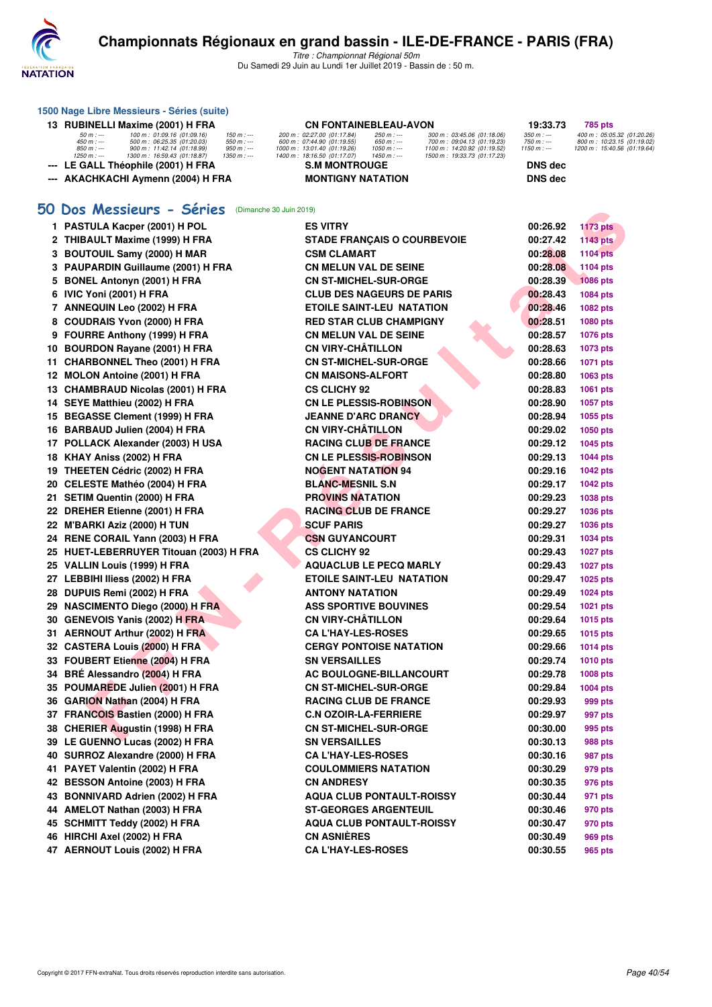

|     | 1500 Nage Libre Messieurs - Séries (suite)                                                                                                                                                                                                     |                                                                                                                                                                                                                                                                                                                   |                                           |                                                                                         |
|-----|------------------------------------------------------------------------------------------------------------------------------------------------------------------------------------------------------------------------------------------------|-------------------------------------------------------------------------------------------------------------------------------------------------------------------------------------------------------------------------------------------------------------------------------------------------------------------|-------------------------------------------|-----------------------------------------------------------------------------------------|
|     | 13 RUBINELLI Maxime (2001) H FRA                                                                                                                                                                                                               | CN FONTAINEBLEAU-AVON                                                                                                                                                                                                                                                                                             | 19:33.73                                  | 785 pts                                                                                 |
|     | 100 m: 01:09.16 (01:09.16)<br>50 m : ---<br>$150 m : -$<br>500 m : 06:25.35 (01:20.03)<br>$450 m : -$<br>$550 m : -$<br>850 m : ---<br>900 m: 11:42.14 (01:18.99)<br>$950 m: -$<br>$1250 m : -$<br>1300 m: 16:59.43 (01:18.87)<br>$1350 m : -$ | 200 m: 02:27.00 (01:17.84)<br>$250 m: -$<br>300 m : 03:45.06 (01:18.06)<br>600 m : 07:44.90 (01:19.55)<br>650 m : ---<br>700 m : 09:04.13 (01:19.23)<br>1000 m: 13:01.40 (01:19.26)<br>$1050 m$ : ---<br>1100 m: 14:20.92 (01:19.52)<br>1400 m: 18:16.50 (01:17.07)<br>$1450 m: -$<br>1500 m: 19:33.73 (01:17.23) | $350 m : -$<br>750 m : ---<br>$1150 m: -$ | 400 m: 05:05.32 (01:20.26)<br>800 m: 10:23.15 (01:19.02)<br>1200 m: 15:40.56 (01:19.64) |
|     | --- LE GALL Théophile (2001) H FRA                                                                                                                                                                                                             | <b>S.M MONTROUGE</b>                                                                                                                                                                                                                                                                                              | <b>DNS</b> dec                            |                                                                                         |
|     | --- AKACHKACHI Aymenn (2004) H FRA                                                                                                                                                                                                             | <b>MONTIGNY NATATION</b>                                                                                                                                                                                                                                                                                          | <b>DNS dec</b>                            |                                                                                         |
|     |                                                                                                                                                                                                                                                |                                                                                                                                                                                                                                                                                                                   |                                           |                                                                                         |
|     | 50 Dos Messieurs - Séries<br>(Dimanche 30 Juin 2019)                                                                                                                                                                                           |                                                                                                                                                                                                                                                                                                                   |                                           |                                                                                         |
|     | 1 PASTULA Kacper (2001) H POL                                                                                                                                                                                                                  | <b>ES VITRY</b>                                                                                                                                                                                                                                                                                                   | 00:26.92                                  | <b>1173 pts</b>                                                                         |
|     | 2 THIBAULT Maxime (1999) H FRA                                                                                                                                                                                                                 | <b>STADE FRANÇAIS O COURBEVOIE</b>                                                                                                                                                                                                                                                                                | 00:27.42                                  | <b>1143 pts</b>                                                                         |
|     | 3 BOUTOUIL Samy (2000) H MAR                                                                                                                                                                                                                   | <b>CSM CLAMART</b>                                                                                                                                                                                                                                                                                                | 00:28.08                                  | <b>1104 pts</b>                                                                         |
|     | 3 PAUPARDIN Guillaume (2001) H FRA                                                                                                                                                                                                             | CN MELUN VAL DE SEINE                                                                                                                                                                                                                                                                                             | 00:28.08                                  | <b>1104 pts</b>                                                                         |
|     | 5 BONEL Antonyn (2001) H FRA                                                                                                                                                                                                                   | <b>CN ST-MICHEL-SUR-ORGE</b>                                                                                                                                                                                                                                                                                      | 00:28.39                                  | <b>1086 pts</b>                                                                         |
|     | 6 IVIC Yoni (2001) H FRA                                                                                                                                                                                                                       | <b>CLUB DES NAGEURS DE PARIS</b>                                                                                                                                                                                                                                                                                  | 00:28.43                                  | 1084 pts                                                                                |
|     | 7 ANNEQUIN Leo (2002) H FRA                                                                                                                                                                                                                    | <b>ETOILE SAINT-LEU NATATION</b>                                                                                                                                                                                                                                                                                  | 00:28.46                                  | 1082 pts                                                                                |
|     | 8 COUDRAIS Yvon (2000) H FRA                                                                                                                                                                                                                   | <b>RED STAR CLUB CHAMPIGNY</b>                                                                                                                                                                                                                                                                                    | 00:28.51                                  | <b>1080 pts</b>                                                                         |
|     | 9 FOURRE Anthony (1999) H FRA                                                                                                                                                                                                                  | <b>CN MELUN VAL DE SEINE</b>                                                                                                                                                                                                                                                                                      | 00:28.57                                  | <b>1076 pts</b>                                                                         |
|     | 10 BOURDON Rayane (2001) H FRA                                                                                                                                                                                                                 | <b>CN VIRY-CHATILLON</b>                                                                                                                                                                                                                                                                                          | 00:28.63                                  | <b>1073 pts</b>                                                                         |
| 11. | <b>CHARBONNEL Theo (2001) H FRA</b>                                                                                                                                                                                                            | <b>CN ST-MICHEL-SUR-ORGE</b>                                                                                                                                                                                                                                                                                      | 00:28.66                                  | <b>1071 pts</b>                                                                         |
|     | 12 MOLON Antoine (2001) H FRA                                                                                                                                                                                                                  | <b>CN MAISONS-ALFORT</b>                                                                                                                                                                                                                                                                                          | 00:28.80                                  | 1063 pts                                                                                |
|     | 13 CHAMBRAUD Nicolas (2001) H FRA                                                                                                                                                                                                              | <b>CS CLICHY 92</b>                                                                                                                                                                                                                                                                                               | 00:28.83                                  | 1061 pts                                                                                |
|     | 14 SEYE Matthieu (2002) H FRA                                                                                                                                                                                                                  | <b>CN LE PLESSIS-ROBINSON</b>                                                                                                                                                                                                                                                                                     | 00:28.90                                  | <b>1057 pts</b>                                                                         |
|     | 15 BEGASSE Clement (1999) H FRA                                                                                                                                                                                                                | <b>JEANNE D'ARC DRANCY</b>                                                                                                                                                                                                                                                                                        | 00:28.94                                  | 1055 pts                                                                                |
|     | 16 BARBAUD Julien (2004) H FRA                                                                                                                                                                                                                 | <b>CN VIRY-CHÂTILLON</b>                                                                                                                                                                                                                                                                                          | 00:29.02                                  | 1050 pts                                                                                |
|     | 17 POLLACK Alexander (2003) H USA                                                                                                                                                                                                              | <b>RACING CLUB DE FRANCE</b>                                                                                                                                                                                                                                                                                      | 00:29.12                                  | <b>1045 pts</b>                                                                         |
|     | 18 KHAY Aniss (2002) H FRA                                                                                                                                                                                                                     | <b>CN LE PLESSIS-ROBINSON</b>                                                                                                                                                                                                                                                                                     | 00:29.13                                  | <b>1044 pts</b>                                                                         |
|     | 19 THEETEN Cédric (2002) H FRA                                                                                                                                                                                                                 | <b>NOGENT NATATION 94</b>                                                                                                                                                                                                                                                                                         | 00:29.16                                  | <b>1042 pts</b>                                                                         |
|     | 20 CELESTE Mathéo (2004) H FRA                                                                                                                                                                                                                 | <b>BLANC-MESNIL S.N</b>                                                                                                                                                                                                                                                                                           | 00:29.17                                  | <b>1042 pts</b>                                                                         |
|     | 21 SETIM Quentin (2000) H FRA                                                                                                                                                                                                                  | <b>PROVINS NATATION</b>                                                                                                                                                                                                                                                                                           | 00:29.23                                  | 1038 pts                                                                                |
|     | 22 DREHER Etienne (2001) H FRA                                                                                                                                                                                                                 | <b>RACING CLUB DE FRANCE</b>                                                                                                                                                                                                                                                                                      | 00:29.27                                  | <b>1036 pts</b>                                                                         |
|     | 22 M'BARKI Aziz (2000) H TUN                                                                                                                                                                                                                   | <b>SCUF PARIS</b>                                                                                                                                                                                                                                                                                                 | 00:29.27                                  | 1036 pts                                                                                |
|     | 24 RENE CORAIL Yann (2003) H FRA                                                                                                                                                                                                               | <b>CSN GUYANCOURT</b>                                                                                                                                                                                                                                                                                             | 00:29.31                                  | <b>1034 pts</b>                                                                         |
|     | 25 HUET-LEBERRUYER Titouan (2003) H FRA                                                                                                                                                                                                        | <b>CS CLICHY 92</b>                                                                                                                                                                                                                                                                                               | 00:29.43                                  | <b>1027 pts</b>                                                                         |
|     | 25   VALLIN Louis (1999) H FRA                                                                                                                                                                                                                 | <b>AQUACLUB LE PECQ MARLY</b>                                                                                                                                                                                                                                                                                     | 00:29.43                                  | <b>1027 pts</b>                                                                         |
|     | 27 LEBBIHI Iliess (2002) H FRA                                                                                                                                                                                                                 | ETOILE SAINT-LEU NATATION                                                                                                                                                                                                                                                                                         | 00:29.47                                  | <b>1025 pts</b>                                                                         |
|     | 28 DUPUIS Remi (2002) H FRA                                                                                                                                                                                                                    | <b>ANTONY NATATION</b>                                                                                                                                                                                                                                                                                            | 00:29.49                                  | <b>1024 pts</b>                                                                         |
|     | 29 NASCIMENTO Diego (2000) H FRA                                                                                                                                                                                                               | <b>ASS SPORTIVE BOUVINES</b>                                                                                                                                                                                                                                                                                      | 00:29.54                                  | <b>1021 pts</b>                                                                         |
|     | 30 GENEVOIS Yanis (2002) H FRA                                                                                                                                                                                                                 | <b>CN VIRY-CHÂTILLON</b>                                                                                                                                                                                                                                                                                          | 00:29.64                                  | <b>1015 pts</b>                                                                         |
|     | 31 AERNOUT Arthur (2002) H FRA                                                                                                                                                                                                                 | <b>CA L'HAY-LES-ROSES</b>                                                                                                                                                                                                                                                                                         | 00:29.65                                  | <b>1015 pts</b>                                                                         |
|     | 32   CASTERA Louis (2000) H FRA<br>33 FOUBERT Etienne (2004) H FRA                                                                                                                                                                             | <b>CERGY PONTOISE NATATION</b>                                                                                                                                                                                                                                                                                    | 00:29.66                                  | 1014 pts                                                                                |
|     | 34 BRÉ Alessandro (2004) H FRA                                                                                                                                                                                                                 | <b>SN VERSAILLES</b><br>AC BOULOGNE-BILLANCOURT                                                                                                                                                                                                                                                                   | 00:29.74<br>00:29.78                      | 1010 pts                                                                                |
|     | 35 POUMAREDE Julien (2001) H FRA                                                                                                                                                                                                               | <b>CN ST-MICHEL-SUR-ORGE</b>                                                                                                                                                                                                                                                                                      | 00:29.84                                  | 1008 pts<br>1004 pts                                                                    |
|     | 36 GARION Nathan (2004) H FRA                                                                                                                                                                                                                  | <b>RACING CLUB DE FRANCE</b>                                                                                                                                                                                                                                                                                      | 00:29.93                                  | 999 pts                                                                                 |
|     | 37 FRANCOIS Bastien (2000) H FRA                                                                                                                                                                                                               | <b>C.N OZOIR-LA-FERRIERE</b>                                                                                                                                                                                                                                                                                      | 00:29.97                                  | 997 pts                                                                                 |
|     | 38 CHERIER Augustin (1998) H FRA                                                                                                                                                                                                               | <b>CN ST-MICHEL-SUR-ORGE</b>                                                                                                                                                                                                                                                                                      | 00:30.00                                  | 995 pts                                                                                 |
|     | 39 LE GUENNO Lucas (2002) H FRA                                                                                                                                                                                                                | <b>SN VERSAILLES</b>                                                                                                                                                                                                                                                                                              | 00:30.13                                  | 988 pts                                                                                 |
|     | 40 SURROZ Alexandre (2000) H FRA                                                                                                                                                                                                               | <b>CA L'HAY-LES-ROSES</b>                                                                                                                                                                                                                                                                                         | 00:30.16                                  | 987 pts                                                                                 |
|     | 41 PAYET Valentin (2002) H FRA                                                                                                                                                                                                                 | <b>COULOMMIERS NATATION</b>                                                                                                                                                                                                                                                                                       | 00:30.29                                  | 979 pts                                                                                 |
|     | 42 BESSON Antoine (2003) H FRA                                                                                                                                                                                                                 | <b>CN ANDRESY</b>                                                                                                                                                                                                                                                                                                 | 00:30.35                                  | 976 pts                                                                                 |
|     | 43 BONNIVARD Adrien (2002) H FRA                                                                                                                                                                                                               | <b>AQUA CLUB PONTAULT-ROISSY</b>                                                                                                                                                                                                                                                                                  | 00:30.44                                  | 971 pts                                                                                 |
|     | 44 AMELOT Nathan (2003) H FRA                                                                                                                                                                                                                  | <b>ST-GEORGES ARGENTEUIL</b>                                                                                                                                                                                                                                                                                      | 00:30.46                                  | 970 pts                                                                                 |
|     | 45 SCHMITT Teddy (2002) H FRA                                                                                                                                                                                                                  | <b>AQUA CLUB PONTAULT-ROISSY</b>                                                                                                                                                                                                                                                                                  | 00:30.47                                  | 970 pts                                                                                 |
|     | 46 HIRCHI Axel (2002) H FRA                                                                                                                                                                                                                    | <b>CN ASNIÈRES</b>                                                                                                                                                                                                                                                                                                | 00:30.49                                  | 969 pts                                                                                 |
|     | 47 AERNOUT Louis (2002) H FRA                                                                                                                                                                                                                  | <b>CA L'HAY-LES-ROSES</b>                                                                                                                                                                                                                                                                                         | 00:30.55                                  | 965 pts                                                                                 |
|     |                                                                                                                                                                                                                                                |                                                                                                                                                                                                                                                                                                                   |                                           |                                                                                         |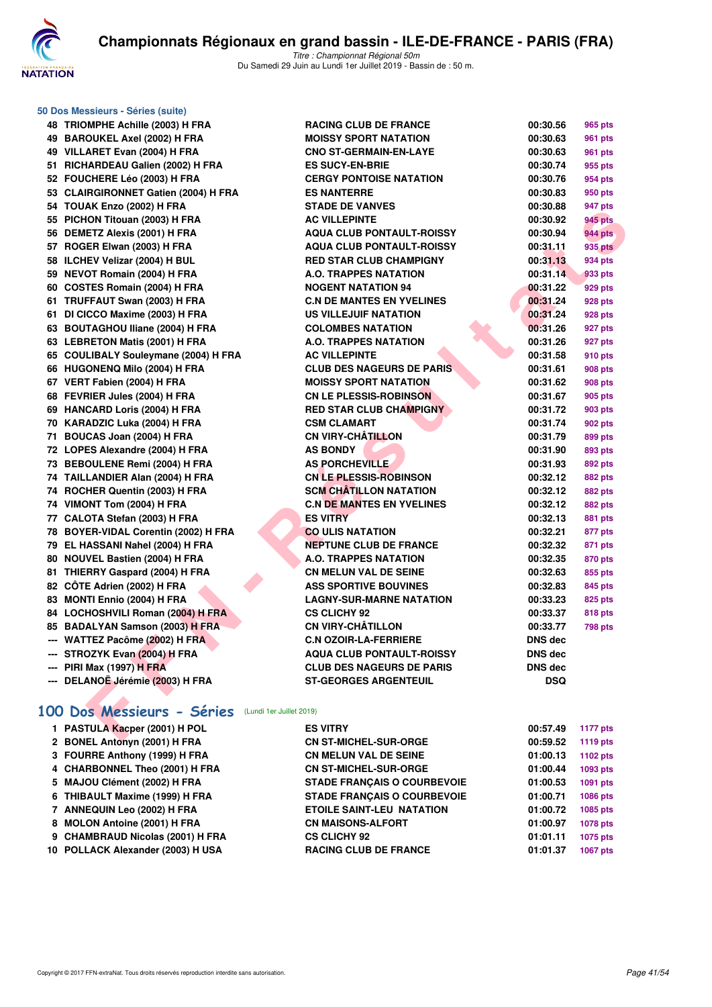

**50 Dos Messieurs - Séries (suite)**

Titre : Championnat Régional 50m Du Samedi 29 Juin au Lundi 1er Juillet 2019 - Bassin de : 50 m.

| 48 | TRIOMPHE Achille (2003) H FRA                             |
|----|-----------------------------------------------------------|
| 49 | <b>BAROUKEL Axel (2002) H FRA</b>                         |
| 49 | VILLARET Evan (2004) H FRA                                |
| 51 | RICHARDEAU Galien (2002) H FRA                            |
| 52 | FOUCHERE Léo (2003) H FRA                                 |
| 53 | <b>CLAIRGIRONNET Gatien (2004) H FRA</b>                  |
| 54 | TOUAK Enzo (2002) H FRA                                   |
| 55 | PICHON Titouan (2003) H FRA                               |
| 56 | <b>DEMETZ Alexis (2001) H FRA</b>                         |
| 57 | ROGER Elwan (2003) H FRA                                  |
| 58 | ILCHEV Velizar (2004) H BUL                               |
| 59 | <b>NEVOT Romain (2004) H FRA</b>                          |
| 60 | <b>COSTES Romain (2004) H FRA</b>                         |
| 61 | TRUFFAUT Swan (2003) H FRA                                |
| 61 | DI CICCO Maxime (2003) H FRA                              |
| 63 | <b>BOUTAGHOU Iliane (2004) H FRA</b>                      |
| 63 | <b>LEBRETON Matis (2001) H FRA</b>                        |
| 65 | <b>COULIBALY Souleymane (2004) H FRA</b>                  |
| 66 | HUGONENQ Milo (2004) H FRA                                |
| 67 | VERT Fabien (2004) H FRA                                  |
| 68 | FEVRIER Jules (2004) H FRA                                |
| 69 | <b>HANCARD Loris (2004) H FRA</b>                         |
| 70 | KARADZIC Luka (2004) H FRA                                |
| 71 | BOUCAS Joan (2004) H FRA                                  |
| 72 | LOPES Alexandre (2004) H FRA                              |
| 73 | <b>BEBOULENE Remi (2004) H FRA</b>                        |
| 74 | TAILLANDIER Alan (2004) H FRA                             |
| 74 | ROCHER Quentin (2003) H FRA                               |
| 74 | VIMONT Tom (2004) H FRA                                   |
| 77 | CALOTA Stefan (2003) H FRA                                |
| 78 | BOYER-VIDAL Corentin (2002) H FRA                         |
| 79 | EL HASSANI Nahel (2004) H FRA                             |
| 80 | <b>NOUVEL Bastien (2004) H FRA</b>                        |
| 81 | THIERRY Gaspard (2004) H FRA                              |
| 82 | CÔTE Adrien (2002) H FRA                                  |
| 83 | MONTI Ennio (2004) H FRA                                  |
| 84 | LOCHOSHVILI Roman (2004) H FRA                            |
| 85 | <b>BADALYAN Samson (2003) H FRA</b>                       |
|    | --- WATTEZ Pacôme (2002) H FRA                            |
|    | --- STROZYK Evan (2004) H FRA                             |
|    | --- PIRI Max (1997) H FRA<br>DELANOË Jérémie (2003) H FRA |
|    |                                                           |
|    |                                                           |

| $\sim$ Dos messicurs - ocrics (suite)                 |                                  |                |                |
|-------------------------------------------------------|----------------------------------|----------------|----------------|
| 48 TRIOMPHE Achille (2003) H FRA                      | <b>RACING CLUB DE FRANCE</b>     | 00:30.56       | 965 pts        |
| 49 BAROUKEL Axel (2002) H FRA                         | <b>MOISSY SPORT NATATION</b>     | 00:30.63       | <b>961 pts</b> |
| 49 VILLARET Evan (2004) H FRA                         | <b>CNO ST-GERMAIN-EN-LAYE</b>    | 00:30.63       | 961 pts        |
| 51 RICHARDEAU Galien (2002) H FRA                     | <b>ES SUCY-EN-BRIE</b>           | 00:30.74       | 955 pts        |
| 52 FOUCHERE Léo (2003) H FRA                          | <b>CERGY PONTOISE NATATION</b>   | 00:30.76       | 954 pts        |
| 53 CLAIRGIRONNET Gatien (2004) H FRA                  | <b>ES NANTERRE</b>               | 00:30.83       | 950 pts        |
| 54 TOUAK Enzo (2002) H FRA                            | <b>STADE DE VANVES</b>           | 00:30.88       | 947 pts        |
| 55 PICHON Titouan (2003) H FRA                        | <b>AC VILLEPINTE</b>             | 00:30.92       | <b>945 pts</b> |
| 56 DEMETZ Alexis (2001) H FRA                         | <b>AQUA CLUB PONTAULT-ROISSY</b> | 00:30.94       | 944 pts        |
| 57 ROGER Elwan (2003) H FRA                           | <b>AQUA CLUB PONTAULT-ROISSY</b> | 00:31.11       | 935 pts        |
| 58 ILCHEV Velizar (2004) H BUL                        | <b>RED STAR CLUB CHAMPIGNY</b>   | 00:31.13       | 934 pts        |
| 59 NEVOT Romain (2004) H FRA                          | A.O. TRAPPES NATATION            | 00:31.14       | 933 pts        |
| 60 COSTES Romain (2004) H FRA                         | <b>NOGENT NATATION 94</b>        | 00:31.22       | 929 pts        |
| 61 TRUFFAUT Swan (2003) H FRA                         | <b>C.N DE MANTES EN YVELINES</b> | 00:31.24       | 928 pts        |
| 61 DI CICCO Maxime (2003) H FRA                       | US VILLEJUIF NATATION            | 00:31.24       | <b>928 pts</b> |
| 63 BOUTAGHOU Iliane (2004) H FRA                      | <b>COLOMBES NATATION</b>         | 00:31.26       | 927 pts        |
| 63 LEBRETON Matis (2001) H FRA                        | A.O. TRAPPES NATATION            | 00:31.26       | 927 pts        |
| 65 COULIBALY Souleymane (2004) H FRA                  | <b>AC VILLEPINTE</b>             | 00:31.58       | 910 pts        |
| 66 HUGONENQ Milo (2004) H FRA                         | <b>CLUB DES NAGEURS DE PARIS</b> | 00:31.61       | <b>908 pts</b> |
| 67 VERT Fabien (2004) H FRA                           | <b>MOISSY SPORT NATATION</b>     | 00:31.62       | <b>908 pts</b> |
| 68 FEVRIER Jules (2004) H FRA                         | <b>CN LE PLESSIS-ROBINSON</b>    | 00:31.67       | 905 pts        |
| 69 HANCARD Loris (2004) H FRA                         | <b>RED STAR CLUB CHAMPIGNY</b>   | 00:31.72       | <b>903 pts</b> |
| 70 KARADZIC Luka (2004) H FRA                         | <b>CSM CLAMART</b>               | 00:31.74       | 902 pts        |
| 71 BOUCAS Joan (2004) H FRA                           | <b>CN VIRY-CHÂTILLON</b>         | 00:31.79       | 899 pts        |
| 72 LOPES Alexandre (2004) H FRA                       | <b>AS BONDY</b>                  | 00:31.90       | 893 pts        |
| 73 BEBOULENE Remi (2004) H FRA                        | <b>AS PORCHEVILLE</b>            | 00:31.93       | 892 pts        |
| 74 TAILLANDIER Alan (2004) H FRA                      | <b>CN LE PLESSIS-ROBINSON</b>    | 00:32.12       | 882 pts        |
| 74 ROCHER Quentin (2003) H FRA                        | <b>SCM CHATILLON NATATION</b>    | 00:32.12       | 882 pts        |
| 74 VIMONT Tom (2004) H FRA                            | <b>C.N DE MANTES EN YVELINES</b> | 00:32.12       | 882 pts        |
| 77 CALOTA Stefan (2003) H FRA                         | <b>ES VITRY</b>                  | 00:32.13       | <b>881 pts</b> |
| 78 BOYER-VIDAL Corentin (2002) H FRA                  | <b>CO ULIS NATATION</b>          | 00:32.21       | 877 pts        |
| 79 EL HASSANI Nahel (2004) H FRA                      | <b>NEPTUNE CLUB DE FRANCE</b>    | 00:32.32       | 871 pts        |
| 80 NOUVEL Bastien (2004) H FRA                        | <b>A.O. TRAPPES NATATION</b>     | 00:32.35       | 870 pts        |
| 81 THIERRY Gaspard (2004) H FRA                       | <b>CN MELUN VAL DE SEINE</b>     | 00:32.63       | 855 pts        |
| 82 CÔTE Adrien (2002) H FRA                           | <b>ASS SPORTIVE BOUVINES</b>     | 00:32.83       | 845 pts        |
| 83 MONTI Ennio (2004) H FRA                           | <b>LAGNY-SUR-MARNE NATATION</b>  | 00:33.23       | 825 pts        |
| 84 LOCHOSHVILI Roman (2004) H FRA                     | <b>CS CLICHY 92</b>              | 00:33.37       | <b>818 pts</b> |
| 85 BADALYAN Samson (2003) H FRA                       | <b>CN VIRY-CHATILLON</b>         | 00:33.77       | 798 pts        |
| --- WATTEZ Pacôme (2002) H FRA                        | <b>C.N OZOIR-LA-FERRIERE</b>     | DNS dec        |                |
| --- STROZYK Evan (2004) H FRA                         | <b>AQUA CLUB PONTAULT-ROISSY</b> | <b>DNS</b> dec |                |
| --- PIRI Max (1997) H FRA                             | <b>CLUB DES NAGEURS DE PARIS</b> | <b>DNS dec</b> |                |
| --- DELANOË Jérémie (2003) H FRA                      | <b>ST-GEORGES ARGENTEUIL</b>     | <b>DSQ</b>     |                |
|                                                       |                                  |                |                |
| 00 Dos Messieurs - Séries<br>(Lundi 1er Juillet 2019) |                                  |                |                |
| 1 PASTULA Kacper (2001) H POL                         | <b>ES VITRY</b>                  | 00:57.49       | 1177 pts       |
| O DONEL Antonin (0001) U EDA                          | ON OT MIOUEL OUR OROF            | 00.50.50       |                |

# **[100 Dos Messieurs - Séries](http://www.ffnatation.fr/webffn/resultats.php?idact=nat&go=epr&idcpt=61555&idepr=62)** (Lundi 1er Juillet 2019)

| 1 PASTULA Kacper (2001) H POL     | <b>ES VITRY</b>                    | 00:57.49 | 1177 pts        |
|-----------------------------------|------------------------------------|----------|-----------------|
| 2 BONEL Antonyn (2001) H FRA      | <b>CN ST-MICHEL-SUR-ORGE</b>       | 00:59.52 | 1119 pts        |
| 3 FOURRE Anthony (1999) H FRA     | <b>CN MELUN VAL DE SEINE</b>       | 01:00.13 | 1102 pts        |
| 4 CHARBONNEL Theo (2001) H FRA    | <b>CN ST-MICHEL-SUR-ORGE</b>       | 01:00.44 | 1093 pts        |
| 5 MAJOU Clément (2002) H FRA      | <b>STADE FRANCAIS O COURBEVOIE</b> | 01:00.53 | 1091 pts        |
| 6 THIBAULT Maxime (1999) H FRA    | <b>STADE FRANCAIS O COURBEVOIE</b> | 01:00.71 | <b>1086 pts</b> |
| 7 ANNEQUIN Leo (2002) H FRA       | <b>ETOILE SAINT-LEU NATATION</b>   | 01:00.72 | 1085 pts        |
| 8 MOLON Antoine (2001) H FRA      | <b>CN MAISONS-ALFORT</b>           | 01:00.97 | 1078 pts        |
| 9 CHAMBRAUD Nicolas (2001) H FRA  | <b>CS CLICHY 92</b>                | 01:01.11 | 1075 pts        |
| 10 POLLACK Alexander (2003) H USA | <b>RACING CLUB DE FRANCE</b>       | 01:01.37 | 1067 pts        |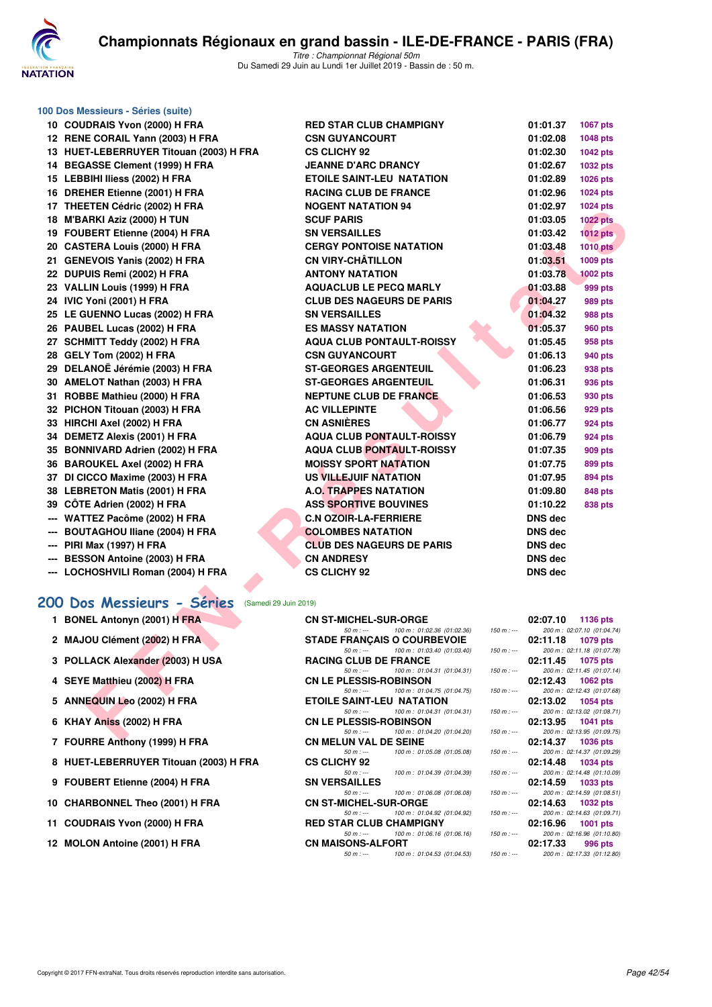

#### **100 Dos Messieurs - Séries (suite)**

|     | 10 COUDRAIS Yvon (2000) H FRA           | <b>RED STAR CLUB CHAMPIGNY</b>   | 01:01.37       | 1067 pts        |
|-----|-----------------------------------------|----------------------------------|----------------|-----------------|
|     | 12 RENE CORAIL Yann (2003) H FRA        | <b>CSN GUYANCOURT</b>            | 01:02.08       | 1048 pts        |
|     | 13 HUET-LEBERRUYER Titouan (2003) H FRA | <b>CS CLICHY 92</b>              | 01:02.30       | <b>1042 pts</b> |
|     | 14 BEGASSE Clement (1999) H FRA         | <b>JEANNE D'ARC DRANCY</b>       | 01:02.67       | 1032 pts        |
|     | 15 LEBBIHI Iliess (2002) H FRA          | <b>ETOILE SAINT-LEU NATATION</b> | 01:02.89       | 1026 pts        |
|     | 16 DREHER Etienne (2001) H FRA          | <b>RACING CLUB DE FRANCE</b>     | 01:02.96       | 1024 pts        |
|     | 17 THEETEN Cédric (2002) H FRA          | <b>NOGENT NATATION 94</b>        | 01:02.97       | 1024 pts        |
|     | 18 M'BARKI Aziz (2000) H TUN            | <b>SCUF PARIS</b>                | 01:03.05       | <b>1022 pts</b> |
|     | 19 FOUBERT Etienne (2004) H FRA         | <b>SN VERSAILLES</b>             | 01:03.42       | <b>1012 pts</b> |
|     | 20 CASTERA Louis (2000) H FRA           | <b>CERGY PONTOISE NATATION</b>   | 01:03.48       | <b>1010 pts</b> |
|     | 21 GENEVOIS Yanis (2002) H FRA          | <b>CN VIRY-CHÂTILLON</b>         | 01:03.51       | 1009 pts        |
|     | 22 DUPUIS Remi (2002) H FRA             | <b>ANTONY NATATION</b>           | 01:03.78       | <b>1002 pts</b> |
|     | 23 VALLIN Louis (1999) H FRA            | <b>AQUACLUB LE PECQ MARLY</b>    | 01:03.88       | 999 pts         |
|     | 24 IVIC Yoni (2001) H FRA               | <b>CLUB DES NAGEURS DE PARIS</b> | 01:04.27       | 989 pts         |
|     | 25 LE GUENNO Lucas (2002) H FRA         | <b>SN VERSAILLES</b>             | 01:04.32       | <b>988 pts</b>  |
|     | 26 PAUBEL Lucas (2002) H FRA            | <b>ES MASSY NATATION</b>         | 01:05.37       | <b>960 pts</b>  |
|     | 27 SCHMITT Teddy (2002) H FRA           | <b>AQUA CLUB PONTAULT-ROISSY</b> | 01:05.45       | 958 pts         |
|     | 28 GELY Tom (2002) H FRA                | <b>CSN GUYANCOURT</b>            | 01:06.13       | 940 pts         |
|     | 29 DELANOË Jérémie (2003) H FRA         | <b>ST-GEORGES ARGENTEUIL</b>     | 01:06.23       | 938 pts         |
|     | 30 AMELOT Nathan (2003) H FRA           | <b>ST-GEORGES ARGENTEUIL</b>     | 01:06.31       | 936 pts         |
|     | 31 ROBBE Mathieu (2000) H FRA           | <b>NEPTUNE CLUB DE FRANCE</b>    | 01:06.53       | 930 pts         |
|     | 32 PICHON Titouan (2003) H FRA          | <b>AC VILLEPINTE</b>             | 01:06.56       | 929 pts         |
|     | 33 HIRCHI Axel (2002) H FRA             | <b>CN ASNIÈRES</b>               | 01:06.77       | <b>924 pts</b>  |
|     | 34 DEMETZ Alexis (2001) H FRA           | <b>AQUA CLUB PONTAULT-ROISSY</b> | 01:06.79       | <b>924 pts</b>  |
|     | 35 BONNIVARD Adrien (2002) H FRA        | <b>AQUA CLUB PONTAULT-ROISSY</b> | 01:07.35       | <b>909 pts</b>  |
|     | 36 BAROUKEL Axel (2002) H FRA           | <b>MOISSY SPORT NATATION</b>     | 01:07.75       | 899 pts         |
| 37  | DI CICCO Maxime (2003) H FRA            | US VILLEJUIF NATATION            | 01:07.95       | <b>894 pts</b>  |
|     | 38 LEBRETON Matis (2001) H FRA          | <b>A.O. TRAPPES NATATION</b>     | 01:09.80       | <b>848 pts</b>  |
|     | 39 CÔTE Adrien (2002) H FRA             | <b>ASS SPORTIVE BOUVINES</b>     | 01:10.22       | <b>838 pts</b>  |
| --- | WATTEZ Pacôme (2002) H FRA              | <b>C.N OZOIR-LA-FERRIERE</b>     | DNS dec        |                 |
| --- | <b>BOUTAGHOU Iliane (2004) H FRA</b>    | <b>COLOMBES NATATION</b>         | <b>DNS</b> dec |                 |
|     | --- PIRI Max (1997) H FRA               | <b>CLUB DES NAGEURS DE PARIS</b> | <b>DNS</b> dec |                 |
|     | --- BESSON Antoine (2003) H FRA         | <b>CN ANDRESY</b>                | <b>DNS</b> dec |                 |

# **[200 Dos Messieurs - Séries](http://www.ffnatation.fr/webffn/resultats.php?idact=nat&go=epr&idcpt=61555&idepr=63)** (Samedi 29 Juin 2019)

| 1 BONEL Antonyn (2001) H FRA           |                              | <b>CN ST-MICHEL-SUR-ORGE</b>                                                                                                                                                                                                   |                                         | $02:07.10$ 1136 pts |
|----------------------------------------|------------------------------|--------------------------------------------------------------------------------------------------------------------------------------------------------------------------------------------------------------------------------|-----------------------------------------|---------------------|
|                                        |                              | 50 m : --- 100 m : 01:02.36 (01:02.36)                                                                                                                                                                                         | 150 m : --- 200 m : 02:07.10 (01:04.74) |                     |
| 2 MAJOU Clément (2002) H FRA           |                              | <b>STADE FRANCAIS O COURBEVOIE</b>                                                                                                                                                                                             |                                         | $02:11.18$ 1079 pts |
|                                        |                              | 50 m : --- 100 m : 01:03.40 (01:03.40)                                                                                                                                                                                         | 150 m : --- 200 m : 02:11.18 (01:07.78) |                     |
| 3 POLLACK Alexander (2003) H USA       |                              | <b>RACING CLUB DE FRANCE</b>                                                                                                                                                                                                   |                                         | $02:11.45$ 1075 pts |
|                                        |                              | 50 m : --- 100 m : 01:04.31 (01:04.31) 150 m : --- 200 m : 02:11.45 (01:07.14)                                                                                                                                                 |                                         |                     |
| 4 SEYE Matthieu (2002) H FRA           |                              | CN LE PLESSIS-ROBINSON                                                                                                                                                                                                         |                                         | $02:12.43$ 1062 pts |
|                                        |                              | 50 m : --- 100 m : 01:04.75 (01:04.75) 150 m : --- 200 m : 02:12.43 (01:07.68)                                                                                                                                                 |                                         |                     |
| 5 ANNEQUIN Leo (2002) H FRA            |                              | <b>ETOILE SAINT-LEU NATATION</b>                                                                                                                                                                                               |                                         |                     |
|                                        |                              | 50 m : --- 100 m : 01:04.31 (01:04.31) 150 m : --- 200 m : 02:13.02 (01:08.71)                                                                                                                                                 |                                         |                     |
| 6 KHAY Aniss (2002) H FRA              |                              | CN LE PLESSIS-ROBINSON                                                                                                                                                                                                         |                                         | $02:13.95$ 1041 pts |
|                                        | $50 m: -$                    | 100 m : 01:04.20 (01:04.20)                                                                                                                                                                                                    | 150 m : --- 200 m : 02:13.95 (01:09.75) |                     |
| 7 FOURRE Anthony (1999) H FRA          | <b>CN MELUN VAL DE SEINE</b> |                                                                                                                                                                                                                                |                                         | $02:14.37$ 1036 pts |
|                                        |                              | 50 m : --- 100 m : 01:05.08 (01:05.08)                                                                                                                                                                                         | 150 m : --- 200 m : 02:14.37 (01:09.29) |                     |
| 8 HUET-LEBERRUYER Titouan (2003) H FRA | <b>CS CLICHY 92</b>          |                                                                                                                                                                                                                                |                                         | 02:14.48 1034 pts   |
|                                        |                              | 50 m : --- 100 m : 01:04.39 (01:04.39)                                                                                                                                                                                         | 150 m :--- 200 m : 02:14.48 (01:10.09)  |                     |
| 9 FOUBERT Etienne (2004) H FRA         | <b>SN VERSAILLES</b>         |                                                                                                                                                                                                                                |                                         | $02:14.59$ 1033 pts |
|                                        | $50 m: -$                    | 100 m : 01:06.08 (01:06.08)                                                                                                                                                                                                    | 150 m : --- 200 m : 02:14.59 (01:08.51) |                     |
| 10 CHARBONNEL Theo (2001) H FRA        |                              | CN ST-MICHEL-SUR-ORGE NAMEL AND THE STATE OF STATE ORGER STATES AND THE STATE OF STATES OF STATES OF STATES AND THE STATE OF STATES OF STATES AND THE STATES OF STATES OF STATES AND THE STATES OF STATES OF STATES AND THE ST |                                         | 02:14.63 1032 pts   |
|                                        |                              | 50 m : --- 100 m : 01:04.92 (01:04.92) 150 m : --- 200 m : 02:14.63 (01:09.71)                                                                                                                                                 |                                         |                     |
| 11 COUDRAIS Yvon (2000) H FRA          |                              | <b>RED STAR CLUB CHAMPIGNY</b>                                                                                                                                                                                                 |                                         | 02:16.96 1001 pts   |
|                                        |                              | 50 m : --- 100 m : 01:06.16 (01:06.16)                                                                                                                                                                                         | 150 m : --- 200 m : 02:16.96 (01:10.80) |                     |

| IT THEETER COUNT (2002) IT FRA                     | NUYENI NATATIVN 34                                                                          | 01.02.37<br><b>ULT PIS</b>                                |
|----------------------------------------------------|---------------------------------------------------------------------------------------------|-----------------------------------------------------------|
| 18 M'BARKI Aziz (2000) H TUN                       | <b>SCUF PARIS</b>                                                                           | 01:03.05<br><b>1022 pts</b>                               |
| 19 FOUBERT Etienne (2004) H FRA                    | <b>SN VERSAILLES</b>                                                                        | 01:03.42<br><b>1012 pts</b>                               |
| 20 CASTERA Louis (2000) H FRA                      | <b>CERGY PONTOISE NATATION</b>                                                              | 01:03.48<br><b>1010 pts</b>                               |
| 21 GENEVOIS Yanis (2002) H FRA                     | <b>CN VIRY-CHÂTILLON</b>                                                                    | 01:03.51<br>1009 pts                                      |
| 22 DUPUIS Remi (2002) H FRA                        | <b>ANTONY NATATION</b>                                                                      | 01:03.78<br><b>1002 pts</b>                               |
| 23 VALLIN Louis (1999) H FRA                       | <b>AQUACLUB LE PECQ MARLY</b>                                                               | 01:03.88<br>999 pts                                       |
| 24 IVIC Yoni (2001) H FRA                          | <b>CLUB DES NAGEURS DE PARIS</b>                                                            | 01:04.27<br>989 pts                                       |
| 25 LE GUENNO Lucas (2002) H FRA                    | <b>SN VERSAILLES</b>                                                                        | 01:04.32<br>988 pts                                       |
| 26 PAUBEL Lucas (2002) H FRA                       | <b>ES MASSY NATATION</b>                                                                    | 01:05.37<br>960 pts                                       |
| 27 SCHMITT Teddy (2002) H FRA                      | <b>AQUA CLUB PONTAULT-ROISSY</b>                                                            | 01:05.45<br>958 pts                                       |
| 28 GELY Tom (2002) H FRA                           | <b>CSN GUYANCOURT</b>                                                                       | 01:06.13<br>940 pts                                       |
| 29 DELANOË Jérémie (2003) H FRA                    | <b>ST-GEORGES ARGENTEUIL</b>                                                                | 01:06.23<br>938 pts                                       |
| 30 AMELOT Nathan (2003) H FRA                      | <b>ST-GEORGES ARGENTEUIL</b>                                                                | 01:06.31<br>936 pts                                       |
| 31 ROBBE Mathieu (2000) H FRA                      | <b>NEPTUNE CLUB DE FRANCE</b>                                                               | 01:06.53<br>930 pts                                       |
| 32 PICHON Titouan (2003) H FRA                     | <b>AC VILLEPINTE</b>                                                                        | 01:06.56<br>929 pts                                       |
| 33 HIRCHI Axel (2002) H FRA                        | <b>CN ASNIÈRES</b>                                                                          | 01:06.77<br>924 pts                                       |
| 34 DEMETZ Alexis (2001) H FRA                      | <b>AQUA CLUB PONTAULT-ROISSY</b>                                                            | 01:06.79<br>924 pts                                       |
| 35 BONNIVARD Adrien (2002) H FRA                   | <b>AQUA CLUB PONTAULT-ROISSY</b>                                                            | 01:07.35<br>909 pts                                       |
| 36 BAROUKEL Axel (2002) H FRA                      | <b>MOISSY SPORT NATATION</b>                                                                | 01:07.75<br>899 pts                                       |
| 37 DI CICCO Maxime (2003) H FRA                    | US VILLEJUIF NATATION                                                                       | 01:07.95<br>894 pts                                       |
| 38 LEBRETON Matis (2001) H FRA                     | <b>A.O. TRAPPES NATATION</b>                                                                | 01:09.80<br>848 pts                                       |
| 39 CÔTE Adrien (2002) H FRA                        | <b>ASS SPORTIVE BOUVINES</b>                                                                | 01:10.22<br>838 pts                                       |
| --- WATTEZ Pacôme (2002) H FRA                     | <b>C.N OZOIR-LA-FERRIERE</b>                                                                | <b>DNS dec</b>                                            |
| --- BOUTAGHOU Iliane (2004) H FRA                  | <b>COLOMBES NATATION</b>                                                                    | <b>DNS dec</b>                                            |
| --- PIRI Max (1997) H FRA                          | <b>CLUB DES NAGEURS DE PARIS</b>                                                            | <b>DNS dec</b>                                            |
| --- BESSON Antoine (2003) H FRA                    | <b>CN ANDRESY</b>                                                                           | <b>DNS dec</b>                                            |
| --- LOCHOSHVILI Roman (2004) H FRA                 | <b>CS CLICHY 92</b>                                                                         | <b>DNS</b> dec                                            |
| 00 Dos Messieurs - Séries<br>(Samedi 29 Juin 2019) |                                                                                             |                                                           |
| 1 BONEL Antonyn (2001) H FRA                       | <b>CN ST-MICHEL-SUR-ORGE</b>                                                                | 02:07.10<br>1136 pts                                      |
|                                                    | $50 m: -$<br>100 m: 01:02.36 (01:02.36)<br>$150 m : -$                                      | 200 m: 02:07.10 (01:04.74)                                |
| 2 MAJOU Clément (2002) H FRA                       | <b>STADE FRANCAIS O COURBEVOIE</b><br>100 m: 01:03.40 (01:03.40)<br>$50 m: -$<br>$150 m: -$ | 02:11.18<br>1079 pts<br>200 m: 02:11.18 (01:07.78)        |
| 3 POLLACK Alexander (2003) H USA                   | <b>RACING CLUB DE FRANCE</b><br>$50 m: -$<br>100 m: 01:04.31 (01:04.31)<br>$150 m: -$       | 02:11.45<br>1075 pts<br>200 m: 02:11.45 (01:07.14)        |
| 4 SEYE Matthieu (2002) H FRA                       | <b>CN LE PLESSIS-ROBINSON</b>                                                               | 02:12.43<br>1062 pts                                      |
| 5 ANNEQUIN Leo (2002) H FRA                        | $50 m: -$<br>100 m: 01:04.75 (01:04.75)<br>$150 m : -$<br><b>ETOILE SAINT-LEU NATATION</b>  | 200 m: 02:12.43 (01:07.68)<br>02:13.02<br><b>1054 pts</b> |
| 6 KHAY Aniss (2002) H FRA                          | 100 m: 01:04.31 (01:04.31)<br>$50 m: -$<br>$150 m: -$<br><b>CN LE PLESSIS-ROBINSON</b>      | 200 m: 02:13.02 (01:08.71)<br>02:13.95<br>1041 pts        |
| $7.$ COUDDE Astrony (1000) U EDA                   | $50 m: -$<br>100 m: 01:04.20 (01:04.20)<br>$150 m: -$<br><b>ON MELHALVAL DE CEINE</b>       | 200 m: 02:13.95 (01:09.75)<br>$0.9 - 4A.27 = 40.26$       |
|                                                    |                                                                                             |                                                           |

| 5 ANNEQUIN Leo (2002) H FRA<br>6 KHAY Aniss (2002) H FRA<br>7 FOURRE Anthony (1999) H FRA<br>8 HUET-LEBERRUYER Titouan (2003) H FRA | $50 m : -$<br>$50 m: -$<br><b>CN LE PLESSIS-ROBINSON</b><br>$50 m: -$<br><b>CN MELUN VAL DE SEINE</b><br>$50 m: -$<br><b>CS CLICHY 92</b> | 100 m : 01:04.75 (01:04.75)<br><b>ETOILE SAINT-LEU NATATION</b><br>100 m : 01:04.31 (01:04.31)<br>100 m : 01:04.20 (01:04.20)<br>100 m : 01:05.08 (01:05.08) | 150 m : $-$ | 150 m :--- 200 m : 02:12.43 (01:07.68)<br>$02:13.02$ 1054 pts<br>$02:13.95$ 1041 pts<br>150 m :--- 200 m : 02:13.95 (01:09.75)<br>$02:14.37$ 1036 pts | 200 m: 02:13.02 (01:08.71) |
|-------------------------------------------------------------------------------------------------------------------------------------|-------------------------------------------------------------------------------------------------------------------------------------------|--------------------------------------------------------------------------------------------------------------------------------------------------------------|-------------|-------------------------------------------------------------------------------------------------------------------------------------------------------|----------------------------|
|                                                                                                                                     |                                                                                                                                           |                                                                                                                                                              |             |                                                                                                                                                       |                            |
|                                                                                                                                     |                                                                                                                                           |                                                                                                                                                              |             |                                                                                                                                                       |                            |
|                                                                                                                                     |                                                                                                                                           |                                                                                                                                                              |             |                                                                                                                                                       |                            |
|                                                                                                                                     |                                                                                                                                           |                                                                                                                                                              |             |                                                                                                                                                       |                            |
|                                                                                                                                     |                                                                                                                                           |                                                                                                                                                              |             |                                                                                                                                                       |                            |
|                                                                                                                                     |                                                                                                                                           |                                                                                                                                                              |             |                                                                                                                                                       |                            |
|                                                                                                                                     |                                                                                                                                           |                                                                                                                                                              |             | 150 m :--- 200 m : 02:14.37 (01:09.29)                                                                                                                |                            |
|                                                                                                                                     |                                                                                                                                           |                                                                                                                                                              |             | 02:14.48 1034 pts                                                                                                                                     |                            |
|                                                                                                                                     | $50 m: -$                                                                                                                                 | 100 m : 01:04.39 (01:04.39)                                                                                                                                  |             | 150 m : --- 200 m : 02:14.48 (01:10.09)                                                                                                               |                            |
| 9 FOUBERT Etienne (2004) H FRA                                                                                                      | <b>SN VERSAILLES</b>                                                                                                                      |                                                                                                                                                              |             | $02:14.59$ 1033 pts                                                                                                                                   |                            |
|                                                                                                                                     | $50 m : -$                                                                                                                                | 100 m : 01:06.08 (01:06.08)                                                                                                                                  |             | 150 m :--- 200 m : 02:14.59 (01:08.51)                                                                                                                |                            |
| 10 CHARBONNEL Theo (2001) H FRA                                                                                                     | <b>CN ST-MICHEL-SUR-ORGE</b>                                                                                                              |                                                                                                                                                              |             | $02:14.63$ 1032 pts                                                                                                                                   |                            |
|                                                                                                                                     | $50 m : -$                                                                                                                                | 100 m : 01:04.92 (01:04.92)                                                                                                                                  | $150 m : -$ |                                                                                                                                                       | 200 m: 02:14.63 (01:09.71) |
| 11 COUDRAIS Yvon (2000) H FRA                                                                                                       | <b>RED STAR CLUB CHAMPIGNY</b>                                                                                                            |                                                                                                                                                              |             | $02:16.96$ 1001 pts                                                                                                                                   |                            |
|                                                                                                                                     | $50 m : -$                                                                                                                                | 100 m : 01:06.16 (01:06.16)                                                                                                                                  | $150 m : -$ |                                                                                                                                                       | 200 m: 02:16.96 (01:10.80) |
| 12 MOLON Antoine (2001) H FRA                                                                                                       | <b>CN MAISONS-ALFORT</b>                                                                                                                  |                                                                                                                                                              |             | 02:17.33                                                                                                                                              | 996 pts                    |
|                                                                                                                                     | $50 m : -$                                                                                                                                | 100 m : 01:04.53 (01:04.53)                                                                                                                                  | $150 m : -$ |                                                                                                                                                       | 200 m: 02:17.33 (01:12.80) |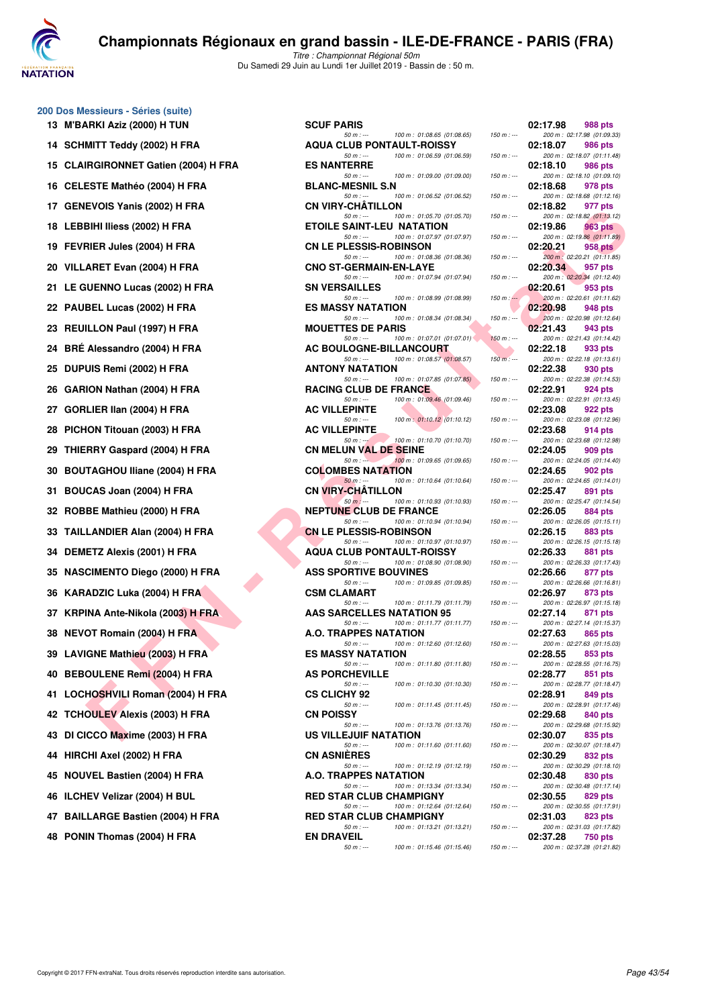

Titre : Championnat Régional 50m Du Samedi 29 Juin au Lundi 1er Juillet 2019 - Bassin de : 50 m.

#### **200 Dos Messieurs - Séries (suite) 13 M'BARKI Aziz (2000) H TUN**

| 14 | SCHMITT Teddy (2002) H FRA           |
|----|--------------------------------------|
| 15 | CLAIRGIRONNET Gatien (2004) H FF     |
| 16 | <b>CELESTE Mathéo (2004) H FRA</b>   |
| 17 | GENEVOIS Yanis (2002) H FRA          |
| 18 | LEBBIHI Iliess (2002) H FRA          |
| 19 | FEVRIER Jules (2004) H FRA           |
| 20 | VILLARET Evan (2004) H FRA           |
| 21 | LE GUENNO Lucas (2002) H FRA         |
| 22 | PAUBEL Lucas (2002) H FRA            |
| 23 | REUILLON Paul (1997) H FRA           |
| 24 | BRÉ Alessandro (2004) H FRA          |
| 25 | DUPUIS Remi (2002) H FRA             |
| 26 | GARION Nathan (2004) H FRA           |
| 27 | GORLIER IIan (2004) H FRA            |
| 28 | PICHON Titouan (2003) H FRA          |
| 29 | THIERRY Gaspard (2004) H FRA         |
| 30 | <b>BOUTAGHOU Iliane (2004) H FRA</b> |
| 31 | BOUCAS Joan (2004) H FRA             |
| 32 | ROBBE Mathieu (2000) H FRA           |
| 33 | TAILLANDIER Alan (2004) H FRA        |
| 34 | <b>DEMETZ Alexis (2001) H FRA</b>    |
| 35 | <b>NASCIMENTO Diego (2000) H FRA</b> |
| 36 | KARADZIC Luka (2004) H FRA           |
| 37 | KRPINA Ante-Nikola (2003) H FRA      |
| 38 | <b>NEVOT Romain (2004) H FRA</b>     |
| 39 | LAVIGNE Mathieu (2003) H FRA         |
| 40 | <b>BEBOULENE Remi (2004) H FRA</b>   |
| 41 | LOCHOSHVILI Roman (2004) H FRA       |
| 42 | <b>TCHOULEV Alexis (2003) H FRA</b>  |
| 43 | DI CICCO Maxime (2003) H FRA         |
| 44 | HIRCHI Axel (2002) H FRA             |
| 45 | <b>NOUVEL Bastien (2004) H FRA</b>   |
| 46 | ILCHEV Velizar (2004) H BUL          |
|    | 47 BAILLARGE Bastien (2004) H FRA    |
| 48 | PONIN Thomas (2004) H FRA            |

| 13 M'BARKI Aziz (2000) H TUN         | <b>SCUF PARIS</b>                                                                                         |                            | 02:17.98<br>988 pts                                                             |
|--------------------------------------|-----------------------------------------------------------------------------------------------------------|----------------------------|---------------------------------------------------------------------------------|
| 14 SCHMITT Teddy (2002) H FRA        | $50 m: -$<br>100 m: 01:08.65 (01:08.65)<br><b>AQUA CLUB PONTAULT-ROISSY</b>                               | $150 m: -$                 | 200 m: 02:17.98 (01:09.33)<br>02:18.07<br>986 pts                               |
| 15 CLAIRGIRONNET Gatien (2004) H FRA | 100 m: 01:06.59 (01:06.59)<br>$50 m: -$<br><b>ES NANTERRE</b>                                             | $150 m: -$                 | 200 m: 02:18.07 (01:11.48)<br>02:18.10<br>986 pts                               |
| 16 CELESTE Mathéo (2004) H FRA       | 100 m: 01:09.00 (01:09.00)<br>$50 m: -$<br><b>BLANC-MESNIL S.N</b>                                        | $150 m : -$                | 200 m: 02:18.10 (01:09.10)<br>02:18.68<br>978 pts                               |
| 17 GENEVOIS Yanis (2002) H FRA       | $50 m: -$<br>100 m: 01:06.52 (01:06.52)<br><b>CN VIRY-CHATILLON</b>                                       | $150 m : -$                | 200 m: 02:18.68 (01:12.16)<br>02:18.82<br>977 pts                               |
| 18   LEBBIHI Iliess (2002) H FRA     | 100 m: 01:05.70 (01:05.70)<br>$50 m: -$<br><b>ETOILE SAINT-LEU NATATION</b>                               | $150 m : -$                | 200 m: 02:18.82 (01:13.12)<br>02:19.86<br>963 pts                               |
| 19 FEVRIER Jules (2004) H FRA        | 100 m: 01:07.97 (01:07.97)<br>$50 m: -$<br><b>CN LE PLESSIS-ROBINSON</b>                                  | $150 m: -$                 | 200 m : 02:19.86 (01:11.89)<br>02:20.21<br>958 pts                              |
| 20 VILLARET Evan (2004) H FRA        | $50 m: -$<br>100 m: 01:08.36 (01:08.36)<br><b>CNO ST-GERMAIN-EN-LAYE</b>                                  | $150 m : -$                | 200 m : 02:20.21 (01:11.85)<br>02:20.34<br>957 pts                              |
| 21 LE GUENNO Lucas (2002) H FRA      | 100 m: 01:07.94 (01:07.94)<br>$50 m: -$<br><b>SN VERSAILLES</b>                                           | $150 m : -$                | 200 m: 02:20.34 (01:12.40)<br>02:20.61<br>953 pts                               |
| 22 PAUBEL Lucas (2002) H FRA         | $50 m: -$<br>100 m: 01:08.99 (01:08.99)<br><b>ES MASSY NATATION</b>                                       | $150 m$ : $-$              | 200 m: 02:20.61 (01:11.62)<br>02:20.98<br>948 pts                               |
| 23 REUILLON Paul (1997) H FRA        | $50 m: -$<br>100 m: 01:08.34 (01:08.34)<br><b>MOUETTES DE PARIS</b>                                       | $150 m : -$                | 200 m: 02:20.98 (01:12.64)<br>02:21.43<br>943 pts                               |
| 24 BRÉ Alessandro (2004) H FRA       | 100 m: 01:07.01 (01:07.01)<br>$50 m: -$<br><b>AC BOULOGNE-BILLANCOURT</b>                                 | $150 m : -$                | 200 m: 02:21.43 (01:14.42)<br>02:22.18<br>933 pts                               |
| 25   DUPUIS Remi (2002) H FRA        | $50 m: -$<br>100 m: 01:08.57 (01:08.57)<br><b>ANTONY NATATION</b>                                         | $150 m: -$                 | 200 m: 02:22.18 (01:13.61)<br>02:22.38<br>930 pts                               |
| 26 GARION Nathan (2004) H FRA        | $50 m: -$<br>100 m: 01:07.85 (01:07.85)<br><b>RACING CLUB DE FRANCE</b>                                   | $150 m: -$                 | 200 m: 02:22.38 (01:14.53)<br>02:22.91<br>924 pts                               |
| 27 GORLIER IIan (2004) H FRA         | 100 m : 01:09.46 (01:09.46)<br>$50 m: -$<br><b>AC VILLEPINTE</b>                                          | $150 m: -$                 | 200 m: 02:22.91 (01:13.45)<br>02:23.08<br>922 pts                               |
| 28 PICHON Titouan (2003) H FRA       | 100 m: 01:10.12 (01:10.12)<br>$50 m: -$<br><b>AC VILLEPINTE</b>                                           | $150 m : -$                | 200 m: 02:23.08 (01:12.96)<br>02:23.68<br>914 pts                               |
| 29 THIERRY Gaspard (2004) H FRA      | 100 m: 01:10.70 (01:10.70)<br>$50 m : -1$<br><b>CN MELUN VAL DE SEINE</b>                                 | $150 m : -$                | 200 m: 02:23.68 (01:12.98)<br>02:24.05<br>909 pts                               |
| 30 BOUTAGHOU Iliane (2004) H FRA     | 100 m: 01:09.65 (01:09.65)<br>$50 m: -$<br><b>COLOMBES NATATION</b>                                       | $150 m : -$                | 200 m: 02:24.05 (01:14.40)<br>02:24.65<br>902 pts                               |
| 31 BOUCAS Joan (2004) H FRA          | $50 m: -$<br>100 m: 01:10.64 (01:10.64)<br><b>CN VIRY-CHATILLON</b>                                       | $150 m : -$                | 200 m: 02:24.65 (01:14.01)<br>02:25.47<br>891 pts                               |
| 32 ROBBE Mathieu (2000) H FRA        | $50 m: -$<br>100 m: 01:10.93 (01:10.93)<br><b>NEPTUNE CLUB DE FRANCE</b>                                  | $150 m : -$                | 200 m: 02:25.47 (01:14.54)<br>02:26.05<br>884 pts                               |
| 33 TAILLANDIER Alan (2004) H FRA     | 100 m: 01:10.94 (01:10.94)<br>$50 m: -$<br><b>CN LE PLESSIS-ROBINSON</b><br>$50 m: -$                     | $150 m : -$<br>$150 m : -$ | 200 m: 02:26.05 (01:15.11)<br>02:26.15<br>883 pts<br>200 m: 02:26.15 (01:15.18) |
| 34   DEMETZ Alexis (2001) H FRA      | 100 m: 01:10.97 (01:10.97)<br><b>AQUA CLUB PONTAULT-ROISSY</b><br>$50 m: -$<br>100 m: 01:08.90 (01:08.90) | $150 m : -$                | 02:26.33<br>881 pts<br>200 m: 02:26.33 (01:17.43)                               |
| 35 NASCIMENTO Diego (2000) H FRA     | <b>ASS SPORTIVE BOUVINES</b><br>100 m: 01:09.85 (01:09.85)<br>$50 m: -$                                   | $150 m: -$                 | 02:26.66<br>877 pts<br>200 m: 02:26.66 (01:16.81)                               |
| 36 KARADZIC Luka (2004) H FRA        | <b>CSM CLAMART</b><br>100 m: 01:11.79 (01:11.79)<br>$50 m: -$                                             | $150 m : -$                | 02:26.97<br>873 pts<br>200 m: 02:26.97 (01:15.18)                               |
| 37 KRPINA Ante-Nikola (2003) H FRA   | <b>AAS SARCELLES NATATION 95</b><br>100 m: 01:11.77 (01:11.77)<br>$50 m: -$                               | $150 m : -$                | 02:27.14<br>871 pts<br>200 m: 02:27.14 (01:15.37)                               |
| 38 NEVOT Romain (2004) H FRA         | A.O. TRAPPES NATATION<br>$50 m: -$<br>100 m: 01:12.60 (01:12.60)                                          | $150 m: -$                 | 02:27.63<br>865 pts<br>200 m: 02:27.63 (01:15.03)                               |
| 39 LAVIGNE Mathieu (2003) H FRA      | <b>ES MASSY NATATION</b><br>$50 m: -$<br>100 m: 01:11.80 (01:11.80)                                       | $150 m : -$                | 02:28.55<br>853 pts<br>200 m: 02:28.55 (01:16.75)                               |
| 40 BEBOULENE Remi (2004) H FRA       | <b>AS PORCHEVILLE</b><br>100 m: 01:10.30 (01:10.30)<br>$50 m: -$                                          | $150 m : -$                | 02:28.77<br>851 pts<br>200 m: 02:28.77 (01:18.47)                               |
| 41 LOCHOSHVILI Roman (2004) H FRA    | <b>CS CLICHY 92</b><br>100 m: 01:11.45 (01:11.45)<br>50 m : ---                                           | $150 m : -$                | 02:28.91<br>849 pts<br>200 m: 02:28.91 (01:17.46)                               |
| 42 TCHOULEV Alexis (2003) H FRA      | <b>CN POISSY</b><br>$50 m: -$<br>100 m: 01:13.76 (01:13.76)                                               | $150 m : -$                | 02:29.68<br>840 pts<br>200 m: 02:29.68 (01:15.92)                               |
| 43 DI CICCO Maxime (2003) H FRA      | US VILLEJUIF NATATION<br>100 m: 01:11.60 (01:11.60)<br>$50 m: -$                                          | $150 m : -$                | 02:30.07<br>835 pts<br>200 m: 02:30.07 (01:18.47)                               |
| 44 HIRCHI Axel (2002) H FRA          | <b>CN ASNIERES</b><br>$50 m: -$<br>100 m: 01:12.19 (01:12.19)                                             | $150 m : -$                | 02:30.29<br>832 pts<br>200 m: 02:30.29 (01:18.10)                               |
| 45 NOUVEL Bastien (2004) H FRA       | <b>A.O. TRAPPES NATATION</b><br>$50 m: -$<br>100 m: 01:13.34 (01:13.34)                                   | $150 m: -$                 | 02:30.48<br>830 pts<br>200 m: 02:30.48 (01:17.14)                               |
| 46 ILCHEV Velizar (2004) H BUL       | <b>RED STAR CLUB CHAMPIGNY</b><br>$50 m: -$<br>100 m: 01:12.64 (01:12.64)                                 | $150 m : -$                | 02:30.55<br>829 pts<br>200 m: 02:30.55 (01:17.91)                               |
| 47 BAILLARGE Bastien (2004) H FRA    | <b>RED STAR CLUB CHAMPIGNY</b><br>100 m: 01:13.21 (01:13.21)<br>$50 m: -$                                 | $150 m : -$                | 02:31.03<br>823 pts<br>200 m: 02:31.03 (01:17.82)                               |
| 48 PONIN Thomas (2004) H FRA         | <b>EN DRAVEIL</b><br>$50 m : -$<br>100 m: 01:15.46 (01:15.46)                                             | $150 m : -$                | 02:37.28<br>750 pts<br>200 m: 02:37.28 (01:21.82)                               |
|                                      |                                                                                                           |                            |                                                                                 |

|          | 02:17.98 | 988 pts<br>200 m: 02:17.98 (01:09.33)         |
|----------|----------|-----------------------------------------------|
|          | 02:18.07 | <b>986 pts</b>                                |
|          | 02:18.10 | 200 m: 02:18.07 (01:11.48)<br>986 pts         |
|          | 02:18.68 | 200 m: 02:18.10 (01:09.10)<br>978 pts         |
|          | 02:18.82 | 200 m: 02:18.68 (01:12.16)<br>977 pts         |
| $\sim$   | 02:19.86 | 200 m: 02:18.82 (01:13.12)<br><b>963 pts</b>  |
|          | 02:20.21 | 200 m: 02:19.86 (01:11.89)<br><b>958 pts</b>  |
| $\sim$   | 02:20.34 | 200 m : 02:20.21 (01:11.85)<br>957 pts        |
|          | 02:20.61 | 200 m: 02:20.34 (01:12.40)<br>$-953$ pts      |
| 4        |          | 200 m: 02:20.61 (01:11.62)                    |
| $\vdots$ | 02:20.98 | <b>948 pts</b><br>200 m: 02:20.98 (01:12.64)  |
| $\sim$   | 02:21.43 | 943 pts<br>200 m: 02:21.43 (01:14.42)         |
|          | 02:22.18 | 933 pts<br>200 m: 02:22.18 (01:13.61)         |
|          | 02:22.38 | 930 pts<br>200 m: 02:22.38 (01:14.53)         |
|          | 02:22.91 | <b>924 pts</b><br>200 m: 02:22.91 (01:13.45)  |
|          | 02:23.08 | 922 pts                                       |
|          | 02:23.68 | 200 m: 02:23.08 (01:12.96)<br>914 pts         |
|          | 02:24.05 | 200 m: 02:23.68 (01:12.98)<br><b>909 pts</b>  |
| : ---    | 02:24.65 | 200 m: 02:24.05 (01:14.40)<br><b>902 pts</b>  |
|          | 02:25.47 | 200 m: 02:24.65 (01:14.01)<br>891 pts         |
| j        | 02:26.05 | 200 m: 02:25.47 (01:14.54)<br><b>884 pts</b>  |
|          | 02:26.15 | 200 m: 02:26.05 (01:15.11)<br>883 pts         |
|          |          | 200 m: 02:26.15 (01:15.18)                    |
|          | 02:26.33 | <b>881 pts</b><br>200 m: 02:26.33 (01:17.43)  |
|          | 02:26.66 | 877 pts<br>200 m : 02:26.66 (01:16.81)        |
|          | 02:26.97 | <b>873 pts</b><br>200 m: 02:26.97 (01:15.18)  |
|          | 02:27.14 | <b>871 pts</b><br>200 m: 02:27.14 (01:15.37)  |
|          | 02:27.63 | 865 pts<br>200 m: 02:27.63 (01:15.03)         |
|          | 02:28.55 | 853 pts                                       |
|          | 02:28.77 | 200 m: 02:28.55 (01:16.75)<br>851 pts         |
| ;        | 02:28.91 | 200 m: 02:28.77 (01:18.47)<br><b>849 pts</b>  |
|          | 02:29.68 | 200 m : 02:28.91 (01:17.46)<br><b>840 pts</b> |
|          | 02:30.07 | 200 m: 02:29.68 (01:15.92)<br>835 pts         |
|          | 02:30.29 | 200 m: 02:30.07 (01:18.47)<br>832 pts         |
|          | 02:30.48 | 200 m: 02:30.29 (01:18.10)<br>830 pts         |
|          |          | 200 m: 02:30.48 (01:17.14)                    |
|          | 02:30.55 | 829 pts<br>200 m: 02:30.55 (01:17.91)         |
|          | 02:31.03 | <b>823 pts</b><br>200 m: 02:31.03 (01:17.82)  |
|          | 02:37.28 | <b>750 pts</b><br>200 m: 02:37.28 (01:21.82)  |
|          |          |                                               |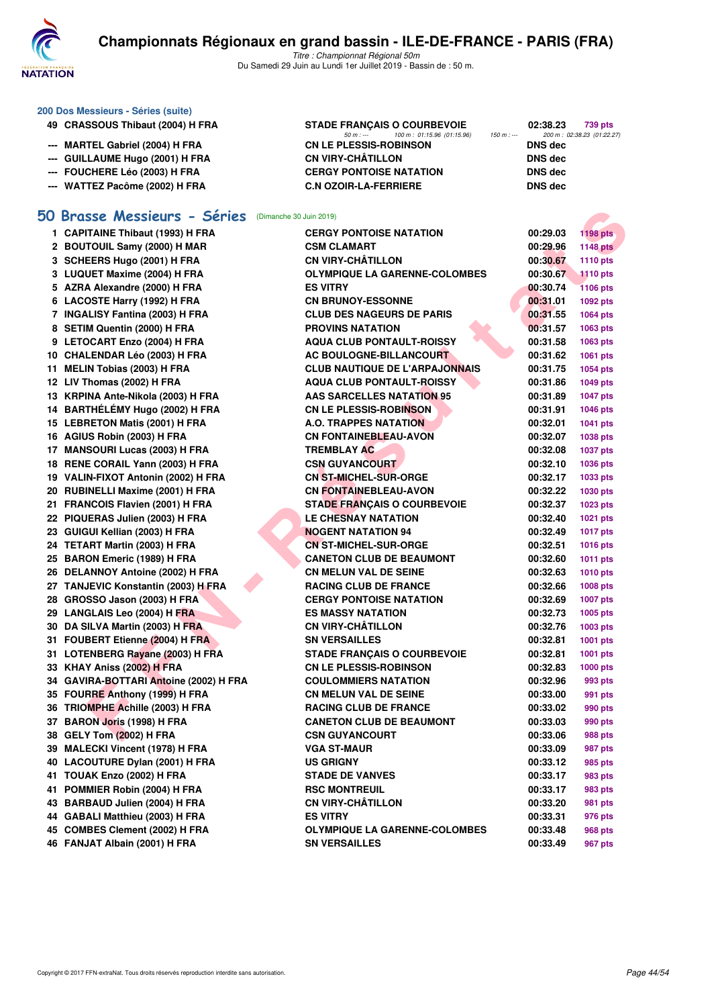

| 200 Dos Messieurs - Séries (suite) |                                                             |                                                                                              |                      |                                       |  |  |
|------------------------------------|-------------------------------------------------------------|----------------------------------------------------------------------------------------------|----------------------|---------------------------------------|--|--|
|                                    | 49 CRASSOUS Thibaut (2004) H FRA                            | <b>STADE FRANÇAIS O COURBEVOIE</b><br>$50 m: -$<br>100 m: 01:15.96 (01:15.96)<br>$150 m : -$ | 02:38.23             | 739 pts<br>200 m: 02:38.23 (01:22.27) |  |  |
| ---                                | <b>MARTEL Gabriel (2004) H FRA</b>                          | <b>CN LE PLESSIS-ROBINSON</b>                                                                | <b>DNS</b> dec       |                                       |  |  |
| ---                                | <b>GUILLAUME Hugo (2001) H FRA</b>                          | <b>CN VIRY-CHÂTILLON</b>                                                                     | <b>DNS</b> dec       |                                       |  |  |
|                                    | FOUCHERE Léo (2003) H FRA                                   | <b>CERGY PONTOISE NATATION</b>                                                               | <b>DNS dec</b>       |                                       |  |  |
|                                    | --- WATTEZ Pacôme (2002) H FRA                              | <b>C.N OZOIR-LA-FERRIERE</b>                                                                 | <b>DNS dec</b>       |                                       |  |  |
|                                    | 50 Brasse Messieurs - Séries<br>(Dimanche 30 Juin 2019)     |                                                                                              |                      |                                       |  |  |
|                                    | 1 CAPITAINE Thibaut (1993) H FRA                            | <b>CERGY PONTOISE NATATION</b>                                                               | 00:29.03             | <b>1198 pts</b>                       |  |  |
|                                    | 2 BOUTOUIL Samy (2000) H MAR                                | <b>CSM CLAMART</b>                                                                           | 00:29.96             | <b>1148 pts</b>                       |  |  |
|                                    | 3 SCHEERS Hugo (2001) H FRA                                 | <b>CN VIRY-CHÂTILLON</b>                                                                     | 00:30.67             | 1110 pts                              |  |  |
|                                    | 3 LUQUET Maxime (2004) H FRA                                | <b>OLYMPIQUE LA GARENNE-COLOMBES</b>                                                         | 00:30.67             | <b>1110 pts</b>                       |  |  |
|                                    | 5 AZRA Alexandre (2000) H FRA                               | <b>ES VITRY</b>                                                                              | 00:30.74             | <b>1106 pts</b>                       |  |  |
|                                    | 6 LACOSTE Harry (1992) H FRA                                | <b>CN BRUNOY-ESSONNE</b>                                                                     | 00:31.01             | 1092 pts                              |  |  |
|                                    | 7 INGALISY Fantina (2003) H FRA                             | <b>CLUB DES NAGEURS DE PARIS</b>                                                             | 00:31.55             | 1064 pts                              |  |  |
|                                    | 8 SETIM Quentin (2000) H FRA                                | <b>PROVINS NATATION</b>                                                                      | 00:31.57             | 1063 pts                              |  |  |
|                                    | 9 LETOCART Enzo (2004) H FRA                                | <b>AQUA CLUB PONTAULT-ROISSY</b>                                                             | 00:31.58             | 1063 pts                              |  |  |
|                                    | 10 CHALENDAR Léo (2003) H FRA                               | AC BOULOGNE-BILLANCOURT                                                                      | 00:31.62             | 1061 pts                              |  |  |
|                                    | 11 MELIN Tobias (2003) H FRA                                | <b>CLUB NAUTIQUE DE L'ARPAJONNAIS</b>                                                        | 00:31.75             | 1054 pts                              |  |  |
|                                    | 12 LIV Thomas (2002) H FRA                                  | <b>AQUA CLUB PONTAULT-ROISSY</b>                                                             | 00:31.86             | 1049 pts                              |  |  |
|                                    | 13 KRPINA Ante-Nikola (2003) H FRA                          | <b>AAS SARCELLES NATATION 95</b>                                                             | 00:31.89             | <b>1047 pts</b>                       |  |  |
|                                    | 14 BARTHÉLÉMY Hugo (2002) H FRA                             | <b>CN LE PLESSIS-ROBINSON</b>                                                                | 00:31.91             | 1046 pts                              |  |  |
|                                    | 15 LEBRETON Matis (2001) H FRA                              | <b>A.O. TRAPPES NATATION</b>                                                                 | 00:32.01             | 1041 pts                              |  |  |
|                                    | 16 AGIUS Robin (2003) H FRA                                 | <b>CN FONTAINEBLEAU-AVON</b>                                                                 | 00:32.07             | 1038 pts                              |  |  |
|                                    | 17 MANSOURI Lucas (2003) H FRA                              | <b>TREMBLAY AC</b>                                                                           | 00:32.08             | <b>1037 pts</b>                       |  |  |
|                                    | 18 RENE CORAIL Yann (2003) H FRA                            | <b>CSN GUYANCOURT</b>                                                                        | 00:32.10             | 1036 pts                              |  |  |
|                                    | 19 VALIN-FIXOT Antonin (2002) H FRA                         | <b>CN ST-MICHEL-SUR-ORGE</b>                                                                 | 00:32.17             | 1033 pts                              |  |  |
|                                    | 20 RUBINELLI Maxime (2001) H FRA                            | <b>CN FONTAINEBLEAU-AVON</b>                                                                 | 00:32.22             | 1030 pts                              |  |  |
|                                    | 21 FRANCOIS Flavien (2001) H FRA                            | <b>STADE FRANÇAIS O COURBEVOIE</b>                                                           | 00:32.37             | 1023 pts                              |  |  |
|                                    | 22 PIQUERAS Julien (2003) H FRA                             | <b>LE CHESNAY NATATION</b>                                                                   | 00:32.40             | 1021 pts                              |  |  |
|                                    | 23 GUIGUI Kellian (2003) H FRA                              | <b>NOGENT NATATION 94</b>                                                                    | 00:32.49             | <b>1017 pts</b>                       |  |  |
|                                    | 24 TETART Martin (2003) H FRA                               | <b>CN ST-MICHEL-SUR-ORGE</b>                                                                 | 00:32.51             | <b>1016 pts</b>                       |  |  |
|                                    | 25 BARON Emeric (1989) H FRA                                | <b>CANETON CLUB DE BEAUMONT</b>                                                              | 00:32.60             | <b>1011 pts</b>                       |  |  |
|                                    | 26 DELANNOY Antoine (2002) H FRA                            | <b>CN MELUN VAL DE SEINE</b>                                                                 | 00:32.63             | <b>1010 pts</b>                       |  |  |
|                                    | 27 TANJEVIC Konstantin (2003) H FRA                         | <b>RACING CLUB DE FRANCE</b>                                                                 | 00:32.66             | 1008 pts                              |  |  |
|                                    | 28 GROSSO Jason (2003) H FRA                                | <b>CERGY PONTOISE NATATION</b>                                                               | 00:32.69             | <b>1007 pts</b>                       |  |  |
|                                    | 29 LANGLAIS Leo (2004) H FRA                                | <b>ES MASSY NATATION</b>                                                                     | 00:32.73             | 1005 pts                              |  |  |
|                                    | 30 DA SILVA Martin (2003) H FRA                             | <b>CN VIRY-CHATILLON</b>                                                                     | 00:32.76             | 1003 pts                              |  |  |
|                                    | 31 FOUBERT Etienne (2004) H FRA                             | <b>SN VERSAILLES</b>                                                                         | 00:32.81             | 1001 pts                              |  |  |
|                                    | 31 LOTENBERG Rayane (2003) H FRA                            | <b>STADE FRANÇAIS O COURBEVOIE</b>                                                           | 00:32.81             | 1001 pts                              |  |  |
|                                    | 33 KHAY Aniss (2002) H FRA                                  | <b>CN LE PLESSIS-ROBINSON</b>                                                                | 00:32.83             | 1000 pts                              |  |  |
|                                    | 34 GAVIRA-BOTTARI Antoine (2002) H FRA                      | <b>COULOMMIERS NATATION</b>                                                                  | 00:32.96             | 993 pts                               |  |  |
|                                    | 35 FOURRE Anthony (1999) H FRA                              | <b>CN MELUN VAL DE SEINE</b>                                                                 | 00:33.00             | 991 pts                               |  |  |
|                                    | 36 TRIOMPHE Achille (2003) H FRA                            | <b>RACING CLUB DE FRANCE</b>                                                                 | 00:33.02             | 990 pts                               |  |  |
|                                    | 37 BARON Joris (1998) H FRA                                 | <b>CANETON CLUB DE BEAUMONT</b>                                                              | 00:33.03             | 990 pts                               |  |  |
|                                    | 38 GELY Tom (2002) H FRA<br>39 MALECKI Vincent (1978) H FRA | <b>CSN GUYANCOURT</b><br><b>VGA ST-MAUR</b>                                                  | 00:33.06<br>00:33.09 | 988 pts                               |  |  |
|                                    | 40 LACOUTURE Dylan (2001) H FRA                             |                                                                                              | 00:33.12             | 987 pts                               |  |  |
|                                    | 41 TOUAK Enzo (2002) H FRA                                  | <b>US GRIGNY</b><br><b>STADE DE VANVES</b>                                                   | 00:33.17             | 985 pts<br>983 pts                    |  |  |
|                                    | 41 POMMIER Robin (2004) H FRA                               | <b>RSC MONTREUIL</b>                                                                         | 00:33.17             | 983 pts                               |  |  |
|                                    | 43 BARBAUD Julien (2004) H FRA                              | <b>CN VIRY-CHÂTILLON</b>                                                                     | 00:33.20             | 981 pts                               |  |  |
|                                    | 44 GABALI Matthieu (2003) H FRA                             | <b>ES VITRY</b>                                                                              | 00:33.31             | 976 pts                               |  |  |
|                                    | 45 COMBES Clement (2002) H FRA                              | <b>OLYMPIQUE LA GARENNE-COLOMBES</b>                                                         | 00:33.48             | 968 pts                               |  |  |
|                                    | 46 FANJAT Albain (2001) H FRA                               | <b>SN VERSAILLES</b>                                                                         | 00:33.49             | 967 pts                               |  |  |
|                                    |                                                             |                                                                                              |                      |                                       |  |  |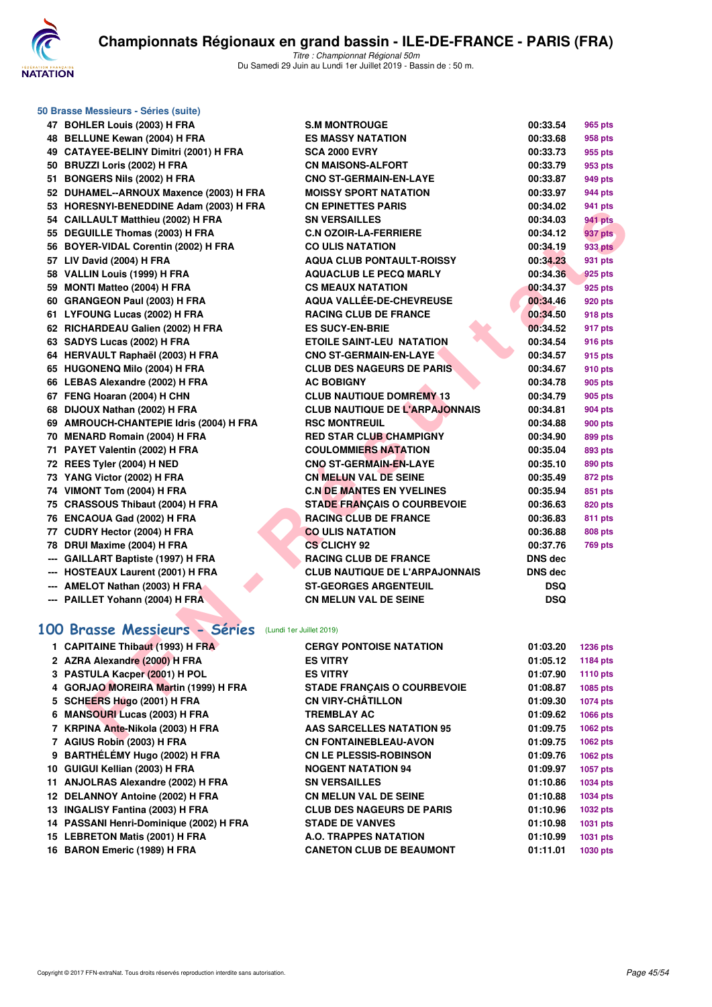

| 50 Brasse Messieurs - Séries (suite)                   |                                       |            |                 |
|--------------------------------------------------------|---------------------------------------|------------|-----------------|
| 47 BOHLER Louis (2003) H FRA                           | <b>S.M MONTROUGE</b>                  | 00:33.54   | 965 pts         |
| 48 BELLUNE Kewan (2004) H FRA                          | <b>ES MASSY NATATION</b>              | 00:33.68   | 958 pts         |
| 49 CATAYEE-BELINY Dimitri (2001) H FRA                 | <b>SCA 2000 EVRY</b>                  | 00:33.73   | 955 pts         |
| 50 BRUZZI Loris (2002) H FRA                           | <b>CN MAISONS-ALFORT</b>              | 00:33.79   | 953 pts         |
| 51 BONGERS Nils (2002) H FRA                           | <b>CNO ST-GERMAIN-EN-LAYE</b>         | 00:33.87   | 949 pts         |
| 52 DUHAMEL--ARNOUX Maxence (2003) H FRA                | <b>MOISSY SPORT NATATION</b>          | 00:33.97   | <b>944 pts</b>  |
| 53 HORESNYI-BENEDDINE Adam (2003) H FRA                | <b>CN EPINETTES PARIS</b>             | 00:34.02   | 941 pts         |
| 54 CAILLAULT Matthieu (2002) H FRA                     | <b>SN VERSAILLES</b>                  | 00:34.03   | 941 pts         |
| 55 DEGUILLE Thomas (2003) H FRA                        | <b>C.N OZOIR-LA-FERRIERE</b>          | 00:34.12   | 937 pts         |
| 56 BOYER-VIDAL Corentin (2002) H FRA                   | <b>CO ULIS NATATION</b>               | 00:34.19   | 933 pts         |
| 57 LIV David (2004) H FRA                              | <b>AQUA CLUB PONTAULT-ROISSY</b>      | 00:34.23   | 931 pts         |
| 58 VALLIN Louis (1999) H FRA                           | <b>AQUACLUB LE PECQ MARLY</b>         | 00:34.36   | 925 pts         |
| 59 MONTI Matteo (2004) H FRA                           | <b>CS MEAUX NATATION</b>              | 00:34.37   | 925 pts         |
| 60 GRANGEON Paul (2003) H FRA                          | <b>AQUA VALLEE-DE-CHEVREUSE</b>       | 00:34.46   | 920 pts         |
| 61 LYFOUNG Lucas (2002) H FRA                          | <b>RACING CLUB DE FRANCE</b>          | 00:34.50   | <b>918 pts</b>  |
| 62 RICHARDEAU Galien (2002) H FRA                      | <b>ES SUCY-EN-BRIE</b>                | 00:34.52   | 917 pts         |
| 63 SADYS Lucas (2002) H FRA                            | <b>ETOILE SAINT-LEU NATATION</b>      | 00:34.54   | 916 pts         |
| 64 HERVAULT Raphaël (2003) H FRA                       | <b>CNO ST-GERMAIN-EN-LAYE</b>         | 00:34.57   | 915 pts         |
| 65 HUGONENQ Milo (2004) H FRA                          | <b>CLUB DES NAGEURS DE PARIS</b>      | 00:34.67   | 910 pts         |
| 66 LEBAS Alexandre (2002) H FRA                        | <b>AC BOBIGNY</b>                     | 00:34.78   | 905 pts         |
| 67 FENG Hoaran (2004) H CHN                            | <b>CLUB NAUTIQUE DOMREMY 13</b>       | 00:34.79   | 905 pts         |
| 68 DIJOUX Nathan (2002) H FRA                          | <b>CLUB NAUTIQUE DE L'ARPAJONNAIS</b> | 00:34.81   | 904 pts         |
| 69 AMROUCH-CHANTEPIE Idris (2004) H FRA                | <b>RSC MONTREUIL</b>                  | 00:34.88   | <b>900 pts</b>  |
| 70 MENARD Romain (2004) H FRA                          | <b>RED STAR CLUB CHAMPIGNY</b>        | 00:34.90   | 899 pts         |
| 71 PAYET Valentin (2002) H FRA                         | <b>COULOMMIERS NATATION</b>           | 00:35.04   | 893 pts         |
| 72 REES Tyler (2004) H NED                             | <b>CNO ST-GERMAIN-EN-LAYE</b>         | 00:35.10   | 890 pts         |
| 73 YANG Victor (2002) H FRA                            | <b>CN MELUN VAL DE SEINE</b>          | 00:35.49   | 872 pts         |
| 74 VIMONT Tom (2004) H FRA                             | <b>C.N DE MANTES EN YVELINES</b>      | 00:35.94   | 851 pts         |
| 75 CRASSOUS Thibaut (2004) H FRA                       | <b>STADE FRANÇAIS O COURBEVOIE</b>    | 00:36.63   | 820 pts         |
| 76 ENCAOUA Gad (2002) H FRA                            | <b>RACING CLUB DE FRANCE</b>          | 00:36.83   | 811 pts         |
| 77 CUDRY Hector (2004) H FRA                           | <b>CO ULIS NATATION</b>               | 00:36.88   | 808 pts         |
| 78 DRUI Maxime (2004) H FRA                            | <b>CS CLICHY 92</b>                   | 00:37.76   | <b>769 pts</b>  |
| --- GAILLART Baptiste (1997) H FRA                     | <b>RACING CLUB DE FRANCE</b>          | DNS dec    |                 |
| --- HOSTEAUX Laurent (2001) H FRA                      | <b>CLUB NAUTIQUE DE L'ARPAJONNAIS</b> | DNS dec    |                 |
| --- AMELOT Nathan (2003) H FRA                         | <b>ST-GEORGES ARGENTEUIL</b>          | DSQ        |                 |
| --- PAILLET Yohann (2004) H FRA                        | <b>CN MELUN VAL DE SEINE</b>          | <b>DSQ</b> |                 |
|                                                        |                                       |            |                 |
| 100 Brasse Messieurs - Séries (Lundi 1er Juillet 2019) |                                       |            |                 |
| 1 CAPITAINE Thibaut (1993) H FRA                       | <b>CERGY PONTOISE NATATION</b>        | 01:03.20   | <b>1236 pts</b> |
| 2 AZRA Alexandre (2000) H FRA                          | ES VITRY                              | 01:05.12   | 1184 pts        |
| 3 PASTULA Kacper (2001) H POL                          | ES VITRY                              | 01:07.90   | 1110 pts        |
| 4 GORJAO MOREIRA Martin (1999) H FRA                   | <b>STADE FRANÇAIS O COURBEVOIE</b>    | 01:08.87   | 1085 pts        |
| 5 SCHEERS Hugo (2001) H FRA                            | <b>CN VIRY-CHÂTILLON</b>              | 01:09.30   | 1074 pts        |
| 6 MANSOURI Lucas (2003) H FRA                          | <b>TREMBLAY AC</b>                    | 01:09.62   | 1066 pts        |
| 7 KRPINA Ante-Nikola (2003) H FRA                      | <b>AAS SARCELLES NATATION 95</b>      | 01:09.75   | 1062 pts        |
| $7. A$ CILIC DALIA (0000) LI EDA                       | ON CONTAINEDI CALL AVON               | 04.00 7E   | 1000            |

# **[100 Brasse Messieurs - Séries](http://www.ffnatation.fr/webffn/resultats.php?idact=nat&go=epr&idcpt=61555&idepr=72)** (Lundi 1er Juillet 2019)

| 1 CAPITAINE Thibaut (1993) H FRA        | <b>CERGY PONTOISE NATATION</b>     | 01:03.20 | <b>1236 pts</b> |
|-----------------------------------------|------------------------------------|----------|-----------------|
| 2 AZRA Alexandre (2000) H FRA           | <b>ES VITRY</b>                    | 01:05.12 | 1184 pts        |
| 3 PASTULA Kacper (2001) H POL           | <b>ES VITRY</b>                    | 01:07.90 | 1110 pts        |
| 4 GORJAO MOREIRA Martin (1999) H FRA    | <b>STADE FRANCAIS O COURBEVOIE</b> | 01:08.87 | 1085 pts        |
| 5 SCHEERS Hugo (2001) H FRA             | <b>CN VIRY-CHÂTILLON</b>           | 01:09.30 | 1074 pts        |
| 6 MANSOURI Lucas (2003) H FRA           | <b>TREMBLAY AC</b>                 | 01:09.62 | <b>1066 pts</b> |
| 7 KRPINA Ante-Nikola (2003) H FRA       | AAS SARCELLES NATATION 95          | 01:09.75 | 1062 pts        |
| 7 AGIUS Robin (2003) H FRA              | <b>CN FONTAINEBLEAU-AVON</b>       | 01:09.75 | 1062 pts        |
| 9 BARTHÉLÉMY Hugo (2002) H FRA          | <b>CN LE PLESSIS-ROBINSON</b>      | 01:09.76 | 1062 pts        |
| 10 GUIGUI Kellian (2003) H FRA          | <b>NOGENT NATATION 94</b>          | 01:09.97 | 1057 pts        |
| 11 ANJOLRAS Alexandre (2002) H FRA      | <b>SN VERSAILLES</b>               | 01:10.86 | 1034 pts        |
| 12 DELANNOY Antoine (2002) H FRA        | <b>CN MELUN VAL DE SEINE</b>       | 01:10.88 | 1034 pts        |
| 13 INGALISY Fantina (2003) H FRA        | <b>CLUB DES NAGEURS DE PARIS</b>   | 01:10.96 | 1032 pts        |
| 14 PASSANI Henri-Dominique (2002) H FRA | <b>STADE DE VANVES</b>             | 01:10.98 | 1031 pts        |
| 15 LEBRETON Matis (2001) H FRA          | A.O. TRAPPES NATATION              | 01:10.99 | 1031 pts        |
| 16 BARON Emeric (1989) H FRA            | <b>CANETON CLUB DE BEAUMONT</b>    | 01:11.01 | 1030 pts        |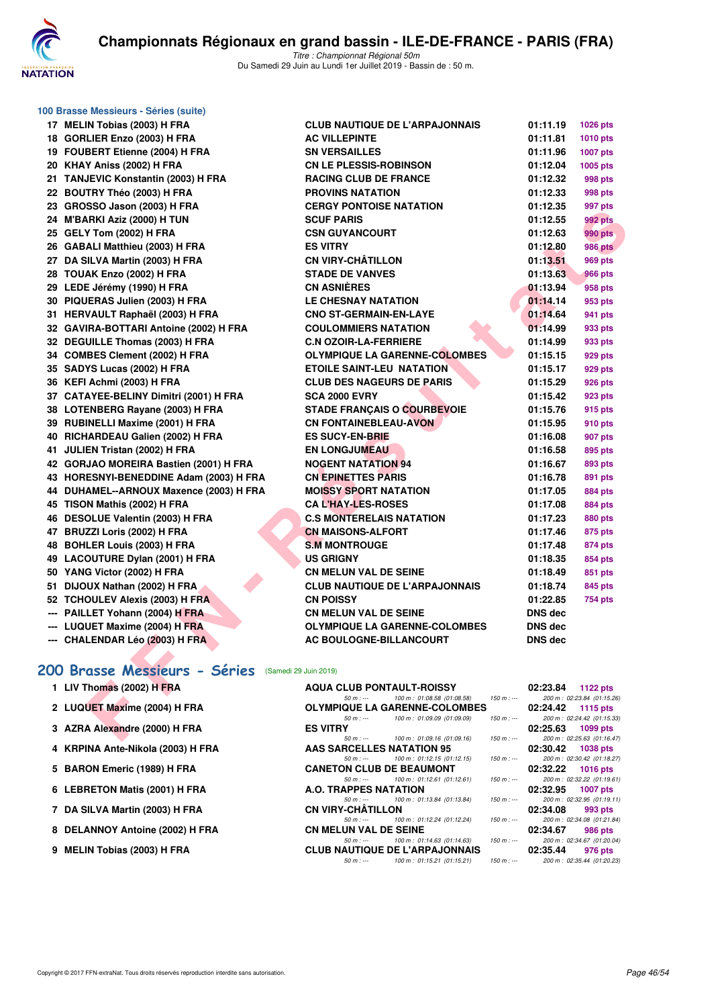

|     | 100 Brasse Messieurs - Séries (suite) |
|-----|---------------------------------------|
| 17  | <b>MELIN Tobias (2003) H FRA</b>      |
| 18  | GORLIER Enzo (2003) H FRA             |
| 19  | <b>FOUBERT Etienne (2004) H FRA</b>   |
| 20  | KHAY Aniss (2002) H FRA               |
| 21  | TANJEVIC Konstantin (2003) H FRA      |
| 22  | BOUTRY Théo (2003) H FRA              |
| 23  | GROSSO Jason (2003) H FRA             |
| 24  | M'BARKI Aziz (2000) H TUN             |
| 25  | GELY Tom (2002) H FRA                 |
| 26  | GABALI Matthieu (2003) H FRA          |
| 27  | DA SILVA Martin (2003) H FRA          |
| 28  | TOUAK Enzo (2002) H FRA               |
| 29  | LEDE Jérémy (1990) H FRA              |
| 30  | PIQUERAS Julien (2003) H FRA          |
| 31  | HERVAULT Raphaël (2003) H FRA         |
| 32  | GAVIRA-BOTTARI Antoine (2002) H FRA   |
| 32  | <b>DEGUILLE Thomas (2003) H FRA</b>   |
| 34  | <b>COMBES Clement (2002) H FRA</b>    |
| 35  | SADYS Lucas (2002) H FRA              |
| 36  | KEFI Achmi (2003) H FRA               |
| 37  | CATAYEE-BELINY Dimitri (2001) H FRA   |
| 38  | LOTENBERG Rayane (2003) H FRA         |
| 39  | RUBINELLI Maxime (2001) H FRA         |
| 40  | RICHARDEAU Galien (2002) H FRA        |
| 41  | JULIEN Tristan (2002) H FRA           |
| 42  | GORJAO MOREIRA Bastien (2001) H FRA   |
| 43  | HORESNYI-BENEDDINE Adam (2003) H FRA  |
| 44  | DUHAMEL--ARNOUX Maxence (2003) H FRA  |
| 45  | TISON Mathis (2002) H FRA             |
| 46  | <b>DESOLUE Valentin (2003) H FRA</b>  |
| 47  | BRUZZI Loris (2002) H FRA             |
| 48  | BOHLER Louis (2003) H FRA             |
| 49  | <b>LACOUTURE Dylan (2001) H FRA</b>   |
| 50  | YANG Victor (2002) H FRA              |
| 51  | DIJOUX Nathan (2002) H FRA            |
| 52  | <b>TCHOULEV Alexis (2003) H FRA</b>   |
| --- | PAILLET Yohann (2004) H FRA           |
|     | --- LUQUET Maxime (2004) H FRA        |
| --- | CHALENDAR Léo (2003) H FRA            |

| 17 MELIN Tobias (2003) H FRA                       | <b>CLUB NAUTIQUE DE L'ARPAJONNAIS</b>                                                          | 01:11.19       | 1026 pts                                      |
|----------------------------------------------------|------------------------------------------------------------------------------------------------|----------------|-----------------------------------------------|
| 18 GORLIER Enzo (2003) H FRA                       | <b>AC VILLEPINTE</b>                                                                           | 01:11.81       | <b>1010 pts</b>                               |
| 19 FOUBERT Etienne (2004) H FRA                    | <b>SN VERSAILLES</b>                                                                           | 01:11.96       | <b>1007 pts</b>                               |
| 20 KHAY Aniss (2002) H FRA                         | <b>CN LE PLESSIS-ROBINSON</b>                                                                  | 01:12.04       | 1005 pts                                      |
| 21 TANJEVIC Konstantin (2003) H FRA                | <b>RACING CLUB DE FRANCE</b>                                                                   | 01:12.32       | <b>998 pts</b>                                |
| 22 BOUTRY Théo (2003) H FRA                        | <b>PROVINS NATATION</b>                                                                        | 01:12.33       | 998 pts                                       |
| 23 GROSSO Jason (2003) H FRA                       | <b>CERGY PONTOISE NATATION</b>                                                                 | 01:12.35       | 997 pts                                       |
| 24 M'BARKI Aziz (2000) H TUN                       | <b>SCUF PARIS</b>                                                                              | 01:12.55       | 992 pts                                       |
| 25 GELY Tom (2002) H FRA                           | <b>CSN GUYANCOURT</b>                                                                          | 01:12.63       | <b>990 pts</b>                                |
| 26 GABALI Matthieu (2003) H FRA                    | <b>ES VITRY</b>                                                                                | 01:12.80       | <b>986 pts</b>                                |
| 27 DA SILVA Martin (2003) H FRA                    | <b>CN VIRY-CHATILLON</b>                                                                       | 01:13.51       | <b>969 pts</b>                                |
| 28 TOUAK Enzo (2002) H FRA                         | <b>STADE DE VANVES</b>                                                                         | 01:13.63       | <b>966 pts</b>                                |
| 29 LEDE Jérémy (1990) H FRA                        | <b>CN ASNIÈRES</b>                                                                             | 01:13.94       | 958 pts                                       |
| 30 PIQUERAS Julien (2003) H FRA                    | <b>LE CHESNAY NATATION</b>                                                                     | 01:14.14       | 953 pts                                       |
| 31 HERVAULT Raphaël (2003) H FRA                   | <b>CNO ST-GERMAIN-EN-LAYE</b>                                                                  | 01:14.64       | 941 pts                                       |
| 32 GAVIRA-BOTTARI Antoine (2002) H FRA             | <b>COULOMMIERS NATATION</b>                                                                    | 01:14.99       | 933 pts                                       |
| 32 DEGUILLE Thomas (2003) H FRA                    | <b>C.N OZOIR-LA-FERRIERE</b>                                                                   | 01:14.99       | 933 pts                                       |
| 34 COMBES Clement (2002) H FRA                     | <b>OLYMPIQUE LA GARENNE-COLOMBES</b>                                                           | 01:15.15       | 929 pts                                       |
| 35 SADYS Lucas (2002) H FRA                        | <b>ETOILE SAINT-LEU NATATION</b>                                                               | 01:15.17       | 929 pts                                       |
| 36 KEFI Achmi (2003) H FRA                         | <b>CLUB DES NAGEURS DE PARIS</b>                                                               | 01:15.29       | 926 pts                                       |
| 37 CATAYEE-BELINY Dimitri (2001) H FRA             | <b>SCA 2000 EVRY</b>                                                                           | 01:15.42       | 923 pts                                       |
| 38 LOTENBERG Rayane (2003) H FRA                   | <b>STADE FRANÇAIS O COURBEVOIE</b>                                                             | 01:15.76       | 915 pts                                       |
| 39 RUBINELLI Maxime (2001) H FRA                   | <b>CN FONTAINEBLEAU-AVON</b>                                                                   | 01:15.95       | 910 pts                                       |
| 40 RICHARDEAU Galien (2002) H FRA                  | <b>ES SUCY-EN-BRIE</b>                                                                         | 01:16.08       | 907 pts                                       |
| 41 JULIEN Tristan (2002) H FRA                     | <b>EN LONGJUMEAU</b>                                                                           | 01:16.58       | 895 pts                                       |
| 42 GORJAO MOREIRA Bastien (2001) H FRA             | <b>NOGENT NATATION 94</b>                                                                      | 01:16.67       | 893 pts                                       |
| 43 HORESNYI-BENEDDINE Adam (2003) H FRA            | <b>CN EPINETTES PARIS</b>                                                                      | 01:16.78       | 891 pts                                       |
| 44 DUHAMEL--ARNOUX Maxence (2003) H FRA            | <b>MOISSY SPORT NATATION</b>                                                                   | 01:17.05       | 884 pts                                       |
| 45 TISON Mathis (2002) H FRA                       | <b>CAL'HAY-LES-ROSES</b>                                                                       | 01:17.08       | <b>884 pts</b>                                |
| 46 DESOLUE Valentin (2003) H FRA                   | <b>C.S MONTERELAIS NATATION</b>                                                                | 01:17.23       | <b>880 pts</b>                                |
| 47 BRUZZI Loris (2002) H FRA                       | <b>CN MAISONS-ALFORT</b>                                                                       | 01:17.46       | 875 pts                                       |
| 48 BOHLER Louis (2003) H FRA                       | <b>S.M MONTROUGE</b>                                                                           | 01:17.48       | 874 pts                                       |
| 49 LACOUTURE Dylan (2001) H FRA                    | <b>US GRIGNY</b>                                                                               | 01:18.35       | <b>854 pts</b>                                |
| 50 YANG Victor (2002) H FRA                        | <b>CN MELUN VAL DE SEINE</b>                                                                   | 01:18.49       | 851 pts                                       |
| 51 DIJOUX Nathan (2002) H FRA                      | <b>CLUB NAUTIQUE DE L'ARPAJONNAIS</b>                                                          | 01:18.74       | 845 pts                                       |
| 52 TCHOULEV Alexis (2003) H FRA                    | <b>CN POISSY</b>                                                                               | 01:22.85       | <b>754 pts</b>                                |
| --- PAILLET Yohann (2004) H FRA                    | <b>CN MELUN VAL DE SEINE</b>                                                                   | <b>DNS dec</b> |                                               |
| --- LUQUET Maxime (2004) H FRA                     | OLYMPIQUE LA GARENNE-COLOMBES                                                                  | <b>DNS dec</b> |                                               |
| --- CHALENDAR Léo (2003) H FRA                     | AC BOULOGNE-BILLANCOURT                                                                        | <b>DNS dec</b> |                                               |
|                                                    |                                                                                                |                |                                               |
| 00 Brasse Messieurs - Séries (Samedi 29 Juin 2019) |                                                                                                |                |                                               |
| 1 LIV Thomas (2002) H FRA                          | <b>AQUA CLUB PONTAULT-ROISSY</b>                                                               | 02:23.84       | 1122 pts                                      |
| 2 LUQUET Maxime (2004) H FRA                       | 100 m: 01:08.58 (01:08.58)<br>$150 m : -$<br>$50 m: -$<br><b>OLYMPIQUE LA GARENNE-COLOMBES</b> | 02:24.42       | 200 m: 02:23.84 (01:15.26)<br><b>1115 pts</b> |
|                                                    | 100 m: 01:09.09 (01:09.09)<br>$50 m: -$<br>$150 m : -$                                         |                | 200 m: 02:24.42 (01:15.33)                    |
| 3 AZRA Alexandre (2000) H FRA                      | <b>ES VITRY</b>                                                                                | 02:25.63       | 1099 pts                                      |
|                                                    | 100 m: 01:09.16 (01:09.16)<br>$50 m : -$<br>$150 m : -$                                        |                | 200 m: 02:25.63 (01:16.47)                    |

## **[200 Brasse Messieurs - Séries](http://www.ffnatation.fr/webffn/resultats.php?idact=nat&go=epr&idcpt=61555&idepr=73)** (Samedi 29 Juin 2019)

| 1 LIV Thomas (2002) H FRA         | <b>AQUA CLUB PONTAULT-ROISSY</b> |                                         |             | 02:23.84 | 1122 $pts$                  |
|-----------------------------------|----------------------------------|-----------------------------------------|-------------|----------|-----------------------------|
|                                   | $50 m : -$                       | 100 m : 01:08.58 (01:08.58) 150 m : --- |             |          | 200 m: 02:23.84 (01:15.26)  |
| 2 LUQUET Maxime (2004) H FRA      |                                  | <b>OLYMPIQUE LA GARENNE-COLOMBES</b>    |             | 02:24.42 | 1115 $pts$                  |
|                                   | $50 m : -$                       | 100 m: 01:09.09 (01:09.09)              | 150 m : --- |          | 200 m: 02:24.42 (01:15.33)  |
| 3 AZRA Alexandre (2000) H FRA     | <b>ES VITRY</b>                  |                                         |             | 02:25.63 | 1099 pts                    |
|                                   |                                  | 50 m : --- 100 m : 01:09.16 (01:09.16)  | $150 m : -$ |          | 200 m: 02:25.63 (01:16.47)  |
| 4 KRPINA Ante-Nikola (2003) H FRA | AAS SARCELLES NATATION 95        |                                         |             | 02:30.42 | 1038 pts                    |
|                                   | $50 m : -$                       | 100 m : 01:12.15 (01:12.15)             | 150 m : --- |          | 200 m: 02:30.42 (01:18.27)  |
| 5 BARON Emeric (1989) H FRA       | <b>CANETON CLUB DE BEAUMONT</b>  |                                         |             | 02:32.22 | $1016$ pts                  |
|                                   | $50 m : -$                       | 100 m : 01:12.61 (01:12.61)             | 150 m : --- |          | 200 m: 02:32.22 (01:19.61)  |
| 6 LEBRETON Matis (2001) H FRA     | A.O. TRAPPES NATATION            |                                         |             | 02:32.95 | <b>1007 pts</b>             |
|                                   | $50 m : -$                       | 100 m : 01:13.84 (01:13.84)             | $150 m : -$ |          | 200 m: 02:32.95 (01:19.11)  |
| 7 DA SILVA Martin (2003) H FRA    | <b>CN VIRY-CHÂTILLON</b>         |                                         |             | 02:34.08 | 993 pts                     |
|                                   | $50 m : -$                       | 100 m : 01:12.24 (01:12.24)             | 150 m : --- |          | 200 m: 02:34.08 (01:21.84)  |
| 8 DELANNOY Antoine (2002) H FRA   | <b>CN MELUN VAL DE SEINE</b>     |                                         |             | 02:34.67 | 986 pts                     |
|                                   | $50 m : -$                       | 100 m : 01:14.63 (01:14.63)             | 150 m : --- |          | 200 m: 02:34.67 (01:20.04)  |
| 9 MELIN Tobias (2003) H FRA       |                                  | <b>CLUB NAUTIQUE DE L'ARPAJONNAIS</b>   |             | 02:35.44 | 976 pts                     |
|                                   | 50 m : ---                       | 100 m : 01:15.21 (01:15.21)             | 150 m : --- |          | 200 m : 02:35.44 (01:20.23) |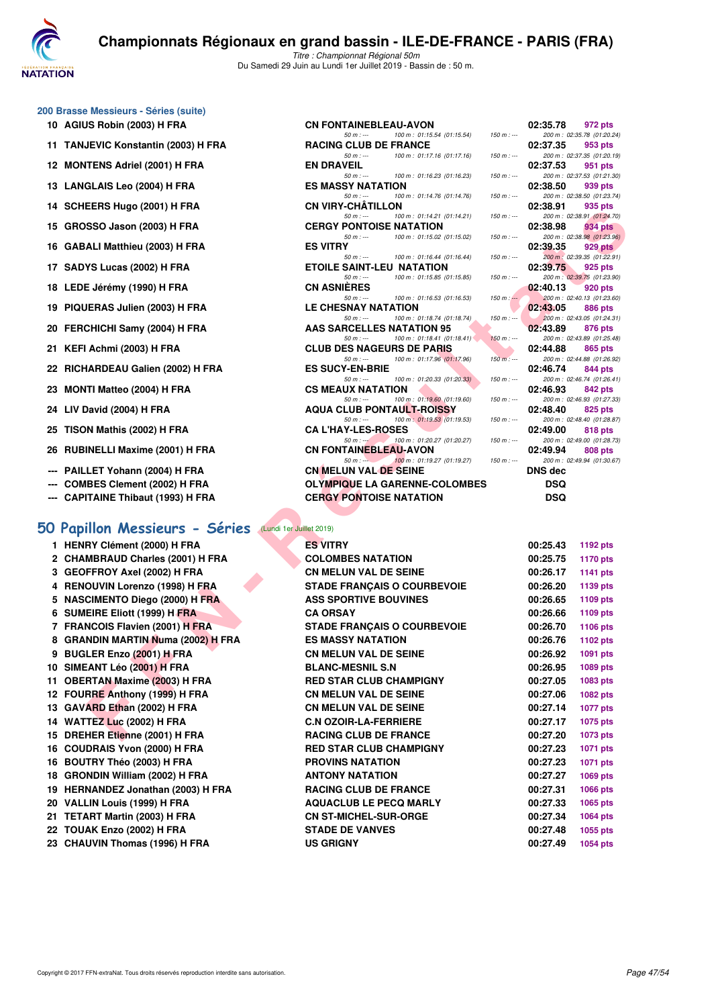

#### **200 Brasse Messieurs - Séries (suite)**

- 
- 
- 
- 
- 
- 
- 
- 
- 
- 
- 
- 
- 
- **23 MONTI Matteo (2004) H FRA**
- **24 LIV David (2004) H FRA**
- **25 TISON Mathis (2002) H FRA**
- **26 RUBINELLI Maxime (2001) H FRA**
- --- PAILLET Yohann (2004) H FRA
- --- COMBES Clement (2002) H FRA
- --- CAPITAINE Thibaut (1993) H FRA

#### **[50 Papillon Messieurs - Séries](http://www.ffnatation.fr/webffn/resultats.php?idact=nat&go=epr&idcpt=61555&idepr=81)** (Lundi 1er Juillet 2019)

- **1 HENRY Clément (2000) H FRA <b>ES VITRY**
- 2 CHAMBRAUD Charles (2001) H FRA **COLOMBES NATATION**
- **3 GEOFFROY Axel (2002) H FRA CN MELUN VAL DE SEINE 4 RENOUVIN Lorenzo (1998) H FRA STADE FRANÇAIS O COURBEVOIE**
- 5 NASCIMENTO Diego (2000) H FRA ASS SPORTIVE BOUVINES
- **6 SUMEIRE Eliott (1999) H FRA CA ORSAY**
- **7 FRANCOIS Flavien (2001) H FRA STADE FRANÇAIS O COURBEVOIE**
- 8 GRANDIN MARTIN Numa (2002) H FRA **ES MASSY NATATION**
- **9 BUGLER Enzo (2001) H FRA CN MELUN VAL DE SEINE**
- **10 SIMEANT Léo (2001) H FRA BLANC-MESNIL S.N**
- **11 OBERTAN Maxime (2003) H FRA RED STAR CLUB CHAMPIGNY**
- **12 FOURRE Anthony (1999) H FRA CN MELUN VAL DE SEINE**
- 13 GAVARD Ethan (2002) H FRA CN MELUN VAL DE SEINE
- **14 WATTEZ Luc (2002) H FRA C.N OZOIR-LA-FERRIERE**
- 15 DREHER Etienne (2001) H FRA RACING CLUB DE FRANCE
- **16 COUDRAIS Yvon (2000) H FRA RED STAR CLUB CHAMPIGNY**
- 16 BOUTRY Théo (2003) H FRA PROVINS NATATION
- **18 GRONDIN William (2002) H FRA ANTONY NATATION**
- **19 HERNANDEZ Jonathan (2003) H FRA RACING CLUB DE FRANCE 20 VALLIN Louis (1999) H FRA AQUACLUB LE PECQ MARLY 00:27.33 1065 pts**
- **21 TETART Martin (2003) H FRA CN ST-MICHEL-SUR-ORGE 00:27.34 1064 pts**
- **22 TOUAK Enzo (2002) H FRA STADE DE VANVES 00:27.48 1055 pts**
- **23 CHAUVIN Thomas (1996) H FRA US GRIGNY 00:27.49 1054 pts**

| ou Drasse messieurs - oeries (suite)                             |                                                                             |               |                      |                                       |
|------------------------------------------------------------------|-----------------------------------------------------------------------------|---------------|----------------------|---------------------------------------|
| 10 AGIUS Robin (2003) H FRA                                      | <b>CN FONTAINEBLEAU-AVON</b>                                                |               | 02:35.78             | 972 pts                               |
| 11 TANJEVIC Konstantin (2003) H FRA                              | 100 m: 01:15.54 (01:15.54)<br>$50 m: -$<br><b>RACING CLUB DE FRANCE</b>     | $150 m : -$   | 02:37.35             | 200 m: 02:35.78 (01:20.24)<br>953 pts |
|                                                                  | $50 m : -$<br>100 m: 01:17.16 (01:17.16)                                    | $150 m : -$   |                      | 200 m: 02:37.35 (01:20.19)            |
| 12 MONTENS Adriel (2001) H FRA                                   | <b>EN DRAVEIL</b><br>$50 m: -$<br>100 m: 01:16.23 (01:16.23)                | $150 m : -$   | 02:37.53             | 951 pts<br>200 m: 02:37.53 (01:21.30) |
| 13 LANGLAIS Leo (2004) H FRA                                     | <b>ES MASSY NATATION</b>                                                    |               | 02:38.50             | 939 pts                               |
| 14 SCHEERS Hugo (2001) H FRA                                     | $50 m : -$<br>100 m: 01:14.76 (01:14.76)<br><b>CN VIRY-CHATILLON</b>        | $150 m : -$   | 02:38.91             | 200 m: 02:38.50 (01:23.74)<br>935 pts |
|                                                                  | $50 m: -$<br>100 m: 01:14.21 (01:14.21)                                     | $150 m : -$   |                      | 200 m: 02:38.91 (01:24.70)            |
| 15 GROSSO Jason (2003) H FRA                                     | <b>CERGY PONTOISE NATATION</b><br>100 m: 01:15.02 (01:15.02)<br>$50 m: -$   | $150 m : -$   | 02:38.98             | 934 pts<br>200 m: 02:38.98 (01:23.96) |
| 16 GABALI Matthieu (2003) H FRA                                  | <b>ES VITRY</b>                                                             |               | 02:39.35             | 929 pts                               |
| 17 SADYS Lucas (2002) H FRA                                      | 100 m: 01:16.44 (01:16.44)<br>$50 m: -$<br><b>ETOILE SAINT-LEU NATATION</b> | $150 m : -$   | 02:39.75             | 200 m: 02:39.35 (01:22.91)<br>925 pts |
| 18 LEDE Jérémy (1990) H FRA                                      | $50 m: -$<br>100 m: 01:15.85 (01:15.85)<br><b>CN ASNIERES</b>               | $150 m : -$   | 02:40.13             | 200 m: 02:39.75 (01:23.90)<br>920 pts |
|                                                                  | 100 m: 01:16.53 (01:16.53)<br>$50 m: -$                                     | $150 m : -$   |                      | 200 m: 02:40.13 (01:23.60)            |
| 19 PIQUERAS Julien (2003) H FRA                                  | LE CHESNAY NATATION<br>100 m: 01:18.74 (01:18.74)<br>$50 m: -$              | 150 m : ---   | 02:43.05             | 886 pts<br>200 m: 02:43.05 (01:24.31) |
| 20 FERCHICHI Samy (2004) H FRA                                   | AAS SARCELLES NATATION 95                                                   |               | 02:43.89             | 876 pts                               |
| 21 KEFI Achmi (2003) H FRA                                       | 100 m: 01:18.41 (01:18.41)<br>$50 m: -$<br><b>CLUB DES NAGEURS DE PARIS</b> | $150 m : -$   | 02:44.88             | 200 m: 02:43.89 (01:25.48)<br>865 pts |
|                                                                  | 100 m: 01:17.96 (01:17.96)<br>$50 m: -$                                     | $150 m$ : --- |                      | 200 m: 02:44.88 (01:26.92)            |
| 22 RICHARDEAU Galien (2002) H FRA                                | <b>ES SUCY-EN-BRIE</b><br>100 m: 01:20.33 (01:20.33)<br>$50 m: -$           | $150 m: -$    | 02:46.74             | 844 pts<br>200 m: 02:46.74 (01:26.41) |
| 23 MONTI Matteo (2004) H FRA                                     | <b>CS MEAUX NATATION</b>                                                    |               | 02:46.93             | 842 pts                               |
| 24 LIV David (2004) H FRA                                        | 100 m: 01:19.60 (01:19.60)<br>$50 m: -$<br><b>AQUA CLUB PONTAULT-ROISSY</b> | $150 m : -$   | 02:48.40             | 200 m: 02:46.93 (01:27.33)<br>825 pts |
|                                                                  | 100 m: 01:19.53 (01:19.53)<br>$50 m: -$                                     | $150 m: -$    |                      | 200 m: 02:48.40 (01:28.87)            |
| 25 TISON Mathis (2002) H FRA                                     | <b>CAL'HAY-LES-ROSES</b><br>100 m: 01:20.27 (01:20.27)<br>$50 m: -1$        | $150 m : -$   | 02:49.00             | 818 pts<br>200 m: 02:49.00 (01:28.73) |
| 26 RUBINELLI Maxime (2001) H FRA                                 | <b>CN FONTAINEBLEAU-AVON</b>                                                |               | 02:49.94             | 808 pts                               |
| --- PAILLET Yohann (2004) H FRA                                  | 100 m: 01:19.27 (01:19.27)<br>$50 m: -$<br><b>CN MELUN VAL DE SEINE</b>     | $150 m : -$   | <b>DNS dec</b>       | 200 m: 02:49.94 (01:30.67)            |
| --- COMBES Clement (2002) H FRA                                  | <b>OLYMPIQUE LA GARENNE-COLOMBES</b>                                        |               | DSQ                  |                                       |
| --- CAPITAINE Thibaut (1993) H FRA                               | <b>CERGY PONTOISE NATATION</b>                                              |               | <b>DSQ</b>           |                                       |
|                                                                  |                                                                             |               |                      |                                       |
| O Papillon Messieurs - Séries<br>(Lundi 1er Juillet 2019)        |                                                                             |               |                      |                                       |
| 1 HENRY Clément (2000) H FRA                                     | <b>ES VITRY</b>                                                             |               | 00:25.43             | 1192 pts                              |
| 2 CHAMBRAUD Charles (2001) H FRA                                 | <b>COLOMBES NATATION</b>                                                    |               | 00:25.75             | <b>1170 pts</b>                       |
| 3 GEOFFROY Axel (2002) H FRA                                     | <b>CN MELUN VAL DE SEINE</b>                                                |               | 00:26.17             | <b>1141 pts</b>                       |
| 4 RENOUVIN Lorenzo (1998) H FRA                                  | <b>STADE FRANÇAIS O COURBEVOIE</b>                                          |               | 00:26.20             | 1139 pts                              |
| 5 NASCIMENTO Diego (2000) H FRA                                  | <b>ASS SPORTIVE BOUVINES</b>                                                |               | 00:26.65             | 1109 pts                              |
| 6 SUMEIRE Eliott (1999) H FRA                                    | <b>CA ORSAY</b>                                                             |               | 00:26.66             | 1109 pts                              |
| 7 FRANCOIS Flavien (2001) H FRA                                  | <b>STADE FRANÇAIS O COURBEVOIE</b>                                          |               | 00:26.70             | <b>1106 pts</b>                       |
| 8 GRANDIN MARTIN Numa (2002) H FRA<br>9 BUGLER Enzo (2001) H FRA | <b>ES MASSY NATATION</b><br>CN MELUN VAL DE SEINE                           |               | 00:26.76<br>00:26.92 | <b>1102 pts</b><br>1091 pts           |
| 10 SIMEANT Léo (2001) H FRA                                      | <b>BLANC-MESNIL S.N</b>                                                     |               | 00:26.95             | 1089 pts                              |
| 11 OBERTAN Maxime (2003) H FRA                                   | <b>RED STAR CLUB CHAMPIGNY</b>                                              |               | 00:27.05             | 1083 pts                              |
| 12 FOURRE Anthony (1999) H FRA                                   | <b>CN MELUN VAL DE SEINE</b>                                                |               | 00:27.06             | 1082 pts                              |
| 13 GAVARD Ethan (2002) H FRA                                     | <b>CN MELUN VAL DE SEINE</b>                                                |               | 00:27.14             | <b>1077 pts</b>                       |
| 14 WATTEZ Luc (2002) H FRA                                       | <b>C.N OZOIR-LA-FERRIERE</b>                                                |               | 00:27.17             | 1075 pts                              |
|                                                                  |                                                                             |               |                      |                                       |

| 02:44.88 | 865 pts                                      |
|----------|----------------------------------------------|
|          | 200 m: 02:44.88 (01:26.92)                   |
| 02:46.74 | <b>844 pts</b><br>200 m: 02:46.74 (01:26.41) |
| 02:46.93 | 842 pts                                      |
|          | 200 m: 02:46.93 (01:27.33)                   |
| 02:48.40 | 825 pts                                      |
|          | 200 m: 02:48.40 (01:28.87)                   |
| 02:49.00 | 818 pts<br>200 m: 02:49.00 (01:28.73)        |
| 02:49.94 | 808 pts                                      |
|          | 200 m: 02:49.94 (01:30.67)                   |
| DNS dec  |                                              |
| DSQ      |                                              |
| DSQ      |                                              |
|          |                                              |
|          |                                              |
|          |                                              |
| 00:25.43 | 1192 pts                                     |
| 00:25.75 | 1170 pts                                     |
| 00:26.17 | 1141 pts                                     |
| 00:26.20 | 1139 pts                                     |
| 00:26.65 | 1109 pts                                     |
| 00:26.66 | <b>1109 pts</b>                              |
| 00:26.70 | 1106 pts                                     |
| 00:26.76 | 1102 pts                                     |
| 00:26.92 | 1091 pts                                     |
| 00:26.95 | 1089 pts                                     |
| 00:27.05 | 1083 pts                                     |
| 00:27.06 | 1082 pts                                     |
| 00:27.14 | 1077 pts                                     |
| 00:27.17 | 1075 pts                                     |
| 00:27.20 | 1073 pts                                     |
| 00:27.23 | 1071 pts                                     |
| 00:27.23 | 1071 pts                                     |
| 00:27.27 |                                              |
|          | 1069 pts                                     |
| 00:27.31 | 1066 pts                                     |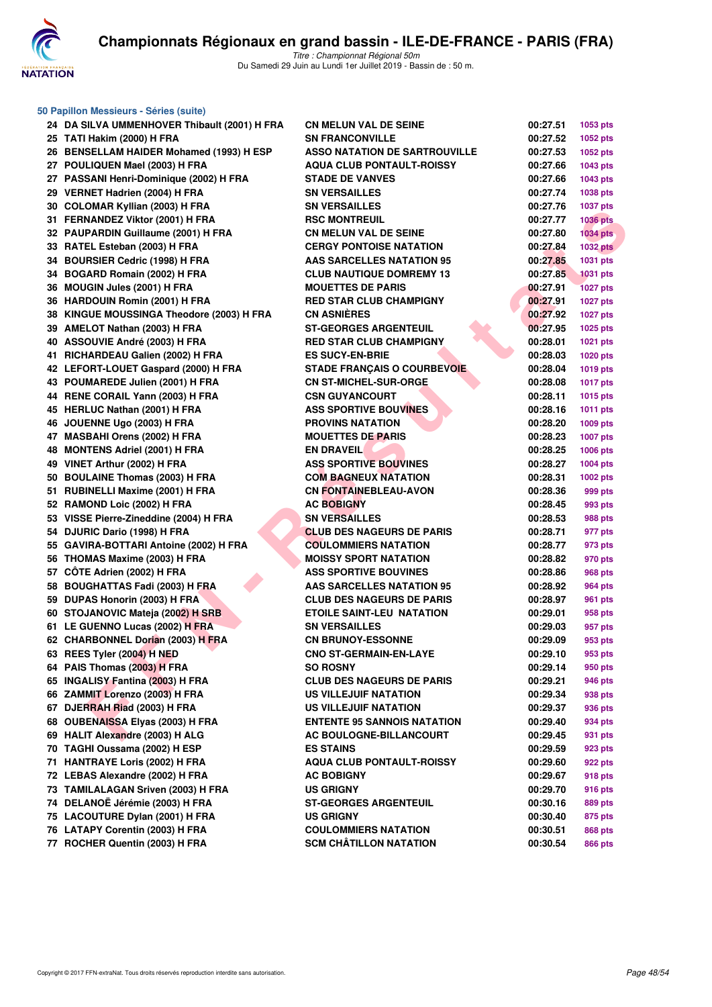

| 50 Papillon Messieurs - Séries (suite)       |                                      |          |                 |  |  |  |
|----------------------------------------------|--------------------------------------|----------|-----------------|--|--|--|
| 24 DA SILVA UMMENHOVER Thibault (2001) H FRA | <b>CN MELUN VAL DE SEINE</b>         | 00:27.51 | 1053 pts        |  |  |  |
| 25 TATI Hakim (2000) H FRA                   | <b>SN FRANCONVILLE</b>               | 00:27.52 | 1052 pts        |  |  |  |
| 26 BENSELLAM HAIDER Mohamed (1993) H ESP     | <b>ASSO NATATION DE SARTROUVILLE</b> | 00:27.53 | 1052 pts        |  |  |  |
| 27 POULIQUEN Mael (2003) H FRA               | <b>AQUA CLUB PONTAULT-ROISSY</b>     | 00:27.66 | 1043 pts        |  |  |  |
| 27 PASSANI Henri-Dominique (2002) H FRA      | <b>STADE DE VANVES</b>               | 00:27.66 | 1043 pts        |  |  |  |
| 29 VERNET Hadrien (2004) H FRA               | <b>SN VERSAILLES</b>                 | 00:27.74 | 1038 pts        |  |  |  |
| 30 COLOMAR Kyllian (2003) H FRA              | <b>SN VERSAILLES</b>                 | 00:27.76 | 1037 pts        |  |  |  |
| 31 FERNANDEZ Viktor (2001) H FRA             | <b>RSC MONTREUIL</b>                 | 00:27.77 | <b>1036 pts</b> |  |  |  |
| 32 PAUPARDIN Guillaume (2001) H FRA          | <b>CN MELUN VAL DE SEINE</b>         | 00:27.80 | <b>1034 pts</b> |  |  |  |
| 33 RATEL Esteban (2003) H FRA                | <b>CERGY PONTOISE NATATION</b>       | 00:27.84 | <b>1032 pts</b> |  |  |  |
| 34 BOURSIER Cedric (1998) H FRA              | <b>AAS SARCELLES NATATION 95</b>     | 00:27.85 | 1031 pts        |  |  |  |
| 34 BOGARD Romain (2002) H FRA                | <b>CLUB NAUTIQUE DOMREMY 13</b>      | 00:27.85 | <b>1031 pts</b> |  |  |  |
| 36 MOUGIN Jules (2001) H FRA                 | <b>MOUETTES DE PARIS</b>             | 00:27.91 | <b>1027 pts</b> |  |  |  |
| 36 HARDOUIN Romin (2001) H FRA               | <b>RED STAR CLUB CHAMPIGNY</b>       | 00:27.91 | <b>1027 pts</b> |  |  |  |
| 38 KINGUE MOUSSINGA Theodore (2003) H FRA    | <b>CN ASNIÈRES</b>                   | 00:27.92 | <b>1027 pts</b> |  |  |  |
| 39 AMELOT Nathan (2003) H FRA                | <b>ST-GEORGES ARGENTEUIL</b>         | 00:27.95 | 1025 pts        |  |  |  |
| 40 ASSOUVIE André (2003) H FRA               | <b>RED STAR CLUB CHAMPIGNY</b>       | 00:28.01 | 1021 pts        |  |  |  |
| 41 RICHARDEAU Galien (2002) H FRA            | <b>ES SUCY-EN-BRIE</b>               | 00:28.03 | 1020 pts        |  |  |  |
| 42 LEFORT-LOUET Gaspard (2000) H FRA         | <b>STADE FRANÇAIS O COURBEVOIE</b>   | 00:28.04 | 1019 pts        |  |  |  |
| 43 POUMAREDE Julien (2001) H FRA             | <b>CN ST-MICHEL-SUR-ORGE</b>         | 00:28.08 | <b>1017 pts</b> |  |  |  |
| 44 RENE CORAIL Yann (2003) H FRA             | <b>CSN GUYANCOURT</b>                | 00:28.11 | 1015 pts        |  |  |  |
| 45 HERLUC Nathan (2001) H FRA                | <b>ASS SPORTIVE BOUVINES</b>         | 00:28.16 |                 |  |  |  |
| 46 JOUENNE Ugo (2003) H FRA                  | <b>PROVINS NATATION</b>              | 00:28.20 | 1011 pts        |  |  |  |
|                                              | <b>MOUETTES DE PARIS</b>             |          | 1009 pts        |  |  |  |
| 47 MASBAHI Orens (2002) H FRA                |                                      | 00:28.23 | <b>1007 pts</b> |  |  |  |
| 48 MONTENS Adriel (2001) H FRA               | <b>EN DRAVEIL</b>                    | 00:28.25 | 1006 pts        |  |  |  |
| 49 VINET Arthur (2002) H FRA                 | <b>ASS SPORTIVE BOUVINES</b>         | 00:28.27 | 1004 pts        |  |  |  |
| 50 BOULAINE Thomas (2003) H FRA              | <b>COM BAGNEUX NATATION</b>          | 00:28.31 | 1002 pts        |  |  |  |
| 51 RUBINELLI Maxime (2001) H FRA             | <b>CN FONTAINEBLEAU-AVON</b>         | 00:28.36 | 999 pts         |  |  |  |
| 52 RAMOND Loic (2002) H FRA                  | <b>AC BOBIGNY</b>                    | 00:28.45 | 993 pts         |  |  |  |
| 53 VISSE Pierre-Zineddine (2004) H FRA       | <b>SN VERSAILLES</b>                 | 00:28.53 | 988 pts         |  |  |  |
| 54 DJURIC Dario (1998) H FRA                 | <b>CLUB DES NAGEURS DE PARIS</b>     | 00:28.71 | 977 pts         |  |  |  |
| 55 GAVIRA-BOTTARI Antoine (2002) H FRA       | <b>COULOMMIERS NATATION</b>          | 00:28.77 | 973 pts         |  |  |  |
| 56 THOMAS Maxime (2003) H FRA                | <b>MOISSY SPORT NATATION</b>         | 00:28.82 | 970 pts         |  |  |  |
| 57 CÔTE Adrien (2002) H FRA                  | <b>ASS SPORTIVE BOUVINES</b>         | 00:28.86 | 968 pts         |  |  |  |
| 58 BOUGHATTAS Fadi (2003) H FRA              | <b>AAS SARCELLES NATATION 95</b>     | 00:28.92 | 964 pts         |  |  |  |
| 59 DUPAS Honorin (2003) H FRA                | <b>CLUB DES NAGEURS DE PARIS</b>     | 00:28.97 | 961 pts         |  |  |  |
| 60 STOJANOVIC Mateja (2002) H SRB            | <b>ETOILE SAINT-LEU NATATION</b>     | 00:29.01 | 958 pts         |  |  |  |
| 61 LE GUENNO Lucas (2002) H FRA              | <b>SN VERSAILLES</b>                 | 00:29.03 | 957 pts         |  |  |  |
| 62 CHARBONNEL Dorian (2003) H FRA            | <b>CN BRUNOY-ESSONNE</b>             | 00:29.09 | 953 pts         |  |  |  |
| 63 REES Tyler (2004) H NED                   | <b>CNO ST-GERMAIN-EN-LAYE</b>        | 00:29.10 | 953 pts         |  |  |  |
| 64 PAIS Thomas (2003) H FRA                  | <b>SO ROSNY</b>                      | 00:29.14 | 950 pts         |  |  |  |
| 65 INGALISY Fantina (2003) H FRA             | <b>CLUB DES NAGEURS DE PARIS</b>     | 00:29.21 | 946 pts         |  |  |  |
| 66 ZAMMIT Lorenzo (2003) H FRA               | <b>US VILLEJUIF NATATION</b>         | 00:29.34 | 938 pts         |  |  |  |
| 67 DJERRAH Riad (2003) H FRA                 | <b>US VILLEJUIF NATATION</b>         | 00:29.37 | 936 pts         |  |  |  |
| 68 OUBENAISSA Elyas (2003) H FRA             | <b>ENTENTE 95 SANNOIS NATATION</b>   | 00:29.40 | 934 pts         |  |  |  |
| 69 HALIT Alexandre (2003) H ALG              | AC BOULOGNE-BILLANCOURT              | 00:29.45 | 931 pts         |  |  |  |
| 70 TAGHI Oussama (2002) H ESP                | <b>ES STAINS</b>                     | 00:29.59 | 923 pts         |  |  |  |
| 71 HANTRAYE Loris (2002) H FRA               | <b>AQUA CLUB PONTAULT-ROISSY</b>     | 00:29.60 | 922 pts         |  |  |  |
| 72 LEBAS Alexandre (2002) H FRA              | <b>AC BOBIGNY</b>                    | 00:29.67 | 918 pts         |  |  |  |
| 73 TAMILALAGAN Sriven (2003) H FRA           | <b>US GRIGNY</b>                     | 00:29.70 | 916 pts         |  |  |  |
| 74 DELANOË Jérémie (2003) H FRA              | <b>ST-GEORGES ARGENTEUIL</b>         | 00:30.16 | 889 pts         |  |  |  |
| 75 LACOUTURE Dylan (2001) H FRA              | <b>US GRIGNY</b>                     | 00:30.40 | 875 pts         |  |  |  |
| 76 LATAPY Corentin (2003) H FRA              | <b>COULOMMIERS NATATION</b>          | 00:30.51 | 868 pts         |  |  |  |
| 77 ROCHER Quentin (2003) H FRA               | <b>SCM CHÂTILLON NATATION</b>        | 00:30.54 | 866 pts         |  |  |  |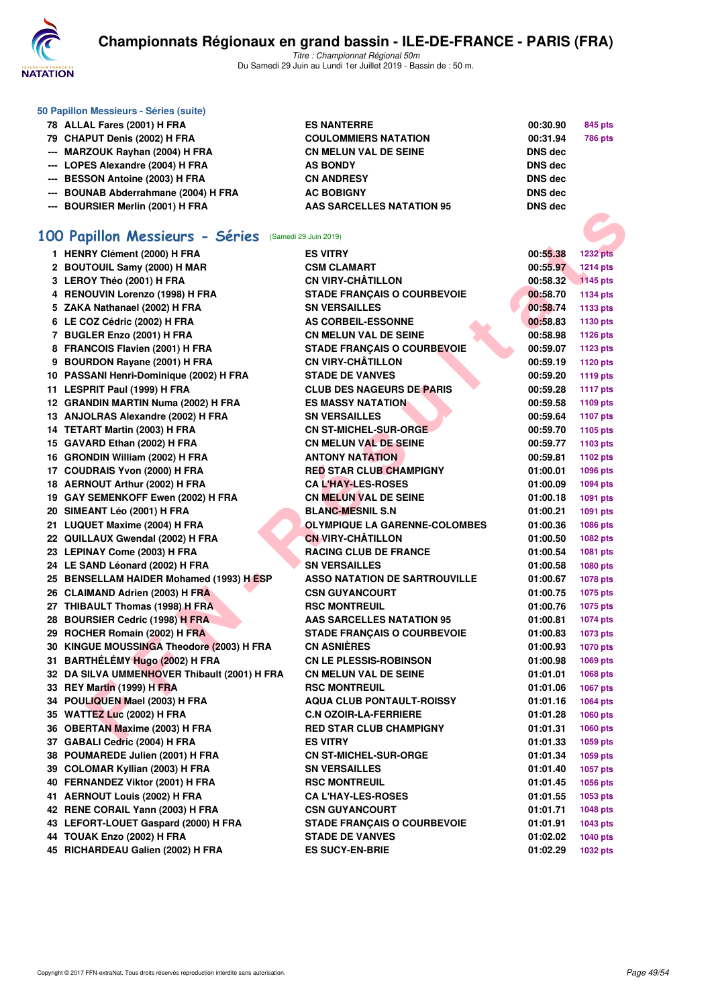

Titre : Championnat Régional 50m Du Samedi 29 Juin au Lundi 1er Juillet 2019 - Bassin de : 50 m.

| 50 Papillon Messieurs - Séries (suite) |                                  |                |                |
|----------------------------------------|----------------------------------|----------------|----------------|
| 78 ALLAL Fares (2001) H FRA            | <b>ES NANTERRE</b>               | 00:30.90       | 845 pts        |
| 79 CHAPUT Denis (2002) H FRA           | <b>COULOMMIERS NATATION</b>      | 00:31.94       | <b>786 pts</b> |
| --- MARZOUK Rayhan (2004) H FRA        | <b>CN MELUN VAL DE SEINE</b>     | <b>DNS</b> dec |                |
| --- LOPES Alexandre (2004) H FRA       | <b>AS BONDY</b>                  | DNS dec        |                |
| --- BESSON Antoine (2003) H FRA        | <b>CN ANDRESY</b>                | DNS dec        |                |
| --- BOUNAB Abderrahmane (2004) H FRA   | <b>AC BOBIGNY</b>                | <b>DNS</b> dec |                |
| --- BOURSIER Merlin (2001) H FRA       | <b>AAS SARCELLES NATATION 95</b> | <b>DNS</b> dec |                |

# **[100 Papillon Messieurs - Séries](http://www.ffnatation.fr/webffn/resultats.php?idact=nat&go=epr&idcpt=61555&idepr=82)** (Samedi 29 Juin 2019)

| <b></b> DUUNJIEN MEHIII (400 I) II FNA               | <b>AND ONDUCLLED IVATATION 30</b>    | טועט טוע |                 |
|------------------------------------------------------|--------------------------------------|----------|-----------------|
|                                                      |                                      |          |                 |
| 00 Papillon Messieurs - Séries (Samedi 29 Juin 2019) |                                      |          |                 |
| 1 HENRY Clément (2000) H FRA                         | <b>ES VITRY</b>                      | 00:55.38 | <b>1232 pts</b> |
| 2 BOUTOUIL Samy (2000) H MAR                         | <b>CSM CLAMART</b>                   | 00:55.97 | <b>1214 pts</b> |
| 3 LEROY Théo (2001) H FRA                            | <b>CN VIRY-CHÂTILLON</b>             | 00:58.32 | 1145 pts        |
| 4 RENOUVIN Lorenzo (1998) H FRA                      | <b>STADE FRANÇAIS O COURBEVOIE</b>   | 00:58.70 | 1134 pts        |
| 5 ZAKA Nathanael (2002) H FRA                        | <b>SN VERSAILLES</b>                 | 00:58.74 | 1133 pts        |
| 6 LE COZ Cédric (2002) H FRA                         | <b>AS CORBEIL-ESSONNE</b>            | 00:58.83 | 1130 pts        |
| 7 BUGLER Enzo (2001) H FRA                           | <b>CN MELUN VAL DE SEINE</b>         | 00:58.98 | 1126 pts        |
| 8 FRANCOIS Flavien (2001) H FRA                      | <b>STADE FRANCAIS O COURBEVOIE</b>   | 00:59.07 | 1123 pts        |
| 9 BOURDON Rayane (2001) H FRA                        | <b>CN VIRY-CHÂTILLON</b>             | 00:59.19 | 1120 pts        |
| 10 PASSANI Henri-Dominique (2002) H FRA              | <b>STADE DE VANVES</b>               | 00:59.20 | 1119 pts        |
| 11 LESPRIT Paul (1999) H FRA                         | <b>CLUB DES NAGEURS DE PARIS</b>     | 00:59.28 | <b>1117 pts</b> |
| 12 GRANDIN MARTIN Numa (2002) H FRA                  | <b>ES MASSY NATATION</b>             | 00:59.58 | 1109 pts        |
| 13 ANJOLRAS Alexandre (2002) H FRA                   | <b>SN VERSAILLES</b>                 | 00:59.64 | 1107 pts        |
| 14 TETART Martin (2003) H FRA                        | <b>CN ST-MICHEL-SUR-ORGE</b>         | 00:59.70 | 1105 pts        |
| 15 GAVARD Ethan (2002) H FRA                         | <b>CN MELUN VAL DE SEINE</b>         | 00:59.77 | 1103 pts        |
| 16 GRONDIN William (2002) H FRA                      | <b>ANTONY NATATION</b>               | 00:59.81 | 1102 pts        |
| 17 COUDRAIS Yvon (2000) H FRA                        | <b>RED STAR CLUB CHAMPIGNY</b>       | 01:00.01 | 1096 pts        |
| 18 AERNOUT Arthur (2002) H FRA                       | <b>CAL'HAY-LES-ROSES</b>             | 01:00.09 | 1094 pts        |
| 19 GAY SEMENKOFF Ewen (2002) H FRA                   | <b>CN MELUN VAL DE SEINE</b>         | 01:00.18 | 1091 pts        |
| 20 SIMEANT Léo (2001) H FRA                          | <b>BLANC-MESNIL S.N</b>              | 01:00.21 | 1091 pts        |
| 21 LUQUET Maxime (2004) H FRA                        | <b>OLYMPIQUE LA GARENNE-COLOMBES</b> | 01:00.36 | 1086 pts        |
| 22 QUILLAUX Gwendal (2002) H FRA                     | <b>CN VIRY-CHÂTILLON</b>             | 01:00.50 | 1082 pts        |
| 23 LEPINAY Come (2003) H FRA                         | <b>RACING CLUB DE FRANCE</b>         | 01:00.54 | 1081 pts        |
| 24 LE SAND Léonard (2002) H FRA                      | <b>SN VERSAILLES</b>                 | 01:00.58 | 1080 pts        |
| 25 BENSELLAM HAIDER Mohamed (1993) H ESP             | <b>ASSO NATATION DE SARTROUVILLE</b> | 01:00.67 | 1078 pts        |
| 26 CLAIMAND Adrien (2003) H FRA                      | <b>CSN GUYANCOURT</b>                | 01:00.75 | 1075 pts        |
| 27 THIBAULT Thomas (1998) H FRA                      | <b>RSC MONTREUIL</b>                 | 01:00.76 | 1075 pts        |
| 28 BOURSIER Cedric (1998) H FRA                      | <b>AAS SARCELLES NATATION 95</b>     | 01:00.81 | 1074 pts        |
| 29 ROCHER Romain (2002) H FRA                        | <b>STADE FRANÇAIS O COURBEVOIE</b>   | 01:00.83 | 1073 pts        |
| 30 KINGUE MOUSSINGA Theodore (2003) H FRA            | <b>CN ASNIÈRES</b>                   | 01:00.93 | <b>1070 pts</b> |
| 31   BARTHÉLÉMY Hugo (2002) H FRA                    | <b>CN LE PLESSIS-ROBINSON</b>        | 01:00.98 | 1069 pts        |
| 32 DA SILVA UMMENHOVER Thibault (2001) H FRA         | <b>CN MELUN VAL DE SEINE</b>         | 01:01.01 | 1068 pts        |
| 33 REY Martin (1999) H FRA                           | <b>RSC MONTREUIL</b>                 | 01:01.06 | 1067 pts        |
| 34 POULIQUEN Mael (2003) H FRA                       | <b>AQUA CLUB PONTAULT-ROISSY</b>     | 01:01.16 | 1064 pts        |
| 35   WATTEZ Luc (2002) H FRA                         | <b>C.N OZOIR-LA-FERRIERE</b>         | 01:01.28 | 1060 pts        |
| 36 OBERTAN Maxime (2003) H FRA                       | <b>RED STAR CLUB CHAMPIGNY</b>       | 01:01.31 | <b>1060 pts</b> |
| 37 GABALI Cedric (2004) H FRA                        | <b>ES VITRY</b>                      | 01:01.33 | 1059 pts        |
| 38 POUMAREDE Julien (2001) H FRA                     | <b>CN ST-MICHEL-SUR-ORGE</b>         | 01:01.34 | 1059 pts        |
| 39 COLOMAR Kyllian (2003) H FRA                      | <b>SN VERSAILLES</b>                 | 01:01.40 | 1057 pts        |
| 40 FERNANDEZ Viktor (2001) H FRA                     | <b>RSC MONTREUIL</b>                 | 01:01.45 | 1056 pts        |
| 41 AERNOUT Louis (2002) H FRA                        | <b>CA L'HAY-LES-ROSES</b>            | 01:01.55 | 1053 pts        |
| 42 RENE CORAIL Yann (2003) H FRA                     | <b>CSN GUYANCOURT</b>                | 01:01.71 | 1048 pts        |
| 43 LEFORT-LOUET Gaspard (2000) H FRA                 | <b>STADE FRANCAIS O COURBEVOIE</b>   | 01:01.91 | 1043 pts        |
| 44 TOUAK Enzo (2002) H FRA                           | <b>STADE DE VANVES</b>               | 01:02.02 | <b>1040 pts</b> |
| 45 RICHARDEAU Galien (2002) H FRA                    | <b>ES SUCY-EN-BRIE</b>               | 01:02.29 | 1032 pts        |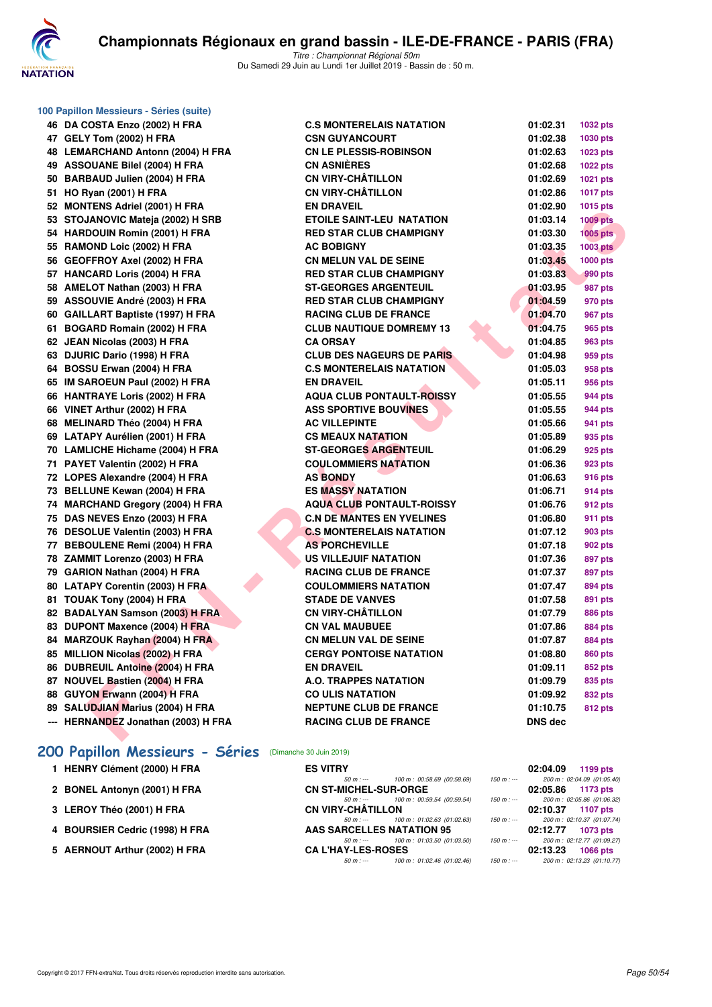

|     | 100 Papillon Messieurs - Séries (suite) |
|-----|-----------------------------------------|
| 46  | DA COSTA Enzo (2002) H FRA              |
|     | 47 GELY Tom (2002) H FRA                |
| 48  | <b>LEMARCHAND Antonn (2004) H FRA</b>   |
|     | 49 ASSOUANE Bilel (2004) H FRA          |
|     | 50 BARBAUD Julien (2004) H FRA          |
| 51  | <b>HO Ryan (2001) H FRA</b>             |
| 52  | <b>MONTENS Adriel (2001) H FRA</b>      |
| 53  | STOJANOVIC Mateja (2002) H SRB          |
| 54  | <b>HARDOUIN Romin (2001) H FRA</b>      |
|     | 55 RAMOND Loic (2002) H FRA             |
|     | 56 GEOFFROY Axel (2002) H FRA           |
|     | 57 HANCARD Loris (2004) H FRA           |
| 58  | AMELOT Nathan (2003) H FRA              |
|     | 59 ASSOUVIE André (2003) H FRA          |
|     | 60 GAILLART Baptiste (1997) H FRA       |
| 61  | <b>BOGARD Romain (2002) H FRA</b>       |
| 62  | JEAN Nicolas (2003) H FRA               |
| 63  | DJURIC Dario (1998) H FRA               |
| 64  | BOSSU Erwan (2004) H FRA                |
| 65  | IM SAROEUN Paul (2002) H FRA            |
| 66  | <b>HANTRAYE Loris (2002) H FRA</b>      |
| 66  | VINET Arthur (2002) H FRA               |
| 68  | <b>MELINARD Théo (2004) H FRA</b>       |
|     | 69 LATAPY Aurélien (2001) H FRA         |
|     | 70 LAMLICHE Hichame (2004) H FRA        |
| 71  | PAYET Valentin (2002) H FRA             |
| 72  | LOPES Alexandre (2004) H FRA            |
| 73  | <b>BELLUNE Kewan (2004) H FRA</b>       |
| 74  | <b>MARCHAND Gregory (2004) H FRA</b>    |
| 75  | DAS NEVES Enzo (2003) H FRA             |
| 76  | <b>DESOLUE Valentin (2003) H FRA</b>    |
| 77  | <b>BEBOULENE Remi (2004) H FRA</b>      |
| 78  | ZAMMIT Lorenzo (2003) H FRA             |
| 79  | GARION Nathan (2004) H FRA              |
| 80  | <b>LATAPY Corentin (2003) H FRA</b>     |
| 81  | TOUAK Tony (2004) H FRA                 |
| 82  | <b>BADALYAN Samson (2003) H FRA</b>     |
| 83  | DUPONT Maxence (2004) H FRA             |
| 84  | MARZOUK Rayhan (2004) H FRA             |
| 85  | MILLION Nicolas (2002) H FRA            |
| 86  | <b>DUBREUIL Antoine (2004) H FRA</b>    |
|     | 87 NOUVEL Bastien (2004) H FRA          |
|     | 88 GUYON Erwann (2004) H FRA            |
|     | 89 SALUDJIAN Marius (2004) H FRA        |
| --- | HERNANDEZ Jonathan (2003) H FRA         |

# **[200 Papillon Messieurs - Séries](http://www.ffnatation.fr/webffn/resultats.php?idact=nat&go=epr&idcpt=61555&idepr=83)** (Dimanche 30 Juin 2019)

| 1 HENRY Clément (2000) H FRA   | <b>ES VITRY</b>                        |                             |             | 02:04.09          | 1199 pts                   |
|--------------------------------|----------------------------------------|-----------------------------|-------------|-------------------|----------------------------|
|                                | $50 m : -$                             | 100 m : 00:58.69 (00:58.69) | $150 m : -$ |                   | 200 m: 02:04.09 (01:05.40) |
| 2 BONEL Antonyn (2001) H FRA   | <b>CN ST-MICHEL-SUR-ORGE</b>           |                             |             | 02:05.86          | 1173 pts                   |
|                                | 50 m : --- 100 m : 00:59.54 (00:59.54) |                             | $150 m : -$ |                   | 200 m: 02:05.86 (01:06.32) |
| 3 LEROY Théo (2001) H FRA      | <b>CN VIRY-CHÂTILLON</b>               |                             |             | 02:10.37 1107 pts |                            |
|                                | $50 m: -$                              | 100 m : 01:02.63 (01:02.63) | 150 m : --- |                   | 200 m: 02:10.37 (01:07.74) |
| 4 BOURSIER Cedric (1998) H FRA | AAS SARCELLES NATATION 95              |                             |             | 02:12.77          | 1073 pts                   |
|                                | 50 m : --- 100 m : 01:03.50 (01:03.50) |                             | $150 m : -$ |                   | 200 m: 02:12.77 (01:09.27) |
| 5 AERNOUT Arthur (2002) H FRA  | <b>CA L'HAY-LES-ROSES</b>              |                             |             | 02:13.23          | <b>1066 pts</b>            |
|                                | 50 m : ---                             | 100 m : 01:02.46 (01:02.46) | $150 m : -$ |                   | 200 m: 02:13.23 (01:10.77) |

| 47 GELY Tom (2002) H FRA            | <b>CSN GUYANCOURT</b>            | 01:02.38       | 1030 pts        |
|-------------------------------------|----------------------------------|----------------|-----------------|
| 48 LEMARCHAND Antonn (2004) H FRA   | <b>CN LE PLESSIS-ROBINSON</b>    | 01:02.63       | 1023 pts        |
| 49 ASSOUANE Bilel (2004) H FRA      | <b>CN ASNIÈRES</b>               | 01:02.68       | <b>1022 pts</b> |
| 50 BARBAUD Julien (2004) H FRA      | <b>CN VIRY-CHÂTILLON</b>         | 01:02.69       | 1021 pts        |
| 51 HO Ryan (2001) H FRA             | <b>CN VIRY-CHÂTILLON</b>         | 01:02.86       | 1017 pts        |
| 52 MONTENS Adriel (2001) H FRA      | <b>EN DRAVEIL</b>                | 01:02.90       | 1015 pts        |
| 53 STOJANOVIC Mateja (2002) H SRB   | <b>ETOILE SAINT-LEU NATATION</b> | 01:03.14       | <b>1009 pts</b> |
| 54 HARDOUIN Romin (2001) H FRA      | <b>RED STAR CLUB CHAMPIGNY</b>   | 01:03.30       | 1005 pts        |
| 55 RAMOND Loic (2002) H FRA         | <b>AC BOBIGNY</b>                | 01:03.35       | <b>1003 pts</b> |
| 56 GEOFFROY Axel (2002) H FRA       | <b>CN MELUN VAL DE SEINE</b>     | 01:03.45       | <b>1000 pts</b> |
| 57 HANCARD Loris (2004) H FRA       | <b>RED STAR CLUB CHAMPIGNY</b>   | 01:03.83       | 990 pts         |
| 58 AMELOT Nathan (2003) H FRA       | <b>ST-GEORGES ARGENTEUIL</b>     | 01:03.95       | 987 pts         |
| 59 ASSOUVIE André (2003) H FRA      | <b>RED STAR CLUB CHAMPIGNY</b>   | 01:04.59       | 970 pts         |
| 60 GAILLART Baptiste (1997) H FRA   | <b>RACING CLUB DE FRANCE</b>     | 01:04.70       | 967 pts         |
| 61 BOGARD Romain (2002) H FRA       | <b>CLUB NAUTIQUE DOMREMY 13</b>  | 01:04.75       | 965 pts         |
| 62 JEAN Nicolas (2003) H FRA        | <b>CA ORSAY</b>                  | 01:04.85       | 963 pts         |
| 63 DJURIC Dario (1998) H FRA        | <b>CLUB DES NAGEURS DE PARIS</b> | 01:04.98       | 959 pts         |
| 64 BOSSU Erwan (2004) H FRA         | <b>C.S MONTERELAIS NATATION</b>  | 01:05.03       | 958 pts         |
| 65 IM SAROEUN Paul (2002) H FRA     | <b>EN DRAVEIL</b>                | 01:05.11       | 956 pts         |
| 66 HANTRAYE Loris (2002) H FRA      | <b>AQUA CLUB PONTAULT-ROISSY</b> | 01:05.55       | 944 pts         |
| 66 VINET Arthur (2002) H FRA        | <b>ASS SPORTIVE BOUVINES</b>     | 01:05.55       | 944 pts         |
| 68 MELINARD Théo (2004) H FRA       | <b>AC VILLEPINTE</b>             | 01:05.66       | 941 pts         |
| 69 LATAPY Aurélien (2001) H FRA     | <b>CS MEAUX NATATION</b>         | 01:05.89       | 935 pts         |
| 70 LAMLICHE Hichame (2004) H FRA    | <b>ST-GEORGES ARGENTEUIL</b>     | 01:06.29       | 925 pts         |
| 71 PAYET Valentin (2002) H FRA      | <b>COULOMMIERS NATATION</b>      | 01:06.36       | 923 pts         |
| 72 LOPES Alexandre (2004) H FRA     | <b>AS BONDY</b>                  | 01:06.63       | 916 pts         |
| 73 BELLUNE Kewan (2004) H FRA       | <b>ES MASSY NATATION</b>         | 01:06.71       | 914 pts         |
| 74 MARCHAND Gregory (2004) H FRA    | <b>AQUA CLUB PONTAULT-ROISSY</b> | 01:06.76       | 912 pts         |
| 75 DAS NEVES Enzo (2003) H FRA      | <b>C.N DE MANTES EN YVELINES</b> | 01:06.80       | 911 pts         |
| 76 DESOLUE Valentin (2003) H FRA    | <b>C.S MONTERELAIS NATATION</b>  | 01:07.12       | 903 pts         |
| 77 BEBOULENE Remi (2004) H FRA      | <b>AS PORCHEVILLE</b>            | 01:07.18       | 902 pts         |
| 78 ZAMMIT Lorenzo (2003) H FRA      | <b>US VILLEJUIF NATATION</b>     | 01:07.36       | 897 pts         |
| 79 GARION Nathan (2004) H FRA       | <b>RACING CLUB DE FRANCE</b>     | 01:07.37       | 897 pts         |
| 80 LATAPY Corentin (2003) H FRA     | <b>COULOMMIERS NATATION</b>      | 01:07.47       | 894 pts         |
| 81 TOUAK Tony (2004) H FRA          | <b>STADE DE VANVES</b>           | 01:07.58       | 891 pts         |
| 82 BADALYAN Samson (2003) H FRA     | <b>CN VIRY-CHÂTILLON</b>         | 01:07.79       | <b>886 pts</b>  |
| 83 DUPONT Maxence (2004) H FRA      | <b>CN VAL MAUBUEE</b>            | 01:07.86       | <b>884 pts</b>  |
| 84 MARZOUK Rayhan (2004) H FRA      | <b>CN MELUN VAL DE SEINE</b>     | 01:07.87       | <b>884 pts</b>  |
| 85 MILLION Nicolas (2002) H FRA     | <b>CERGY PONTOISE NATATION</b>   | 01:08.80       | <b>860 pts</b>  |
| 86 DUBREUIL Antoine (2004) H FRA    | <b>EN DRAVEIL</b>                | 01:09.11       | 852 pts         |
| 87 NOUVEL Bastien (2004) H FRA      | <b>A.O. TRAPPES NATATION</b>     | 01:09.79       | 835 pts         |
| 88 GUYON Erwann (2004) H FRA        | <b>CO ULIS NATATION</b>          | 01:09.92       | 832 pts         |
| 89 SALUDJIAN Marius (2004) H FRA    | <b>NEPTUNE CLUB DE FRANCE</b>    | 01:10.75       | <b>812 pts</b>  |
| --- HERNANDEZ Jonathan (2003) H FRA | <b>RACING CLUB DE FRANCE</b>     | <b>DNS dec</b> |                 |
|                                     |                                  |                |                 |

**46 DR C.S MONTERELAIS NATATION 01:02.31 1032 pts**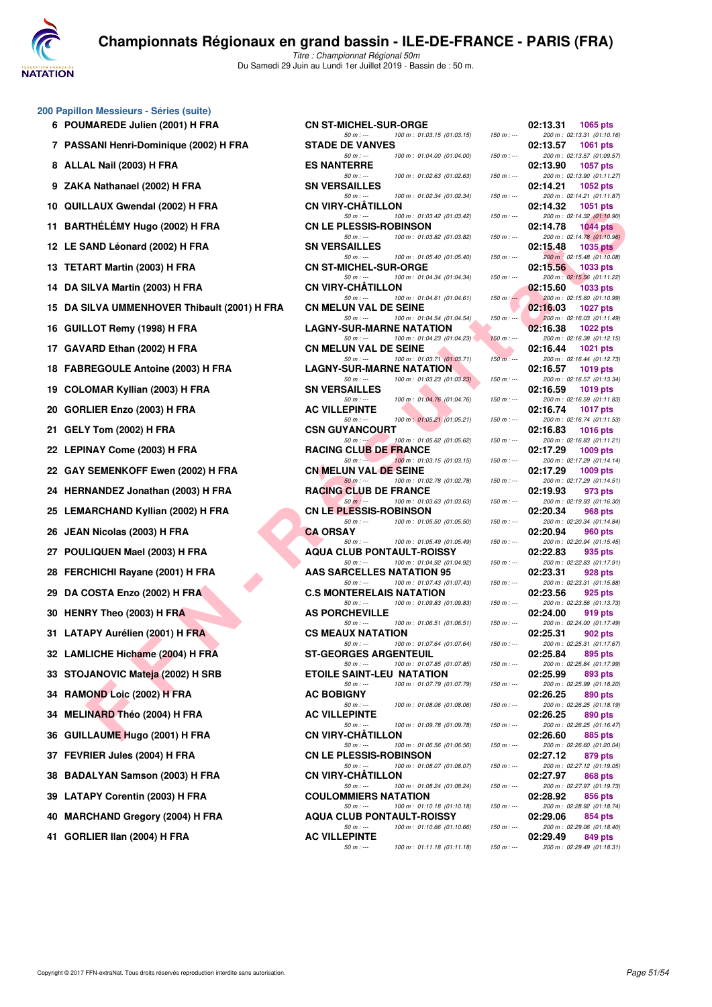

| 200 Papillon Messieurs - Séries (suite) |  |  |  |
|-----------------------------------------|--|--|--|
|-----------------------------------------|--|--|--|

| 6  | 0 Papillon Messieurs - Séries (suite)<br>POUMAREDE Julien (2001) H FRA |
|----|------------------------------------------------------------------------|
| 7  | PASSANI Henri-Dominique (2002) H FR.                                   |
| 8  | ALLAL Nail (2003) H FRA                                                |
| 9  | ZAKA Nathanael (2002) H FRA                                            |
| 10 | QUILLAUX Gwendal (2002) H FRA                                          |
| 11 | BARTHÉLÉMY Hugo (2002) H FRA                                           |
| 12 | LE SAND Léonard (2002) H FRA                                           |
| 13 | <b>TETART Martin (2003) H FRA</b>                                      |
| 14 | DA SILVA Martin (2003) H FRA                                           |
| 15 | DA SILVA UMMENHOVER Thibault (200                                      |
|    | 16 GUILLOT Remy (1998) H FRA                                           |
| 17 | GAVARD Ethan (2002) H FRA                                              |
| 18 | <b>FABREGOULE Antoine (2003) H FRA</b>                                 |
| 19 | <b>COLOMAR Kyllian (2003) H FRA</b>                                    |
| 20 | GORLIER Enzo (2003) H FRA                                              |
| 21 | GELY Tom (2002) H FRA                                                  |
| 22 | LEPINAY Come (2003) H FRA                                              |
|    | 22 GAY SEMENKOFF Ewen (2002) H FRA                                     |
| 24 | HERNANDEZ Jonathan (2003) H FRA                                        |
| 25 | LEMARCHAND Kyllian (2002) H FRA                                        |
| 26 | JEAN Nicolas (2003) H FRA                                              |
| 27 | POULIQUEN Mael (2003) H FRA                                            |
| 28 | FERCHICHI Rayane (2001) H FRA                                          |
|    | 29 DA COSTA Enzo (2002) H FRA                                          |
|    | 30 HENRY Theo (2003) H FRA                                             |
| 31 | LATAPY Aurélien (2001) H FRA                                           |
|    | 32 LAMLICHE Hichame (2004) H FRA                                       |
|    | 33 STOJANOVIC Mateja (2002) H SRB                                      |
|    | 34 RAMOND Loic (2002) H FRA                                            |
| 34 | MELINARD Théo (2004) H FRA                                             |
| 36 | GUILLAUME Hugo (2001) H FRA                                            |
| 37 | FEVRIER Jules (2004) H FRA                                             |
| 38 | <b>BADALYAN Samson (2003) H FRA</b>                                    |
|    | 39 LATAPY Corentin (2003) H FRA                                        |
|    | 40 MARCHAND Gregory (2004) H FRA                                       |
| 41 | GORLIER IIan (2004) H FRA                                              |
|    |                                                                        |

| 6 POUMAREDE Julien (2001) H FRA              | <b>CN ST-MICHEL-SUR-ORGE</b>                                                                | 02:13.31<br><b>1065 pts</b>                               |
|----------------------------------------------|---------------------------------------------------------------------------------------------|-----------------------------------------------------------|
| 7 PASSANI Henri-Dominique (2002) H FRA       | $50 m: -$<br>100 m: 01:03.15 (01:03.15)<br>$150 m: -$<br><b>STADE DE VANVES</b>             | 200 m: 02:13.31 (01:10.16)<br>02:13.57<br><b>1061 pts</b> |
| 8 ALLAL Nail (2003) H FRA                    | $50 m: -$<br>100 m: 01:04.00 (01:04.00)<br>$150 m: -$<br><b>ES NANTERRE</b>                 | 200 m: 02:13.57 (01:09.57)<br>02:13.90<br>1057 pts        |
| 9 ZAKA Nathanael (2002) H FRA                | 100 m: 01:02.63 (01:02.63)<br>$50 m: -$<br>$150 m : -$<br><b>SN VERSAILLES</b>              | 200 m: 02:13.90 (01:11.27)<br>02:14.21<br><b>1052 pts</b> |
| 10 QUILLAUX Gwendal (2002) H FRA             | $50 m: -$<br>100 m: 01:02.34 (01:02.34)<br>$150 m : -$<br><b>CN VIRY-CHATILLON</b>          | 200 m: 02:14.21 (01:11.87)<br>02:14.32<br>1051 pts        |
| 11 BARTHÉLÉMY Hugo (2002) H FRA              | 100 m: 01:03.42 (01:03.42)<br>$50 m: -$<br>$150 m : -$<br><b>CN LE PLESSIS-ROBINSON</b>     | 200 m: 02:14.32 (01:10.90)<br>02:14.78<br>1044 $pts$      |
| 12 LE SAND Léonard (2002) H FRA              | 100 m: 01:03.82 (01:03.82)<br>$50 m: -$<br>$150 m: -$<br><b>SN VERSAILLES</b>               | 200 m: 02:14.78 (01:10.96)<br>02:15.48<br>1035 $p$ ts     |
| 13 TETART Martin (2003) H FRA                | $50 m: -$<br>100 m: 01:05.40 (01:05.40)<br>$150 m : -$<br><b>CN ST-MICHEL-SUR-ORGE</b>      | 200 m: 02:15.48 (01:10.08)<br>02:15.56<br>1033 pts        |
| 14 DA SILVA Martin (2003) H FRA              | 100 m: 01:04.34 (01:04.34)<br>$50 m: -$<br>$150 m : -$<br><b>CN VIRY-CHATILLON</b>          | 200 m: 02:15.56 (01:11.22)<br>02:15.60<br><b>1033 pts</b> |
| 15 DA SILVA UMMENHOVER Thibault (2001) H FRA | $50 m: -$<br>100 m : 01:04.61 (01:04.61)<br>$150 m$ : $-$<br><b>CN MELUN VAL DE SEINE</b>   | 200 m: 02:15.60 (01:10.99)<br>02:16.03<br>1027 pts        |
| 16 GUILLOT Remy (1998) H FRA                 | $50 m: -$<br>100 m: 01:04.54 (01:04.54)<br>$150 m : -$<br><b>LAGNY-SUR-MARNE NATATION</b>   | 200 m: 02:16.03 (01:11.49)<br>02:16.38<br>1022 pts        |
| 17 GAVARD Ethan (2002) H FRA                 | 100 m: 01:04.23 (01:04.23)<br>$50 m: -$<br>$150 m : -$<br><b>CN MELUN VAL DE SEINE</b>      | 200 m: 02:16.38 (01:12.15)<br>02:16.44<br><b>1021 pts</b> |
| 18 FABREGOULE Antoine (2003) H FRA           | $50 m: -$<br>100 m: 01:03.71 (01:03.71)<br>$150 m: -$<br><b>LAGNY-SUR-MARNE NATATION</b>    | 200 m: 02:16.44 (01:12.73)<br>02:16.57<br><b>1019 pts</b> |
| 19 COLOMAR Kyllian (2003) H FRA              | $50 m: -$<br>100 m: 01:03.23 (01:03.23)<br>$150 m : -$<br><b>SN VERSAILLES</b>              | 200 m: 02:16.57 (01:13.34)<br>02:16.59<br>1019 pts        |
| 20 GORLIER Enzo (2003) H FRA                 | 100 m: 01:04.76 (01:04.76)<br>$50 m: -$<br>$150 m: -$<br><b>AC VILLEPINTE</b>               | 200 m: 02:16.59 (01:11.83)<br>02:16.74<br><b>1017 pts</b> |
| 21 GELY Tom (2002) H FRA                     | $50 m: -$<br>100 m : 01:05.21 (01:05.21)<br>$150 m : -$<br><b>CSN GUYANCOURT</b>            | 200 m: 02:16.74 (01:11.53)<br>02:16.83<br><b>1016 pts</b> |
| 22 LEPINAY Come (2003) H FRA                 | 100 m: 01:05.62 (01:05.62)<br>$50 m : -1$<br>$150 m : -$<br><b>RACING CLUB DE FRANCE</b>    | 200 m: 02:16.83 (01:11.21)<br>02:17.29<br><b>1009 pts</b> |
| 22   GAY SEMENKOFF Ewen (2002) H FRA         | 100 m: 01:03.15 (01:03.15)<br>$50 m : -$<br>$150 m : -$<br><b>CN MELUN VAL DE SEINE</b>     | 200 m: 02:17.29 (01:14.14)<br>02:17.29<br>1009 pts        |
| 24 HERNANDEZ Jonathan (2003) H FRA           | $50 m: -$<br>100 m: 01:02.78 (01:02.78)<br>$150 m : -$<br>RACING CLUB DE FRANCE             | 200 m: 02:17.29 (01:14.51)<br>02:19.93<br>973 pts         |
| 25 LEMARCHAND Kyllian (2002) H FRA           | $50 m: -$<br>100 m: 01:03.63 (01:03.63)<br>$150 m : -$<br><b>CN LE PLESSIS-ROBINSON</b>     | 200 m: 02:19.93 (01:16.30)<br>02:20.34<br>968 pts         |
| 26   JEAN Nicolas (2003) H FRA               | 100 m: 01:05.50 (01:05.50)<br>$50 m: -$<br>$150 m : -$<br><b>CA ORSAY</b>                   | 200 m: 02:20.34 (01:14.84)<br>02:20.94<br>960 pts         |
| 27 POULIQUEN Mael (2003) H FRA               | 100 m: 01:05.49 (01:05.49)<br>$50 m: -$<br>$150 m : -$<br><b>AQUA CLUB PONTAULT-ROISSY</b>  | 200 m: 02:20.94 (01:15.45)<br>02:22.83<br>935 pts         |
| 28 FERCHICHI Rayane (2001) H FRA             | $50 m: -$<br>100 m: 01:04.92 (01:04.92)<br>$150 m : -$<br><b>AAS SARCELLES NATATION 95</b>  | 200 m: 02:22.83 (01:17.91)<br>02:23.31<br>928 pts         |
| 29 DA COSTA Enzo (2002) H FRA                | 100 m: 01:07.43 (01:07.43)<br>50 m : ---<br>$150 m : -$<br><b>C.S MONTERELAIS NATATION</b>  | 200 m: 02:23.31 (01:15.88)<br>02:23.56<br>925 pts         |
| 30 HENRY Theo (2003) H FRA                   | 100 m: 01:09.83 (01:09.83)<br>$50 m: -$<br>$150 m : -$<br><b>AS PORCHEVILLE</b>             | 200 m: 02:23.56 (01:13.73)<br>02:24.00<br>919 pts         |
| 31 LATAPY Aurélien (2001) H FRA              | $50 m: -$<br>100 m: 01:06.51 (01:06.51)<br>$150 m : -$<br><b>CS MEAUX NATATION</b>          | 200 m: 02:24.00 (01:17.49)<br>02:25.31<br>902 pts         |
| 32   LAMLICHE Hichame (2004) H FRA           | $50 m: -$<br>100 m: 01:07.64 (01:07.64)<br>$150 m : -$<br><b>ST-GEORGES ARGENTEUIL</b>      | 200 m: 02:25.31 (01:17.67)<br>02:25.84<br>895 pts         |
| 33 STOJANOVIC Mateja (2002) H SRB            | $50 m: -$<br>100 m: 01:07.85 (01:07.85)<br>$150 m : -$<br><b>ETOILE SAINT-LEU NATATION</b>  | 200 m: 02:25.84 (01:17.99)<br>02:25.99<br>893 pts         |
| 34 RAMOND Loic (2002) H FRA                  | 100 m: 01:07.79 (01:07.79)<br>50 m : ---<br>$150 m: -$<br><b>AC BOBIGNY</b>                 | 200 m: 02:25.99 (01:18.20)<br>02:26.25<br>890 pts         |
| 34   MELINARD Théo (2004) H FRA              | 100 m: 01:08.06 (01:08.06)<br>50 m : ---<br>$150 m : -$<br><b>AC VILLEPINTE</b>             | 200 m: 02:26.25 (01:18.19)<br>02:26.25<br>890 pts         |
| 36 GUILLAUME Hugo (2001) H FRA               | $50 m: -$<br>100 m: 01:09.78 (01:09.78)<br>$150 m : -$<br><b>CN VIRY-CHATILLON</b>          | 200 m: 02:26.25 (01:16.47)<br>02:26.60<br>885 pts         |
| 37 FEVRIER Jules (2004) H FRA                | $50 m: -$<br>100 m: 01:06.56 (01:06.56)<br>$150 m : -$<br><b>CN LE PLESSIS-ROBINSON</b>     | 200 m: 02:26.60 (01:20.04)<br>02:27.12<br>879 pts         |
| 38   BADALYAN Samson (2003) H FRA            | 100 m: 01:08.07 (01:08.07)<br>50 m : ---<br>$150 m: -$<br><b>CN VIRY-CHATILLON</b>          | 200 m: 02:27.12 (01:19.05)<br>02:27.97<br>868 pts         |
| 39 LATAPY Corentin (2003) H FRA              | $50 m: -$<br>100 m: 01:08.24 (01:08.24)<br>$150 m : -$<br><b>COULOMMIERS NATATION</b>       | 200 m: 02:27.97 (01:19.73)<br>02:28.92<br>856 pts         |
| 40 MARCHAND Gregory (2004) H FRA             | 100 m: 01:10.18 (01:10.18)<br>50 m : ---<br>$150 m : -$<br><b>AQUA CLUB PONTAULT-ROISSY</b> | 200 m: 02:28.92 (01:18.74)<br>02:29.06<br>854 pts         |
| 41 GORLIER Ilan (2004) H FRA                 | 100 m: 01:10.66 (01:10.66)<br>$50 m: -$<br>$150 m : -$<br><b>AC VILLEPINTE</b>              | 200 m: 02:29.06 (01:18.40)<br>02:29.49<br>849 pts         |
|                                              | $50 m: -$<br>100 m: 01:11.18 (01:11.18)<br>$150 m : -$                                      | 200 m: 02:29.49 (01:18.31)                                |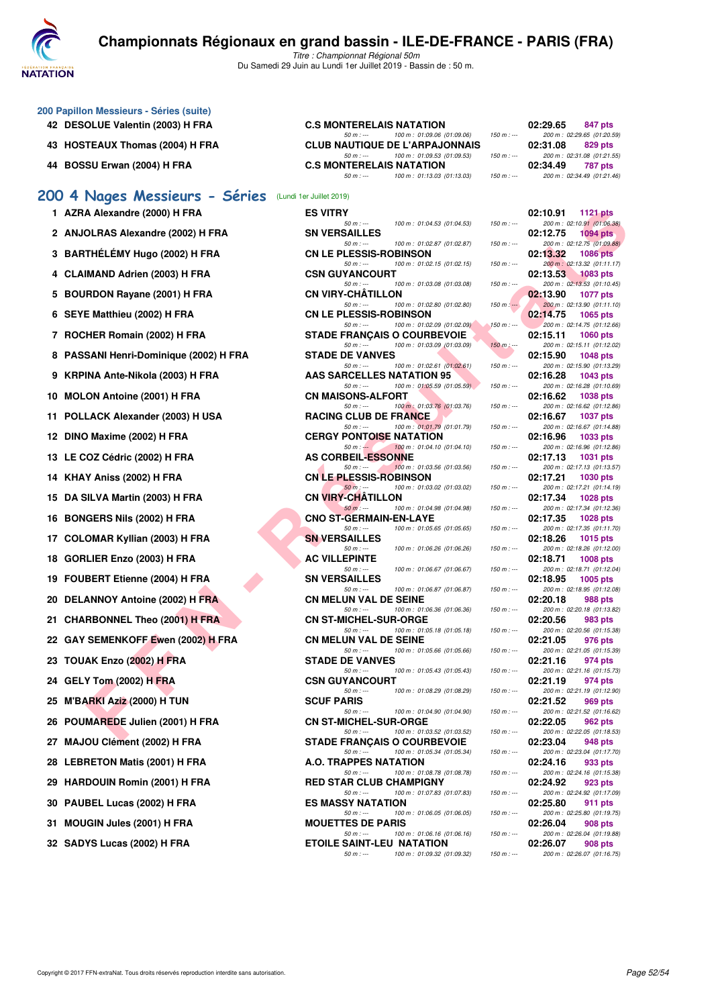

Titre : Championnat Régional 50m Du Samedi 29 Juin au Lundi 1er Juillet 2019 - Bassin de : 50 m.

|    | 200 Papillon Messieurs - Séries (suite) |                                                                                                                       |               |                                                                                 |
|----|-----------------------------------------|-----------------------------------------------------------------------------------------------------------------------|---------------|---------------------------------------------------------------------------------|
|    | 42 DESOLUE Valentin (2003) H FRA        | <b>C.S MONTERELAIS NATATION</b><br>$50 m: -$<br>100 m: 01:09.06 (01:09.06)                                            | $150 m: -$    | 02:29.65<br>847 pts<br>200 m: 02:29.65 (01:20.59)                               |
|    | 43 HOSTEAUX Thomas (2004) H FRA         | <b>CLUB NAUTIQUE DE L'ARPAJONNAIS</b>                                                                                 | $150 m: -$    | 02:31.08<br>829 pts                                                             |
|    | 44 BOSSU Erwan (2004) H FRA             | 100 m: 01:09.53 (01:09.53)<br>$50 m: -$<br><b>C.S MONTERELAIS NATATION</b><br>$50 m: -$<br>100 m: 01:13.03 (01:13.03) | $150 m : -$   | 200 m: 02:31.08 (01:21.55)<br>02:34.49<br>787 pts<br>200 m: 02:34.49 (01:21.46) |
|    |                                         |                                                                                                                       |               |                                                                                 |
|    | 200 4 Nages Messieurs - Séries          | (Lundi 1er Juillet 2019)                                                                                              |               |                                                                                 |
|    | 1 AZRA Alexandre (2000) H FRA           | <b>ES VITRY</b><br>$50 m: -$<br>100 m: 01:04.53 (01:04.53)                                                            | $150 m: -$    | 02:10.91<br><b>1121 pts</b><br>200 m: 02:10.91 (01:06.38)                       |
|    | 2 ANJOLRAS Alexandre (2002) H FRA       | <b>SN VERSAILLES</b><br>$50 m: -$<br>100 m: 01:02.87 (01:02.87)                                                       | $150 m : -$   | 02:12.75<br><b>1094 pts</b><br>200 m: 02:12.75 (01:09.88)                       |
|    | 3 BARTHÉLÉMY Hugo (2002) H FRA          | <b>CN LE PLESSIS-ROBINSON</b><br>$50 m$ : $-$<br>100 m: 01:02.15 (01:02.15)                                           | $150 m : -$   | 02:13.32<br><b>1086 pts</b><br>200 m: 02:13.32 (01:11.17)                       |
|    | 4 CLAIMAND Adrien (2003) H FRA          | <b>CSN GUYANCOURT</b><br>$50 m: -$                                                                                    | $150 m: -$    | 02:13.53<br><b>1083 pts</b>                                                     |
|    | 5 BOURDON Rayane (2001) H FRA           | 100 m: 01:03.08 (01:03.08)<br><b>CN VIRY-CHATILLON</b>                                                                |               | 200 m: 02:13.53 (01:10.45)<br>02:13.90<br>1077 pts                              |
|    | 6 SEYE Matthieu (2002) H FRA            | $50 m : -$<br>100 m: 01:02.80 (01:02.80)<br><b>CN LE PLESSIS-ROBINSON</b>                                             | $150 m: -$    | 200 m: 02:13.90 (01:11.10)<br>02:14.75<br>1065 pts                              |
|    | 7 ROCHER Romain (2002) H FRA            | $50 m: -$<br>100 m : 01:02.09 (01:02.09)<br><b>STADE FRANÇAIS O COURBEVOIE</b>                                        | $150 m : -$   | 200 m: 02:14.75 (01:12.66)<br>02:15.11<br><b>1060 pts</b>                       |
| 8  | PASSANI Henri-Dominique (2002) H FRA    | $50 m: -$<br>100 m: 01:03.09 (01:03.09)<br><b>STADE DE VANVES</b>                                                     | $150 m$ : --- | 200 m: 02:15.11 (01:12.02)<br>02:15.90<br><b>1048 pts</b>                       |
|    | 9 KRPINA Ante-Nikola (2003) H FRA       | $50 m: -$<br>100 m: 01:02.61 (01:02.61)<br>AAS SARCELLES NATATION 95                                                  | $150 m : -$   | 200 m: 02:15.90 (01:13.29)<br>02:16.28<br>1043 pts                              |
|    | 10 MOLON Antoine (2001) H FRA           | 100 m: 01:05.59 (01:05.59)<br>$50 m: -$<br><b>CN MAISONS-ALFORT</b>                                                   | $150 m : -$   | 200 m: 02:16.28 (01:10.69)<br>02:16.62<br>1038 pts                              |
|    |                                         | $50 m: -$<br>100 m: 01:03.76 (01:03.76)                                                                               | $150 m : -$   | 200 m: 02:16.62 (01:12.86)                                                      |
| 11 | POLLACK Alexander (2003) H USA          | <b>RACING CLUB DE FRANCE</b><br>$50 m: -$<br>100 m: 01:01.79 (01:01.79)                                               | $150 m : -$   | 02:16.67<br><b>1037 pts</b><br>200 m: 02:16.67 (01:14.88)                       |
|    | 12 DINO Maxime (2002) H FRA             | <b>CERGY PONTOISE NATATION</b><br>$50 m: -$<br>100 m : 01:04.10 (01:04.10)                                            | $150 m : -$   | 02:16.96<br>1033 pts<br>200 m: 02:16.96 (01:12.86)                              |
|    | 13 LE COZ Cédric (2002) H FRA           | <b>AS CORBEIL-ESSONNE</b><br>$50 m: -$<br>100 m: 01:03.56 (01:03.56)                                                  | $150 m: -$    | 02:17.13<br>1031 pts<br>200 m: 02:17.13 (01:13.57)                              |
|    | 14 KHAY Aniss (2002) H FRA              | <b>CN LE PLESSIS-ROBINSON</b><br>$50 m$ : ---<br>100 m: 01:03.02 (01:03.02)                                           | $150 m : -$   | 02:17.21<br>1030 pts<br>200 m: 02:17.21 (01:14.19)                              |
|    | 15 DA SILVA Martin (2003) H FRA         | <b>CN VIRY-CHATILLON</b><br>$50 m: -$<br>100 m: 01:04.98 (01:04.98)                                                   | $150 m : -$   | 02:17.34<br><b>1028 pts</b><br>200 m: 02:17.34 (01:12.36)                       |
|    | 16 BONGERS Nils (2002) H FRA            | <b>CNO ST-GERMAIN-EN-LAYE</b><br>$50 m: -$<br>100 m: 01:05.65 (01:05.65)                                              | $150 m: -$    | 02:17.35<br><b>1028 pts</b><br>200 m: 02:17.35 (01:11.70)                       |
|    | 17 COLOMAR Kyllian (2003) H FRA         | <b>SN VERSAILLES</b><br>$50 m: -$<br>100 m: 01:06.26 (01:06.26)                                                       | $150 m : -$   | 02:18.26<br>1015 pts<br>200 m: 02:18.26 (01:12.00)                              |
|    | 18 GORLIER Enzo (2003) H FRA            | <b>AC VILLEPINTE</b>                                                                                                  |               | 02:18.71<br><b>1008 pts</b>                                                     |
| 19 | FOUBERT Etienne (2004) H FRA            | 100 m: 01:06.67 (01:06.67)<br>$50 m$ : $-$<br><b>SN VERSAILLES</b>                                                    | $150 m : -$   | 200 m: 02:18.71 (01:12.04)<br>02:18.95<br>1005 pts                              |
| 20 | DELANNOY Antoine (2002) H FRA           | $50 m: -$<br>100 m: 01:06.87 (01:06.87)<br><b>CN MELUN VAL DE SEINE</b>                                               | $150 m: -$    | 200 m: 02:18.95 (01:12.08)<br>02:20.18<br>988 pts                               |
|    | 21 CHARBONNEL Theo (2001) H FRA         | $50 m: -$<br>100 m: 01:06.36 (01:06.36)<br><b>CN ST-MICHEL-SUR-ORGE</b>                                               | $150 m : -$   | 200 m: 02:20.18 (01:13.82)<br>02:20.56<br>983 pts                               |
|    | 22 GAY SEMENKOFF Ewen (2002) H FRA      | $50 m: -$<br>100 m: 01:05.18 (01:05.18)<br>CN MELUN VAL DE SEINE                                                      | $150 m: -$    | 200 m: 02:20.56 (01:15.38)<br>976 pts<br>02:21.05                               |
|    | 23 TOUAK Enzo (2002) H FRA              | $50 m: -$<br>100 m : 01:05.66 (01:05.66)<br><b>STADE DE VANVES</b>                                                    | $150 m : -$   | 200 m: 02:21.05 (01:15.39)<br>02:21.16<br>974 pts                               |
|    | 24 GELY Tom (2002) H FRA                | $50 m: -$<br>100 m: 01:05.43 (01:05.43)<br><b>CSN GUYANCOURT</b>                                                      | $150 m : -$   | 200 m: 02:21.16 (01:15.73)<br>02:21.19<br>974 pts                               |
| 25 | M'BARKI Aziz (2000) H TUN               | 100 m: 01:08.29 (01:08.29)<br>$50 m: -$<br><b>SCUF PARIS</b>                                                          | $150 m : -$   | 200 m: 02:21.19 (01:12.90)<br>02:21.52<br>969 pts                               |
| 26 | POUMAREDE Julien (2001) H FRA           | $50 m: -$<br>100 m: 01:04.90 (01:04.90)<br><b>CN ST-MICHEL-SUR-ORGE</b>                                               | $150 m : -$   | 200 m: 02:21.52 (01:16.62)<br>02:22.05<br>962 pts                               |
|    |                                         | $50 m$ : $-$<br>100 m: 01:03.52 (01:03.52)                                                                            | $150 m : -$   | 200 m: 02:22.05 (01:18.53)                                                      |
| 27 | MAJOU Clément (2002) H FRA              | <b>STADE FRANCAIS O COURBEVOIE</b><br>$50 m: -$<br>100 m: 01:05.34 (01:05.34)                                         | $150 m: -$    | 02:23.04<br>948 pts<br>200 m: 02:23.04 (01:17.70)                               |
| 28 | <b>LEBRETON Matis (2001) H FRA</b>      | A.O. TRAPPES NATATION<br>$50 m: -$<br>100 m: 01:08.78 (01:08.78)                                                      | $150 m : -$   | 02:24.16<br>933 pts<br>200 m: 02:24.16 (01:15.38)                               |
| 29 | <b>HARDOUIN Romin (2001) H FRA</b>      | <b>RED STAR CLUB CHAMPIGNY</b><br>$50 m: -$<br>100 m: 01:07.83 (01:07.83)                                             | $150 m : -$   | 02:24.92<br>923 pts<br>200 m: 02:24.92 (01:17.09)                               |
| 30 | PAUBEL Lucas (2002) H FRA               | <b>ES MASSY NATATION</b><br>$50 m: -$<br>100 m: 01:06.05 (01:06.05)                                                   | $150 m : -$   | 02:25.80<br>911 pts<br>200 m : 02:25.80 (01:19.75)                              |
| 31 | <b>MOUGIN Jules (2001) H FRA</b>        | <b>MOUETTES DE PARIS</b><br>100 m: 01:06.16 (01:06.16)<br>$50 m: -$                                                   | $150 m : -$   | 02:26.04<br>908 pts<br>200 m: 02:26.04 (01:19.88)                               |
|    | 32 SADYS Lucas (2002) H FRA             | <b>ETOILE SAINT-LEU NATATION</b>                                                                                      |               | 02:26.07<br><b>908 pts</b>                                                      |

**32 SADYS Lucas (2002) H FRA ETOILE SAINT-LEU NATATION 60 91.09.32** (01:09.32) **150 m** in **91.09.32** 

50 m : --- 100 m : 01:09.32 (01:09.32) 150 m : --- 200 m : 02:26.07 (01:16.75)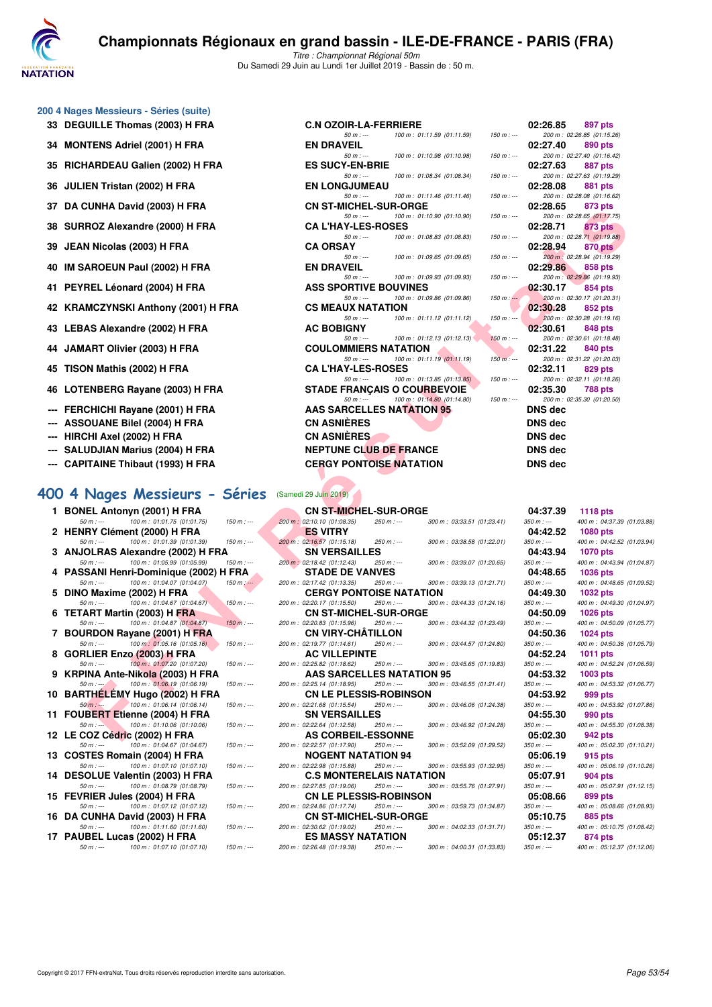

Titre : Championnat Régional 50m Du Samedi 29 Juin au Lundi 1er Juillet 2019 - Bassin de : 50 m.

#### **200 4 Nages Messieurs - Séries (suite)**

- 
- **34 MONTENS Adriel (2001) H FRA**
- **35 RICHARDEAU Galien (2002) H FRA**
- **36 JULIEN Tristan (2002) H FRA**
- 
- **38 SURROZ Alexandre (2000) H FRA**
- 
- 
- 
- 
- 
- 
- 
- 
- **--- FERCHICHI Rayane (2001) H FRA**
- **--- ASSOUANE Bilel (2004) H FRA**
- **--- HIRCHI Axel (2002) H FRA**
- **--- SALUDJIAN Marius (2004) H FRA**
- **--- CAPITAINE Thibaut (1993) H FRA**

#### **[400 4 Nages Messieurs - Séries](http://www.ffnatation.fr/webffn/resultats.php?idact=nat&go=epr&idcpt=61555&idepr=92)** (Samedi 29 Juin 2019)

| 1. | <b>BONEL Antonyn (2001) H FRA</b>                         |               |
|----|-----------------------------------------------------------|---------------|
|    | 50 m : --- 100 m : 01:01.75 (01:01.75)                    | $150 m: -$    |
|    | 2 HENRY Clément (2000) H FRA                              |               |
|    | 50 m : --- 100 m : 01:01.39 (01:01.39)                    | $150 m$ : --- |
|    | 3 ANJOLRAS Alexandre (2002) H FRA                         |               |
|    | 50 m : --- 100 m : 01:05.99 (01:05.99)                    | $150 m: -$    |
| 4  | PASSANI Henri-Dominique (2002) H FRA                      |               |
|    | 50 m : --- 100 m : 01:04.07 (01:04.07)                    | $150 m : -$   |
| 5  | DINO Maxime (2002) H FRA                                  |               |
|    | 50 m : --- 100 m : 01:04.67 (01:04.67)                    | 150 m : ---   |
|    | 6 TETART Martin (2003) H FRA                              |               |
|    | 50 m : --- 100 m : 01:04.87 (01:04.87)                    | $150 m: -$    |
| 7  | <b>BOURDON Rayane (2001) H FRA</b>                        |               |
|    | 50 m :--- 100 m : 01:05.16 (01:05.16)                     | $150 m: -$    |
| 8  | GORLIER Enzo (2003) H FRA                                 |               |
|    | 100 m : 01:07.20 (01:07.20)<br>$50 m : -$                 | $150 m: -$    |
| 9  | KRPINA Ante-Nikola (2003) H FRA                           |               |
|    | 50 m : --- 100 m : 01:06.19 (01:06.19)                    | $150 m: -$    |
| 10 | BART <u>HÉL</u> ÉMY Hugo (2002) H FRA                     |               |
|    | $50 \text{ m}$ : $\leftarrow$ 100 m : 01:06.14 (01:06.14) | $150 m$ : --- |
| 11 | FOUBERT Etienne (2004) H FRA                              |               |
|    | 50 m : --- 100 m : 01:10.06 (01:10.06)                    | $150 m: -$    |
| 12 | LE COZ Cédric (2002) H FRA                                |               |
|    | 50 m : --- 100 m : 01:04.67 (01:04.67)                    | $150 m: -$    |
| 13 | <b>COSTES Romain (2004) H FRA</b>                         |               |
|    | 50 m :--- 100 m : 01:07.10 (01:07.10)                     | $150 m: -$    |
| 14 | DESOLUE Valentin (2003) H FRA                             |               |
|    | 50 m : --- 100 m : 01:08.79 (01:08.79)                    | $150 m$ : --- |
| 15 | FEVRIER Jules (2004) H FRA                                |               |
|    | 50 m : --- 100 m : 01:07.12 (01:07.12)                    | $150 m: -$    |
| 16 | DA CUNHA David (2003) H FRA                               |               |
|    | 100 m: 01:11.60 (01:11.60)<br>$50 m : -$                  | $150 m: -$    |
| 17 | PAUBEL Lucas (2002) H FRA                                 |               |

| 00 4 Nages Messieurs - Séries (suite) |                                  |                                         |                          |                |                                       |
|---------------------------------------|----------------------------------|-----------------------------------------|--------------------------|----------------|---------------------------------------|
| 33 DEGUILLE Thomas (2003) H FRA       | <b>C.N OZOIR-LA-FERRIERE</b>     |                                         |                          | 02:26.85       | 897 pts                               |
|                                       | $50 m : -$                       | 100 m: 01:11.59 (01:11.59)              | $150 m : -$              |                | 200 m: 02:26.85 (01:15.26             |
| 34 MONTENS Adriel (2001) H FRA        | <b>EN DRAVEIL</b>                |                                         |                          | 02:27.40       | 890 pts                               |
|                                       | $50 m: -$                        | 100 m: 01:10.98 (01:10.98)              | $150 m : -$              |                | 200 m: 02:27.40 (01:16.42             |
| 35 RICHARDEAU Galien (2002) H FRA     | <b>ES SUCY-EN-BRIE</b>           |                                         |                          | 02:27.63       | 887 pts                               |
|                                       | $50 m : -$                       | 100 m: 01:08.34 (01:08.34)              | $150 m : -$              |                | 200 m: 02:27.63 (01:19.29             |
| 36 JULIEN Tristan (2002) H FRA        | <b>EN LONGJUMEAU</b>             |                                         |                          | 02:28.08       | 881 pts                               |
|                                       | $50 m: -$                        | 100 m: 01:11.46 (01:11.46)              | $150 m : -$              |                | 200 m: 02:28.08 (01:16.62             |
| 37 DA CUNHA David (2003) H FRA        | <b>CN ST-MICHEL-SUR-ORGE</b>     |                                         |                          | 02:28.65       | 873 pts                               |
|                                       | $50 m: -$                        | 100 m: 01:10.90 (01:10.90)              | $150 m : -$              |                | 200 m: 02:28.65 (01:17.75             |
| 38 SURROZ Alexandre (2000) H FRA      | <b>CAL'HAY-LES-ROSES</b>         |                                         |                          | 02:28.71       | 873 pts                               |
| 39 JEAN Nicolas (2003) H FRA          | $50 m : -$<br><b>CA ORSAY</b>    | 100 m: 01:08.83 (01:08.83)              | $150 m : -$              | 02:28.94       | 200 m: 02:28.71 (01:19.88)<br>870 pts |
|                                       | $50 m: -$                        | 100 m: 01:09.65 (01:09.65)              | $150 m : -$              |                | 200 m : 02:28.94 (01:19.29)           |
| 40 IM SAROEUN Paul (2002) H FRA       | <b>EN DRAVEIL</b>                |                                         |                          | 02:29.86       | 858 pts                               |
|                                       | $50 m: -$                        | 100 m: 01:09.93 (01:09.93)              | $150 m : -$              |                | 200 m: 02:29.86 (01:19.93)            |
| 41 PEYREL Léonard (2004) H FRA        | <b>ASS SPORTIVE BOUVINES</b>     |                                         |                          | 02:30.17       | 854 pts                               |
|                                       | $50 m: -$                        | 100 m : 01:09.86 (01:09.86)             | $150 \text{ m}$ : $\sim$ |                | 200 m: 02:30.17 (01:20.31)            |
| 42 KRAMCZYNSKI Anthony (2001) H FRA   | <b>CS MEAUX NATATION</b>         |                                         |                          | 02:30.28       | 852 pts                               |
|                                       | $50 m: -$                        | 100 m: 01:11.12 (01:11.12)              | $150 m$ : ---            |                | 200 m : 02:30.28 (01:19.16            |
| 43 LEBAS Alexandre (2002) H FRA       | <b>AC BOBIGNY</b>                |                                         |                          | 02:30.61       | 848 pts                               |
|                                       |                                  | $50 m$ : $-100 m$ : 01:12.13 (01:12.13) | $150 m: -$               |                | 200 m: 02:30.61 (01:18.48)            |
| 44 JAMART Olivier (2003) H FRA        | <b>COULOMMIERS NATATION</b>      |                                         |                          | 02:31.22       | 840 pts                               |
|                                       | $50 m: -$                        | 100 m : 01:11.19 (01:11.19)             | $150 m$ : ---            |                | 200 m: 02:31.22 (01:20.03             |
| 45 TISON Mathis (2002) H FRA          | <b>CAL'HAY-LES-ROSES</b>         |                                         |                          | 02:32.11       | 829 pts                               |
|                                       | $50 m: -$                        | 100 m: 01:13.85 (01:13.85)              | $150 m: -$               |                | 200 m: 02:32.11 (01:18.26             |
| 46 LOTENBERG Rayane (2003) H FRA      | STADE FRANCAIS O COURBEVOIE      |                                         |                          | 02:35.30       | <b>788 pts</b>                        |
|                                       | $50 m: -$                        | 100 m : 01:14.80 (01:14.80)             | $150 m : -$              |                | 200 m: 02:35.30 (01:20.50             |
| --- FERCHICHI Rayane (2001) H FRA     | <b>AAS SARCELLES NATATION 95</b> |                                         |                          | <b>DNS</b> dec |                                       |
| --- ASSOUANE Bilel (2004) H FRA       | <b>CN ASNIÈRES</b>               |                                         |                          | <b>DNS</b> dec |                                       |
| --- HIRCHI Axel (2002) H FRA          | <b>CN ASNIÈRES</b>               |                                         |                          | <b>DNS</b> dec |                                       |
| --- SALUDJIAN Marius (2004) H FRA     | <b>NEPTUNE CLUB DE FRANCE</b>    |                                         |                          | <b>DNS</b> dec |                                       |
| --- CAPITAINE Thibaut (1993) H FRA    | <b>CERGY PONTOISE NATATION</b>   |                                         |                          | <b>DNS</b> dec |                                       |
|                                       |                                  |                                         |                          |                |                                       |

|         | 02:26.85 897 pts            |
|---------|-----------------------------|
|         | 200 m: 02:26.85 (01:15.26)  |
|         | 02:27.40 890 pts            |
|         | 200 m: 02:27.40 (01:16.42)  |
|         | 02:27.63 887 pts            |
|         | 200 m: 02:27.63 (01:19.29)  |
|         | 02:28.08 881 pts            |
|         | 200 m: 02:28.08 (01:16.62)  |
|         | 02:28.65 873 pts            |
|         | 200 m: 02:28.65 (01:17.75)  |
|         | 02:28.71 873 pts            |
|         | 200 m: 02:28.71 (01:19.88)  |
|         | 02:28.94 870 pts            |
|         | 200 m : 02:28.94 (01:19.29) |
|         | 02:29.86 858 pts            |
|         | 200 m: 02:29.86 (01:19.93)  |
|         | $02:30.17$ 854 pts          |
|         | 200 m: 02:30.17 (01:20.31)  |
|         | 02:30.28 852 pts            |
|         | 200 m: 02:30.28 (01:19.16)  |
|         | 02:30.61 848 pts            |
|         | 200 m: 02:30.61 (01:18.48)  |
|         | 02:31.22 840 pts            |
|         | 200 m : 02:31.22 (01:20.03) |
|         | 02:32.11 829 pts            |
|         | 200 m: 02:32.11 (01:18.26)  |
|         | 02:35.30 788 pts            |
|         | 200 m: 02:35.30 (01:20.50)  |
| DNS dec |                             |
|         |                             |
| DNS dec |                             |
| DNS dec |                             |
| DNS dec |                             |
|         |                             |
| DNS dec |                             |
|         |                             |

| JI DA GUNHA DAVIU (2003) ILENA                                                    |               |  | <b>UN 31-MIULLE-30H-UNGE</b>                                               |                            |               | <b>02.20.00</b>         | ora pis                                       |  |
|-----------------------------------------------------------------------------------|---------------|--|----------------------------------------------------------------------------|----------------------------|---------------|-------------------------|-----------------------------------------------|--|
| 38   SURROZ Alexandre (2000) H FRA                                                |               |  | $50 m: -$<br><b>CA L'HAY-LES-ROSES</b>                                     | 100 m: 01:10.90 (01:10.90) | $150 m: -$    | 02:28.71                | 200 m: 02:28.65 (01:17.75)<br>873 pts         |  |
| 39   JEAN Nicolas (2003) H FRA                                                    |               |  | $50 m: -$<br><b>CA ORSAY</b>                                               | 100 m: 01:08.83 (01:08.83) | $150 m : -$   | 02:28.94                | 200 m: 02:28.71 (01:19.88)<br>870 pts         |  |
|                                                                                   |               |  | $50 m: -$                                                                  | 100 m: 01:09.65 (01:09.65) | $150 m: -$    |                         | 200 m : 02:28.94 (01:19.29)                   |  |
| 40 IM SAROEUN Paul (2002) H FRA                                                   |               |  | <b>EN DRAVEIL</b>                                                          |                            |               | 02:29.86                | 858 pts                                       |  |
| 41 PEYREL Léonard (2004) H FRA                                                    |               |  | $50 m: -$<br><b>ASS SPORTIVE BOUVINES</b>                                  | 100 m: 01:09.93 (01:09.93) | $150 m: -$    | 02:30.17                | 200 m: 02:29.86 (01:19.93)<br>854 pts         |  |
|                                                                                   |               |  | $50 m: -$                                                                  | 100 m: 01:09.86 (01:09.86) | $150 m : -$   |                         | 200 m: 02:30.17 (01:20.31)                    |  |
| 42 KRAMCZYNSKI Anthony (2001) H FRA                                               |               |  | <b>CS MEAUX NATATION</b><br>$50 m: -$                                      | 100 m: 01:11.12 (01:11.12) | $150 m : -$   | 02:30.28                | 852 pts<br>200 m: 02:30.28 (01:19.16)         |  |
| 43   LEBAS Alexandre (2002) H FRA                                                 |               |  | <b>AC BOBIGNY</b>                                                          |                            |               | 02:30.61                | 848 pts                                       |  |
| 44   JAMART Olivier (2003) H FRA                                                  |               |  | $50 m: -$<br><b>COULOMMIERS NATATION</b>                                   | 100 m: 01:12.13 (01:12.13) | $150 m : -$   | 02:31.22                | 200 m: 02:30.61 (01:18.48)<br>840 pts         |  |
|                                                                                   |               |  | $50 m: -$                                                                  | 100 m: 01:11.19 (01:11.19) | $150 m$ : --- |                         | 200 m: 02:31.22 (01:20.03)                    |  |
| 45   TISON Mathis (2002) H FRA                                                    |               |  | <b>CA L'HAY-LES-ROSES</b><br>$50 m: -$                                     | 100 m: 01:13.85 (01:13.85) | $150 m$ : --- | 02:32.11                | 829 pts<br>200 m: 02:32.11 (01:18.26)         |  |
| 46 LOTENBERG Rayane (2003) H FRA                                                  |               |  | <b>STADE FRANÇAIS O COURBEVOIE</b>                                         |                            |               | 02:35.30                | <b>788 pts</b>                                |  |
| --- FERCHICHI Rayane (2001) H FRA                                                 |               |  | $50 m: -$<br><b>AAS SARCELLES NATATION 95</b>                              | 100 m: 01:14.80 (01:14.80) | $150 m : -$   | <b>DNS dec</b>          | 200 m: 02:35.30 (01:20.50)                    |  |
| --- ASSOUANE Bilel (2004) H FRA                                                   |               |  | <b>CN ASNIÈRES</b>                                                         |                            |               | <b>DNS dec</b>          |                                               |  |
| --- HIRCHI Axel (2002) H FRA                                                      |               |  | <b>CN ASNIERES</b>                                                         |                            |               | <b>DNS dec</b>          |                                               |  |
| --- SALUDJIAN Marius (2004) H FRA                                                 |               |  | <b>NEPTUNE CLUB DE FRANCE</b>                                              |                            |               | <b>DNS dec</b>          |                                               |  |
| --- CAPITAINE Thibaut (1993) H FRA                                                |               |  | <b>CERGY PONTOISE NATATION</b>                                             |                            |               | <b>DNS dec</b>          |                                               |  |
|                                                                                   |               |  |                                                                            |                            |               |                         |                                               |  |
|                                                                                   |               |  | (Samedi 29 Juin 2019)                                                      |                            |               |                         |                                               |  |
| 00 4 Nages Messieurs - Séries                                                     |               |  |                                                                            |                            |               |                         |                                               |  |
| 1 BONEL Antonyn (2001) H FRA<br>100 m: 01:01.75 (01:01.75)<br>$50 m: -$           | $150 m: -$    |  | <b>CN ST-MICHEL-SUR-ORGE</b><br>200 m : 02:10.10 (01:08.35)<br>$250 m : -$ | 300 m: 03:33.51 (01:23.41) |               | 04:37.39<br>$350 m : -$ | <b>1118 pts</b>                               |  |
| 2 HENRY Clément (2000) H FRA                                                      |               |  | <b>ES VITRY</b>                                                            |                            |               | 04:42.52                | 400 m: 04:37.39 (01:03.88)<br>1080 pts        |  |
| 100 m: 01:01.39 (01:01.39)<br>$50 m: -$                                           | $150 m: -$    |  | 200 m : 02:16.57 (01:15.18)<br>$250 m : -$                                 | 300 m: 03:38.58 (01:22.01) |               | $350 m : -$             | 400 m: 04:42.52 (01:03.94)                    |  |
| 3 ANJOLRAS Alexandre (2002) H FRA                                                 |               |  | <b>SN VERSAILLES</b>                                                       |                            |               | 04:43.94                | <b>1070 pts</b>                               |  |
| 100 m: 01:05.99 (01:05.99)<br>$50 m: -$<br>4 PASSANI Henri-Dominique (2002) H FRA | $150 m : -$   |  | 200 m : 02:18.42 (01:12.43)<br>250 m : ---<br><b>STADE DE VANVES</b>       | 300 m: 03:39.07 (01:20.65) |               | $350 m : -$<br>04:48.65 | 400 m: 04:43.94 (01:04.87)<br><b>1036 pts</b> |  |
| 100 m: 01:04.07 (01:04.07)<br>$50 m : -$                                          | $150 m$ : --- |  | 200 m: 02:17.42 (01:13.35)<br>250 m : ---                                  | 300 m: 03:39.13 (01:21.71) |               | $350 m : -$             | 400 m: 04:48.65 (01:09.52)                    |  |
| 5 DINO Maxime (2002) H FRA                                                        |               |  | <b>CERGY PONTOISE NATATION</b>                                             |                            |               | 04:49.30                | 1032 pts                                      |  |
| $50 m : -$<br>100 m : 01:04.67 (01:04.67)                                         | $150 m : -$   |  | 200 m: 02:20.17 (01:15.50)<br>250 m : ---                                  | 300 m: 03:44.33 (01:24.16) |               | $350 m : -$             | 400 m: 04:49.30 (01:04.97)                    |  |
| 6 TETART Martin (2003) H FRA<br>100 m: 01:04.87 (01:04.87)<br>$50 m: -$           | $150 m: -$    |  | <b>CN ST-MICHEL-SUR-ORGE</b><br>200 m: 02:20.83 (01:15.96)<br>$250 m : -$  | 300 m: 03:44.32 (01:23.49) |               | 04:50.09<br>$350 m : -$ | 1026 pts<br>400 m: 04:50.09 (01:05.77)        |  |
| 7 BOURDON Rayane (2001) H FRA                                                     |               |  | <b>CN VIRY-CHATILLON</b>                                                   |                            |               | 04:50.36                | <b>1024 pts</b>                               |  |
| 100 m : 01:05.16 (01:05.16)<br>$50 m : -$                                         | $150 m : -$   |  | 200 m: 02:19.77 (01:14.61)<br>250 m : ---                                  | 300 m: 03:44.57 (01:24.80) |               | $350 m : -$             | 400 m: 04:50.36 (01:05.79)                    |  |
| 8 GORLIER Enzo (2003) H FRA                                                       |               |  | <b>AC VILLEPINTE</b>                                                       |                            |               | 04:52.24                | 1011 pts                                      |  |
| $50 m: -$<br>100 m : 01:07.20 (01:07.20)<br>9 KRPINA Ante-Nikola (2003) H FRA     | $150 m : -$   |  | 200 m : 02:25.82 (01:18.62)<br>$250 m : -$<br>AAS SARCELLES NATATION 95    | 300 m: 03:45.65 (01:19.83) |               | $350 m : -$<br>04:53.32 | 400 m: 04:52.24 (01:06.59)<br>1003 pts        |  |
| 100 m: 01:06.19 (01:06.19)<br>$50 m : -1$                                         | $150 m: -$    |  | 200 m: 02:25.14 (01:18.95)<br>250 m : ---                                  | 300 m: 03:46.55 (01:21.41) |               | $350 m : -$             | 400 m: 04:53.32 (01:06.77)                    |  |
| 10 BARTHELEMY Hugo (2002) H FRA                                                   |               |  | <b>CN LE PLESSIS-ROBINSON</b>                                              |                            |               | 04:53.92                | 999 pts                                       |  |
| 100 m: 01:06.14 (01:06.14)<br>$50 m: -$<br>11 FOUBERT Etienne (2004) H FRA        | $150 m : -$   |  | 200 m: 02:21.68 (01:15.54)<br>250 m : ---<br><b>SN VERSAILLES</b>          | 300 m: 03:46.06 (01:24.38) |               | $350 m : -$<br>04:55.30 | 400 m: 04:53.92 (01:07.86)<br>990 pts         |  |
| 100 m: 01:10.06 (01:10.06)<br>$50 m: -$                                           | $150 m: -$    |  | 200 m: 02:22.64 (01:12.58)<br>$250 m : -$                                  | 300 m: 03:46.92 (01:24.28) |               | $350 m : -$             | 400 m: 04:55.30 (01:08.38)                    |  |
| 12 LE COZ Cédric (2002) H FRA                                                     |               |  | <b>AS CORBEIL-ESSONNE</b>                                                  |                            |               | 05:02.30                | 942 pts                                       |  |
| 50 m : ---<br>100 m : 01:04.67 (01:04.67)                                         | 150 m : ---   |  | 200 m : 02:22.57 (01:17.90)<br>250 m : ---                                 | 300 m: 03:52.09 (01:29.52) |               | 350 m : ---             | 400 m: 05:02.30 (01:10.21)                    |  |
| 13 COSTES Romain (2004) H FRA<br>100 m: 01:07.10 (01:07.10)<br>$50 m: -$          | $150 m : -$   |  | <b>NOGENT NATATION 94</b><br>200 m: 02:22.98 (01:15.88)<br>250 m : ---     | 300 m: 03:55.93 (01:32.95) |               | 05:06.19<br>$350 m : -$ | 915 pts<br>400 m: 05:06.19 (01:10.26)         |  |
| 14 DESOLUE Valentin (2003) H FRA                                                  |               |  | <b>C.S MONTERELAIS NATATION</b>                                            |                            |               | 05:07.91                | 904 pts                                       |  |
| $50\,m$ : ---<br>100 m: 01:08.79 (01:08.79)                                       | $150 m : -$   |  | 200 m : 02:27.85 (01:19.06)<br>250 m : ---                                 | 300 m: 03:55.76 (01:27.91) |               | $350 m : -$             | 400 m: 05:07.91 (01:12.15)                    |  |
| 15 FEVRIER Jules (2004) H FRA                                                     |               |  | <b>CN LE PLESSIS-ROBINSON</b>                                              |                            |               | 05:08.66                | 899 pts                                       |  |
| $50 m : -$<br>100 m: 01:07.12 (01:07.12)<br>16 DA CUNHA David (2003) H FRA        | $150 m : -$   |  | 200 m: 02:24.86 (01:17.74)<br>250 m : ---<br><b>CN ST-MICHEL-SUR-ORGE</b>  | 300 m: 03:59.73 (01:34.87) |               | $350 m : -$<br>05:10.75 | 400 m: 05:08.66 (01:08.93)<br>885 pts         |  |
| $50 m : -$<br>100 m: 01:11.60 (01:11.60)                                          | $150 m$ : --- |  | 200 m : 02:30.62 (01:19.02)<br>250 m : ---                                 | 300 m: 04:02.33 (01:31.71) |               | $350 m : -$             | 400 m: 05:10.75 (01:08.42)                    |  |
| 17 PAUBEL Lucas (2002) H FRA                                                      |               |  | <b>ES MASSY NATATION</b>                                                   |                            |               | 05:12.37                | 874 pts                                       |  |
| 100 m: 01:07.10 (01:07.10)<br>$50 m : -$                                          | $150 m$ : --- |  | 200 m: 02:26.48 (01:19.38)<br>$250 m : -$                                  | 300 m: 04:00.31 (01:33.83) |               | $350 m : -$             | 400 m: 05:12.37 (01:12.06)                    |  |